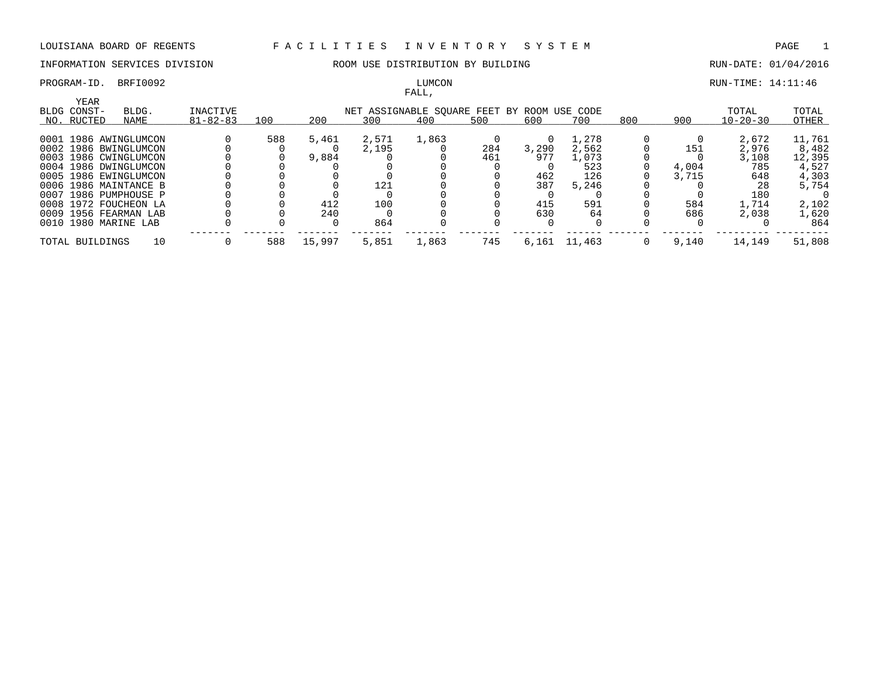# FALL,

PROGRAM-ID. BRFI0092 **RUN-TIME: 14:11:46** LUMCON RUN-TIME: 14:11:46

|                     |                       |                |     |        |       | r Alili,                           |     |          |          |     |       |                |        |
|---------------------|-----------------------|----------------|-----|--------|-------|------------------------------------|-----|----------|----------|-----|-------|----------------|--------|
| YEAR<br>BLDG CONST- | BLDG.                 | INACTIVE       |     |        |       | NET ASSIGNABLE SOUARE FEET BY ROOM |     |          | USE CODE |     |       | TOTAL          | TOTAL  |
|                     |                       |                |     |        |       |                                    |     |          |          |     |       |                |        |
| NO. RUCTED          | NAME                  | $81 - 82 - 83$ | 100 | 200    | 300   | 400                                | 500 | 600      | 700      | 800 | 900   | $10 - 20 - 30$ | OTHER  |
|                     | 0001 1986 AWINGLUMCON |                | 588 | 5,461  | 2,571 | 1,863                              |     | $\Omega$ | 1,278    |     |       | 2,672          | 11,761 |
|                     | 0002 1986 BWINGLUMCON |                |     |        | 2,195 |                                    | 284 | 3,290    | 2,562    |     | 151   | 2,976          | 8,482  |
|                     |                       |                |     |        |       |                                    |     |          |          |     |       |                |        |
|                     | 0003 1986 CWINGLUMCON |                |     | 9,884  |       |                                    | 461 | 977      | 1,073    |     |       | 3,108          | 12,395 |
|                     | 0004 1986 DWINGLUMCON |                |     |        |       |                                    |     |          | 523      |     | 4,004 | 785            | 4,527  |
|                     | 0005 1986 EWINGLUMCON |                |     |        |       |                                    |     | 462      | 126      |     | 3,715 | 648            | 4,303  |
|                     | 0006 1986 MAINTANCE B |                |     |        | 121   |                                    |     | 387      | 5,246    |     |       | 28             | 5,754  |
|                     | 0007 1986 PUMPHOUSE P |                |     |        |       |                                    |     |          |          |     |       | 180            |        |
|                     | 0008 1972 FOUCHEON LA |                |     | 412    | 100   |                                    |     | 415      | 591      |     | 584   | 1,714          | 2,102  |
|                     | 0009 1956 FEARMAN LAB |                |     | 240    |       |                                    |     | 630      | 64       |     | 686   | 2,038          | 1,620  |
|                     | 0010 1980 MARINE LAB  |                |     |        | 864   |                                    |     |          |          |     |       |                | 864    |
| TOTAL BUILDINGS     | 10                    |                | 588 | 15,997 | 5,851 | 1,863                              | 745 | 6,161    | 11,463   |     | 9,140 | 14,149         | 51,808 |
|                     |                       |                |     |        |       |                                    |     |          |          |     |       |                |        |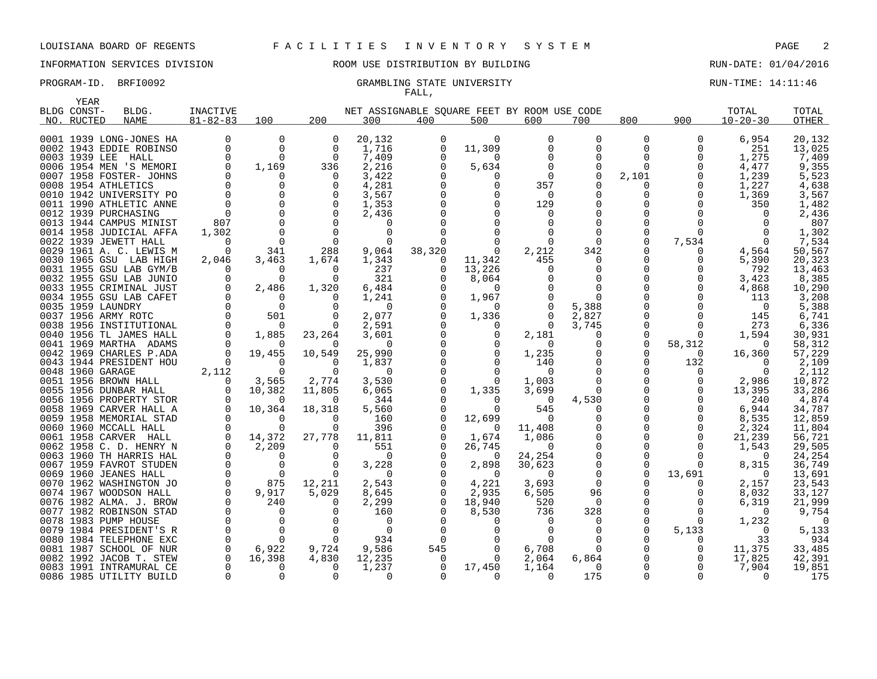## INFORMATION SERVICES DIVISION ROOM USE DISTRIBUTION BY BUILDING RUN-DATE: 01/04/2016

### PROGRAM-ID. BRFI0092 CRAMBLING STATE UNIVERSITY STATE UNIVERSITY RUN-TIME: 14:11:46 FALL,

|      | YEAR              |                                                    |                      |             |                    |                                             |          |               |                       |                   |              |               |                |                  |
|------|-------------------|----------------------------------------------------|----------------------|-------------|--------------------|---------------------------------------------|----------|---------------|-----------------------|-------------------|--------------|---------------|----------------|------------------|
|      | BLDG CONST-       | BLDG.                                              | INACTIVE             |             |                    | NET ASSIGNABLE SOUARE FEET BY ROOM USE CODE |          |               |                       |                   |              |               | TOTAL          | TOTAL            |
|      | NO. RUCTED        | <b>NAME</b>                                        | $81 - 82 - 83$       | 100         | 200                | 300                                         | 400      | 500           | 600                   | 700               | 800          | 900           | $10 - 20 - 30$ | <b>OTHER</b>     |
|      |                   | 0001 1939 LONG-JONES HA                            | 0                    | 0           | 0                  | 20,132                                      | 0        | $\Omega$      | 0                     | 0                 | 0            | 0             | 6,954          |                  |
|      |                   | 0002 1943 EDDIE ROBINSO                            | 0                    | $\Omega$    | $\Omega$           | 1,716                                       | $\Omega$ | 11,309        | 0                     | $\Omega$          | 0            | 0             | 251            | 20,132<br>13,025 |
|      | 0003 1939 LEE     | HALL                                               | 0                    | 0           | $\Omega$           | 7,409                                       | $\Omega$ | $\Omega$      | $\Omega$              | 0                 | 0            | $\Omega$      | 1,275          | 7,409            |
|      |                   | 0006 1954 MEN 'S MEMORI                            | 0                    | 1,169       | 336                | 2,216                                       |          | 5,634         | $\Omega$              | $\Omega$          | $\Omega$     | $\Omega$      | 4,477          | 9,355            |
|      |                   | 0007 1958 FOSTER- JOHNS                            | 0                    | 0           | $\Omega$           | 3,422                                       |          | 0             | $\Omega$              | 0                 | 2,101        | 0             | 1,239          | 5,523            |
|      |                   | 0008 1954 ATHLETICS                                | $\Omega$             | $\Omega$    | $\Omega$           | 4,281                                       |          | $\Omega$      | 357                   | $\Omega$          | 0            | $\Omega$      | 1,227          | 4,638            |
|      |                   | 0010 1942 UNIVERSITY PO                            | $\Omega$             | $\Omega$    |                    | 3,567                                       |          |               | $\Omega$              | $\Omega$          | 0            | $\Omega$      | 1,369          | 3,567            |
|      |                   | 0011 1990 ATHLETIC ANNE                            | $\Omega$             | $\Omega$    | $\Omega$           | 1,353                                       |          | $\Omega$      | 129                   | $\Omega$          | <sup>0</sup> | $\Omega$      | 350            | 1,482            |
|      |                   | 0012 1939 PURCHASING                               | $\Omega$             | $\Omega$    | $\Omega$           | 2,436                                       |          | $\Omega$      | $\Omega$              | O                 | 0            |               | $\Omega$       | 2,436            |
|      |                   | 0013 1944 CAMPUS MINIST                            | 807                  | $\Omega$    | $\Omega$           | 0                                           |          |               | 0                     | $\Omega$          | 0            | <sup>0</sup>  | $\Omega$       | 807              |
|      |                   | 0014 1958 JUDICIAL AFFA                            | 1,302                | $\Omega$    | $\Omega$           | $\Omega$                                    |          |               |                       | $\Omega$          | 0            | $\Omega$      | $\Omega$       | 1,302            |
|      |                   | 0022 1939 JEWETT HALL                              | $\Omega$             | $\Omega$    | $\Omega$           | $\Omega$                                    |          |               | 0                     | $\Omega$          | 0            | 7,534         | $\Omega$       | 7,534            |
|      |                   | 0029 1961 A. C. LEWIS M                            | 0                    | 341         | 288                | 9,064                                       | 38,320   | 0             | 2,212                 | 342               | 0            | 0             | 4,564          | 50,567           |
|      |                   | 0030 1965 GSU LAB HIGH                             | 2,046                | 3,463       | 1,674              | 1,343                                       | $\Omega$ | 11,342        | 455                   | $\Omega$          | 0            | $\Omega$      | 5,390          | 20,323           |
| 0031 |                   | 1955 GSU LAB GYM/B                                 | $\Omega$             | $\Omega$    | $\Omega$           | 237                                         | $\Omega$ | 13,226        | 0                     | $\Omega$          | $\Omega$     |               | 792            | 13,463           |
|      |                   | 0032 1955 GSU LAB JUNIO                            | 0                    | 0           | $\Omega$           | 321                                         |          | 8,064         |                       | 0                 | 0            | 0             | 3,423          | 8,385            |
|      |                   | 0033 1955 CRIMINAL JUST                            | 0                    | 2,486       | 1,320              | 6,484                                       |          | $\Omega$      |                       | $\Omega$          | <sup>0</sup> | <sup>0</sup>  | 4,868          | 10,290           |
|      |                   | 0034 1955 GSU LAB CAFET                            | 0                    | $\Omega$    |                    | 1,241                                       |          | 1,967         |                       | $\Omega$          | 0            |               | 113            | 3,208            |
|      | 0035 1959 LAUNDRY |                                                    | $\Omega$             | $\Omega$    | ∩                  | $\Omega$                                    |          | $\Omega$      |                       | 5,388             |              |               | $\Omega$       | 5,388            |
|      |                   | 0037 1956 ARMY ROTC                                | 0                    | 501         | 0                  | 2,077                                       |          | 1,336         | 0                     | 2,827             | 0            | 0             | 145            | 6,741            |
|      |                   | 0038 1956 INSTITUTIONAL                            | $\Omega$             | 0           |                    | 2,591                                       |          | $\Omega$      | $\Omega$              | 3,745             | $\Omega$     | $\Omega$      | 273            | 6,336            |
|      |                   | 0040 1956 TL JAMES HALL                            | $\Omega$             | 1,885       | 23,264             | 3,601                                       |          | 0             | 2,181                 | 0                 | 0            | 0             | 1,594          | 30,931           |
|      |                   | 0041 1969 MARTHA ADAMS                             | $\Omega$             | $\Omega$    | $\Omega$           | $\Omega$                                    |          | <sup>0</sup>  | $\Omega$              | $\Omega$          | 0            | 58,312        | $\Omega$       | 58,312           |
|      |                   | 0042 1969 CHARLES P.ADA                            | $\Omega$             | 19,455      | 10,549             | 25,990                                      |          | $\Omega$      | 1,235                 | $\Omega$          | 0            | $\Omega$      | 16,360         | 57,229           |
|      |                   | 0043 1944 PRESIDENT HOU                            | $\Omega$             | O           | $\Omega$           | 1,837                                       |          | 0             | 140                   | 0                 | 0            | 132           | $\Omega$       | 2,109            |
|      | 0048 1960 GARAGE  |                                                    | 2,112                | $\Omega$    | $\Omega$           | $\Omega$                                    |          | $\Omega$      | $\Omega$              | $\Omega$          | $\Omega$     | 0             | $\Omega$       | 2,112            |
|      |                   | 0051 1956 BROWN HALL                               | $\Omega$             | 3,565       | 2,774              | 3,530                                       |          | 0             | 1,003                 | $\Omega$          | 0            | 0             | 2,986          | 10,872           |
|      |                   | 0055 1956 DUNBAR HALL                              | $\Omega$<br>$\Omega$ | 10,382<br>O | 11,805             | 6,065                                       |          | 1,335         | 3,699                 | $\Omega$          | <sup>0</sup> | 0<br>$\Omega$ | 13,395         | 33,286           |
|      |                   | 0056 1956 PROPERTY STOR<br>0058 1969 CARVER HALL A | $\Omega$             | 10,364      | $\Omega$<br>18,318 | 344<br>5,560                                |          | $\Omega$<br>∩ | $\overline{0}$<br>545 | 4,530<br>$\Omega$ | 0<br>0       | 0             | 240<br>6,944   | 4,874<br>34,787  |
| 0059 |                   | 1958 MEMORIAL STAD                                 | 0                    | 0           | $\Omega$           | 160                                         |          | 12,699        | 0                     | 0                 | 0            | 0             | 8,535          | 12,859           |
|      |                   | 0060 1960 MCCALL HALL                              | $\Omega$             | 0           | ∩                  | 396                                         |          | $\Omega$      | 11,408                | 0                 | 0            | 0             | 2,324          | 11,804           |
|      |                   | 0061 1958 CARVER HALL                              | 0                    | 14,372      | 27,778             | 11,811                                      |          | 1,674         | 1,086                 | 0                 | 0            | 0             | 21,239         | 56,721           |
|      |                   | 0062 1958 C. D. HENRY N                            | $\Omega$             | 2,209       | $\Omega$           | 551                                         |          | 26,745        | $\Omega$              | $\Omega$          | 0            | $\Omega$      | 1,543          | 29,505           |
|      |                   | 0063 1960 TH HARRIS HAL                            | $\Omega$             | 0           | O                  | 0                                           |          | 0             | 24,254                | 0                 | 0            | $\Omega$      | $\Omega$       | 24,254           |
|      |                   | 0067 1959 FAVROT STUDEN                            | $\Omega$             | $\Omega$    | $\Omega$           | 3,228                                       |          | 2,898         | 30,623                | $\mathbf 0$       | 0            | $\Omega$      | 8,315          | 36,749           |
|      |                   | 0069 1960 JEANES HALL                              | $\Omega$             | $\Omega$    | $\Omega$           | $\Omega$                                    |          | $\Omega$      | $\Omega$              | $\Omega$          | $\Omega$     | 13,691        | $\Omega$       | 13,691           |
|      |                   | 0070 1962 WASHINGTON JO                            | $\mathbf 0$          | 875         | 12,211             | 2,543                                       |          | 4,221         | 3,693                 | $\mathbf 0$       | 0            | 0             | 2,157          | 23,543           |
|      |                   | 0074 1967 WOODSON HALL                             | $\Omega$             | 9,917       | 5,029              | 8,645                                       |          | 2,935         | 6,505                 | 96                | 0            | 0             | 8,032          | 33,127           |
|      |                   | 0076 1982 ALMA. J. BROW                            | 0                    | 240         | $\Omega$           | 2,299                                       | $\Omega$ | 18,940        | 520                   | 0                 | 0            | 0             | 6,319          | 21,999           |
|      |                   | 0077 1982 ROBINSON STAD                            | $\Omega$             | 0           |                    | 160                                         |          | 8,530         | 736                   | 328               | 0            | 0             | $\Omega$       | 9,754            |
|      |                   | 0078 1983 PUMP HOUSE                               | $\Omega$             | $\Omega$    | $\Omega$           | 0                                           |          | $\Omega$      | $\Omega$              | $\Omega$          | 0            | $\Omega$      | 1,232          | $\Omega$         |
| 0079 |                   | 1984 PRESIDENT'S R                                 | $\Omega$             | $\Omega$    | $\Omega$           | 0                                           |          | $\Omega$      | 0                     | $\Omega$          | 0            | 5,133         | 0              | 5,133            |
|      |                   | 0080 1984 TELEPHONE EXC                            | $\Omega$             | $\Omega$    | $\Omega$           | 934                                         |          |               |                       | $\Omega$          | <sup>0</sup> | 0             | 33             | 934              |
| 0081 |                   | 1987 SCHOOL OF NUR                                 | $\Omega$             | 6,922       | 9,724              | 9,586                                       | 545      | $\Omega$      | 6,708                 | $\Omega$          | 0            | 0             | 11,375         | 33,485           |
|      |                   | 0082 1992 JACOB T. STEW                            | 0                    | 16,398      | 4,830              | 12,235                                      | 0        | $\Omega$      | 2,064                 | 6,864             | 0            | 0             | 17,825         | 42,391           |
|      |                   | 0083 1991 INTRAMURAL CE                            | $\Omega$             | 0           | $\Omega$           | 1,237                                       | $\Omega$ | 17,450        | 1,164                 | $\Omega$          | <sup>0</sup> | <sup>0</sup>  | 7,904          | 19,851           |
|      |                   | 0086 1985 UTILITY BUILD                            | $\Omega$             | 0           | $\Omega$           | $\Omega$                                    | $\Omega$ | $\Omega$      | $\Omega$              | 175               | $\Omega$     | $\Omega$      | $\Omega$       | 175              |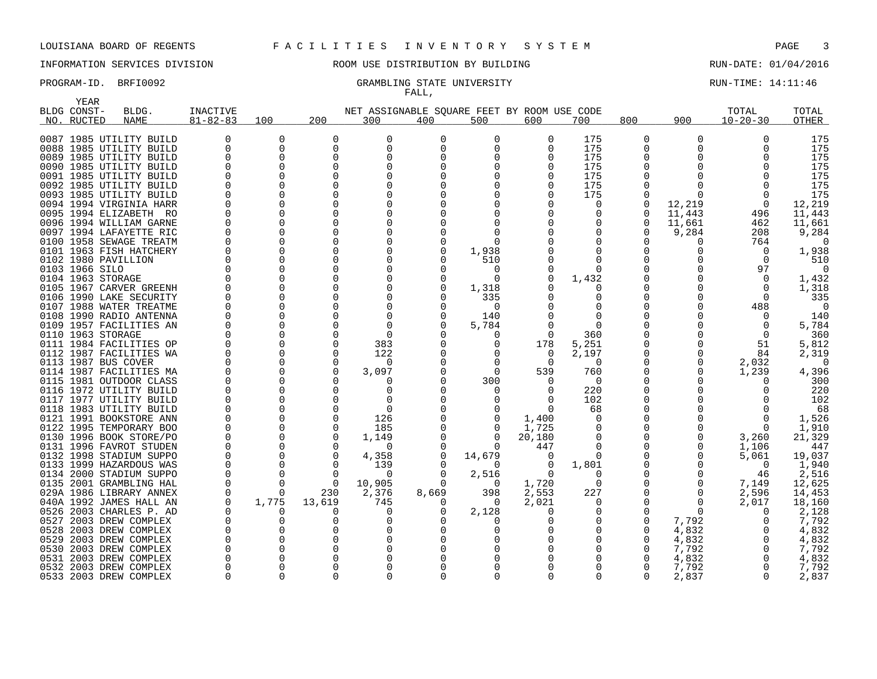YEAR

## INFORMATION SERVICES DIVISION ROOM USE DISTRIBUTION BY BUILDING RUN-DATE: 01/04/2016

# FALL,

PROGRAM-ID. BRFI0092 CRAMBLING STATE UNIVERSITY STATE UNIVERSITY RUN-TIME: 14:11:46

| BLDG CONST-    | BLDG.                   | <b>INACTIVE</b> |          |              | NET ASSIGNABLE SQUARE FEET BY ROOM USE CODE |          |          |          |              |          |          | TOTAL          | TOTAL  |
|----------------|-------------------------|-----------------|----------|--------------|---------------------------------------------|----------|----------|----------|--------------|----------|----------|----------------|--------|
| NO. RUCTED     | <b>NAME</b>             | $81 - 82 - 83$  | 100      | 200          | 300                                         | 400      | 500      | 600      | 700          | 800      | 900      | $10 - 20 - 30$ | OTHER  |
|                | 0087 1985 UTILITY BUILD |                 | 0        | 0            | 0                                           | 0        | 0        | $\Omega$ | 175          | 0        | O        | $\Omega$       | 175    |
|                | 0088 1985 UTILITY BUILD | $\Omega$        | $\Omega$ | 0            | 0                                           | $\Omega$ | 0        |          | 175          | 0        |          | $\Omega$       | 175    |
|                | 0089 1985 UTILITY BUILD |                 |          | $\Omega$     | $\Omega$                                    |          |          |          | 175          | 0        |          |                | 175    |
|                | 0090 1985 UTILITY BUILD |                 |          |              |                                             |          |          |          | 175          |          |          |                | 175    |
|                | 0091 1985 UTILITY BUILD |                 |          |              |                                             |          |          |          | 175          | 0        |          |                | 175    |
|                | 0092 1985 UTILITY BUILD |                 |          |              |                                             |          |          |          | 175          | O        |          |                | 175    |
|                | 0093 1985 UTILITY BUILD |                 |          |              |                                             |          |          |          | 175          | O        |          |                | 175    |
|                | 0094 1994 VIRGINIA HARR |                 |          |              |                                             |          |          |          | <sup>0</sup> | $\Omega$ | 12,219   |                | 12,219 |
|                | 0095 1994 ELIZABETH RO  |                 |          |              |                                             |          |          |          | 0            | 0        | 11,443   | 496            | 11,443 |
|                | 0096 1994 WILLIAM GARNE |                 |          |              | <sup>0</sup>                                |          |          |          |              | $\Omega$ | 11,661   | 462            | 11,661 |
|                | 0097 1994 LAFAYETTE RIC |                 |          | ∩            | $\Omega$                                    |          |          |          | 0            | O        | 9,284    | 208            | 9,284  |
|                | 0100 1958 SEWAGE TREATM |                 |          |              |                                             |          |          |          |              |          |          | 764            |        |
|                | 0101 1963 FISH HATCHERY |                 |          | $\Omega$     | $\Omega$                                    |          | 1,938    |          |              | 0        |          | $\Omega$       | 1,938  |
|                | 0102 1980 PAVILLION     |                 |          |              | $\Omega$                                    |          | 510      |          |              | O        |          |                | 510    |
| 0103 1966 SILO |                         |                 |          | <sup>0</sup> | $\Omega$                                    |          | 0        |          | 0            |          |          | 97             | 0      |
|                | 0104 1963 STORAGE       |                 |          |              |                                             |          | 0        |          | 1,432        | O        |          |                | 1,432  |
|                | 0105 1967 CARVER GREENH |                 |          | $\Omega$     | $\Omega$                                    |          | 1,318    |          |              | O        |          | $\Omega$       | 1,318  |
|                | 0106 1990 LAKE SECURITY |                 |          |              |                                             |          | 335      |          |              |          |          |                | 335    |
|                | 0107 1988 WATER TREATME |                 |          |              | $\Omega$                                    |          | $\Omega$ |          |              |          |          | 488            | -0     |
|                | 0108 1990 RADIO ANTENNA |                 |          |              | $\Omega$                                    |          | 140      |          | ∩            |          |          |                | 140    |
|                | 0109 1957 FACILITIES AN |                 |          |              | ∩                                           |          | 5,784    |          | $\Omega$     |          |          |                | 5,784  |
|                | 0110 1963 STORAGE       |                 |          |              | $\Omega$                                    |          | 0        |          | 360          |          |          | $\Omega$       | 360    |
|                | 0111 1984 FACILITIES OP |                 |          |              | 383                                         |          | 0        | 178      | 5,251        | 0        |          | 51             | 5,812  |
|                | 0112 1987 FACILITIES WA |                 |          | <sup>0</sup> | 122                                         |          |          | $\Omega$ | 2,197        | 0        |          | 84             | 2,319  |
|                | 0113 1987 BUS COVER     |                 |          | ∩            | 0                                           |          |          | ∩        | $\Omega$     | O        | O        | 2,032          |        |
|                | 0114 1987 FACILITIES MA |                 |          | ∩            | 3,097                                       |          | $\Omega$ | 539      | 760          | 0        |          | 1,239          | 4,396  |
|                | 0115 1981 OUTDOOR CLASS |                 |          |              |                                             |          | 300      |          | $\Omega$     |          |          |                | 300    |
|                | 0116 1972 UTILITY BUILD |                 |          | ∩            | <sup>0</sup>                                |          |          |          | 220          |          |          |                | 220    |
|                | 0117 1977 UTILITY BUILD |                 |          |              |                                             |          |          |          | 102          |          |          |                | 102    |
|                | 0118 1983 UTILITY BUILD |                 |          | $\Omega$     | $\Omega$                                    |          | 0        |          | 68           | 0        |          |                | 68     |
|                | 0121 1991 BOOKSTORE ANN |                 |          | $\Omega$     | 126                                         |          | 0        | 1,400    | $\Omega$     | 0        |          |                | 1,526  |
|                | 0122 1995 TEMPORARY BOO |                 |          | $\mathbf 0$  | 185                                         |          | 0        | 1,725    | 0            | 0        |          | $\Omega$       | 1,910  |
|                | 0130 1996 BOOK STORE/PO |                 |          | $\Omega$     | 1,149                                       |          | $\Omega$ | 20,180   | $\Omega$     | 0        | O        | 3,260          | 21,329 |
|                | 0131 1996 FAVROT STUDEN |                 |          | $\Omega$     | 0                                           |          | 0        | 447      | $\Omega$     | 0        | O        | 1,106          | 447    |
|                | 0132 1998 STADIUM SUPPO |                 |          | $\Omega$     | 4,358                                       |          | 14,679   |          | $\Omega$     | 0        |          | 5,061          | 19,037 |
|                | 0133 1999 HAZARDOUS WAS |                 |          | $\Omega$     | 139                                         |          | 0        |          | 1,801        |          |          | $\Omega$       | 1,940  |
|                | 0134 2000 STADIUM SUPPO |                 |          | $\Omega$     | 0                                           |          | 2,516    | $\Omega$ | $\Omega$     |          |          | 46             | 2,516  |
|                | 0135 2001 GRAMBLING HAL |                 |          | $\Omega$     | 10,905                                      |          | 0        | 1,720    | $\Omega$     | 0        | O        | 7,149          | 12,625 |
|                | 029A 1986 LIBRARY ANNEX |                 | $\Omega$ | 230          | 2,376                                       | 8,669    | 398      | 2,553    | 227          | 0        | O        | 2,596          | 14,453 |
|                | 040A 1992 JAMES HALL AN |                 | 1,775    | 13,619       | 745                                         |          | 0        | 2,021    | <sup>0</sup> | O        | O        | 2,017          | 18,160 |
|                | 0526 2003 CHARLES P. AD |                 |          |              |                                             |          | 2,128    |          |              | 0        | $\Omega$ |                | 2,128  |
|                | 0527 2003 DREW COMPLEX  |                 |          |              |                                             |          |          |          |              | $\Omega$ | 7,792    |                | 7,792  |
|                | 0528 2003 DREW COMPLEX  |                 |          |              |                                             |          |          |          |              | 0        | 4,832    |                | 4,832  |
|                | 0529 2003 DREW COMPLEX  |                 |          |              |                                             |          |          |          |              | $\Omega$ | 4,832    |                | 4,832  |
|                | 0530 2003 DREW COMPLEX  |                 |          |              |                                             |          |          |          |              | O        | 7,792    |                | 7,792  |
|                | 0531 2003 DREW COMPLEX  |                 |          |              |                                             |          |          |          |              | 0        | 4,832    |                | 4,832  |
|                | 0532 2003 DREW COMPLEX  |                 |          |              | <sup>n</sup>                                |          |          |          |              | O        | 7,792    |                | 7,792  |
|                | 0533 2003 DREW COMPLEX  |                 |          |              | $\cap$                                      |          |          |          |              | U        | 2,837    |                | 2,837  |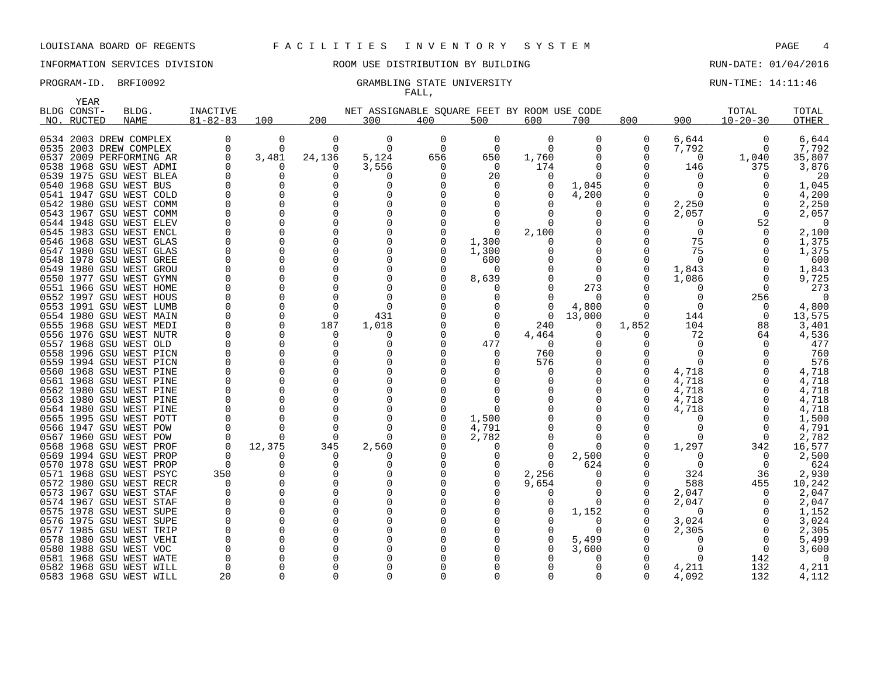## INFORMATION SERVICES DIVISION 88 ROOM USE DISTRIBUTION BY BUILDING 88 RUN-DATE: 01/04/2016

### PROGRAM-ID. BRFI0092 CRAMBLING STATE UNIVERSITY STATE UNIVERSITY RUN-TIME: 14:11:46 FALL,

| YEAR                                               |             |                 |              |                  |                                             |          |          |          |                 |          |                  |                |          |
|----------------------------------------------------|-------------|-----------------|--------------|------------------|---------------------------------------------|----------|----------|----------|-----------------|----------|------------------|----------------|----------|
| BLDG CONST-                                        | BLDG.       | <b>INACTIVE</b> |              |                  | NET ASSIGNABLE SQUARE FEET BY ROOM USE CODE |          |          |          |                 |          |                  | TOTAL          | TOTAL    |
| NO. RUCTED                                         | <b>NAME</b> | $81 - 82 - 83$  | 100          | 200              | 300                                         | 400      | 500      | 600      | 700             | 800      | 900              | $10 - 20 - 30$ | OTHER    |
|                                                    |             |                 |              |                  |                                             |          |          |          |                 |          |                  |                |          |
| 0534 2003 DREW COMPLEX                             |             | O               | $\Omega$     | 0                | O                                           | 0        | $\Omega$ | $\Omega$ | O               | 0        | 6,644            | $\Omega$       | 6,644    |
| 0535 2003 DREW COMPLEX                             |             |                 | <sup>0</sup> | $\Omega$         | $\Omega$                                    | $\Omega$ | $\Omega$ | $\Omega$ | O               | 0        | 7,792            |                | 7,792    |
| 0537 2009 PERFORMING AR                            |             | U               | 3,481        | 24,136           | 5,124                                       | 656      | 650      | 1,760    | ∩               | U        | $\Omega$         | 1,040          | 35,807   |
| 0538 1968 GSU WEST ADMI                            |             |                 |              | 0                | 3,556                                       | 0        | 0        | 174      | O               | 0        | 146              | 375            | 3,876    |
| 0539 1975 GSU WEST BLEA                            |             |                 |              | O                |                                             |          | 20       |          |                 |          |                  |                | 20       |
| 0540 1968 GSU WEST BUS                             |             |                 |              | O                | ∩                                           |          |          |          | 1,045           |          |                  |                | 1,045    |
| 0541 1947 GSU WEST COLD                            |             |                 |              | O                | O                                           |          |          |          | 4,200           |          |                  |                | 4,200    |
| 0542 1980 GSU WEST COMM                            |             |                 |              | 0                | O                                           |          |          |          | O               | O        | 2,250            |                | 2,250    |
| 0543 1967 GSU WEST COMM                            |             |                 |              |                  |                                             |          |          |          | O               | 0        | 2,057            | $\Omega$       | 2,057    |
| 0544 1948 GSU WEST ELEV                            |             |                 |              | ∩                |                                             |          |          |          |                 |          |                  | 52             | 0        |
| 0545 1983 GSU WEST ENCL                            |             |                 |              | O                | ∩                                           |          | $\Omega$ | 2,100    |                 |          | O                | $\Omega$       | 2,100    |
| 0546 1968 GSU WEST GLAS                            |             |                 |              | O                |                                             |          | 1,300    |          |                 | U        | 75               |                | 1,375    |
| 0547 1980 GSU WEST GLAS                            |             |                 |              | U                | ∩                                           |          | 1,300    |          |                 | Ω        | 75               |                | 1,375    |
| 0548 1978 GSU WEST GREE                            |             |                 |              |                  |                                             |          | 600      |          |                 |          |                  |                | 600      |
| 0549 1980 GSU WEST GROU                            |             |                 |              | O                | O                                           |          | $\Omega$ |          | O               | O        | 1,843            |                | 1,843    |
| 0550 1977 GSU WEST GYMN                            |             |                 |              |                  |                                             |          | 8,639    |          | $\Omega$        | O        | 1,086            |                | 9,725    |
| 0551 1966 GSU WEST HOME<br>0552 1997 GSU WEST HOUS |             |                 |              |                  |                                             |          |          |          | 273<br>$\Omega$ | Ω        | O                | 256            | 273<br>∩ |
| 0553 1991 GSU WEST LUMB                            |             |                 |              | n                | ∩                                           |          |          |          | 4,800           |          | O                |                | 4,800    |
| 0554 1980 GSU WEST MAIN                            |             |                 |              | 0                | 431                                         |          |          | $\Omega$ | 13,000          | 0        | 144              | $\Omega$       | 13,575   |
| 0555 1968 GSU WEST MEDI                            |             |                 |              | 187              | 1,018                                       |          |          | 240      | O               | 1,852    | 104              | 88             | 3,401    |
| 0556 1976 GSU WEST NUTR                            |             |                 |              | O                | O                                           |          | $\Omega$ | 4,464    | $\Omega$        | $\Omega$ | 72               | 64             | 4,536    |
| 0557 1968 GSU WEST OLD                             |             |                 |              | O                | O                                           |          | 477      | $\Omega$ | ∩               |          |                  |                | 477      |
| 0558 1996 GSU WEST PICN                            |             |                 |              | O                | O                                           |          |          | 760      | ∩               |          | O                |                | 760      |
| 0559 1994 GSU WEST PICN                            |             |                 |              |                  |                                             |          |          | 576      |                 | 0        |                  |                | 576      |
| 0560 1968 GSU WEST PINE                            |             |                 |              | ∩                |                                             |          |          |          |                 |          | 4,718            |                | 4,718    |
| 0561 1968 GSU WEST PINE                            |             |                 |              |                  |                                             |          |          |          |                 | 0        | 4,718            |                | 4,718    |
| 0562 1980 GSU WEST PINE                            |             |                 |              |                  |                                             |          |          |          |                 | O        | 4,718            |                | 4,718    |
| 0563 1980 GSU WEST PINE                            |             |                 |              |                  |                                             |          |          |          |                 | 0        | 4,718            |                | 4,718    |
| 0564 1980 GSU WEST PINE                            |             |                 |              |                  |                                             |          |          |          |                 | O        | 4,718            |                | 4,718    |
| 0565 1995 GSU WEST POTT                            |             |                 |              | O                | $\Omega$                                    |          | 1,500    |          | ∩               |          |                  |                | 1,500    |
| 0566 1947 GSU WEST POW                             |             |                 |              | n                | ∩                                           |          | 4,791    |          | O               |          |                  |                | 4.791    |
| 0567 1960 GSU WEST POW                             |             |                 |              | $\Omega$         | ∩                                           |          | 2,782    |          | O               | 0        | O                |                | 2,782    |
| 0568 1968 GSU WEST PROF                            |             |                 | 12,375       | 345              | 2,560                                       |          |          |          | n               | 0        | 1,297            | 342            | 16,577   |
| 0569 1994 GSU WEST PROP                            |             |                 |              | $\left( \right)$ |                                             |          |          |          | 2,500           |          | $\left( \right)$ |                | 2,500    |
| 0570 1978 GSU WEST PROP                            |             | n               |              | O                |                                             |          |          |          | 624             |          | O                |                | 624      |
| 0571 1968 GSU WEST PSYC                            |             | 350             |              |                  |                                             |          | $\Omega$ | 2,256    |                 | O        | 324              | 36             | 2,930    |
| 0572 1980 GSU WEST RECR                            |             |                 |              |                  |                                             |          |          | 9,654    | O               | O        | 588              | 455            | 10,242   |
| 0573 1967 GSU WEST STAF                            |             |                 |              |                  |                                             |          |          |          |                 |          | 2,047            |                | 2,047    |
| 0574 1967 GSU WEST STAF                            |             |                 |              | O                | O                                           |          |          |          | $\Omega$        |          | 2,047            |                | 2,047    |
| 0575 1978 GSU WEST SUPE                            |             |                 |              |                  |                                             |          |          |          | 1,152           |          | $\Omega$         |                | 1,152    |
| 0576 1975 GSU WEST SUPE                            |             |                 |              |                  |                                             |          |          |          | O               | O        | 3,024            |                | 3,024    |
| 0577 1985 GSU WEST TRIP                            |             |                 |              | O                |                                             |          |          |          | 0               |          | 2,305            |                | 2,305    |
| 0578 1980 GSU WEST VEHI                            |             |                 |              |                  |                                             |          |          |          | 5,499           |          |                  |                | 5,499    |
| 0580 1988 GSU WEST VOC                             |             |                 |              |                  |                                             |          |          |          | 3,600           |          |                  | $\Omega$       | 3,600    |
| 0581 1968 GSU WEST WATE                            |             |                 |              |                  |                                             |          |          |          |                 |          |                  | 142            |          |
| 0582 1968 GSU WEST WILL                            |             |                 |              |                  |                                             |          |          |          | O               | O        | 4,211            | 132            | 4,211    |
| 0583 1968 GSU WEST WILL                            |             | 20              |              |                  |                                             |          |          |          | ∩               | U        | 4,092            | 132            | 4,112    |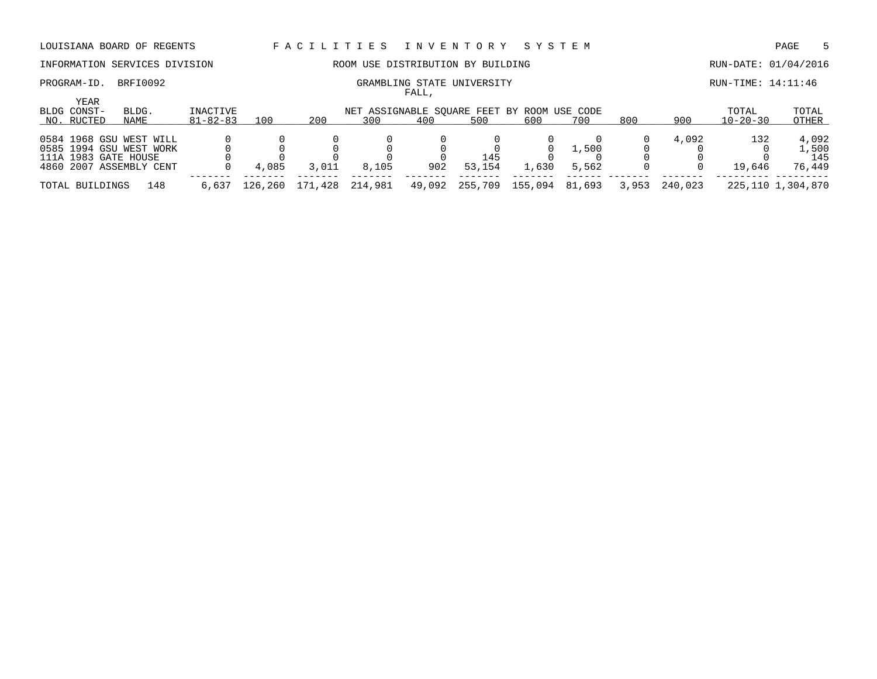# INFORMATION SERVICES DIVISION **ROOM USE DISTRIBUTION BY BUILDING RUN-DATE:** 01/04/2016

YEAR

| PROGRAM-ID. | BRFI0092 | GRAMBLING STATE UNIVERSITY | RUN-TIME: 14:11:46 |
|-------------|----------|----------------------------|--------------------|
|             |          | FALL                       |                    |

| YEAR<br>BLDG CONST-  | BLDG.                   | INACTIVE       |         |                 |       |        |         | NET ASSIGNABLE SOUARE FEET BY ROOM USE CODE |        |       |         | TOTAL          | TOTAL             |
|----------------------|-------------------------|----------------|---------|-----------------|-------|--------|---------|---------------------------------------------|--------|-------|---------|----------------|-------------------|
| NO. RUCTED           | NAME                    | $81 - 82 - 83$ | 100     | 200             | 300   | 400    | 500     | 600                                         | 700    | 800   | 900     | $10 - 20 - 30$ | OTHER             |
|                      |                         |                |         |                 |       |        |         |                                             |        |       |         |                |                   |
|                      | 0584 1968 GSU WEST WILL |                |         |                 |       |        |         |                                             |        |       | 4,092   | 132            | 4,092             |
|                      | 0585 1994 GSU WEST WORK |                |         |                 |       |        |         |                                             | 1,500  |       |         |                | 1,500             |
| 111A 1983 GATE HOUSE |                         |                |         |                 |       |        | 145     |                                             |        |       |         |                | 145               |
|                      | 4860 2007 ASSEMBLY CENT |                | 4,085   | 3,011           | 8,105 | 902    | 53,154  | l.630                                       | 5,562  |       |         | 19,646         | 76,449            |
|                      |                         |                |         |                 |       |        |         |                                             |        |       |         |                |                   |
| TOTAL BUILDINGS      | 148                     | 6,637          | 126.260 | 171,428 214,981 |       | 49,092 | 255,709 | 155,094                                     | 81,693 | 3,953 | 240,023 |                | 225,110 1,304,870 |
|                      |                         |                |         |                 |       |        |         |                                             |        |       |         |                |                   |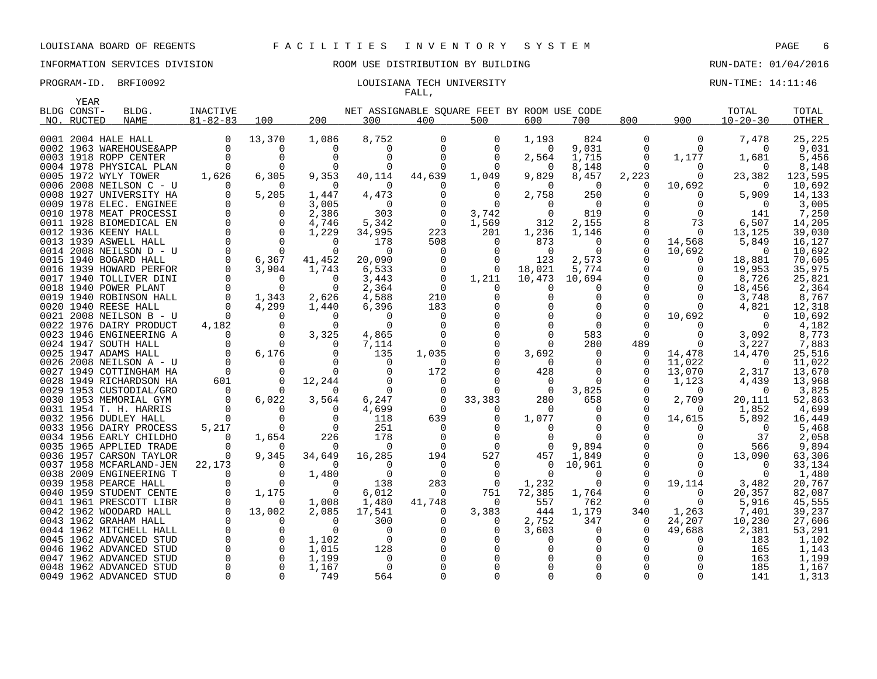### INFORMATION SERVICES DIVISION ROOM USE DISTRIBUTION BY BUILDING RUN-DATE: 01/04/2016

### PROGRAM-ID. BRFI0092 **EXAM-ID.** BRFI0092 **LOUISIANA TECH UNIVERSITY RUN-TIME: 14:11:46** FALL,

| YEAR        |                                                 |                |                   |                   |                                             |              |                      |                   |                |               |                      |                   |                  |
|-------------|-------------------------------------------------|----------------|-------------------|-------------------|---------------------------------------------|--------------|----------------------|-------------------|----------------|---------------|----------------------|-------------------|------------------|
| BLDG CONST- | BLDG.                                           | INACTIVE       |                   |                   | NET ASSIGNABLE SOUARE FEET BY ROOM USE CODE |              |                      |                   |                |               |                      | TOTAL             | TOTAL            |
| NO. RUCTED  | <b>NAME</b>                                     | $81 - 82 - 83$ | 100               | 200               | 300                                         | 400          | 500                  | 600               | 700            | 800           | 900                  | $10 - 20 - 30$    | OTHER            |
|             |                                                 |                |                   |                   |                                             |              |                      |                   |                |               |                      |                   |                  |
|             | 0001 2004 HALE HALL                             | $\mathbf 0$    | 13,370            | 1,086             | 8,752                                       | 0            | 0                    | 1,193             | 824            | 0             | 0                    | 7,478             | 25,225           |
|             | 0002 1963 WAREHOUSE&APP                         | $\Omega$       | 0                 | <sup>0</sup>      | 0<br>$\Omega$                               | 0            | $\Omega$             | $\Omega$          | 9,031          | 0<br>$\Omega$ | $\Omega$             | $\Omega$          | 9,031            |
|             | 0003 1918 ROPP CENTER                           |                | 0                 | $\Omega$          |                                             |              | $\Omega$             | 2,564             | 1,715          |               | 1,177                | 1,681             | 5,456            |
|             | 0004 1978 PHYSICAL PLAN                         |                | $\Omega$          |                   | $\Omega$                                    | <sup>0</sup> |                      | $\Omega$          | 8,148          | $\Omega$      | $\Omega$             |                   | 8,148            |
|             | 0005 1972 WYLY TOWER                            | 1,626          | 6,305             | 9,353<br>$\Omega$ | 40,114                                      | 44,639       | 1,049                | 9,829             | 8,457          | 2,223         | $\Omega$             | 23,382            | 123,595          |
|             | 0006 2008 NEILSON C - U                         |                | 0                 |                   | $\Omega$                                    |              | $\Omega$             | $\Omega$          | $\overline{0}$ | $\Omega$      | 10,692               | $\Omega$          | 10,692           |
|             | 0008 1927 UNIVERSITY HA                         | $\Omega$       | 5,205<br>$\Omega$ | 1,447             | 4,473                                       |              | $\Omega$<br>$\Omega$ | 2,758<br>$\Omega$ | 250            | O             | $\Omega$<br>$\Omega$ | 5,909<br>$\Omega$ | 14,133           |
|             | 0009 1978 ELEC. ENGINEE                         |                |                   | 3,005             | 0                                           |              |                      |                   | $\overline{0}$ |               |                      |                   | 3,005            |
|             | 0010 1978 MEAT PROCESSI                         | $\Omega$       | $\Omega$          | 2,386             | 303                                         | $\Omega$     | 3,742                | $\Omega$          | 819            |               | $\Omega$             | 141               | 7,250            |
|             | 0011 1928 BIOMEDICAL EN<br>0012 1936 KEENY HALL |                | 0<br>$\Omega$     | 4,746<br>1,229    | 5,342<br>34,995                             | 0<br>223     | 1,569<br>201         | 312<br>1,236      | 2,155<br>1,146 | O             | 73<br>$\Omega$       | 6,507<br>13,125   | 14,205<br>39,030 |
|             | 0013 1939 ASWELL HALL                           |                | $\Omega$          | $\Omega$          | 178                                         | 508          | $\Omega$             | 873               | $\Omega$       | $\Omega$      |                      | 5,849             | 16,127           |
|             | 0014 2008 NEILSON D - U                         | $\Omega$       | $\Omega$          | $\Omega$          | $\Omega$                                    | $\Omega$     | $\Omega$             | $\Omega$          | $\Omega$       | $\Omega$      | 14,568<br>10,692     | $\Omega$          | 10,692           |
|             | 0015 1940 BOGARD HALL                           |                | 6,367             |                   | 20,090                                      |              | $\Omega$             |                   |                | $\Omega$      |                      | 18,881            | 70,605           |
|             | 0016 1939 HOWARD PERFOR                         | $\Omega$       | 3,904             | 41,452            | 6,533                                       | $\Omega$     | 0                    | 123<br>18,021     | 2,573<br>5,774 | ∩             | $\Omega$<br>$\Omega$ | 19,953            | 35,975           |
|             | 0017 1940 TOLLIVER DINI                         |                | $\Omega$          | 1,743<br>$\Omega$ | 3,443                                       | 0            | 1,211                | 10,473            | 10,694         | $\Omega$      | 0                    | 8,726             | 25,821           |
|             | 0018 1940 POWER PLANT                           |                | $\Omega$          | $\Omega$          | 2,364                                       | $\Omega$     | $\Omega$             | O                 | 0              |               | $\Omega$             | 18,456            | 2,364            |
|             | 0019 1940 ROBINSON HALL                         |                | 1,343             | 2,626             | 4,588                                       | 210          | 0                    |                   | 0              | $\Omega$      | $\Omega$             | 3,748             | 8,767            |
|             | 0020 1940 REESE HALL                            |                | 4,299             | 1,440             | 6,396                                       | 183          |                      |                   | $\Omega$       |               | $\Omega$             | 4,821             | 12,318           |
|             | 0021 2008 NEILSON B - U                         | $\Omega$       | 0                 | $\Omega$          | 0                                           | $\Omega$     |                      |                   | $\Omega$       | $\Omega$      | 10,692               | $\Omega$          | 10,692           |
|             | 0022 1976 DAIRY PRODUCT                         | 4,182          | $\Omega$          | U                 | $\Omega$                                    |              |                      |                   | $\Omega$       |               |                      | $\Omega$          | 4,182            |
|             | 0023 1946 ENGINEERING A                         | $\Omega$       | $\Omega$          | 3,325             | 4,865                                       |              |                      |                   | 583            | $\Omega$      | 0                    | 3,092             | 8,773            |
|             | 0024 1947 SOUTH HALL                            |                | $\Omega$          |                   | 7,114                                       | 0            | 0                    | 0                 | 280            | 489           | $\Omega$             | 3,227             | 7,883            |
|             | 0025 1947 ADAMS HALL                            | $\Omega$       | 6,176             | $\Omega$          | 135                                         | 1,035        | $\Omega$             | 3,692             | $\Omega$       | $\Omega$      | 14,478               | 14,470            | 25,516           |
|             | 0026 2008 NEILSON A - U                         |                | 0                 |                   | $\Omega$                                    | 0            |                      | $\Omega$          | 0              | 0             | 11,022               | $\Omega$          | 11,022           |
|             | 0027 1949 COTTINGHAM HA                         | $\Omega$       | $\Omega$          | $\Omega$          | $\Omega$                                    | 172          |                      | 428               | $\Omega$       | 0             | 13,070               | 2,317             | 13,670           |
|             | 0028 1949 RICHARDSON HA                         | 601            | 0                 | 12,244            | $\Omega$                                    | $\Omega$     |                      | 0                 | $\Omega$       |               | 1,123                | 4,439             | 13,968           |
|             | 0029 1953 CUSTODIAL/GRO                         | $\Omega$       | n                 | <sup>n</sup>      | $\Omega$                                    |              |                      | $\Omega$          | 3,825          | U             | $\Omega$             | $\Omega$          | 3,825            |
|             | 0030 1953 MEMORIAL GYM                          | $\Omega$       | 6,022             | 3,564             | 6,247                                       | $\mathbf 0$  | 33,383               | 280               | 658            | $\Omega$      | 2,709                | 20,111            | 52,863           |
|             | 0031 1954 T. H. HARRIS                          | $\Omega$       | $\Omega$          |                   | 4,699                                       | $\Omega$     |                      | $\Omega$          | $\Omega$       | ∩             | O                    | 1,852             | 4,699            |
|             | 0032 1956 DUDLEY HALL                           | $\Omega$       | 0                 | $\Omega$          | 118                                         | 639          | 0                    | 1,077             | 0              | $\Omega$      | 14,615               | 5,892             | 16,449           |
|             | 0033 1956 DAIRY PROCESS                         | 5,217          | 0                 | $\Omega$          | 251                                         | 0            | $\Omega$             | $\Omega$          | $\Omega$       |               |                      | $\Omega$          | 5,468            |
|             | 0034 1956 EARLY CHILDHO                         | $\Omega$       | 1,654             | 226               | 178                                         |              | $\Omega$             | O                 | $\Omega$       |               | 0                    | 37                | 2,058            |
|             | 0035 1965 APPLIED TRADE                         |                | $\Omega$          | $\Omega$          | $\Omega$                                    | $\Omega$     | $\Omega$             | $\Omega$          | 9,894          |               |                      | 566               | 9,894            |
|             | 0036 1957 CARSON TAYLOR                         |                | 9,345             | 34,649            | 16,285                                      | 194          | 527                  | 457               | 1,849          |               | 0                    | 13,090            | 63,306           |
|             | 0037 1958 MCFARLAND-JEN                         | 22,173         | $\Omega$          | $\Omega$          | 0                                           | $\Omega$     | 0                    | 0                 | 10,961         | $\Omega$      |                      | $\Omega$          | 33,134           |
|             | 0038 2009 ENGINEERING T                         |                | $\Omega$          | 1,480             | $\Omega$                                    | $\Omega$     | $\Omega$             | $\Omega$          | $\Omega$       | $\Omega$      |                      |                   | 1,480            |
|             | 0039 1958 PEARCE HALL                           |                | $\Omega$          | $\Omega$          | 138                                         | 283          | 0                    | 1,232             | 0              | $\Omega$      | 19,114               | 3,482             | 20,767           |
|             | 0040 1959 STUDENT CENTE                         |                | 1,175             | $\Omega$          | 6,012                                       | 0            | 751                  | 72,385            | 1,764          | O             | $\Omega$             | 20,357            | 82,087           |
|             | 0041 1961 PRESCOTT LIBR                         |                | $\Omega$          | 1,008             | 1,480                                       | 41,748       | $\Omega$             | 557               | 762            | $\Omega$      | $\Omega$             | 5,916             | 45,555           |
|             | 0042 1962 WOODARD HALL                          |                | 13,002            | 2,085             | 17,541                                      | 0            | 3,383                | 444               | 1,179          | 340           | 1,263                | 7,401             | 39,237           |
|             | 0043 1962 GRAHAM HALL                           |                | $\Omega$          | $\Omega$          | 300                                         |              | 0                    | 2,752             | 347            | 0             | 24,207               | 10,230            | 27,606           |
|             | 0044 1962 MITCHELL HALL                         |                | 0                 | $\Omega$          | 0                                           |              | 0                    | 3,603             | 0              | 0             | 49,688               | 2,381             | 53,291           |
|             | 0045 1962 ADVANCED STUD                         |                | 0                 | 1,102             | $\Omega$                                    |              |                      |                   | 0              |               |                      | 183               | 1,102            |
|             | 0046 1962 ADVANCED STUD                         |                | $\Omega$          | 1,015             | 128                                         |              |                      |                   | $\Omega$       | O             |                      | 165               | 1,143            |
|             | 0047 1962 ADVANCED STUD                         |                | 0                 | 1,199             | 0                                           |              |                      |                   | $\Omega$       | $\Omega$      |                      | 163               | 1,199            |
|             | 0048 1962 ADVANCED STUD                         |                | $\Omega$          | 1,167             | 0                                           |              |                      |                   | O              |               |                      | 185               | 1,167            |
|             | 0049 1962 ADVANCED STUD                         | $\Omega$       | $\Omega$          | 749               | 564                                         |              |                      |                   | $\Omega$       | $\Omega$      | $\Omega$             | 141               | 1,313            |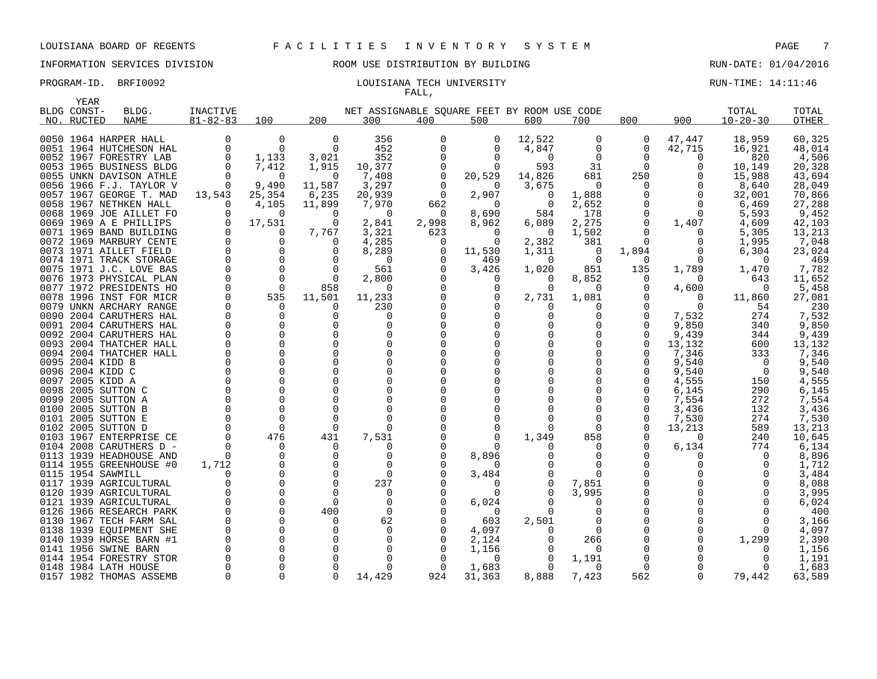### INFORMATION SERVICES DIVISION ROOM USE DISTRIBUTION BY BUILDING RUN-DATE: 01/04/2016

### PROGRAM-ID. BRFI0092 COULSIANA TECH UNIVERSITY COULSIANA TECH UNIVERSITY FALL,

|      | YEAR        |                                                   |                 |                      |                      |                                             |              |                   |                   |                |               |              |                |                  |
|------|-------------|---------------------------------------------------|-----------------|----------------------|----------------------|---------------------------------------------|--------------|-------------------|-------------------|----------------|---------------|--------------|----------------|------------------|
|      | BLDG CONST- | BLDG.                                             | <b>INACTIVE</b> |                      |                      | NET ASSIGNABLE SOUARE FEET BY ROOM USE CODE |              |                   |                   |                |               |              | TOTAL          | TOTAL            |
|      | NO. RUCTED  | NAME                                              | $81 - 82 - 83$  | 100                  | 200                  | 300                                         | 400          | 500               | 600               | 700            | 800           | 900          | $10 - 20 - 30$ | <b>OTHER</b>     |
|      |             |                                                   |                 |                      |                      |                                             |              |                   |                   |                |               |              |                |                  |
|      |             | 0050 1964 HARPER HALL                             | 0               | 0                    | 0                    | 356                                         | 0            | 0                 | 12,522            | 0              | 0             | 47,447       | 18,959         | 60,325           |
|      |             | 0051 1964 HUTCHESON HAL                           | $\Omega$        | $\Omega$             | $\Omega$             | 452                                         |              | 0                 | 4,847             | 0              | 0             | 42,715       | 16,921         | 48,014           |
|      |             | 0052 1967 FORESTRY LAB                            |                 | 1,133                | 3,021                | 352                                         |              | $\Omega$          | $\Omega$          | $\Omega$       | 0             | 0            | 820            | 4,506            |
|      |             | 0053 1965 BUSINESS BLDG                           |                 | 7,412                | 1,915                | 10,377                                      |              | ∩                 | 593               | 31             | $\Omega$      | <sup>0</sup> | 10,149         | 20,328           |
|      |             | 0055 UNKN DAVISON ATHLE                           |                 | 0                    | 0                    | 7,408                                       |              | 20,529            | 14,826            | 681            | 250           | 0            | 15,988         | 43,694           |
|      |             | 0056 1966 F.J. TAYLOR V                           | $\Omega$        | 9,490                | 11,587               | 3,297                                       | $\Omega$     | $\Omega$          | 3,675             | 0              | $\Omega$      | $\Omega$     | 8,640          | 28,049           |
|      |             | 0057 1967 GEORGE T. MAD                           | 13,543          | 25,354               | 6,235                | 20,939                                      | $\Omega$     | 2,907             | $\Omega$          | 1,888          | 0             | $\Omega$     | 32,001         | 70,866           |
|      |             | 0058 1967 NETHKEN HALL                            | $\Omega$        | 4,105                | 11,899               | 7,970                                       | 662          | $\Omega$          | 0                 | 2,652          | O             | 0            | 6,469          | 27,288           |
|      |             | 0068 1969 JOE AILLET FO                           |                 | $\Omega$             | $\Omega$<br>$\Omega$ | $\Omega$                                    | $\Omega$     | 8,690             | 584               | 178            | $\Omega$<br>0 | $\Omega$     | 5,593          | 9,452            |
|      |             | 0069 1969 A E PHILLIPS<br>0071 1969 BAND BUILDING |                 | 17,531<br>0          | 7,767                | 2,841<br>3,321                              | 2,998<br>623 | 8,962<br>$\Omega$ | 6,089<br>$\Omega$ | 2,275<br>1,502 | 0             | 1,407<br>0   | 4,609<br>5,305 | 42,103<br>13,213 |
|      |             |                                                   |                 | 0                    | $\Omega$             | 4,285                                       | $\Omega$     | $\Omega$          | 2,382             |                | $\Omega$      | 0            | 1,995          | 7,048            |
|      |             | 0072 1969 MARBURY CENTE                           |                 | 0                    | U                    | 8,289                                       |              | 11,530            |                   | 381<br>0       |               | 0            | 6,304          | 23,024           |
|      |             | 0073 1971 AILLET FIELD<br>0074 1971 TRACK STORAGE |                 | $\Omega$             |                      | $\Omega$                                    | 0            |                   | 1,311<br>$\Omega$ | $\Omega$       | 1,894<br>0    | O            | $\Omega$       | 469              |
| 0075 |             | 1971 J.C. LOVE BAS                                |                 | $\Omega$             | $\Omega$             | 561                                         |              | 469<br>3,426      | 1,020             | 851            | 135           | 1,789        | 1,470          | 7,782            |
|      |             | 0076 1973 PHYSICAL PLAN                           |                 | 0                    | $\Omega$             | 2,800                                       |              | 0                 | 0                 | 8,852          | 0             | 0            | 643            | 11,652           |
| 0077 |             | 1972 PRESIDENTS HO                                |                 | $\Omega$             | 858                  | $\Omega$                                    |              | O                 | $\Omega$          | 0              | 0             | 4,600        | $\Omega$       | 5,458            |
|      |             | 0078 1996 INST FOR MICR                           |                 | 535                  | 11,501               | 11,233                                      |              |                   | 2,731             | 1,081          | O             | $\Omega$     | 11,860         | 27,081           |
|      |             | 0079 UNKN ARCHARY RANGE                           |                 | $\Omega$             | $\Omega$             | 230                                         |              |                   | 0                 | O              | $\Omega$      | $\Omega$     | 54             | 230              |
| 0090 |             | 2004 CARUTHERS HAL                                |                 | 0                    | $\Omega$             | 0                                           |              |                   |                   | O              | 0             | 7,532        | 274            | 7,532            |
|      |             | 0091 2004 CARUTHERS HAL                           |                 | $\Omega$             | <sup>n</sup>         | $\Omega$                                    |              |                   |                   |                | $\Omega$      | 9,850        | 340            | 9,850            |
|      |             | 0092 2004 CARUTHERS HAL                           |                 | $\mathbf 0$          | $\Omega$             |                                             |              |                   |                   | 0              | $\Omega$      | 9,439        | 344            | 9,439            |
|      |             | 0093 2004 THATCHER HALL                           |                 | $\Omega$             | <sup>n</sup>         | $\Omega$                                    |              |                   |                   | $\Omega$       | $\Omega$      | 13,132       | 600            | 13,132           |
| 0094 |             | 2004 THATCHER HALL                                |                 | $\Omega$             | $\Omega$             | $\Omega$                                    |              |                   |                   | O              | <sup>0</sup>  | 7,346        | 333            | 7,346            |
|      |             | 0095 2004 KIDD B                                  |                 | 0                    |                      |                                             |              |                   |                   |                | 0             | 9,540        | $\Omega$       | 9,540            |
|      |             | 0096 2004 KIDD C                                  |                 | $\Omega$             | <sup>n</sup>         |                                             |              |                   |                   | O              | <sup>0</sup>  | 9,540        | $\Omega$       | 9,540            |
| 0097 |             | 2005 KIDD A                                       |                 | 0                    |                      |                                             |              |                   |                   | $\Omega$       | 0             | 4,555        | 150            | 4,555            |
|      |             | 0098 2005 SUTTON C                                |                 | 0                    |                      |                                             |              |                   |                   |                | 0             | 6,145        | 290            | 6,145            |
| 0099 |             | 2005 SUTTON A                                     |                 | $\Omega$             |                      |                                             |              |                   |                   |                | 0             | 7,554        | 272            | 7,554            |
|      |             | 0100 2005 SUTTON B                                |                 | $\Omega$             |                      | ∩                                           |              |                   |                   | ∩              | 0             | 3,436        | 132            | 3,436            |
| 0101 |             | 2005 SUTTON E                                     |                 | 0                    | $\Omega$             | $\Omega$                                    |              |                   |                   | $\Omega$       | 0             | 7,530        | 274            | 7,530            |
|      |             | 0102 2005 SUTTON D                                |                 | $\Omega$             | $\Omega$             | ∩                                           |              | O                 |                   | 0              | 0             | 13,213       | 589            | 13,213           |
|      |             | 0103 1967 ENTERPRISE CE                           |                 | 476                  | 431                  | 7,531                                       |              |                   | 1,349             | 858            | 0             | $\Omega$     | 240            | 10,645           |
|      |             | 0104 2008 CARUTHERS D -                           |                 | $\Omega$             | $\Omega$             | $\Omega$                                    |              |                   |                   | 0              | 0             | 6,134        | 774            | 6,134            |
|      |             | 0113 1939 HEADHOUSE AND                           |                 | 0                    | 0                    | 0                                           |              | 8,896             |                   | 0              | O             | 0            | $\Omega$       | 8,896            |
|      |             | 0114 1955 GREENHOUSE #0                           | 1,712           | $\mathbf 0$          | $\Omega$             | $\Omega$                                    |              | n                 |                   | $\Omega$       | O             | O            | 0              | 1,712            |
|      |             | 0115 1954 SAWMILL                                 |                 | $\Omega$             | $\Omega$             | $\Omega$                                    |              | 3,484             |                   |                | O             |              |                | 3,484            |
| 0117 |             | 1939 AGRICULTURAL                                 |                 | 0                    | $\Omega$             | 237                                         |              | 0                 |                   | 7,851          | 0             |              | O              | 8,088            |
|      |             | 0120 1939 AGRICULTURAL                            |                 | $\Omega$             | $\Omega$             | $\Omega$                                    |              | 0                 | O                 | 3,995          | 0             |              |                | 3,995            |
| 0121 |             | 1939 AGRICULTURAL                                 |                 | $\mathbf 0$          | $\Omega$             | 0                                           |              | 6,024             |                   | 0              | 0             |              |                | 6,024            |
|      |             | 0126 1966 RESEARCH PARK                           |                 | $\Omega$             | 400                  | $\Omega$                                    |              | $\Omega$          | 0                 | 0              | 0             |              |                | 400              |
|      |             | 0130 1967 TECH FARM SAL                           |                 | $\Omega$             | $\Omega$             | 62                                          |              | 603               | 2,501             | $\Omega$       | 0             |              |                | 3,166            |
|      |             | 0138 1939 EQUIPMENT SHE                           |                 | 0                    | $\Omega$             | 0                                           |              | 4,097             |                   | $\Omega$       | 0             |              | 0              | 4,097            |
|      |             | 0140 1939 HORSE BARN #1                           |                 | $\Omega$             | $\Omega$             |                                             |              | 2,124             |                   | 266            | 0             |              | 1,299          | 2,390            |
| 0141 |             | 1956 SWINE BARN                                   |                 | $\Omega$             | $\Omega$             | $\Omega$                                    |              | 1,156             |                   | 0              | O             |              | $\Omega$       | 1,156            |
|      |             | 0144 1954 FORESTRY STOR                           |                 | $\Omega$             |                      | ∩                                           |              | O                 | $\Omega$          | 1,191          | 0             |              | O              | 1,191            |
|      |             | 0148 1984 LATH HOUSE                              | $\Omega$        | $\Omega$<br>$\Omega$ | $\Omega$             |                                             |              | 1,683             |                   | $\Omega$       | $\Omega$      | $\Omega$     | O              | 1,683            |
|      |             | 0157 1982 THOMAS ASSEMB                           |                 |                      |                      | 14,429                                      | 924          | 31,363            | 8,888             | 7,423          | 562           |              | 79,442         | 63,589           |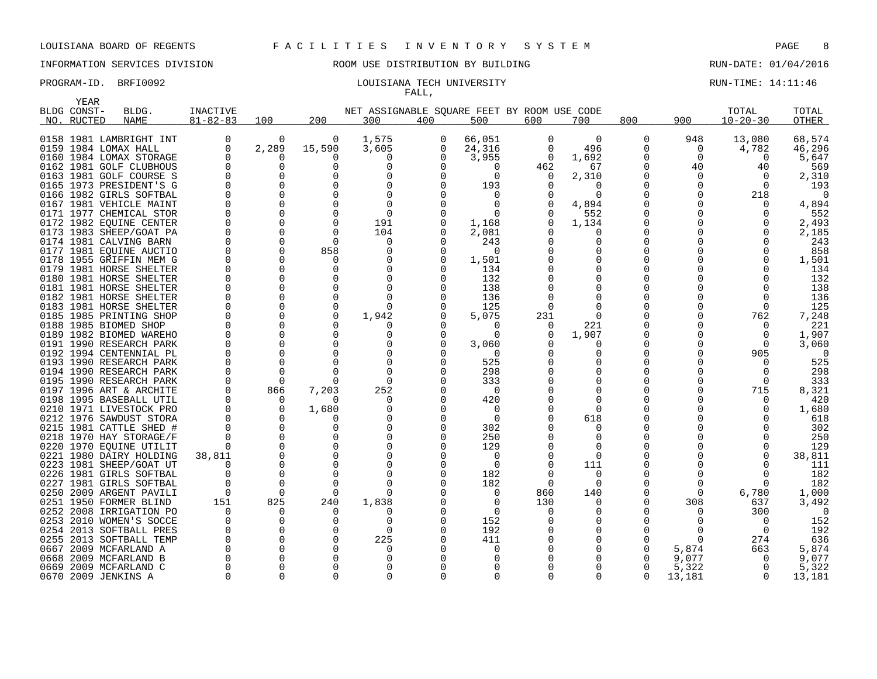## INFORMATION SERVICES DIVISION ROOM USE DISTRIBUTION BY BUILDING RUN-DATE: 01/04/2016

### PROGRAM-ID. BRFI0092 **EXAM-ID.** BRFI0092 **RUN-TIME: 14:11:46** LOUISIANA TECH UNIVERSITY FALL,

|      | YEAR        |                                                    |                |                      |                    |                                             |          |                   |               |                |          |               |                   |              |
|------|-------------|----------------------------------------------------|----------------|----------------------|--------------------|---------------------------------------------|----------|-------------------|---------------|----------------|----------|---------------|-------------------|--------------|
|      | BLDG CONST- | BLDG.                                              | INACTIVE       |                      |                    | NET ASSIGNABLE SOUARE FEET BY ROOM USE CODE |          |                   |               |                |          |               | TOTAL             | TOTAL        |
|      | NO. RUCTED  | <b>NAME</b>                                        | $81 - 82 - 83$ | 100                  | 200                | 300                                         | 400      | 500               | 600           | 700            | 800      | 900           | $10 - 20 - 30$    | <b>OTHER</b> |
|      |             |                                                    |                |                      |                    |                                             |          |                   |               |                |          |               |                   |              |
|      |             | 0158 1981 LAMBRIGHT INT                            | 0              | 0                    | 0                  | 1,575                                       | 0        | 66,051            | $\mathbf 0$   | $\overline{0}$ | 0        | 948           | 13,080            | 68,574       |
|      |             | 0159 1984 LOMAX HALL                               | $\Omega$       | 2,289<br>O           | 15,590<br>$\Omega$ | 3,605<br>$\Omega$                           | 0<br>0   | 24,316            | 0<br>$\Omega$ | 496<br>1,692   | 0<br>0   | 0<br>$\Omega$ | 4,782<br>$\Omega$ | 46,296       |
|      |             | 0160 1984 LOMAX STORAGE<br>0162 1981 GOLF CLUBHOUS |                | $\Omega$             | $\Omega$           | $\Omega$                                    |          | 3,955<br>$\Omega$ |               | 67             | 0        | 40            |                   | 5,647        |
|      |             | 0163 1981 GOLF COURSE S                            |                | $\Omega$             | O                  |                                             | ∩        | $\Omega$          | 462<br>O      | 2,310          | 0        | 0             | 40<br>$\Omega$    | 569<br>2,310 |
|      |             | 0165 1973 PRESIDENT'S G                            |                | $\Omega$             | U                  |                                             | ∩        | 193               |               | $\Omega$       | O        |               | $\Omega$          | 193          |
|      |             | 0166 1982 GIRLS SOFTBAL                            |                | $\Omega$             |                    |                                             |          |                   |               | <sup>0</sup>   | $\Omega$ |               | 218               | $\Omega$     |
|      |             | 0167 1981 VEHICLE MAINT                            |                | $\Omega$             | $\Omega$           | $\Omega$                                    | $\cap$   | $\Omega$          |               | 4,894          | O        |               | $\Omega$          | 4,894        |
|      |             | 0171 1977 CHEMICAL STOR                            |                | $\Omega$             | <sup>0</sup>       | $\Omega$                                    |          | $\Omega$          |               | 552            | 0        |               |                   | 552          |
|      |             | 0172 1982 EQUINE CENTER                            |                | 0                    | $\Omega$           | 191                                         |          | 1,168             |               | 1,134          | 0        |               |                   | 2,493        |
|      |             | 0173 1983 SHEEP/GOAT PA                            |                | $\Omega$             | $\Omega$           | 104                                         |          | 2,081             |               | $\Omega$       | N        |               |                   | 2,185        |
|      |             | 0174 1981 CALVING BARN                             |                | $\Omega$             | $\Omega$           | O                                           | O        | 243               |               | 0              | O        |               |                   | 243          |
|      |             | 0177 1981 EQUINE AUCTIO                            |                | $\Omega$             | 858                | O                                           | 0        | 0                 |               | <sup>0</sup>   | N        |               |                   | 858          |
|      |             | 0178 1955 GRIFFIN MEM G                            |                | $\Omega$             | ∩                  |                                             | $\Omega$ | 1,501             |               | <sup>0</sup>   | O        |               |                   | 1,501        |
|      |             | 0179 1981 HORSE SHELTER                            |                | $\Omega$             | $\Omega$           | $\Omega$                                    |          | 134               |               | 0              | N        |               |                   | 134          |
|      |             | 0180 1981 HORSE SHELTER                            |                | $\Omega$             | O                  | $\Omega$                                    |          | 132               |               | 0              | 0        |               |                   | 132          |
|      |             | 0181 1981 HORSE SHELTER                            |                | $\Omega$             | $\Omega$           | ∩                                           |          | 138               |               | <sup>0</sup>   | N        |               |                   | 138          |
|      |             | 0182 1981 HORSE SHELTER                            |                | $\Omega$             | $\Omega$           | $\Omega$                                    |          | 136               |               | 0              | 0        |               |                   | 136          |
|      |             | 0183 1981 HORSE SHELTER                            |                | $\Omega$             | $\Omega$           | $\Omega$                                    |          | 125               |               |                | O        |               | ∩                 | 125          |
|      |             | 0185 1985 PRINTING SHOP                            |                | $\Omega$             | $\Omega$           | 1,942                                       |          | 5,075             | 231           | $\Omega$       | 0        |               | 762               | 7,248        |
|      |             | 0188 1985 BIOMED SHOP                              |                | $\Omega$             | ∩                  |                                             |          |                   |               | 221            | O        |               | n                 | 221          |
|      |             | 0189 1982 BIOMED WAREHO                            |                | $\Omega$             | $\Omega$           | O                                           | O        | $\Omega$          |               | 1,907          |          |               | $\Omega$          | 1,907        |
|      |             | 0191 1990 RESEARCH PARK                            |                | $\Omega$             | $\Omega$           | O                                           | ∩        | 3,060             |               | <sup>0</sup>   | $\Omega$ |               | $\Omega$          | 3,060        |
|      |             | 0192 1994 CENTENNIAL PL                            |                | $\Omega$             | $\Omega$           | O                                           |          | $\Omega$          |               | 0              | N        |               | 905               | $\Omega$     |
|      |             | 0193 1990 RESEARCH PARK                            |                | $\Omega$             |                    |                                             |          | 525               |               | $\Omega$       | 0        |               |                   | 525          |
|      |             | 0194 1990 RESEARCH PARK                            |                | $\Omega$             |                    |                                             | $\Omega$ | 298               |               | <sup>0</sup>   | U        |               |                   | 298          |
|      |             | 0195 1990 RESEARCH PARK                            |                | $\Omega$             | $\Omega$           | $\Omega$                                    |          | 333               |               | $\Omega$       | O        |               | $\Omega$          | 333          |
|      |             | 0197 1996 ART & ARCHITE                            |                | 866                  | 7,203              | 252                                         |          | 0                 |               | <sup>0</sup>   | Λ        |               | 715               | 8,321        |
|      |             | 0198 1995 BASEBALL UTIL                            |                | $\Omega$             | $\Omega$           | $\Omega$                                    | O        | 420               |               | $\Omega$       | O        |               | ∩                 | 420          |
|      |             | 0210 1971 LIVESTOCK PRO                            |                | $\Omega$             | 1,680              |                                             | ∩        | $\Omega$          |               | <sup>0</sup>   | U        |               |                   | 1,680        |
|      |             | 0212 1976 SAWDUST STORA                            |                | 0                    | $\Omega$           | O                                           | O        | $\mathbf 0$       |               | 618            | 0        |               |                   | 618          |
|      |             | 0215 1981 CATTLE SHED #                            |                | $\Omega$<br>$\Omega$ | O<br>O             | ∩                                           | ∩        | 302               |               | 0              | N<br>O   |               |                   | 302          |
|      |             | 0218 1970 HAY STORAGE/F<br>0220 1970 EQUINE UTILIT |                | 0                    |                    |                                             |          | 250<br>129        |               | 0<br>$\Omega$  |          |               |                   | 250<br>129   |
|      |             | 0221 1980 DAIRY HOLDING                            |                | $\Omega$             |                    |                                             |          | 0                 |               | $\Omega$       |          |               |                   | 38,811       |
|      |             | 0223 1981 SHEEP/GOAT UT                            | 38,811         | $\Omega$             | $\Omega$           |                                             |          | $\Omega$          |               | 111            |          |               |                   | 111          |
|      |             | 0226 1981 GIRLS SOFTBAL                            |                | $\Omega$             | $\Omega$           |                                             |          | 182               |               | 0              |          |               |                   | 182          |
| 0227 |             | 1981 GIRLS SOFTBAL                                 |                | $\Omega$             | $\Omega$           | $\Omega$                                    |          | 182               | $\Omega$      | $\Omega$       |          | O             | $\Omega$          | 182          |
|      |             | 0250 2009 ARGENT PAVILI                            | $\Omega$       | $\Omega$             | $\Omega$           | ∩                                           |          | $\Omega$          | 860           | 140            | O        | 0             | 6,780             | 1,000        |
| 0251 |             | 1950 FORMER BLIND                                  | 151            | 825                  | 240                | 1,838                                       |          | $\Omega$          | 130           | 0              | O        | 308           | 637               | 3,492        |
|      |             | 0252 2008 IRRIGATION PO                            |                | $\Omega$             | $\Omega$           |                                             |          | $\Omega$          |               |                | Ω        | O             | 300               | $\Omega$     |
|      |             | 0253 2010 WOMEN'S SOCCE                            |                | $\Omega$             | <sup>0</sup>       | O                                           |          | 152               |               | $\Omega$       | N        |               | $\Omega$          | 152          |
|      |             | 0254 2013 SOFTBALL PRES                            |                | $\Omega$             | <sup>0</sup>       | $\Omega$                                    |          | 192               |               | 0              | Ω        |               | $\Omega$          | 192          |
|      |             | 0255 2013 SOFTBALL TEMP                            |                | $\Omega$             | $\Omega$           | 225                                         |          | 411               |               | <sup>0</sup>   | N        | ∩             | 274               | 636          |
| 0667 |             | 2009 MCFARLAND A                                   |                | $\Omega$             | $\Omega$           | O                                           |          | $\Omega$          |               | <sup>0</sup>   | N        | 5,874         | 663               | 5,874        |
|      |             | 0668 2009 MCFARLAND B                              |                | $\Omega$             |                    | ∩                                           |          |                   |               |                | N        | 9,077         | $\Omega$          | 9,077        |
|      |             | 0669 2009 MCFARLAND C                              |                | $\Omega$             |                    |                                             |          |                   |               | O              | O        | 5,322         | $\Omega$          | 5,322        |
|      |             | 0670 2009 JENKINS A                                |                | $\Omega$             | $\Omega$           | $\Omega$                                    |          | <sup>n</sup>      |               | $\Omega$       | $\Omega$ | 13,181        | $\Omega$          | 13,181       |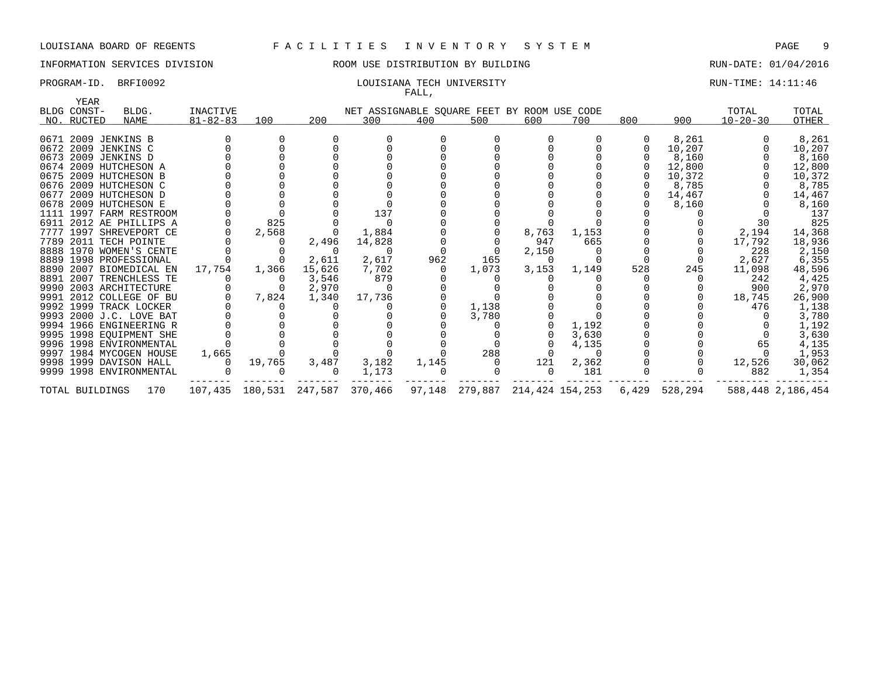INFORMATION SERVICES DIVISION 88 ROOM USE DISTRIBUTION BY BUILDING 88 RUN-DATE: 01/04/2016

### PROGRAM-ID. BRFI0092 **EXAM-ID.** BRFI0092 **LOUISIANA TECH UNIVERSITY RUN-TIME: 14:11:46** FALL,

| YEAR<br>BLDG CONST- | BLDG.                   | INACTIVE       |        |                                 | NET ASSIGNABLE SQUARE FEET BY ROOM USE CODE |       |                                |          |       |     |               | TOTAL          | TOTAL             |
|---------------------|-------------------------|----------------|--------|---------------------------------|---------------------------------------------|-------|--------------------------------|----------|-------|-----|---------------|----------------|-------------------|
| NO. RUCTED          | NAME                    | $81 - 82 - 83$ | 100    | 200                             | 300                                         | 400   | 500                            | 600      | 700   | 800 | 900           | $10 - 20 - 30$ | OTHER             |
|                     |                         |                |        |                                 |                                             |       |                                |          |       |     |               |                |                   |
|                     | 0671 2009 JENKINS B     |                |        |                                 |                                             |       |                                |          |       |     | 8,261         |                | 8,261             |
|                     | 0672 2009 JENKINS C     |                |        |                                 |                                             |       |                                |          |       |     | 10,207        |                | 10,207            |
|                     | 0673 2009 JENKINS D     |                |        |                                 |                                             |       |                                |          |       |     | 8,160         |                | 8,160             |
|                     | 0674 2009 HUTCHESON A   |                |        |                                 |                                             |       |                                |          |       |     | 12,800        |                | 12,800            |
|                     | 0675 2009 HUTCHESON B   |                |        |                                 |                                             |       |                                |          |       |     | 10,372        |                | 10,372            |
|                     | 0676 2009 HUTCHESON C   |                |        |                                 |                                             |       |                                |          |       |     | 8,785         |                | 8,785             |
|                     | 0677 2009 HUTCHESON D   |                |        |                                 |                                             |       |                                |          |       |     | 14,467        |                | 14,467            |
|                     | 0678 2009 HUTCHESON E   |                |        |                                 |                                             |       |                                |          |       |     | 8,160         |                | 8,160             |
|                     | 1111 1997 FARM RESTROOM |                |        |                                 | 137                                         |       |                                |          |       |     |               |                | 137               |
|                     | 6911 2012 AE PHILLIPS A |                | 825    |                                 |                                             |       |                                |          |       |     |               | 30             | 825               |
|                     | 7777 1997 SHREVEPORT CE |                | 2,568  |                                 | 1,884                                       |       |                                | 8,763    | 1,153 |     |               | 2,194          | 14,368            |
|                     | 7789 2011 TECH POINTE   |                |        | 2,496                           | 14,828                                      |       |                                | 947      | 665   |     |               | 17,792         | 18,936            |
|                     | 8888 1970 WOMEN'S CENTE |                |        |                                 |                                             |       |                                | 2,150    |       |     |               | 228            | 2,150             |
|                     | 8889 1998 PROFESSIONAL  |                |        | 2,611                           | 2,617                                       | 962   | 165                            | $\Omega$ |       |     |               | 2,627          | 6,355             |
|                     | 8890 2007 BIOMEDICAL EN | 17,754         | 1,366  | 15,626                          | 7,702                                       |       | 1,073                          | 3,153    | 1,149 | 528 | 245           | 11,098         | 48,596            |
|                     | 8891 2007 TRENCHLESS TE |                |        | 3,546                           | 879                                         |       |                                |          |       |     |               | 242            | 4,425             |
|                     | 9990 2003 ARCHITECTURE  |                |        | 2,970                           |                                             |       |                                |          |       |     |               | 900            | 2,970             |
|                     | 9991 2012 COLLEGE OF BU |                | 7,824  | 1,340                           | 17,736                                      |       |                                |          |       |     |               | 18,745         | 26,900            |
|                     | 9992 1999 TRACK LOCKER  |                |        |                                 |                                             |       | 1,138                          |          |       |     |               | 476            | 1,138             |
|                     | 9993 2000 J.C. LOVE BAT |                |        |                                 |                                             |       | 3,780                          |          |       |     |               |                | 3,780             |
|                     | 9994 1966 ENGINEERING R |                |        |                                 |                                             |       |                                |          | 1,192 |     |               |                | 1,192             |
|                     | 9995 1998 EOUIPMENT SHE |                |        |                                 |                                             |       |                                |          | 3,630 |     |               |                | 3,630             |
|                     | 9996 1998 ENVIRONMENTAL |                |        |                                 |                                             |       |                                |          | 4,135 |     |               | 65             | 4,135             |
|                     | 9997 1984 MYCOGEN HOUSE | 1,665          |        |                                 |                                             |       | 288                            |          |       |     |               |                | 1,953             |
|                     | 9998 1999 DAVISON HALL  |                | 19,765 | 3,487                           | 3,182                                       | 1,145 |                                | 121      | 2,362 |     |               | 12,526         | 30,062            |
|                     | 9999 1998 ENVIRONMENTAL |                |        |                                 | 1,173                                       |       |                                | $\cap$   | 181   |     |               | 882            | 1,354             |
| TOTAL BUILDINGS     | 170                     |                |        | 107,435 180,531 247,587 370,466 |                                             |       | 97,148 279,887 214,424 154,253 |          |       |     | 6,429 528,294 |                | 588,448 2,186,454 |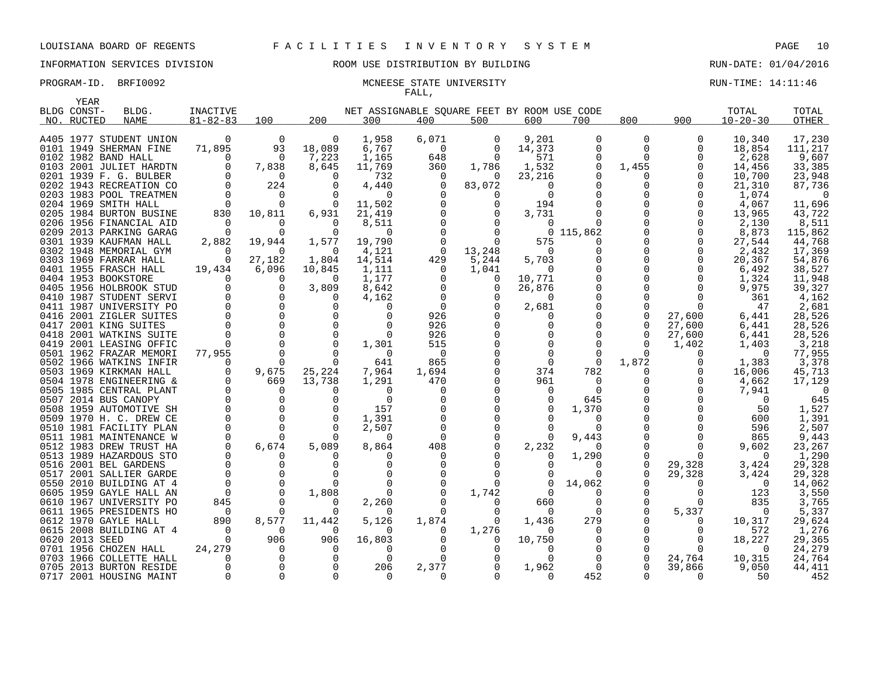### PROGRAM-ID. BRFI0092 MCNEESE STATE UNIVERSITY RUN-TIME: 14:11:46 FALL,

|      | YEAR           |                                                  |                |                         |               |                                             |              |             |          |                      |               |                 |                |                 |
|------|----------------|--------------------------------------------------|----------------|-------------------------|---------------|---------------------------------------------|--------------|-------------|----------|----------------------|---------------|-----------------|----------------|-----------------|
|      | BLDG CONST-    | BLDG.                                            | INACTIVE       |                         |               | NET ASSIGNABLE SOUARE FEET BY ROOM USE CODE |              |             |          |                      |               |                 | TOTAL          | TOTAL           |
|      | NO. RUCTED     | <b>NAME</b>                                      | $81 - 82 - 83$ | 100                     | 200           | 300                                         | 400          | 500         | 600      | 700                  | 800           | 900             | $10 - 20 - 30$ | <b>OTHER</b>    |
|      |                |                                                  |                |                         |               |                                             |              |             |          |                      |               |                 |                |                 |
|      |                | A405 1977 STUDENT UNION                          | $\overline{0}$ | $\overline{0}$          | 0             | 1,958                                       | 6,071        | 0           | 9,201    | 0                    | 0             | 0               | 10,340         | 17,230          |
|      |                | 0101 1949 SHERMAN FINE                           | 71,895         | 93                      | 18,089        | 6,767                                       | $\Omega$     | 0           | 14,373   | 0                    | 0             | 0               | 18,854         | 111,217         |
|      |                | 0102 1982 BAND HALL                              | 0              | $\overline{0}$          | 7,223         | 1,165                                       | 648          | $\mathbf 0$ | 571      | 0                    | 0             | 0               | 2,628          | 9,607           |
|      |                | 0103 2001 JULIET HARDTN                          | 0              | 7,838                   | 8,645         | 11,769                                      | 360          | 1,786       | 1,532    | 0                    | 1,455         | 0               | 14,456         | 33,385          |
|      |                | 0201 1939 F. G. BULBER                           | $\mathbf 0$    | $\Omega$                | $\Omega$      | 732                                         | $\Omega$     | $\Omega$    | 23,216   | 0                    | 0             | 0               | 10,700         | 23,948          |
|      |                | 0202 1943 RECREATION CO                          | $\Omega$       | 224                     | $\Omega$      | 4,440                                       | $\Omega$     | 83,072      | 0        | $\Omega$             | 0             | $\Omega$        | 21,310         | 87,736          |
|      |                | 0203 1983 POOL TREATMEN                          | $\Omega$       | $\Omega$                |               | $\Omega$                                    |              | 0           | $\Omega$ | $\Omega$             | 0             | $\Omega$        | 1,074          | $\Omega$        |
|      |                | 0204 1969 SMITH HALL                             | $\overline{0}$ | $\mathbf 0$             | 0             | 11,502                                      |              | $\Omega$    | 194      | $\Omega$             | 0             | 0               | 4,067          | 11,696          |
|      |                | 0205 1984 BURTON BUSINE                          | 830            | 10,811                  | 6,931         | 21,419                                      |              | 0           | 3,731    | $\Omega$             | $\Omega$      | $\Omega$        | 13,965         | 43,722          |
|      |                | 0206 1956 FINANCIAL AID                          | $\overline{0}$ | 0                       | $\Omega$      | 8,511                                       |              |             | $\Omega$ | $\Omega$             | 0             | 0               | 2,130          | 8,511           |
|      |                | 0209 2013 PARKING GARAG                          | $\Omega$       | 0                       | $\Omega$      | $\Omega$                                    |              | $\Omega$    |          | 0 115,862            | 0             | 0               | 8,873          | 115,862         |
|      |                | 0301 1939 KAUFMAN HALL                           | 2,882          | 19,944                  | 1,577         | 19,790                                      |              | $\Omega$    | 575      | O                    | 0             | 0               | 27,544         | 44,768          |
|      |                | 0302 1948 MEMORIAL GYM                           | $\Omega$       | $\Omega$                | 0             | 4,121                                       | 0            | 13,248      | 0        | 0                    | 0             | 0               | 2,432          | 17,369          |
|      |                | 0303 1969 FARRAR HALL                            | $\Omega$       | 27,182                  | 1,804         | 14,514                                      | 429          | 5,244       | 5,703    | $\Omega$             | 0             | $\Omega$        | 20,367         | 54,876          |
| 0401 |                | 1955 FRASCH HALL                                 | 19,434         | 6,096                   | 10,845        | 1,111                                       | $\Omega$     | 1,041       | $\Omega$ | $\Omega$             | $\Omega$      | $\Omega$        | 6,492          | 38,527          |
|      |                | 0404 1953 BOOKSTORE                              | $\Omega$       | $\Omega$                | 0             | 1,177                                       |              | 0           | 10,771   | 0                    | 0             | 0               | 1,324          | 11,948          |
|      |                | 0405 1956 HOLBROOK STUD                          | $\mathbf 0$    | $\mathbf 0$             | 3,809         | 8,642                                       | O            | $\Omega$    | 26,876   | $\mathbf 0$          | $\Omega$      | $\Omega$        | 9,975          | 39,327          |
|      |                | 0410 1987 STUDENT SERVI                          | 0              | $\mathbf 0$             | O             | 4,162                                       | $\Omega$     | 0           | $\Omega$ | $\Omega$             | 0             | $\Omega$        | 361            | 4,162           |
|      |                | 0411 1987 UNIVERSITY PO                          | $\Omega$       | $\Omega$                | ∩             | $\Omega$                                    | $\Omega$     |             | 2,681    | $\Omega$             | $\Omega$      | $\Omega$        | 47             | 2,681           |
|      |                | 0416 2001 ZIGLER SUITES                          | $\mathbf 0$    | $\mathbf 0$<br>$\Omega$ | $\Omega$      | 0                                           | 926<br>926   |             | 0        | $\Omega$<br>$\Omega$ | 0<br>$\Omega$ | 27,600          | 6,441          | 28,526          |
|      |                | 0417 2001 KING SUITES<br>0418 2001 WATKINS SUITE | $\Omega$       | $\Omega$                |               | $\Omega$                                    |              |             |          | $\Omega$             |               | 27,600          | 6,441          | 28,526          |
|      |                | 0419 2001 LEASING OFFIC                          | $\Omega$       | $\Omega$                | 0<br>$\Omega$ | 0<br>1,301                                  | 926<br>515   |             |          | $\Omega$             | 0<br>$\Omega$ | 27,600<br>1,402 | 6,441<br>1,403 | 28,526          |
|      |                | 0501 1962 FRAZAR MEMORI                          | 77,955         | $\Omega$                | $\Omega$      | $\Omega$                                    | $\Omega$     |             | 0        | $\Omega$             | $\Omega$      | $\Omega$        | $\Omega$       | 3,218<br>77,955 |
|      |                | 0502 1966 WATKINS INFIR                          | 0              | $\Omega$                | $\Omega$      | 641                                         | 865          |             | $\Omega$ | 0                    | 1,872         | 0               | 1,383          | 3,378           |
|      |                | 0503 1969 KIRKMAN HALL                           | $\Omega$       | 9,675                   | 25,224        | 7,964                                       | 1,694        |             | 374      | 782                  | $\Omega$      | $\Omega$        | 16,006         | 45,713          |
|      |                | 0504 1978 ENGINEERING &                          | 0              | 669                     | 13,738        | 1,291                                       | 470          | 0           | 961      | $\Omega$             | 0             | 0               | 4,662          | 17,129          |
|      |                | 0505 1985 CENTRAL PLANT                          | 0              | $\Omega$                | ∩             | 0                                           | <sup>0</sup> |             | $\Omega$ | $\Omega$             | <sup>0</sup>  | 0               | 7,941          | $\overline{0}$  |
|      |                | 0507 2014 BUS CANOPY                             | $\mathbf 0$    | 0                       | $\Omega$      | $\mathbf 0$                                 |              |             | 0        | 645                  | 0             | $\Omega$        | $\overline{0}$ | 645             |
|      |                | 0508 1959 AUTOMOTIVE SH                          | $\Omega$       | $\Omega$                | $\Omega$      | 157                                         |              |             |          | 1,370                | 0             | $\Omega$        | 50             | 1,527           |
|      |                | 0509 1970 H. C. DREW CE                          | $\mathbf 0$    | $\overline{0}$          | 0             | 1,391                                       |              | $\mathbf 0$ |          | 0                    | 0             | 0               | 600            | 1,391           |
|      |                | 0510 1981 FACILITY PLAN                          | 0              | $\Omega$                | $\Omega$      | 2,507                                       | <sup>0</sup> | $\Omega$    |          | $\Omega$             | 0             | 0               | 596            | 2,507           |
|      |                | 0511 1981 MAINTENANCE W                          | $\mathbf 0$    | $\Omega$                | $\Omega$      | $\Omega$                                    |              |             | $\Omega$ | 9,443                | 0             | 0               | 865            | 9,443           |
|      |                | 0512 1983 DREW TRUST HA                          | $\mathbf 0$    | 6,674                   | 5,089         | 8,864                                       | 408          |             | 2,232    | $\Omega$             | 0             | $\Omega$        | 9,602          | 23,267          |
|      |                | 0513 1989 HAZARDOUS STO                          | 0              | O                       |               | $\Omega$                                    |              |             | 0        | 1,290                | 0             | 0               | $\Omega$       | 1,290           |
|      |                | 0516 2001 BEL GARDENS                            | $\Omega$       | $\Omega$                | ∩             | $\Omega$                                    |              |             |          | $\Omega$             | 0             | 29,328          | 3,424          | 29,328          |
|      |                | 0517 2001 SALLIER GARDE                          | $\Omega$       | $\Omega$                |               |                                             |              |             |          | $\Omega$             | $\Omega$      | 29,328          | 3,424          | 29,328          |
|      |                | 0550 2010 BUILDING AT 4                          | $\mathbf 0$    | $\mathbf 0$             | $\Omega$      | $\Omega$                                    |              | $\Omega$    | $\Omega$ | 14,062               | 0             | 0               | $\mathbf 0$    | 14,062          |
|      |                | 0605 1959 GAYLE HALL AN                          | $\Omega$       | $\Omega$                | 1,808         | $\Omega$                                    |              | 1,742       | $\Omega$ | $\Omega$             | 0             | 0               | 123            | 3,550           |
|      |                | 0610 1967 UNIVERSITY PO                          | 845            | $\mathbf 0$             | $\Omega$      | 2,260                                       |              | $\Omega$    | 660      | $\mathbf 0$          | 0             | 0               | 835            | 3,765           |
|      |                | 0611 1965 PRESIDENTS HO                          | $\overline{0}$ | $\Omega$                | $\Omega$      | $\Omega$                                    | $\Omega$     | $\Omega$    | $\Omega$ | $\Omega$             | 0             | 5,337           | - 0            | 5,337           |
|      |                | 0612 1970 GAYLE HALL                             | 890            | 8,577                   | 11,442        | 5,126                                       | 1,874        | $\Omega$    | 1,436    | 279                  | 0             | 0               | 10,317         | 29,624          |
|      |                | 0615 2008 BUILDING AT 4                          | $\Omega$       | 0                       | $\Omega$      | $\Omega$                                    | 0            | 1,276       | $\Omega$ | 0                    | 0             | 0               | 572            | 1,276           |
|      | 0620 2013 SEED |                                                  | $\Omega$       | 906                     | 906           | 16,803                                      |              | 0           | 10,750   | $\Omega$             | $\Omega$      | 0               | 18,227         | 29,365          |
| 0701 |                | 1956 CHOZEN HALL                                 | 24,279         | $\Omega$                | $\Omega$      | $\Omega$                                    |              |             | $\Omega$ | $\Omega$             | $\Omega$      | $\Omega$        | $\Omega$       | 24,279          |
|      |                | 0703 1966 COLLETTE HALL                          | 0              | $\mathbf 0$             | $\Omega$      | 0                                           | 0            |             | 0        | 0                    | 0             | 24,764          | 10,315         | 24,764          |
|      |                | 0705 2013 BURTON RESIDE                          | $\mathbf 0$    | $\mathbf 0$             | $\Omega$      | 206                                         | 2,377        |             | 1,962    | $\Omega$             |               | 39,866          | 9,050          | 44,411          |
|      |                | 0717 2001 HOUSING MAINT                          | $\Omega$       | $\Omega$                | $\Omega$      | $\Omega$                                    | $\Omega$     |             | $\Omega$ | 452                  | $\Omega$      | $\Omega$        | 50             | 452             |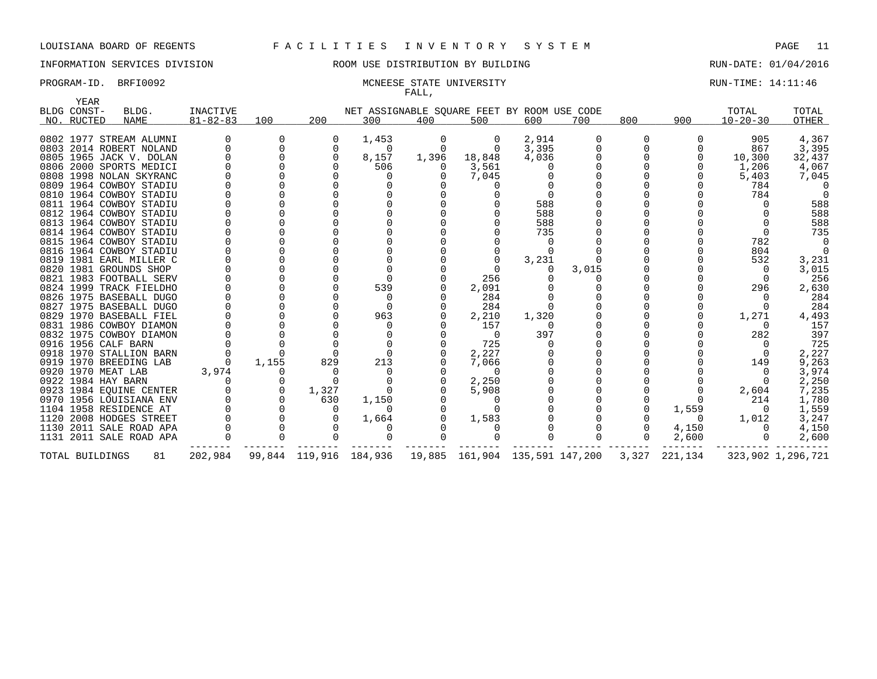### INFORMATION SERVICES DIVISION ROOM USE DISTRIBUTION BY BUILDING RUN-DATE: 01/04/2016

### PROGRAM-ID. BRFI0092 CHARGER STATE UNIVERSITY CHARGER STATE UNIVERSITY CHARGER STATE: 14:11:46 FALL,

| YEAR                      |                         |                                   |       |                        |                                                    |          |                                |       |       |       |          |                         |                   |
|---------------------------|-------------------------|-----------------------------------|-------|------------------------|----------------------------------------------------|----------|--------------------------------|-------|-------|-------|----------|-------------------------|-------------------|
| BLDG CONST-<br>NO. RUCTED | BLDG.<br>NAME           | <b>INACTIVE</b><br>$81 - 82 - 83$ | 100   | 200                    | NET ASSIGNABLE SQUARE FEET BY ROOM USE CODE<br>300 | 400      | 500                            | 600   | 700   | 800   | 900      | TOTAL<br>$10 - 20 - 30$ | TOTAL<br>OTHER    |
|                           |                         |                                   |       |                        |                                                    |          |                                |       |       |       |          |                         |                   |
|                           | 0802 1977 STREAM ALUMNI |                                   | 0     | 0                      | 1,453                                              | 0        | 0                              | 2,914 |       | 0     |          | 905                     | 4,367             |
|                           | 0803 2014 ROBERT NOLAND |                                   |       | $\mathbf 0$            | 0                                                  | 0        | $\mathbf 0$                    | 3,395 |       |       |          | 867                     | 3,395             |
|                           | 0805 1965 JACK V. DOLAN |                                   |       | $\Omega$               | 8,157                                              | 1,396    | 18,848                         | 4,036 |       |       |          | 10,300                  | 32,437            |
|                           | 0806 2000 SPORTS MEDICI |                                   |       |                        | 506                                                | $\Omega$ | 3,561                          |       |       |       |          | 1,206                   | 4,067             |
|                           | 0808 1998 NOLAN SKYRANC |                                   |       |                        |                                                    |          | 7,045                          |       |       |       |          | 5,403                   | 7,045             |
|                           | 0809 1964 COWBOY STADIU |                                   |       |                        |                                                    |          |                                |       |       |       |          | 784                     |                   |
|                           | 0810 1964 COWBOY STADIU |                                   |       |                        |                                                    |          |                                |       |       |       |          | 784                     |                   |
|                           | 0811 1964 COWBOY STADIU |                                   |       |                        |                                                    |          |                                | 588   |       |       |          |                         | 588               |
|                           | 0812 1964 COWBOY STADIU |                                   |       |                        |                                                    |          |                                | 588   |       |       |          |                         | 588               |
|                           | 0813 1964 COWBOY STADIU |                                   |       |                        |                                                    |          |                                | 588   |       |       |          |                         | 588               |
|                           | 0814 1964 COWBOY STADIU |                                   |       |                        |                                                    |          |                                | 735   |       |       |          |                         | 735               |
|                           | 0815 1964 COWBOY STADIU |                                   |       |                        |                                                    |          |                                |       |       |       |          | 782                     |                   |
|                           | 0816 1964 COWBOY STADIU |                                   |       |                        |                                                    |          |                                |       |       |       |          | 804                     |                   |
|                           | 0819 1981 EARL MILLER C |                                   |       |                        |                                                    |          |                                | 3,231 |       |       |          | 532                     | 3,231             |
|                           | 0820 1981 GROUNDS SHOP  |                                   |       |                        |                                                    |          |                                |       | 3,015 |       |          | 0                       | 3,015             |
|                           | 0821 1983 FOOTBALL SERV |                                   |       |                        |                                                    |          | 256                            |       |       |       |          | 0                       | 256               |
|                           | 0824 1999 TRACK FIELDHO |                                   |       |                        | 539                                                |          | 2,091                          |       |       |       |          | 296                     | 2,630             |
|                           | 0826 1975 BASEBALL DUGO |                                   |       |                        |                                                    |          | 284                            |       |       |       |          |                         | 284               |
|                           | 0827 1975 BASEBALL DUGO |                                   |       |                        |                                                    |          | 284                            |       |       |       |          |                         | 284               |
|                           | 0829 1970 BASEBALL FIEL |                                   |       |                        | 963                                                |          | 2,210                          | 1,320 |       |       |          | 1,271                   | 4,493             |
|                           | 0831 1986 COWBOY DIAMON |                                   |       |                        |                                                    |          | 157                            |       |       |       |          |                         | 157               |
|                           | 0832 1975 COWBOY DIAMON |                                   |       |                        |                                                    |          | $\Omega$                       | 397   |       |       |          | 282                     | 397               |
|                           | 0916 1956 CALF BARN     |                                   |       |                        |                                                    |          | 725                            |       |       |       |          |                         | 725               |
|                           | 0918 1970 STALLION BARN |                                   |       |                        |                                                    |          | 2,227                          |       |       |       |          | 0                       | 2,227             |
|                           | 0919 1970 BREEDING LAB  |                                   | 1,155 | 829                    | 213                                                |          | 7,066                          |       |       |       |          | 149                     | 9,263             |
| 0920 1970 MEAT LAB        |                         | 3,974                             | 0     |                        |                                                    |          | $\Omega$                       |       |       |       |          | $\Omega$                | 3,974             |
| 0922 1984 HAY BARN        |                         |                                   | 0     | $\Omega$               |                                                    |          | 2,250                          |       |       |       |          | $\Omega$                | 2,250             |
|                           | 0923 1984 EOUINE CENTER |                                   | 0     | 1,327                  |                                                    |          | 5,908                          |       |       |       |          | 2,604                   | 7,235             |
|                           | 0970 1956 LOUISIANA ENV |                                   |       | 630                    | 1,150                                              |          |                                |       |       |       |          | 214                     | 1,780             |
|                           | 1104 1958 RESIDENCE AT  |                                   |       | $\Omega$               |                                                    |          |                                |       |       |       | 1,559    | $\Omega$                | 1,559             |
|                           | 1120 2008 HODGES STREET |                                   |       |                        | 1,664                                              |          | 1,583                          |       |       |       | $\Omega$ | 1,012                   | 3,247             |
|                           | 1130 2011 SALE ROAD APA |                                   |       |                        |                                                    |          |                                |       |       |       | 4,150    | $\Omega$                | 4,150             |
|                           | 1131 2011 SALE ROAD APA |                                   |       |                        |                                                    |          |                                |       |       |       | 2,600    | $\Omega$                | 2,600             |
| TOTAL BUILDINGS           | 81                      | 202,984                           |       | 99,844 119,916 184,936 |                                                    |          | 19,885 161,904 135,591 147,200 |       |       | 3,327 | 221,134  |                         | 323,902 1,296,721 |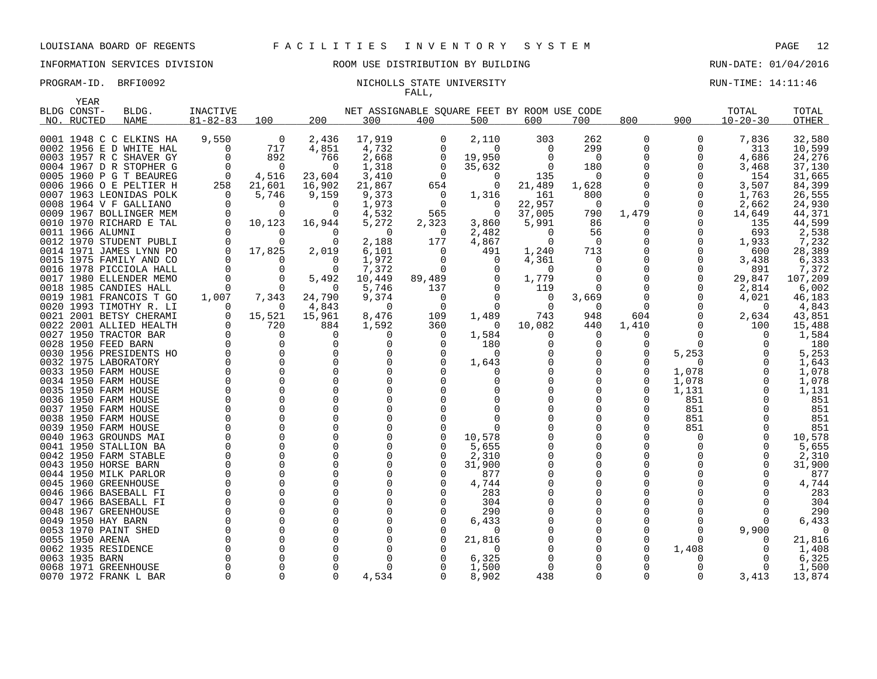### INFORMATION SERVICES DIVISION ROOM USE DISTRIBUTION BY BUILDING RUN-DATE: 01/04/2016

### PROGRAM-ID. BRFI0092 NICHOLLS STATE UNIVERSITY NEXT RUN-TIME: 14:11:46 FALL,

| YEAR             |                                               |                         |                  |                      |                                             |             |              |                   |               |          |          |                |                  |
|------------------|-----------------------------------------------|-------------------------|------------------|----------------------|---------------------------------------------|-------------|--------------|-------------------|---------------|----------|----------|----------------|------------------|
| BLDG CONST-      | BLDG.                                         | INACTIVE                |                  |                      | NET ASSIGNABLE SQUARE FEET BY ROOM USE CODE |             |              |                   |               |          |          | TOTAL          | TOTAL            |
| NO. RUCTED       | <b>NAME</b>                                   | $81 - 82 - 83$          | 100              | 200                  | 300                                         | 400         | 500          | 600               | 700           | 800      | 900      | $10 - 20 - 30$ | <b>OTHER</b>     |
|                  |                                               |                         |                  |                      |                                             |             |              |                   |               |          |          |                |                  |
|                  | 0001 1948 C C ELKINS HA                       | 9,550                   | $\overline{0}$   | 2,436                | 17,919                                      | 0           | 2,110        | 303               | 262           | 0        | $\Omega$ | 7,836          | 32,580           |
|                  | 0002 1956 E D WHITE HAL                       | 0                       | 717              | 4,851                | 4,732                                       | 0           | $\Omega$     | O                 | 299           | $\Omega$ |          | 313            | 10,599           |
|                  | 0003 1957 R C SHAVER GY                       | 0                       | 892              | 766                  | 2,668                                       | 0           | 19,950       | O                 | 0             |          |          | 4,686          | 24,276           |
|                  | 0004 1967 D R STOPHER G                       | 0                       | $\overline{0}$   | $\Omega$             | 1,318                                       | 0           | 35,632       | $\Omega$          | 180           |          |          | 3,468          | 37,130           |
|                  | 0005 1960 P G T BEAUREG                       | $\overline{0}$          | 4,516            | 23,604               | 3,410                                       | $\Omega$    | 0            | 135               | $\Omega$      |          |          | 154            | 31,665           |
|                  | 0006 1966 O E PELTIER H                       | 258                     | 21,601           | 16,902               | 21,867                                      | 654         | 0            | 21,489            | 1,628         |          |          | 3,507          | 84,399           |
|                  | 0007 1963 LEONIDAS POLK                       | $\Omega$                | 5,746            | 9,159                | 9,373                                       | 0           | 1,316        | 161               | 800           | $\Omega$ |          | 1,763          | 26,555           |
| 0008             | 1964 V F GALLIANO                             | $\Omega$                | 0                | $\Omega$             | 1,973                                       | 0           | $\Omega$     | 22,957            | $\Omega$      | $\Omega$ |          | 2,662          | 24,930           |
| 0009             | 1967 BOLLINGER MEM                            | $\mathbf 0$             | $\Omega$         | $\Omega$             | 4,532                                       | 565         | 0            | 37,005            | 790           | 1,479    |          | 14,649         | 44,371           |
|                  | 0010 1970 RICHARD E TAL                       | 0                       | 10,123           | 16,944               | 5,272                                       | 2,323       | 3,860        | 5,991             | 86            | O        |          | 135            | 44,599           |
| 0011 1966 ALUMNI |                                               | $\Omega$                | 0                | $\Omega$             | 0                                           | 0           | 2,482        | $\Omega$          | 56            | 0        |          | 693            | 2,538            |
|                  | 0012 1970 STUDENT PUBLI                       | $\Omega$                | $\Omega$         | $\Omega$             | 2,188                                       | 177         | 4,867        | $\Omega$          | $\Omega$      |          |          | 1,933          | 7,232            |
|                  | 0014 1971 JAMES LYNN PO                       | $\Omega$                | 17,825           | 2,019                | 6,101                                       | $\Omega$    | 491          | 1,240             | 713           | O        |          | 600            | 28,389           |
|                  | 0015 1975 FAMILY AND CO                       | $\Omega$                | $\Omega$         | $\Omega$             | 1,972                                       | $\Omega$    | $\Omega$     | 4,361             | $\Omega$      | $\Omega$ |          | 3,438          | 6,333            |
| 0016             | 1978 PICCIOLA HALL<br>0017 1980 ELLENDER MEMO | $\mathbf 0$<br>$\Omega$ | 0<br>$\mathbf 0$ | 0<br>5,492           | 7,372<br>10,449                             | 0<br>89,489 | 0<br>0       | $\Omega$<br>1,779 | 0<br>$\Omega$ |          |          | 891<br>29,847  | 7,372<br>107,209 |
|                  | 0018 1985 CANDIES HALL                        | $\Omega$                | $\Omega$         | 0                    | 5,746                                       | 137         | $\Omega$     | 119               | $\Omega$      |          |          |                |                  |
|                  | 0019 1981 FRANCOIS T GO                       | 1,007                   | 7,343            | 24,790               | 9,374                                       | 0           | $\Omega$     | 0                 | 3,669         | 0        |          | 2,814<br>4,021 | 6,002<br>46,183  |
|                  | 0020 1993 TIMOTHY R. LI                       | $\Omega$                | $\Omega$         | 4,843                | $\Omega$                                    | $\Omega$    | $\Omega$     |                   | $\Omega$      | $\Omega$ |          | $\Omega$       | 4,843            |
|                  | 0021 2001 BETSY CHERAMI                       | $\Omega$                | 15,521           | 15,961               | 8,476                                       | 109         | 1,489        | 743               | 948           | 604      |          | 2,634          | 43,851           |
|                  | 0022 2001 ALLIED HEALTH                       | 0                       | 720              | 884                  | 1,592                                       | 360         | 0            | 10,082            | 440           | 1,410    |          | 100            | 15,488           |
|                  | 0027 1950 TRACTOR BAR                         | 0                       | 0                | 0                    | 0                                           | 0           | 1,584        |                   | 0             | 0        |          | 0              | 1,584            |
|                  | 0028 1950 FEED BARN                           | $\Omega$                | $\Omega$         | $\Omega$             | 0                                           | $\Omega$    | 180          |                   | $\Omega$      |          | $\Omega$ | $\Omega$       | 180              |
|                  | 0030 1956 PRESIDENTS HO                       | $\Omega$                | $\mathbf 0$      | $\Omega$             | 0                                           | 0           | 0            |                   | $\Omega$      | $\Omega$ | 5,253    | $\Omega$       | 5,253            |
|                  | 0032 1975 LABORATORY                          | $\Omega$                | $\Omega$         | $\Omega$             | 0                                           | $\Omega$    | 1,643        |                   | O             | O        | $\Omega$ | <sup>0</sup>   | 1,643            |
|                  | 0033 1950 FARM HOUSE                          | $\Omega$                | $\Omega$         | $\Omega$             | $\Omega$                                    | ∩           |              |                   | O             | $\Omega$ | 1,078    | $\Omega$       | 1,078            |
|                  | 0034 1950 FARM HOUSE                          | $\Omega$                | $\Omega$         | $\Omega$             | $\Omega$                                    |             | 0            |                   | $\Omega$      | $\Omega$ | 1,078    | $\Omega$       | 1,078            |
|                  | 0035 1950 FARM HOUSE                          | $\Omega$                | $\mathbf 0$      | $\Omega$             | 0                                           |             | 0            |                   | O             | $\Omega$ | 1,131    | $\Omega$       | 1,131            |
| 0036             | 1950 FARM HOUSE                               | 0                       | $\mathbf 0$      | $\Omega$             | 0                                           |             |              |                   |               |          | 851      | $\Omega$       | 851              |
|                  | 0037 1950 FARM HOUSE                          | O                       | $\Omega$         | $\Omega$             | $\Omega$                                    |             |              |                   |               |          | 851      | $\Omega$       | 851              |
|                  | 0038 1950 FARM HOUSE                          | 0                       | 0                | <sup>0</sup>         | $\Omega$                                    |             |              |                   | O             |          | 851      | $\Omega$       | 851              |
|                  | 0039 1950 FARM HOUSE                          | $\Omega$                | $\Omega$         | $\Omega$             | 0                                           | ∩           | $\Omega$     |                   | ∩             |          | 851      | $\Omega$       | 851              |
|                  | 0040 1963 GROUNDS MAI                         | $\Omega$                | $\Omega$         | $\Omega$             | $\Omega$                                    |             | 10,578       |                   | ∩             |          | O        | $\Omega$       | 10,578           |
|                  | 0041 1950 STALLION BA                         | $\Omega$                | $\mathbf 0$      | $\Omega$             | 0                                           | $\Omega$    | 5,655        |                   | $\Omega$      | O        |          | 0              | 5,655            |
|                  | 0042 1950 FARM STABLE                         | $\Omega$                | 0                | $\Omega$             | $\Omega$                                    | O           | 2,310        |                   | O             | $\Omega$ |          | $\Omega$       | 2,310            |
|                  | 0043 1950 HORSE BARN                          | 0                       | $\Omega$         | $\Omega$             |                                             | 0           | 31,900       |                   | O             |          |          | $\Omega$       | 31,900           |
|                  | 0044 1950 MILK PARLOR                         | O<br>$\Omega$           | $\Omega$<br>0    | $\Omega$<br>$\Omega$ |                                             | ∩           | 877          |                   |               |          |          | <sup>n</sup>   | 877              |
|                  | 0045 1960 GREENHOUSE<br>0046 1966 BASEBALL FI | $\Omega$                | $\Omega$         | $\Omega$             | 0                                           |             | 4,744<br>283 |                   |               |          |          |                | 4,744<br>283     |
|                  | 0047 1966 BASEBALL FI                         | $\Omega$                | $\Omega$         | $\Omega$             | $\Omega$                                    |             | 304          |                   |               |          |          | $\Omega$       | 304              |
| 0048             | 1967 GREENHOUSE                               | 0                       | $\mathbf 0$      | <sup>0</sup>         | 0                                           | O           | 290          |                   |               |          |          | 0              | 290              |
|                  | 0049 1950 HAY BARN                            | 0                       | $\Omega$         | $\Omega$             |                                             | O           | 6,433        |                   |               |          |          | $\Omega$       | 6,433            |
|                  | 0053 1970 PAINT SHED                          | $\mathbf 0$             | $\Omega$         | $\Omega$             |                                             |             | $\Omega$     |                   |               |          |          | 9,900          | 0                |
| 0055 1950 ARENA  |                                               | 0                       | $\Omega$         | $\Omega$             |                                             | $\Omega$    | 21,816       |                   |               |          |          | $\Omega$       | 21,816           |
|                  | 0062 1935 RESIDENCE                           | $\Omega$                | $\Omega$         |                      |                                             |             | 0            |                   |               |          | 1,408    | $\Omega$       | 1,408            |
| 0063 1935 BARN   |                                               | $\Omega$                | $\Omega$         | <sup>0</sup>         | $\Omega$                                    |             | 6,325        |                   |               |          |          | $\Omega$       | 6,325            |
|                  | 0068 1971 GREENHOUSE                          | $\Omega$                | $\Omega$         |                      |                                             |             | 1,500        |                   |               |          |          | $\Omega$       | 1,500            |
|                  | 0070 1972 FRANK L BAR                         | 0                       | 0                | $\Omega$             | 4,534                                       |             | 8,902        | 438               | $\Omega$      | $\Omega$ | O        | 3,413          | 13,874           |
|                  |                                               |                         |                  |                      |                                             |             |              |                   |               |          |          |                |                  |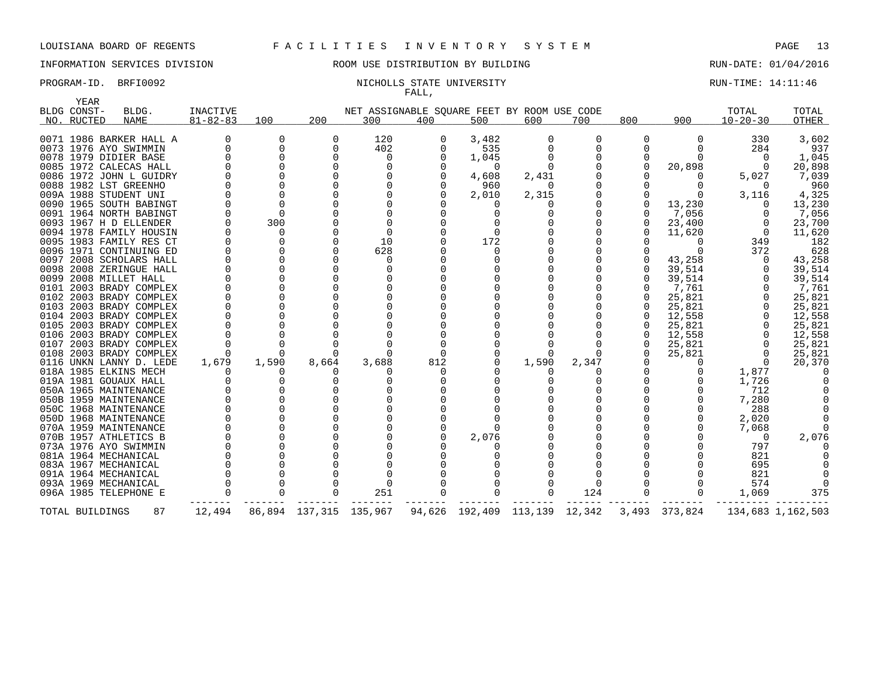### INFORMATION SERVICES DIVISION ROOM USE DISTRIBUTION BY BUILDING RUN-DATE: 01/04/2016

### PROGRAM-ID. BRFI0092 NICHOLLS STATE UNIVERSITY NEXT RUN-TIME: 14:11:46 FALL,

|      | YEAR            |                         |                 |          |                        |              |     |                                             |       |          |          |               |                |                   |
|------|-----------------|-------------------------|-----------------|----------|------------------------|--------------|-----|---------------------------------------------|-------|----------|----------|---------------|----------------|-------------------|
|      | BLDG CONST-     | BLDG.                   | <b>INACTIVE</b> |          |                        |              |     | NET ASSIGNABLE SQUARE FEET BY ROOM USE CODE |       |          |          |               | TOTAL          | TOTAL             |
|      | NO. RUCTED      | <b>NAME</b>             | $81 - 82 - 83$  | 100      | 200                    | 300          | 400 | 500                                         | 600   | 700      | 800      | 900           | $10 - 20 - 30$ | <b>OTHER</b>      |
|      |                 |                         |                 |          |                        |              |     |                                             |       |          |          |               |                |                   |
|      |                 | 0071 1986 BARKER HALL A |                 | 0        | 0                      | 120          | 0   | 3,482                                       | 0     | $\Omega$ | $\Omega$ |               | 330            | 3,602             |
|      |                 | 0073 1976 AYO SWIMMIN   |                 |          | $\Omega$               | 402          |     | 535                                         |       |          |          |               | 284            | 937               |
|      |                 | 0078 1979 DIDIER BASE   |                 |          | $\Omega$               | 0            |     | 1,045                                       |       |          |          |               | $\Omega$       | 1,045             |
|      |                 | 0085 1972 CALECAS HALL  |                 |          | $\Omega$               | $\Omega$     |     | $\Omega$                                    |       |          | $\Omega$ | 20,898        | $\Omega$       | 20,898            |
|      |                 | 0086 1972 JOHN L GUIDRY |                 |          | U                      | 0            |     | 4,608                                       | 2,431 |          |          |               | 5,027          | 7,039             |
|      |                 | 0088 1982 LST GREENHO   |                 |          |                        | 0            |     | 960                                         | 0     |          |          |               |                | 960               |
|      |                 | 009A 1988 STUDENT UNI   |                 |          |                        |              |     | 2,010                                       | 2,315 |          |          |               | 3,116          | 4,325             |
|      |                 | 0090 1965 SOUTH BABINGT |                 |          |                        |              |     | $\left($                                    |       |          |          | 13,230        |                | 13,230            |
|      |                 | 0091 1964 NORTH BABINGT |                 |          |                        |              |     | 0                                           |       |          |          | 7,056         |                | 7,056             |
|      |                 | 0093 1967 H D ELLENDER  |                 | 300      |                        | <sup>0</sup> |     |                                             |       |          |          | 23,400        |                | 23,700            |
|      |                 | 0094 1978 FAMILY HOUSIN |                 | $\Omega$ |                        | $\Omega$     |     | $\Omega$                                    |       |          |          | 11,620        | $\Omega$       | 11,620            |
|      |                 | 0095 1983 FAMILY RES CT |                 |          |                        | 10           |     | 172                                         |       |          |          |               | 349            | 182               |
|      |                 | 0096 1971 CONTINUING ED |                 |          |                        | 628          |     | O                                           |       |          |          |               | 372            | 628               |
|      |                 | 0097 2008 SCHOLARS HALL |                 |          |                        | $\Omega$     |     |                                             |       |          |          | 43,258        | $\Omega$       | 43,258            |
| 0098 |                 | 2008 ZERINGUE HALL      |                 |          |                        | $\Omega$     |     |                                             |       |          |          | 39,514        |                | 39,514            |
|      |                 | 0099 2008 MILLET HALL   |                 |          |                        |              |     |                                             |       |          |          | 39,514        |                | 39,514            |
| 0101 |                 | 2003 BRADY COMPLEX      |                 |          |                        | O            |     |                                             |       |          |          | 7,761         |                | 7,761             |
| 0102 |                 | 2003 BRADY COMPLEX      |                 |          |                        |              |     |                                             |       |          |          | 25,821        |                | 25,821            |
|      |                 | 0103 2003 BRADY COMPLEX |                 |          |                        |              |     |                                             |       |          |          | 25,821        |                | 25,821            |
|      |                 | 0104 2003 BRADY COMPLEX |                 |          |                        |              |     |                                             |       |          |          | 12,558        |                | 12,558            |
|      |                 | 0105 2003 BRADY COMPLEX |                 |          |                        |              |     |                                             |       |          |          | 25,821        |                | 25,821            |
|      |                 | 0106 2003 BRADY COMPLEX |                 |          |                        |              |     |                                             |       |          |          | 12,558        |                | 12,558            |
| 0107 |                 | 2003 BRADY COMPLEX      |                 |          |                        |              |     |                                             |       |          |          | 25,821        |                | 25,821            |
|      |                 | 0108 2003 BRADY COMPLEX |                 |          |                        |              |     | $\Omega$                                    |       |          |          | 25,821        |                | 25,821            |
|      |                 | 0116 UNKN LANNY D. LEDE | 1,679           | 1,590    | 8,664                  | 3,688        | 812 | $\Omega$                                    | 1,590 | 2,347    |          |               |                | 20,370            |
|      |                 | 018A 1985 ELKINS MECH   |                 |          |                        |              |     |                                             |       |          |          |               | 1,877          |                   |
|      |                 | 019A 1981 GOUAUX HALL   |                 |          |                        |              |     |                                             |       |          |          |               | 1,726          |                   |
|      |                 | 050A 1965 MAINTENANCE   |                 |          |                        |              |     |                                             |       |          |          |               | 712            |                   |
|      |                 | 050B 1959 MAINTENANCE   |                 |          |                        |              |     |                                             |       |          |          |               | 7,280          |                   |
|      |                 | 050C 1968 MAINTENANCE   |                 |          |                        |              |     |                                             |       |          |          |               | 288            |                   |
|      |                 | 050D 1968 MAINTENANCE   |                 |          |                        |              |     |                                             |       |          |          |               | 2,020          |                   |
|      |                 | 070A 1959 MAINTENANCE   |                 |          |                        |              |     |                                             |       |          |          |               | 7,068          |                   |
|      |                 | 070B 1957 ATHLETICS B   |                 |          |                        |              |     | 2,076                                       |       |          |          |               | $\Omega$       | 2,076             |
|      |                 | 073A 1976 AYO SWIMMIN   |                 |          |                        |              |     |                                             |       |          |          |               | 797            |                   |
|      |                 | 081A 1964 MECHANICAL    |                 |          |                        |              |     |                                             |       |          |          |               | 821            |                   |
|      |                 | 083A 1967 MECHANICAL    |                 |          |                        |              |     |                                             |       |          |          |               | 695            |                   |
|      |                 | 091A 1964 MECHANICAL    |                 |          |                        |              |     |                                             |       |          |          |               | 821            |                   |
|      |                 | 093A 1969 MECHANICAL    |                 |          |                        | <sup>0</sup> |     |                                             |       | 0        |          |               | 574            |                   |
|      |                 | 096A 1985 TELEPHONE E   |                 |          |                        | 251          |     |                                             |       | 124      |          |               | 1,069          | 375               |
|      | TOTAL BUILDINGS | 87                      | 12,494          |          | 86,894 137,315 135,967 |              |     | 94,626 192,409 113,139 12,342               |       |          |          | 3,493 373,824 |                | 134,683 1,162,503 |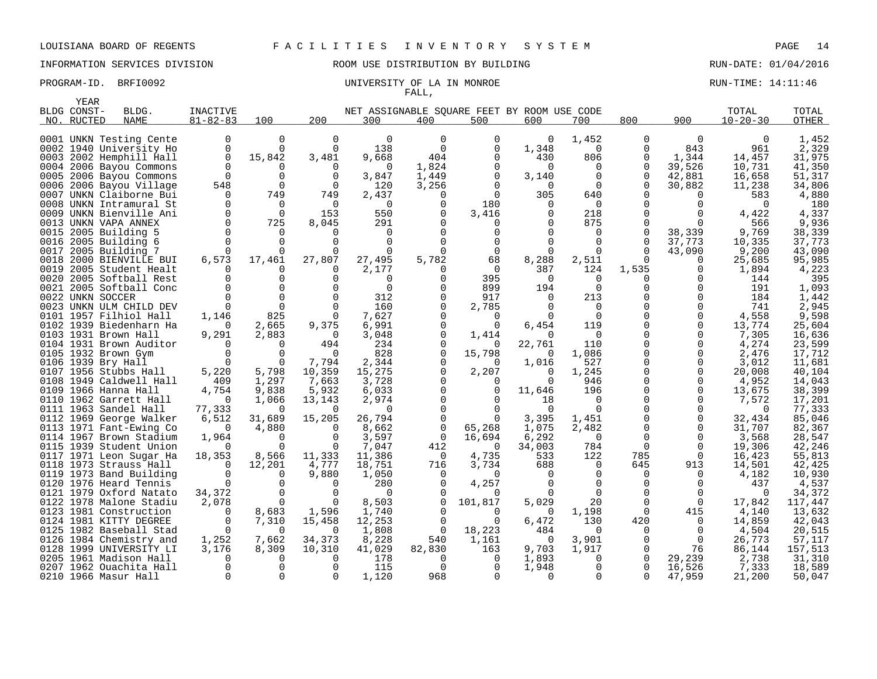YEAR

# INFORMATION SERVICES DIVISION **REDEFILMENTION BY BUILDING RUN-DATE: 01/04/2016**

# FALL,

|     | BLDG CONST- | BLDG.                                             | <b>INACTIVE</b>      |                |                      |                      |                | NET ASSIGNABLE SQUARE FEET BY ROOM USE CODE |                 |                 |             |               | TOTAL          | TOTAL          |
|-----|-------------|---------------------------------------------------|----------------------|----------------|----------------------|----------------------|----------------|---------------------------------------------|-----------------|-----------------|-------------|---------------|----------------|----------------|
| NO. | RUCTED      | <b>NAME</b>                                       | $81 - 82 - 83$       | 100            | 200                  | 300                  | 400            | 500                                         | 600             | 700             | 800         | 900           | $10 - 20 - 30$ | <b>OTHER</b>   |
|     |             | 0001 UNKN Testing Cente                           |                      | $\Omega$       | $\Omega$             | $\Omega$             | $\Omega$       | $\Omega$                                    | $\Omega$        | 1,452           | 0           | $\Omega$      | $\Omega$       | 1,452          |
|     |             |                                                   |                      | $\Omega$       |                      |                      | $\Omega$       |                                             |                 |                 | 0           | 843           | 961            | 2,329          |
|     |             | 0002 1940 University Ho                           | $\Omega$<br>$\Omega$ |                | $\Omega$             | 138                  | 404            | 0                                           | 1,348           | 0<br>806        |             | 1,344         | 14,457         |                |
|     |             | 0003 2002 Hemphill Hall                           |                      | 15,842         | 3,481                | 9,668                |                | 0                                           | 430             |                 | 0           |               |                | 31,975         |
|     |             | 0004 2006 Bayou Commons                           |                      |                | $\Omega$             | $\Omega$             | 1,824          | 0                                           | $\Omega$        | $\Omega$        | $\Omega$    | 39,526        | 10,731         | 41,350         |
|     |             | 0005 2006 Bayou Commons                           | 0                    | $\Omega$       | $\Omega$             | 3,847                | 1,449          | $\mathbf 0$                                 | 3,140           | $\Omega$        | 0           | 42,881        | 16,658         | 51,317         |
|     |             | 0006 2006 Bayou Village                           | 548                  |                | $\Omega$             | 120                  | 3,256          |                                             | $\Omega$        | $\Omega$        | 0           | 30,882        | 11,238         | 34,806         |
|     |             | 0007 UNKN Claiborne Bui                           | $\Omega$             | 749            | 749                  | 2,437                |                | $\Omega$                                    | 305             | 640             |             |               | 583            | 4,880          |
|     |             | 0008 UNKN Intramural St                           | $\Omega$             |                | $\Omega$             | $\Omega$             |                | 180                                         |                 | $\Omega$        |             |               |                | 180            |
|     |             | 0009 UNKN Bienville Ani                           | $\Omega$<br>$\Omega$ | $\overline{0}$ | 153                  | 550                  |                | 3,416                                       |                 | 218             |             |               | 4,422          | 4,337          |
|     |             | 0013 UNKN VAPA ANNEX                              |                      | 725            | 8,045                | 291                  |                |                                             |                 | 875             | O           | $\Omega$      | 566            | 9,936          |
|     |             | 0015 2005 Building 5                              |                      |                |                      | $\Omega$<br>$\Omega$ |                |                                             |                 | 0               |             | 38,339        | 9,769          | 38,339         |
|     |             | 0016 2005 Building 6                              |                      |                |                      |                      |                |                                             |                 | 0               | 0<br>0      | 37,773        | 10,335         | 37,773         |
|     |             | 0017 2005 Building 7                              |                      |                |                      | $\Omega$             |                | 0                                           |                 | 0               |             | 43,090        | 9,200          | 43,090         |
|     |             | 0018 2000 BIENVILLE BUI                           | 6,573                | 17,461         | 27,807               | 27,495               | 5,782          | 68<br>$\Omega$                              | 8,288           | 2,511           | $\Omega$    | $\Omega$      | 25,685         | 95,985         |
|     |             | 0019 2005 Student Healt                           |                      |                | $\Omega$<br>$\Omega$ | 2,177                |                |                                             | 387<br>$\Omega$ | 124             | 1,535       | $\Omega$      | 1,894          | 4,223          |
|     |             | 0020 2005 Softball Rest                           |                      | $\Omega$       |                      | $\Omega$             |                | 395                                         |                 | $\Omega$        | 0           | 0             | 144            | 395            |
|     |             | 0021 2005 Softball Conc                           |                      | $\Omega$       | $\Omega$             | $\mathbf 0$<br>312   |                | 899<br>917                                  | 194             | $\Omega$<br>213 |             |               | 191<br>184     | 1,093          |
|     |             | 0022 UNKN SOCCER                                  |                      | $\overline{0}$ | $\Omega$             |                      |                |                                             | $\Omega$        | $\Omega$        |             | 0             |                | 1,442          |
|     |             | 0023 UNKN ULM CHILD DEV                           |                      | 825            | $\mathbf 0$          | 160<br>7,627         |                | 2,785                                       |                 | $\overline{0}$  | 0           | $\Omega$      | 741<br>4,558   | 2,945<br>9,598 |
|     |             | 0101 1957 Filhiol Hall<br>0102 1939 Biedenharn Ha | 1,146<br>$\Omega$    | 2,665          | 9,375                | 6,991                |                | 0<br>$\Omega$                               | 6,454           | 119             |             | 0<br>$\Omega$ | 13,774         | 25,604         |
|     |             | 0103 1931 Brown Hall                              | 9,291                | 2,883          | $\Omega$             | 3,048                |                |                                             | $\Omega$        | $\overline{0}$  | 0           | 0             | 7,305          | 16,636         |
|     |             | 0104 1931 Brown Auditor                           |                      | 0              | 494                  | 234                  |                | 1,414<br>$\Omega$                           | 22,761          | 110             | $\Omega$    | $\Omega$      | 4,274          | 23,599         |
|     |             | 0105 1932 Brown Gym                               | $\Omega$             | $\Omega$       | $\Omega$             | 828                  |                | 15,798                                      | $\Omega$        | 1,086           |             | 0             | 2,476          | 17,712         |
|     |             | 0106 1939 Bry Hall                                |                      | $\Omega$       | 7,794                | 2,344                |                |                                             | 1,016           | 527             | $\Omega$    | 0             | 3,012          | 11,681         |
|     |             | 0107 1956 Stubbs Hall                             | 5,220                | 5,798          | 10,359               | 15,275               |                | 2,207                                       | 0               | 1,245           |             | 0             | 20,008         | 40,104         |
|     |             | 0108 1949 Caldwell Hall                           | 409                  | 1,297          | 7,663                | 3,728                |                |                                             | 0               | 946             |             | $\mathbf 0$   | 4,952          | 14,043         |
|     |             | 0109 1966 Hanna Hall                              | 4,754                | 9,838          | 5,932                | 6,033                |                | $\Omega$                                    | 11,646          | 196             |             | $\Omega$      | 13,675         | 38,399         |
|     |             | 0110 1962 Garrett Hall                            | $\Omega$             | 1,066          | 13,143               | 2,974                |                |                                             | 18              | $\Omega$        |             | $\Omega$      | 7,572          | 17,201         |
|     |             | 0111 1963 Sandel Hall                             | 77,333               | $\Omega$       | $\Omega$             | $\Omega$             |                | $\Omega$                                    | $\Omega$        | $\Omega$        |             | $\Omega$      | $\Omega$       | 77,333         |
|     |             | 0112 1969 George Walker                           | 6,512                | 31,689         | 15,205               | 26,794               |                | $\Omega$                                    | 3,395           | 1,451           |             | 0             | 32,434         | 85,046         |
|     |             | 0113 1971 Fant-Ewing Co                           | 0                    | 4,880          | $\Omega$             | 8,662                | $\Omega$       | 65,268                                      | 1,075           | 2,482           |             | 0             | 31,707         | 82,367         |
|     |             | 0114 1967 Brown Stadium                           | 1,964                | $\Omega$       | $\Omega$             | 3,597                | $\Omega$       | 16,694                                      | 6,292           | 0               | 0           | 0             | 3,568          | 28,547         |
|     |             | 0115 1939 Student Union                           | $\Omega$             | $\Omega$       | $\Omega$             | 7,047                | 412            | $\Omega$                                    | 34,003          | 784             | $\mathbf 0$ | $\mathbf 0$   | 19,306         | 42,246         |
|     |             | 0117 1971 Leon Sugar Ha                           | 18,353               | 8,566          | 11,333               | 11,386               | $\Omega$       | 4,735                                       | 533             | 122             | 785         | $\Omega$      | 16,423         | 55,813         |
|     |             | 0118 1973 Strauss Hall                            | $\Omega$             | 12,201         | 4,777                | 18,751               | 716            | 3,734                                       | 688             | $\Omega$        | 645         | 913           | 14,501         | 42,425         |
|     |             | 0119 1973 Band Building                           |                      |                | 9,880                | 1,050                | $\Omega$       | $\Omega$                                    |                 | $\Omega$        | $\Omega$    | $\Omega$      | 4,182          | 10,930         |
|     |             | 0120 1976 Heard Tennis                            |                      |                | $\Omega$             | 280                  |                | 4,257                                       |                 |                 | U           |               | 437            | 4,537          |
|     |             | 0121 1979 Oxford Natato                           | 34,372               |                | $\Omega$             | $\Omega$             |                | $\Omega$                                    |                 | $\Omega$        | 0           | 0             | $\Omega$       | 34,372         |
|     |             | 0122 1978 Malone Stadiu                           | 2,078                |                | 0                    | 8,503                |                | 101,817                                     | 5,029           | 20              | $\Omega$    | $\Omega$      | 17,842         | 117,447        |
|     |             | 0123 1981 Construction                            | $\Omega$             | 8,683          | 1,596                | 1,740                |                | $\Omega$                                    | $\Omega$        | 1,198           | $\mathbf 0$ | 415           | 4,140          | 13,632         |
|     |             | 0124 1981 KITTY DEGREE                            | $\Omega$             | 7,310          | 15,458               | 12,253               |                | $\Omega$                                    | 6,472           | 130             | 420         | $\Omega$      | 14,859         | 42,043         |
|     |             | 0125 1982 Baseball Stad                           | $\Omega$             | $\Omega$       | $\Omega$             | 1,808                | $\overline{0}$ | 18,223                                      | 484             | $\Omega$        | $\Omega$    | $\Omega$      | 4,504          | 20,515         |
|     |             | 0126 1984 Chemistry and                           | 1,252                | 7,662          | 34,373               | 8,228                | 540            | 1,161                                       | $\Omega$        | 3,901           | $\Omega$    | $\Omega$      | 26,773         | 57,117         |
|     |             | 0128 1999 UNIVERSITY LI                           | 3,176                | 8,309          | 10,310               | 41,029               | 82,830         | 163                                         | 9,703           | 1,917           | $\Omega$    | 76            | 86,144         | 157,513        |
|     |             | 0205 1961 Madison Hall                            |                      |                |                      | 178                  |                | 0                                           | 1,893           | $\Omega$        | 0           | 29,239        | 2,738          | 31,310         |
|     |             | 0207 1962 Ouachita Hall                           |                      |                | $\Omega$             | 115                  | $\Omega$       | 0                                           | 1,948           | 0               | 0           | 16,526        | 7,333          | 18,589         |
|     |             | 0210 1966 Masur Hall                              | $\Omega$             |                | $\Omega$             | 1,120                | 968            | $\Omega$                                    |                 | $\cap$          | 0           | 47,959        | 21,200         | 50,047         |
|     |             |                                                   |                      |                |                      |                      |                |                                             |                 |                 |             |               |                |                |

PROGRAM-ID. BRFI0092 **EXAM-ID.** BRFI0092 UNIVERSITY OF LA IN MONROE RUN-TIME: 14:11:46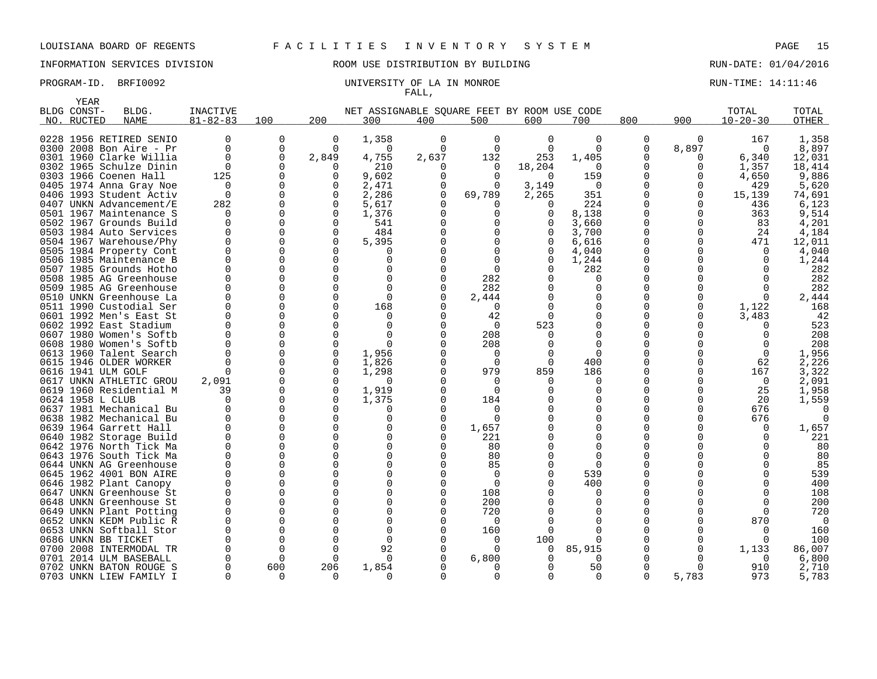## INFORMATION SERVICES DIVISION ROOM USE DISTRIBUTION BY BUILDING RUN-DATE: 01/04/2016

### PROGRAM-ID. BRFI0092 CONTROLLER ENTIRE STATE RUN-TIME: 14:11:46 FALL,

|      | YEAR             |                         |                 |             |              |                                             |              |          |             |              |             |          |                |              |
|------|------------------|-------------------------|-----------------|-------------|--------------|---------------------------------------------|--------------|----------|-------------|--------------|-------------|----------|----------------|--------------|
|      | BLDG CONST-      | BLDG.                   | <b>INACTIVE</b> |             |              | NET ASSIGNABLE SOUARE FEET BY ROOM USE CODE |              |          |             |              |             |          | TOTAL          | TOTAL        |
| NO.  | RUCTED           | <b>NAME</b>             | $81 - 82 - 83$  | 100         | 200          | 300                                         | 400          | 500      | 600         | 700          | 800         | 900      | $10 - 20 - 30$ | <b>OTHER</b> |
|      |                  |                         |                 |             |              |                                             |              |          |             |              |             |          |                |              |
|      |                  | 0228 1956 RETIRED SENIO | 0               | 0           | $\Omega$     | 1,358                                       | 0            | 0        | $\mathbf 0$ | $\Omega$     | 0           | 0        | 167            | 1,358        |
|      |                  | 0300 2008 Bon Aire - Pr | <sup>0</sup>    | $\mathbf 0$ | $\Omega$     | $\Omega$                                    | 0            | $\Omega$ | $\Omega$    | $\Omega$     | 0           | 8,897    | $\Omega$       | 8,897        |
| 0301 |                  | 1960 Clarke Willia      | <sup>0</sup>    | $\mathbf 0$ | 2,849        | 4,755                                       | 2,637        | 132      | 253         | 1,405        | 0           | 0        | 6,340          | 12,031       |
|      |                  | 0302 1965 Schulze Dinin | $\Omega$        | $\Omega$    | $\Omega$     | 210                                         | O            | $\Omega$ | 18,204      | $\Omega$     | $\Omega$    | 0        | 1,357          | 18,414       |
|      |                  | 0303 1966 Coenen Hall   | 125             | 0           |              | 9,602                                       | O            | $\Omega$ | $\Omega$    | 159          | 0           | $\Omega$ | 4,650          | 9,886        |
|      |                  | 0405 1974 Anna Gray Noe | $\Omega$        | $\Omega$    | <sup>0</sup> | 2,471                                       | 0            | 0        | 3,149       | $\Omega$     | $\Omega$    | 0        | 429            | 5,620        |
|      |                  | 0406 1993 Student Activ | $\Omega$        | $\Omega$    |              | 2,286                                       | $\Omega$     | 69,789   | 2,265       | 351          | $\Omega$    | 0        | 15,139         | 74,691       |
| 0407 |                  | UNKN Advancement/E      | 282             | $\Omega$    | $\Omega$     | 5,617                                       |              |          | $\Omega$    | 224          | 0           | 0        | 436            | 6,123        |
|      |                  | 0501 1967 Maintenance S | <sup>0</sup>    | $\Omega$    |              | 1,376                                       |              | O        | $\Omega$    | 8,138        | 0           | 0        | 363            | 9,514        |
| 0502 |                  | 1967 Grounds Build      | 0               | 0           | $\Omega$     | 541                                         |              |          |             | 3,660        | 0           | $\Omega$ | 83             | 4,201        |
|      |                  | 0503 1984 Auto Services | $\Omega$        | 0           | $\Omega$     | 484                                         |              |          |             | 3,700        | 0           | 0        | 24             | 4,184        |
|      |                  | 0504 1967 Warehouse/Phy | <sup>0</sup>    | 0           | $\Omega$     | 5,395                                       |              |          |             | 6,616        | $\mathbf 0$ | 0        | 471            | 12,011       |
| 0505 |                  | 1984 Property Cont      | $\Omega$        | $\Omega$    | $\Omega$     | $\Omega$                                    |              |          |             | 4,040        | 0           | $\Omega$ | $\Omega$       | 4,040        |
|      |                  | 0506 1985 Maintenance B | O               | $\Omega$    | $\Omega$     | $\Omega$                                    |              |          |             | 1,244        | 0           |          | $\Omega$       | 1,244        |
| 0507 |                  | 1985 Grounds Hotho      | $\Omega$        | $\Omega$    | $\Omega$     | $\Omega$                                    |              | $\Omega$ |             | 282          | 0           |          | $\cap$         | 282          |
|      |                  | 0508 1985 AG Greenhouse | <sup>0</sup>    | 0           | $\Omega$     | $\Omega$                                    |              | 282      |             | $\Omega$     | 0           |          |                | 282          |
| 0509 |                  | 1985 AG Greenhouse      | $\Omega$        | $\Omega$    | $\Omega$     | $\Omega$                                    |              | 282      |             | $\Omega$     | O           |          | $\Omega$       | 282          |
|      |                  | 0510 UNKN Greenhouse La | <sup>0</sup>    | 0           | $\Omega$     | $\mathbf 0$                                 |              | 2,444    |             | $\Omega$     | 0           |          | $\Omega$       | 2,444        |
|      |                  | 0511 1990 Custodial Ser | $\Omega$        | $\Omega$    | $\Omega$     | 168                                         |              | 0        |             | $\Omega$     | O           | $\Omega$ | 1,122          | 168          |
| 0601 |                  | 1992 Men's East St      | <sup>0</sup>    | $\Omega$    | $\Omega$     | $\Omega$                                    |              | 42       |             | $\Omega$     | 0           | 0        | 3,483          | 42           |
|      |                  | 0602 1992 East Stadium  | $\Omega$        | $\Omega$    | $\Omega$     | $\Omega$                                    |              | $\Omega$ | 523         | $\Omega$     | O           |          |                | 523          |
|      |                  | 0607 1980 Women's Softb | <sup>0</sup>    | $\Omega$    | $\Omega$     | $\Omega$                                    |              | 208      | $\Omega$    | $\Omega$     | O           |          | $\Omega$       | 208          |
|      |                  | 0608 1980 Women's Softb | <sup>0</sup>    | $\Omega$    | $\Omega$     | $\Omega$                                    |              | 208      |             | $\Omega$     | O           |          | $\cap$         | 208          |
| 0613 |                  | 1960 Talent Search      | 0               | 0           | $\Omega$     | 1,956                                       |              | 0        |             | 0            | 0           |          | $\mathbf 0$    | 1,956        |
|      |                  | 0615 1946 OLDER WORKER  | <sup>0</sup>    | $\Omega$    |              | 1,826                                       |              | $\Omega$ | 0           | 400          | 0           |          | 62             | 2,226        |
|      |                  | 0616 1941 ULM GOLF      | O               | 0           |              | 1,298                                       |              | 979      | 859         | 186          | 0           | N        | 167            | 3,322        |
| 0617 |                  | UNKN ATHLETIC GROU      | 2,091           | $\Omega$    |              | 0                                           |              | 0        |             | 0            | 0           | N        | $\mathbf 0$    | 2,091        |
|      |                  | 0619 1960 Residential M | 39              | $\Omega$    | $\Omega$     | 1,919                                       |              | $\Omega$ |             | <sup>0</sup> | O           |          | 25             | 1,958        |
|      | 0624 1958 L CLUB |                         | $\Omega$        | $\Omega$    | $\Omega$     | 1,375                                       |              | 184      |             | $\Omega$     | $\Omega$    |          | 20             | 1,559        |
| 0637 |                  | 1981 Mechanical Bu      | 0               | 0           | $\Omega$     | <sup>0</sup>                                | <sup>0</sup> | O        |             | <sup>0</sup> | 0           | O        | 676            |              |
| 0638 |                  | 1982 Mechanical Bu      | $\Omega$        | $\Omega$    | $\Omega$     | $\Omega$                                    | $\Omega$     | ∩        |             | $\Omega$     | O           |          | 676            |              |
| 0639 |                  | 1964 Garrett Hall       | $\Omega$        | $\Omega$    | $\Omega$     | $\Omega$                                    | $\Omega$     | 1,657    |             | $\Omega$     | 0           |          | $\Omega$       | 1,657        |
| 0640 |                  | 1982 Storage Build      | $\Omega$        | $\Omega$    | $\Omega$     | $\Omega$                                    |              | 221      |             | $\Omega$     | $\Omega$    |          | $\Omega$       | 221          |
| 0642 |                  | 1976 North Tick Ma      | $\Omega$        | 0           | $\Omega$     | $\Omega$                                    |              | 80       |             | $\Omega$     | 0           |          |                | 80           |
|      |                  | 0643 1976 South Tick Ma | U               | $\Omega$    | $\Omega$     | $\Omega$                                    |              | 80       |             | ∩            | O           |          |                | 80           |
|      |                  | 0644 UNKN AG Greenhouse | <sup>0</sup>    | $\Omega$    | $\Omega$     | $\Omega$                                    |              | 85       |             | $\Omega$     | 0           |          |                | 85           |
|      |                  | 0645 1962 4001 BON AIRE | $\Omega$        | $\Omega$    | $\Omega$     | $\Omega$                                    |              | $\Omega$ |             | 539          | O           |          |                | 539          |
| 0646 |                  | 1982 Plant Canopy       | 0               | 0           | $\Omega$     | $\Omega$                                    |              | 0        |             | 400          | 0           |          |                | 400          |
| 0647 |                  | UNKN Greenhouse St      | $\Omega$        | $\Omega$    | $\Omega$     | $\Omega$                                    |              | 108      |             | $\Omega$     | 0           |          |                | 108          |
| 0648 |                  | UNKN Greenhouse St      | <sup>0</sup>    | $\Omega$    | $\Omega$     | $\Omega$                                    |              | 200      |             | $\Omega$     | 0           |          | ∩              | 200          |
| 0649 |                  | UNKN Plant Potting      | $\Omega$        | $\Omega$    | $\Omega$     | $\Omega$                                    |              | 720      |             | $\Omega$     | 0           |          | $\Omega$       | 720          |
| 0652 |                  | UNKN KEDM Public R      | <sup>0</sup>    | $\Omega$    |              | $\Omega$                                    |              | O        |             |              | O           |          | 870            | ∩            |
| 0653 |                  | UNKN Softball Stor      | $\Omega$        | $\Omega$    | $\Omega$     | $\Omega$                                    |              | 160      |             | $\Omega$     | O           |          | $\Omega$       | 160          |
|      |                  | 0686 UNKN BB TICKET     | O               | $\Omega$    | $\Omega$     | $\Omega$                                    |              | O        | 100         |              | O           | O        | $\cap$         | 100          |
| 0700 |                  | 2008 INTERMODAL TR      | O               | 0           | $\Omega$     | 92                                          |              | ∩        | $\Omega$    | 85,915       | 0           | $\Omega$ | 1,133          | 86,007       |
| 0701 |                  | 2014 ULM BASEBALL       | <sup>0</sup>    | $\Omega$    | $\Omega$     | $\Omega$                                    |              | 6,800    |             | $\Omega$     | 0           | O        | 0              | 6,800        |
|      |                  | 0702 UNKN BATON ROUGE S | O               | 600         | 206          | 1,854                                       |              |          |             | 50           | $\Omega$    | $\Omega$ | 910            | 2,710        |
|      |                  | 0703 UNKN LIEW FAMILY I | <sup>0</sup>    | 0           | $\Omega$     | 0                                           | 0            | $\Omega$ | 0           | $\Omega$     | 0           | 5,783    | 973            | 5,783        |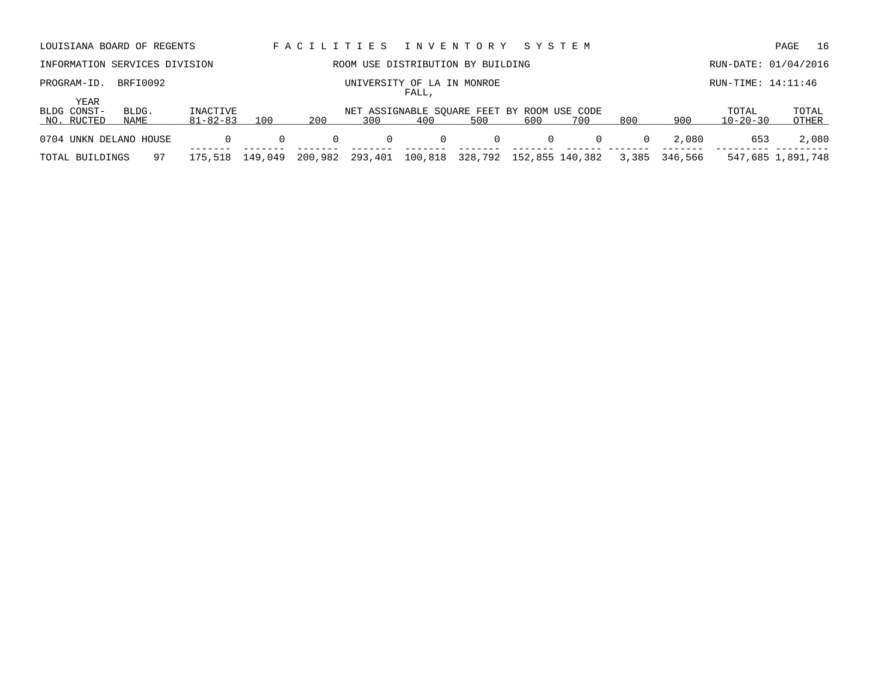| LOUISIANA BOARD OF REGENTS        |                               |                            |          |          |                  | FACILITIES INVENTORY                               |         | SYSTEM |                 |          |         |                         | 16<br>PAGE        |
|-----------------------------------|-------------------------------|----------------------------|----------|----------|------------------|----------------------------------------------------|---------|--------|-----------------|----------|---------|-------------------------|-------------------|
|                                   | INFORMATION SERVICES DIVISION |                            |          |          |                  | ROOM USE DISTRIBUTION BY BUILDING                  |         |        |                 |          |         | RUN-DATE: 01/04/2016    |                   |
| PROGRAM-ID.                       | BRFI0092                      |                            |          |          | UNIVERSITY OF LA | IN<br>FALL,                                        | MONROE  |        |                 |          |         | $RUN-TIME: 14:11:46$    |                   |
| YEAR<br>BLDG CONST-<br>NO. RUCTED | BLDG.<br>NAME                 | INACTIVE<br>$81 - 82 - 83$ | 100      | 200      | 300              | NET ASSIGNABLE SOUARE FEET BY ROOM USE CODE<br>400 | 500     | 600    | 700             | 800      | 900     | TOTAL<br>$10 - 20 - 30$ | TOTAL<br>OTHER    |
| 0704 UNKN DELANO HOUSE            |                               | $\Omega$                   | $\Omega$ | $\Omega$ | $\mathbf{0}$     | $\overline{0}$                                     | 0       | 0      | $\Omega$        | $\Omega$ | 2,080   | 653                     | 2,080             |
| TOTAL BUILDINGS                   | 97                            | 175,518                    | 149,049  | 200,982  | 293,401          | 100,818                                            | 328,792 |        | 152,855 140,382 | 3,385    | 346,566 |                         | 547,685 1,891,748 |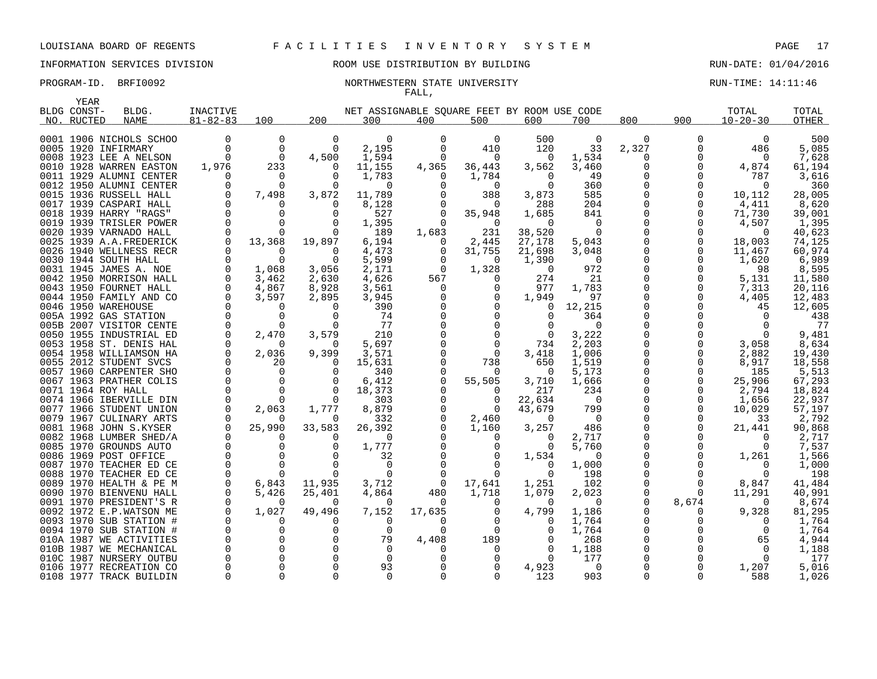### INFORMATION SERVICES DIVISION COOM OSE DISTRIBUTION BY BUILDING CONTROLLER RUN-DATE: 01/04/2016

### PROGRAM-ID. BRFI0092 **NORTHWESTERN STATE UNIVERSITY** NEW PROGRAM-ID. BRFI0092 FALL,

| <b>YEAR</b>            |                         |                      |                   |                   |                                             |          |               |               |                 |          |          |                |              |
|------------------------|-------------------------|----------------------|-------------------|-------------------|---------------------------------------------|----------|---------------|---------------|-----------------|----------|----------|----------------|--------------|
| BLDG CONST-            | BLDG.                   | INACTIVE             |                   |                   | NET ASSIGNABLE SQUARE FEET BY ROOM USE CODE |          |               |               |                 |          |          | TOTAL          | TOTAL        |
| NO. RUCTED             | <b>NAME</b>             | $81 - 82 - 83$       | 100               | 200               | 300                                         | 400      | 500           | 600           | 700             | 800      | 900      | $10 - 20 - 30$ | <b>OTHER</b> |
|                        |                         |                      |                   |                   |                                             |          |               |               |                 |          |          |                |              |
|                        | 0001 1906 NICHOLS SCHOO | $\Omega$             | $\Omega$          | $\Omega$          | $\Omega$                                    | $\Omega$ | $\Omega$      | 500           | $\Omega$        | $\Omega$ | O        | $\Omega$       | 500          |
| 0005 1920 INFIRMARY    |                         | $\Omega$             | $\mathbf 0$       | $\Omega$          | 2,195                                       | $\Omega$ | 410           | 120           | 33              | 2,327    |          | 486            | 5,085        |
| 0008 1923 LEE A NELSON |                         | $\Omega$             | $\Omega$          | 4,500             | 1,594                                       | $\Omega$ | $\Omega$      | $\Omega$      | 1,534           | 0        | U        | 0              | 7,628        |
|                        | 0010 1928 WARREN EASTON | 1,976                | 233               | $\Omega$          | 11,155                                      | 4,365    | 36,443        | 3,562         | 3,460           | 0        | $\Omega$ | 4,874          | 61,194       |
|                        | 0011 1929 ALUMNI CENTER | $\Omega$             | $\Omega$          | $\Omega$          | 1,783                                       | $\Omega$ | 1,784         | 0             | 49              | $\Omega$ | U        | 787            | 3,616        |
|                        | 0012 1950 ALUMNI CENTER | 0                    | 0                 | $\Omega$          | $\Omega$                                    | $\Omega$ | 0             | $\Omega$      | 360             | $\Omega$ |          | 0              | 360          |
| 0015 1936 RUSSELL HALL |                         | $\Omega$             | 7,498             | 3,872             | 11,789                                      |          | 388           | 3,873         | 585             | $\Omega$ |          | 10,112         | 28,005       |
| 0017 1939 CASPARI HALL |                         | $\Omega$             | $\Omega$          | $\Omega$          | 8,128                                       | $\Omega$ | $\Omega$      | 288           | 204             |          |          | 4,411          | 8,620        |
| 0018 1939 HARRY "RAGS" |                         | 0                    | $\Omega$          | $\Omega$          | 527                                         | 0        | 35,948        | 1,685         | 841             | $\Omega$ |          | 71,730         | 39,001       |
|                        | 0019 1939 TRISLER POWER | $\Omega$             | $\Omega$          | $\cap$            | 1,395                                       | $\Omega$ | $\Omega$      | 0             | $\Omega$        | $\Omega$ |          | 4,507          | 1,395        |
| 0020 1939 VARNADO HALL |                         | $\Omega$             | $\Omega$          | $\Omega$          | 189                                         | 1,683    | 231           | 38,520        | $\Omega$        | $\Omega$ |          | $\overline{0}$ | 40,623       |
|                        | 0025 1939 A.A.FREDERICK | $\Omega$             | 13,368            | 19,897            | 6,194                                       | $\Omega$ | 2,445         | 27,178        | 5,043           | $\Omega$ | 0        | 18,003         | 74,125       |
| 0026                   | 1940 WELLNESS RECR      | 0                    | 0                 | 0                 | 4,473                                       | 0        | 31,755        | 21,698        | 3,048           | 0        | 0        | 11,467         | 60,974       |
| 0030 1944 SOUTH HALL   |                         | $\Omega$             | $\Omega$          | $\Omega$          | 5,599                                       | 0        | $\Omega$      | 1,390         | $\Omega$        | $\Omega$ |          | 1,620          | 6,989        |
| 0031 1945 JAMES A. NOE |                         | 0                    | 1,068             | 3,056             | 2,171                                       | $\Omega$ | 1,328         | $\Omega$      | 972             |          |          | 98             | 8,595        |
|                        | 0042 1950 MORRISON HALL | $\Omega$             | 3,462             | 2,630             | 4,626                                       | 567      | $\Omega$      | 274           | 21              |          |          | 5,131          | 11,580       |
| 0043 1950 FOURNET HALL |                         | $\Omega$<br>$\Omega$ | 4,867             | 8,928             | 3,561                                       | 0        | 0             | 977           | 1,783           | ∩        |          | 7,313          | 20,116       |
|                        | 0044 1950 FAMILY AND CO | $\Omega$             | 3,597             | 2,895<br>$\Omega$ | 3,945                                       | $\Omega$ | $\Omega$      | 1,949         | 97              | $\Omega$ |          | 4,405          | 12,483       |
| 0046 1950 WAREHOUSE    |                         | $\mathbf 0$          | $\Omega$          |                   | 390                                         |          | $\Omega$      | $\Omega$<br>O | 12,215          |          |          | 45             | 12,605       |
| 005A 1992 GAS STATION  | 005B 2007 VISITOR CENTE | 0                    | 0<br>$\Omega$     | 0<br>$\Omega$     | 74<br>77                                    |          | 0<br>$\Omega$ |               | 364<br>$\Omega$ | $\Omega$ |          | 0<br>$\Omega$  | 438<br>77    |
|                        | 0050 1955 INDUSTRIAL ED | 0                    |                   | 3,579             | 210                                         |          | $\Omega$      | $\Omega$      | 3,222           |          |          | $\Omega$       | 9,481        |
|                        | 0053 1958 ST. DENIS HAL | $\Omega$             | 2,470<br>$\Omega$ | $\Omega$          | 5,697                                       |          | $\Omega$      | 734           | 2,203           |          |          | 3,058          | 8,634        |
|                        | 0054 1958 WILLIAMSON HA | 0                    | 2,036             | 9,399             | 3,571                                       |          | 0             | 3,418         | 1,006           |          |          | 2,882          | 19,430       |
| 0055 2012 STUDENT SVCS |                         | $\Omega$             | 20                | $\Omega$          | 15,631                                      |          | 738           | 650           | 1,519           | O        | $\Omega$ | 8,917          | 18,558       |
|                        | 0057 1960 CARPENTER SHO | $\Omega$             | $\Omega$          | $\Omega$          | 340                                         | $\Omega$ | $\Omega$      | 0             | 5,173           | $\Omega$ | $\Omega$ | 185            | 5,513        |
|                        | 0067 1963 PRATHER COLIS | $\Omega$             | $\Omega$          | $\Omega$          | 6,412                                       | $\Omega$ | 55,505        | 3,710         | 1,666           |          | $\Omega$ | 25,906         | 67,293       |
| 0071 1964 ROY HALL     |                         | $\mathbf 0$          | 0                 | $\Omega$          | 18,373                                      | 0        | 0             | 217           | 234             | $\Omega$ |          | 2,794          | 18,824       |
|                        | 0074 1966 IBERVILLE DIN | $\Omega$             | $\Omega$          | $\Omega$          | 303                                         | $\Omega$ | $\Omega$      | 22,634        | - 0             |          |          | 1,656          | 22,937       |
|                        | 0077 1966 STUDENT UNION | $\Omega$             | 2,063             | 1,777             | 8,879                                       |          | $\Omega$      | 43,679        | 799             | $\Omega$ |          | 10,029         | 57,197       |
|                        | 0079 1967 CULINARY ARTS | $\Omega$             | O                 | $\Omega$          | 332                                         |          | 2,460         | 0             | - 0             |          |          | 33             | 2,792        |
| 0081 1968 JOHN S.KYSER |                         | $\Omega$             | 25,990            | 33,583            | 26,392                                      |          | 1,160         | 3,257         | 486             | $\Omega$ |          | 21,441         | 90,868       |
|                        | 0082 1968 LUMBER SHED/A | $\Omega$             | 0                 | $\Omega$          | $\Omega$                                    | $\Omega$ | $\Omega$      | 0             | 2,717           | $\Omega$ |          | 0              | 2,717        |
| 0085 1970 GROUNDS AUTO |                         | $\Omega$             | $\Omega$          | $\Omega$          | 1,777                                       |          | $\Omega$      | $\Omega$      | 5,760           | $\Omega$ | $\Omega$ | $\Omega$       | 7,537        |
| 0086 1969 POST OFFICE  |                         | $\mathbf 0$          | 0                 | $\Omega$          | 32                                          |          | 0             | 1,534         | $\Omega$        | $\Omega$ |          | 1,261          | 1,566        |
|                        | 0087 1970 TEACHER ED CE | $\Omega$             | $\Omega$          | $\Omega$          | $\Omega$                                    | $\Omega$ | $\Omega$      | $\Omega$      | 1,000           |          |          | $\Omega$       | 1,000        |
|                        | 0088 1970 TEACHER ED CE | 0                    | $\Omega$          | $\Omega$          | $\Omega$                                    | $\Omega$ | 0             | $\Omega$      | 198             | $\Omega$ |          | $\Omega$       | 198          |
|                        | 0089 1970 HEALTH & PE M | $\Omega$             | 6,843             | 11,935            | 3,712                                       | 0        | 17,641        | 1,251         | 102             | O        |          | 8,847          | 41,484       |
|                        | 0090 1970 BIENVENU HALL | $\Omega$             | 5,426             | 25,401            | 4,864                                       | 480      | 1,718         | 1,079         | 2,023           | 0        | $\Omega$ | 11,291         | 40,991       |
|                        | 0091 1970 PRESIDENT'S R | $\Omega$             | 0                 | $\Omega$          | $\Omega$                                    | $\Omega$ | $\Omega$      | $\Omega$      | $\Omega$        | $\Omega$ | 8,674    | $\Omega$       | 8,674        |
|                        | 0092 1972 E.P.WATSON ME | $\mathbf 0$          | 1,027             | 49,496            | 7,152                                       | 17,635   | 0             | 4,799         | 1,186           | $\Omega$ | $\Omega$ | 9,328          | 81,295       |
|                        | 0093 1970 SUB STATION # | $\Omega$             | 0                 | <sup>0</sup>      | $\Omega$                                    | $\Omega$ | $\Omega$      | $\Omega$      | 1,764           | 0        |          | $\Omega$       | 1,764        |
|                        | 0094 1970 SUB STATION # | $\Omega$             | $\Omega$          | $\Omega$          | $\Omega$                                    | $\Omega$ | $\Omega$      | ∩             | 1,764           | $\Omega$ |          | $\Omega$       | 1,764        |
|                        | 010A 1987 WE ACTIVITIES | 0                    | 0                 | $\Omega$          | 79                                          | 4,408    | 189           | O             | 268             | $\Omega$ |          | 65             | 4,944        |
|                        | 010B 1987 WE MECHANICAL | $\Omega$             | $\Omega$          | <sup>n</sup>      | $\Omega$                                    | $\Omega$ | $\Omega$      |               | 1,188           |          |          | $\Omega$       | 1,188        |
|                        | 010C 1987 NURSERY OUTBU | $\Omega$             | $\Omega$          | $\Omega$          | $\Omega$                                    | $\Omega$ | 0             | $\Omega$      | 177             |          |          | $\Omega$       | 177          |
|                        | 0106 1977 RECREATION CO | $\Omega$             | $\Omega$          | $\Omega$          | 93                                          |          | $\Omega$      | 4,923         | $\Omega$        | $\Omega$ |          | 1,207          | 5,016        |
|                        | 0108 1977 TRACK BUILDIN | 0                    | $\Omega$          | $\Omega$          | $\Omega$                                    | $\Omega$ | $\Omega$      | 123           | 903             | $\Omega$ |          | 588            | 1,026        |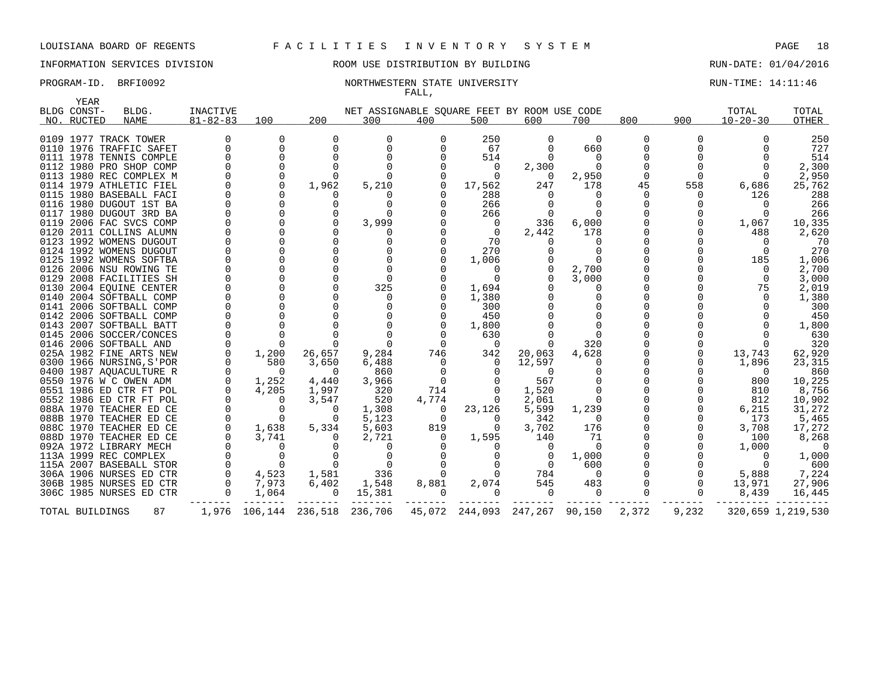# INFORMATION SERVICES DIVISION ROOM USE DISTRIBUTION BY BUILDING RUN-DATE: 01/04/2016

### PROGRAM-ID. BRFI0092 **NORTHWESTERN STATE UNIVERSITY** NORTHWESTERN STATE ON THE STATE ON THE STATE OF THE STATE OF FALL,

| YEAR            |                          |                 |               |              |                                             |          |          |                 |                |          |          |                |                   |
|-----------------|--------------------------|-----------------|---------------|--------------|---------------------------------------------|----------|----------|-----------------|----------------|----------|----------|----------------|-------------------|
| BLDG CONST-     | BLDG.                    | <b>INACTIVE</b> |               |              | NET ASSIGNABLE SQUARE FEET BY ROOM USE CODE |          |          |                 |                |          |          | TOTAL          | TOTAL             |
| NO. RUCTED      | NAME                     | $81 - 82 - 83$  | 100           | 200          | 300                                         | 400      | 500      | 600             | 700            | 800      | 900      | $10 - 20 - 30$ | OTHER             |
|                 | 0109 1977 TRACK TOWER    | 0               | $\Omega$      | <sup>0</sup> | 0                                           | 0        | 250      | 0               | $\Omega$       | 0        |          |                | 250               |
|                 | 0110 1976 TRAFFIC SAFET  | $\Omega$        | $\Omega$      |              | $\Omega$                                    |          | 67       | $\Omega$        | 660            | $\Omega$ |          |                | 727               |
|                 | 0111 1978 TENNIS COMPLE  |                 | 0             |              | $\Omega$                                    |          | 514      | 0               | $\Omega$       |          |          |                | 514               |
|                 | 0112 1980 PRO SHOP COMP  |                 | 0             |              |                                             |          | $\Omega$ | 2,300           | $\Omega$       |          |          |                | 2,300             |
|                 | 0113 1980 REC COMPLEX M  |                 | 0             |              | $\Omega$                                    |          | $\Omega$ | $\Omega$        | 2,950          | $\Omega$ |          |                | 2,950             |
|                 | 0114 1979 ATHLETIC FIEL  |                 | $\Omega$      | 1,962        | 5,210                                       |          | 17,562   | 247             | 178            | 45       | 558      | 6,686          | 25,762            |
|                 | 0115 1980 BASEBALL FACI  |                 |               |              |                                             |          | 288      | $\Omega$        | 0              | $\Omega$ |          | 126            | 288               |
|                 | 0116 1980 DUGOUT 1ST BA  |                 | 0             |              | $\Omega$                                    |          | 266      |                 | 0              |          |          |                | 266               |
|                 | 0117 1980 DUGOUT 3RD BA  |                 |               |              | $\Omega$                                    |          | 266      | 0               | $\Omega$       |          |          |                | 266               |
|                 | 0119 2006 FAC SVCS COMP  |                 |               |              | 3,999                                       |          | 0        | 336             | 6,000          |          |          | 1,067          | 10,335            |
|                 | 0120 2011 COLLINS ALUMN  |                 |               |              |                                             |          | $\Omega$ | 2,442           | 178            |          |          | 488            | 2,620             |
|                 | 0123 1992 WOMENS DUGOUT  |                 |               |              |                                             |          | 70       |                 | 0              |          |          |                | 70                |
|                 | 0124 1992 WOMENS DUGOUT  |                 |               |              |                                             |          | 270      |                 | O              |          |          |                | 270               |
|                 | 0125 1992 WOMENS SOFTBA  |                 |               |              | $\cap$                                      |          | 1,006    |                 | $\cap$         |          |          | 185            | 1,006             |
|                 | 0126 2006 NSU ROWING TE  |                 | $\Omega$      |              | $\Omega$                                    |          | 0        |                 | 2,700          |          |          |                | 2,700             |
|                 | 0129 2008 FACILITIES SH  |                 |               |              | $\Omega$                                    |          | $\Omega$ |                 | 3,000          |          |          | $\Omega$       | 3,000             |
|                 | 0130 2004 EOUINE CENTER  |                 | $\Omega$      |              | 325                                         |          | 1,694    |                 | 0              |          |          | 75             | 2,019             |
|                 | 0140 2004 SOFTBALL COMP  |                 |               |              | 0                                           |          | 1,380    |                 | $\Omega$       |          |          |                | 1,380             |
|                 | 0141 2006 SOFTBALL COMP  |                 |               |              | -0                                          |          | 300      |                 |                |          |          |                | 300               |
|                 | 0142 2006 SOFTBALL COMP  |                 |               |              |                                             |          | 450      |                 |                |          |          |                | 450               |
|                 | 0143 2007 SOFTBALL BATT  |                 |               |              |                                             |          | 1,800    |                 |                |          |          |                | 1,800             |
|                 | 0145 2006 SOCCER/CONCES  |                 |               |              |                                             |          | 630      |                 |                |          |          |                | 630               |
|                 | 0146 2006 SOFTBALL AND   | 0               | 0             |              | $\cap$                                      |          | - 0      |                 | 320            |          |          |                | 320               |
|                 | 025A 1982 FINE ARTS NEW  | $\Omega$        | 1,200         | 26,657       | 9,284                                       | 746      | 342      | 20,063          | 4,628          |          |          | 13,743         | 62,920            |
|                 | 0300 1966 NURSING, S'POR |                 | 580           | 3,650        | 6,488                                       | $\Omega$ | 0        | 12,597          | O              |          |          | 1,896          | 23,315            |
|                 | 0400 1987 AQUACULTURE R  | $\Omega$        | $\Omega$      | $\Omega$     | 860                                         |          |          | $\Omega$        | 0              |          |          | 0              | 860               |
|                 | 0550 1976 W C OWEN ADM   | $\Omega$        | 1,252         | 4,440        | 3,966                                       |          |          | 567             | $\Omega$       |          |          | 800            | 10,225            |
|                 | 0551 1986 ED CTR FT POL  |                 | 4,205         | 1,997        | 320                                         | 714      |          | 1,520           | $\Omega$       |          |          | 810            | 8,756             |
|                 | 0552 1986 ED CTR FT POL  | $\Omega$        | $\Omega$      | 3,547        | 520                                         | 4,774    | $\Omega$ | 2,061           | $\Omega$       |          |          | 812            | 10,902            |
|                 | 088A 1970 TEACHER ED CE  | $\Omega$        | $\Omega$      | $\Omega$     | 1,308                                       | 0        | 23,126   | 5,599           | 1,239          |          |          | 6,215          | 31,272            |
|                 | 088B 1970 TEACHER ED CE  |                 | $\Omega$      | $\Omega$     | 5,123                                       | 0        |          | 342             | $\Omega$       |          |          | 173            | 5,465             |
|                 | 088C 1970 TEACHER ED CE  | 0               | 1,638         | 5,334        | 5,603                                       | 819      | $\Omega$ | 3,702           | 176            |          |          | 3,708          | 17,272            |
|                 | 088D 1970 TEACHER ED CE  |                 | 3,741         |              | 2,721                                       |          | 1,595    | 140             | 71             |          |          | 100            | 8,268             |
|                 | 092A 1972 LIBRARY MECH   |                 | 0             |              | $\Omega$                                    |          |          | $\Omega$        | 0              |          |          | 1,000          | $\Omega$          |
|                 | 113A 1999 REC COMPLEX    | $\Omega$        | $\Omega$      |              | $\Omega$                                    |          |          | 0               | 1,000          |          |          | $\Omega$       | 1,000             |
|                 | 115A 2007 BASEBALL STOR  | $\Omega$        | $\Omega$      | $\Omega$     | $\Omega$                                    |          |          | $\Omega$        | 600            |          |          | $\Omega$       | 600               |
|                 | 306A 1906 NURSES ED CTR  |                 | 4,523         | 1,581        | 336                                         |          |          | 784             | $\Omega$       |          |          | 5,888          | 7,224             |
|                 | 306B 1985 NURSES ED CTR  | 0               | 7,973         | 6,402        | 1,548                                       | 8,881    | 2,074    | 545             | 483            | 0        | $\Omega$ | 13,971         | 27,906            |
|                 | 306C 1985 NURSES ED CTR  | $\mathbf 0$     | 1,064         | 0            | 15,381                                      | 0        | $\Omega$ | $\overline{0}$  | $\overline{0}$ | $\Omega$ | $\Omega$ | 8,439          | 16,445            |
| TOTAL BUILDINGS | 87                       |                 | 1,976 106,144 | 236,518      | 236,706                                     | 45,072   |          | 244,093 247,267 | 90,150         | 2,372    | 9,232    |                | 320,659 1,219,530 |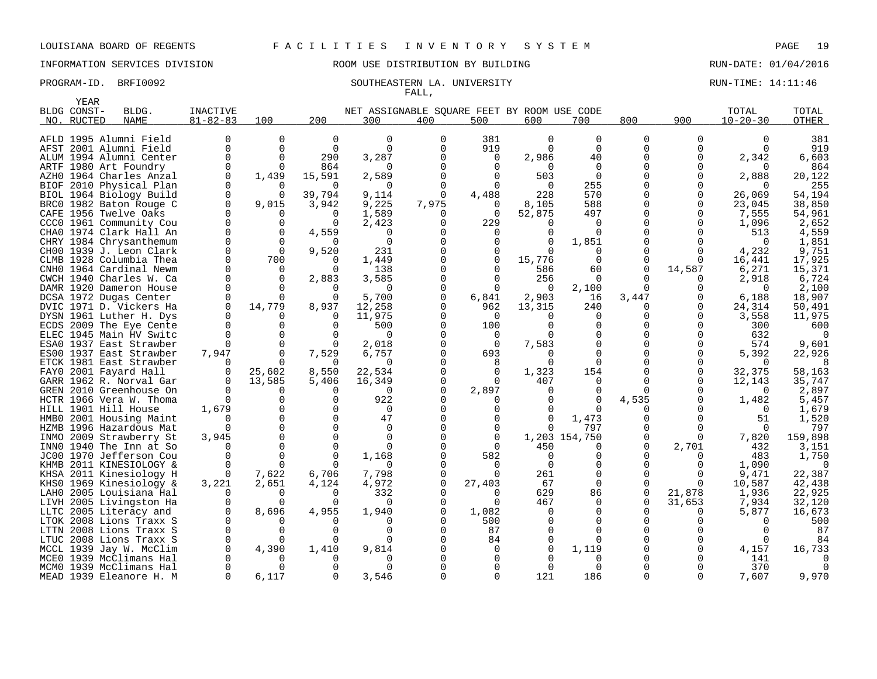# INFORMATION SERVICES DIVISION ROOM USE DISTRIBUTION BY BUILDING RUN-DATE: 01/04/2016

### PROGRAM-ID. BRFI0092 SOUTHEASTERN LA. UNIVERSITY SALL AND RUN-TIME: 14:11:46 FALL,

| YEAR        |                                                    |                 |          |          |                                             |       |              |          |               |          |        |                |         |
|-------------|----------------------------------------------------|-----------------|----------|----------|---------------------------------------------|-------|--------------|----------|---------------|----------|--------|----------------|---------|
| BLDG CONST- | BLDG.                                              | <b>INACTIVE</b> |          |          | NET ASSIGNABLE SOUARE FEET BY ROOM USE CODE |       |              |          |               |          |        | TOTAL          | TOTAL   |
| NO. RUCTED  | <b>NAME</b>                                        | $81 - 82 - 83$  | 100      | 200      | 300                                         | 400   | 500          | 600      | 700           | 800      | 900    | $10 - 20 - 30$ | OTHER   |
|             |                                                    |                 | $\Omega$ | $\Omega$ | $\Omega$                                    | 0     |              | $\Omega$ | $\Omega$      |          |        |                |         |
|             | AFLD 1995 Alumni Field                             |                 | 0        |          |                                             |       | 381          |          |               | 0        |        |                | 381     |
|             | AFST 2001 Alumni Field                             | 0               |          | $\Omega$ | $\Omega$                                    |       | 919          |          | $\Omega$      | 0        |        |                | 919     |
|             | ALUM 1994 Alumni Center                            | $\Omega$        | $\Omega$ | 290      | 3,287                                       |       | $\Omega$     | 2,986    | 40            |          | 0      | 2,342          | 6,603   |
|             | ARTF 1980 Art Foundry                              |                 | $\Omega$ | 864      | <sup>0</sup>                                |       | $\Omega$     |          | $\Omega$      |          |        |                | 864     |
|             | AZHO 1964 Charles Anzal                            | 0               | 1,439    | 15,591   | 2,589                                       |       | 0            | 503      | $\Omega$      |          |        | 2,888          | 20,122  |
|             | BIOF 2010 Physical Plan                            | O               |          | $\Omega$ | 0                                           |       | $\Omega$     | $\Omega$ | 255           |          |        |                | 255     |
|             | BIOL 1964 Biology Build                            |                 |          | 39,794   | 9,114                                       |       | 4,488        | 228      | 570           |          |        | 26,069         | 54,194  |
|             | BRC0 1982 Baton Rouge C                            | 0               | 9,015    | 3,942    | 9,225                                       | 7,975 | $\Omega$     | 8,105    | 588           | 0        | O      | 23,045         | 38,850  |
|             | CAFE 1956 Twelve Oaks                              |                 |          | $\Omega$ | 1,589                                       |       | $\Omega$     | 52,875   | 497           | O        | O      | 7,555          | 54,961  |
|             | CCCO 1961 Community Cou                            |                 |          | $\Omega$ | 2,423                                       |       | 229          |          | $\Omega$      |          |        | 1,096          | 2,652   |
|             | CHAO 1974 Clark Hall An                            |                 |          | 4,559    | $\Omega$                                    |       |              |          | $\Omega$      |          |        | 513            | 4,559   |
|             | CHRY 1984 Chrysanthemum                            |                 |          |          | $\Omega$                                    |       |              |          | 1,851         |          |        | $\Omega$       | 1,851   |
|             | CHOO 1939 J. Leon Clark                            |                 | $\Omega$ | 9,520    | 231                                         |       | 0            |          | $\Omega$      |          |        | 4,232          | 9,751   |
|             | CLMB 1928 Columbia Thea                            |                 | 700      |          | 1,449                                       |       | 0            | 15,776   | $\Omega$      | $\Omega$ |        | 16,441         | 17,925  |
|             | CNHO 1964 Cardinal Newm                            |                 | $\Omega$ | $\Omega$ | 138                                         |       | 0            | 586      | 60            | 0        | 14,587 | 6,271          | 15,371  |
|             | CWCH 1940 Charles W. Ca                            |                 |          | 2,883    | 3,585                                       |       | 0            | 256      | $\Omega$      |          |        | 2,918          | 6,724   |
|             | DAMR 1920 Dameron House                            |                 | $\Omega$ | $\Omega$ | <sup>0</sup>                                |       | 0            | $\Omega$ | 2,100         | $\Omega$ | ∩      | $\Omega$       | 2,100   |
|             | DCSA 1972 Dugas Center                             |                 |          |          | 5,700                                       |       | 6,841        | 2,903    | 16            | 3,447    |        | 6,188          | 18,907  |
|             | DVIC 1971 D. Vickers Ha                            |                 | 14,779   | 8,937    | 12,258                                      |       | 962          | 13,315   | 240           |          | 0      | 24,314         | 50,491  |
|             | DYSN 1961 Luther H. Dys                            |                 |          | $\Omega$ | 11,975                                      |       | $\Omega$     |          | 0             |          | 0      | 3,558          | 11,975  |
|             | ECDS 2009 The Eye Cente                            |                 |          |          | 500                                         |       | 100          |          |               |          |        | 300            | 600     |
|             | ELEC 1945 Main HV Switc                            |                 |          |          | $\Omega$                                    |       | 0            |          | 0             | 0        |        | 632            |         |
|             | ESAO 1937 East Strawber                            |                 |          |          | 2,018                                       |       | $\Omega$     | 7,583    | $\Omega$      |          | ∩      | 574            | 9,601   |
|             | ESOO 1937 East Strawber                            | 7,947           |          | 7,529    | 6,757                                       |       | 693          |          | <sup>0</sup>  |          | ∩      | 5,392          | 22,926  |
|             | ETCK 1981 East Strawber                            |                 |          | $\Omega$ | $\Omega$                                    |       |              |          | $\Omega$      |          |        |                |         |
|             | FAYO 2001 Fayard Hall                              |                 | 25,602   | 8,550    | 22,534                                      |       | $\Omega$     | 1,323    | 154           |          | 0      | 32,375         | 58,163  |
|             | GARR 1962 R. Norval Gar                            |                 | 13,585   | 5,406    | 16,349                                      |       |              | 407      | 0             | 0        |        | 12,143         | 35,747  |
|             | GREN 2010 Greenhouse On                            |                 |          |          | 0                                           |       | 2,897        |          | 0             | $\Omega$ | 0      |                | 2,897   |
|             | HCTR 1966 Vera W. Thoma                            |                 |          | $\Omega$ | 922                                         |       |              |          | $\Omega$      | 4,535    | 0      | 1,482          | 5,457   |
|             | HILL 1901 Hill House                               | 1,679           |          |          | $\Omega$                                    |       |              |          |               |          |        |                | 1,679   |
|             | HMB0 2001 Housing Maint                            |                 |          |          | 47                                          |       |              |          | 1,473         |          |        | 51             | 1,520   |
|             | HZMB 1996 Hazardous Mat                            |                 |          |          | $\Omega$                                    |       |              |          | 797           |          |        |                | 797     |
|             | INMO 2009 Strawberry St                            | 3,945           |          | $\Omega$ | $\Omega$                                    |       | $\Omega$     |          | 1,203 154,750 | 0        |        | 7,820          | 159,898 |
|             | INNO 1940 The Inn at So                            |                 |          |          | <sup>0</sup>                                |       | $\Omega$     | 450      |               | 0        | 2,701  | 432            | 3,151   |
|             | JC00 1970 Jefferson Cou                            |                 |          |          | 1,168                                       |       | 582          |          | 0             |          |        | 483            | 1,750   |
|             | KHMB 2011 KINESIOLOGY &                            |                 |          |          | O                                           |       | $\Omega$     |          | 0             |          |        | 1,090          |         |
|             | KHSA 2011 Kinesiology H                            |                 | 7,622    | 6,706    | 7,798                                       |       |              | 261      | $\Omega$      | U        |        | 9,471          | 22,387  |
|             | KHSO 1969 Kinesiology &                            | 3,221           | 2,651    | 4,124    | 4,972                                       |       | 27,403       | 67       | $\Omega$      | $\Omega$ | 0      | 10,587         | 42,438  |
|             | LAHO 2005 Louisiana Hal                            |                 |          |          | 332                                         |       |              | 629      | 86            | $\Omega$ | 21,878 | 1,936          | 22,925  |
|             | LIVH 2005 Livingston Ha                            |                 |          | $\Omega$ | <sup>0</sup>                                |       | <sup>0</sup> | 467      | $\Omega$      | O        | 31,653 | 7,934          | 32,120  |
|             | LLTC 2005 Literacy and                             |                 | 8,696    | 4,955    | 1,940                                       |       | 1,082        |          | 0             |          |        | 5,877          | 16,673  |
|             | LTOK 2008 Lions Traxx S                            |                 |          |          |                                             |       | 500          |          | 0             |          |        |                | 500     |
|             | LTTN 2008 Lions Traxx S                            |                 |          |          |                                             |       | 87           |          | $\Omega$      |          |        |                | 87      |
|             | LTUC 2008 Lions Traxx S                            |                 |          |          |                                             |       | 84           |          |               |          |        |                | 84      |
|             | MCCL 1939 Jay W. McClim                            |                 | 4,390    | 1,410    | 9,814                                       |       | $\Omega$     |          | 1,119         |          |        | 4,157          | 16,733  |
|             | MCEO 1939 McClimans Hal                            |                 |          |          | <sup>0</sup>                                |       |              |          | $\Omega$      |          |        | 141            |         |
|             | MCMO 1939 McClimans Hal<br>MEAD 1939 Eleanore H. M |                 | 6,117    |          | 3,546                                       |       |              | 121      | 186           |          |        | 370<br>7,607   | 9,970   |
|             |                                                    |                 |          |          |                                             |       |              |          |               |          |        |                |         |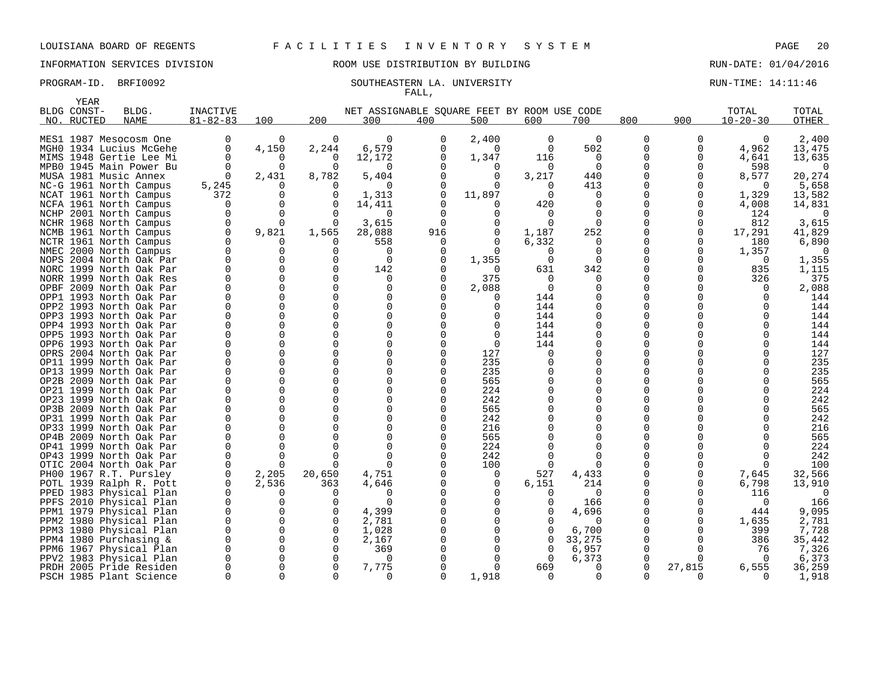## INFORMATION SERVICES DIVISION 88 ROOM USE DISTRIBUTION BY BUILDING RUN-DATE: 01/04/2016

# FALL,

### PROGRAM-ID. BRFI0092 SOUTHEASTERN LA. UNIVERSITY SALL AND RUN-TIME: 14:11:46

|      | YEAR        |                                                    |                |             |                      |                                             |              |                 |               |               |               |              |                 |              |
|------|-------------|----------------------------------------------------|----------------|-------------|----------------------|---------------------------------------------|--------------|-----------------|---------------|---------------|---------------|--------------|-----------------|--------------|
|      | BLDG CONST- | BLDG.                                              | INACTIVE       |             |                      | NET ASSIGNABLE SOUARE FEET BY ROOM USE CODE |              |                 |               |               |               |              | TOTAL           | TOTAL        |
|      | NO. RUCTED  | <b>NAME</b>                                        | $81 - 82 - 83$ | 100         | 200                  | 300                                         | 400          | 500             | 600           | 700           | 800           | 900          | $10 - 20 - 30$  | <b>OTHER</b> |
|      |             |                                                    |                |             |                      |                                             |              |                 |               |               |               |              |                 |              |
|      |             | MES1 1987 Mesocosm One                             | 0              | 0           | 0                    | $\mathbf 0$                                 | 0            | 2,400           | $\mathbf 0$   | $\mathbf 0$   | $\mathbf 0$   | 0            | 0               | 2,400        |
|      |             | MGHO 1934 Lucius McGehe                            | 0              | 4,150       | 2,244                | 6,579                                       | 0            | $\Omega$        | $\Omega$      | 502           | 0             | 0            | 4,962           | 13,475       |
|      |             | MIMS 1948 Gertie Lee Mi                            | 0              | $\Omega$    | 0                    | 12,172                                      | $\Omega$     | 1,347           | 116           | 0             | 0             | 0            | 4,641           | 13,635       |
|      |             | MPB0 1945 Main Power Bu                            | $\Omega$       | 0           | $\Omega$             | $\Omega$                                    |              | $\Omega$        | $\Omega$      | $\Omega$      | 0             | $\Omega$     | 598             | $\Omega$     |
|      |             | MUSA 1981 Music Annex                              | $\Omega$       | 2,431       | 8,782                | 5,404                                       |              | $\Omega$        | 3,217         | 440           | $\Omega$      | $\Omega$     | 8,577           | 20,274       |
|      |             | NC-G 1961 North Campus                             | 5,245          | 0           | O                    | $\Omega$                                    | 0            | $\Omega$        | $\Omega$      | 413           | 0             | $\Omega$     | $\Omega$        | 5,658        |
|      |             | NCAT 1961 North Campus                             | 372            | 0           | $\Omega$             | 1,313                                       | $\Omega$     | 11,897          | $\Omega$      | $\Omega$      | $\Omega$      | $\Omega$     | 1,329           | 13,582       |
|      |             | NCFA 1961 North Campus                             | $\Omega$       | 0           | $\Omega$             | 14,411                                      |              | $\Omega$        | 420           | $\Omega$      | 0             | $\Omega$     | 4,008           | 14,831       |
|      |             | NCHP 2001 North Campus                             | 0              | $\Omega$    | ∩                    | 0                                           | $\Omega$     | $\Omega$        | 0             | $\Omega$      | 0             | 0            | 124             |              |
| NCHR |             | 1968 North Campus                                  | 0              | O           | $\Omega$             | 3,615                                       | <sup>0</sup> | 0               | $\Omega$      | $\Omega$      | 0             | 0            | 812             | 3,615        |
|      |             | NCMB 1961 North Campus                             | $\mathbf 0$    | 9,821       | 1,565                | 28,088                                      | 916          | 0               | 1,187         | 252           | 0             | 0            | 17,291          | 41,829       |
|      |             | NCTR 1961 North Campus                             | $\mathbf 0$    | O           | ∩                    | 558                                         | 0            | 0               | 6,332         | 0             | 0             | 0            | 180             | 6,890        |
|      |             | NMEC 2000 North Campus                             | $\Omega$       | 0           | ∩                    | 0                                           | $\Omega$     | $\Omega$        | 0             | $\Omega$      | 0             | $\Omega$     | 1,357           | $\Omega$     |
|      |             | NOPS 2004 North Oak Par                            | $\Omega$       | $\Omega$    | $\Omega$<br>$\Omega$ | $\Omega$                                    |              | 1,355           | $\Omega$      | $\Omega$      | O             | $\Omega$     | $\Omega$        | 1,355        |
|      |             | NORC 1999 North Oak Par                            | $\Omega$<br>0  | 0<br>0      | $\Omega$             | 142                                         |              | $\Omega$<br>375 | 631           | 342           | 0             | $\Omega$     | 835             | 1,115<br>375 |
|      |             | NORR 1999 North Oak Res                            | $\Omega$       | $\Omega$    | $\Omega$             | 0                                           | 0            |                 | 0<br>$\Omega$ | 0<br>$\Omega$ | 0<br>0        | 0<br>U       | 326<br>$\Omega$ |              |
|      |             | OPBF 2009 North Oak Par<br>OPP1 1993 North Oak Par | 0              | 0           | $\Omega$             | $\mathbf 0$<br>0                            |              | 2,088           | 144           | 0             |               |              | 0               | 2,088        |
|      |             | OPP2 1993 North Oak Par                            | $\Omega$       | $\Omega$    | $\Omega$             | $\Omega$                                    |              | 0<br>$\Omega$   | 144           | $\Omega$      | 0<br>$\Omega$ |              |                 | 144<br>144   |
|      |             | OPP3 1993 North Oak Par                            | $\Omega$       | 0           | $\Omega$             | $\mathbf 0$                                 |              | $\Omega$        | 144           | $\Omega$      | 0             |              |                 | 144          |
|      |             | OPP4 1993 North Oak Par                            | $\Omega$       | $\Omega$    | $\Omega$             | $\Omega$                                    |              | $\Omega$        | 144           | ∩             | $\Omega$      |              |                 | 144          |
|      |             | OPP5 1993 North Oak Par                            | $\Omega$       | $\Omega$    | $\Omega$             | $\mathbf 0$                                 |              | $\Omega$        | 144           | $\Omega$      | 0             |              |                 | 144          |
|      |             | OPP6 1993 North Oak Par                            | $\Omega$       | $\Omega$    | $\Omega$             | $\mathbf 0$                                 |              | $\Omega$        | 144           | $\Omega$      | 0             |              |                 | 144          |
|      |             | OPRS 2004 North Oak Par                            | 0              | 0           | $\Omega$             | $\mathbf 0$                                 |              | 127             | 0             | 0             | 0             |              |                 | 127          |
|      |             | OP11 1999 North Oak Par                            | $\Omega$       | $\Omega$    | $\Omega$             | $\mathbf 0$                                 |              | 235             | 0             | $\Omega$      | 0             |              |                 | 235          |
|      |             | OP13 1999 North Oak Par                            | O              | $\Omega$    | ∩                    | $\Omega$                                    |              | 235             |               | $\Omega$      | <sup>0</sup>  |              |                 | 235          |
|      |             | OP2B 2009 North Oak Par                            | $\Omega$       | $\Omega$    | $\Omega$             | $\mathbf 0$                                 |              | 565             |               | $\Omega$      | <sup>0</sup>  |              |                 | 565          |
|      |             | OP21 1999 North Oak Par                            | O              | $\Omega$    | ∩                    | $\Omega$                                    |              | 224             |               | $\Omega$      | O             |              |                 | 224          |
|      |             | OP23 1999 North Oak Par                            | $\Omega$       | $\Omega$    | $\Omega$             | $\Omega$                                    | $\Omega$     | 242             |               | $\Omega$      | $\Omega$      |              |                 | 242          |
|      |             | OP3B 2009 North Oak Par                            | O              | 0           | $\Omega$             | $\mathbf 0$                                 | 0            | 565             |               | $\Omega$      | 0             |              |                 | 565          |
| OP31 |             | 1999 North Oak Par                                 | $\Omega$       | 0           | $\Omega$             | $\Omega$                                    |              | 242             |               | $\Omega$      | $\Omega$      |              |                 | 242          |
|      |             | OP33 1999 North Oak Par                            | O              | 0           | $\Omega$             | $\Omega$                                    |              | 216             |               | $\Omega$      | 0             |              |                 | 216          |
|      |             | OP4B 2009 North Oak Par                            | $\Omega$       | $\Omega$    | ∩                    | $\Omega$                                    |              | 565             |               | $\Omega$      | <sup>0</sup>  |              |                 | 565          |
|      |             | OP41 1999 North Oak Par                            | 0              | 0           |                      | $\mathbf 0$                                 |              | 224             |               | $\Omega$      | 0             |              |                 | 224          |
|      |             | OP43 1999 North Oak Par                            | $\Omega$       | 0           | ∩                    | $\Omega$                                    |              | 242             |               | ∩             | $\Omega$      |              |                 | 242          |
|      |             | OTIC 2004 North Oak Par                            | 0              | 0           | $\Omega$             | $\Omega$                                    |              | 100             | $\Omega$      | $\Omega$      | 0             | 0            | $\Omega$        | 100          |
|      |             | PH00 1967 R.T. Pursley                             | 0              | 2,205       | 20,650               | 4,751                                       |              | $\Omega$        | 527           | 4,433         | 0             | 0            | 7,645           | 32,566       |
|      |             | POTL 1939 Ralph R. Pott                            | 0              | 2,536       | 363                  | 4,646                                       |              | 0               | 6,151         | 214           | 0             | 0            | 6,798           | 13,910       |
|      |             | PPED 1983 Physical Plan                            | $\Omega$       | 0           | O                    | $\Omega$                                    |              | $\Omega$        | 0             | $\Omega$      | 0             | 0            | 116             |              |
| PPFS |             | 2010 Physical Plan                                 | 0              | 0           | $\Omega$             | $\Omega$                                    |              | $\Omega$        | 0             | 166           | 0             | 0            | 0               | 166          |
| PPM1 |             | 1979 Physical Plan                                 | 0              | 0           | $\Omega$             | 4,399                                       |              | $\Omega$        | $\Omega$      | 4,696         | 0             | 0            | 444             | 9,095        |
|      |             | PPM2 1980 Physical Plan                            | 0              | 0           | $\Omega$             | 2,781                                       |              |                 | 0             | O             | 0             | <sup>0</sup> | 1,635           | 2,781        |
| PPM3 |             | 1980 Physical Plan                                 | $\Omega$       | $\Omega$    | $\Omega$             | 1,028                                       |              |                 | $\Omega$      | 6,700         | 0             | $\Omega$     | 399             | 7,728        |
|      |             | PPM4 1980 Purchasing &                             | $\Omega$       | 0           | $\Omega$             | 2,167                                       |              |                 | $\mathbf 0$   | 33,275        | 0             | 0            | 386             | 35,442       |
| PPM6 |             | 1967 Physical Plan                                 | $\mathbf 0$    | $\mathbf 0$ | $\Omega$             | 369                                         |              |                 | $\mathbf 0$   | 6,957         | 0             | 0            | 76              | 7,326        |
|      |             | PPV2 1983 Physical Plan                            |                | 0           | $\Omega$             | $\Omega$                                    |              |                 | $\Omega$      | 6,373         | 0             | 0            | $\Omega$        | 6,373        |
|      |             | PRDH 2005 Pride Residen                            | $\Omega$       | $\Omega$    | $\Omega$             | 7,775                                       |              | $\Omega$        | 669           | $\Omega$      | $\Omega$      | 27,815       | 6,555           | 36,259       |
|      |             | PSCH 1985 Plant Science                            | $\Omega$       | $\Omega$    | $\Omega$             | 0                                           | 0            | 1,918           | $\mathbf 0$   | $\Omega$      | 0             | 0            | $\Omega$        | 1,918        |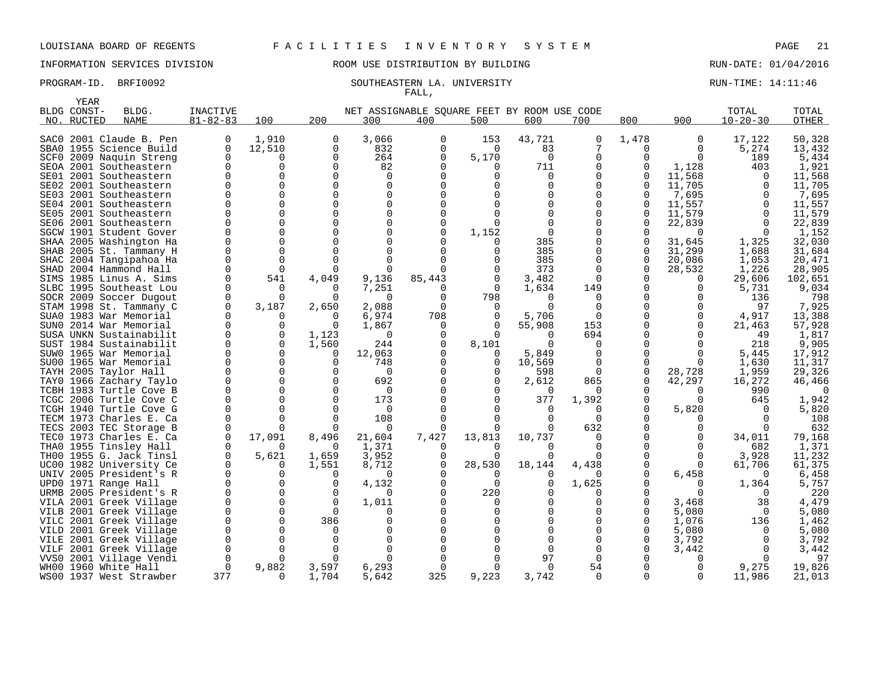# INFORMATION SERVICES DIVISION ROOM USE DISTRIBUTION BY BUILDING RUN-DATE: 01/04/2016

### PROGRAM-ID. BRFI0092 SOUTHEASTERN LA. UNIVERSITY SOUTHEASTERN LA. EXAMPLE SERVITHE: 14:11:46 FALL,

|      | <b>YEAR</b> |                                                   |                |             |            |                                             |               |              |               |               |              |              |                |                 |
|------|-------------|---------------------------------------------------|----------------|-------------|------------|---------------------------------------------|---------------|--------------|---------------|---------------|--------------|--------------|----------------|-----------------|
|      | BLDG CONST- | BLDG.                                             | INACTIVE       |             |            | NET ASSIGNABLE SQUARE FEET BY ROOM USE CODE |               |              |               |               |              |              | TOTAL          | TOTAL           |
|      | NO. RUCTED  | <b>NAME</b>                                       | $81 - 82 - 83$ | 100         | 200        | 300                                         | 400           | 500          | 600           | 700           | 800          | 900          | $10 - 20 - 30$ | OTHER           |
|      |             |                                                   | O              | 1,910       |            |                                             |               |              |               |               | 1,478        |              |                |                 |
| SAC0 |             | 2001 Claude B. Pen                                |                |             | 0          | 3,066                                       | 0<br>$\Omega$ | 153          | 43,721        | 0<br>7        |              | 0            | 17,122         | 50,328          |
|      |             | SBA0 1955 Science Build                           | $\Omega$       | 12,510      | 0          | 832                                         |               | $\Omega$     | 83            |               | 0            | <sup>0</sup> | 5,274          | 13,432          |
|      |             | SCF0 2009 Naquin Streng                           | $\Omega$       |             | 0          | 264                                         | $\Omega$      | 5,170        | 0             | 0             | U            | $\Omega$     | 189            | 5,434           |
|      |             | SEOA 2001 Southeastern                            |                |             | $\Omega$   | 82                                          |               | <sup>0</sup> | 711           | 0             | $\Omega$     | 1,128        | 403            | 1,921           |
|      |             | SE01 2001 Southeastern                            |                |             | O          | <sup>0</sup>                                |               |              | 0             | O             | <sup>0</sup> | 11,568       |                | 11,568          |
| SE02 |             | 2001 Southeastern                                 |                |             | U          | $\Omega$                                    |               |              | 0             | O             | $\Omega$     | 11,705       |                | 11,705          |
|      |             | SE03 2001 Southeastern                            |                |             | O          | $\Omega$                                    |               |              |               | O             | $\Omega$     | 7,695        |                | 7,695           |
|      |             | SE04 2001 Southeastern                            |                |             | O          | $\Omega$                                    |               |              |               | O             | <sup>0</sup> | 11,557       |                | 11,557          |
|      |             | SE05 2001 Southeastern                            |                |             |            | $\Omega$                                    |               |              |               | O             | <sup>0</sup> | 11,579       |                | 11,579          |
|      |             | SE06 2001 Southeastern                            |                |             | O          | $\Omega$                                    |               |              |               | 0             | U            | 22,839       |                | 22,839          |
|      |             | SGCW 1901 Student Gover                           |                |             | U          | $\Omega$                                    |               | 1,152        |               | 0             | O            | $\Omega$     |                | 1,152           |
|      |             | SHAA 2005 Washington Ha                           |                |             |            | $\Omega$                                    |               |              | 385           | O             |              | 31,645       | 1,325          | 32,030          |
| SHAB |             | 2005 St. Tammany H                                |                |             |            | $\Omega$                                    |               |              | 385           | O             | <sup>0</sup> | 31,299       | 1,688          | 31,684          |
|      |             | SHAC 2004 Tangipahoa Ha                           |                |             |            | $\Omega$                                    |               |              | 385           | 0             | $\Omega$     | 20,086       | 1,053          | 20,471          |
|      |             | SHAD 2004 Hammond Hall                            |                |             |            | O                                           |               |              | 373           | 0             | $\Omega$     | 28,532       | 1,226          | 28,905          |
|      |             | SIMS 1985 Linus A. Sims                           |                | 541         | 4,049      | 9,136                                       | 85,443        | 0            | 3,482         | $\Omega$      |              | $\Omega$     | 29,606         | 102,651         |
|      |             | SLBC 1995 Southeast Lou                           |                |             | $\Omega$   | 7,251                                       | O             | $\Omega$     | 1,634         | 149           |              | 0            | 5,731          | 9,034           |
|      |             | SOCR 2009 Soccer Dugout                           |                | $\Omega$    | $\Omega$   | $\Omega$                                    | ∩             | 798          | ∩             | $\Omega$      | U            | O            | 136            | 798             |
|      |             | STAM 1998 St. Tammany C                           |                | 3,187       | 2,650      | 2,088                                       |               |              |               | $\Omega$      |              |              | 97             | 7,925           |
|      |             | SUAO 1983 War Memorial                            |                | U           | $\Omega$   | 6,974                                       | 708           | $\Omega$     | 5,706         | $\Omega$      |              | O            | 4,917          | 13,388          |
|      |             | SUNO 2014 War Memorial                            |                |             | U          | 1,867                                       | O             |              | 55,908        | 153           | O            | O            | 21,463         | 57,928          |
|      |             | SUSA UNKN Sustainabilit                           |                | $\Omega$    | 1,123      | $\Omega$                                    |               |              | O             | 694           |              |              | 49             | 1,817           |
|      |             | SUST 1984 Sustainabilit                           |                |             | 1,560      | 244                                         |               | 8,101        | $\Omega$      | $\Omega$      |              |              | 218            | 9,905           |
|      |             | SUW0 1965 War Memorial                            |                |             | 0          | 12,063                                      |               | 0            | 5,849         | 0             |              | O            | 5,445          | 17,912          |
|      |             | SU00 1965 War Memorial                            |                |             | $\Omega$   | 748                                         |               | $\Omega$     | 10,569        | $\Omega$      | <sup>0</sup> | ∩            | 1,630          | 11,317          |
|      |             | TAYH 2005 Taylor Hall                             |                |             | U          | $\Omega$                                    |               |              | 598           | $\Omega$      | $\Omega$     | 28,728       | 1,959          | 29,326          |
|      |             | TAYO 1966 Zachary Taylo                           |                |             | $\Omega$   | 692<br>$\Omega$                             |               | $\Omega$     | 2,612         | 865           | $\Omega$     | 42,297       | 16,272         | 46,466          |
|      |             | TCBH 1983 Turtle Cove B                           |                |             | O          |                                             |               |              | $\Omega$      | O             | U            |              | 990            |                 |
|      |             | TCGC 2006 Turtle Cove C                           |                |             | O          | 173                                         |               |              | 377           | 1,392         | U            | $\Omega$     | 645            | 1,942           |
|      |             | TCGH 1940 Turtle Cove G                           |                |             |            | $\Omega$                                    |               |              | $\Omega$<br>O | 0<br>$\Omega$ | O            | 5,820        |                | 5,820           |
|      |             | TECM 1973 Charles E. Ca                           |                |             |            | 108                                         |               |              |               |               |              |              |                | 108             |
|      |             | TECS 2003 TEC Storage B                           |                |             |            | $\Omega$                                    |               |              | 0             | 632<br>U      |              |              |                | 632             |
|      |             | TECO 1973 Charles E. Ca                           | O              | 17,091<br>O | 8,496      | 21,604                                      | 7,427         | 13,813       | 10,737        |               |              | O            | 34,011         | 79,168          |
|      |             | THAO 1955 Tinsley Hall<br>TH00 1955 G. Jack Tinsl | 0              | 5,621       | 0<br>1,659 | 1,371                                       | $\Omega$      | $\Omega$     | 0             | $\Omega$<br>U | U            | ∩            | 682<br>3,928   | 1,371<br>11,232 |
|      |             | UC00 1982 University Ce                           |                |             | 1,551      | 3,952<br>8,712                              | $\Omega$      | 28,530       | 18,144        | 4,438         |              | $\Omega$     | 61,706         | 61,375          |
|      |             | UNIV 2005 President's R                           |                |             | O          | ∩                                           |               | $\Omega$     |               | 0             | U            | 6,458        |                | 6,458           |
|      |             | UPD0 1971 Range Hall                              |                |             | O          | 4,132                                       |               | <sup>0</sup> | 0             | 1,625         |              | O            | 1,364          | 5,757           |
|      |             | URMB 2005 President's R                           |                |             | $\Omega$   | n                                           |               | 220          |               | O             |              |              |                | 220             |
|      |             | VILA 2001 Greek Village                           |                | $\Omega$    | $\Omega$   | 1,011                                       |               |              |               | 0             | U            | 3,468        | 38             | 4,479           |
|      |             | VILB 2001 Greek Village                           |                | O           | $\Omega$   | $\Omega$                                    |               |              |               | 0             | U            | 5,080        | $\Omega$       | 5,080           |
|      |             | VILC 2001 Greek Village                           |                | U           | 386        | $\Omega$                                    |               |              |               | O             | U            | 1,076        | 136            | 1,462           |
| VILD |             | 2001 Greek Village                                |                |             | O          |                                             |               |              |               | 0             | U            | 5,080        | $\Omega$       | 5,080           |
|      |             | VILE 2001 Greek Village                           |                |             |            |                                             |               |              |               | O             | 0            | 3,792        |                | 3,792           |
| VILF |             | 2001 Greek Village                                |                |             |            |                                             |               |              |               | 0             |              | 3,442        |                | 3,442           |
| VVS0 |             | 2001 Village Vendi                                | O              |             | $\Omega$   | O                                           |               |              | 97            | $\Omega$      |              |              |                | 97              |
|      |             | WH00 1960 White Hall                              |                | 9,882       | 3,597      | 6,293                                       |               |              | 0             | 54            |              |              | 9,275          | 19,826          |
|      |             | WS00 1937 West Strawber                           | 377            | $\Omega$    | 1,704      | 5,642                                       | 325           | 9,223        | 3,742         | 0             | $\Omega$     | $\Omega$     | 11,986         | 21,013          |
|      |             |                                                   |                |             |            |                                             |               |              |               |               |              |              |                |                 |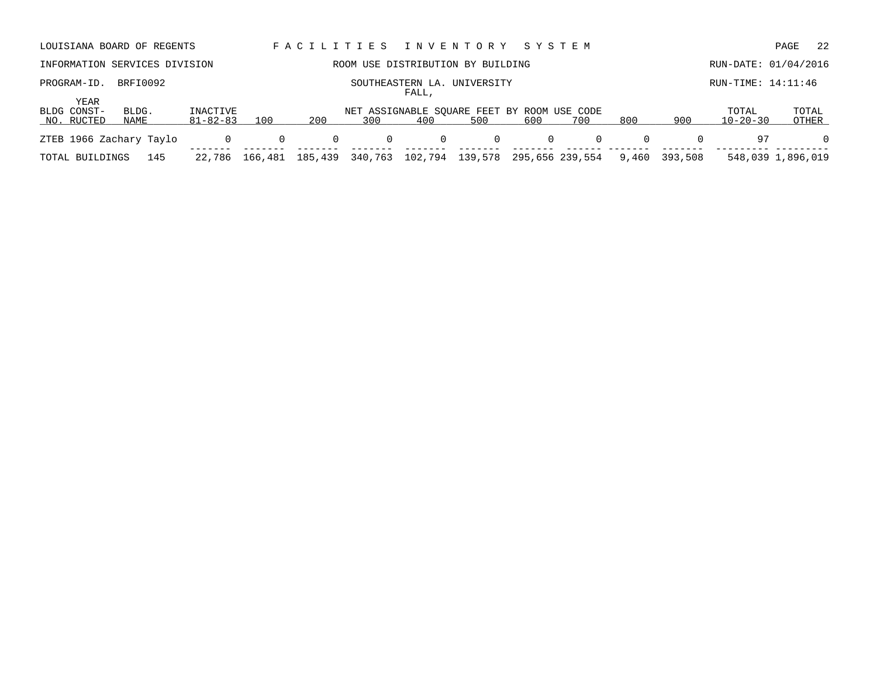|                                          | LOUISIANA BOARD OF REGENTS    |                            |                |          |              |       | FACILITIES INVENTORY                               | SYSTEM   |                 |          |          |                         | 22<br>PAGE        |
|------------------------------------------|-------------------------------|----------------------------|----------------|----------|--------------|-------|----------------------------------------------------|----------|-----------------|----------|----------|-------------------------|-------------------|
|                                          | INFORMATION SERVICES DIVISION |                            |                |          |              |       | ROOM USE DISTRIBUTION BY BUILDING                  |          |                 |          |          | RUN-DATE: 01/04/2016    |                   |
| PROGRAM-ID.                              | BRFI0092                      |                            |                |          |              | FALL, | SOUTHEASTERN LA. UNIVERSITY                        |          |                 |          |          | $RUN-TIME: 14:11:46$    |                   |
| <b>YEAR</b><br>BLDG CONST-<br>NO. RUCTED | BLDG.<br>NAME                 | INACTIVE<br>$81 - 82 - 83$ | 100            | 200      | 300          | 400   | NET ASSIGNABLE SOUARE FEET BY ROOM USE CODE<br>500 | 600      | 700             | 800      | 900      | TOTAL<br>$10 - 20 - 30$ | TOTAL<br>OTHER    |
| ZTEB 1966 Zachary Taylo                  |                               | 0                          | $\Omega$       | $\Omega$ | $\mathbf{0}$ | 0     | $\Omega$                                           | $\Omega$ | $\Omega$        | $\Omega$ | $\Omega$ | 97                      | $\Omega$          |
| TOTAL BUILDINGS                          | 145                           |                            | 22,786 166,481 | 185,439  | 340,763      |       | 102,794 139,578                                    |          | 295,656 239,554 | 9,460    | 393,508  |                         | 548,039 1,896,019 |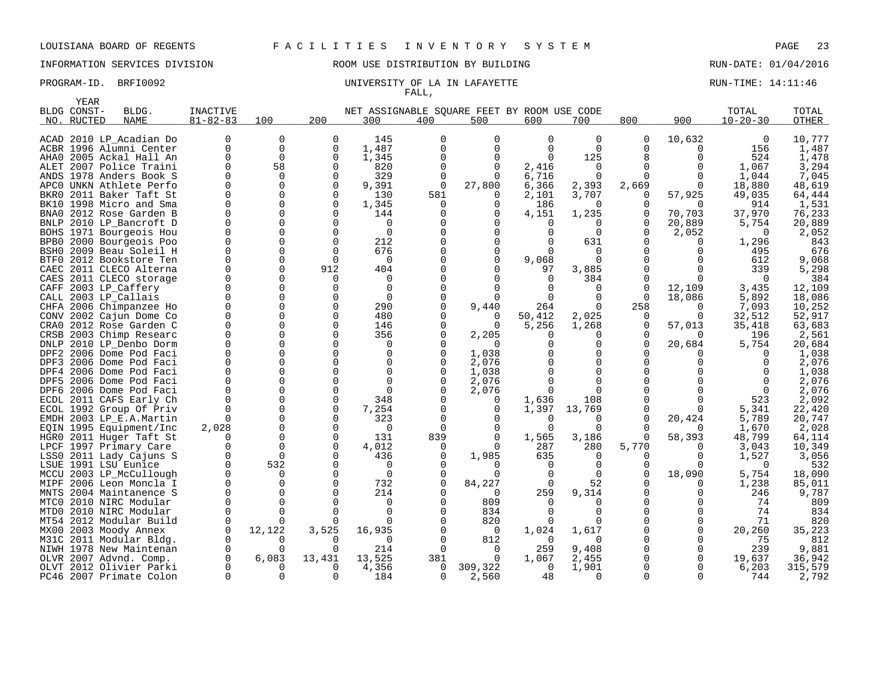## INFORMATION SERVICES DIVISION 88 ROOM USE DISTRIBUTION BY BUILDING RUN-DATE: 01/04/2016

### PROGRAM-ID. BRFI0092 **EXAM-ID.** BRFI0092 UNIVERSITY OF LA IN LAFAYETTE FALL,

|      | <b>YEAR</b> |                                              |                 |               |               |                                             |          |              |          |              |                   |          |                |                 |
|------|-------------|----------------------------------------------|-----------------|---------------|---------------|---------------------------------------------|----------|--------------|----------|--------------|-------------------|----------|----------------|-----------------|
|      | BLDG CONST- | BLDG.                                        | <b>INACTIVE</b> |               |               | NET ASSIGNABLE SQUARE FEET BY ROOM USE CODE |          |              |          |              |                   |          | TOTAL          | TOTAL           |
| NO.  | RUCTED      | <b>NAME</b>                                  | $81 - 82 - 83$  | 100           | 200           | 300                                         | 400      | 500          | 600      | 700          | 800               | 900      | $10 - 20 - 30$ | OTHER           |
|      |             |                                              |                 |               |               |                                             |          |              |          |              |                   |          |                |                 |
|      |             | ACAD 2010 LP Acadian Do                      |                 | 0             | 0             | 145                                         | O        | 0            | 0        | 0            | 0                 | 10,632   | 0              | 10,777          |
|      |             | ACBR 1996 Alumni Center                      | $\Omega$        | $\mathbf 0$   | 0             | 1,487                                       |          | $\Omega$     | $\Omega$ | $\Omega$     | U                 | $\Omega$ | 156            | 1,487           |
|      |             | AHAO 2005 Ackal Hall An                      | ∩               | $\Omega$      | $\Omega$      | 1,345                                       |          | $\Omega$     | 0        | 125          | 8                 | n        | 524            | 1,478           |
|      |             | ALET 2007 Police Traini                      |                 | 58            | 0             | 820                                         | $\Omega$ | 0            | 2,416    | $\mathbf 0$  | O                 |          | 1,067          | 3,294           |
|      |             | ANDS 1978 Anders Book S                      |                 | $\Omega$      | ∩             | 329                                         |          | $\Omega$     | 6,716    | $\Omega$     | ∩                 |          | 1,044          | 7,045           |
| APC0 |             | UNKN Athlete Perfo                           |                 | 0             | 0             | 9,391                                       | 0        | 27,800       | 6,366    | 2,393        | 2,669             | 0        | 18,880         | 48,619          |
|      |             | BKR0 2011 Baker Taft St                      |                 | $\Omega$      | $\Omega$      | 130                                         | 581      |              | 2,101    | 3,707        | 0                 | 57,925   | 49,035         | 64,444          |
| BK10 |             | 1998 Micro and Sma                           |                 | 0             | $\Omega$      | 1,345                                       | 0        | $\Omega$     | 186      | $\Omega$     | 0                 |          | 914            | 1,531           |
| BNA0 |             | 2012 Rose Garden B                           |                 | $\Omega$      | O             | 144                                         |          |              | 4,151    | 1,235        | 0                 | 70,703   | 37,970         | 76,233          |
| BNLP |             | 2010 LP_Bancroft D                           |                 | $\Omega$      | O             | $\Omega$                                    |          |              | $\Omega$ | 0            | <sup>0</sup>      | 20,889   | 5,754          | 20,889          |
|      |             | BOHS 1971 Bourgeois Hou                      |                 | 0             | $\Omega$      | $\mathbf 0$                                 |          | 0            | O        | 0            | 0                 | 2,052    | $\Omega$       | 2,052           |
|      |             | BPB0 2000 Bourgeois Poo                      |                 | $\Omega$      | $\Omega$      | 212                                         |          |              |          | 631          |                   |          | 1,296          | 843             |
| BSH0 |             | 2009 Beau Soleil H                           |                 | $\Omega$      | $\Omega$      | 676                                         |          | $\Omega$     | n        | $\Omega$     |                   |          | 495            | 676             |
|      |             | BTF0 2012 Bookstore Ten                      |                 | $\Omega$      | $\Omega$      | $\Omega$                                    |          | $\Omega$     | 9,068    | O            |                   |          | 612            | 9,068           |
| CAEC |             | 2011 CLECO Alterna                           |                 | $\Omega$      | 912           | 404                                         |          |              | 97       | 3,885        |                   |          | 339            | 5,298           |
|      |             | CAES 2011 CLECO storage                      |                 | $\Omega$      | U             | $\Omega$                                    |          |              | $\Omega$ | 384          | 0                 |          |                | 384             |
| CAFF |             | 2003 LP_Caffery                              |                 | 0             | O             | $\Omega$                                    |          |              |          | 0            | $\Omega$          | 12,109   | 3,435          | 12,109          |
|      |             | CALL 2003 LP_Callais                         |                 | $\Omega$      | U             | $\Omega$                                    |          | $\Omega$     |          | 0            | $\Omega$          | 18,086   | 5,892          | 18,086          |
|      |             | CHFA 2006 Chimpanzee Ho                      |                 | $\Omega$      | O             | 290                                         |          | 9,440        | 264      | $\Omega$     | 258               | $\Omega$ | 7,093          | 10,252          |
|      |             | CONV 2002 Cajun Dome Co                      |                 | $\Omega$      | O             | 480                                         |          | $\Omega$     | 50,412   | 2,025        | O                 | $\Omega$ | 32,512         | 52,917          |
|      |             | CRAO 2012 Rose Garden C                      |                 | $\Omega$      | $\Omega$      | 146                                         |          |              | 5,256    | 1,268        | 0                 | 57,013   | 35,418         | 63,683          |
| CRSB |             | 2003 Chimp Researc                           |                 | $\Omega$      | $\Omega$      | 356                                         |          | 2,205        | U        | 0            | O                 |          | 196            | 2,561           |
| DNLP |             | 2010 LP Denbo Dorm                           |                 | $\Omega$      | O             | O                                           |          |              |          | O            | $\Omega$          | 20,684   | 5,754          | 20,684          |
|      |             | DPF2 2006 Dome Pod Faci                      |                 | $\Omega$      | O             | $\Omega$                                    |          | 1,038        |          | O            |                   |          |                | 1,038           |
|      |             | DPF3 2006 Dome Pod Faci                      |                 | $\Omega$      | ∩             |                                             |          | 2,076        |          | O            |                   |          |                | 2,076           |
|      |             | DPF4 2006 Dome Pod Faci                      |                 | $\Omega$      |               |                                             |          | 1,038        |          | O            |                   |          |                | 1,038           |
| DPF5 |             | 2006 Dome Pod Faci                           |                 | $\Omega$      |               | U                                           |          | 2,076        |          | $\Omega$     |                   |          |                | 2,076           |
|      |             | DPF6 2006 Dome Pod Faci                      |                 | $\Omega$      |               |                                             |          | 2,076        |          | <sup>0</sup> |                   |          |                | 2,076           |
|      |             | ECDL 2011 CAFS Early Ch                      |                 | $\Omega$      | $\Omega$      | 348                                         |          | 0            | 1,636    | 108          |                   |          | 523            | 2,092           |
|      |             | ECOL 1992 Group Of Priv                      |                 | $\Omega$<br>0 | $\Omega$<br>0 | 7,254                                       |          | <sup>0</sup> | 1,397    | 13,769       | O<br><sup>0</sup> |          | 5,341          | 22,420          |
|      |             | EMDH 2003 LP_E.A.Martin                      | 2,028           | $\mathbf 0$   | $\Omega$      | 323<br>$\Omega$                             |          | <sup>0</sup> | 0<br>O   | 0<br>U       | ∩                 | 20,424   | 5,789<br>1,670 | 20,747          |
|      |             | EQIN 1995 Equipment/Inc                      |                 | 0             | 0             | 131                                         | 839      | $\Omega$     | 1,565    | 3,186        | $\Omega$          | 58,393   | 48,799         | 2,028<br>64,114 |
| LPCF |             | HGRO 2011 Huger Taft St<br>1997 Primary Care |                 | $\Omega$      | $\Omega$      | 4,012                                       |          |              | 287      | 280          | 5,770             |          | 3,043          | 10,349          |
| LSS0 |             | 2011 Lady Cajuns S                           |                 | $\Omega$      | ∩             | 436                                         |          | 1,985        | 635      | $\Omega$     |                   |          | 1,527          | 3,056           |
|      |             | LSUE 1991 LSU Eunice                         |                 | 532           |               | $\Omega$                                    |          |              | $\Omega$ | 0            |                   |          | <sup>0</sup>   | 532             |
|      |             | MCCU 2003 LP_McCullough                      |                 | U             |               | $\Omega$                                    |          |              | U        | $\Omega$     |                   | 18,090   | 5,754          | 18,090          |
| MIPF |             | 2006 Leon Moncla I                           |                 | 0             | O             | 732                                         |          | 84,227       | 0        | 52           |                   |          | 1,238          | 85,011          |
|      |             | MNTS 2004 Maintanence S                      |                 | $\Omega$      | O             | 214                                         |          | ∩            | 259      | 9,314        |                   |          | 246            | 9,787           |
| MTC0 |             | 2010 NIRC Modular                            |                 | $\Omega$      |               | $\Omega$                                    |          | 809          | $\Omega$ | 0            |                   |          | 74             | 809             |
|      |             | MTD0 2010 NIRC Modular                       |                 | $\Omega$      |               | $\Omega$                                    |          | 834          |          | 0            |                   |          | 74             | 834             |
|      |             | MT54 2012 Modular Build                      |                 |               |               |                                             |          | 820          |          | O            |                   |          | 71             | 820             |
|      |             | MX00 2003 Moody Annex                        |                 | 12,122        | 3,525         | 16,935                                      |          | 0            | 1,024    | 1,617        |                   |          | 20,260         | 35,223          |
|      |             | M31C 2011 Modular Bldg.                      |                 |               |               |                                             |          | 812          | $\Omega$ | O            |                   |          | 75             | 812             |
|      |             | NIWH 1978 New Maintenan                      |                 |               | n             | 214                                         |          | $\Omega$     | 259      | 9,408        |                   | $\Omega$ | 239            | 9,881           |
|      |             | OLVR 2007 Advnd. Comp.                       |                 | 6,083         | 13,431        | 13,525                                      | 381      | $\Omega$     | 1,067    | 2,455        |                   | $\Omega$ | 19,637         | 36,942          |
|      |             | OLVT 2012 Olivier Parki                      |                 | $\Omega$      | 0             | 4,356                                       | 0        | 309,322      | $\Omega$ | 1,901        | <sup>0</sup>      | $\Omega$ | 6, 203         | 315,579         |
|      |             | PC46 2007 Primate Colon                      |                 |               | U             | 184                                         | 0        | 2,560        | 48       | <sup>0</sup> | $\Omega$          |          | 744            | 2,792           |
|      |             |                                              |                 |               |               |                                             |          |              |          |              |                   |          |                |                 |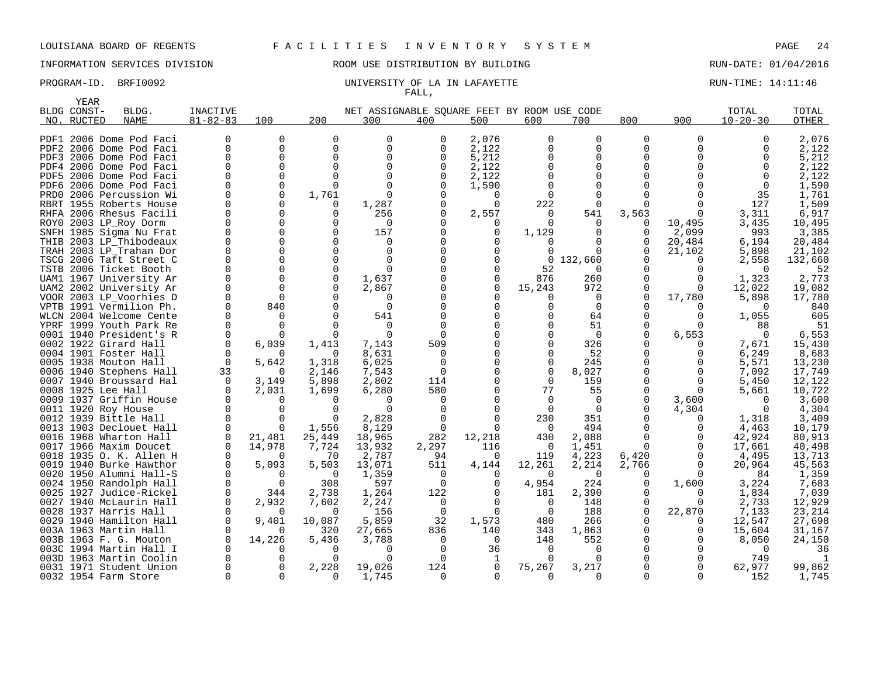INFORMATION SERVICES DIVISION 88 ROOM USE DISTRIBUTION BY BUILDING RUN-DATE: 01/04/2016

### PROGRAM-ID. BRFI0092 **EXAM-ID.** BRFI0092 UNIVERSITY OF LA IN LAFAYETTE FALL,

|      | YEAR        |                                                    |                 |             |             |                                             |              |          |                      |                 |                |              |                 |                  |
|------|-------------|----------------------------------------------------|-----------------|-------------|-------------|---------------------------------------------|--------------|----------|----------------------|-----------------|----------------|--------------|-----------------|------------------|
|      | BLDG CONST- | BLDG.                                              | <b>INACTIVE</b> |             |             | NET ASSIGNABLE SQUARE FEET BY ROOM USE CODE |              |          |                      |                 |                |              | TOTAL           | TOTAL            |
| NO.  | RUCTED      | <b>NAME</b>                                        | $81 - 82 - 83$  | 100         | 200         | 300                                         | 400          | 500      | 600                  | 700             | 800            | 900          | $10 - 20 - 30$  | OTHER            |
|      |             |                                                    |                 |             |             |                                             |              |          |                      |                 |                |              |                 |                  |
|      |             | PDF1 2006 Dome Pod Faci                            |                 | 0           | O           | $\Omega$                                    | 0            | 2,076    | $\Omega$             | 0               | $\Omega$       | <sup>0</sup> |                 | 2,076            |
|      |             | PDF2 2006 Dome Pod Faci                            |                 | $\mathbf 0$ | $\Omega$    | $\Omega$                                    | O            | 2,122    | U                    | $\Omega$        | U              |              |                 | 2,122            |
|      |             | PDF3 2006 Dome Pod Faci                            |                 | $\Omega$    | U           | $\Omega$                                    | O            | 5,212    |                      | 0               | U              |              |                 | 5,212            |
|      |             | PDF4 2006 Dome Pod Faci                            |                 | $\Omega$    |             | $\Omega$                                    | C            | 2,122    |                      | 0               |                |              |                 | 2,122            |
|      |             | PDF5 2006 Dome Pod Faci                            |                 | 0           |             |                                             |              | 2,122    |                      | U               |                |              |                 | 2,122            |
|      |             | PDF6 2006 Dome Pod Faci                            |                 | $\Omega$    | $\Omega$    | $\Omega$                                    |              | 1,590    |                      | $\Omega$        |                |              |                 | 1,590            |
|      |             | PRD0 2006 Percussion Wi                            |                 | 0           | 1,761       | ∩                                           |              |          |                      | $\Omega$        |                |              | 35              | 1,761            |
|      |             | RBRT 1955 Roberts House                            |                 |             | 0<br>U      | 1,287                                       |              | $\Omega$ | 222                  | 0               |                |              | 127<br>3,311    | 1,509            |
|      |             | RHFA 2006 Rhesus Facili<br>ROYO 2003 LP_Roy Dorm   |                 |             |             | 256<br><sup>0</sup>                         |              | 2,557    | $\Omega$<br>$\Omega$ | 541<br>$\Omega$ | 3,563<br>O     | 10,495       | 3,435           | 6,917<br>10,495  |
|      |             | SNFH 1985 Sigma Nu Frat                            |                 | $\Omega$    | O           | 157                                         |              | O        | 1,129                | $\Omega$        | 0              | 2,099        | 993             | 3,385            |
|      |             | THIB 2003 LP Thibodeaux                            |                 |             |             |                                             |              |          |                      |                 | U              | 20,484       | 6,194           | 20,484           |
|      |             | TRAH 2003 LP_Trahan Dor                            |                 |             |             | $\Omega$                                    |              |          |                      | $\Omega$        | O              | 21,102       | 5,898           | 21,102           |
|      |             | TSCG 2006 Taft Street C                            |                 |             |             |                                             |              |          | $\Omega$             | 132,660         |                |              | 2,558           | 132,660          |
| TSTB |             | 2006 Ticket Booth                                  |                 |             | $\Omega$    | ∩                                           |              |          | 52                   | 0               |                | ∩            | ∩               | 52               |
|      |             | UAM1 1967 University Ar                            |                 |             | $\Omega$    | 1,637                                       |              | O        | 876                  | 260             |                | O            | 1,323           | 2,773            |
|      |             | UAM2 2002 University Ar                            |                 |             | ∩           | 2,867                                       |              | ∩        | 15,243               | 972             | U              | ∩            | 12,022          | 19,082           |
|      |             | VOOR 2003 LP_Voorhies D                            |                 | ∩           |             | <sup>0</sup>                                |              |          | O                    | 0               | $\Omega$       | 17,780       | 5,898           | 17,780           |
|      |             | VPTB 1991 Vermilion Ph.                            |                 | 840         |             | ∩                                           |              |          |                      | $\Omega$        |                |              |                 | 840              |
|      |             | WLCN 2004 Welcome Cente                            |                 | ∩           |             | 541                                         |              |          |                      | 64              |                |              | 1,055           | 605              |
|      |             | YPRF 1999 Youth Park Re                            |                 |             |             |                                             |              |          |                      | 51              |                |              | 88              | 51               |
|      |             | 0001 1940 President's R                            |                 |             |             | ∩                                           | <sup>n</sup> |          |                      | $\mathbf 0$     | O              | 6,553        | $\Omega$        | 6,553            |
|      |             | 0002 1922 Girard Hall                              |                 | 6,039       | 1,413       | 7,143                                       | 509          |          |                      | 326             |                |              | 7,671           | 15,430           |
|      |             | 0004 1901 Foster Hall                              |                 |             | $\Omega$    | 8,631                                       | $\Omega$     |          |                      | 52              |                |              | 6,249           | 8,683            |
|      |             | 0005 1938 Mouton Hall                              | $\Omega$        | 5,642       | 1,318       | 6,025                                       | $\Omega$     |          | O                    | 245             |                |              | 5,571           | 13,230           |
|      |             | 0006 1940 Stephens Hall                            | 33              | $\Omega$    | 2,146       | 7,543                                       | $\Omega$     |          | $\Omega$             | 8,027           |                |              | 7,092           | 17,749           |
|      |             | 0007 1940 Broussard Hal                            | $\Omega$        | 3,149       | 5,898       | 2,802                                       | 114          |          | $\Omega$             | 159             |                | 0            | 5,450           | 12,122           |
|      |             | 0008 1925 Lee Hall                                 |                 | 2,031       | 1,699       | 6,280                                       | 580          |          | 77                   | 55              |                |              | 5,661           | 10,722           |
|      |             | 0009 1937 Griffin House                            |                 |             |             |                                             |              |          | $\Omega$             | $\Omega$        | O              | 3,600        |                 | 3,600            |
|      |             | 0011 1920 Roy House                                |                 |             |             |                                             |              |          | $\Omega$             | $\Omega$        | U              | 4,304        |                 | 4,304            |
|      |             | 0012 1939 Bittle Hall                              |                 |             | O           | 2,828                                       |              |          | 230                  | 351             |                | O            | 1,318           | 3,409            |
|      |             | 0013 1903 Declouet Hall                            |                 |             | 1,556       | 8,129                                       | $\Omega$     |          | $\Omega$             | 494             |                | 0            | 4,463           | 10,179           |
|      |             | 0016 1968 Wharton Hall                             |                 | 21,481      | 25,449      | 18,965                                      | 282          | 12,218   | 430                  | 2,088           | U              | O            | 42,924          | 80,913           |
|      |             | 0017 1966 Maxim Doucet                             |                 | 14,978      | 7,724       | 13,932                                      | 2,297        | 116<br>O | 0                    | 1,451           | $\Omega$       | 0            | 17,661          | 40,498           |
|      |             | 0018 1935 O. K. Allen H<br>0019 1940 Burke Hawthor | $\Omega$        | 5,093       | 70<br>5,503 | 2,787<br>13,071                             | 94<br>511    | 4,144    | 119<br>12,261        | 4,223<br>2,214  | 6,420<br>2,766 | O            | 4,495<br>20,964 | 13,713<br>45,563 |
|      |             | 0020 1950 Alumni Hall-S                            |                 | ∩           | $\Omega$    | 1,359                                       | $\Omega$     |          | $\Omega$             | $\Omega$        |                |              | 84              | 1,359            |
|      |             | 0024 1950 Randolph Hall                            |                 | $\Omega$    | 308         | 597                                         | $\Omega$     | O        | 4,954                | 224             | 0              | 1,600        | 3,224           | 7,683            |
|      |             | 0025 1927 Judice-Rickel                            |                 | 344         | 2,738       | 1,264                                       | 122          |          | 181                  | 2,390           | Ω              |              | 1,834           | 7,039            |
|      |             | 0027 1940 McLaurin Hall                            |                 | 2,932       | 7,602       | 2,247                                       | $\Omega$     |          | $\Omega$             | 148             | Ω              | O            | 2,733           | 12,929           |
|      |             | 0028 1937 Harris Hall                              |                 | $\Omega$    | 0           | 156                                         | 0            | $\Omega$ | 0                    | 188             | $\Omega$       | 22,870       | 7,133           | 23,214           |
|      |             | 0029 1940 Hamilton Hall                            |                 | 9,401       | 10,087      | 5,859                                       | 32           | 1,573    | 480                  | 266             |                | O            | 12,547          | 27,698           |
|      |             | 003A 1963 Martin Hall                              |                 | ∩           | 320         | 27,665                                      | 836          | 140      | 343                  | 1,863           |                | 0            | 15,604          | 31,167           |
|      |             | 003B 1963 F. G. Mouton                             |                 | 14,226      | 5,436       | 3,788                                       | ∩            | $\Omega$ | 148                  | 552             |                |              | 8,050           | 24,150           |
|      |             | 003C 1994 Martin Hall I                            |                 | O           | ∩           | n                                           |              | 36       | $\Omega$             | $\Omega$        |                |              | $\Omega$        | 36               |
|      |             | 003D 1963 Martin Coolin                            |                 |             |             |                                             |              |          |                      | U               |                |              | 749             |                  |
|      |             | 0031 1971 Student Union                            |                 | O           | 2,228       | 19,026                                      | 124          | $\Omega$ | 75,267               | 3,217           |                |              | 62,977          | 99,862           |
|      |             | 0032 1954 Farm Store                               |                 | $\Omega$    | 0           | 1,745                                       | $\Omega$     | 0        | $\Omega$             | $\Omega$        | U              | $\Omega$     | 152             | 1,745            |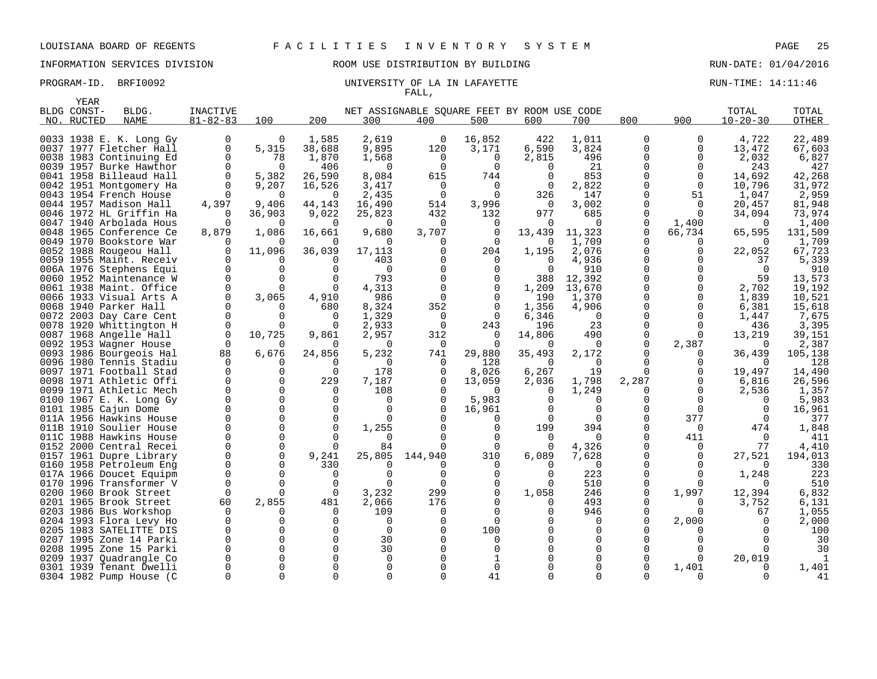YEAR

### LOUISIANA BOARD OF REGENTS F A C I L I T I E S I N V E N T O R Y S Y S T E M PAGE 25

INFORMATION SERVICES DIVISION ROOM USE DISTRIBUTION BY BUILDING RUN-DATE: 01/04/2016

### PROGRAM-ID. BRFI0092 **EXAM-ID.** BRFI0092 UNIVERSITY OF LA IN LAFAYETTE RUN-TIME: 14:11:46 FALL,

| -----<br>BLDG CONST-<br>NO. RUCTED | BLDG.<br><b>NAME</b>                               | <b>INACTIVE</b><br>$81 - 82 - 83$ | 100         | 200                | NET ASSIGNABLE SOUARE FEET BY ROOM USE CODE<br>300 | 400          | 500            | 600        | 700            | 800           | 900                          | TOTAL<br>$10 - 20 - 30$ | TOTAL<br>OTHER  |
|------------------------------------|----------------------------------------------------|-----------------------------------|-------------|--------------------|----------------------------------------------------|--------------|----------------|------------|----------------|---------------|------------------------------|-------------------------|-----------------|
|                                    |                                                    |                                   |             |                    |                                                    |              |                |            |                |               |                              |                         |                 |
|                                    | 0033 1938 E. K. Long Gy                            | 0                                 | $\Omega$    | 1,585              | 2,619                                              | 0            | 16,852         | 422        | 1,011          | 0             | 0                            | 4,722                   | 22,489          |
|                                    | 0037 1977 Fletcher Hall                            | 0                                 | 5,315       | 38,688             | 9,895                                              | 120          | 3,171          | 6,590      | 3,824          | $\Omega$      | 0                            | 13,472                  | 67,603          |
|                                    | 0038 1983 Continuing Ed                            | $\Omega$                          | 78          | 1,870              | 1,568                                              | $\Omega$     | $\Omega$       | 2,815      | 496            | ∩             | $\Omega$                     | 2,032                   | 6,827           |
|                                    | 0039 1957 Burke Hawthor                            | $\Omega$                          | $\Omega$    | 406                | $\Omega$                                           | $\Omega$     | $\Omega$       | $\Omega$   | 21             |               | $\Omega$                     | 243                     | 427             |
|                                    | 0041 1958 Billeaud Hall                            | $\Omega$                          | 5,382       | 26,590             | 8,084                                              | 615          | 744            | $\Omega$   | 853            |               | $\Omega$                     | 14,692                  | 42,268          |
|                                    | 0042 1951 Montgomery Ha                            | 0                                 | 9,207       | 16,526             | 3,417                                              | 0            | $\overline{0}$ | 0          | 2,822          | $\Omega$      | $\mathbf 0$                  | 10,796                  | 31,972          |
|                                    | 0043 1954 French House                             | ∩                                 | $\Omega$    | $\Omega$           | 2,435                                              | $\Omega$     | $\Omega$       | 326        | 147            | $\Omega$      | 51                           | 1,047                   | 2,959           |
|                                    | 0044 1957 Madison Hall                             | 4,397                             | 9,406       | 44,143             | 16,490                                             | 514          | 3,996          | $\Omega$   | 3,002          | $\Omega$      | $\Omega$                     | 20,457                  | 81,948          |
|                                    | 0046 1972 HL Griffin Ha                            |                                   | 36,903      | 9,022              | 25,823                                             | 432          | 132            | 977        | 685            | $\Omega$      | $\Omega$                     | 34,094                  | 73,974          |
|                                    | 0047 1940 Arbolada Hous                            | n                                 | $\Omega$    | $\Omega$           | $\Omega$                                           | $\Omega$     | 0              | $\Omega$   | $\Omega$       | $\Omega$      | 1,400                        | $\Omega$                | 1,400           |
|                                    | 0048 1965 Conference Ce                            | 8,879                             | 1,086       | 16,661             | 9,680                                              | 3,707        | $\mathbf 0$    | 13,439     | 11,323         | $\Omega$      | 66,734                       | 65,595                  | 131,509         |
|                                    | 0049 1970 Bookstore War                            | ∩                                 | 11,096      | $\Omega$           | 0                                                  | 0            | $\Omega$       | 0          | 1,709<br>2,076 | $\Omega$      | $\left( \right)$<br>$\Omega$ |                         | 1,709           |
|                                    | 0052 1988 Rougeou Hall<br>0059 1955 Maint. Receiv  |                                   |             | 36,039<br>$\Omega$ | 17,113<br>403                                      |              | 204            | 1,195<br>0 | 4,936          | $\Omega$      |                              | 22,052                  | 67,723<br>5,339 |
|                                    | 006A 1976 Stephens Equi                            | $\Omega$                          | $\Omega$    | $\Omega$           | $\mathbf 0$                                        |              | 0<br>$\Omega$  | $\Omega$   | 910            | $\Omega$      |                              | 37<br>$\Omega$          | 910             |
|                                    | 0060 1952 Maintenance W                            | $\Omega$                          | $\Omega$    |                    | 793                                                |              | $\Omega$       | 388        | 12,392         | $\Omega$      | $\Omega$                     | 59                      | 13,573          |
|                                    | 0061 1938 Maint. Office                            | $\Omega$                          | $\Omega$    | $\Omega$           | 4,313                                              |              | $\Omega$       | 1,209      | 13,670         | $\Omega$      | $\Omega$                     | 2,702                   | 19,192          |
|                                    | 0066 1933 Visual Arts A                            | 0                                 | 3,065       | 4,910              | 986                                                | <sup>0</sup> | $\Omega$       | 190        | 1,370          |               | ∩                            | 1,839                   | 10,521          |
|                                    | 0068 1940 Parker Hall                              | ∩                                 | $\Omega$    | 680                | 8,324                                              | 352          | 0              | 1,356      | 4,906          |               | $\Omega$                     | 6,381                   | 15,618          |
|                                    | 0072 2003 Day Care Cent                            | $\Omega$                          | $\Omega$    | $\Omega$           | 1,329                                              | $\Omega$     | $\Omega$       | 6,346      | $\Omega$       | ∩             | $\Omega$                     | 1,447                   | 7,675           |
|                                    | 0078 1920 Whittington H                            | $\Omega$                          | $\Omega$    | $\Omega$           | 2,933                                              | $\Omega$     | 243            | 196        | 23             | $\Omega$      | $\Omega$                     | 436                     | 3,395           |
|                                    | 0087 1968 Angelle Hall                             | $\Omega$                          | 10,725      | 9,861              | 2,957                                              | 312          | $\Omega$       | 14,806     | 490            | $\Omega$      | $\Omega$                     | 13,219                  | 39,151          |
|                                    | 0092 1953 Wagner House                             | ∩                                 |             | $\Omega$           | 0                                                  | 0            | $\Omega$       | $\Omega$   | 0              | $\Omega$      | 2,387                        |                         | 2,387           |
|                                    | 0093 1986 Bourgeois Hal                            | 88                                | 6,676       | 24,856             | 5,232                                              | 741          | 29,880         | 35,493     | 2,172          |               | $\Omega$                     | 36,439                  | 105,138         |
|                                    | 0096 1980 Tennis Stadiu                            | $\Omega$                          |             |                    | 0                                                  | $\Omega$     | 128            | $\Omega$   | $\Omega$       |               |                              |                         | 128             |
|                                    | 0097 1971 Football Stad                            | $\Omega$                          | $\Omega$    | $\Omega$           | 178                                                |              | 8,026          | 6,267      | 19             | $\Omega$      |                              | 19,497                  | 14,490          |
|                                    | 0098 1971 Athletic Offi                            | $\Omega$                          | ∩           | 229                | 7,187                                              |              | 13,059         | 2,036      | 1,798          | 2,287         |                              | 6,816                   | 26,596          |
|                                    | 0099 1971 Athletic Mech                            | $\Omega$                          | $\Omega$    | $\Omega$           | 108                                                |              | $\Omega$       | $\Omega$   | 1,249          |               | $\Omega$                     | 2,536                   | 1,357           |
|                                    | 0100 1967 E. K. Long Gy                            | $\Omega$                          | $\Omega$    | ∩                  | 0                                                  |              | 5,983          | 0          | $\Omega$       |               | $\Omega$                     |                         | 5,983           |
|                                    | 0101 1985 Cajun Dome                               | $\Omega$                          | $\mathbf 0$ |                    | 0                                                  |              | 16,961         | 0          | $\Omega$       |               | $\Omega$                     |                         | 16,961          |
|                                    | 011A 1956 Hawkins House                            | $\Omega$                          | $\Omega$    |                    | $\Omega$                                           |              | 0              | 0          | $\Omega$       | $\Omega$      | 377                          |                         | 377             |
|                                    | 011B 1910 Soulier House                            | $\Omega$                          | $\Omega$    |                    | 1,255                                              |              | $\Omega$       | 199        | 394            | $\Omega$      | $\Omega$                     | 474                     | 1,848           |
|                                    | 011C 1988 Hawkins House                            | $\Omega$                          | $\mathbf 0$ |                    | $\Omega$                                           |              | $\Omega$       | $\Omega$   | $\Omega$       | $\Omega$      | 411                          | $\Omega$                | 411             |
|                                    | 0152 2000 Central Recei                            | $\Omega$                          | $\mathbf 0$ | $\Omega$           | 84                                                 |              | $\Omega$       | 0          | 4,326          | ∩             | $\Omega$                     | 77                      | 4,410           |
|                                    | 0157 1961 Dupre Library                            | $\Omega$                          | $\Omega$    | 9,241              | 25,805                                             | 144,940      | 310            | 6,089      | 7,628          |               | $\Omega$                     | 27,521                  | 194,013         |
|                                    | 0160 1958 Petroleum Eng                            | $\Omega$                          | $\Omega$    | 330                |                                                    |              |                |            | $\Omega$       |               |                              |                         | 330             |
|                                    | 017A 1966 Doucet Equipm                            | $\Omega$                          | $\Omega$    | $\Omega$           | 0                                                  |              | $\Omega$       | U          | 223            |               | $\Omega$                     | 1,248                   | 223             |
|                                    | 0170 1996 Transformer V                            | $\Omega$                          | $\Omega$    | $\Omega$           | 0                                                  |              | $\Omega$       |            | 510            | $\Omega$      |                              |                         | 510             |
|                                    | 0200 1960 Brook Street                             | $\Omega$                          | ∩           | $\Omega$           | 3,232                                              | 299          | $\Omega$       | 1,058      | 246            | $\Omega$      | 1,997                        | 12,394                  | 6,832           |
|                                    | 0201 1965 Brook Street                             | 60<br>0                           | 2,855       | 481<br>$\Omega$    | 2,066                                              | 176<br>0     | $\Omega$<br>0  | U          | 493            | $\Omega$<br>O | $\Omega$                     | 3,752                   | 6,131           |
|                                    | 0203 1986 Bus Workshop                             |                                   | $\Omega$    |                    | 109<br>$\Omega$                                    |              | $\Omega$       |            | 946            | ∩             | 2,000                        | 67                      | 1,055           |
|                                    | 0204 1993 Flora Levy Ho<br>0205 1983 SATELITTE DIS |                                   | $\Omega$    |                    | $\Omega$                                           |              | 100            |            | 0<br>$\Omega$  |               |                              |                         | 2,000<br>100    |
|                                    | 0207 1995 Zone 14 Parki                            | $\Omega$                          | $\Omega$    |                    | 30                                                 |              | $\Omega$       |            | $\Omega$       |               |                              |                         | 30              |
|                                    | 0208 1995 Zone 15 Parki                            |                                   | $\Omega$    |                    | 30                                                 |              |                |            | $\Omega$       |               |                              |                         | 30              |
|                                    | 0209 1937 Quadrangle Co                            | $\Omega$                          | $\Omega$    |                    | $\Omega$                                           |              |                |            | $\Omega$       |               |                              | 20,019                  |                 |
|                                    | 0301 1939 Tenant Dwelli                            |                                   | $\Omega$    |                    | 0                                                  |              | $\Omega$       |            |                |               | 1,401                        |                         | 1,401           |
|                                    | 0304 1982 Pump House (C                            | $\Omega$                          | $\Omega$    |                    | $\Omega$                                           |              | 41             |            | $\Omega$       |               |                              |                         | 41              |
|                                    |                                                    |                                   |             |                    |                                                    |              |                |            |                |               |                              |                         |                 |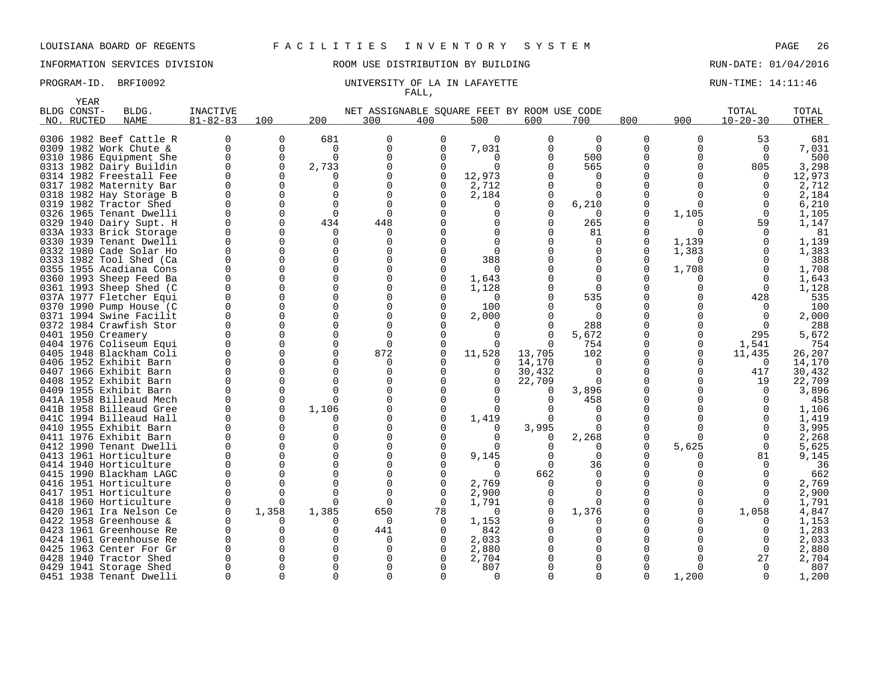INFORMATION SERVICES DIVISION ROOM USE DISTRIBUTION BY BUILDING RUN-DATE: 01/04/2016

### PROGRAM-ID. BRFI0092 **EXAM-ID.** BRFI0092 UNIVERSITY OF LA IN LAFAYETTE **RUN-TIME: 14:11:46** FALL,

| <b>YEAR</b>               |                                                    |                            |             |          |                                                    |                |                |          |                   |          |          |                         |                       |
|---------------------------|----------------------------------------------------|----------------------------|-------------|----------|----------------------------------------------------|----------------|----------------|----------|-------------------|----------|----------|-------------------------|-----------------------|
| BLDG CONST-<br>NO. RUCTED | BLDG.<br><b>NAME</b>                               | INACTIVE<br>$81 - 82 - 83$ | 100         | 200      | NET ASSIGNABLE SOUARE FEET BY ROOM USE CODE<br>300 | 400            | 500            | 600      | 700               | 800      | 900      | TOTAL<br>$10 - 20 - 30$ | TOTAL<br><b>OTHER</b> |
|                           | 0306 1982 Beef Cattle R                            |                            | $\mathbf 0$ | 681      | $\Omega$                                           | $\Omega$       | $\mathbf 0$    | $\Omega$ | $\Omega$          | $\Omega$ | $\Omega$ | 53                      | 681                   |
|                           | 0309 1982 Work Chute &                             | U                          | $\Omega$    | $\Omega$ | $\Omega$                                           | O              | 7,031          | $\Omega$ | $\Omega$          | $\Omega$ |          | $\Omega$                | 7,031                 |
|                           | 0310 1986 Equipment She                            |                            | 0           | 0        | $\Omega$                                           | O              | 0              | $\Omega$ | 500               | U        | O        | $\Omega$                | 500                   |
|                           | 0313 1982 Dairy Buildin                            |                            | 0           | 2,733    |                                                    | $\Omega$       | $\Omega$       |          | 565               |          |          | 805                     | 3,298                 |
|                           | 0314 1982 Freestall Fee                            |                            |             |          |                                                    | 0              | 12,973         |          | $\Omega$          |          |          |                         | 12,973                |
|                           | 0317 1982 Maternity Bar                            |                            |             |          |                                                    | $\Omega$       | 2,712          |          | $\Omega$          |          |          |                         | 2,712                 |
|                           | 0318 1982 Hay Storage B                            |                            | O           |          |                                                    |                | 2,184          | $\Omega$ | O                 |          |          |                         | 2,184                 |
|                           | 0319 1982 Tractor Shed                             |                            | $\Omega$    | $\Omega$ | $\Omega$                                           |                | O              | $\Omega$ | 6,210             |          | ∩        |                         | 6,210                 |
|                           | 0326 1965 Tenant Dwelli                            |                            | ∩           | ∩        | $\Omega$                                           |                |                |          | $\Omega$          | U        | 1,105    |                         | 1,105                 |
|                           | 0329 1940 Dairy Supt. H                            |                            | $\Omega$    | 434      | 448                                                |                |                | 0        | 265               | N        | O        | 59                      | 1,147                 |
|                           | 033A 1933 Brick Storage                            |                            | ∩           | 0        | ∩                                                  |                |                |          | 81                | Ω        |          |                         | 81                    |
|                           | 0330 1939 Tenant Dwelli                            |                            | $\Omega$    | O        | $\Omega$                                           |                |                |          | $\Omega$          | U        | 1,139    |                         | 1,139                 |
|                           | 0332 1980 Cade Solar Ho                            |                            | $\Omega$    | U        |                                                    |                |                |          | $\Omega$          | O        | 1,383    |                         | 1,383                 |
|                           | 0333 1982 Tool Shed (Ca                            |                            | $\Omega$    |          | $\Omega$                                           |                | 388            |          | 0                 |          |          |                         | 388                   |
|                           | 0355 1955 Acadiana Cons<br>0360 1993 Sheep Feed Ba |                            |             | U<br>U   | $\Omega$                                           | $\Omega$       | ∩              |          | $\Omega$<br>O     | N        | 1,708    |                         | 1,708                 |
|                           | 0361 1993 Sheep Shed (C                            |                            | ∩           | U        | $\Omega$                                           |                | 1,643<br>1,128 |          | $\Omega$          |          |          |                         | 1,643<br>1,128        |
|                           | 037A 1977 Fletcher Equi                            |                            | $\Omega$    | U        | $\Omega$                                           |                |                |          | 535               |          |          | 428                     | 535                   |
|                           | 0370 1990 Pump House (C                            |                            |             | $\Omega$ |                                                    |                | 100            |          | $\Omega$          |          |          |                         | 100                   |
|                           | 0371 1994 Swine Facilit                            |                            |             |          |                                                    |                | 2,000          |          | $\Omega$          |          |          |                         | 2,000                 |
|                           | 0372 1984 Crawfish Stor                            |                            |             |          |                                                    |                |                |          | 288               |          |          |                         | 288                   |
| 0401 1950 Creamery        |                                                    |                            |             |          |                                                    |                | 0              | $\Omega$ | 5,672             |          | 0        | 295                     | 5,672                 |
|                           | 0404 1976 Coliseum Equi                            |                            |             |          |                                                    |                |                | $\Omega$ | 754               |          | 0        | 1,541                   | 754                   |
|                           | 0405 1948 Blackham Coli                            |                            | ∩           | U        | 872                                                |                | 11,528         | 13,705   | 102               |          | $\Omega$ | 11,435                  | 26,207                |
|                           | 0406 1952 Exhibit Barn                             |                            | $\Omega$    | U        |                                                    |                |                | 14,170   | $\Omega$          | O        | O        | $\Omega$                | 14,170                |
|                           | 0407 1966 Exhibit Barn                             |                            |             |          | <sup>0</sup>                                       |                | 0              | 30,432   | $\Omega$          |          | 0        | 417                     | 30,432                |
|                           | 0408 1952 Exhibit Barn                             |                            |             |          | $\Omega$                                           |                | 0              | 22,709   | $\Omega$          |          |          | 19                      | 22,709                |
|                           | 0409 1955 Exhibit Barn                             |                            | ∩           |          |                                                    |                |                | $\Omega$ | 3,896             |          |          | $\Omega$                | 3,896                 |
|                           | 041A 1958 Billeaud Mech                            |                            | $\Omega$    | U        | $\Omega$                                           |                |                | $\Omega$ | 458               |          |          |                         | 458                   |
|                           | 041B 1958 Billeaud Gree                            |                            | 0           | 1,106    |                                                    |                |                |          |                   |          |          |                         | 1,106                 |
|                           | 041C 1994 Billeaud Hall                            |                            |             | U        | $\Omega$                                           |                | 1,419          | $\Omega$ | $\Omega$          |          |          |                         | 1,419                 |
|                           | 0410 1955 Exhibit Barn                             |                            | ∩           | U        |                                                    |                |                | 3,995    |                   |          |          |                         | 3,995                 |
|                           | 0411 1976 Exhibit Barn                             |                            | $\Omega$    | O        |                                                    |                |                | 0        | 2,268             | N        |          |                         | 2,268                 |
|                           | 0412 1990 Tenant Dwelli                            |                            |             |          |                                                    |                |                |          | U                 | O        | 5,625    | $\Omega$                | 5,625                 |
|                           | 0413 1961 Horticulture                             |                            |             |          |                                                    |                | 9,145          |          | 0                 |          |          | 81                      | 9,145                 |
|                           | 0414 1940 Horticulture                             |                            |             |          |                                                    |                |                | $\Omega$ | 36                |          |          |                         | 36                    |
|                           | 0415 1990 Blackham LAGC                            |                            |             |          |                                                    |                | ∩              | 662      | $\Omega$          |          |          |                         | 662                   |
|                           | 0416 1951 Horticulture                             |                            |             |          | $\Omega$                                           | $\Omega$       | 2,769          |          | $\Omega$          |          |          |                         | 2,769                 |
|                           | 0417 1951 Horticulture                             |                            | ∩           | ∩        |                                                    |                | 2,900          |          | $\Omega$          |          |          |                         | 2,900                 |
|                           | 0418 1960 Horticulture<br>0420 1961 Ira Nelson Ce  |                            | 1,358       | 1,385    | $\Omega$<br>650                                    | $\Omega$<br>78 | 1,791<br>∩     |          | $\Omega$<br>1,376 |          |          | $\Omega$<br>1,058       | 1,791                 |
|                           | 0422 1958 Greenhouse &                             |                            |             |          | 0                                                  |                | 1,153          |          | 0                 |          |          |                         | 4,847<br>1,153        |
|                           | 0423 1961 Greenhouse Re                            |                            |             |          | 441                                                |                | 842            |          | 0                 |          |          |                         | 1,283                 |
|                           | 0424 1961 Greenhouse Re                            |                            |             |          | <sup>0</sup>                                       |                | 2,033          |          | 0                 |          |          |                         | 2,033                 |
|                           | 0425 1963 Center For Gr                            |                            |             |          |                                                    |                | 2,880          |          | $\Omega$          |          |          | $\Omega$                | 2,880                 |
|                           | 0428 1940 Tractor Shed                             |                            |             |          |                                                    |                | 2,704          |          |                   |          |          | 27                      | 2,704                 |
|                           | 0429 1941 Storage Shed                             |                            |             |          |                                                    |                | 807            |          | O                 |          |          |                         | 807                   |
|                           | 0451 1938 Tenant Dwelli                            |                            |             |          | ∩                                                  |                | ∩              |          | U                 | U        | 1,200    |                         | 1,200                 |
|                           |                                                    |                            |             |          |                                                    |                |                |          |                   |          |          |                         |                       |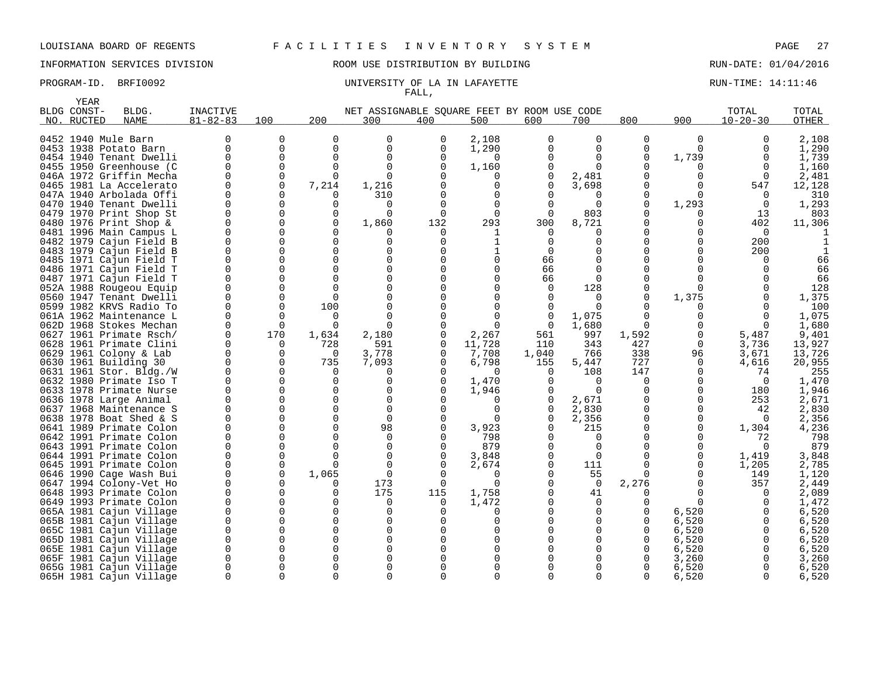INFORMATION SERVICES DIVISION ROOM USE DISTRIBUTION BY BUILDING RUN-DATE: 01/04/2016

### PROGRAM-ID. BRFI0092 **EXAM-ID.** BRFI0092 UNIVERSITY OF LA IN LAFAYETTE FALL,

|      | YEAR        |                                                    |                 |               |               |                                             |              |              |                  |                 |              |              |                |              |
|------|-------------|----------------------------------------------------|-----------------|---------------|---------------|---------------------------------------------|--------------|--------------|------------------|-----------------|--------------|--------------|----------------|--------------|
|      | BLDG CONST- | BLDG.                                              | <b>INACTIVE</b> |               |               | NET ASSIGNABLE SOUARE FEET BY ROOM USE CODE |              |              |                  |                 |              |              | TOTAL          | TOTAL        |
| NO.  | RUCTED      | <b>NAME</b>                                        | $81 - 82 - 83$  | 100           | 200           | 300                                         | 400          | 500          | 600              | 700             | 800          | 900          | $10 - 20 - 30$ | <b>OTHER</b> |
|      |             |                                                    |                 |               |               |                                             |              |              |                  |                 |              |              |                |              |
|      |             | 0452 1940 Mule Barn                                | 0               | $\Omega$      | $\Omega$      | $\mathbf 0$                                 | $\Omega$     | 2,108        | $\Omega$         | $\Omega$        | $\Omega$     | $\Omega$     | $\Omega$       | 2,108        |
|      |             | 0453 1938 Potato Barn                              | 0               | 0             | $\Omega$      | $\mathbf 0$                                 | $\Omega$     | 1,290        | 0                | 0               | 0            | $\Omega$     | 0              | 1,290        |
|      |             | 0454 1940 Tenant Dwelli                            | 0               | 0             | $\Omega$      | $\mathbf 0$                                 | 0            | $\Omega$     | $\Omega$         | 0               | 0            | 1,739        | $\Omega$       | 1,739        |
|      |             | 0455 1950 Greenhouse (C                            | 0               | 0             | $\Omega$      | $\Omega$                                    | $\Omega$     | 1,160        | 0                | $\Omega$        | 0            | 0            | $\Omega$       | 1,160        |
|      |             | 046A 1972 Griffin Mecha                            | O               | $\Omega$      | $\Omega$      | $\Omega$                                    |              |              | 0                | 2,481           | <sup>0</sup> | $\Omega$     | $\Omega$       | 2,481        |
|      |             | 0465 1981 La Accelerato                            | 0               | 0             | 7,214         | 1,216                                       |              | 0            | 0                | 3,698           | 0            | 0            | 547            | 12,128       |
|      |             | 047A 1940 Arbolada Offi                            | U               | 0             | ∩             | 310                                         |              | <sup>0</sup> | 0                | O               | $\Omega$     | 0            | $\Omega$       | 310          |
| 0470 |             | 1940 Tenant Dwelli                                 | $\Omega$        | $\Omega$      | $\Omega$      | 0                                           |              | 0            | 0                | $\Omega$        | 0            | 1,293        | $\overline{0}$ | 1,293        |
|      |             | 0479 1970 Print Shop St                            | O               | $\Omega$      | $\Omega$      | $\Omega$                                    | 0            | $\Omega$     | $\Omega$         | 803             | <sup>0</sup> | 0            | 13             | 803          |
| 0480 |             | 1976 Print Shop $\&$                               | 0               | 0             | $\Omega$      | 1,860                                       | 132          | 293          | 300              | 8,721           | 0            | $\Omega$     | 402            | 11,306       |
|      |             | 0481 1996 Main Campus L                            | 0               | 0             | O             |                                             | 0            |              | $\Omega$         | 0               | 0            | <sup>0</sup> | $\Omega$       |              |
|      |             | 0482 1979 Cajun Field B                            | $\Omega$        | $\Omega$      | $\Omega$      | $\mathbf 0$                                 | 0            |              | $\Omega$         | $\Omega$        | $\Omega$     | $\Omega$     | 200            |              |
|      |             | 0483 1979 Cajun Field B                            | 0               | 0             | $\Omega$      | 0                                           |              |              | 0                | 0               | 0            | 0            | 200            |              |
|      |             | 0485 1971 Cajun Field T                            | $\Omega$        | $\Omega$      | $\cap$        | $\Omega$                                    |              | $\Omega$     | 66               | $\Omega$        | $\Omega$     |              |                | 66           |
|      |             | 0486 1971 Cajun Field T                            | $\Omega$<br>O   | 0             | $\Omega$<br>∩ | $\mathbf 0$<br>$\Omega$                     |              |              | 66               | $\Omega$        | 0            |              |                | 66           |
|      |             | 0487 1971 Cajun Field T                            |                 | 0             | $\Omega$      | $\Omega$                                    |              | $\Omega$     | 66               | $\Omega$        | 0<br>0       | <sup>0</sup> |                | 66           |
|      |             | 052A 1988 Rougeou Equip                            | 0<br>0          | 0<br>$\Omega$ | $\Omega$      | $\Omega$                                    |              |              | $\mathbf 0$<br>0 | 128<br>$\Omega$ | 0            | 1,375        |                | 128<br>1,375 |
|      |             | 0560 1947 Tenant Dwelli<br>0599 1982 KRVS Radio To | $\Omega$        | $\Omega$      | 100           |                                             |              |              | 0                | $\Omega$        |              | <sup>0</sup> | $\Omega$       | 100          |
|      |             | 061A 1962 Maintenance L                            | $\Omega$        | $\Omega$      | $\Omega$      | $\Omega$                                    |              | $\Omega$     | 0                | 1,075           | 0            | U            | 0              | 1,075        |
|      |             | 062D 1968 Stokes Mechan                            | U               | $\Omega$      | $\Omega$      | $\Omega$                                    |              | $\Omega$     | $\Omega$         | 1,680           | $\Omega$     |              | ∩              | 1,680        |
|      |             | 0627 1961 Primate Rsch/                            | $\mathbf 0$     | 170           | 1,634         | 2,180                                       | 0            | 2,267        | 561              | 997             | 1,592        | 0            | 5,487          | 9,401        |
|      |             | 0628 1961 Primate Clini                            | $\Omega$        | 0             | 728           | 591                                         | $\Omega$     | 11,728       | 110              | 343             | 427          | $\mathbf 0$  | 3,736          | 13,927       |
|      |             | 0629 1961 Colony & Lab                             | $\mathbf 0$     | 0             | 0             | 3,778                                       | 0            | 7,708        | 1,040            | 766             | 338          | 96           | 3,671          | 13,726       |
|      |             | 0630 1961 Building 30                              | 0               | 0             | 735           | 7,093                                       | O            | 6,798        | 155              | 5,447           | 727          | $\Omega$     | 4,616          | 20,955       |
|      |             | 0631 1961 Stor. Bldg./W                            | $\Omega$        | $\Omega$      | $\Omega$      | 0                                           |              | $\Omega$     | 0                | 108             | 147          | 0            | 74             | 255          |
|      |             | 0632 1980 Primate Iso T                            | 0               | $\Omega$      | $\Omega$      | $\Omega$                                    | O            | 1,470        | 0                | $\Omega$        | 0            | 0            | $\Omega$       | 1,470        |
|      |             | 0633 1978 Primate Nurse                            | O               | $\Omega$      | $\Omega$      | $\Omega$                                    |              | 1,946        | 0                | $\Omega$        | 0            | 0            | 180            | 1,946        |
|      |             | 0636 1978 Large Animal                             | $\Omega$        | $\Omega$      | $\Omega$      | $\mathbf 0$                                 |              | U            | 0                | 2,671           | 0            | $\Omega$     | 253            | 2,671        |
|      |             | 0637 1968 Maintenance S                            | $\Omega$        | $\Omega$      | $\Omega$      | $\mathbf 0$                                 | $\Omega$     | $\Omega$     | 0                | 2,830           | 0            | 0            | 42             | 2,830        |
|      |             | 0638 1978 Boat Shed & S                            | 0               | 0             | $\Omega$      | $\Omega$                                    | <sup>0</sup> | $\Omega$     | $\Omega$         | 2,356           | 0            | 0            | $\Omega$       | 2,356        |
|      |             | 0641 1989 Primate Colon                            | $\Omega$        | 0             | $\Omega$      | 98                                          | $\Omega$     | 3,923        | 0                | 215             | 0            | 0            | 1,304          | 4,236        |
|      |             | 0642 1991 Primate Colon                            | O               | 0             | $\Omega$      | 0                                           |              | 798          | 0                | 0               | 0            | 0            | 72             | 798          |
|      |             | 0643 1991 Primate Colon                            | $\Omega$        | 0             | $\Omega$      | $\mathbf 0$                                 |              | 879          | $\Omega$         | $\Omega$        | 0            | 0            | $\Omega$       | 879          |
|      |             | 0644 1991 Primate Colon                            | O               | 0             | ∩             | 0                                           | O            | 3,848        | 0                | $\Omega$        | $\Omega$     | 0            | 1,419          | 3,848        |
|      |             | 0645 1991 Primate Colon                            | $\Omega$        | 0             | $\Omega$      | $\Omega$                                    | $\Omega$     | 2,674        | $\Omega$         | 111             | $\Omega$     | 0            | 1,205          | 2,785        |
|      |             | 0646 1990 Cage Wash Bui                            | 0               | 0             | 1,065         | 0                                           |              | <sup>0</sup> | 0                | 55              | $\Omega$     | 0            | 149            | 1,120        |
|      |             | 0647 1994 Colony-Vet Ho                            | 0               | 0             | O             | 173                                         | 0            | $\Omega$     | 0                | $\overline{0}$  | 2,276        | 0            | 357            | 2,449        |
|      |             | 0648 1993 Primate Colon                            | 0               | 0             | $\Omega$      | 175                                         | 115          | 1,758        | 0                | 41              | 0            | 0            | 0              | 2,089        |
|      |             | 0649 1993 Primate Colon                            | $\Omega$        | $\Omega$      | ∩             | 0                                           | $\Omega$     | 1,472        | 0                | $\Omega$        | 0            | 0            | 0              | 1,472        |
|      |             | 065A 1981 Cajun Village                            | 0               | 0             | ∩             | 0                                           |              | $\Omega$     | O                | 0               | 0            | 6,520        | 0              | 6,520        |
|      |             | 065B 1981 Cajun Village                            | $\Omega$        | $\Omega$      | ∩             | $\Omega$                                    |              | <sup>0</sup> |                  | O               | <sup>0</sup> | 6,520        |                | 6,520        |
|      |             | 065C 1981 Cajun Village                            | 0               | 0             | $\Omega$      | $\mathbf 0$                                 |              |              |                  | 0               | 0            | 6,520        | $\Omega$       | 6,520        |
|      |             | 065D 1981 Cajun Village                            | $\Omega$        | $\Omega$      | $\Omega$      | $\Omega$                                    |              | $\Omega$     |                  | $\Omega$        | $\Omega$     | 6,520        | 0              | 6,520        |
| 065E |             | 1981 Cajun Village                                 | 0               | 0             | $\Omega$      | $\Omega$                                    |              |              |                  | 0               | 0            | 6,520        | $\Omega$       | 6,520        |
|      |             | 065F 1981 Cajun Village                            | 0               | 0             | ∩             | $\Omega$                                    |              |              |                  | O               | 0            | 3,260        |                | 3,260        |
|      |             | 065G 1981 Cajun Village                            | $\Omega$        | $\Omega$      |               | $\Omega$                                    |              |              |                  | $\Omega$        | $\Omega$     | 6,520        | $\Omega$       | 6,520        |
|      |             | 065H 1981 Cajun Village                            | 0               | $\Omega$      | $\Omega$      | $\Omega$                                    | $\Omega$     | $\Omega$     | $\Omega$         | $\Omega$        | 0            | 6,520        | $\Omega$       | 6,520        |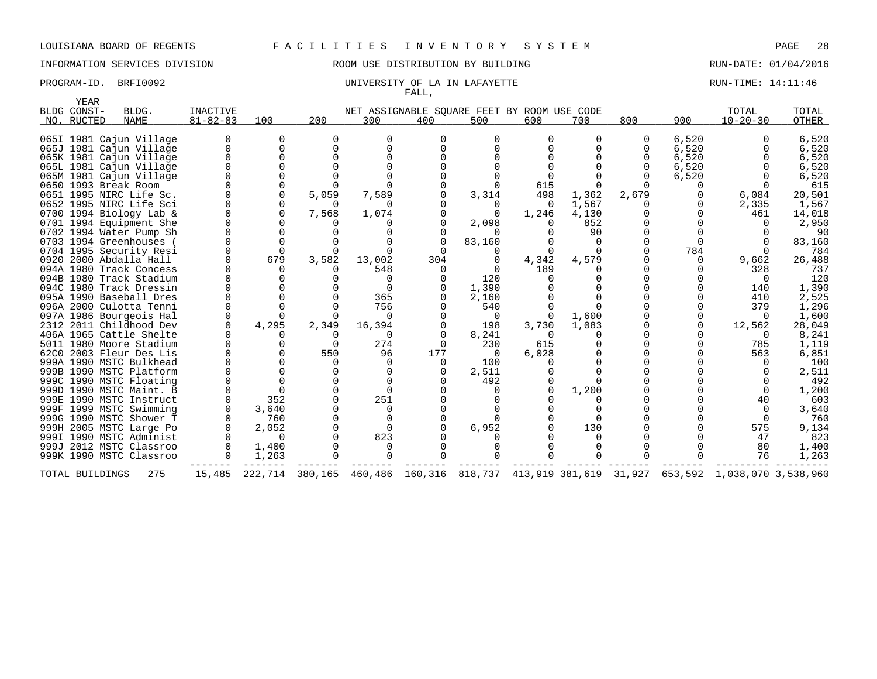# INFORMATION SERVICES DIVISION **REDEFILMENTION BY BUILDING RUN-DATE: 01/04/2016**

### PROGRAM-ID. BRFI0092 **EXAM-ID.** BRFI0092 UNIVERSITY OF LA IN LAFAYETTE FALL,

| <b>YEAR</b>     |                         |                 |          |                 |              |                                                |          |          |          |       |         |                     |        |
|-----------------|-------------------------|-----------------|----------|-----------------|--------------|------------------------------------------------|----------|----------|----------|-------|---------|---------------------|--------|
| BLDG CONST-     | BLDG.                   | <b>INACTIVE</b> |          |                 |              | NET ASSIGNABLE SQUARE FEET BY ROOM USE CODE    |          |          |          |       |         | TOTAL               | TOTAL  |
| NO. RUCTED      | <b>NAME</b>             | $81 - 82 - 83$  | 100      | 200             | 300          | 400                                            | 500      | 600      | 700      | 800   | 900     | $10 - 20 - 30$      | OTHER  |
|                 | 065I 1981 Cajun Village | $\Omega$        | 0        | O               | O            | 0                                              | 0        | $\Omega$ | 0        | 0     | 6,520   |                     | 6,520  |
|                 | 065J 1981 Cajun Village | $\Omega$        | $\Omega$ |                 |              |                                                |          |          |          |       | 6,520   |                     | 6,520  |
|                 | 065K 1981 Cajun Village | $\Omega$        | $\Omega$ |                 | $\Omega$     |                                                |          |          | U        |       | 6,520   |                     | 6,520  |
|                 | 065L 1981 Cajun Village |                 |          |                 |              |                                                |          |          |          |       | 6,520   |                     | 6,520  |
|                 | 065M 1981 Cajun Village |                 |          |                 |              |                                                |          |          |          |       | 6,520   |                     | 6,520  |
|                 | 0650 1993 Break Room    |                 |          |                 |              |                                                |          | 615      |          |       |         |                     | 615    |
|                 | 0651 1995 NIRC Life Sc. |                 |          | 5,059           | 7,589        |                                                | 3,314    | 498      | 1,362    | 2,679 |         | 6,084               | 20,501 |
|                 | 0652 1995 NIRC Life Sci |                 |          | O.              | <sup>n</sup> |                                                |          | $\Omega$ | 1,567    |       |         | 2,335               | 1,567  |
|                 | 0700 1994 Biology Lab & |                 | 0        | 7,568           | 1,074        |                                                | $\Omega$ | 1,246    | 4,130    |       |         | 461                 | 14,018 |
|                 | 0701 1994 Equipment She |                 |          |                 |              |                                                | 2,098    |          | 852      |       |         |                     | 2,950  |
|                 | 0702 1994 Water Pump Sh |                 |          |                 |              |                                                | 0        |          | 90       |       |         |                     | 90     |
|                 | 0703 1994 Greenhouses   |                 |          |                 |              |                                                | 83,160   |          |          |       |         |                     | 83,160 |
|                 | 0704 1995 Security Resi |                 |          |                 |              |                                                |          |          |          |       | 784     |                     | 784    |
|                 | 0920 2000 Abdalla Hall  |                 | 679      | 3,582           | 13,002       | 304                                            |          | 4,342    | 4,579    |       | 0       | 9,662               | 26,488 |
|                 | 094A 1980 Track Concess |                 |          |                 | 548          | $\Omega$                                       | $\Omega$ | 189      |          |       |         | 328                 | 737    |
|                 | 094B 1980 Track Stadium |                 |          |                 | O            |                                                | 120      |          |          |       |         |                     | 120    |
|                 | 094C 1980 Track Dressin |                 |          |                 |              |                                                | 1,390    |          |          |       |         | 140                 | 1,390  |
|                 | 095A 1990 Baseball Dres |                 |          |                 | 365          |                                                | 2,160    |          |          |       |         | 410                 | 2,525  |
|                 | 096A 2000 Culotta Tenni |                 |          |                 | 756          |                                                | 540      |          | $\Omega$ |       |         | 379                 | 1,296  |
|                 | 097A 1986 Bourgeois Hal |                 |          |                 | 0            |                                                | $\Omega$ |          | 1,600    |       |         | $\Omega$            | 1,600  |
|                 | 2312 2011 Childhood Dev |                 | 4,295    | 2,349           | 16,394       |                                                | 198      | 3,730    | 1,083    |       |         | 12,562              | 28,049 |
|                 | 406A 1965 Cattle Shelte |                 |          |                 | $\Omega$     |                                                | 8,241    | $\Omega$ | 0        |       |         | $\Omega$            | 8,241  |
|                 | 5011 1980 Moore Stadium |                 |          |                 | 274          |                                                | 230      | 615      |          |       |         | 785                 | 1,119  |
|                 | 62C0 2003 Fleur Des Lis |                 |          | 550             | 96           | 177                                            | 0        | 6,028    | $\Omega$ |       |         | 563                 | 6,851  |
|                 | 999A 1990 MSTC Bulkhead |                 |          |                 | $\Omega$     | $\Omega$                                       | 100      |          | $\Omega$ |       |         |                     | 100    |
|                 | 999B 1990 MSTC Platform |                 |          |                 |              |                                                | 2,511    |          |          |       |         |                     | 2,511  |
|                 | 999C 1990 MSTC Floating |                 |          |                 |              |                                                | 492      |          |          |       |         |                     | 492    |
|                 | 999D 1990 MSTC Maint. B |                 |          |                 |              |                                                |          |          | 1,200    |       |         |                     | 1,200  |
|                 | 999E 1990 MSTC Instruct |                 | 352      |                 | 251          |                                                |          |          |          |       |         | 40                  | 603    |
|                 | 999F 1999 MSTC Swimming |                 | 3,640    |                 | $\Omega$     |                                                |          |          | $\Omega$ |       |         |                     | 3,640  |
|                 | 999G 1990 MSTC Shower T |                 | 760      |                 | $\Omega$     |                                                |          |          | $\Omega$ |       |         |                     | 760    |
|                 | 999H 2005 MSTC Large Po |                 | 2,052    |                 |              |                                                | 6,952    |          | 130      |       |         | 575                 | 9,134  |
|                 | 999I 1990 MSTC Administ |                 | $\Omega$ |                 | 823          |                                                |          |          |          |       |         | 47                  | 823    |
|                 | 999J 2012 MSTC Classroo |                 | 1,400    |                 |              |                                                |          |          |          |       |         | 80                  | 1,400  |
|                 | 999K 1990 MSTC Classroo |                 | 1,263    |                 | ∩            |                                                |          |          | $\Omega$ |       |         | 76                  | 1,263  |
| TOTAL BUILDINGS | 275                     | 15,485          |          | 222,714 380,165 |              | 460,486 160,316 818,737 413,919 381,619 31,927 |          |          |          |       | 653,592 | 1,038,070 3,538,960 |        |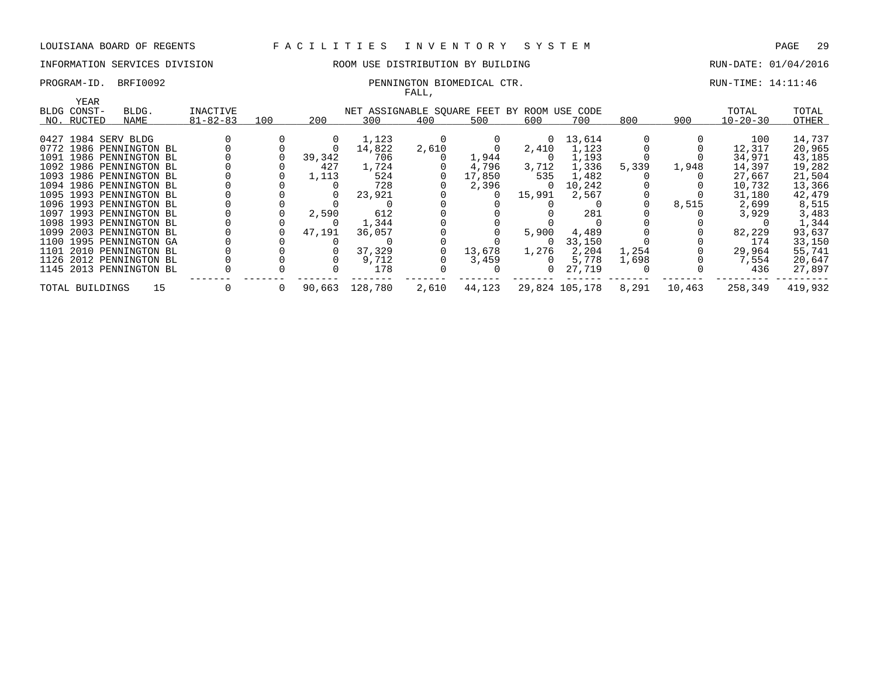# INFORMATION SERVICES DIVISION ROOM USE DISTRIBUTION BY BUILDING RUN-DATE: 01/04/2016

### PROGRAM-ID. BRFI0092 PENNINGTON BIOMEDICAL CTR. THE RUN-TIME: 14:11:46

# FALL,

|                 | YEAR |                         |                |          |          |                                             |       |        |          |                |       |        |                |         |
|-----------------|------|-------------------------|----------------|----------|----------|---------------------------------------------|-------|--------|----------|----------------|-------|--------|----------------|---------|
| BLDG CONST-     |      | BLDG.                   | INACTIVE       |          |          | NET ASSIGNABLE SQUARE FEET BY ROOM USE CODE |       |        |          |                |       |        | TOTAL          | TOTAL   |
| NO. RUCTED      |      | NAME                    | $81 - 82 - 83$ | 100      | 200      | 300                                         | 400   | 500    | 600      | 700            | 800   | 900    | $10 - 20 - 30$ | OTHER   |
|                 |      |                         |                |          |          |                                             |       |        |          |                |       |        |                |         |
|                 |      | 0427 1984 SERV BLDG     |                |          | $\Omega$ | 1,123                                       |       |        | $\Omega$ | 13,614         |       |        | 100            | 14,737  |
|                 |      | 0772 1986 PENNINGTON BL |                |          |          | 14,822                                      | 2,610 |        | 2,410    | 1,123          |       |        | 12,317         | 20,965  |
|                 |      | 1091 1986 PENNINGTON BL |                |          | 39,342   | 706                                         |       | 1,944  | 0        | 1,193          |       |        | 34,971         | 43,185  |
|                 |      | 1092 1986 PENNINGTON BL |                |          | 427      | 1,724                                       |       | 4,796  | 3,712    | 1,336          | 5,339 | 1,948  | 14,397         | 19,282  |
|                 |      | 1093 1986 PENNINGTON BL |                |          | 1,113    | 524                                         |       | 17,850 | 535      | 1,482          |       |        | 27,667         | 21,504  |
|                 |      | 1094 1986 PENNINGTON BL |                |          |          | 728                                         |       | 2,396  | 0        | 10,242         |       |        | 10,732         | 13,366  |
|                 |      | 1095 1993 PENNINGTON BL |                |          |          | 23,921                                      |       |        | 15,991   | 2,567          |       |        | 31,180         | 42,479  |
|                 |      | 1096 1993 PENNINGTON BL |                |          |          |                                             |       |        |          |                |       | 8,515  | 2,699          | 8,515   |
|                 |      | 1097 1993 PENNINGTON BL |                |          | 2,590    | 612                                         |       |        |          | 281            |       |        | 3,929          | 3,483   |
|                 |      | 1098 1993 PENNINGTON BL |                |          | 0        | 1,344                                       |       |        |          |                |       |        |                | 1,344   |
|                 |      | 1099 2003 PENNINGTON BL |                |          | 47,191   | 36,057                                      |       |        | 5,900    | 4,489          |       |        | 82,229         | 93,637  |
|                 |      | 1100 1995 PENNINGTON GA |                |          |          |                                             |       |        | $\Omega$ | 33,150         |       |        | 174            | 33,150  |
|                 |      | 1101 2010 PENNINGTON BL |                |          |          | 37,329                                      |       | 13,678 | 1,276    | 2,204          | 1,254 |        | 29,964         | 55,741  |
|                 |      | 1126 2012 PENNINGTON BL |                |          |          | 9,712                                       |       | 3,459  | $\Omega$ | 5,778          | 1,698 |        | 7,554          | 20,647  |
|                 |      |                         |                |          |          |                                             |       |        |          |                |       |        |                |         |
|                 |      | 1145 2013 PENNINGTON BL |                |          |          | 178                                         |       |        | 0        | 27,719         |       |        | 436            | 27,897  |
| TOTAL BUILDINGS |      | 15                      |                | $\Omega$ | 90,663   | 128,780                                     | 2,610 | 44,123 |          | 29,824 105,178 | 8,291 | 10,463 | 258,349        | 419,932 |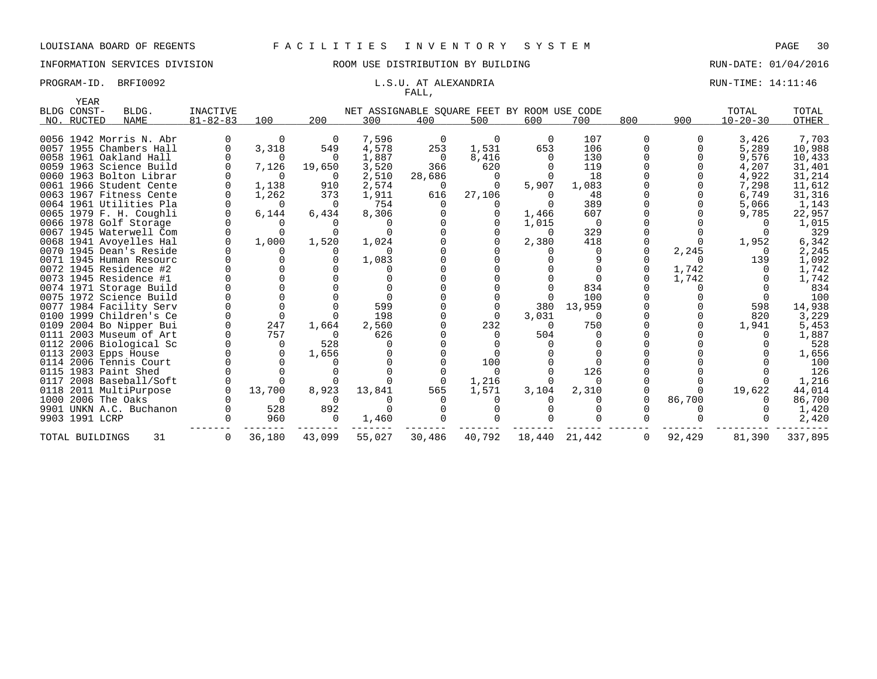# FALL,

### PROGRAM-ID. BRFI0092 **EXAMPLE 14:11:46** L.S.U. AT ALEXANDRIA RUN-TIME: 14:11:46

| YEAR                      |                         |                            |             |          |                                                    |        |          |          |          |          |        |                         |                |
|---------------------------|-------------------------|----------------------------|-------------|----------|----------------------------------------------------|--------|----------|----------|----------|----------|--------|-------------------------|----------------|
| BLDG CONST-<br>NO. RUCTED | BLDG.<br>NAME           | INACTIVE<br>$81 - 82 - 83$ | 100         | 200      | NET ASSIGNABLE SQUARE FEET BY ROOM USE CODE<br>300 | 400    | 500      | 600      | 700      | 800      | 900    | TOTAL<br>$10 - 20 - 30$ | TOTAL<br>OTHER |
|                           |                         |                            |             |          |                                                    |        |          |          |          |          |        |                         |                |
|                           | 0056 1942 Morris N. Abr |                            | 0           | 0        | 7,596                                              | 0      | $\Omega$ | $\Omega$ | 107      | $\Omega$ |        | 3,426                   | 7,703          |
|                           | 0057 1955 Chambers Hall |                            | 3,318       | 549      | 4,578                                              | 253    | 1,531    | 653      | 106      |          |        | 5,289                   | 10,988         |
|                           | 0058 1961 Oakland Hall  |                            | $\Omega$    | $\Omega$ | 1,887                                              | 0      | 8,416    | $\Omega$ | 130      |          |        | 9,576                   | 10,433         |
|                           | 0059 1963 Science Build |                            | 7,126       | 19,650   | 3,520                                              | 366    | 620      |          | 119      |          |        | 4,207                   | 31,401         |
|                           | 0060 1963 Bolton Librar |                            | $\Omega$    | $\Omega$ | 2,510                                              | 28,686 | 0        | $\Omega$ | 18       |          |        | 4,922                   | 31,214         |
|                           | 0061 1966 Student Cente |                            | 1,138       | 910      | 2,574                                              | 0      |          | 5,907    | 1,083    |          |        | 7,298                   | 11,612         |
|                           | 0063 1967 Fitness Cente |                            | 1,262       | 373      | 1,911                                              | 616    | 27,106   | $\Omega$ | 48       |          |        | 6,749                   | 31,316         |
|                           | 0064 1961 Utilities Pla |                            | $\Omega$    | $\Omega$ | 754                                                |        |          | $\Omega$ | 389      |          |        | 5,066                   | 1,143          |
|                           | 0065 1979 F. H. Coughli |                            | 6,144       | 6,434    | 8,306                                              |        |          | 1,466    | 607      |          |        | 9,785                   | 22,957         |
|                           | 0066 1978 Golf Storage  |                            | $\Omega$    |          | $\left( \right)$                                   |        |          | 1,015    | - 0      |          |        |                         | 1,015          |
|                           | 0067 1945 Waterwell Com |                            | $\Omega$    |          | $\Omega$                                           |        |          | $\Omega$ | 329      |          |        |                         | 329            |
|                           | 0068 1941 Avoyelles Hal |                            | 1,000       | 1,520    | 1,024                                              |        |          | 2,380    | 418      |          |        | 1,952                   | 6,342          |
|                           | 0070 1945 Dean's Reside |                            | $\Omega$    |          | $\Omega$                                           |        |          |          | 0        |          | 2,245  |                         | 2,245          |
|                           | 0071 1945 Human Resourc |                            |             |          | 1,083                                              |        |          |          |          |          |        | 139                     | 1,092          |
|                           | 0072 1945 Residence #2  |                            |             |          | $\Omega$                                           |        |          |          |          |          | 1,742  |                         | 1,742          |
|                           | 0073 1945 Residence #1  |                            |             |          |                                                    |        |          |          | $\Omega$ |          | 1,742  |                         | 1,742          |
|                           | 0074 1971 Storage Build |                            |             |          |                                                    |        |          |          | 834      |          |        |                         | 834            |
|                           | 0075 1972 Science Build |                            |             |          | $\Omega$                                           |        |          |          | 100      |          |        |                         | 100            |
|                           | 0077 1984 Facility Serv |                            | $\Omega$    |          | 599                                                |        |          | 380      | 13,959   |          |        | 598                     | 14,938         |
|                           | 0100 1999 Children's Ce |                            | $\mathbf 0$ |          | 198                                                |        |          | 3,031    | $\Omega$ |          |        | 820                     | 3,229          |
|                           | 0109 2004 Bo Nipper Bui |                            | 247         | 1,664    | 2,560                                              |        | 232      | $\Omega$ | 750      |          |        | 1,941                   | 5,453          |
|                           | 0111 2003 Museum of Art |                            | 757         | $\Omega$ | 626                                                |        |          | 504      | $\Omega$ |          |        |                         | 1,887          |
|                           | 0112 2006 Biological Sc |                            | 0           | 528      | $\Omega$                                           |        |          |          |          |          |        |                         | 528            |
|                           | 0113 2003 Epps House    |                            | 0           | 1,656    |                                                    |        |          |          |          |          |        |                         | 1,656          |
|                           | 0114 2006 Tennis Court  |                            | $\Omega$    |          |                                                    |        | 100      |          | $\Omega$ |          |        |                         | 100            |
|                           | 0115 1983 Paint Shed    |                            | $\Omega$    |          |                                                    |        | $\Omega$ |          | 126      |          |        |                         | 126            |
|                           | 0117 2008 Baseball/Soft |                            | $\Omega$    |          | $\Omega$                                           | 0      | 1,216    |          | $\Omega$ |          |        |                         | 1,216          |
|                           | 0118 2011 MultiPurpose  |                            | 13,700      | 8,923    | 13,841                                             | 565    | 1,571    | 3,104    | 2,310    |          |        | 19,622                  | 44,014         |
|                           | 1000 2006 The Oaks      |                            | $\Omega$    |          |                                                    |        |          |          |          |          | 86,700 |                         | 86,700         |
|                           | 9901 UNKN A.C. Buchanon |                            | 528         | 892      | $\Omega$                                           |        |          |          |          |          |        |                         | 1,420          |
| 9903 1991 LCRP            |                         |                            | 960         | $\Omega$ | 1,460                                              |        |          |          |          |          |        |                         | 2,420          |
| TOTAL BUILDINGS           | 31                      |                            | 36,180      | 43,099   | 55,027                                             | 30,486 | 40,792   | 18,440   | 21,442   | 0        | 92,429 | 81,390                  | 337,895        |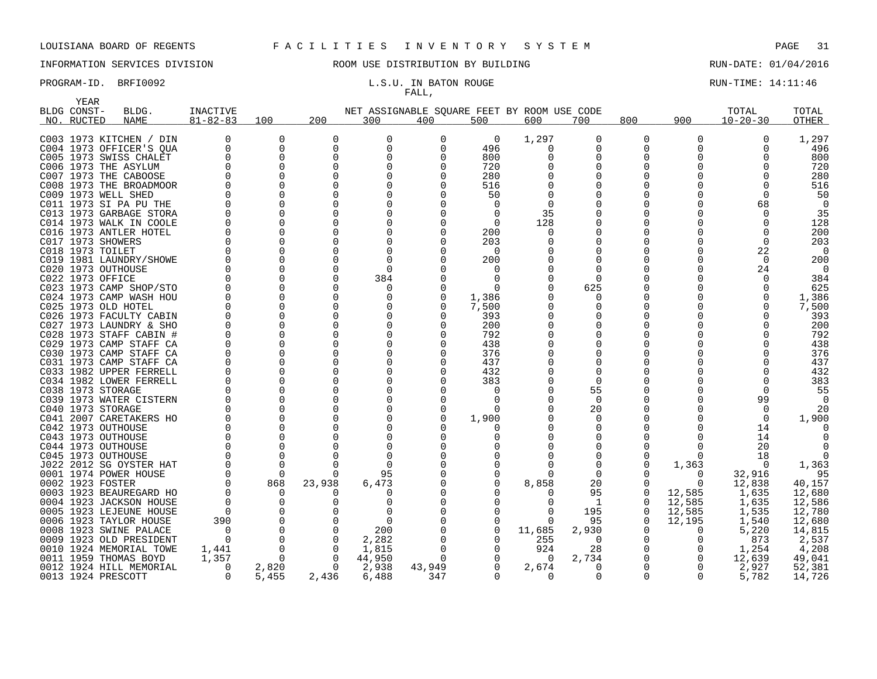### INFORMATION SERVICES DIVISION COOM OSE DISTRIBUTION BY BUILDING CONTROLLER RUN-DATE: 01/04/2016

# FALL,

### PROGRAM-ID. BRFI0092 **EXAM-ID.** BRFI0092 **L.S.U. IN BATON ROUGE EXAMINE: 14:11:46**

| <b>YEAR</b> |                                                    |                |                      |              |                                             |        |              |        |              |          |          |                |            |
|-------------|----------------------------------------------------|----------------|----------------------|--------------|---------------------------------------------|--------|--------------|--------|--------------|----------|----------|----------------|------------|
| BLDG CONST- | BLDG.                                              | INACTIVE       |                      |              | NET ASSIGNABLE SQUARE FEET BY ROOM USE CODE |        |              |        |              |          |          | TOTAL          | TOTAL      |
| NO. RUCTED  | <b>NAME</b>                                        | $81 - 82 - 83$ | 100                  | 200          | 300                                         | 400    | 500          | 600    | 700          | 800      | 900      | $10 - 20 - 30$ | OTHER      |
|             |                                                    |                |                      |              |                                             |        |              |        |              |          |          |                |            |
|             | C003 1973 KITCHEN / DIN                            | $\Omega$       | 0                    | 0            | 0                                           | 0      | 0            | 1,297  | 0            | 0        | $\Omega$ | $\Omega$       | 1,297      |
|             | C004 1973 OFFICER'S QUA                            |                | 0                    | $\mathbf 0$  | 0                                           | 0      | 496          | 0      | 0            | 0        |          |                | 496        |
|             | C005 1973 SWISS CHALET                             |                | $\Omega$             | <sup>0</sup> | $\Omega$                                    |        | 800          |        | O            | O        |          |                | 800        |
|             | C006 1973 THE ASYLUM                               |                | $\Omega$             | $\Omega$     |                                             |        | 720          |        | $\Omega$     | 0        |          |                | 720        |
|             | C007 1973 THE CABOOSE                              |                | $\Omega$             | ∩            |                                             |        | 280          |        | U            |          |          |                | 280        |
|             | C008 1973 THE BROADMOOR                            |                | $\Omega$             |              |                                             |        | 516          |        | O            |          |          |                | 516        |
|             | C009 1973 WELL SHED                                |                | $\Omega$             |              |                                             |        | 50           |        | O            |          |          |                | 50         |
|             | C011 1973 SI PA PU THE                             |                | $\Omega$             |              |                                             |        | <sup>0</sup> |        |              |          |          | 68             | $\Omega$   |
|             | C013 1973 GARBAGE STORA                            |                | $\Omega$             |              |                                             |        | <sup>0</sup> | 35     |              |          |          |                | 35         |
|             | C014 1973 WALK IN COOLE                            |                | $\Omega$             |              |                                             |        | ∩            | 128    | O            |          |          |                | 128        |
|             | C016 1973 ANTLER HOTEL                             |                | $\Omega$             | $\Omega$     |                                             |        | 200          | O      |              |          |          |                | 200        |
|             | C017 1973 SHOWERS                                  |                | $\Omega$             |              |                                             |        | 203          |        |              |          |          |                | 203        |
|             | C018 1973 TOILET                                   |                | 0                    |              | 0                                           |        | 0            |        | O            |          |          | 22             | 0          |
|             | C019 1981 LAUNDRY/SHOWE                            |                | $\Omega$             |              | $\Omega$                                    |        | 200          |        | 0            |          |          | $\Omega$       | 200        |
|             | C020 1973 OUTHOUSE                                 |                | $\Omega$             |              | $\Omega$                                    |        |              |        |              |          |          | 24             | 0          |
|             | C022 1973 OFFICE                                   |                | 0                    |              | 384                                         |        | <sup>0</sup> |        | <sup>0</sup> |          |          |                | 384        |
|             | C023 1973 CAMP SHOP/STO                            |                | $\Omega$             |              | 0                                           |        |              |        | 625          |          |          |                | 625        |
|             | C024 1973 CAMP WASH HOU                            |                | $\Omega$             | <sup>n</sup> | O                                           |        | 1,386        |        | 0            |          |          |                | 1,386      |
|             | C025 1973 OLD HOTEL                                |                | $\Omega$             | <sup>n</sup> |                                             |        | 7,500        |        | O            |          |          |                | 7,500      |
|             | C026 1973 FACULTY CABIN                            |                | 0                    | $\Omega$     | 0                                           |        | 393          |        | 0            |          |          |                | 393        |
|             | C027 1973 LAUNDRY & SHO                            |                | $\Omega$             |              |                                             |        | 200          |        | O            | O        |          |                | 200        |
|             | C028 1973 STAFF CABIN #                            |                | $\Omega$             | $\Omega$     |                                             |        | 792          |        | U            |          |          |                | 792        |
|             | C029 1973 CAMP STAFF CA                            |                | $\Omega$             |              |                                             |        | 438          |        |              |          |          |                | 438        |
|             | C030 1973 CAMP STAFF CA                            |                | $\Omega$<br>$\Omega$ | U            |                                             |        | 376          |        | O<br>O       |          |          |                | 376        |
|             | C031 1973 CAMP STAFF CA<br>C033 1982 UPPER FERRELL |                | $\Omega$             | $\Omega$     |                                             |        | 437<br>432   |        | O            |          |          |                | 437<br>432 |
|             | C034 1982 LOWER FERRELL                            |                | $\Omega$             | ∩            |                                             |        | 383          |        | <sup>0</sup> |          |          |                | 383        |
|             | C038 1973 STORAGE                                  |                | $\Omega$             |              |                                             |        | $\Omega$     |        | 55           |          |          |                | 55         |
|             | C039 1973 WATER CISTERN                            |                | $\Omega$             |              |                                             |        | ∩            |        | $\Omega$     |          |          | 99             | $\Omega$   |
|             | C040 1973 STORAGE                                  |                | $\Omega$             |              |                                             |        | $\Omega$     |        | 20           |          |          | $\Omega$       | 20         |
|             | C041 2007 CARETAKERS HO                            |                | $\Omega$             |              |                                             |        | 1,900        |        | 0            |          |          |                | 1,900      |
|             | C042 1973 OUTHOUSE                                 |                | $\Omega$             |              |                                             |        | O            |        | $\Omega$     |          |          | 14             |            |
|             | C043 1973 OUTHOUSE                                 |                | $\Omega$             |              |                                             |        |              |        | Ω            |          |          | 14             |            |
|             | C044 1973 OUTHOUSE                                 |                | $\Omega$             |              |                                             |        |              |        | $\Omega$     |          |          | 20             |            |
|             | C045 1973 OUTHOUSE                                 |                | $\Omega$             |              |                                             |        |              |        | 0            | 0        |          | 18             |            |
|             | J022 2012 SG OYSTER HAT                            |                | $\Omega$             |              | $\Omega$                                    |        |              |        | O            | O        | 1,363    | $\Omega$       | 1,363      |
|             | 0001 1974 POWER HOUSE                              |                | $\Omega$             | $\Omega$     | 95                                          |        | 0            | U      | 0            |          | $\Omega$ | 32,916         | 95         |
|             | 0002 1923 FOSTER                                   |                | 868                  | 23,938       | 6,473                                       |        |              | 8,858  | 20           | O        | n        | 12,838         | 40,157     |
|             | 0003 1923 BEAUREGARD HO                            |                | $\Omega$             |              | 0                                           |        |              |        | 95           | $\Omega$ | 12,585   | 1,635          | 12,680     |
|             | 0004 1923 JACKSON HOUSE                            |                | $\Omega$             |              | O                                           |        |              |        | -1           | 0        | 12,585   | 1,635          | 12,586     |
|             | 0005 1923 LEJEUNE HOUSE                            | $\Omega$       | 0                    |              | $\Omega$                                    |        |              | O      | 195          | 0        | 12,585   | 1,535          | 12,780     |
|             | 0006 1923 TAYLOR HOUSE                             | 390            | $\Omega$             |              | $\Omega$                                    |        |              | 0      | 95           | $\Omega$ | 12,195   | 1,540          | 12,680     |
|             | 0008 1923 SWINE PALACE                             |                | $\Omega$             | $\Omega$     | 200                                         |        |              | 11,685 | 2,930        | O        |          | 5,220          | 14,815     |
|             | 0009 1923 OLD PRESIDENT                            |                | $\Omega$             | $\Omega$     | 2,282                                       |        |              | 255    | 0            | 0        |          | 873            | 2,537      |
|             | 0010 1924 MEMORIAL TOWE                            | 1,441          | $\Omega$             | $\Omega$     | 1,815                                       |        |              | 924    | 28           | 0        |          | 1,254          | 4,208      |
|             | 0011 1959 THOMAS BOYD                              | 1,357          | $\Omega$             | $\Omega$     | 44,950                                      | O      |              | 0      | 2,734        | 0        |          | 12,639         | 49,041     |
|             | 0012 1924 HILL MEMORIAL                            |                | 2,820                | $\Omega$     | 2,938                                       | 43,949 |              | 2,674  | U            | $\Omega$ |          | 2,927          | 52,381     |
|             | 0013 1924 PRESCOTT                                 | $\Omega$       | 5,455                | 2,436        | 6,488                                       | 347    | $\Omega$     | 0      | 0            | 0        | $\Omega$ | 5,782          | 14,726     |
|             |                                                    |                |                      |              |                                             |        |              |        |              |          |          |                |            |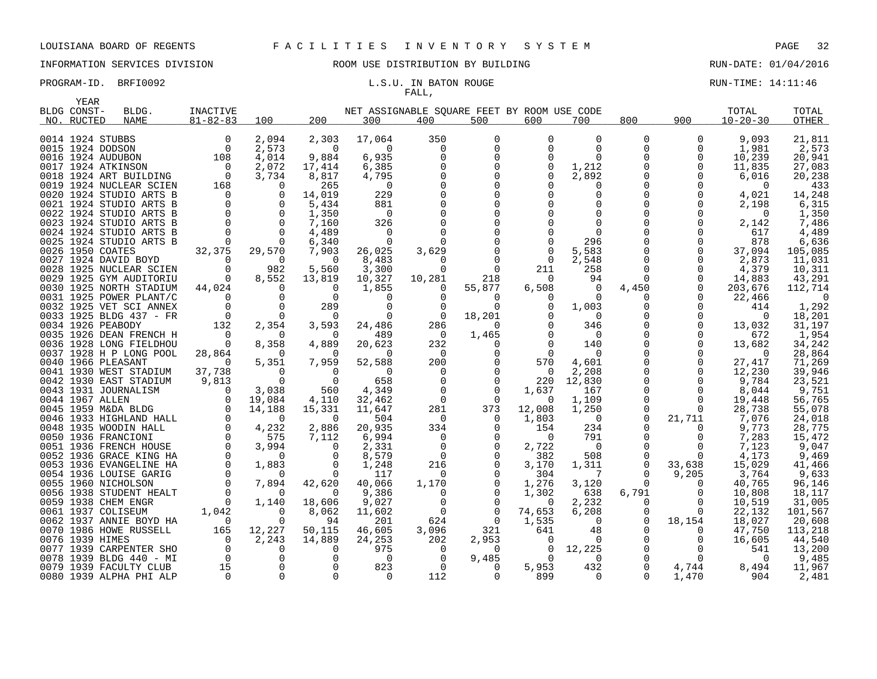# FALL,

PROGRAM-ID. BRFI0092 **EXAM-ID.** BRFI0092 **L.S.U. IN BATON ROUGE EXAMINE: 14:11:46** 

|      | YEAR              |                         |                                                  |                          |                    |                                             |                |                   |                 |                |                      |             |                 |                  |
|------|-------------------|-------------------------|--------------------------------------------------|--------------------------|--------------------|---------------------------------------------|----------------|-------------------|-----------------|----------------|----------------------|-------------|-----------------|------------------|
|      | BLDG CONST-       | BLDG.                   | INACTIVE                                         |                          |                    | NET ASSIGNABLE SQUARE FEET BY ROOM USE CODE |                |                   |                 |                |                      |             | TOTAL           | TOTAL            |
|      | NO. RUCTED        | NAME                    | $81 - 82 - 83$                                   | 100                      | 200                | 300                                         | 400            | 500               | 600             | 700            | 800                  | 900         | $10 - 20 - 30$  | OTHER            |
|      |                   |                         |                                                  |                          |                    |                                             |                |                   |                 |                |                      |             |                 |                  |
|      | 0014 1924 STUBBS  |                         | 0                                                | 2,094                    | 2,303              | 17,064                                      | 350            | $\Omega$          | $\Omega$        | $\Omega$       | 0                    | $\Omega$    | 9,093           | 21,811           |
|      | 0015 1924 DODSON  |                         | $\overline{0}$                                   | 2,573                    | $\mathbf 0$        | $\Omega$                                    | $\Omega$       | $\mathbf 0$       | $\Omega$        | $\Omega$       | 0                    | $\mathbf 0$ | 1,981           | 2,573            |
|      | 0016 1924 AUDUBON |                         | 108                                              | 4,014                    | 9,884              | 6,935                                       |                | $\Omega$          | $\Omega$        | $\Omega$       | <sup>0</sup>         | $\Omega$    | 10,239          | 20,941           |
|      |                   | 0017 1924 ATKINSON      | $\overline{0}$                                   | 2,072                    | 17,414             | 6,385                                       |                | 0                 | 0               | 1,212          | 0                    | 0           | 11,835          | 27,083           |
|      |                   | 0018 1924 ART BUILDING  | $\overline{0}$                                   | 3,734                    | 8,817              | 4,795                                       |                | $\Omega$          | 0               | 2,892          | $\Omega$             | $\Omega$    | 6,016           | 20,238           |
|      |                   | 0019 1924 NUCLEAR SCIEN | 168                                              | $\Omega$                 | 265                | 0                                           |                | $\Omega$          |                 | $\Omega$       | $\Omega$             | $\Omega$    | $\Omega$        | 433              |
|      |                   | 0020 1924 STUDIO ARTS B | $\overline{0}$                                   | $\mathbf 0$              | 14,019             | 229                                         |                | $\Omega$          |                 | $\Omega$       | 0                    | $\Omega$    | 4,021           | 14,248           |
| 0021 |                   | 1924 STUDIO ARTS B      | $\mathbf 0$                                      | $\overline{\phantom{0}}$ | 5,434              | 881                                         |                |                   |                 | 0              | 0                    | 0           | 2,198           | 6,315            |
|      |                   | 0022 1924 STUDIO ARTS B | $\mathbf 0$                                      | $\overline{\phantom{0}}$ | 1,350              | $\overline{0}$                              |                | $\Omega$          |                 | 0              | 0                    | 0           | $\Omega$        | 1,350            |
|      |                   | 0023 1924 STUDIO ARTS B | $\Omega$                                         | $\overline{0}$           | 7,160              | 326                                         |                |                   |                 | $\Omega$       | 0                    | $\Omega$    | 2,142           | 7,486            |
|      |                   | 0024 1924 STUDIO ARTS B | $\Omega$                                         | $\overline{0}$           | 4,489              | $\overline{0}$                              |                |                   |                 | $\Omega$       | 0                    | 0           | 617             | 4,489            |
|      |                   | 0025 1924 STUDIO ARTS B | $\overline{0}$                                   | $\Omega$                 | 6,340              | 0                                           |                | $\mathbf 0$       |                 | 296            | 0                    | 0<br>0      | 878             | 6,636            |
|      | 0026 1950 COATES  | 0027 1924 DAVID BOYD    | 32,375<br>$\Omega$                               | 29,570<br>$\overline{0}$ | 7,903              | 26,025                                      | 3,629          | $\Omega$          | 0<br>$\Omega$   | 5,583          | 0                    | $\Omega$    | 37,094          | 105,085          |
|      |                   | 0028 1925 NUCLEAR SCIEN | $\mathbf 0$                                      | 982                      | $\Omega$<br>5,560  | 8,483<br>3,300                              | $\Omega$<br>0  | $\mathbf 0$       | 211             | 2,548<br>258   | $\Omega$<br>$\Omega$ | 0           | 2,873           | 11,031<br>10,311 |
|      |                   | 0029 1925 GYM AUDITORIU | $\overline{\phantom{0}}$                         | 8,552                    | 13,819             | 10,327                                      | 10,281         | 218               | $\Omega$        | 94             | $\Omega$             | 0           | 4,379<br>14,883 | 43,291           |
|      |                   | 0030 1925 NORTH STADIUM | 44,024                                           | $\overline{\phantom{0}}$ | $\mathbf 0$        | 1,855                                       | 0              | 55,877            | 6,508           | $\overline{0}$ | 4,450                | $\mathbf 0$ | 203,676         | 112,714          |
|      |                   | 0031 1925 POWER PLANT/C | $\mathbf 0$                                      | $\mathbf 0$              | $\Omega$           | 0                                           | $\Omega$       | $\Omega$          | $\Omega$        | $\Omega$       | 0                    | 0           | 22,466          | $\Omega$         |
|      |                   | 0032 1925 VET SCI ANNEX | $\Omega$                                         | $\overline{0}$           | 289                | $\Omega$                                    | $\Omega$       | $\Omega$          | $\Omega$        | 1,003          | $\Omega$             | $\Omega$    | 414             | 1,292            |
|      |                   | 0033 1925 BLDG 437 - FR | $\overline{0}$                                   | $\overline{0}$           | 0                  | 0                                           | 0              | 18,201            |                 | $\overline{0}$ | 0                    | 0           | $\overline{0}$  | 18,201           |
|      | 0034 1926 PEABODY |                         | 132                                              | 2,354                    | 3,593              | 24,486                                      | 286            | $\Omega$          |                 | 346            | 0                    | $\Omega$    | 13,032          | 31,197           |
|      |                   | 0035 1926 DEAN FRENCH H | $\overline{0}$                                   | $\Omega$                 | 0                  | 489                                         | 0              | 1,465             |                 | $\overline{0}$ | 0                    | 0           | 672             | 1,954            |
|      |                   | 0036 1928 LONG FIELDHOU | $\overline{0}$                                   | 8,358                    | 4,889              | 20,623                                      | 232            | 0                 | $\Omega$        | 140            | 0                    | 0           | 13,682          | 34,242           |
|      |                   | 0037 1928 H P LONG POOL | 28,864                                           | $\Omega$                 | $\Omega$           | $\Omega$                                    | $\Omega$       | $\Omega$          | $\Omega$        | $\Omega$       | $\Omega$             | $\Omega$    | $\Omega$        | 28,864           |
|      |                   | 0040 1966 PLEASANT      | $\Omega$                                         | 5,351                    | 7,959              | 52,588                                      | 200            | 0                 | 570             | 4,601          | 0                    | 0           | 27,417          | 71,269           |
|      |                   | 0041 1930 WEST STADIUM  | 37,738                                           | $\Omega$                 | $\Omega$           | $\Omega$                                    | $\Omega$       | $\Omega$          | 0               | 2,208          | 0                    | $\Omega$    | 12,230          | 39,946           |
|      |                   | 0042 1930 EAST STADIUM  | 9,813                                            | $\bigcap$                | $\Omega$           | 658                                         | $\Omega$       | $\Omega$          | 220             | 12,830         | 0                    | $\Omega$    | 9,784           | 23,521           |
|      |                   | 0043 1931 JOURNALISM    | $\overline{0}$                                   | 3,038                    | 560                | 4,349                                       | 0              | $\Omega$          | 1,637           | 167            | 0                    | 0           | 8,044           | 9,751            |
|      | 0044 1967 ALLEN   |                         |                                                  | 19,084                   | 4,110              | 32,462                                      | $\overline{0}$ | 0                 | 0               | 1,109          | 0                    | 0           | 19,448          | 56,765           |
|      |                   | 0045 1959 M&DA BLDG     |                                                  | 14,188                   | 15,331             | 11,647                                      | 281            | 373               | 12,008          | 1,250          | $\Omega$             | $\Omega$    | 28,738          | 55,078           |
|      |                   | 0046 1933 HIGHLAND HALL |                                                  | $\mathbf 0$              | $\Omega$           | 504                                         | 0              | $\Omega$          | 1,803           | $\overline{0}$ | $\Omega$             | 21,711      | 7,076           | 24,018           |
|      |                   | 0048 1935 WOODIN HALL   | $\begin{bmatrix} 0 \\ 0 \\ 0 \\ 0 \end{bmatrix}$ | 4,232                    | 2,886              | 20,935                                      | 334            | $\Omega$          | 154             | 234            | 0                    | $\Omega$    | 9,773           | 28,775           |
|      |                   | 0050 1936 FRANCIONI     | $\mathbf 0$                                      | 575                      | 7,112              | 6,994                                       | $\mathbf 0$    | $\mathbf 0$       | $\overline{0}$  | 791            | 0                    | 0           | 7,283           | 15,472           |
|      |                   | 0051 1936 FRENCH HOUSE  | $\mathbf 0$                                      | 3,994                    | $\Omega$           | 2,331                                       | $\Omega$       | 0                 | 2,722           | $\overline{0}$ | 0                    | 0           | 7,123           | 9,047            |
|      |                   | 0052 1936 GRACE KING HA | $\mathbf 0$                                      | 0                        | 0                  | 8,579                                       | 0              | 0                 | 382             | 508            | 0                    | 0           | 4,173           | 9,469            |
|      |                   | 0053 1936 EVANGELINE HA | $\mathbf 0$                                      | 1,883                    | $\mathbf 0$        | 1,248                                       | 216            | $\mathbf 0$       | 3,170           | 1,311          | 0                    | 33,638      | 15,029          | 41,466           |
|      |                   | 0054 1936 LOUISE GARIG  | $\Omega$                                         | $\Omega$                 | $\Omega$           | 117                                         | $\Omega$       | $\Omega$          | 304             | 7              | $\Omega$             | 9,205       | 3,764           | 9,633            |
|      |                   | 0055 1960 NICHOLSON     | $\Omega$                                         | 7,894                    | 42,620             | 40,066                                      | 1,170          | $\mathbf 0$       | 1,276           | 3,120          | 0                    | $\Omega$    | 40,765          | 96,146           |
|      |                   | 0056 1938 STUDENT HEALT | $\overline{0}$                                   | $\Omega$                 | $\Omega$           | 9,386                                       | $\Omega$       | $\Omega$          | 1,302           | 638            | 6,791                | $\Omega$    | 10,808          | 18,117           |
|      |                   | 0059 1938 CHEM ENGR     | $\overline{0}$                                   | 1,140                    | 18,606             | 9,027                                       | $\Omega$       | $\Omega$          | $\Omega$        | 2,232          | $\Omega$             | $\Omega$    | 10,519          | 31,005           |
|      |                   | 0061 1937 COLISEUM      | 1,042                                            | 0                        | 8,062              | 11,602                                      | 0              | 0                 | 74,653          | 6,208          | 0                    | $\Omega$    | 22,132          | 101,567          |
|      |                   | 0062 1937 ANNIE BOYD HA | $\overline{a}$                                   | $\Omega$                 | 94                 | 201                                         | 624            | $\Omega$          | 1,535           | $\Omega$       | 0                    | 18,154      | 18,027          | 20,608           |
|      | 0076 1939 HIMES   | 0070 1986 HOWE RUSSELL  | 165<br>$\overline{0}$                            | 12,227                   | 50,115             | 46,605                                      | 3,096          | 321               | 641<br>$\Omega$ | 48<br>$\Omega$ | 0<br>$\Omega$        | 0           | 47,750          | 113,218          |
| 0077 |                   | 1939 CARPENTER SHO      | $\overline{0}$                                   | 2,243<br>$\Omega$        | 14,889<br>$\Omega$ | 24,253<br>975                               | 202<br>0       | 2,953<br>$\Omega$ | $\Omega$        | 12,225         | $\Omega$             | 0<br>0      | 16,605<br>541   | 44,540<br>13,200 |
|      |                   | 0078 1939 BLDG 440 - MI | $\overline{0}$                                   | $\overline{0}$           | $\Omega$           | $\Omega$                                    | $\mathbf 0$    | 9,485             | $\Omega$        | $\Omega$       |                      | $\Omega$    | $\Omega$        | 9,485            |
|      |                   | 0079 1939 FACULTY CLUB  | 15                                               | $\Omega$                 | $\Omega$           | 823                                         | 0              | $\Omega$          | 5,953           | 432            | $\Omega$             | 4,744       | 8,494           | 11,967           |
|      |                   | 0080 1939 ALPHA PHI ALP | $\overline{0}$                                   | $\Omega$                 | $\Omega$           | $\Omega$                                    | 112            | $\Omega$          | 899             | $\Omega$       | $\Omega$             | 1,470       | 904             | 2,481            |
|      |                   |                         |                                                  |                          |                    |                                             |                |                   |                 |                |                      |             |                 |                  |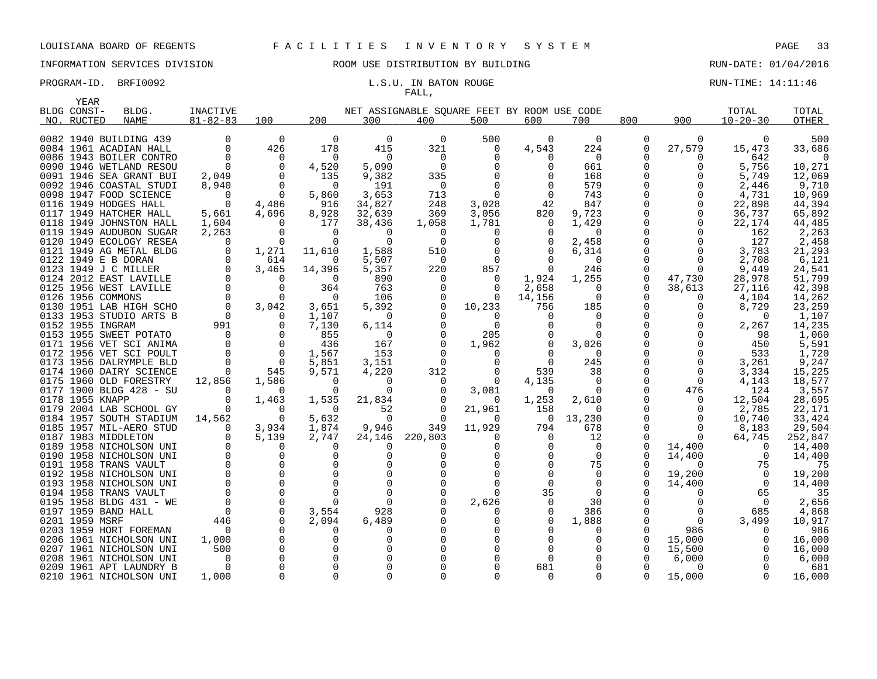# FALL,

### PROGRAM-ID. BRFI0092 **EXAM-ID.** BRFI0092 **RUN-TIME:** 14:11:46

|      | YEAR             |                                                    |                         |                            |                       |                    |                                             |                   |          |                   |          |          |                |                 |
|------|------------------|----------------------------------------------------|-------------------------|----------------------------|-----------------------|--------------------|---------------------------------------------|-------------------|----------|-------------------|----------|----------|----------------|-----------------|
|      | BLDG CONST-      | BLDG.                                              | INACTIVE                |                            |                       |                    | NET ASSIGNABLE SOUARE FEET BY ROOM USE CODE |                   |          |                   |          |          | TOTAL          | TOTAL           |
|      | NO. RUCTED       | <b>NAME</b>                                        | $81 - 82 - 83$          | 100                        | 200                   | 300                | 400                                         | 500               | 600      | 700               | 800      | 900      | $10 - 20 - 30$ | <b>OTHER</b>    |
|      |                  |                                                    |                         |                            |                       |                    |                                             |                   |          |                   |          |          |                |                 |
|      |                  | 0082 1940 BUILDING 439                             |                         | $\overline{0}$             | $\mathbf 0$           | $\mathbf 0$        | 0                                           | 500               | $\Omega$ | 0                 | 0        | $\Omega$ | 0              | 500             |
|      |                  | 0084 1961 ACADIAN HALL                             | $\mathbf 0$             | 426                        | 178                   | 415                | 321                                         | 0                 | 4,543    | 224               | 0        | 27,579   | 15,473         | 33,686          |
|      |                  | 0086 1943 BOILER CONTRO                            | $\Omega$                | $\overline{0}$             | $\Omega$              | $\Omega$           | 0                                           | $\Omega$          | ∩        | $\Omega$          |          | 0        | 642            | $\Omega$        |
|      |                  | 0090 1946 WETLAND RESOU                            | $\Omega$                | $\overline{0}$             | 4,520                 | 5,090              | $\Omega$                                    | $\Omega$          |          | 661               |          | 0        | 5,756          | 10,271          |
|      |                  | 0091 1946 SEA GRANT BUI                            | 2,049                   | $\overline{\phantom{0}}$   | 135                   | 9,382              | 335                                         | $\Omega$          |          | 168               |          | $\Omega$ | 5,749          | 12,069          |
|      |                  | 0092 1946 COASTAL STUDI                            | 8,940                   | $\overline{0}$             | $\Omega$              | 191                | $\Omega$                                    | $\Omega$          |          | 579               |          | 0        | 2,446          | 9,710           |
|      |                  | 0098 1947 FOOD SCIENCE                             | $\cap$                  | $\overline{0}$             | 5,860                 | 3,653              | 713                                         | $\Omega$          |          | 743               |          | $\Omega$ | 4,731          | 10,969          |
|      |                  | 0116 1949 HODGES HALL                              | $\Omega$                | 4,486                      | 916                   | 34,827             | 248                                         | 3,028             | 42       | 847               |          | $\Omega$ | 22,898         | 44,394          |
|      |                  | 0117 1949 HATCHER HALL                             | 5,661<br>1,604          | 4,696                      | 8,928                 | 32,639             | 369                                         | 3,056             | 820      | 9,723             |          | 0        | 36,737         | 65,892          |
|      |                  | 0118 1949 JOHNSTON HALL<br>0119 1949 AUDUBON SUGAR |                         | 0<br>$\mathbf 0$           | 177<br>$\overline{0}$ | 38,436<br>$\Omega$ | 1,058<br>0                                  | 1,781<br>0        | $\Omega$ | 1,429<br>$\Omega$ |          | 0<br>0   | 22,174<br>162  | 44,485<br>2,263 |
|      |                  | 0120 1949 ECOLOGY RESEA                            | 2,263<br>0              | 0                          | 0                     | $\Omega$           | 0                                           | 0                 |          | 2,458             |          | 0        | 127            | 2,458           |
| 0121 |                  | 1949 AG METAL BLDG                                 | 0                       | 1,271                      | 11,610                | 1,588              | 510                                         | $\Omega$          |          | 6,314             |          | 0        | 3,783          | 21,293          |
|      |                  | 0122 1949 E B DORAN                                | $\Omega$                | 614                        | $\Omega$              | 5,507              | $\Omega$                                    | $\Omega$          |          | $\Omega$          |          | $\Omega$ | 2,708          | 6,121           |
|      |                  | 0123 1949 J C MILLER                               | $\Omega$                | 3,465                      | 14,396                | 5,357              | 220                                         | 857               | $\Omega$ | 246               | $\Omega$ | $\Omega$ | 9,449          | 24,541          |
|      |                  | 0124 2012 EAST LAVILLE                             | $\mathbf 0$             | $\overline{0}$             | $\Omega$              | 890                | 0                                           | $\overline{0}$    | 1,924    | 1,255             | 0        | 47,730   | 28,978         | 51,799          |
|      |                  | 0125 1956 WEST LAVILLE                             | $\mathsf{O}$            | $\mathbf 0$                | 364                   | 763                | 0                                           | 0                 | 2,658    | $\Omega$          |          | 38,613   | 27,116         | 42,398          |
|      |                  | 0126 1956 COMMONS                                  | $\mathbf 0$             | $\overline{0}$             | 0                     | 106                | 0                                           | 0                 | 14,156   | $\Omega$          |          | 0        | 4,104          | 14,262          |
|      |                  | 0130 1951 LAB HIGH SCHO                            | $\overline{0}$          | 3,042                      | 3,651                 | 5,392              | $\mathbf 0$                                 | 10,233            | 756      | 185               |          | 0        | 8,729          | 23,259          |
|      |                  | 0133 1953 STUDIO ARTS B                            | $\overline{0}$          | $\overline{0}$             | 1,107                 | 0                  | 0                                           | 0                 |          | $\Omega$          |          | 0        | 0              | 1,107           |
|      | 0152 1955 INGRAM |                                                    | 991                     | $\Omega$                   | 7,130                 | 6,114              | $\Omega$                                    | $\Omega$          |          | $\Omega$          |          | $\Omega$ | 2,267          | 14,235          |
|      |                  | 0153 1955 SWEET POTATO                             | $\overline{0}$          | $\overline{0}$             | 855                   | 0                  | $\Omega$                                    | 205               |          | $\Omega$          |          | 0        | 98             | 1,060           |
|      |                  | 0171 1956 VET SCI ANIMA                            | $\mathbf 0$             | $\overline{0}$             | 436                   | 167                |                                             | 1,962             | 0        | 3,026             |          | 0        | 450            | 5,591           |
| 0172 |                  | 1956 VET SCI POULT                                 | $\mathbf 0$             | $\overline{\phantom{0}}$   | 1,567                 | 153                |                                             | 0                 |          | $\Omega$          |          | 0        | 533            | 1,720           |
|      |                  | 0173 1956 DALRYMPLE BLD                            | $\Omega$                | $\overline{0}$             | 5,851                 | 3,151              | $\Omega$                                    | $\Omega$          | $\Omega$ | 245               |          | 0        | 3,261          | 9,247           |
|      |                  | 0174 1960 DAIRY SCIENCE                            | 0                       | 545                        | 9,571                 | 4,220              | 312                                         | 0                 | 539      | 38                |          | 0        | 3,334          | 15,225          |
|      |                  | 0175 1960 OLD FORESTRY                             | 12,856                  | 1,586                      | $\Omega$              | 0                  | 0                                           | 0                 | 4,135    | $\Omega$          |          | 0        | 4,143          | 18,577          |
|      |                  | 0177 1900 BLDG 428 - SU                            | $\Omega$                | $\Omega$                   | $\Omega$              | $\Omega$           |                                             | 3,081             | 0        | $\Omega$          | $\Omega$ | 476      | 124            | 3,557           |
|      | 0178 1955 KNAPP  |                                                    | $\Omega$                | 1,463                      | 1,535                 | 21,834             |                                             | $\Omega$          | 1,253    | 2,610             |          | $\Omega$ | 12,504         | 28,695          |
|      |                  | 0179 2004 LAB SCHOOL GY                            | $\Omega$                | $\overline{0}$             | $\overline{0}$        | 52                 | 0                                           | 21,961            | 158      | $\Omega$          |          | 0        | 2,785          | 22,171          |
|      |                  | 0184 1957 SOUTH STADIUM                            | 14,562                  | $\overline{0}$             | 5,632                 | $\Omega$           | $\Omega$                                    | $\Omega$          | $\Omega$ | 13,230            |          | 0        | 10,740         | 33,424          |
|      |                  | 0185 1957 MIL-AERO STUD                            | 0                       | 3,934                      | 1,874                 | 9,946              | 349                                         | 11,929            | 794      | 678               |          | 0        | 8,183          | 29,504          |
|      |                  | 0187 1983 MIDDLETON                                | $\Omega$                | 5,139                      | 2,747                 | 24,146             | 220,803                                     | $\Omega$          | $\Omega$ | 12                |          | $\Omega$ | 64,745         | 252,847         |
|      |                  | 0189 1958 NICHOLSON UNI                            | $\mathbf 0$             | 0                          | 0                     | 0                  | O                                           |                   |          | 0                 | 0        | 14,400   | 0              | 14,400          |
|      |                  | 0190 1958 NICHOLSON UNI                            | $\Omega$                | $\Omega$                   | $\Omega$              | $\Omega$           |                                             |                   |          | $\Omega$          |          | 14,400   | $\Omega$       | 14,400          |
| 0191 |                  | 1958 TRANS VAULT                                   | $\mathbf 0$<br>$\Omega$ | $\overline{0}$<br>$\Omega$ | $\Omega$              | 0<br>$\Omega$      |                                             |                   |          | 75                |          | 0        | 75             | 75              |
|      |                  | 0192 1958 NICHOLSON UNI                            | $\mathbf 0$             | $\mathbf 0$                |                       |                    |                                             |                   |          | $\Omega$          | $\Omega$ | 19,200   | $\Omega$       | 19,200          |
|      |                  | 0193 1958 NICHOLSON UNI                            |                         | $\mathbf 0$                |                       |                    |                                             | $\Omega$          | 35       | $\Omega$          |          | 14,400   | $\overline{0}$ | 14,400<br>35    |
|      |                  | 0194 1958 TRANS VAULT                              | $\Omega$                | $\overline{0}$             | $\Omega$              | $\Omega$           |                                             |                   |          | 30                |          | 0<br>0   | 65<br>$\Omega$ | 2,656           |
|      |                  | 0195 1958 BLDG 431 - WE<br>0197 1959 BAND HALL     | $\overline{0}$          | $\mathbf 0$                | 3,554                 | 928                |                                             | 2,626<br>$\Omega$ |          | 386               |          | 0        | 685            | 4,868           |
|      | 0201 1959 MSRF   |                                                    | 446                     | $\overline{0}$             | 2,094                 | 6,489              |                                             |                   |          | 1,888             |          | $\Omega$ | 3,499          | 10,917          |
|      |                  | 0203 1959 HORT FOREMAN                             | $\overline{0}$          | $\Omega$                   | $\Omega$              | O                  |                                             |                   |          | ∩                 | $\Omega$ | 986      | $\Omega$       | 986             |
|      |                  | 0206 1961 NICHOLSON UNI                            | 1,000                   | $\mathbf 0$                | $\Omega$              | 0                  |                                             |                   |          | O                 | 0        | 15,000   | 0              | 16,000          |
| 0207 |                  | 1961 NICHOLSON UNI                                 | 500                     | $\mathbf 0$                | $\Omega$              | O                  |                                             |                   |          |                   | $\Omega$ | 15,500   | $\Omega$       | 16,000          |
|      |                  | 0208 1961 NICHOLSON UNI                            | $\Omega$                | 0                          |                       |                    |                                             |                   |          |                   |          | 6,000    |                | 6,000           |
|      |                  | 0209 1961 APT LAUNDRY B                            | $\Omega$                | $\Omega$                   |                       |                    |                                             |                   | 681      |                   |          | $\Omega$ |                | 681             |
|      |                  | 0210 1961 NICHOLSON UNI                            | 1,000                   | $\Omega$                   | $\Omega$              | $\Omega$           |                                             | $\Omega$          | $\Omega$ | $\Omega$          | $\Omega$ | 15,000   | $\Omega$       | 16,000          |
|      |                  |                                                    |                         |                            |                       |                    |                                             |                   |          |                   |          |          |                |                 |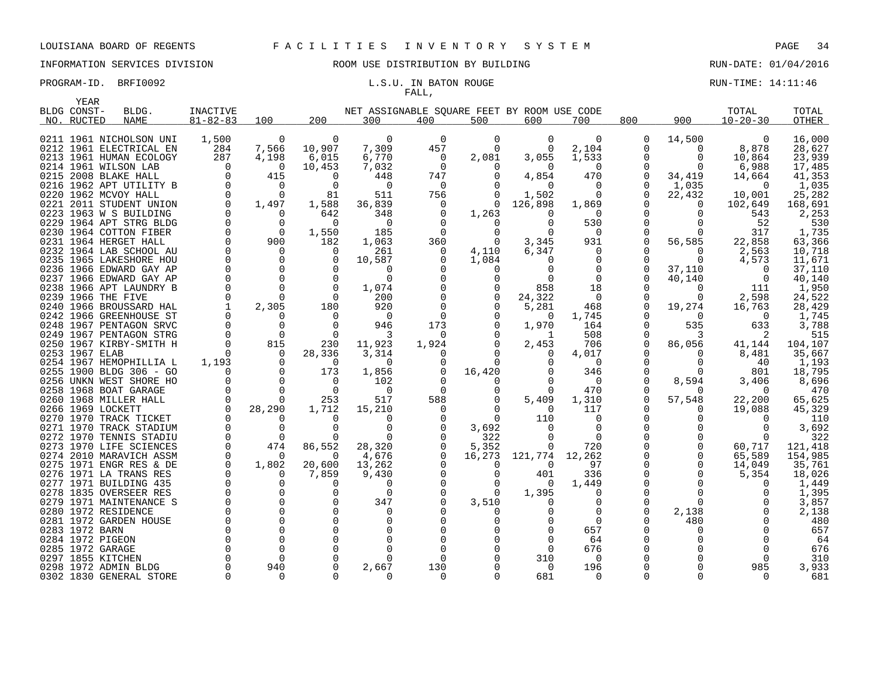# FALL,

PROGRAM-ID. BRFI0092 **EXAM-ID.** BRFI0092 **L.S.U. IN BATON ROUGE EXAMICLE RUN-TIME:** 14:11:46

| YEAR           |                                                    |                      |                 |              |                                             |          |                      |                  |                      |                      |             |                    |                   |
|----------------|----------------------------------------------------|----------------------|-----------------|--------------|---------------------------------------------|----------|----------------------|------------------|----------------------|----------------------|-------------|--------------------|-------------------|
| BLDG CONST-    | BLDG.                                              | INACTIVE             |                 |              | NET ASSIGNABLE SQUARE FEET BY ROOM USE CODE |          |                      |                  |                      |                      |             | TOTAL              | TOTAL             |
| NO. RUCTED     | <b>NAME</b>                                        | $81 - 82 - 83$       | 100             | 200          | 300                                         | 400      | 500                  | 600              | 700                  | 800                  | 900         | $10 - 20 - 30$     | OTHER             |
|                |                                                    |                      |                 |              |                                             |          |                      |                  |                      |                      |             |                    |                   |
|                | 0211 1961 NICHOLSON UNI                            | 1,500                | 0               | <sup>0</sup> | $\Omega$                                    | $\Omega$ | 0                    | 0                | 0                    | 0                    | 14,500      | 0                  | 16,000            |
|                | 0212 1961 ELECTRICAL EN                            | 284                  | 7,566           | 10,907       | 7,309                                       | 457      | $\Omega$             | $\Omega$         | 2,104                | 0                    | $\Omega$    | 8,878              | 28,627            |
|                | 0213 1961 HUMAN ECOLOGY                            | 287                  | 4,198           | 6,015        | 6,770                                       | $\Omega$ | 2,081                | 3,055            | 1,533                | $\Omega$             | $\Omega$    | 10,864             | 23,939            |
|                | 0214 1961 WILSON LAB                               | $\Omega$             | 0               | 10,453       | 7,032                                       | 0        | $\Omega$             | $\Omega$         | 0                    | $\Omega$             | $\Omega$    | 6,988              | 17,485            |
|                | 0215 2008 BLAKE HALL                               | $\Omega$<br>$\Omega$ | 415             | n            | 448                                         | 747      | ∩                    | 4,854            | 470                  | $\Omega$             | 34,419      | 14,664             | 41,353            |
|                | 0216 1962 APT UTILITY B                            | $\Omega$             | 0<br>$\Omega$   | $\Omega$     | 0                                           | 0        |                      | 0                | 0                    | $\Omega$<br>$\Omega$ | 1,035       | $\Omega$           | 1,035             |
|                | 0220 1962 MCVOY HALL<br>0221 2011 STUDENT UNION    | $\mathbf 0$          | 1,497           | 81<br>1,588  | 511<br>36,839                               | 756<br>0 | $\Omega$<br>$\Omega$ | 1,502<br>126,898 | $\Omega$             |                      | 22,432<br>0 | 10,001<br>102,649  | 25,282<br>168,691 |
|                | 0223 1963 W S BUILDING                             | $\Omega$             | $\Omega$        | 642          | 348                                         |          | 1,263                | $\Omega$         | 1,869<br>$\Omega$    |                      | $\Omega$    | 543                | 2,253             |
|                | 0229 1964 APT STRG BLDG                            | $\Omega$             | $\Omega$        | $\Omega$     | $\Omega$                                    |          | $\Omega$             | $\Omega$         | 530                  | $\Omega$             | O           | 52                 | 530               |
|                | 0230 1964 COTTON FIBER                             | $\Omega$             | $\overline{0}$  | 1,550        | 185                                         | 0        | $\Omega$             | $\Omega$         | $\overline{0}$       | 0                    | O           | 317                | 1,735             |
|                | 0231 1964 HERGET HALL                              | $\Omega$             | 900             | 182          | 1,063                                       | 360      | $\Omega$             | 3,345            | 931                  | $\Omega$             | 56,585      | 22,858             | 63,366            |
|                | 0232 1964 LAB SCHOOL AU                            | $\Omega$             | $\Omega$        | $\Omega$     | 261                                         | $\Omega$ | 4,110                | 6,347            | $\Omega$             | O                    | $\Omega$    | 2,563              | 10,718            |
|                | 0235 1965 LAKESHORE HOU                            | $\Omega$             | $\Omega$        |              | 10,587                                      |          | 1,084                | $\Omega$         | $\Omega$             | $\Omega$             | ∩           | 4,573              | 11,671            |
|                | 0236 1966 EDWARD GAY AP                            | $\mathbf 0$          | $\overline{0}$  | $\Omega$     | 0                                           |          | 0                    | 0                | 0                    | 0                    | 37,110      | 0                  | 37,110            |
|                | 0237 1966 EDWARD GAY AP                            | 0                    | $\Omega$        |              | $\Omega$                                    |          | O                    |                  | $\Omega$             | 0                    | 40,140      | $\Omega$           | 40,140            |
|                | 0238 1966 APT LAUNDRY B                            | $\Omega$             | $\Omega$        | $\Omega$     | 1,074                                       |          |                      | 858              | 18                   | U                    | $\Omega$    | 111                | 1,950             |
|                | 0239 1966 THE FIVE                                 | $\Omega$             | $\Omega$        | $\Omega$     | 200                                         |          |                      | 24,322           | $\overline{0}$       |                      | 0           | 2,598              | 24,522            |
|                | 0240 1966 BROUSSARD HAL                            | 1                    | 2,305           | 180          | 920                                         |          |                      | 5,281            | 468                  | $\Omega$             | 19,274      | 16,763             | 28,429            |
|                | 0242 1966 GREENHOUSE ST                            | $\Omega$             | $\Omega$        | $\Omega$     | $\Omega$                                    | $\Omega$ |                      | 0                | 1,745                | 0                    | $\Omega$    | $\Omega$           | 1,745             |
|                | 0248 1967 PENTAGON SRVC                            | $\Omega$             | $\Omega$        | $\Omega$     | 946                                         | 173      |                      | 1,970            | 164                  | $\Omega$             | 535         | 633                | 3,788             |
|                | 0249 1967 PENTAGON STRG                            | $\Omega$             | $\overline{0}$  | $\Omega$     | 3                                           | $\Omega$ |                      | 1                | 508                  | O                    | 3           | 2                  | 515               |
|                | 0250 1967 KIRBY-SMITH H                            | $\Omega$             | 815             | 230          | 11,923                                      | 1,924    |                      | 2,453            | 706                  | $\Omega$             | 86,056      | 41,144             | 104,107           |
| 0253 1967 ELAB |                                                    | $\Omega$             | $\Omega$        | 28,336       | 3,314                                       | $\Omega$ |                      | $\Omega$         | 4,017                | O                    | $\Omega$    | 8,481              | 35,667            |
|                | 0254 1967 HEMOPHILLIA L                            | 1,193                | $\Omega$        | $\Omega$     | $\Omega$                                    |          | $\Omega$             |                  | $\Omega$             |                      | $\Omega$    | 40                 | 1,193             |
|                | 0255 1900 BLDG 306 - GO                            | $\Omega$             | $\Omega$        | 173          | 1,856                                       | $\Omega$ | 16,420               | <sup>n</sup>     | 346                  |                      |             | 801                | 18,795            |
|                | 0256 UNKN WEST SHORE HO                            | 0                    | $\mathbf 0$     | 0            | 102                                         |          | $\Omega$             | 0                | $\Omega$             | 0                    | 8,594       | 3,406              | 8,696             |
|                | 0258 1968 BOAT GARAGE                              | $\Omega$             | $\Omega$        | $\Omega$     | $\Omega$                                    | $\Omega$ |                      | 0                | 470                  | O                    |             | $\Omega$           | 470               |
|                | 0260 1968 MILLER HALL                              | $\Omega$             | $\Omega$        | 253          | 517                                         | 588      |                      | 5,409            | 1,310                | 0                    | 57,548      | 22,200             | 65,625            |
|                | 0266 1969 LOCKETT                                  | $\Omega$             | 28,290          | 1,712        | 15,210                                      |          |                      | $\Omega$         | 117                  | $\Omega$             |             | 19,088             | 45,329            |
|                | 0270 1970 TRACK TICKET                             | $\Omega$             | 0               |              | $\Omega$                                    |          | $\Omega$             | 110              | $\Omega$             | $\Omega$             |             |                    | 110               |
|                | 0271 1970 TRACK STADIUM<br>0272 1970 TENNIS STADIU | $\Omega$<br>$\Omega$ | $\Omega$        | $\cap$       | $\Omega$<br>$\Omega$                        |          | 3,692                | $\Omega$         | $\Omega$<br>$\Omega$ | $\Omega$             |             |                    | 3,692             |
|                | 0273 1970 LIFE SCIENCES                            | $\Omega$             | $\Omega$<br>474 | 86,552       | 28,320                                      |          | 322<br>5,352         | 0<br>0           | 720                  |                      | 0           | $\Omega$<br>60,717 | 322<br>121,418    |
|                | 0274 2010 MARAVICH ASSM                            | $\Omega$             | $\Omega$        | $\Omega$     | 4,676                                       |          | 16,273               | 121,774          | 12,262               | $\Omega$             | $\Omega$    | 65,589             | 154,985           |
|                | 0275 1971 ENGR RES & DE                            | $\Omega$             | 1,802           | 20,600       | 13,262                                      |          | $\Omega$             | 0                | 97                   | O                    | $\mathbf 0$ | 14,049             | 35,761            |
|                | 0276 1971 LA TRANS RES                             | $\Omega$             | $\Omega$        | 7,859        | 9,430                                       |          | $\Omega$             | 401              | 336                  | $\Omega$             | $\Omega$    | 5,354              | 18,026            |
|                | 0277 1971 BUILDING 435                             | $\Omega$             | $\Omega$        |              | $\Omega$                                    |          | $\Omega$             | $\Omega$         | 1,449                |                      | ∩           | 0                  | 1,449             |
|                | 0278 1835 OVERSEER RES                             | 0                    | $\mathbf 0$     |              | $\Omega$                                    |          | $\Omega$             | 1,395            | 0                    | 0                    | O           |                    | 1,395             |
|                | 0279 1971 MAINTENANCE S                            | $\Omega$             | $\Omega$        |              | 347                                         |          | 3,510                | 0                | $\Omega$             | O                    | $\Omega$    |                    | 3,857             |
|                | 0280 1972 RESIDENCE                                | $\Omega$             | $\Omega$        |              | $\Omega$                                    |          |                      |                  | 0                    | 0                    | 2,138       |                    | 2,138             |
|                | 0281 1972 GARDEN HOUSE                             | $\Omega$             | $\Omega$        |              | $\Omega$                                    |          |                      |                  | $\Omega$             | U                    | 480         |                    | 480               |
| 0283 1972 BARN |                                                    | $\Omega$             | $\Omega$        |              | $\Omega$                                    |          |                      | 0                | 657                  | 0                    |             |                    | 657               |
|                | 0284 1972 PIGEON                                   | $\Omega$             | $\Omega$        |              |                                             |          |                      | $\Omega$         | 64                   | U                    |             |                    | 64                |
|                | 0285 1972 GARAGE                                   | $\Omega$             | $\Omega$        |              |                                             |          |                      | 0                | 676                  | U                    |             |                    | 676               |
|                | 0297 1855 KITCHEN                                  | $\Omega$             | $\Omega$        |              | ∩                                           |          |                      | 310              | 0                    |                      |             |                    | 310               |
|                | 0298 1972 ADMIN BLDG                               | $\Omega$             | 940             |              | 2,667                                       | 130      |                      | $\Omega$         | 196                  |                      |             | 985                | 3,933             |
|                | 0302 1830 GENERAL STORE                            | $\Omega$             | 0               |              | $\Omega$                                    | $\Omega$ |                      | 681              | $\Omega$             | $\Omega$             |             | $\Omega$           | 681               |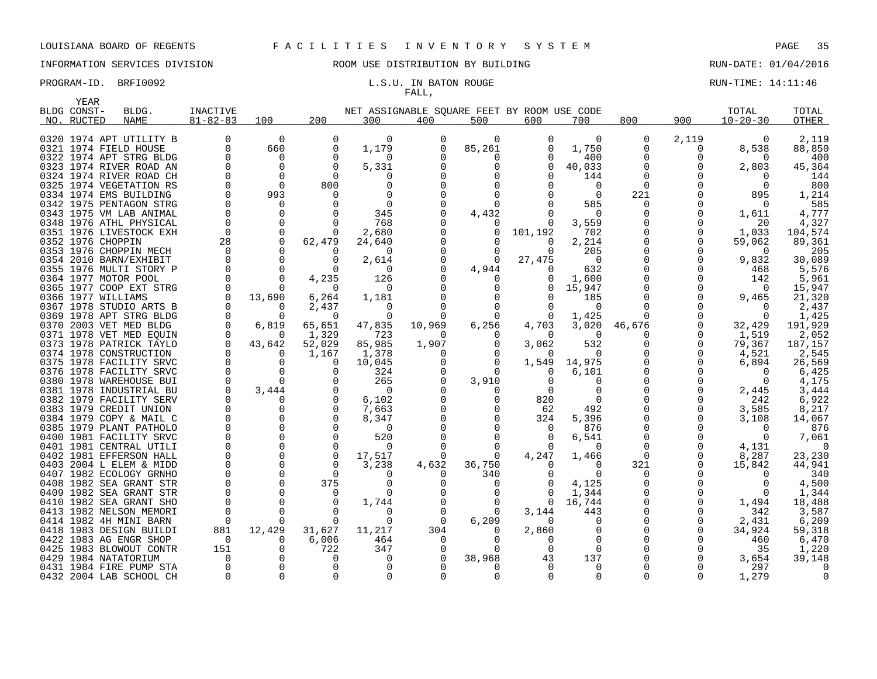YEAR

# INFORMATION SERVICES DIVISION ROOM USE DISTRIBUTION BY BUILDING RUN-DATE: 01/04/2016

# FALL,

PROGRAM-ID. BRFI0092 **EXAM-ID.** BRFI0092 **L.S.U. IN BATON ROUGE EXAMICLE RUN-TIME:** 14:11:46

| BLDG CONST- | BLDG.                   | INACTIVE       |          |              | NET ASSIGNABLE SQUARE FEET BY ROOM USE CODE |          |              |              |          |          |              | TOTAL          | TOTAL        |
|-------------|-------------------------|----------------|----------|--------------|---------------------------------------------|----------|--------------|--------------|----------|----------|--------------|----------------|--------------|
| NO. RUCTED  | <b>NAME</b>             | $81 - 82 - 83$ | 100      | 200          | 300                                         | 400      | 500          | 600          | 700      | 800      | 900          | $10 - 20 - 30$ | <b>OTHER</b> |
|             | 0320 1974 APT UTILITY B |                | $\Omega$ | $\Omega$     | $\Omega$                                    | 0        | $\Omega$     |              | $\Omega$ | 0        | 2,119        | $\Omega$       | 2,119        |
|             | 0321 1974 FIELD HOUSE   |                | 660      | $\mathbf 0$  | 1,179                                       | $\Omega$ | 85,261       |              | 1,750    | $\Omega$ | $\Omega$     | 8,538          | 88,850       |
|             | 0322 1974 APT STRG BLDG |                | $\Omega$ | $\Omega$     | $\Omega$                                    |          | 0            |              | 400      | 0        | <sup>0</sup> | $\Omega$       | 400          |
|             | 0323 1974 RIVER ROAD AN |                | $\Omega$ | $\Omega$     | 5,331                                       |          |              |              | 40,033   |          |              | 2,803          | 45,364       |
|             | 0324 1974 RIVER ROAD CH |                | $\Omega$ | $\Omega$     | O                                           |          |              |              | 144      |          |              | $\Omega$       | 144          |
|             | 0325 1974 VEGETATION RS |                | $\Omega$ | 800          |                                             |          |              |              | 0        | $\Omega$ |              |                | 800          |
|             | 0334 1974 EMS BUILDING  |                | 993      | <sup>n</sup> |                                             |          |              |              | $\Omega$ | 221      |              | 895            | 1,214        |
|             | 0342 1975 PENTAGON STRG |                |          |              | <sup>n</sup>                                |          | $\Omega$     |              | 585      | $\Omega$ |              |                | 585          |
|             | 0343 1975 VM LAB ANIMAL |                |          |              | 345                                         |          |              |              | $\Omega$ |          |              |                | 4,777        |
|             | 0348 1976 ATHL PHYSICAL | $\Omega$       |          | $\Omega$     | 768                                         |          | 4,432        | $\Omega$     | 3,559    |          | $\Omega$     | 1,611<br>20    | 4,327        |
|             | 0351 1976 LIVESTOCK EXH | $\Omega$       | $\Omega$ | $\Omega$     | 2,680                                       |          | $\Omega$     | 101,192      | 702      |          | 0            | 1,033          | 104,574      |
|             | 0352 1976 CHOPPIN       | 28             | $\Omega$ | 62,479       | 24,640                                      |          | $\Omega$     | $\Omega$     | 2,214    |          | 0            | 59,062         | 89,361       |
|             | 0353 1976 CHOPPIN MECH  | $\Omega$       |          | $\Omega$     | 0                                           |          | $\Omega$     | $\Omega$     | 205      |          | $\Omega$     | $\Omega$       | 205          |
|             | 0354 2010 BARN/EXHIBIT  |                |          | $\Omega$     | 2,614                                       |          | $\Omega$     | 27,475       | $\Omega$ |          | 0            | 9,832          | 30,089       |
|             | 0355 1976 MULTI STORY P |                |          | $\Omega$     | $\Omega$                                    |          | 4,944        |              | 632      |          | $\Omega$     | 468            | 5,576        |
|             | 0364 1977 MOTOR POOL    |                |          | 4,235        | 126                                         |          |              |              | 1,600    |          |              | 142            | 5,961        |
|             | 0365 1977 COOP EXT STRG |                |          | $\Omega$     | $\Omega$                                    |          |              |              | 15,947   |          |              | $\Omega$       | 15,947       |
|             | 0366 1977 WILLIAMS      | $\Omega$       | 13,690   | 6,264        | 1,181                                       |          |              |              | 185      |          | 0            | 9,465          | 21,320       |
|             | 0367 1978 STUDIO ARTS B |                |          | 2,437        | 0                                           |          |              |              | $\Omega$ |          |              | $\Omega$       | 2,437        |
|             | 0369 1978 APT STRG BLDG |                | $\Omega$ | $\Omega$     | $\Omega$                                    |          | $\Omega$     | $\Omega$     | 1,425    | $\Omega$ |              | $\Omega$       | 1,425        |
|             | 0370 2003 VET MED BLDG  | $\Omega$       | 6,819    | 65,651       | 47,835                                      | 10,969   | 6,256        | 4,703        | 3,020    | 46,676   | $\Omega$     | 32,429         | 191,929      |
|             | 0371 1978 VET MED EQUIN |                | $\Omega$ | 1,329        | 723                                         | $\Omega$ | 0            | $\Omega$     | $\Omega$ | $\Omega$ | 0            | 1,519          | 2,052        |
|             | 0373 1978 PATRICK TAYLO | $\Omega$       | 43,642   | 52,029       | 85,985                                      | 1,907    | $\Omega$     | 3,062        | 532      | $\Omega$ | $\Omega$     | 79,367         | 187,157      |
|             | 0374 1978 CONSTRUCTION  |                |          | 1,167        | 1,378                                       |          | $\Omega$     | $\Omega$     | $\Omega$ |          | $\Omega$     | 4,521          | 2,545        |
|             | 0375 1978 FACILITY SRVC |                |          | $\Omega$     | 10,045                                      |          | $\Omega$     | 1,549        | 14,975   |          | $\Omega$     | 6,894          | 26,569       |
|             | 0376 1978 FACILITY SRVC |                |          | $\Omega$     | 324                                         |          |              |              | 6,101    |          |              | $\Omega$       | 6,425        |
|             | 0380 1978 WAREHOUSE BUI |                |          |              | 265                                         |          | 3,910        |              |          |          |              |                | 4.175        |
|             | 0381 1978 INDUSTRIAL BU |                | 3,444    | 0            | $\Omega$                                    |          |              |              |          |          |              | 2,445          | 3,444        |
|             | 0382 1979 FACILITY SERV |                |          | $\Omega$     | 6,102                                       |          | 0            | 820          |          |          |              | 242            | 6,922        |
|             | 0383 1979 CREDIT UNION  |                |          | $\Omega$     | 7,663                                       |          | 0            | 62           | 492      |          | <sup>0</sup> | 3,585          | 8,217        |
|             | 0384 1979 COPY & MAIL C |                |          | $\Omega$     | 8,347                                       |          | $\Omega$     | 324          | 5,396    |          |              | 3,108          | 14,067       |
|             | 0385 1979 PLANT PATHOLO |                |          | $\Omega$     | $\Omega$                                    |          |              | $\Omega$     | 876      |          |              | $\Omega$       | 876          |
|             | 0400 1981 FACILITY SRVC |                |          | $\Omega$     | 520                                         |          | 0            |              | 6,541    |          |              | $\Omega$       | 7,061        |
|             | 0401 1981 CENTRAL UTILI |                |          | $\Omega$     | <sup>0</sup>                                |          |              |              | $\Omega$ |          |              | 4,131          | $\Omega$     |
|             | 0402 1981 EFFERSON HALL |                | $\Omega$ | $\Omega$     | 17,517                                      |          | $\Omega$     | 4,247        | 1,466    | $\Omega$ |              | 8,287          | 23,230       |
|             | 0403 2004 L ELEM & MIDD |                |          | $\Omega$     | 3,238                                       | 4,632    | 36,750       |              |          | 321      |              | 15,842         | 44,941       |
|             | 0407 1982 ECOLOGY GRNHO |                |          | $\Omega$     |                                             |          | 340          |              | $\cap$   |          |              |                | 340          |
|             | 0408 1982 SEA GRANT STR |                |          | 375          | ∩                                           |          |              |              | 4,125    |          |              |                | 4,500        |
|             | 0409 1982 SEA GRANT STR |                |          | $\Omega$     | $\Omega$                                    |          | 0            |              | 1,344    |          |              | $\Omega$       | 1,344        |
|             | 0410 1982 SEA GRANT SHO |                |          | $\Omega$     | 1,744                                       |          | $\Omega$     | $\Omega$     | 16,744   |          | 0            | 1,494          | 18,488       |
|             | 0413 1982 NELSON MEMORI | $\Omega$       |          | $\Omega$     | 0                                           |          | <sup>o</sup> | 3,144        | 443      |          | <sup>0</sup> | 342            | 3,587        |
|             | 0414 1982 4H MINI BARN  | $\Omega$       |          |              | ∩                                           | $\Omega$ | 6,209        | <sup>n</sup> |          |          | <sup>0</sup> | 2,431          | 6,209        |
|             | 0418 1983 DESIGN BUILDI | 881            | 12,429   | 31,627       | 11,217                                      | 304      | $\Omega$     | 2,860        |          |          | <sup>0</sup> | 34,924         | 59,318       |
|             | 0422 1983 AG ENGR SHOP  | $\Omega$       |          | 6,006        | 464                                         | $\Omega$ |              |              |          |          |              | 460            | 6,470        |
|             | 0425 1983 BLOWOUT CONTR | 151            |          | 722          | 347                                         |          |              |              | $\Omega$ |          |              | 35             | 1,220        |
|             | 0429 1984 NATATORIUM    |                |          | 0            | $\Omega$                                    |          | 38,968       | 43           | 137      |          |              | 3,654          | 39,148       |
|             | 0431 1984 FIRE PUMP STA |                |          |              |                                             |          |              |              | $\Omega$ |          |              | 297            |              |
|             | 0432 2004 LAB SCHOOL CH | $\Omega$       | $\Omega$ | $\Omega$     | $\Omega$                                    |          | $\Omega$     |              | $\Omega$ |          | $\Omega$     | 1,279          |              |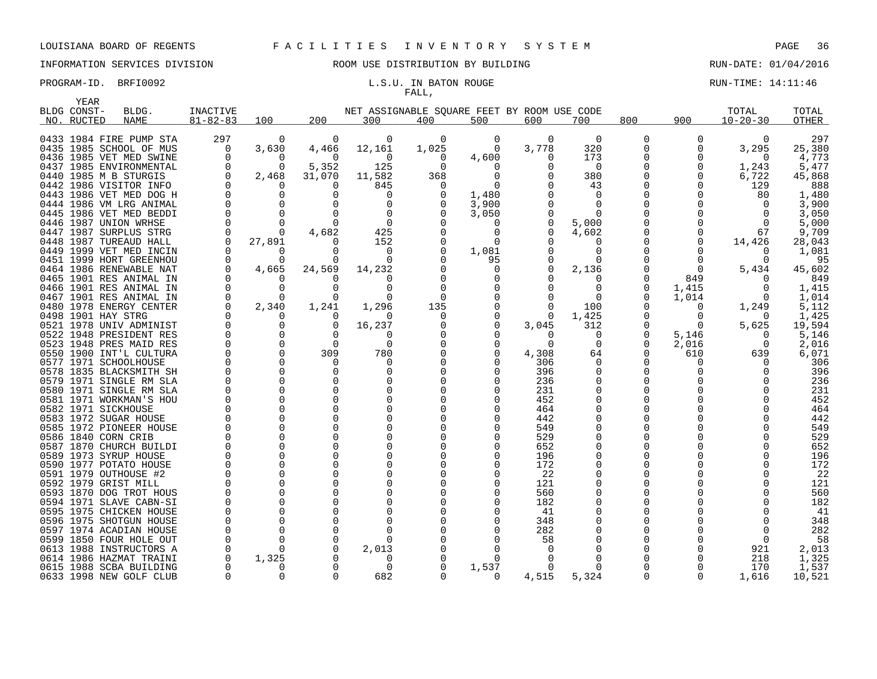### INFORMATION SERVICES DIVISION ROOM USE DISTRIBUTION BY BUILDING RUN-DATE: 01/04/2016

# FALL,

### PROGRAM-ID. BRFI0092 **EXAM-ID.** BRFI0092 **L.S.U. IN BATON ROUGE EXAMICLE RUN-TIME:** 14:11:46

|      | YEAR        |                                               |                      |               |                      |                                             |          |              |            |              |              |               |                   |                |
|------|-------------|-----------------------------------------------|----------------------|---------------|----------------------|---------------------------------------------|----------|--------------|------------|--------------|--------------|---------------|-------------------|----------------|
|      | BLDG CONST- | BLDG.                                         | INACTIVE             |               |                      | NET ASSIGNABLE SOUARE FEET BY ROOM USE CODE |          |              |            |              |              |               | TOTAL             | TOTAL          |
|      | NO. RUCTED  | <b>NAME</b>                                   | $81 - 82 - 83$       | 100           | 200                  | 300                                         | 400      | 500          | 600        | 700          | 800          | 900           | $10 - 20 - 30$    | <b>OTHER</b>   |
|      |             |                                               |                      |               |                      |                                             |          |              |            |              |              |               |                   |                |
|      |             | 0433 1984 FIRE PUMP STA                       | 297                  | 0             | 0                    | 0                                           | $\Omega$ | 0            | 0          | 0            | 0            | 0             | $\overline{0}$    | 297            |
|      |             | 0435 1985 SCHOOL OF MUS                       | 0                    | 3,630         | 4,466                | 12,161                                      | 1,025    | $\Omega$     | 3,778      | 320          | 0            | $\Omega$      | 3,295             | 25,380         |
|      |             | 0436 1985 VET MED SWINE                       | $\Omega$             | 0             | $\Omega$             | $\Omega$                                    | O        | 4,600        | 0          | 173          | 0            | $\Omega$      | $\Omega$          | 4,773          |
|      |             | 0437 1985 ENVIRONMENTAL                       | $\Omega$             | $\Omega$      | 5,352                | 125                                         | $\Omega$ | $\Omega$     | 0          | $\Omega$     | 0            | 0             | 1,243             | 5,477          |
|      |             | 0440 1985 M B STURGIS                         | $\Omega$             | 2,468         | 31,070               | 11,582                                      | 368      | $\Omega$     |            | 380          | 0            | $\Omega$      | 6,722             | 45,868         |
|      |             | 0442 1986 VISITOR INFO                        | $\Omega$             | 0             | O                    | 845                                         | O        | $\Omega$     |            | 43           | 0            | <sup>0</sup>  | 129               | 888            |
|      |             | 0443 1986 VET MED DOG H                       | $\Omega$             | $\Omega$      | ∩                    | $\Omega$                                    |          | 1,480        |            | $\Omega$     | O            |               | 80                | 1,480          |
|      |             | 0444 1986 VM LRG ANIMAL                       | $\Omega$             | $\Omega$      | 0                    | $\Omega$                                    |          | 3,900        |            | $\Omega$     | 0            |               | $\Omega$          | 3,900          |
|      |             | 0445 1986 VET MED BEDDI                       | $\Omega$             | $\Omega$      | $\Omega$             | 0                                           |          | 3,050        |            | $\Omega$     | 0            |               | $\Omega$          | 3,050          |
|      |             | 0446 1987 UNION WRHSE                         | $\Omega$             | $\Omega$      | $\Omega$             | 0                                           |          | 0            | 0          | 5,000        | 0            |               | $\Omega$          | 5,000          |
|      |             | 0447 1987 SURPLUS STRG                        | $\Omega$             | $\Omega$      | 4,682                | 425                                         |          | 0            | 0          | 4,602        | 0            |               | 67                | 9,709          |
|      |             | 0448 1987 TUREAUD HALL                        | 0                    | 27,891        | O                    | 152                                         |          | <sup>0</sup> | O          | O            | 0            | 0             | 14,426            | 28,043         |
|      |             | 0449 1999 VET MED INCIN                       | $\Omega$             | 0             | ∩                    | 0                                           |          | 1,081        |            | $\Omega$     | O            | $\Omega$      | O                 | 1,081          |
|      |             | 0451 1999 HORT GREENHOU                       | $\Omega$             | O             |                      | $\Omega$                                    |          | 95           |            | $\Omega$     | O            | $\Omega$      | O                 | 95             |
|      |             | 0464 1986 RENEWABLE NAT                       | 0                    | 4,665         | 24,569               | 14,232                                      |          | $\Omega$     | $\Omega$   | 2,136        | 0            | $\Omega$      | 5,434             | 45,602         |
|      |             | 0465 1901 RES ANIMAL IN                       | 0                    | 0             | n                    | O                                           |          | 0            | 0          | $\Omega$     | 0            | 849           | O                 | 849            |
|      |             | 0466 1901 RES ANIMAL IN                       | $\Omega$             | 0             | $\Omega$             | $\Omega$                                    |          | $\Omega$     |            | $\Omega$     | 0            | 1,415         | $\Omega$          | 1,415          |
|      |             | 0467 1901 RES ANIMAL IN                       | 0                    | 0             | 0                    | 0                                           | O        | $\Omega$     |            | $\Omega$     | 0            | 1,014         | $\Omega$          | 1,014          |
|      |             | 0480 1978 ENERGY CENTER                       | $\Omega$             | 2,340         | 1,241                | 1,296                                       | 135<br>O | $\Omega$     |            | 100<br>1,425 | <sup>0</sup> | 0             | 1,249             | 5,112<br>1,425 |
|      |             | 0498 1901 HAY STRG<br>0521 1978 UNIV ADMINIST | $\Omega$<br>$\Omega$ | 0<br>$\Omega$ | $\Omega$<br>$\Omega$ | $\Omega$<br>16,237                          |          | 0            | 0<br>3,045 | 312          | 0<br>O       | 0<br>$\Omega$ | $\Omega$<br>5,625 | 19,594         |
|      |             | 0522 1948 PRESIDENT RES                       | $\mathbf 0$          | 0             | $\Omega$             | O                                           |          |              | $\Omega$   | $\Omega$     | 0            | 5,146         | 0                 |                |
|      |             | 0523 1948 PRES MAID RES                       | 0                    | $\Omega$      | $\Omega$             | $\Omega$                                    |          | <sup>0</sup> | $\Omega$   | 0            | 0            | 2,016         | $\Omega$          | 5,146<br>2,016 |
|      |             | 0550 1900 INT'L CULTURA                       | 0                    | 0             | 309                  | 780                                         |          | $\Omega$     | 4,308      | 64           | 0            | 610           | 639               | 6,071          |
|      |             | 0577 1971 SCHOOLHOUSE                         | $\Omega$             | $\Omega$      | $\Omega$             | 0                                           |          |              | 306        | $\Omega$     | 0            | 0             |                   | 306            |
|      |             | 0578 1835 BLACKSMITH SH                       | 0                    | $\Omega$      | O                    | $\Omega$                                    |          |              | 396        | $\Omega$     | 0            | <sup>0</sup>  |                   | 396            |
|      |             | 0579 1971 SINGLE RM SLA                       | $\mathbf 0$          | $\Omega$      |                      | 0                                           |          |              | 236        | $\Omega$     | 0            |               |                   | 236            |
|      |             | 0580 1971 SINGLE RM SLA                       | $\Omega$             | 0             |                      | <sup>0</sup>                                |          |              | 231        | O            | 0            |               |                   | 231            |
|      |             | 0581 1971 WORKMAN'S HOU                       | $\Omega$             | $\Omega$      | $\Omega$             | $\Omega$                                    |          |              | 452        | $\Omega$     | O            |               |                   | 452            |
|      |             | 0582 1971 SICKHOUSE                           | $\Omega$             | 0             | $\Omega$             | $\Omega$                                    |          |              | 464        | 0            | 0            |               |                   | 464            |
|      |             | 0583 1972 SUGAR HOUSE                         |                      | $\Omega$      |                      |                                             |          |              | 442        | 0            | 0            |               |                   | 442            |
|      |             | 0585 1972 PIONEER HOUSE                       |                      | $\Omega$      | $\Omega$             | $\Omega$                                    |          |              | 549        | $\Omega$     | 0            |               |                   | 549            |
|      |             | 0586 1840 CORN CRIB                           |                      | $\Omega$      | ∩                    | $\Omega$                                    |          |              | 529        | $\Omega$     | 0            |               |                   | 529            |
|      |             | 0587 1870 CHURCH BUILDI                       | $\Omega$             | $\Omega$      |                      | $\Omega$                                    |          |              | 652        | O            | 0            |               |                   | 652            |
|      |             | 0589 1973 SYRUP HOUSE                         | $\Omega$             | $\Omega$      |                      | $\Omega$                                    |          |              | 196        | ∩            | O            |               |                   | 196            |
|      |             | 0590 1977 POTATO HOUSE                        | $\Omega$             | $\Omega$      | $\Omega$             | 0                                           |          |              | 172        | $\Omega$     | 0            |               |                   | 172            |
|      |             | 0591 1979 OUTHOUSE #2                         | $\Omega$             | $\Omega$      | ∩                    | $\Omega$                                    |          | <sup>0</sup> | 22         | O            | 0            |               |                   | 22             |
|      |             | 0592 1979 GRIST MILL                          | 0                    | 0             |                      | $\Omega$                                    |          |              | 121        | 0            | 0            |               |                   | 121            |
|      |             | 0593 1870 DOG TROT HOUS                       |                      | $\Omega$      | ∩                    |                                             |          |              | 560        |              | 0            |               |                   | 560            |
|      |             | 0594 1971 SLAVE CABN-SI                       | $\Omega$             | $\Omega$      |                      |                                             |          |              | 182        | O            | 0            |               |                   | 182            |
|      |             | 0595 1975 CHICKEN HOUSE                       | $\Omega$             | $\Omega$      |                      | $\Omega$                                    |          |              | 41         |              | 0            |               |                   | 41             |
|      |             | 0596 1975 SHOTGUN HOUSE                       |                      | $\Omega$      |                      |                                             |          |              | 348        |              | 0            |               |                   | 348            |
| 0597 |             | 1974 ACADIAN HOUSE                            | $\Omega$             | $\Omega$      | $\Omega$             | $\Omega$                                    |          |              | 282        | $\Omega$     | O            |               |                   | 282            |
|      |             | 0599 1850 FOUR HOLE OUT                       | $\Omega$             | O             |                      | ∩                                           |          |              | 58         | O            | 0            |               | O                 | 58             |
| 0613 |             | 1988 INSTRUCTORS A                            | 0                    | 0             |                      | 2,013                                       |          |              |            | 0            | 0            |               | 921               | 2,013          |
|      |             | 0614 1986 HAZMAT TRAINI                       | 0                    | 1,325         |                      | 0                                           |          | $\Omega$     |            |              | 0            |               | 218               | 1,325          |
|      |             | 0615 1988 SCBA BUILDING                       | $\Omega$             | O             | ∩                    | $\Omega$                                    |          | 1,537        | $\Omega$   | $\Omega$     | $\Omega$     | <sup>0</sup>  | 170               | 1,537          |
|      |             | 0633 1998 NEW GOLF CLUB                       | $\Omega$             | 0             | $\Omega$             | 682                                         | 0        | $\Omega$     | 4,515      | 5,324        | 0            | 0             | 1,616             | 10,521         |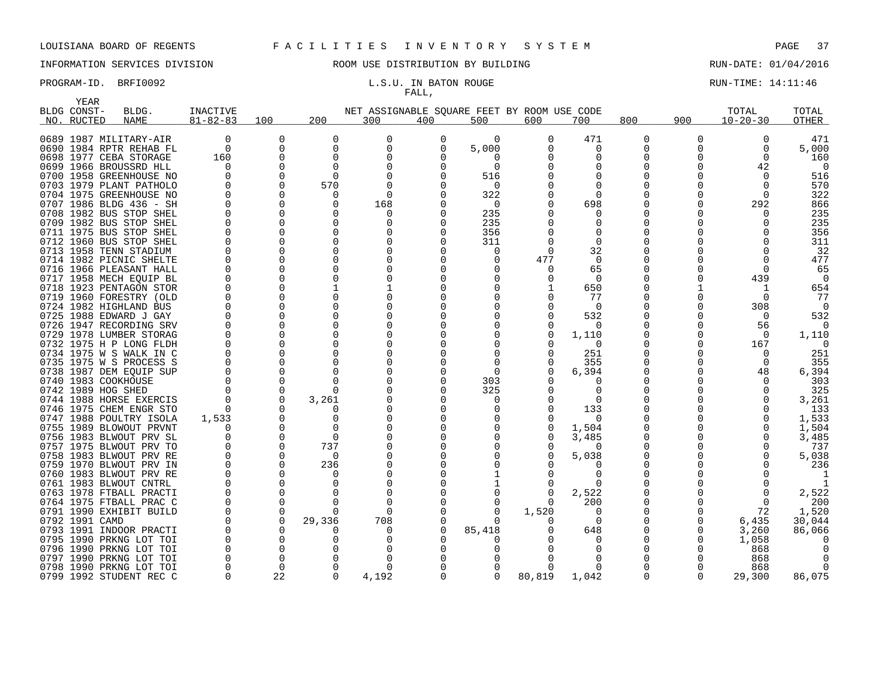# INFORMATION SERVICES DIVISION 88 ROOM USE DISTRIBUTION BY BUILDING 88 RUN-DATE: 01/04/2016

# FALL,

PROGRAM-ID. BRFI0092 **EXAM-ID.** BRFI0092 **L.S.U. IN BATON ROUGE** RUN-TIME: 14:11:46

| NET ASSIGNABLE SOUARE FEET BY ROOM USE CODE<br>BLDG CONST-<br>BLDG.<br>INACTIVE<br>TOTAL<br>$81 - 82 - 83$<br>100<br>200<br>800<br>900<br>$10 - 20 - 30$<br>OTHER<br>NO. RUCTED<br><b>NAME</b><br>300<br>400<br>500<br>600<br>700<br>0689 1987 MILITARY-AIR<br>0<br>0<br>0<br>0<br>471<br>0<br>471<br>0<br>$\Omega$<br>0<br><sup>0</sup><br>$\Omega$<br>5,000<br>5,000<br>0690 1984 RPTR REHAB FL<br>0<br>O<br>0<br>O<br>0<br>O<br>0<br>0<br>$\Omega$<br>0698 1977 CEBA STORAGE<br>160<br>160<br>0<br>O<br>$\Omega$<br>0<br>0699 1966 BROUSSRD HLL<br>$\Omega$<br>$\Omega$<br>$\Omega$<br>42<br>O<br>0700 1958 GREENHOUSE NO<br>$\Omega$<br>516<br>U<br>516<br>570<br>0703 1979 PLANT PATHOLO<br>$\Omega$<br>570<br>0<br>n<br>0704 1975 GREENHOUSE NO<br>322<br>322<br>∩<br>O<br>292<br>866<br>0707 1986 BLDG 436 - SH<br>168<br>$\Omega$<br>698<br>$\Omega$<br>0708 1982 BUS STOP SHEL<br>235<br>235<br>O<br>$\Omega$<br>O<br>0709 1982 BUS STOP SHEL<br>235<br>235<br>O<br>O<br>O<br>0711 1975 BUS STOP SHEL<br>356<br>356<br>O<br>O<br>0<br>0712 1960 BUS STOP SHEL<br>311<br>311<br>O<br>O<br>$\Omega$<br>0713 1958 TENN STADIUM<br>32<br>32<br>U<br>O<br>$\Omega$<br>$\Omega$<br>0714 1982 PICNIC SHELTE<br>477<br>477<br>$\Omega$<br>0716 1966 PLEASANT HALL<br>65<br>U<br>∩<br>65<br>0<br>0717 1958 MECH EQUIP BL<br>439<br>O<br>O<br>$\Omega$<br>0718 1923 PENTAGON STOR<br>650<br>654<br>0719 1960 FORESTRY (OLD<br>77<br>77<br>$\Omega$<br>0724 1982 HIGHLAND BUS<br>308<br>$\Omega$<br>0<br>0725 1988 EDWARD J GAY<br>532<br>532<br>O<br>0<br>0726 1947 RECORDING SRV<br>56<br>O<br>0729 1978 LUMBER STORAG<br>1,110<br>1,110<br>$\Omega$<br>0732 1975 H P LONG FLDH<br>167<br>$\Omega$<br>0734 1975 W S WALK IN C<br>251<br>251<br>O<br>n<br>0735 1975 W S PROCESS S<br>355<br>355<br>O<br>0738 1987 DEM EOUIP SUP<br>6,394<br>6,394<br>U<br>48<br>0740 1983 COOKHOUSE<br>303<br>$\Omega$<br>303<br>O<br>0742 1989 HOG SHED<br>325<br>325<br>O<br>0744 1988 HORSE EXERCIS<br>3,261<br>$\Omega$<br>3,261<br>O<br>0746 1975 CHEM ENGR STO<br>133<br>133<br>0747 1988 POULTRY ISOLA<br>1,533<br>1,533<br>O<br>$\Omega$<br>O<br>0755 1989 BLOWOUT PRVNT<br>1,504<br>1,504<br>U<br>0756 1983 BLWOUT PRV SL<br>3,485<br>3,485<br>$\Omega$<br>737<br>0757 1975 BLWOUT PRV TO<br>737<br>$\Omega$<br>0758 1983 BLWOUT PRV RE<br>5,038<br>5,038<br>$\Omega$<br>0759 1970 BLWOUT PRV IN<br>236<br>236<br>O<br>0760 1983 BLWOUT PRV RE<br>O<br>0761 1983 BLWOUT CNTRL<br>$\Omega$<br>$\Omega$<br>0763 1978 FTBALL PRACTI<br>2,522<br>2,522<br>∩<br><sup>n</sup><br>0<br>0764 1975 FTBALL PRAC C<br>200<br>200<br>$\Omega$<br>O<br>$\Omega$<br>0791 1990 EXHIBIT BUILD<br>1,520<br>72<br>1,520<br>$\Omega$<br><sup>0</sup><br>$\Omega$<br>$\Omega$<br>0792 1991 CAMD<br>29,336<br>708<br>6,435<br>30,044<br>$\Omega$<br>0<br>85,418<br>0793 1991 INDOOR PRACTI<br>648<br>3,260<br>86,066<br>O<br>$\Omega$<br>n<br>O<br>1,058<br>0795 1990 PRKNG LOT TOI<br>O<br>U<br>0796 1990 PRKNG LOT TOI<br>868<br>O<br>0797 1990 PRKNG LOT TOI<br>868<br>O<br>0798 1990 PRKNG LOT TOI<br>868<br>∩<br>O<br>22<br>4,192<br>80,819<br>1,042<br>86,075<br>0799 1992 STUDENT REC C<br>$\Omega$<br>$\Omega$<br>29,300<br>$\Omega$<br>$\Omega$ | YEAR |  |  |  |  |  | TOTAL |  |
|-----------------------------------------------------------------------------------------------------------------------------------------------------------------------------------------------------------------------------------------------------------------------------------------------------------------------------------------------------------------------------------------------------------------------------------------------------------------------------------------------------------------------------------------------------------------------------------------------------------------------------------------------------------------------------------------------------------------------------------------------------------------------------------------------------------------------------------------------------------------------------------------------------------------------------------------------------------------------------------------------------------------------------------------------------------------------------------------------------------------------------------------------------------------------------------------------------------------------------------------------------------------------------------------------------------------------------------------------------------------------------------------------------------------------------------------------------------------------------------------------------------------------------------------------------------------------------------------------------------------------------------------------------------------------------------------------------------------------------------------------------------------------------------------------------------------------------------------------------------------------------------------------------------------------------------------------------------------------------------------------------------------------------------------------------------------------------------------------------------------------------------------------------------------------------------------------------------------------------------------------------------------------------------------------------------------------------------------------------------------------------------------------------------------------------------------------------------------------------------------------------------------------------------------------------------------------------------------------------------------------------------------------------------------------------------------------------------------------------------------------------------------------------------------------------------------------------------------------------------------------------------------------------------------------------------------------------------------------------------------------------------------------------------------------------------------------------------------------------------------------------------------------------------------------------------------------------------------------------|------|--|--|--|--|--|-------|--|
|                                                                                                                                                                                                                                                                                                                                                                                                                                                                                                                                                                                                                                                                                                                                                                                                                                                                                                                                                                                                                                                                                                                                                                                                                                                                                                                                                                                                                                                                                                                                                                                                                                                                                                                                                                                                                                                                                                                                                                                                                                                                                                                                                                                                                                                                                                                                                                                                                                                                                                                                                                                                                                                                                                                                                                                                                                                                                                                                                                                                                                                                                                                                                                                                                             |      |  |  |  |  |  |       |  |
|                                                                                                                                                                                                                                                                                                                                                                                                                                                                                                                                                                                                                                                                                                                                                                                                                                                                                                                                                                                                                                                                                                                                                                                                                                                                                                                                                                                                                                                                                                                                                                                                                                                                                                                                                                                                                                                                                                                                                                                                                                                                                                                                                                                                                                                                                                                                                                                                                                                                                                                                                                                                                                                                                                                                                                                                                                                                                                                                                                                                                                                                                                                                                                                                                             |      |  |  |  |  |  |       |  |
|                                                                                                                                                                                                                                                                                                                                                                                                                                                                                                                                                                                                                                                                                                                                                                                                                                                                                                                                                                                                                                                                                                                                                                                                                                                                                                                                                                                                                                                                                                                                                                                                                                                                                                                                                                                                                                                                                                                                                                                                                                                                                                                                                                                                                                                                                                                                                                                                                                                                                                                                                                                                                                                                                                                                                                                                                                                                                                                                                                                                                                                                                                                                                                                                                             |      |  |  |  |  |  |       |  |
|                                                                                                                                                                                                                                                                                                                                                                                                                                                                                                                                                                                                                                                                                                                                                                                                                                                                                                                                                                                                                                                                                                                                                                                                                                                                                                                                                                                                                                                                                                                                                                                                                                                                                                                                                                                                                                                                                                                                                                                                                                                                                                                                                                                                                                                                                                                                                                                                                                                                                                                                                                                                                                                                                                                                                                                                                                                                                                                                                                                                                                                                                                                                                                                                                             |      |  |  |  |  |  |       |  |
|                                                                                                                                                                                                                                                                                                                                                                                                                                                                                                                                                                                                                                                                                                                                                                                                                                                                                                                                                                                                                                                                                                                                                                                                                                                                                                                                                                                                                                                                                                                                                                                                                                                                                                                                                                                                                                                                                                                                                                                                                                                                                                                                                                                                                                                                                                                                                                                                                                                                                                                                                                                                                                                                                                                                                                                                                                                                                                                                                                                                                                                                                                                                                                                                                             |      |  |  |  |  |  |       |  |
|                                                                                                                                                                                                                                                                                                                                                                                                                                                                                                                                                                                                                                                                                                                                                                                                                                                                                                                                                                                                                                                                                                                                                                                                                                                                                                                                                                                                                                                                                                                                                                                                                                                                                                                                                                                                                                                                                                                                                                                                                                                                                                                                                                                                                                                                                                                                                                                                                                                                                                                                                                                                                                                                                                                                                                                                                                                                                                                                                                                                                                                                                                                                                                                                                             |      |  |  |  |  |  |       |  |
|                                                                                                                                                                                                                                                                                                                                                                                                                                                                                                                                                                                                                                                                                                                                                                                                                                                                                                                                                                                                                                                                                                                                                                                                                                                                                                                                                                                                                                                                                                                                                                                                                                                                                                                                                                                                                                                                                                                                                                                                                                                                                                                                                                                                                                                                                                                                                                                                                                                                                                                                                                                                                                                                                                                                                                                                                                                                                                                                                                                                                                                                                                                                                                                                                             |      |  |  |  |  |  |       |  |
|                                                                                                                                                                                                                                                                                                                                                                                                                                                                                                                                                                                                                                                                                                                                                                                                                                                                                                                                                                                                                                                                                                                                                                                                                                                                                                                                                                                                                                                                                                                                                                                                                                                                                                                                                                                                                                                                                                                                                                                                                                                                                                                                                                                                                                                                                                                                                                                                                                                                                                                                                                                                                                                                                                                                                                                                                                                                                                                                                                                                                                                                                                                                                                                                                             |      |  |  |  |  |  |       |  |
|                                                                                                                                                                                                                                                                                                                                                                                                                                                                                                                                                                                                                                                                                                                                                                                                                                                                                                                                                                                                                                                                                                                                                                                                                                                                                                                                                                                                                                                                                                                                                                                                                                                                                                                                                                                                                                                                                                                                                                                                                                                                                                                                                                                                                                                                                                                                                                                                                                                                                                                                                                                                                                                                                                                                                                                                                                                                                                                                                                                                                                                                                                                                                                                                                             |      |  |  |  |  |  |       |  |
|                                                                                                                                                                                                                                                                                                                                                                                                                                                                                                                                                                                                                                                                                                                                                                                                                                                                                                                                                                                                                                                                                                                                                                                                                                                                                                                                                                                                                                                                                                                                                                                                                                                                                                                                                                                                                                                                                                                                                                                                                                                                                                                                                                                                                                                                                                                                                                                                                                                                                                                                                                                                                                                                                                                                                                                                                                                                                                                                                                                                                                                                                                                                                                                                                             |      |  |  |  |  |  |       |  |
|                                                                                                                                                                                                                                                                                                                                                                                                                                                                                                                                                                                                                                                                                                                                                                                                                                                                                                                                                                                                                                                                                                                                                                                                                                                                                                                                                                                                                                                                                                                                                                                                                                                                                                                                                                                                                                                                                                                                                                                                                                                                                                                                                                                                                                                                                                                                                                                                                                                                                                                                                                                                                                                                                                                                                                                                                                                                                                                                                                                                                                                                                                                                                                                                                             |      |  |  |  |  |  |       |  |
|                                                                                                                                                                                                                                                                                                                                                                                                                                                                                                                                                                                                                                                                                                                                                                                                                                                                                                                                                                                                                                                                                                                                                                                                                                                                                                                                                                                                                                                                                                                                                                                                                                                                                                                                                                                                                                                                                                                                                                                                                                                                                                                                                                                                                                                                                                                                                                                                                                                                                                                                                                                                                                                                                                                                                                                                                                                                                                                                                                                                                                                                                                                                                                                                                             |      |  |  |  |  |  |       |  |
|                                                                                                                                                                                                                                                                                                                                                                                                                                                                                                                                                                                                                                                                                                                                                                                                                                                                                                                                                                                                                                                                                                                                                                                                                                                                                                                                                                                                                                                                                                                                                                                                                                                                                                                                                                                                                                                                                                                                                                                                                                                                                                                                                                                                                                                                                                                                                                                                                                                                                                                                                                                                                                                                                                                                                                                                                                                                                                                                                                                                                                                                                                                                                                                                                             |      |  |  |  |  |  |       |  |
|                                                                                                                                                                                                                                                                                                                                                                                                                                                                                                                                                                                                                                                                                                                                                                                                                                                                                                                                                                                                                                                                                                                                                                                                                                                                                                                                                                                                                                                                                                                                                                                                                                                                                                                                                                                                                                                                                                                                                                                                                                                                                                                                                                                                                                                                                                                                                                                                                                                                                                                                                                                                                                                                                                                                                                                                                                                                                                                                                                                                                                                                                                                                                                                                                             |      |  |  |  |  |  |       |  |
|                                                                                                                                                                                                                                                                                                                                                                                                                                                                                                                                                                                                                                                                                                                                                                                                                                                                                                                                                                                                                                                                                                                                                                                                                                                                                                                                                                                                                                                                                                                                                                                                                                                                                                                                                                                                                                                                                                                                                                                                                                                                                                                                                                                                                                                                                                                                                                                                                                                                                                                                                                                                                                                                                                                                                                                                                                                                                                                                                                                                                                                                                                                                                                                                                             |      |  |  |  |  |  |       |  |
|                                                                                                                                                                                                                                                                                                                                                                                                                                                                                                                                                                                                                                                                                                                                                                                                                                                                                                                                                                                                                                                                                                                                                                                                                                                                                                                                                                                                                                                                                                                                                                                                                                                                                                                                                                                                                                                                                                                                                                                                                                                                                                                                                                                                                                                                                                                                                                                                                                                                                                                                                                                                                                                                                                                                                                                                                                                                                                                                                                                                                                                                                                                                                                                                                             |      |  |  |  |  |  |       |  |
|                                                                                                                                                                                                                                                                                                                                                                                                                                                                                                                                                                                                                                                                                                                                                                                                                                                                                                                                                                                                                                                                                                                                                                                                                                                                                                                                                                                                                                                                                                                                                                                                                                                                                                                                                                                                                                                                                                                                                                                                                                                                                                                                                                                                                                                                                                                                                                                                                                                                                                                                                                                                                                                                                                                                                                                                                                                                                                                                                                                                                                                                                                                                                                                                                             |      |  |  |  |  |  |       |  |
|                                                                                                                                                                                                                                                                                                                                                                                                                                                                                                                                                                                                                                                                                                                                                                                                                                                                                                                                                                                                                                                                                                                                                                                                                                                                                                                                                                                                                                                                                                                                                                                                                                                                                                                                                                                                                                                                                                                                                                                                                                                                                                                                                                                                                                                                                                                                                                                                                                                                                                                                                                                                                                                                                                                                                                                                                                                                                                                                                                                                                                                                                                                                                                                                                             |      |  |  |  |  |  |       |  |
|                                                                                                                                                                                                                                                                                                                                                                                                                                                                                                                                                                                                                                                                                                                                                                                                                                                                                                                                                                                                                                                                                                                                                                                                                                                                                                                                                                                                                                                                                                                                                                                                                                                                                                                                                                                                                                                                                                                                                                                                                                                                                                                                                                                                                                                                                                                                                                                                                                                                                                                                                                                                                                                                                                                                                                                                                                                                                                                                                                                                                                                                                                                                                                                                                             |      |  |  |  |  |  |       |  |
|                                                                                                                                                                                                                                                                                                                                                                                                                                                                                                                                                                                                                                                                                                                                                                                                                                                                                                                                                                                                                                                                                                                                                                                                                                                                                                                                                                                                                                                                                                                                                                                                                                                                                                                                                                                                                                                                                                                                                                                                                                                                                                                                                                                                                                                                                                                                                                                                                                                                                                                                                                                                                                                                                                                                                                                                                                                                                                                                                                                                                                                                                                                                                                                                                             |      |  |  |  |  |  |       |  |
|                                                                                                                                                                                                                                                                                                                                                                                                                                                                                                                                                                                                                                                                                                                                                                                                                                                                                                                                                                                                                                                                                                                                                                                                                                                                                                                                                                                                                                                                                                                                                                                                                                                                                                                                                                                                                                                                                                                                                                                                                                                                                                                                                                                                                                                                                                                                                                                                                                                                                                                                                                                                                                                                                                                                                                                                                                                                                                                                                                                                                                                                                                                                                                                                                             |      |  |  |  |  |  |       |  |
|                                                                                                                                                                                                                                                                                                                                                                                                                                                                                                                                                                                                                                                                                                                                                                                                                                                                                                                                                                                                                                                                                                                                                                                                                                                                                                                                                                                                                                                                                                                                                                                                                                                                                                                                                                                                                                                                                                                                                                                                                                                                                                                                                                                                                                                                                                                                                                                                                                                                                                                                                                                                                                                                                                                                                                                                                                                                                                                                                                                                                                                                                                                                                                                                                             |      |  |  |  |  |  |       |  |
|                                                                                                                                                                                                                                                                                                                                                                                                                                                                                                                                                                                                                                                                                                                                                                                                                                                                                                                                                                                                                                                                                                                                                                                                                                                                                                                                                                                                                                                                                                                                                                                                                                                                                                                                                                                                                                                                                                                                                                                                                                                                                                                                                                                                                                                                                                                                                                                                                                                                                                                                                                                                                                                                                                                                                                                                                                                                                                                                                                                                                                                                                                                                                                                                                             |      |  |  |  |  |  |       |  |
|                                                                                                                                                                                                                                                                                                                                                                                                                                                                                                                                                                                                                                                                                                                                                                                                                                                                                                                                                                                                                                                                                                                                                                                                                                                                                                                                                                                                                                                                                                                                                                                                                                                                                                                                                                                                                                                                                                                                                                                                                                                                                                                                                                                                                                                                                                                                                                                                                                                                                                                                                                                                                                                                                                                                                                                                                                                                                                                                                                                                                                                                                                                                                                                                                             |      |  |  |  |  |  |       |  |
|                                                                                                                                                                                                                                                                                                                                                                                                                                                                                                                                                                                                                                                                                                                                                                                                                                                                                                                                                                                                                                                                                                                                                                                                                                                                                                                                                                                                                                                                                                                                                                                                                                                                                                                                                                                                                                                                                                                                                                                                                                                                                                                                                                                                                                                                                                                                                                                                                                                                                                                                                                                                                                                                                                                                                                                                                                                                                                                                                                                                                                                                                                                                                                                                                             |      |  |  |  |  |  |       |  |
|                                                                                                                                                                                                                                                                                                                                                                                                                                                                                                                                                                                                                                                                                                                                                                                                                                                                                                                                                                                                                                                                                                                                                                                                                                                                                                                                                                                                                                                                                                                                                                                                                                                                                                                                                                                                                                                                                                                                                                                                                                                                                                                                                                                                                                                                                                                                                                                                                                                                                                                                                                                                                                                                                                                                                                                                                                                                                                                                                                                                                                                                                                                                                                                                                             |      |  |  |  |  |  |       |  |
|                                                                                                                                                                                                                                                                                                                                                                                                                                                                                                                                                                                                                                                                                                                                                                                                                                                                                                                                                                                                                                                                                                                                                                                                                                                                                                                                                                                                                                                                                                                                                                                                                                                                                                                                                                                                                                                                                                                                                                                                                                                                                                                                                                                                                                                                                                                                                                                                                                                                                                                                                                                                                                                                                                                                                                                                                                                                                                                                                                                                                                                                                                                                                                                                                             |      |  |  |  |  |  |       |  |
|                                                                                                                                                                                                                                                                                                                                                                                                                                                                                                                                                                                                                                                                                                                                                                                                                                                                                                                                                                                                                                                                                                                                                                                                                                                                                                                                                                                                                                                                                                                                                                                                                                                                                                                                                                                                                                                                                                                                                                                                                                                                                                                                                                                                                                                                                                                                                                                                                                                                                                                                                                                                                                                                                                                                                                                                                                                                                                                                                                                                                                                                                                                                                                                                                             |      |  |  |  |  |  |       |  |
|                                                                                                                                                                                                                                                                                                                                                                                                                                                                                                                                                                                                                                                                                                                                                                                                                                                                                                                                                                                                                                                                                                                                                                                                                                                                                                                                                                                                                                                                                                                                                                                                                                                                                                                                                                                                                                                                                                                                                                                                                                                                                                                                                                                                                                                                                                                                                                                                                                                                                                                                                                                                                                                                                                                                                                                                                                                                                                                                                                                                                                                                                                                                                                                                                             |      |  |  |  |  |  |       |  |
|                                                                                                                                                                                                                                                                                                                                                                                                                                                                                                                                                                                                                                                                                                                                                                                                                                                                                                                                                                                                                                                                                                                                                                                                                                                                                                                                                                                                                                                                                                                                                                                                                                                                                                                                                                                                                                                                                                                                                                                                                                                                                                                                                                                                                                                                                                                                                                                                                                                                                                                                                                                                                                                                                                                                                                                                                                                                                                                                                                                                                                                                                                                                                                                                                             |      |  |  |  |  |  |       |  |
|                                                                                                                                                                                                                                                                                                                                                                                                                                                                                                                                                                                                                                                                                                                                                                                                                                                                                                                                                                                                                                                                                                                                                                                                                                                                                                                                                                                                                                                                                                                                                                                                                                                                                                                                                                                                                                                                                                                                                                                                                                                                                                                                                                                                                                                                                                                                                                                                                                                                                                                                                                                                                                                                                                                                                                                                                                                                                                                                                                                                                                                                                                                                                                                                                             |      |  |  |  |  |  |       |  |
|                                                                                                                                                                                                                                                                                                                                                                                                                                                                                                                                                                                                                                                                                                                                                                                                                                                                                                                                                                                                                                                                                                                                                                                                                                                                                                                                                                                                                                                                                                                                                                                                                                                                                                                                                                                                                                                                                                                                                                                                                                                                                                                                                                                                                                                                                                                                                                                                                                                                                                                                                                                                                                                                                                                                                                                                                                                                                                                                                                                                                                                                                                                                                                                                                             |      |  |  |  |  |  |       |  |
|                                                                                                                                                                                                                                                                                                                                                                                                                                                                                                                                                                                                                                                                                                                                                                                                                                                                                                                                                                                                                                                                                                                                                                                                                                                                                                                                                                                                                                                                                                                                                                                                                                                                                                                                                                                                                                                                                                                                                                                                                                                                                                                                                                                                                                                                                                                                                                                                                                                                                                                                                                                                                                                                                                                                                                                                                                                                                                                                                                                                                                                                                                                                                                                                                             |      |  |  |  |  |  |       |  |
|                                                                                                                                                                                                                                                                                                                                                                                                                                                                                                                                                                                                                                                                                                                                                                                                                                                                                                                                                                                                                                                                                                                                                                                                                                                                                                                                                                                                                                                                                                                                                                                                                                                                                                                                                                                                                                                                                                                                                                                                                                                                                                                                                                                                                                                                                                                                                                                                                                                                                                                                                                                                                                                                                                                                                                                                                                                                                                                                                                                                                                                                                                                                                                                                                             |      |  |  |  |  |  |       |  |
|                                                                                                                                                                                                                                                                                                                                                                                                                                                                                                                                                                                                                                                                                                                                                                                                                                                                                                                                                                                                                                                                                                                                                                                                                                                                                                                                                                                                                                                                                                                                                                                                                                                                                                                                                                                                                                                                                                                                                                                                                                                                                                                                                                                                                                                                                                                                                                                                                                                                                                                                                                                                                                                                                                                                                                                                                                                                                                                                                                                                                                                                                                                                                                                                                             |      |  |  |  |  |  |       |  |
|                                                                                                                                                                                                                                                                                                                                                                                                                                                                                                                                                                                                                                                                                                                                                                                                                                                                                                                                                                                                                                                                                                                                                                                                                                                                                                                                                                                                                                                                                                                                                                                                                                                                                                                                                                                                                                                                                                                                                                                                                                                                                                                                                                                                                                                                                                                                                                                                                                                                                                                                                                                                                                                                                                                                                                                                                                                                                                                                                                                                                                                                                                                                                                                                                             |      |  |  |  |  |  |       |  |
|                                                                                                                                                                                                                                                                                                                                                                                                                                                                                                                                                                                                                                                                                                                                                                                                                                                                                                                                                                                                                                                                                                                                                                                                                                                                                                                                                                                                                                                                                                                                                                                                                                                                                                                                                                                                                                                                                                                                                                                                                                                                                                                                                                                                                                                                                                                                                                                                                                                                                                                                                                                                                                                                                                                                                                                                                                                                                                                                                                                                                                                                                                                                                                                                                             |      |  |  |  |  |  |       |  |
|                                                                                                                                                                                                                                                                                                                                                                                                                                                                                                                                                                                                                                                                                                                                                                                                                                                                                                                                                                                                                                                                                                                                                                                                                                                                                                                                                                                                                                                                                                                                                                                                                                                                                                                                                                                                                                                                                                                                                                                                                                                                                                                                                                                                                                                                                                                                                                                                                                                                                                                                                                                                                                                                                                                                                                                                                                                                                                                                                                                                                                                                                                                                                                                                                             |      |  |  |  |  |  |       |  |
|                                                                                                                                                                                                                                                                                                                                                                                                                                                                                                                                                                                                                                                                                                                                                                                                                                                                                                                                                                                                                                                                                                                                                                                                                                                                                                                                                                                                                                                                                                                                                                                                                                                                                                                                                                                                                                                                                                                                                                                                                                                                                                                                                                                                                                                                                                                                                                                                                                                                                                                                                                                                                                                                                                                                                                                                                                                                                                                                                                                                                                                                                                                                                                                                                             |      |  |  |  |  |  |       |  |
|                                                                                                                                                                                                                                                                                                                                                                                                                                                                                                                                                                                                                                                                                                                                                                                                                                                                                                                                                                                                                                                                                                                                                                                                                                                                                                                                                                                                                                                                                                                                                                                                                                                                                                                                                                                                                                                                                                                                                                                                                                                                                                                                                                                                                                                                                                                                                                                                                                                                                                                                                                                                                                                                                                                                                                                                                                                                                                                                                                                                                                                                                                                                                                                                                             |      |  |  |  |  |  |       |  |
|                                                                                                                                                                                                                                                                                                                                                                                                                                                                                                                                                                                                                                                                                                                                                                                                                                                                                                                                                                                                                                                                                                                                                                                                                                                                                                                                                                                                                                                                                                                                                                                                                                                                                                                                                                                                                                                                                                                                                                                                                                                                                                                                                                                                                                                                                                                                                                                                                                                                                                                                                                                                                                                                                                                                                                                                                                                                                                                                                                                                                                                                                                                                                                                                                             |      |  |  |  |  |  |       |  |
|                                                                                                                                                                                                                                                                                                                                                                                                                                                                                                                                                                                                                                                                                                                                                                                                                                                                                                                                                                                                                                                                                                                                                                                                                                                                                                                                                                                                                                                                                                                                                                                                                                                                                                                                                                                                                                                                                                                                                                                                                                                                                                                                                                                                                                                                                                                                                                                                                                                                                                                                                                                                                                                                                                                                                                                                                                                                                                                                                                                                                                                                                                                                                                                                                             |      |  |  |  |  |  |       |  |
|                                                                                                                                                                                                                                                                                                                                                                                                                                                                                                                                                                                                                                                                                                                                                                                                                                                                                                                                                                                                                                                                                                                                                                                                                                                                                                                                                                                                                                                                                                                                                                                                                                                                                                                                                                                                                                                                                                                                                                                                                                                                                                                                                                                                                                                                                                                                                                                                                                                                                                                                                                                                                                                                                                                                                                                                                                                                                                                                                                                                                                                                                                                                                                                                                             |      |  |  |  |  |  |       |  |
|                                                                                                                                                                                                                                                                                                                                                                                                                                                                                                                                                                                                                                                                                                                                                                                                                                                                                                                                                                                                                                                                                                                                                                                                                                                                                                                                                                                                                                                                                                                                                                                                                                                                                                                                                                                                                                                                                                                                                                                                                                                                                                                                                                                                                                                                                                                                                                                                                                                                                                                                                                                                                                                                                                                                                                                                                                                                                                                                                                                                                                                                                                                                                                                                                             |      |  |  |  |  |  |       |  |
|                                                                                                                                                                                                                                                                                                                                                                                                                                                                                                                                                                                                                                                                                                                                                                                                                                                                                                                                                                                                                                                                                                                                                                                                                                                                                                                                                                                                                                                                                                                                                                                                                                                                                                                                                                                                                                                                                                                                                                                                                                                                                                                                                                                                                                                                                                                                                                                                                                                                                                                                                                                                                                                                                                                                                                                                                                                                                                                                                                                                                                                                                                                                                                                                                             |      |  |  |  |  |  |       |  |
|                                                                                                                                                                                                                                                                                                                                                                                                                                                                                                                                                                                                                                                                                                                                                                                                                                                                                                                                                                                                                                                                                                                                                                                                                                                                                                                                                                                                                                                                                                                                                                                                                                                                                                                                                                                                                                                                                                                                                                                                                                                                                                                                                                                                                                                                                                                                                                                                                                                                                                                                                                                                                                                                                                                                                                                                                                                                                                                                                                                                                                                                                                                                                                                                                             |      |  |  |  |  |  |       |  |
|                                                                                                                                                                                                                                                                                                                                                                                                                                                                                                                                                                                                                                                                                                                                                                                                                                                                                                                                                                                                                                                                                                                                                                                                                                                                                                                                                                                                                                                                                                                                                                                                                                                                                                                                                                                                                                                                                                                                                                                                                                                                                                                                                                                                                                                                                                                                                                                                                                                                                                                                                                                                                                                                                                                                                                                                                                                                                                                                                                                                                                                                                                                                                                                                                             |      |  |  |  |  |  |       |  |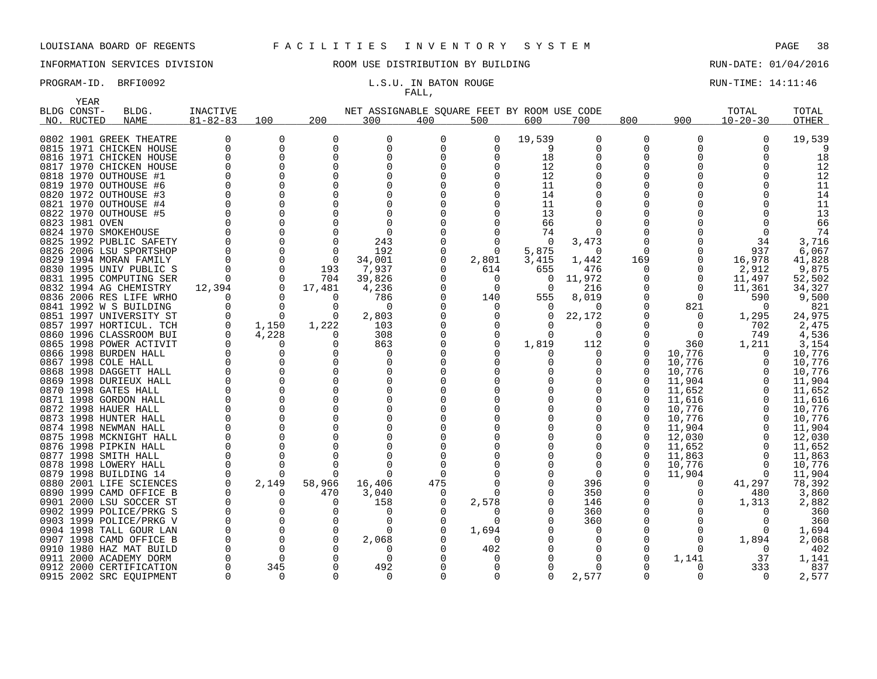# INFORMATION SERVICES DIVISION ROOM USE DISTRIBUTION BY BUILDING RUN-DATE: 01/04/2016

# FALL,

PROGRAM-ID. BRFI0092 **EXAM-ID.** BRFI0092 **L.S.U. IN BATON ROUGE EXAMICLE RUN-TIME:** 14:11:46

|      | YEAR           |                         |                 |                   |             |                                             |          |              |          |          |              |              |                |        |
|------|----------------|-------------------------|-----------------|-------------------|-------------|---------------------------------------------|----------|--------------|----------|----------|--------------|--------------|----------------|--------|
|      | BLDG CONST-    | BLDG.                   | <b>INACTIVE</b> |                   |             | NET ASSIGNABLE SQUARE FEET BY ROOM USE CODE |          |              |          |          |              |              | TOTAL          | TOTAL  |
|      | NO. RUCTED     | <b>NAME</b>             | $81 - 82 - 83$  | 100               | 200         | 300                                         | 400      | 500          | 600      | 700      | 800          | 900          | $10 - 20 - 30$ | OTHER  |
|      |                |                         |                 |                   |             |                                             |          |              |          |          |              |              |                |        |
|      |                | 0802 1901 GREEK THEATRE | 0               | 0                 | $\Omega$    | 0                                           | $\Omega$ | 0            | 19,539   | 0        | 0            | $\Omega$     | $\Omega$       | 19,539 |
|      |                | 0815 1971 CHICKEN HOUSE | 0               | 0                 | $\Omega$    | 0                                           | 0        | 0            | 9        | 0        | 0            | $\Omega$     | 0              |        |
|      |                | 0816 1971 CHICKEN HOUSE | $\Omega$        | $\Omega$          | ∩           | $\Omega$                                    |          | $\Omega$     | 18       | $\Omega$ | O            |              |                | 18     |
| 0817 |                | 1970 CHICKEN HOUSE      | $\Omega$        | 0                 |             | $\Omega$                                    |          |              | 12       | $\Omega$ | 0            |              |                | 12     |
|      |                | 0818 1970 OUTHOUSE #1   | $\Omega$        | $\Omega$          |             | $\Omega$                                    |          |              | 12       | O        | O            |              |                | 12     |
| 0819 |                | 1970 OUTHOUSE #6        | $\Omega$        | 0                 |             | $\Omega$                                    |          |              | 11       | 0        | 0            |              |                | 11     |
|      |                | 0820 1972 OUTHOUSE #3   |                 | $\Omega$          |             |                                             |          |              | 14       | O        | O            |              |                | 14     |
|      |                | 0821 1970 OUTHOUSE #4   | $\Omega$        | $\Omega$          |             |                                             |          |              | 11       | O        | 0            |              |                | 11     |
|      |                | 0822 1970 OUTHOUSE #5   | $\Omega$        | $\Omega$          |             |                                             |          |              | 13       | ∩        | 0            |              |                | 13     |
|      | 0823 1981 OVEN |                         |                 | $\Omega$          |             | <sup>0</sup>                                |          |              | 66       | O        | O            |              |                | 66     |
|      |                | 0824 1970 SMOKEHOUSE    | $\Omega$        | $\Omega$          |             | $\Omega$                                    |          | <sup>0</sup> | 74       | $\Omega$ | 0            |              | $\Omega$       | 74     |
|      |                | 0825 1992 PUBLIC SAFETY | $\Omega$        | $\Omega$          | $\Omega$    | 243                                         |          |              | $\Omega$ | 3,473    | 0            |              | 34             | 3,716  |
|      |                | 0826 2006 LSU SPORTSHOP | $\Omega$        | $\Omega$          | $\Omega$    | 192                                         |          | $\Omega$     | 5,875    | $\Omega$ | 0            | 0            | 937            | 6,067  |
|      |                | 0829 1994 MORAN FAMILY  | $\Omega$        | 0                 | $\mathbf 0$ | 34,001                                      |          | 2,801        | 3,415    | 1,442    | 169          | 0            | 16,978         | 41,828 |
| 0830 |                | 1995 UNIV PUBLIC S      |                 | $\Omega$          | 193         | 7,937                                       |          | 614          | 655      | 476      | 0            | 0            | 2,912          | 9,875  |
|      |                | 0831 1995 COMPUTING SER | $\Omega$        | 0                 | 704         | 39,826                                      |          | 0            | 0        | 11,972   | 0            | 0            | 11,497         | 52,502 |
|      |                | 0832 1994 AG CHEMISTRY  | 12,394          | $\Omega$          | 17,481      | 4,236                                       |          | $\Omega$     | $\Omega$ | 216      | O            | 0            | 11,361         | 34,327 |
|      |                | 0836 2006 RES LIFE WRHO | O               | $\Omega$          | O           | 786                                         |          | 140          | 555      | 8,019    | 0            | 0            | 590            | 9,500  |
|      |                | 0841 1992 W S BUILDING  |                 | $\Omega$          | ∩           | $\Omega$                                    |          | $\Omega$     | $\Omega$ | $\Omega$ | $\Omega$     | 821          | $\Omega$       | 821    |
| 0851 |                | 1997 UNIVERSITY ST      | 0               | 0                 | 0           | 2,803                                       |          | $\Omega$     | $\Omega$ | 22,172   | 0            | 0            | 1,295          | 24,975 |
|      |                | 0857 1997 HORTICUL. TCH | 0               | 1,150             | 1,222       | 103                                         |          | $\Omega$     |          | O        | 0            | 0            | 702            | 2,475  |
|      |                | 0860 1996 CLASSROOM BUI | $\mathbf 0$     |                   | O           | 308                                         |          | $\Omega$     | $\Omega$ | $\Omega$ | $\Omega$     | $\Omega$     | 749            | 4,536  |
|      |                | 0865 1998 POWER ACTIVIT | $\Omega$        | 4,228<br>$\Omega$ | ∩           | 863                                         |          | 0            | 1,819    | 112      |              | 360          | 1,211          | 3,154  |
|      |                |                         |                 | $\Omega$          |             |                                             |          |              |          |          | 0            |              |                |        |
|      |                | 0866 1998 BURDEN HALL   | $\Omega$        |                   |             | 0                                           |          |              | 0        | O        | 0            | 10,776       | $\Omega$       | 10,776 |
|      |                | 0867 1998 COLE HALL     | $\Omega$        | $\Omega$          |             | 0                                           |          |              | U        | $\Omega$ | $\Omega$     | 10,776       | $\Omega$       | 10,776 |
|      |                | 0868 1998 DAGGETT HALL  |                 | $\Omega$          |             | $\Omega$                                    |          |              |          | O        | 0            | 10,776       |                | 10,776 |
|      |                | 0869 1998 DURIEUX HALL  | $\Omega$        | $\Omega$          |             | $\Omega$                                    |          |              |          | $\Omega$ | $\Omega$     | 11,904       | $\Omega$       | 11,904 |
|      |                | 0870 1998 GATES HALL    | O               | 0                 |             | $\Omega$                                    |          |              |          | O        | 0            | 11,652       | 0              | 11,652 |
| 0871 |                | 1998 GORDON HALL        | $\Omega$        | $\Omega$          |             |                                             |          |              |          | $\Omega$ | O            | 11,616       | $\Omega$       | 11,616 |
| 0872 |                | 1998 HAUER HALL         |                 | 0                 |             |                                             |          |              |          |          | 0            | 10,776       |                | 10,776 |
|      |                | 0873 1998 HUNTER HALL   | $\Omega$        | $\Omega$          |             |                                             |          |              |          | U        | <sup>0</sup> | 10,776       |                | 10,776 |
|      |                | 0874 1998 NEWMAN HALL   | $\Omega$        | 0                 |             | $\Omega$                                    |          |              |          | O        | 0            | 11,904       |                | 11,904 |
|      |                | 0875 1998 MCKNIGHT HALL |                 | $\Omega$          |             |                                             |          |              |          |          | O            | 12,030       | $\Omega$       | 12,030 |
|      |                | 0876 1998 PIPKIN HALL   | $\cap$          | $\Omega$          |             |                                             |          |              |          | O        | $\Omega$     | 11,652       | $\Omega$       | 11,652 |
|      |                | 0877 1998 SMITH HALL    |                 | $\Omega$          |             | $\Omega$                                    |          |              |          | O        | $\Omega$     | 11,863       | $\Omega$       | 11,863 |
|      |                | 0878 1998 LOWERY HALL   | 0               | 0                 | ∩           | <sup>0</sup>                                |          |              |          | 0        | 0            | 10,776       | $\Omega$       | 10,776 |
|      |                | 0879 1998 BUILDING 14   | $\Omega$        | U                 | $\Omega$    | $\Omega$                                    |          |              |          | $\Omega$ | 0            | 11,904       | $\Omega$       | 11,904 |
| 0880 |                | 2001 LIFE SCIENCES      | 0               | 2,149             | 58,966      | 16,406                                      | 475      |              |          | 396      | 0            | 0            | 41,297         | 78,392 |
| 0890 |                | 1999 CAMD OFFICE B      | $\Omega$        | 0                 | 470         | 3,040                                       | O        | $\Omega$     |          | 350      | 0            | <sup>0</sup> | 480            | 3,860  |
|      |                | 0901 2000 LSU SOCCER ST | $\Omega$        | 0                 | O           | 158                                         |          | 2,578        |          | 146      | <sup>0</sup> | O            | 1,313          | 2,882  |
| 0902 |                | 1999 POLICE/PRKG S      | $\Omega$        | $\Omega$          | ∩           | $\Omega$                                    |          | <sup>0</sup> |          | 360      | O            |              | ∩              | 360    |
|      |                | 0903 1999 POLICE/PRKG V | $\Omega$        | $\Omega$          | O           | <sup>0</sup>                                |          | <sup>0</sup> |          | 360      | 0            |              |                | 360    |
|      |                | 0904 1998 TALL GOUR LAN | 0               | 0                 | $\Omega$    | $\Omega$                                    |          | 1,694        |          | $\Omega$ | O            | <sup>0</sup> | $\Omega$       | 1,694  |
|      |                | 0907 1998 CAMD OFFICE B | $\mathbf 0$     | 0                 | $\Omega$    | 2,068                                       |          | $\Omega$     |          | 0        | 0            | 0            | 1,894          | 2,068  |
| 0910 |                | 1980 HAZ MAT BUILD      | $\Omega$        | $\Omega$          |             | 0                                           |          | 402          |          | O        | <sup>0</sup> | $\Omega$     | $\Omega$       | 402    |
| 0911 |                | 2000 ACADEMY DORM       | 0               | $\Omega$          |             | 0                                           |          | 0            |          | ∩        | 0            | 1,141        | 37             | 1,141  |
|      |                | 0912 2000 CERTIFICATION |                 | 345               |             | 492                                         |          |              |          |          | U            | 0            | 333            | 837    |
|      |                | 0915 2002 SRC EQUIPMENT | $\Omega$        | $\Omega$          | $\Omega$    | $\Omega$                                    | $\Omega$ | $\Omega$     |          | 2,577    | <sup>0</sup> | $\Omega$     | $\Omega$       | 2,577  |

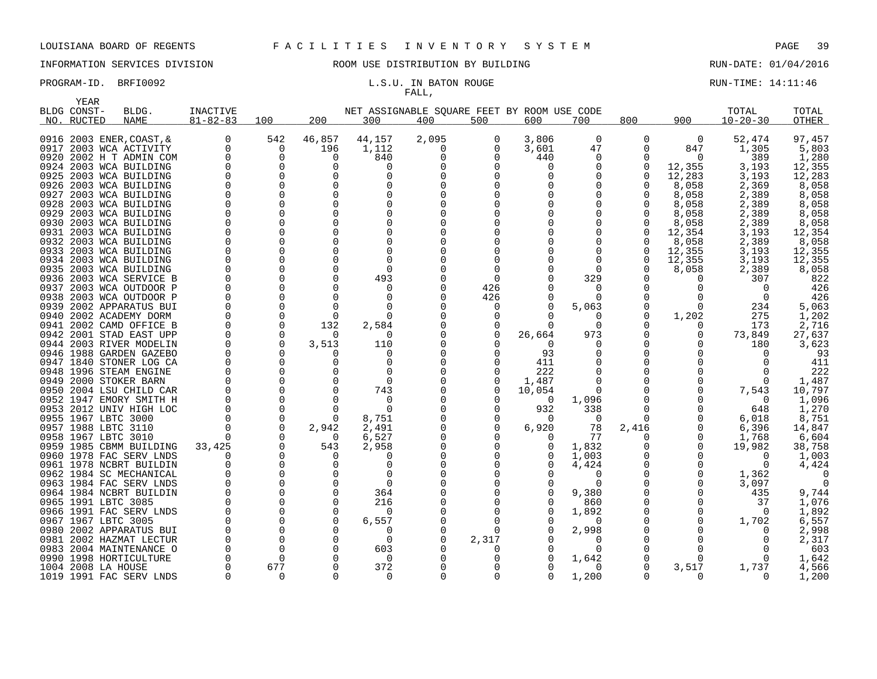# INFORMATION SERVICES DIVISION **ROOM USE DISTRIBUTION BY BUILDING RUN-DATE: 01/04/2016**

# FALL,

PROGRAM-ID. BRFI0092 **EXAM-** L.S.U. IN BATON ROUGE RUN-TIME: 14:11:46

| <b>YEAR</b>               |                                                    |                            |                      |               |                                                    | - - - <del>- - - -</del> |          |                |                  |               |                 |                         |                 |
|---------------------------|----------------------------------------------------|----------------------------|----------------------|---------------|----------------------------------------------------|--------------------------|----------|----------------|------------------|---------------|-----------------|-------------------------|-----------------|
| BLDG CONST-<br>NO. RUCTED | BLDG.<br><b>NAME</b>                               | INACTIVE<br>$81 - 82 - 83$ | 100                  | 200           | NET ASSIGNABLE SQUARE FEET BY ROOM USE CODE<br>300 | 400                      | 500      | 600            | 700              | 800           | 900             | TOTAL<br>$10 - 20 - 30$ | TOTAL<br>OTHER  |
|                           | 0916 2003 ENER, COAST, &<br>0917 2003 WCA ACTIVITY | $\Omega$<br>0              | 542<br>0             | 46,857<br>196 | 44,157<br>1,112                                    | 2,095<br>0               | 0<br>0   | 3,806<br>3,601 | 0<br>47          | $\Omega$<br>0 | $\Omega$<br>847 | 52,474<br>1,305         | 97,457<br>5,803 |
|                           | 0920 2002 H T ADMIN COM                            | 0                          | 0                    | $\Omega$      | 840                                                | O                        | $\Omega$ | 440            | 0                | 0             | $\Omega$        | 389                     | 1,280           |
|                           | 0924 2003 WCA BUILDING                             |                            | 0                    | 0             | n                                                  |                          |          | $\Omega$       | 0                | 0             | 12,355          | 3,193                   | 12,355          |
|                           | 0925 2003 WCA BUILDING                             |                            | $\Omega$             | $\Omega$      |                                                    |                          |          | $\Omega$       | 0                | $\Omega$      | 12,283          | 3,193                   | 12,283          |
|                           | 0926 2003 WCA BUILDING                             |                            | $\Omega$             | O             |                                                    |                          |          |                | 0                |               | 8,058           | 2,369                   | 8,058           |
|                           | 0927 2003 WCA BUILDING                             |                            |                      |               |                                                    |                          |          |                | O                | U             | 8,058           | 2,389                   | 8,058           |
|                           | 0928 2003 WCA BUILDING                             |                            | $\Omega$             | $\Omega$      |                                                    |                          |          |                | 0                |               | 8,058           | 2,389                   | 8,058           |
|                           | 0929 2003 WCA BUILDING                             |                            |                      | ∩             |                                                    |                          |          |                | O                | 0             | 8,058           | 2,389                   | 8,058           |
|                           | 0930 2003 WCA BUILDING                             |                            | $\Omega$             | $\Omega$      |                                                    |                          |          |                | 0                | 0             | 8,058           | 2,389                   | 8,058           |
|                           | 0931 2003 WCA BUILDING                             |                            |                      |               |                                                    |                          |          |                | 0                | 0             | 12,354          | 3,193                   | 12,354          |
|                           | 0932 2003 WCA BUILDING                             |                            | O                    |               |                                                    |                          |          |                | 0                | O             | 8,058           | 2,389                   | 8,058           |
|                           | 0933 2003 WCA BUILDING<br>0934 2003 WCA BUILDING   |                            |                      |               |                                                    |                          |          |                | $\Omega$<br>O    | 0<br>$\Omega$ | 12,355          | 3,193                   | 12,355          |
|                           | 0935 2003 WCA BUILDING                             |                            | ∩                    |               | ∩                                                  |                          |          |                | $\Omega$         | ∩             | 12,355<br>8,058 | 3,193<br>2,389          | 12,355<br>8,058 |
|                           | 0936 2003 WCA SERVICE B                            |                            | $\Omega$             | O             | 493                                                |                          | $\Omega$ |                | 329              | N             |                 | 307                     | 822             |
|                           | 0937 2003 WCA OUTDOOR P                            |                            | $\Omega$             | ∩             | 0                                                  |                          | 426      |                | 0                |               |                 | $\Omega$                | 426             |
|                           | 0938 2003 WCA OUTDOOR P                            |                            |                      |               | ∩                                                  |                          | 426      |                | $\Omega$         | N             |                 | $\Omega$                | 426             |
|                           | 0939 2002 APPARATUS BUI                            |                            |                      |               |                                                    |                          | n        | $\Omega$       | 5,063            |               | ∩               | 234                     | 5,063           |
|                           | 0940 2002 ACADEMY DORM                             |                            |                      | $\Omega$      |                                                    |                          | O        |                | 0                | O             | 1,202           | 275                     | 1,202           |
|                           | 0941 2002 CAMD OFFICE B                            |                            | 0                    | 132           | 2,584                                              |                          |          |                | 0                |               |                 | 173                     | 2,716           |
|                           | 0942 2001 STAD EAST UPP                            |                            | $\Omega$             | $\Omega$      | n                                                  |                          | 0        | 26,664         | 973              |               | 0               | 73,849                  | 27,637          |
|                           | 0944 2003 RIVER MODELIN                            |                            | $\Omega$             | 3,513         | 110                                                |                          |          | $\Omega$       | $\Omega$         | N             |                 | 180                     | 3,623           |
|                           | 0946 1988 GARDEN GAZEBO                            |                            | $\Omega$             | O             | $\Omega$                                           |                          | $\Omega$ | 93             | 0                |               |                 |                         | 93              |
|                           | 0947 1840 STONER LOG CA                            |                            | O                    | 0             | $\Omega$                                           |                          | O        | 411            | 0                | 0             |                 |                         | 411             |
|                           | 0948 1996 STEAM ENGINE<br>0949 2000 STOKER BARN    |                            |                      |               | 0                                                  |                          | 0        | 222<br>1,487   | 0<br>0           |               |                 |                         | 222<br>1,487    |
|                           | 0950 2004 LSU CHILD CAR                            |                            |                      |               | 743                                                |                          |          | 10,054         | $\Omega$         |               |                 | 7,543                   | 10,797          |
|                           | 0952 1947 EMORY SMITH H                            |                            | 0                    | O             | 0                                                  |                          |          | 0              | 1,096            | 0             |                 | $\Omega$                | 1,096           |
|                           | 0953 2012 UNIV HIGH LOC                            |                            | $\Omega$             | ∩             | ∩                                                  |                          |          | 932            | 338              | O             |                 | 648                     | 1,270           |
|                           | 0955 1967 LBTC 3000                                |                            | 0                    | 0             | 8,751                                              |                          | 0        | $\Omega$       | 0                | 0             | O               | 6,018                   | 8,751           |
|                           | 0957 1988 LBTC 3110                                |                            | $\Omega$             | 2,942         | 2,491                                              |                          | O        | 6,920          | 78               | 2,416         | 0               | 6,396                   | 14,847          |
|                           | 0958 1967 LBTC 3010                                |                            |                      | $\Omega$      | 6,527                                              |                          |          |                | 77               | O             | 0               | 1,768                   | 6,604           |
|                           | 0959 1985 CBMM BUILDING                            | 33,425                     |                      | 543           | 2,958                                              |                          |          |                | 1,832            |               | 0               | 19,982                  | 38,758          |
|                           | 0960 1978 FAC SERV LNDS                            |                            |                      | O             |                                                    |                          |          | 0              | 1,003            |               |                 | $\Omega$                | 1,003           |
|                           | 0961 1978 NCBRT BUILDIN                            |                            | ∩                    | ∩             | ∩                                                  |                          |          | $\Omega$       | 4,424            | 0             | O               | $\Omega$                | 4,424           |
|                           | 0962 1984 SC MECHANICAL                            |                            |                      |               |                                                    |                          |          |                | O                |               | O               | 1,362                   |                 |
|                           | 0963 1984 FAC SERV LNDS                            |                            | 0                    | O             | $\Omega$                                           |                          |          | $\Omega$       | $\Omega$         |               | O               | 3,097                   | 0               |
| 0965 1991 LBTC 3085       | 0964 1984 NCBRT BUILDIN                            |                            | $\Omega$<br>$\Omega$ | O<br>O        | 364                                                |                          |          | 0              | 9,380            | 0             | O               | 435                     | 9,744           |
|                           | 0966 1991 FAC SERV LNDS                            |                            |                      | $\Omega$      | 216<br>0                                           |                          |          |                | 860<br>1,892     |               | 0               | 37<br>$\Omega$          | 1,076<br>1,892  |
| 0967 1967 LBTC 3005       |                                                    |                            | $\Omega$             | O             | 6,557                                              |                          |          |                | $\left( \right)$ |               | 0               | 1,702                   | 6,557           |
|                           | 0980 2002 APPARATUS BUI                            |                            | $\Omega$             |               | O                                                  |                          | O        | $\Omega$       | 2,998            |               |                 |                         | 2,998           |
|                           | 0981 2002 HAZMAT LECTUR                            |                            |                      | $\Omega$      | <sup>0</sup>                                       |                          | 2,317    |                | O                |               |                 |                         | 2,317           |
|                           | 0983 2004 MAINTENANCE O                            |                            | $\Omega$             | $\Omega$      | 603                                                |                          | O        | $\Omega$       | $\Omega$         |               | O               |                         | 603             |
|                           | 0990 1998 HORTICULTURE                             |                            | $\Omega$             |               | 0                                                  |                          | O        |                | 1,642            | 0             |                 |                         | 1,642           |
| 1004 2008 LA HOUSE        |                                                    |                            | 677                  | $\Omega$      | 372                                                |                          |          |                | $\Omega$         | O             | 3,517           | 1,737                   | 4,566           |
|                           | 1019 1991 FAC SERV LNDS                            |                            | $\Omega$             | $\Omega$      | $\Omega$                                           | $\Omega$                 | $\Omega$ | $\Omega$       | 1,200            | $\Omega$      | $\Omega$        | $\Omega$                | 1,200           |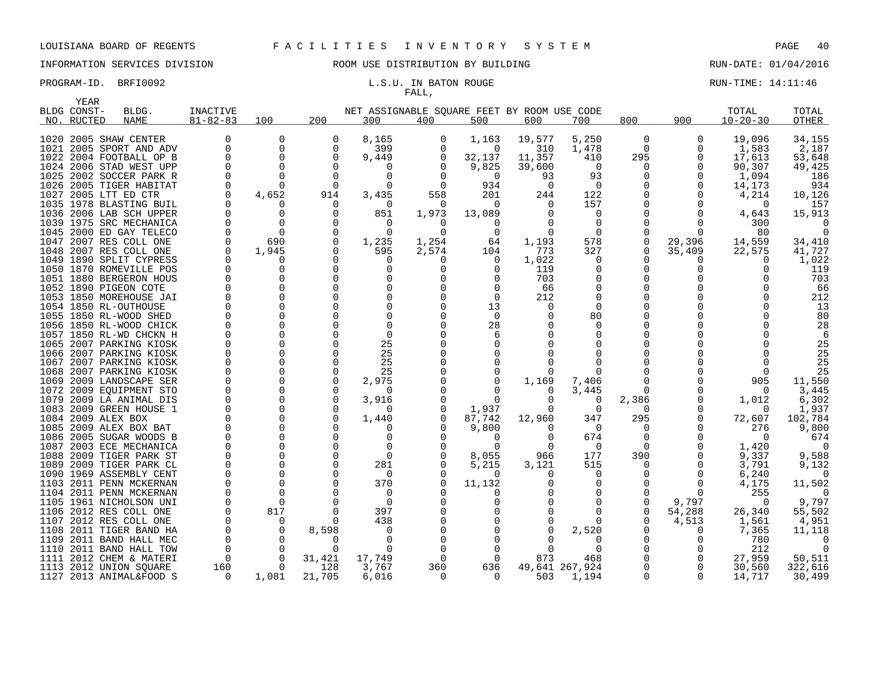YEAR

# INFORMATION SERVICES DIVISION ROOM USE DISTRIBUTION BY BUILDING RUN-DATE: 01/04/2016

# FALL,

PROGRAM-ID. BRFI0092 **EXAM-ID.** BRFI0092 **L.S.U. IN BATON ROUGE EXAMICLE RUN-TIME:** 14:11:46

| BLDG CONST- | BLDG.                                           | INACTIVE       |                |                 | NET ASSIGNABLE SQUARE FEET BY ROOM USE CODE |          |                   |              |                |              |          | TOTAL           | TOTAL         |
|-------------|-------------------------------------------------|----------------|----------------|-----------------|---------------------------------------------|----------|-------------------|--------------|----------------|--------------|----------|-----------------|---------------|
| NO. RUCTED  | NAME                                            | $81 - 82 - 83$ | 100            | 200             | 300                                         | 400      | 500               | 600          | 700            | 800          | 900      | $10 - 20 - 30$  | <b>OTHER</b>  |
|             | 1020 2005 SHAW CENTER                           |                | 0              | 0               | 8,165                                       | 0        | 1,163             | 19,577       | 5,250          | $\mathbf 0$  | 0        | 19,096          | 34,155        |
|             | 1021 2005 SPORT AND ADV                         |                | 0              | 0               | 399                                         | 0        | 0                 | 310          | 1,478          | $\mathbf 0$  | 0        | 1,583           | 2,187         |
|             | 1022 2004 FOOTBALL OP B                         |                | 0              | $\Omega$        | 9,449                                       | 0        | 32,137            | 11,357       | 410            | 295          | 0        | 17,613          | 53,648        |
|             | 1024 2006 STAD WEST UPP                         |                | $\Omega$       | $\Omega$        |                                             |          |                   |              | $\overline{0}$ |              | $\Omega$ |                 |               |
|             | 1025 2002 SOCCER PARK R                         |                | $\Omega$       | $\Omega$        | 0<br>0                                      | $\Omega$ | 9,825<br>$\Omega$ | 39,600<br>93 | 93             | 0<br>0       | $\Omega$ | 90,307<br>1,094 | 49,425<br>186 |
|             | 1026 2005 TIGER HABITAT                         |                | $\Omega$       | $\Omega$        | $\Omega$                                    | $\Omega$ | 934               | $\Omega$     | $\overline{0}$ | 0            | $\Omega$ | 14,173          | 934           |
|             |                                                 |                |                |                 |                                             |          |                   |              |                | $\Omega$     |          |                 |               |
|             | 1027 2005 LTT ED CTR<br>1035 1978 BLASTING BUIL |                | 4,652<br>O     | 914<br>$\Omega$ | 3,435<br>$\Omega$                           | 558<br>0 | 201<br>$\Omega$   | 244<br>0     | 122<br>157     |              |          | 4,214           | 10,126<br>157 |
|             | 1036 2006 LAB SCH UPPER                         |                | 0              | $\Omega$        |                                             | 1,973    |                   | 0            | $\Omega$       | 0            |          |                 | 15,913        |
|             | 1039 1975 SRC MECHANICA                         |                | $\Omega$       |                 | 851<br>$\Omega$                             |          | 13,089            | 0            | $\Omega$       | <sup>0</sup> |          | 4,643<br>300    |               |
|             | 1045 2000 ED GAY TELECO                         |                | $\Omega$       | $\Omega$        | $\Omega$                                    | $\Omega$ | $\Omega$          | $\Omega$     | $\Omega$       | $\Omega$     |          | 80              |               |
|             | 1047 2007 RES COLL ONE                          |                | 690            | $\Omega$        | 1,235                                       | 1,254    | 64                | 1,193        | 578            | 0            | 29,396   | 14,559          | 34,410        |
|             | 1048 2007 RES COLL ONE                          |                | 1,945          | $\Omega$        | 595                                         | 2,574    | 104               | 773          | 327            | $\Omega$     | 35,409   | 22,575          | 41,727        |
|             | 1049 1890 SPLIT CYPRESS                         |                | 0              |                 | $\Omega$                                    | 0        | $\Omega$          | 1,022        | $\Omega$       |              |          |                 | 1,022         |
|             | 1050 1870 ROMEVILLE POS                         |                | 0              |                 | <sup>0</sup>                                |          |                   | 119          | O              |              |          |                 | 119           |
|             | 1051 1880 BERGERON HOUS                         |                | 0              |                 | $\Omega$                                    |          |                   | 703          | 0              | 0            |          |                 | 703           |
|             | 1052 1890 PIGEON COTE                           |                | $\Omega$       |                 |                                             |          |                   | 66           | O              |              |          |                 | 66            |
|             | 1053 1850 MOREHOUSE JAI                         |                | $\Omega$       |                 |                                             |          | $\Omega$          | 212          | $\Omega$       |              |          |                 | 212           |
|             | 1054 1850 RL-OUTHOUSE                           |                | $\Omega$       |                 |                                             |          | 13                | O            | $\Omega$       |              |          |                 | 13            |
|             | 1055 1850 RL-WOOD SHED                          |                | $\Omega$       |                 |                                             |          | $\Omega$          |              | 80             |              |          |                 | 80            |
|             | 1056 1850 RL-WOOD CHICK                         |                | $\Omega$       |                 | $\Omega$                                    |          | 28                |              | n              |              |          |                 | 28            |
|             | 1057 1850 RL-WD CHCKN H                         |                | $\Omega$       |                 | $\Omega$                                    |          |                   |              | O              |              |          |                 | -6            |
|             | 1065 2007 PARKING KIOSK                         |                | $\Omega$       |                 | 25                                          |          |                   |              | ∩              |              |          |                 | 25            |
|             | 1066 2007 PARKING KIOSK                         |                | $\Omega$       |                 | 25                                          |          |                   |              | ∩              |              |          |                 | 25            |
|             | 1067 2007 PARKING KIOSK                         |                | $\Omega$       |                 | 25                                          |          |                   |              |                |              |          |                 | 25            |
|             | 1068 2007 PARKING KIOSK                         |                | $\Omega$       | $\Omega$        | 25                                          |          |                   | 0            |                |              |          |                 | 25            |
|             | 1069 2009 LANDSCAPE SER                         |                | $\Omega$       | $\Omega$        | 2,975                                       |          |                   | 1,169        | 7,406          |              |          | 905             | 11,550        |
|             | 1072 2009 EOUIPMENT STO                         |                | $\Omega$       |                 | $\Omega$                                    |          |                   | $\Omega$     | 3,445          | $\Omega$     |          | 0               | 3,445         |
|             | 1079 2009 LA ANIMAL DIS                         |                | $\Omega$       |                 | 3,916                                       |          | $\Omega$          | $\Omega$     | $\Omega$       | 2,386        |          | 1,012           | 6,302         |
|             | 1083 2009 GREEN HOUSE 1                         |                | $\Omega$       |                 |                                             |          | 1,937             | $\Omega$     | 0              | 0            |          | $\Omega$        | 1,937         |
|             | 1084 2009 ALEX BOX                              |                | $\Omega$       | $\Omega$        | 1,440                                       |          | 87,742            | 12,960       | 347            | 295          | $\Omega$ | 72,607          | 102,784       |
|             | 1085 2009 ALEX BOX BAT                          |                | $\Omega$       |                 |                                             |          | 9,800             | 0            | $\Omega$       | $\Omega$     |          | 276             | 9,800         |
|             | 1086 2005 SUGAR WOODS B                         |                | $\Omega$       |                 | 0                                           |          | $\Omega$          | $\Omega$     | 674            | 0            |          | $\Omega$        | 674           |
|             | 1087 2003 ECE MECHANICA                         |                | $\Omega$       |                 | $\Omega$                                    |          |                   | $\Omega$     | $\Omega$       | 0            |          | 1,420           |               |
|             | 1088 2009 TIGER PARK ST                         |                | $\mathbf 0$    | $\Omega$        | 0                                           |          | 8,055             | 966          | 177            | 390          |          | 9,337           | 9,588         |
|             | 1089 2009 TIGER PARK CL                         |                | $\mathbf 0$    |                 | 281                                         |          | 5,215             | 3,121        | 515            | 0            |          | 3,791           | 9,132         |
|             | 1090 1969 ASSEMBLY CENT                         |                | $\mathbf 0$    | $\Omega$        | $\Omega$                                    |          | $\Omega$          | 0            | 0              | 0            |          | 6,240           | 0             |
|             | 1103 2011 PENN MCKERNAN                         |                | $\Omega$       | $\Omega$        | 370                                         |          | 11,132            |              | $\Omega$       | 0            |          | 4,175           | 11,502        |
|             | 1104 2011 PENN MCKERNAN                         |                | $\Omega$       |                 | $\Omega$                                    |          |                   |              | $\Omega$       | 0            | $\Omega$ | 255             |               |
|             | 1105 1961 NICHOLSON UNI                         |                | $\Omega$       |                 | 0                                           |          |                   |              | $\Omega$       | 0            | 9,797    | $\Omega$        | 9,797         |
|             | 1106 2012 RES COLL ONE                          |                | 817            |                 | 397                                         |          |                   |              | $\Omega$       | 0            | 54,288   | 26,340          | 55,502        |
|             | 1107 2012 RES COLL ONE                          |                | $\mathbf 0$    |                 | 438                                         |          |                   |              | $\Omega$       | $\mathbf 0$  | 4,513    | 1,561           | 4,951         |
|             | 1108 2011 TIGER BAND HA                         |                | 0              | 8,598           | 0                                           |          |                   |              | 2,520          |              |          | 7,365           | 11,118        |
|             | 1109 2011 BAND HALL MEC                         |                | $\overline{0}$ | $\Omega$        | $\Omega$                                    |          |                   |              |                | 0            |          | 780             |               |
|             | 1110 2011 BAND HALL TOW                         |                | $\Omega$       |                 | ∩                                           |          |                   | U            | ∩              | $\Omega$     |          | 212             |               |
|             | 1111 2012 CHEM & MATERI                         | $\Omega$       | $\Omega$       | 31,421          | 17,749                                      |          | $\Omega$          | 873          | 468            | 0            |          | 27,959          | 50,511        |
|             | 1113 2012 UNION SQUARE                          | 160            | $\Omega$       | 128             | 3,767                                       | 360      | 636               |              | 49,641 267,924 | 0            |          | 30,560          | 322,616       |
|             | 1127 2013 ANIMAL&FOOD S                         | $\Omega$       | 1,081          | 21,705          | 6,016                                       | 0        | $\Omega$          | 503          | 1,194          | 0            | $\Omega$ | 14,717          | 30,499        |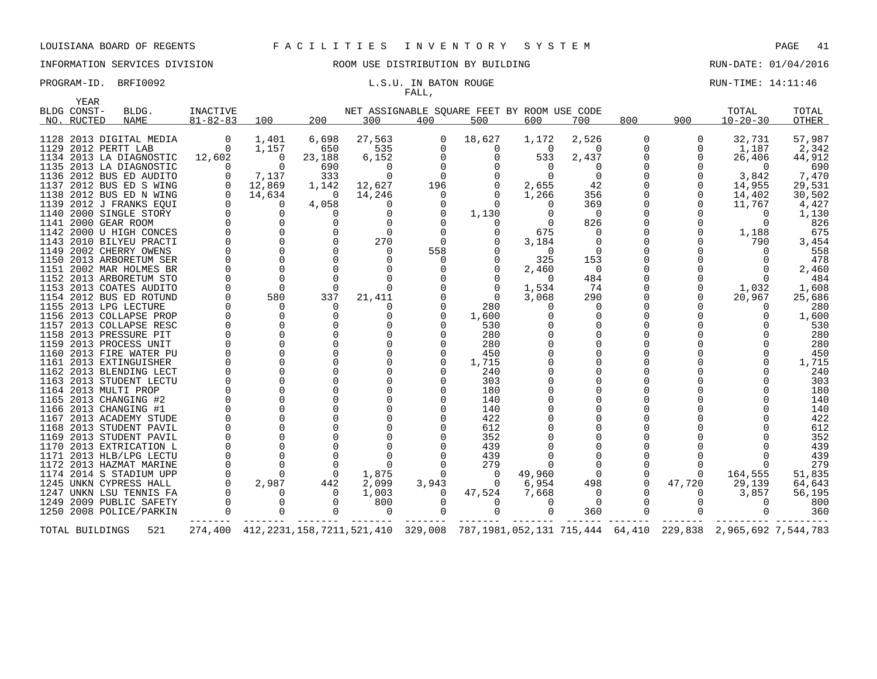# INFORMATION SERVICES DIVISION ROOM USE DISTRIBUTION BY BUILDING RUN-DATE: 01/04/2016

# FALL,

# PROGRAM-ID. BRFI0092 **EXAM-ID.** BRFI0092 **L.S.U. IN BATON ROUGE EXAMINE: 14:11:46**

| YEAR            |                                                 |                |          |                |                      |          |                                             |          |          |     |              |                                                                                                       |            |
|-----------------|-------------------------------------------------|----------------|----------|----------------|----------------------|----------|---------------------------------------------|----------|----------|-----|--------------|-------------------------------------------------------------------------------------------------------|------------|
| BLDG CONST-     | BLDG.                                           | INACTIVE       |          |                |                      |          | NET ASSIGNABLE SOUARE FEET BY ROOM USE CODE |          |          |     |              | TOTAL                                                                                                 | TOTAL      |
| NO. RUCTED      | NAME                                            | $81 - 82 - 83$ | 100      | 200            | 300                  | 400      | 500                                         | 600      | 700      | 800 | 900          | $10 - 20 - 30$                                                                                        | OTHER      |
|                 | 1128 2013 DIGITAL MEDIA                         | 0              | 1,401    | 6,698          | 27,563               | 0        | 18,627                                      | 1,172    | 2,526    | 0   | 0            | 32,731                                                                                                | 57,987     |
|                 | 1129 2012 PERTT LAB                             | 0              | 1,157    | 650            | 535                  | 0        | 0                                           | 0        | $\Omega$ |     | 0            | 1,187                                                                                                 | 2,342      |
|                 | 1134 2013 LA DIAGNOSTIC                         | 12,602         | 0        | 23,188         | 6,152                | 0        | 0                                           | 533      | 2,437    |     | $\Omega$     | 26,406                                                                                                | 44,912     |
|                 | 1135 2013 LA DIAGNOSTIC                         | $\Omega$       | $\Omega$ | 690            | $\Omega$             | $\Omega$ | $\Omega$                                    | $\Omega$ | $\Omega$ |     | $\Omega$     | $\Omega$                                                                                              | 690        |
|                 | 1136 2012 BUS ED AUDITO                         | $\Omega$       | 7,137    | 333            | $\Omega$             |          |                                             | $\Omega$ | $\Omega$ |     | $\Omega$     | 3,842                                                                                                 | 7,470      |
|                 | 1137 2012 BUS ED S WING                         | 0              | 12,869   | 1,142          | 12,627               | 196      | 0                                           | 2,655    | 42       |     | 0            | 14,955                                                                                                | 29,531     |
|                 | 1138 2012 BUS ED N WING                         | $\Omega$       | 14,634   | $\overline{0}$ | 14,246               | 0        | $\Omega$                                    | 1,266    | 356      |     | 0            | 14,402                                                                                                | 30,502     |
|                 | 1139 2012 J FRANKS EQUI                         | $\Omega$       | $\Omega$ | 4,058          | O                    |          | $\Omega$                                    |          | 369      |     | $\Omega$     | 11,767                                                                                                | 4,427      |
|                 | 1140 2000 SINGLE STORY                          |                | $\Omega$ | $\Omega$       | 0                    | 0        | 1,130                                       |          | $\Omega$ |     |              | 0                                                                                                     | 1,130      |
|                 | 1141 2000 GEAR ROOM                             |                |          | $\Omega$       | $\Omega$             |          | $\Omega$                                    |          | 826      |     | $\Omega$     | $\Omega$                                                                                              | 826        |
|                 | 1142 2000 U HIGH CONCES                         |                |          |                | $\Omega$             | $\Omega$ | 0                                           | 675      | $\Omega$ |     | 0            | 1,188                                                                                                 | 675        |
|                 | 1143 2010 BILYEU PRACTI                         |                |          | $\Omega$       | 270                  | $\Omega$ |                                             | 3,184    | $\Omega$ |     |              | 790                                                                                                   | 3,454      |
|                 | 1149 2002 CHERRY OWENS                          |                |          | $\Omega$       | $\Omega$             | 558      |                                             | $\Omega$ | $\Omega$ |     |              |                                                                                                       | 558        |
|                 | 1150 2013 ARBORETUM SER                         |                |          | $\Omega$       | 0                    | $\Omega$ | 0                                           | 325      | 153      |     |              | 0                                                                                                     | 478        |
|                 | 1151 2002 MAR HOLMES BR                         |                |          |                | $\Omega$             |          |                                             | 2,460    | $\Omega$ |     |              | $\Omega$                                                                                              | 2,460      |
|                 | 1152 2013 ARBORETUM STO                         |                |          |                | $\Omega$             |          |                                             | $\Omega$ | 484      |     |              | $\Omega$                                                                                              | 484        |
|                 | 1153 2013 COATES AUDITO                         |                | $\Omega$ | $\Omega$       | $\Omega$             |          | $\Omega$                                    | 1,534    | 74       |     |              | 1,032                                                                                                 | 1,608      |
|                 | 1154 2012 BUS ED ROTUND                         |                | 580      | 337            | 21,411               |          | $\Omega$                                    | 3,068    | 290      |     | $\Omega$     | 20,967                                                                                                | 25,686     |
|                 | 1155 2013 LPG LECTURE                           |                | $\Omega$ | $\Omega$       |                      |          | 280                                         |          | $\Omega$ |     |              |                                                                                                       | 280        |
|                 | 1156 2013 COLLAPSE PROP                         |                |          |                | $\Omega$             |          | 1,600                                       |          |          |     |              |                                                                                                       | 1,600      |
|                 | 1157 2013 COLLAPSE RESC                         |                |          | 0              | 0                    |          | 530                                         |          |          |     |              |                                                                                                       | 530        |
|                 | 1158 2013 PRESSURE PIT                          |                |          | $\Omega$       | $\Omega$             |          | 280                                         |          |          |     |              |                                                                                                       | 280        |
|                 | 1159 2013 PROCESS UNIT                          |                |          | $\Omega$       | $\Omega$             |          | 280                                         |          |          |     |              |                                                                                                       | 280        |
|                 | 1160 2013 FIRE WATER PU                         |                |          |                | $\Omega$<br>$\Omega$ |          | 450                                         |          |          |     |              |                                                                                                       | 450        |
|                 | 1161 2013 EXTINGUISHER                          |                |          | $\Omega$       | $\Omega$             |          | 1,715                                       |          |          |     |              |                                                                                                       | 1,715      |
|                 | 1162 2013 BLENDING LECT                         |                |          |                | $\Omega$             |          | 240                                         |          |          |     |              |                                                                                                       | 240        |
|                 | 1163 2013 STUDENT LECTU<br>1164 2013 MULTI PROP |                |          | $\Omega$       | $\Omega$             |          | 303<br>180                                  |          |          |     |              |                                                                                                       | 303<br>180 |
|                 | 1165 2013 CHANGING #2                           |                |          | $\Omega$       | $\Omega$             |          | 140                                         |          |          |     |              |                                                                                                       | 140        |
|                 | 1166 2013 CHANGING #1                           |                |          | $\Omega$       | $\Omega$             |          | 140                                         |          |          |     |              |                                                                                                       | 140        |
|                 | 1167 2013 ACADEMY STUDE                         |                |          | $\Omega$       | $\Omega$             |          | 422                                         |          |          |     |              |                                                                                                       | 422        |
|                 | 1168 2013 STUDENT PAVIL                         |                |          |                | $\Omega$             |          | 612                                         |          |          |     |              |                                                                                                       | 612        |
|                 | 1169 2013 STUDENT PAVIL                         |                |          |                | $\Omega$             |          | 352                                         |          |          |     |              |                                                                                                       | 352        |
|                 | 1170 2013 EXTRICATION L                         |                |          |                | $\Omega$             |          | 439                                         |          |          |     |              |                                                                                                       | 439        |
|                 | 1171 2013 HLB/LPG LECTU                         |                |          |                | $\Omega$             |          | 439                                         |          |          |     |              |                                                                                                       | 439        |
|                 | 1172 2013 HAZMAT MARINE                         |                |          | $\Omega$       | $\Omega$             |          | 279                                         |          |          |     |              | $\Omega$                                                                                              | 279        |
|                 | 1174 2014 S STADIUM UPP                         |                |          |                | 1,875                |          | 0                                           | 49,960   |          |     | 0            | 164,555                                                                                               | 51,835     |
|                 | 1245 UNKN CYPRESS HALL                          | $\Omega$       | 2,987    | 442            | 2,099                | 3,943    | $\overline{0}$                              | 6,954    | 498      |     | 47,720       | 29,139                                                                                                | 64,643     |
|                 | 1247 UNKN LSU TENNIS FA                         |                |          | $\Omega$       | 1,003                | $\Omega$ | 47,524                                      | 7,668    | $\Omega$ |     | <sup>0</sup> | 3,857                                                                                                 | 56,195     |
|                 | 1249 2009 PUBLIC SAFETY                         | 0              | $\Omega$ | $\Omega$       | 800                  |          | $\Omega$                                    | O        | $\Omega$ |     | 0            | $\Omega$                                                                                              | 800        |
|                 | 1250 2008 POLICE/PARKIN                         |                |          | $\Omega$       | $\Omega$             |          | $\Omega$                                    | $\Omega$ | 360      |     | $\Omega$     | $\Omega$                                                                                              | 360        |
| TOTAL BUILDINGS | 521                                             |                |          |                |                      |          |                                             |          |          |     |              | 274,400 412,2231,158,7211,521,410 329,008 787,1981,052,131 715,444 64,410 229,838 2,965,692 7,544,783 |            |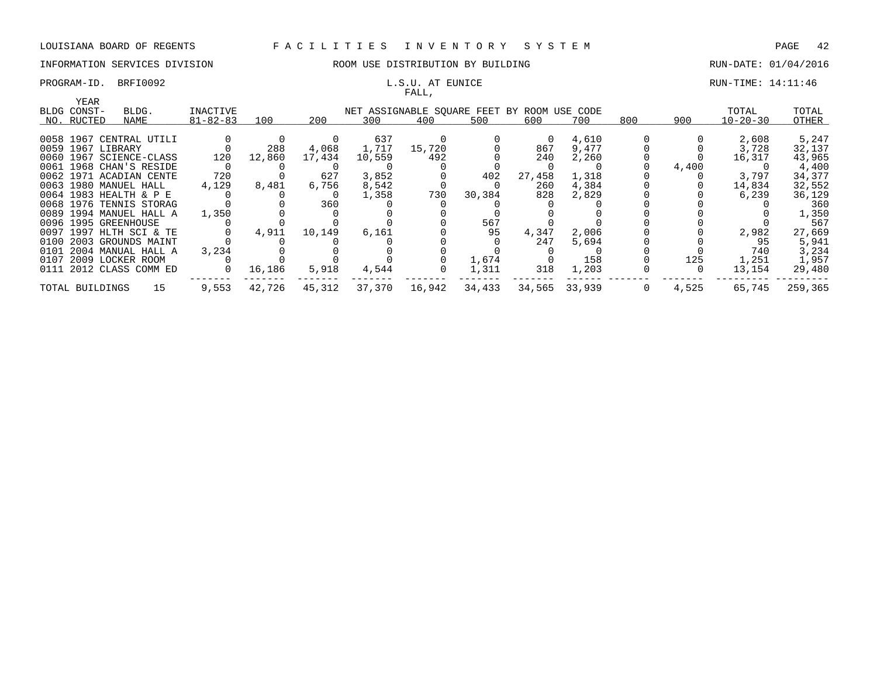# PROGRAM-ID. BRFI0092 **EXAM-** ID. S.U. AT EUNICE **EXAM-** ID. BRFI0092 **EXAM-TIME: 14:11:46**

# INFORMATION SERVICES DIVISION **REDEFILMENTION BY BUILDING RUN-DATE: 01/04/2016**

# FALL,

| YEAR              |                         |                |        |        |        | $\overline{1}$                              |        |        |               |     |       |                |         |
|-------------------|-------------------------|----------------|--------|--------|--------|---------------------------------------------|--------|--------|---------------|-----|-------|----------------|---------|
| BLDG CONST-       | BLDG.                   | INACTIVE       |        |        |        | NET ASSIGNABLE SQUARE FEET BY ROOM USE CODE |        |        |               |     |       | TOTAL          | TOTAL   |
| NO. RUCTED        | NAME                    | $81 - 82 - 83$ | 100    | 200    | 300    | 400                                         | 500    | 600    | 700           | 800 | 900   | $10 - 20 - 30$ | OTHER   |
|                   |                         |                |        |        |        |                                             |        |        |               |     |       |                |         |
|                   | 0058 1967 CENTRAL UTILI |                |        |        | 637    |                                             |        | 0      | 4,610         |     |       | 2,608          | 5,247   |
| 0059 1967 LIBRARY |                         |                | 288    | 4,068  | 1,717  | 15,720                                      |        | 867    | 9,477         |     |       | 3,728          | 32,137  |
|                   | 0060 1967 SCIENCE-CLASS | 120            | 12,860 | 17,434 | 10,559 | 492                                         |        | 240    | 2,260         |     |       | 16,317         | 43,965  |
|                   | 0061 1968 CHAN'S RESIDE |                |        |        |        |                                             |        |        |               |     | 4,400 |                | 4,400   |
|                   | 0062 1971 ACADIAN CENTE | 720            |        | 627    | 3,852  |                                             | 402    | 27,458 | 1,318         |     |       | 3,797          | 34,377  |
|                   | 0063 1980 MANUEL HALL   | 4,129          | 8,481  | 6,756  | 8,542  |                                             |        | 260    | 4,384         |     |       | 14,834         | 32,552  |
|                   | 0064 1983 HEALTH & P E  |                |        |        | 1,358  | 730                                         | 30,384 | 828    | 2,829         |     |       | 6,239          | 36,129  |
|                   | 0068 1976 TENNIS STORAG |                |        | 360    |        |                                             |        |        |               |     |       |                | 360     |
|                   | 0089 1994 MANUEL HALL A | 1,350          |        |        |        |                                             |        |        |               |     |       |                | 1,350   |
|                   | 0096 1995 GREENHOUSE    |                |        |        |        |                                             | 567    |        |               |     |       |                | 567     |
|                   | 0097 1997 HLTH SCI & TE |                | 4,911  | 10,149 | 6,161  |                                             | 95     | 4,347  | 2,006         |     |       | 2,982          | 27,669  |
|                   | 0100 2003 GROUNDS MAINT |                |        |        |        |                                             |        | 247    | 5,694         |     |       | 95             | 5,941   |
|                   | 0101 2004 MANUAL HALL A | 3,234          |        |        |        |                                             |        |        |               |     |       | 740            | 3,234   |
|                   | 0107 2009 LOCKER ROOM   |                |        |        |        |                                             | 1,674  |        | 158           |     | 125   | 1,251          | 1,957   |
|                   | 0111 2012 CLASS COMM ED | $\circ$        | 16,186 | 5,918  | 4,544  | 0                                           | 1,311  | 318    | 1,203         |     | - 0   | 13,154         | 29,480  |
| TOTAL BUILDINGS   | 15                      | 9,553          | 42,726 | 45,312 | 37,370 | 16,942                                      | 34,433 |        | 34,565 33,939 | 0   | 4,525 | 65,745         | 259,365 |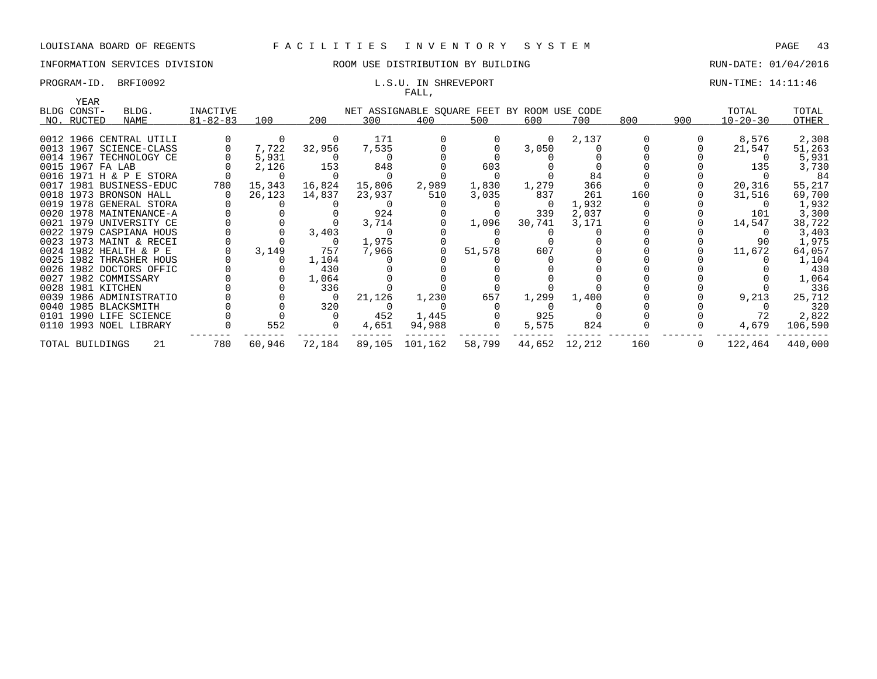# INFORMATION SERVICES DIVISION COOM OSE DISTRIBUTION BY BUILDING CONTROLLER RUN-DATE: 01/04/2016

### PROGRAM-ID. BRFI0092 **EXAM-ID.** BRFI0092 **RUN-TIME:** 14:11:46 FALL,

| YEAR             |                         |                |        |        |        |                                             |        |               |       |     |     |                |         |
|------------------|-------------------------|----------------|--------|--------|--------|---------------------------------------------|--------|---------------|-------|-----|-----|----------------|---------|
| BLDG CONST-      | BLDG.                   | INACTIVE       |        |        |        | NET ASSIGNABLE SQUARE FEET BY ROOM USE CODE |        |               |       |     |     | TOTAL          | TOTAL   |
| NO. RUCTED       | NAME                    | $81 - 82 - 83$ | 100    | 200    | 300    | 400                                         | 500    | 600           | 700   | 800 | 900 | $10 - 20 - 30$ | OTHER   |
|                  |                         |                |        |        |        |                                             |        |               |       |     |     |                |         |
|                  | 0012 1966 CENTRAL UTILI |                |        |        | 171    |                                             |        | $\Omega$      | 2,137 |     |     | 8,576          | 2,308   |
|                  | 0013 1967 SCIENCE-CLASS |                | 7,722  | 32,956 | 7,535  |                                             |        | 3,050         |       |     |     | 21,547         | 51,263  |
|                  | 0014 1967 TECHNOLOGY CE |                | 5,931  |        |        |                                             |        |               |       |     |     |                | 5,931   |
| 0015 1967 FA LAB |                         |                | 2,126  | 153    | 848    |                                             | 603    |               |       |     |     | 135            | 3,730   |
|                  | 0016 1971 H & P E STORA |                |        |        |        |                                             |        |               | 84    |     |     |                | -84     |
|                  | 0017 1981 BUSINESS-EDUC | 780            | 15,343 | 16,824 | 15,806 | 2,989                                       | 1,830  | 1,279         | 366   |     |     | 20,316         | 55,217  |
|                  | 0018 1973 BRONSON HALL  |                | 26,123 | 14,837 | 23,937 | 510                                         | 3,035  | 837           | 261   | 160 |     | 31,516         | 69,700  |
|                  | 0019 1978 GENERAL STORA |                |        |        |        |                                             |        | - 0           | 1,932 |     |     |                | 1,932   |
|                  | 0020 1978 MAINTENANCE-A |                |        |        | 924    |                                             |        | 339           | 2,037 |     |     | 101            | 3,300   |
|                  | 0021 1979 UNIVERSITY CE |                |        |        | 3,714  |                                             | 1,096  | 30,741        | 3,171 |     |     | 14,547         | 38,722  |
|                  | 0022 1979 CASPIANA HOUS |                |        | 3,403  |        |                                             |        |               |       |     |     |                | 3,403   |
|                  | 0023 1973 MAINT & RECEI |                |        |        | 1,975  |                                             |        |               |       |     |     | 90             | 1,975   |
|                  | 0024 1982 HEALTH & P E  |                | 3,149  | 757    | 7,966  |                                             | 51,578 | 607           |       |     |     | 11,672         | 64,057  |
|                  | 0025 1982 THRASHER HOUS |                |        | 1,104  |        |                                             |        |               |       |     |     |                | 1,104   |
|                  | 0026 1982 DOCTORS OFFIC |                |        | 430    |        |                                             |        |               |       |     |     |                | 430     |
|                  | 0027 1982 COMMISSARY    |                |        | 1,064  |        |                                             |        |               |       |     |     |                | 1,064   |
|                  | 0028 1981 KITCHEN       |                |        | 336    |        |                                             |        |               |       |     |     |                | 336     |
|                  | 0039 1986 ADMINISTRATIO |                |        |        | 21,126 | 1,230                                       | 657    | 1,299         | 1,400 |     |     | 9,213          | 25,712  |
|                  | 0040 1985 BLACKSMITH    |                |        | 320    |        |                                             |        |               |       |     |     |                | 320     |
|                  | 0101 1990 LIFE SCIENCE  |                |        |        | 452    | 1,445                                       |        | 925           |       |     |     | 72             | 2,822   |
|                  | 0110 1993 NOEL LIBRARY  |                | 552    |        | 4,651  | 94,988                                      |        | 5,575         | 824   |     |     | 4,679          | 106,590 |
| TOTAL BUILDINGS  | 21                      | 780            | 60,946 | 72,184 |        | 89,105 101,162                              | 58,799 | 44,652 12,212 |       | 160 | 0   | 122,464        | 440,000 |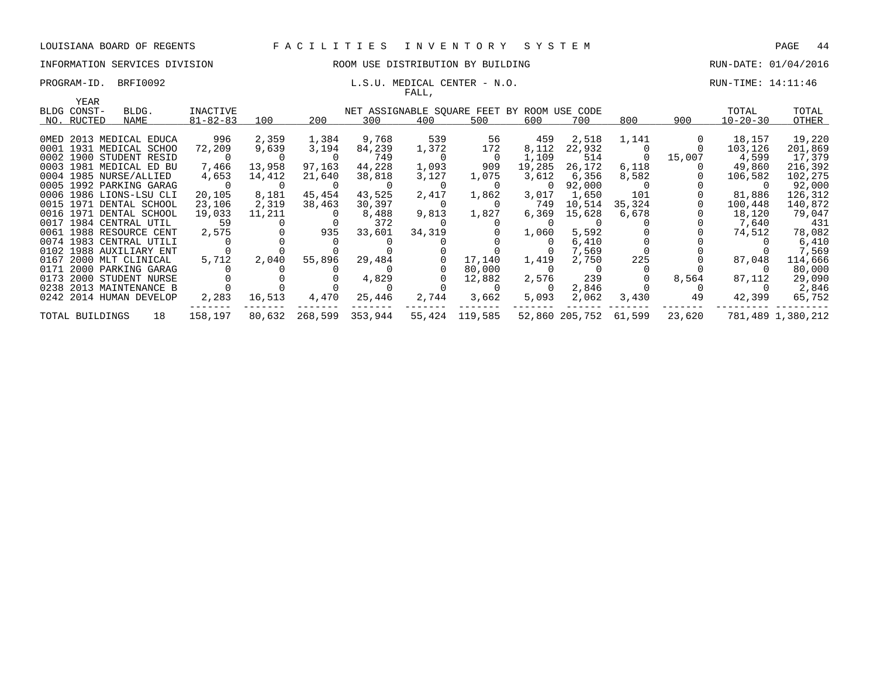### INFORMATION SERVICES DIVISION ROOM USE DISTRIBUTION BY BUILDING RUN-DATE: 01/04/2016

### PROGRAM-ID. BRFI0092 **EXAM-ID.** BRFI0092 **L.S.U. MEDICAL CENTER** - N.O. RUN-TIME: 14:11:46 FALL,

|      | YEAR            |                         |                |        |         |                                             |          |                |          |                |          |        |                |                   |
|------|-----------------|-------------------------|----------------|--------|---------|---------------------------------------------|----------|----------------|----------|----------------|----------|--------|----------------|-------------------|
|      | BLDG CONST-     | BLDG.                   | INACTIVE       |        |         | NET ASSIGNABLE SQUARE FEET BY ROOM USE CODE |          |                |          |                |          |        | TOTAL          | TOTAL             |
|      | NO. RUCTED      | NAME                    | $81 - 82 - 83$ | 100    | 200     | 300                                         | 400      | 500            | 600      | 700            | 800      | 900    | $10 - 20 - 30$ | OTHER             |
|      |                 | OMED 2013 MEDICAL EDUCA | 996            | 2,359  | 1,384   | 9,768                                       | 539      | 56             | 459      | 2,518          | 1,141    |        | 18,157         | 19,220            |
|      |                 | 0001 1931 MEDICAL SCHOO | 72,209         | 9,639  | 3,194   | 84,239                                      | 1,372    | 172            | 8,112    | 22,932         |          |        | 103,126        | 201,869           |
|      |                 | 0002 1900 STUDENT RESID |                |        |         | 749                                         | $\Omega$ | - 0            | 1,109    | 514            | $\Omega$ | 15,007 | 4,599          | 17,379            |
|      |                 | 0003 1981 MEDICAL ED BU | 7,466          | 13,958 | 97,163  | 44,228                                      | 1,093    | 909            | 19,285   | 26,172         | 6,118    |        | 49,860         | 216,392           |
|      |                 | 0004 1985 NURSE/ALLIED  | 4,653          | 14,412 | 21,640  | 38,818                                      | 3,127    | 1,075          | 3,612    | 6,356          | 8,582    |        | 106,582        | 102,275           |
|      |                 | 0005 1992 PARKING GARAG |                |        |         |                                             |          | $\Omega$       | $\Omega$ | 92,000         |          |        |                | 92,000            |
|      |                 | 0006 1986 LIONS-LSU CLI | 20,105         | 8,181  | 45,454  | 43,525                                      | 2,417    | 1,862          | 3,017    | 1,650          | 101      |        | 81,886         | 126,312           |
|      |                 | 0015 1971 DENTAL SCHOOL | 23,106         | 2,319  | 38,463  | 30,397                                      | $\Omega$ | $\Omega$       | 749      | 10,514         | 35,324   |        | 100,448        | 140,872           |
|      |                 | 0016 1971 DENTAL SCHOOL | 19,033         | 11,211 |         | 8,488                                       | 9,813    | 1,827          | 6,369    | 15,628         | 6,678    |        | 18,120         | 79,047            |
|      |                 | 0017 1984 CENTRAL UTIL  | 59             |        |         | 372                                         |          |                |          |                |          |        | 7,640          | 431               |
|      |                 | 0061 1988 RESOURCE CENT | 2,575          |        | 935     | 33,601                                      | 34,319   |                | 1,060    | 5,592          |          |        | 74,512         | 78,082            |
|      |                 | 0074 1983 CENTRAL UTILI |                |        |         |                                             |          |                |          | 6,410          |          |        |                | 6,410             |
|      |                 | 0102 1988 AUXILIARY ENT |                |        |         |                                             |          |                |          | 7,569          |          |        |                | 7,569             |
|      |                 | 0167 2000 MLT CLINICAL  | 5,712          | 2,040  | 55,896  | 29,484                                      |          | 17,140         | 1,419    | 2,750          | 225      |        | 87,048         | 114,666           |
|      |                 | 0171 2000 PARKING GARAG |                |        |         |                                             |          | 80,000         | -0       |                |          |        |                | 80,000            |
| 0173 |                 | 2000 STUDENT NURSE      |                |        |         | 4,829                                       |          | 12,882         | 2,576    | 239            |          | 8,564  | 87,112         | 29,090            |
|      |                 | 0238 2013 MAINTENANCE B |                |        |         |                                             |          | $\Omega$       | 0        | 2,846          |          |        |                | 2,846             |
|      |                 | 0242 2014 HUMAN DEVELOP | 2,283          | 16,513 | 4,470   | 25,446                                      | 2,744    | 3,662          | 5,093    | 2,062          | 3,430    | 49     | 42,399         | 65,752            |
|      | TOTAL BUILDINGS | 18                      | 158,197        | 80,632 | 268,599 | 353,944                                     |          | 55,424 119,585 |          | 52,860 205,752 | 61,599   | 23,620 |                | 781,489 1,380,212 |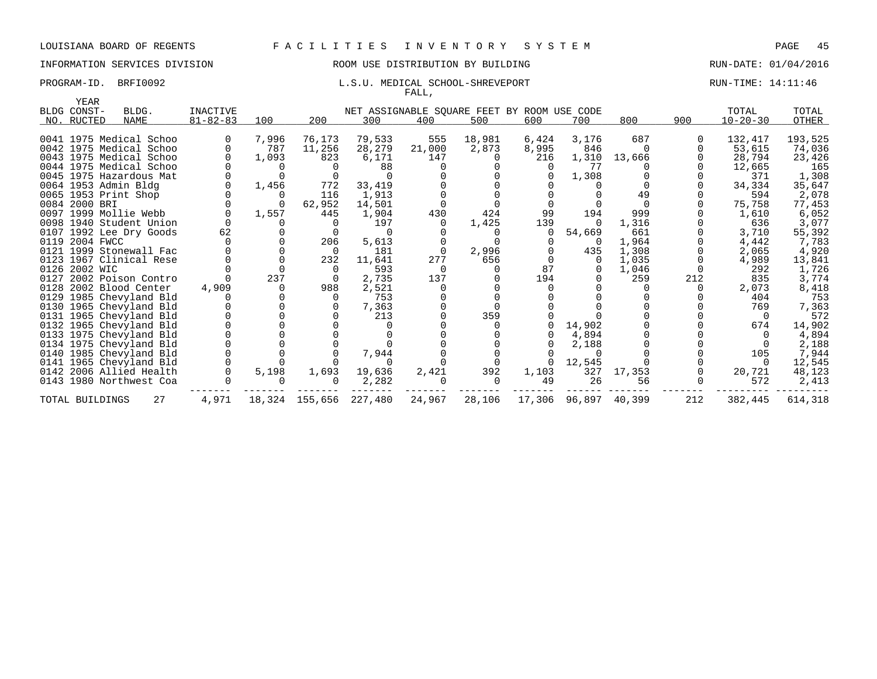# INFORMATION SERVICES DIVISION **REDEFILMENTION BY BUILDING RUN-DATE: 01/04/2016**

### PROGRAM-ID. BRFI0092 **EXAM-ID.** BRFI0092 **L.S.U. MEDICAL SCHOOL-SHREVEPORT** RUN-TIME: 14:11:46 FALL,

| YEAR            |                         |                 |       |                        |                                             |          |          |          |                      |          |     |                |         |
|-----------------|-------------------------|-----------------|-------|------------------------|---------------------------------------------|----------|----------|----------|----------------------|----------|-----|----------------|---------|
| BLDG CONST-     | BLDG.                   | <b>INACTIVE</b> |       |                        | NET ASSIGNABLE SQUARE FEET BY ROOM USE CODE |          |          |          |                      |          |     | TOTAL          | TOTAL   |
| NO. RUCTED      | <b>NAME</b>             | $81 - 82 - 83$  | 100   | 200                    | 300                                         | 400      | 500      | 600      | 700                  | 800      | 900 | $10 - 20 - 30$ | OTHER   |
|                 |                         |                 |       |                        |                                             |          |          |          |                      |          |     |                |         |
|                 | 0041 1975 Medical Schoo |                 | 7,996 | 76,173                 | 79,533                                      | 555      | 18,981   | 6,424    | 3,176                | 687      |     | 132,417        | 193,525 |
|                 | 0042 1975 Medical Schoo |                 | 787   | 11,256                 | 28,279                                      | 21,000   | 2,873    | 8,995    | 846                  | $\Omega$ |     | 53,615         | 74,036  |
|                 | 0043 1975 Medical Schoo |                 | 1,093 | 823                    | 6,171                                       | 147      |          | 216      | 1,310                | 13,666   |     | 28,794         | 23,426  |
|                 | 0044 1975 Medical Schoo |                 |       |                        | 88                                          |          |          |          | 77                   |          |     | 12,665         | 165     |
|                 | 0045 1975 Hazardous Mat |                 |       |                        | $\cap$                                      |          |          |          | 1,308                |          |     | 371            | 1,308   |
|                 | 0064 1953 Admin Bldg    |                 | 1,456 | 772                    | 33,419                                      |          |          |          |                      |          |     | 34,334         | 35,647  |
|                 | 0065 1953 Print Shop    |                 |       | 116                    | 1,913                                       |          |          |          |                      | 49       |     | 594            | 2,078   |
| 0084 2000 BRI   |                         |                 |       | 62,952                 | 14,501                                      |          |          |          |                      |          |     | 75,758         | 77,453  |
|                 | 0097 1999 Mollie Webb   | $\Omega$        | 1,557 | 445                    | 1,904                                       | 430      | 424      | 99       | 194                  | 999      |     | 1,610          | 6,052   |
|                 | 0098 1940 Student Union |                 |       |                        | 197                                         |          | 1,425    | 139      | $\Omega$             | 1,316    |     | 636            | 3,077   |
|                 | 0107 1992 Lee Dry Goods | 62              |       |                        |                                             |          |          |          | 54,669               | 661      |     | 3,710          | 55,392  |
| 0119 2004 FWCC  |                         |                 |       | 206                    | 5,613                                       |          |          |          |                      | 1,964    |     | 4,442          | 7,783   |
|                 | 0121 1999 Stonewall Fac |                 |       | - 0                    | 181                                         | - 0      | 2,996    |          | 435                  | 1,308    |     | 2,065          | 4,920   |
|                 | 0123 1967 Clinical Rese |                 |       | 232                    | 11,641                                      | 277      | 656      |          | $\Omega$             | 1,035    |     | 4,989          | 13,841  |
| 0126 2002 WIC   |                         |                 |       |                        | 593                                         | $\Omega$ |          | 87       |                      | 1,046    |     | 292            | 1,726   |
|                 | 0127 2002 Poison Contro |                 | 237   |                        | 2,735                                       | 137      |          | 194      |                      | 259      | 212 | 835            | 3,774   |
|                 | 0128 2002 Blood Center  | 4,909           |       | 988                    | 2,521                                       |          |          |          |                      |          |     | 2,073          | 8,418   |
|                 | 0129 1985 Chevyland Bld |                 |       |                        | 753                                         |          |          |          |                      |          |     | 404            | 753     |
|                 | 0130 1965 Chevyland Bld |                 |       |                        | 7,363                                       |          |          |          |                      |          |     | 769            | 7,363   |
|                 | 0131 1965 Chevyland Bld |                 |       |                        | 213                                         |          | 359      |          |                      |          |     |                | 572     |
|                 | 0132 1965 Chevyland Bld |                 |       |                        |                                             |          |          | $\Omega$ | 14,902               |          |     | 674            | 14,902  |
|                 | 0133 1975 Chevyland Bld |                 |       |                        |                                             |          |          |          | 4,894                |          |     |                | 4,894   |
|                 | 0134 1975 Chevyland Bld |                 |       |                        |                                             |          |          |          | 2,188                |          |     |                | 2,188   |
|                 | 0140 1985 Chevyland Bld |                 |       |                        | 7,944                                       |          |          |          | $\Omega$             |          |     | 105            | 7,944   |
|                 | 0141 1965 Chevyland Bld |                 |       |                        | $\Omega$                                    |          |          | $\Omega$ | 12,545               |          |     |                | 12,545  |
|                 | 0142 2006 Allied Health |                 | 5,198 | 1,693                  | 19,636                                      | 2,421    | 392      | 1,103    | 327                  | 17,353   |     | 20,721         | 48,123  |
|                 | 0143 1980 Northwest Coa |                 |       |                        | 2,282                                       |          | $\Omega$ | 49       | 26                   | 56       |     | 572            | 2,413   |
| TOTAL BUILDINGS | 27                      | 4,971           |       | 18,324 155,656 227,480 |                                             | 24,967   | 28,106   |          | 17,306 96,897 40,399 |          | 212 | 382,445        | 614,318 |
|                 |                         |                 |       |                        |                                             |          |          |          |                      |          |     |                |         |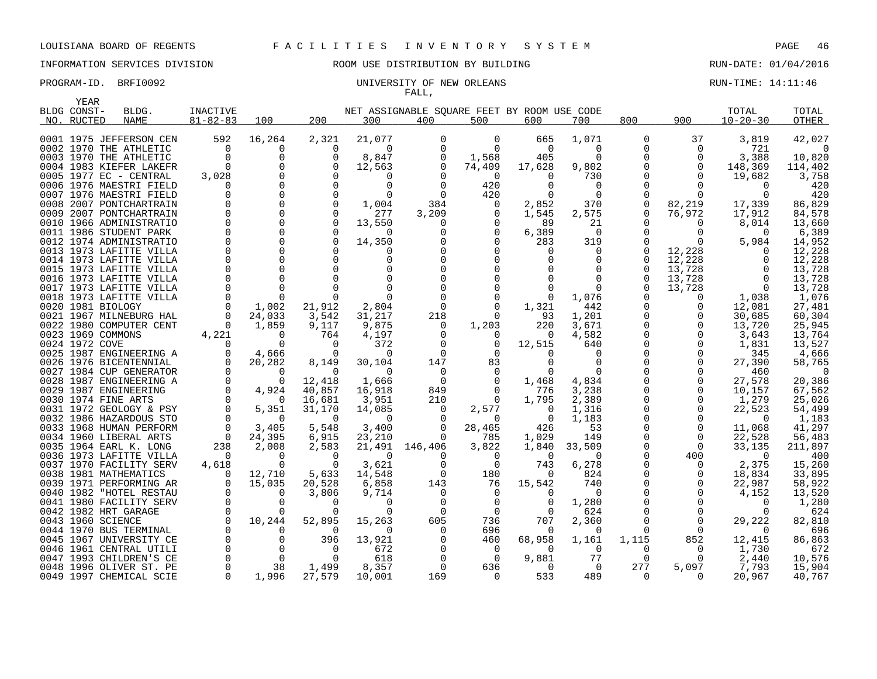### PROGRAM-ID. BRFI0092 CONTROLLER ENTIRE STATE STATE IN THE UNIVERSITY OF NEW ORLEANS CONTROLLER STATE: 14:11:46

YEAR

# INFORMATION SERVICES DIVISION ROOM USE DISTRIBUTION BY BUILDING RUN-DATE: 01/04/2016

# FALL,

| -----<br>BLDG CONST- | BLDG.                   | <b>INACTIVE</b>      |                         |                    |                    | NET ASSIGNABLE SOUARE FEET BY ROOM USE CODE |                   |                |                |                         |                      | TOTAL           | TOTAL            |
|----------------------|-------------------------|----------------------|-------------------------|--------------------|--------------------|---------------------------------------------|-------------------|----------------|----------------|-------------------------|----------------------|-----------------|------------------|
| NO. RUCTED           | NAME                    | $81 - 82 - 83$       | 100                     | 200                | 300                | 400                                         | 500               | 600            | 700            | 800                     | 900                  | $10 - 20 - 30$  | OTHER            |
|                      | 0001 1975 JEFFERSON CEN | 592                  | 16,264                  | 2,321              | 21,077             | 0                                           | 0                 | 665            | 1,071          | 0                       | 37                   | 3,819           | 42,027           |
|                      | 0002 1970 THE ATHLETIC  | $\overline{0}$       | 0                       | 0                  | 0                  | 0                                           | $\overline{0}$    | $\overline{0}$ | 0              | 0                       | 0                    | 721             | $\Omega$         |
|                      | 0003 1970 THE ATHLETIC  | $\Omega$             | $\Omega$                | $\Omega$           | 8,847              | 0                                           | 1,568             | 405            | $\Omega$       | $\Omega$                | $\Omega$             | 3,388           | 10,820           |
|                      | 0004 1983 KIEFER LAKEFR | $\Omega$             | $\Omega$                | $\cap$             | 12,563             | 0                                           | 74,409            | 17,628         | 9,802          | $\Omega$                | $\Omega$             | 148,369         | 114,402          |
|                      | 0005 1977 EC - CENTRAL  | 3,028                | $\Omega$                |                    | 0                  |                                             | $\Omega$          | 0              | 730            | $\Omega$                | $\Omega$             | 19,682          | 3,758            |
|                      | 0006 1976 MAESTRI FIELD | $\Omega$             | $\Omega$                | $\Omega$           | 0                  |                                             | 420               | $\Omega$       | $\overline{0}$ | $\mathbf 0$             |                      | $\Omega$        | 420              |
|                      | 0007 1976 MAESTRI FIELD |                      | $\Omega$                |                    | $\Omega$           |                                             | 420               | $\Omega$       | $\Omega$       | $\mathbf 0$             |                      |                 | 420              |
|                      | 0008 2007 PONTCHARTRAIN | 0                    | $\Omega$                |                    | 1,004              | 384                                         | 0                 | 2,852          | 370            | $\mathsf 0$             | 82,219               | 17,339          | 86,829           |
|                      | 0009 2007 PONTCHARTRAIN | $\Omega$             | $\Omega$                |                    | 277                | 3,209                                       | 0                 | 1,545          | 2,575          | 0                       | 76,972               | 17,912          | 84,578           |
|                      | 0010 1966 ADMINISTRATIO | $\Omega$             | $\Omega$                |                    | 13,550             | $\Omega$                                    | $\Omega$          | 89             | 21             |                         | $\Omega$             | 8,014           | 13,660           |
|                      | 0011 1986 STUDENT PARK  | $\Omega$             | $\mathbf 0$             |                    | $\Omega$           |                                             | 0                 | 6,389          | $\Omega$       | $\Omega$                |                      | $\Omega$        | 6,389            |
|                      | 0012 1974 ADMINISTRATIO | $\Omega$             | $\Omega$                |                    | 14,350             |                                             | $\Omega$          | 283            | 319            |                         |                      | 5,984           | 14,952           |
|                      | 0013 1973 LAFITTE VILLA | $\Omega$             | $\Omega$                |                    | $\Omega$           |                                             | $\Omega$          | $\Omega$       | $\Omega$       | $\Omega$                | 12,228               | $\Omega$        | 12,228           |
|                      | 0014 1973 LAFITTE VILLA | $\Omega$             | $\Omega$                |                    | $\Omega$           |                                             | $\Omega$          |                | $\Omega$       | $\Omega$                | 12,228               | $\Omega$        | 12,228           |
|                      | 0015 1973 LAFITTE VILLA | $\Omega$             | $\Omega$                |                    | $\Omega$           |                                             | $\Omega$          |                | $\Omega$       | $\Omega$                | 13,728               | $\Omega$        | 13,728           |
|                      | 0016 1973 LAFITTE VILLA | $\Omega$             | $\Omega$                |                    |                    |                                             | $\Omega$          |                | $\Omega$       | $\Omega$                | 13,728               | $\Omega$        | 13,728           |
|                      | 0017 1973 LAFITTE VILLA | $\Omega$             | $\Omega$                |                    |                    |                                             | $\Omega$          |                | $\Omega$       | $\Omega$                | 13,728               | $\Omega$        | 13,728           |
|                      | 0018 1973 LAFITTE VILLA | $\Omega$             | $\Omega$                |                    | $\Omega$           |                                             | 0                 | $\Omega$       | 1,076          |                         | $\Omega$             | 1,038           | 1,076            |
| 0020 1981 BIOLOGY    |                         | $\Omega$             | 1,002                   | 21,912             | 2,804              | $\Omega$                                    | $\Omega$          | 1,321          | 442            | 0                       | $\Omega$             | 12,081          | 27,481           |
|                      | 0021 1967 MILNEBURG HAL | $\Omega$             | 24,033                  | 3,542              | 31,217             | 218                                         | $\Omega$          | 93             | 1,201          | 0                       | $\Omega$             | 30,685          | 60,304           |
|                      | 0022 1980 COMPUTER CENT | $\Omega$             | 1,859                   | 9,117              | 9,875              | $\Omega$                                    | 1,203             | 220            | 3,671          | $\mathbf 0$             | $\Omega$             | 13,720          | 25,945           |
| 0023 1969 COMMONS    |                         | 4,221                | $\Omega$                | 764                | 4,197              | 0                                           | 0                 | 0              | 4,582          | $\mathbf 0$             | 0                    | 3,643           | 13,764           |
| 0024 1972 COVE       |                         | $\Omega$             | $\Omega$                | 0                  | 372                | 0                                           | 0                 | 12,515         | 640            | $\mathbf 0$             | $\Omega$             | 1,831           | 13,527           |
|                      | 0025 1987 ENGINEERING A | $\Omega$             | 4,666                   | 0                  | 0                  | $\Omega$                                    | 0                 | $\Omega$       | $\Omega$       | $\mathbf 0$             | $\Omega$             | 345             | 4,666            |
|                      | 0026 1976 BICENTENNIAL  | $\Omega$             | 20,282                  | 8,149              | 30,104             | 147                                         | 83                | $\Omega$       | $\Omega$       | $\Omega$                | $\Omega$             | 27,390          | 58,765           |
|                      | 0027 1984 CUP GENERATOR | $\Omega$             | $\Omega$                | $\Omega$           | $\Omega$           | $\Omega$                                    | $\Omega$          | $\Omega$       | $\Omega$       | $\Omega$                | $\Omega$             | 460             | $\Omega$         |
|                      | 0028 1987 ENGINEERING A | $\Omega$<br>$\Omega$ | $\Omega$                | 12,418             | 1,666              | $\Omega$                                    | $\Omega$          | 1,468          | 4,834          | $\Omega$                | $\Omega$<br>$\Omega$ | 27,578          | 20,386           |
|                      | 0029 1987 ENGINEERING   | $\Omega$             | 4,924                   | 40,857             | 16,918             | 849                                         | $\Omega$          | 776            | 3,238          | $\mathbf 0$<br>$\Omega$ | $\Omega$             | 10,157          | 67,562           |
| 0030 1974 FINE ARTS  | 0031 1972 GEOLOGY & PSY | $\mathbf 0$          | $\overline{0}$<br>5,351 | 16,681             | 3,951              | 210<br>0                                    | $\Omega$          | 1,795<br>0     | 2,389          | 0                       | $\mathbf 0$          | 1,279<br>22,523 | 25,026<br>54,499 |
|                      | 0032 1986 HAZARDOUS STO | $\Omega$             | $\Omega$                | 31,170<br>$\Omega$ | 14,085<br>$\Omega$ |                                             | 2,577<br>$\Omega$ | $\Omega$       | 1,316<br>1,183 | 0                       | $\mathbf 0$          | $\Omega$        | 1,183            |
|                      | 0033 1968 HUMAN PERFORM | $\Omega$             | 3,405                   | 5,548              | 3,400              | $\Omega$                                    | 28,465            | 426            | 53             | $\Omega$                | $\Omega$             | 11,068          | 41,297           |
|                      | 0034 1960 LIBERAL ARTS  | $\overline{0}$       | 24,395                  | 6,915              | 23,210             | 0                                           | 785               | 1,029          | 149            | 0                       | 0                    | 22,528          | 56,483           |
|                      | 0035 1964 EARL K. LONG  | 238                  | 2,008                   | 2,583              | 21,491             | 146,406                                     | 3,822             | 1,840          | 33,509         | 0                       | $\Omega$             | 33,135          | 211,897          |
|                      | 0036 1973 LAFITTE VILLA | $\Omega$             | $\Omega$                | 0                  | $\Omega$           | 0                                           | 0                 | 0              | $\Omega$       | $\mathbf 0$             | 400                  | $\Omega$        | 400              |
|                      | 0037 1970 FACILITY SERV | 4,618                | $\Omega$                | - 0                | 3,621              | $\Omega$                                    | $\Omega$          | 743            | 6,278          | $\Omega$                | $\Omega$             | 2,375           | 15,260           |
|                      | 0038 1981 MATHEMATICS   | $\Omega$             | 12,710                  | 5,633              | 14,548             | $\Omega$                                    | 180               | $\Omega$       | 824            | $\Omega$                | $\Omega$             | 18,834          | 33,895           |
|                      | 0039 1971 PERFORMING AR | 0                    | 15,035                  | 20,528             | 6,858              | 143                                         | 76                | 15,542         | 740            | $\mathbf 0$             | $\Omega$             | 22,987          | 58,922           |
|                      | 0040 1982 "HOTEL RESTAU | $\Omega$             | $\Omega$                | 3,806              | 9,714              | $\Omega$                                    | $\Omega$          | $\Omega$       | $\Omega$       | $\Omega$                | $\Omega$             | 4,152           | 13,520           |
|                      | 0041 1980 FACILITY SERV | $\Omega$             | $\Omega$                | $\Omega$           | $\Omega$           | $\Omega$                                    | $\overline{0}$    | 0              | 1,280          |                         | $\Omega$             | $\Omega$        | 1,280            |
| 0042 1982 HRT GARAGE |                         | $\mathbf 0$          | $\Omega$                | $\Omega$           | $\Omega$           | $\Omega$                                    | $\overline{0}$    | $\Omega$       | 624            | 0                       | 0                    |                 | 624              |
| 0043 1960 SCIENCE    |                         | $\Omega$             | 10,244                  | 52,895             | 15,263             | 605                                         | 736               | 707            | 2,360          | 0                       | $\Omega$             | 29,222          | 82,810           |
|                      | 0044 1970 BUS TERMINAL  | $\Omega$             | $\Omega$                | $\Omega$           | $\Omega$           | $\Omega$                                    | 696               | $\Omega$       | $\Omega$       | $\Omega$                | $\Omega$             | $\Omega$        | 696              |
|                      | 0045 1967 UNIVERSITY CE | $\Omega$             | $\mathbf 0$             | 396                | 13,921             |                                             | 460               | 68,958         | 1,161          | 1,115                   | 852                  | 12,415          | 86,863           |
|                      | 0046 1961 CENTRAL UTILI | $\Omega$             | $\mathbf 0$             | $\Omega$           | 672                |                                             | $\Omega$          | $\Omega$       | $\Omega$       | $\Omega$                | $\Omega$             | 1,730           | 672              |
|                      | 0047 1993 CHILDREN'S CE | $\mathbf 0$          | $\overline{0}$          | $\Omega$           | 618                |                                             | $\overline{0}$    | 9,881          | 77             | 0                       | $\Omega$             | 2,440           | 10,576           |
|                      | 0048 1996 OLIVER ST. PE | $\Omega$             | 38                      | 1,499              | 8,357              | $\Omega$                                    | 636               | $\Omega$       | $\Omega$       | 277                     | 5,097                | 7,793           | 15,904           |
|                      | 0049 1997 CHEMICAL SCIE | $\Omega$             | 1,996                   | 27,579             | 10,001             | 169                                         | $\Omega$          | 533            | 489            | $\Omega$                | $\Omega$             | 20,967          | 40,767           |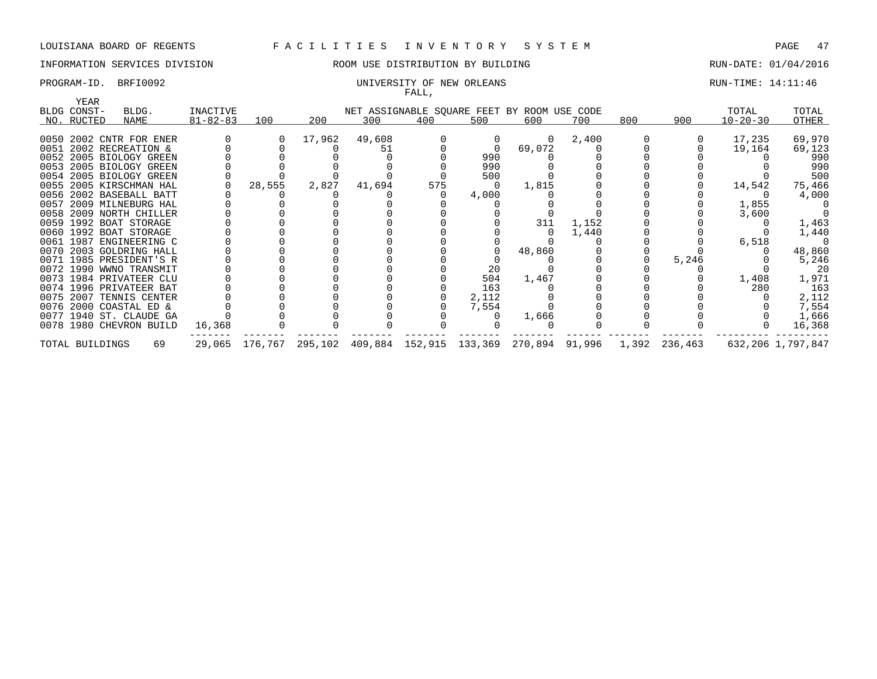# INFORMATION SERVICES DIVISION ROOM USE DISTRIBUTION BY BUILDING RUN-DATE: 01/04/2016

### PROGRAM-ID. BRFI0092 CONTROLLER ENTIRE: 14:11:46 FALL,

| YEAR            |                         |                |        |        |        | $\overline{1}$ |                                             |          |       |     |                                                                             |                |                   |
|-----------------|-------------------------|----------------|--------|--------|--------|----------------|---------------------------------------------|----------|-------|-----|-----------------------------------------------------------------------------|----------------|-------------------|
| BLDG CONST-     | BLDG.                   | INACTIVE       |        |        |        |                | NET ASSIGNABLE SQUARE FEET BY ROOM USE CODE |          |       |     |                                                                             | TOTAL          | TOTAL             |
| NO. RUCTED      | NAME                    | $81 - 82 - 83$ | 100    | 200    | 300    | 400            | 500                                         | 600      | 700   | 800 | 900                                                                         | $10 - 20 - 30$ | OTHER             |
|                 |                         |                |        |        |        |                |                                             |          |       |     |                                                                             |                |                   |
|                 | 0050 2002 CNTR FOR ENER |                |        | 17,962 | 49,608 |                |                                             | $\Omega$ | 2,400 |     |                                                                             | 17,235         | 69,970            |
|                 | 0051 2002 RECREATION &  |                |        |        | 51     |                |                                             | 69,072   |       |     |                                                                             | 19,164         | 69,123            |
|                 | 0052 2005 BIOLOGY GREEN |                |        |        |        |                | 990                                         |          |       |     |                                                                             |                | 990               |
|                 | 0053 2005 BIOLOGY GREEN |                |        |        |        |                | 990                                         |          |       |     |                                                                             |                | 990               |
|                 | 0054 2005 BIOLOGY GREEN |                |        |        |        |                | 500                                         |          |       |     |                                                                             |                | 500               |
|                 | 0055 2005 KIRSCHMAN HAL |                | 28,555 | 2,827  | 41,694 | 575            |                                             | 1,815    |       |     |                                                                             | 14,542         | 75,466            |
|                 | 0056 2002 BASEBALL BATT |                |        |        |        |                | 4,000                                       |          |       |     |                                                                             |                | 4,000             |
|                 | 0057 2009 MILNEBURG HAL |                |        |        |        |                |                                             |          |       |     |                                                                             | 1,855          |                   |
|                 | 0058 2009 NORTH CHILLER |                |        |        |        |                |                                             |          |       |     |                                                                             | 3,600          |                   |
|                 | 0059 1992 BOAT STORAGE  |                |        |        |        |                |                                             | 311      | 1,152 |     |                                                                             |                | 1,463             |
|                 | 0060 1992 BOAT STORAGE  |                |        |        |        |                |                                             |          | 1,440 |     |                                                                             |                | 1,440             |
|                 | 0061 1987 ENGINEERING C |                |        |        |        |                |                                             |          |       |     |                                                                             | 6,518          |                   |
|                 | 0070 2003 GOLDRING HALL |                |        |        |        |                |                                             | 48,860   |       |     |                                                                             |                | 48,860            |
|                 | 0071 1985 PRESIDENT'S R |                |        |        |        |                |                                             |          |       |     | 5,246                                                                       |                | 5,246             |
|                 | 0072 1990 WWNO TRANSMIT |                |        |        |        |                | 20                                          |          |       |     |                                                                             |                | 20                |
|                 | 0073 1984 PRIVATEER CLU |                |        |        |        |                | 504                                         | 1,467    |       |     |                                                                             | 1,408          | 1,971             |
|                 | 0074 1996 PRIVATEER BAT |                |        |        |        |                | 163                                         |          |       |     |                                                                             | 280            | 163               |
|                 | 0075 2007 TENNIS CENTER |                |        |        |        |                | 2,112                                       |          |       |     |                                                                             |                | 2,112             |
|                 | 0076 2000 COASTAL ED &  |                |        |        |        |                | 7,554                                       |          |       |     |                                                                             |                | 7,554             |
|                 | 0077 1940 ST. CLAUDE GA |                |        |        |        |                |                                             | 1,666    |       |     |                                                                             |                | 1,666             |
|                 | 0078 1980 CHEVRON BUILD | 16,368         |        |        |        |                |                                             |          |       |     |                                                                             |                | 16,368            |
| TOTAL BUILDINGS | 69                      |                |        |        |        |                |                                             |          |       |     | 29,065 176,767 295,102 409,884 152,915 133,369 270,894 91,996 1,392 236,463 |                | 632,206 1,797,847 |
|                 |                         |                |        |        |        |                |                                             |          |       |     |                                                                             |                |                   |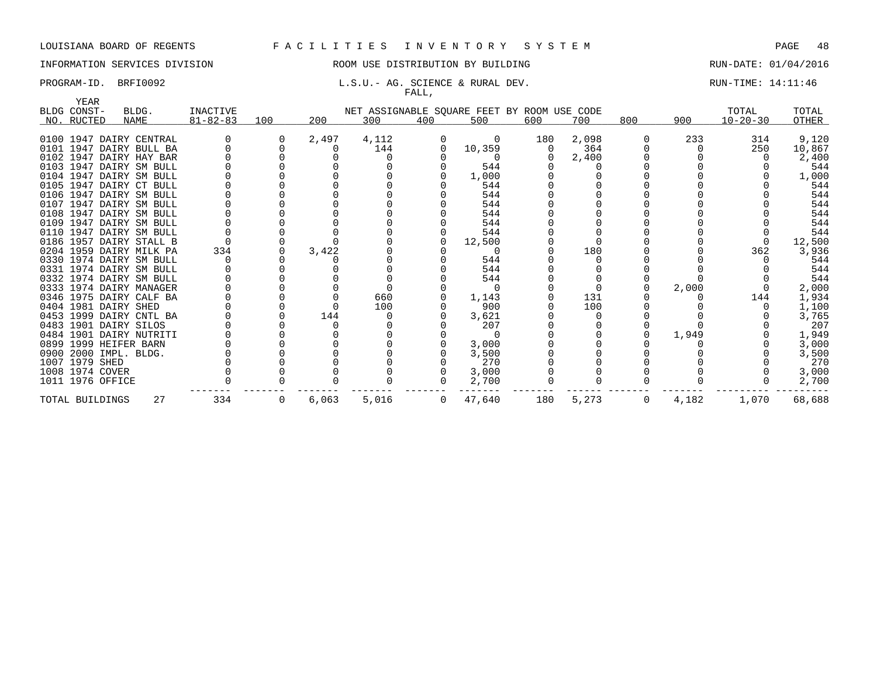# INFORMATION SERVICES DIVISION **ROOM USE DISTRIBUTION BY BUILDING RUN-DATE: 01/04/2016**

### PROGRAM-ID. BRFI0092 **L.S.U.- AG. SCIENCE & RURAL DEV.** RUN-TIME: 14:11:46 FALL,

| <b>YEAR</b>          |                                                    |                 |        |       |       |              |                                             |     |       |     |       |                |        |
|----------------------|----------------------------------------------------|-----------------|--------|-------|-------|--------------|---------------------------------------------|-----|-------|-----|-------|----------------|--------|
| BLDG CONST-          | BLDG.                                              | <b>INACTIVE</b> |        |       |       |              | NET ASSIGNABLE SQUARE FEET BY ROOM USE CODE |     |       |     |       | TOTAL          | TOTAL  |
| NO. RUCTED           | <b>NAME</b>                                        | $81 - 82 - 83$  | 100    | 200   | 300   | 400          | 500                                         | 600 | 700   | 800 | 900   | $10 - 20 - 30$ | OTHER  |
|                      |                                                    |                 |        |       |       |              |                                             |     |       |     |       |                |        |
|                      | 0100 1947 DAIRY CENTRAL                            |                 | $\cup$ | 2,497 | 4,112 |              | 0                                           | 180 | 2,098 |     | 233   | 314            | 9,120  |
|                      | 0101 1947 DAIRY BULL BA<br>0102 1947 DAIRY HAY BAR |                 |        |       | 144   |              | 10,359                                      |     | 364   |     |       | 250            | 10,867 |
|                      |                                                    |                 |        |       |       |              |                                             |     | 2,400 |     |       |                | 2,400  |
|                      | 0103 1947 DAIRY SM BULL                            |                 |        |       |       |              | 544                                         |     |       |     |       |                | 544    |
|                      | 0104 1947 DAIRY SM BULL                            |                 |        |       |       |              | 1,000                                       |     |       |     |       |                | 1,000  |
|                      | 0105 1947 DAIRY CT BULL                            |                 |        |       |       |              | 544                                         |     |       |     |       |                | 544    |
|                      | 0106 1947 DAIRY SM BULL                            |                 |        |       |       |              | 544                                         |     |       |     |       |                | 544    |
|                      | 0107 1947 DAIRY SM BULL                            |                 |        |       |       |              | 544                                         |     |       |     |       |                | 544    |
|                      | 0108 1947 DAIRY SM BULL                            |                 |        |       |       |              | 544                                         |     |       |     |       |                | 544    |
|                      | 0109 1947 DAIRY SM BULL                            |                 |        |       |       |              | 544                                         |     |       |     |       |                | 544    |
|                      | 0110 1947 DAIRY SM BULL                            |                 |        |       |       |              | 544                                         |     |       |     |       |                | 544    |
|                      | 0186 1957 DAIRY STALL B                            |                 |        |       |       |              | 12,500                                      |     |       |     |       |                | 12,500 |
|                      | 0204 1959 DAIRY MILK PA                            | 334             |        | 3,422 |       |              |                                             |     | 180   |     |       | 362            | 3,936  |
|                      | 0330 1974 DAIRY SM BULL                            |                 |        |       |       |              | 544                                         |     |       |     |       |                | 544    |
|                      | 0331 1974 DAIRY SM BULL                            |                 |        |       |       |              | 544                                         |     |       |     |       |                | 544    |
|                      | 0332 1974 DAIRY SM BULL                            |                 |        |       |       |              | 544                                         |     |       |     |       |                | 544    |
|                      | 0333 1974 DAIRY MANAGER                            |                 |        |       |       |              |                                             |     |       |     | 2,000 |                | 2,000  |
|                      | 0346 1975 DAIRY CALF BA                            |                 |        |       | 660   |              | 1,143                                       |     | 131   |     |       | 144            | 1,934  |
| 0404 1981 DAIRY SHED |                                                    |                 |        |       | 100   |              | 900                                         |     | 100   |     |       |                | 1,100  |
|                      | 0453 1999 DAIRY CNTL BA                            |                 |        | 144   |       |              | 3,621                                       |     |       |     |       |                | 3,765  |
|                      | 0483 1901 DAIRY SILOS                              |                 |        |       |       |              | 207                                         |     |       |     |       |                | 207    |
|                      | 0484 1901 DAIRY NUTRITI                            |                 |        |       |       |              | $\Omega$                                    |     |       |     | 1,949 |                | 1,949  |
|                      | 0899 1999 HEIFER BARN                              |                 |        |       |       |              | 3,000                                       |     |       |     |       |                | 3,000  |
|                      | 0900 2000 IMPL. BLDG.                              |                 |        |       |       |              | 3,500                                       |     |       |     |       |                | 3,500  |
| 1007 1979 SHED       |                                                    |                 |        |       |       |              | 270                                         |     |       |     |       |                | 270    |
| 1008 1974 COVER      |                                                    |                 |        |       |       |              | 3,000                                       |     |       |     |       |                | 3,000  |
| 1011 1976 OFFICE     |                                                    |                 |        |       |       |              | 2,700                                       |     |       |     |       |                | 2,700  |
| TOTAL BUILDINGS      | 27                                                 | 334             | 0      | 6,063 | 5,016 | $\mathbf{0}$ | 47,640                                      | 180 | 5,273 | 0   | 4,182 | 1,070          | 68,688 |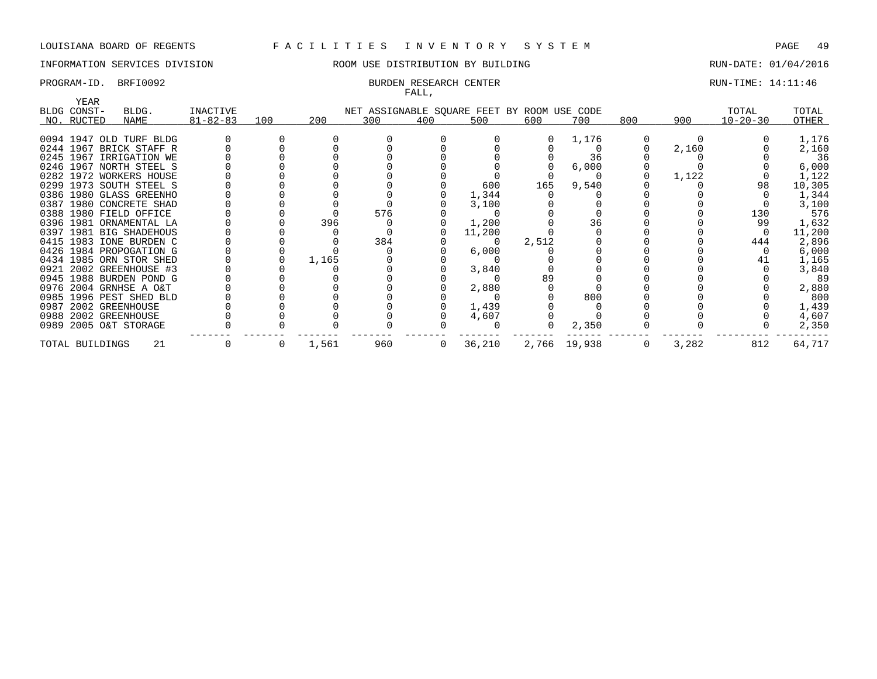# INFORMATION SERVICES DIVISION 88 ROOM USE DISTRIBUTION BY BUILDING RUN-DATE: 01/04/2016

### PROGRAM-ID. BRFI0092 **BURDEN RESEARCH CENTER** BURDEN RESEARCH CENTER RUN-TIME: 14:11:46 FALL,

| YEAR            |                         |                |     |       |     |                |                                             |       |              |     |       |                |        |
|-----------------|-------------------------|----------------|-----|-------|-----|----------------|---------------------------------------------|-------|--------------|-----|-------|----------------|--------|
| BLDG CONST-     | BLDG.                   | INACTIVE       |     |       |     |                | NET ASSIGNABLE SQUARE FEET BY ROOM USE CODE |       |              |     |       | TOTAL          | TOTAL  |
| NO. RUCTED      | NAME                    | $81 - 82 - 83$ | 100 | 200   | 300 | 400            | 500                                         | 600   | 700          | 800 | 900   | $10 - 20 - 30$ | OTHER  |
|                 |                         |                |     |       |     |                |                                             |       |              |     |       |                |        |
|                 | 0094 1947 OLD TURF BLDG |                |     |       |     |                |                                             |       | 1,176        |     |       |                | 1,176  |
|                 | 0244 1967 BRICK STAFF R |                |     |       |     |                |                                             |       |              |     | 2,160 |                | 2,160  |
|                 | 0245 1967 IRRIGATION WE |                |     |       |     |                |                                             |       | 36           |     |       |                | 36     |
|                 | 0246 1967 NORTH STEEL S |                |     |       |     |                |                                             |       | 6,000        |     |       |                | 6,000  |
|                 | 0282 1972 WORKERS HOUSE |                |     |       |     |                |                                             |       |              |     | 1,122 |                | 1,122  |
|                 | 0299 1973 SOUTH STEEL S |                |     |       |     |                | 600                                         | 165   | 9,540        |     |       | 98             | 10,305 |
|                 | 0386 1980 GLASS GREENHO |                |     |       |     |                | 1,344                                       |       |              |     |       |                | 1,344  |
|                 | 0387 1980 CONCRETE SHAD |                |     |       |     |                | 3,100                                       |       |              |     |       |                | 3,100  |
|                 | 0388 1980 FIELD OFFICE  |                |     |       | 576 |                |                                             |       |              |     |       | 130            | 576    |
|                 | 0396 1981 ORNAMENTAL LA |                |     | 396   |     |                | 1,200                                       |       | 36           |     |       | 99             | 1,632  |
|                 | 0397 1981 BIG SHADEHOUS |                |     |       |     |                | 11,200                                      |       |              |     |       |                | 11,200 |
|                 | 0415 1983 IONE BURDEN C |                |     |       | 384 |                |                                             | 2,512 |              |     |       | 444            | 2,896  |
|                 | 0426 1984 PROPOGATION G |                |     |       |     |                | 6,000                                       |       |              |     |       |                | 6,000  |
|                 | 0434 1985 ORN STOR SHED |                |     | 1,165 |     |                |                                             |       |              |     |       |                | 1,165  |
|                 | 0921 2002 GREENHOUSE #3 |                |     |       |     |                | 3,840                                       |       |              |     |       |                | 3,840  |
|                 | 0945 1988 BURDEN POND G |                |     |       |     |                |                                             | 89    |              |     |       |                | 89     |
|                 | 0976 2004 GRNHSE A O&T  |                |     |       |     |                | 2,880                                       |       |              |     |       |                | 2,880  |
|                 | 0985 1996 PEST SHED BLD |                |     |       |     |                |                                             |       | 800          |     |       |                | 800    |
|                 | 0987 2002 GREENHOUSE    |                |     |       |     |                | 1,439                                       |       |              |     |       |                | 1,439  |
|                 | 0988 2002 GREENHOUSE    |                |     |       |     |                | 4,607                                       |       |              |     |       |                | 4,607  |
|                 | 0989 2005 O&T STORAGE   |                |     |       |     |                |                                             | 0     | 2,350        |     |       |                | 2,350  |
| TOTAL BUILDINGS | -21                     |                | 0   | 1,561 | 960 | $\overline{0}$ | 36,210                                      |       | 2,766 19,938 | 0   | 3,282 | 812            | 64,717 |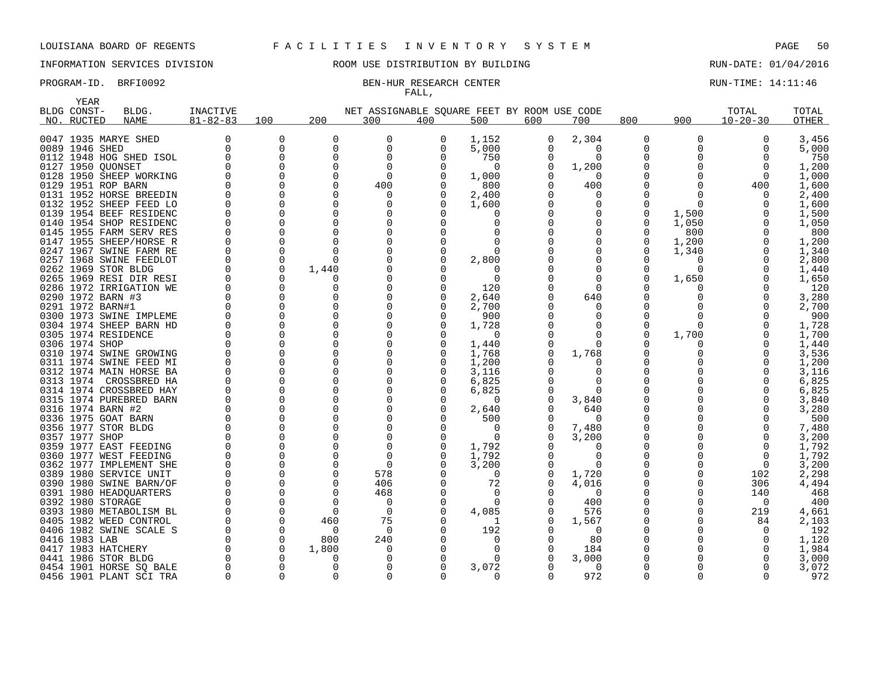YEAR

# INFORMATION SERVICES DIVISION ROOM USE DISTRIBUTION BY BUILDING RUN-DATE: 01/04/2016

# FALL,

# PROGRAM-ID. BRFI0092 BEN-HUR RESEARCH CENTER CONTER RUN-TIME: 14:11:46

| BLDG CONST-       | BLDG.                   | INACTIVE       |          |              | NET ASSIGNABLE SOUARE FEET BY ROOM USE CODE |     |          |     |              |          |          | TOTAL          | TOTAL |
|-------------------|-------------------------|----------------|----------|--------------|---------------------------------------------|-----|----------|-----|--------------|----------|----------|----------------|-------|
| NO. RUCTED        | NAME                    | $81 - 82 - 83$ | 100      | 200          | 300                                         | 400 | 500      | 600 | 700          | 800      | 900      | $10 - 20 - 30$ | OTHER |
|                   | 0047 1935 MARYE SHED    | 0              | $\Omega$ | 0            | 0                                           | 0   | 1,152    | 0   | 2,304        | 0        | $\Omega$ | $\Omega$       | 3,456 |
| 0089 1946 SHED    |                         | 0              | 0        | 0            | $\mathbf 0$                                 | 0   | 5,000    |     | 0            | 0        |          | 0              | 5,000 |
|                   | 0112 1948 HOG SHED ISOL |                |          | $\Omega$     | $\Omega$                                    |     | 750      |     | $\Omega$     | 0        |          |                | 750   |
| 0127 1950 QUONSET |                         |                |          | $\Omega$     | $\Omega$                                    |     | $\Omega$ |     | 1,200        | 0        |          |                | 1,200 |
|                   | 0128 1950 SHEEP WORKING |                |          | ∩            | $\Omega$                                    |     | 1,000    |     | $\Omega$     | O        |          | $\Omega$       | 1,000 |
|                   | 0129 1951 ROP BARN      |                |          | $\Omega$     | 400                                         |     | 800      |     | 400          | 0        | O        | 400            | 1,600 |
|                   | 0131 1952 HORSE BREEDIN |                |          | $\Omega$     | $\Omega$                                    |     | 2,400    |     | 0            | O        |          |                | 2,400 |
|                   | 0132 1952 SHEEP FEED LO |                |          | 0            | 0                                           |     | 1,600    |     | 0            | 0        | $\Omega$ |                | 1,600 |
|                   | 0139 1954 BEEF RESIDENC |                |          | 0            | 0                                           |     | O        |     | 0            | 0        | 1,500    |                | 1,500 |
|                   | 0140 1954 SHOP RESIDENC |                |          | 0            | 0                                           |     | 0        |     | 0            | 0        | 1,050    |                | 1,050 |
|                   | 0145 1955 FARM SERV RES |                |          | $\Omega$     | 0                                           |     |          |     |              | 0        | 800      |                | 800   |
|                   | 0147 1955 SHEEP/HORSE R |                |          | $\Omega$     | $\Omega$                                    |     |          |     |              | 0        | 1,200    |                | 1,200 |
|                   | 0247 1967 SWINE FARM RE |                |          | $\Omega$     | $\Omega$                                    |     | $\Omega$ |     |              | 0        | 1,340    |                | 1,340 |
|                   | 0257 1968 SWINE FEEDLOT |                | $\Omega$ | $\Omega$     | $\Omega$                                    |     | 2,800    |     | <sup>0</sup> |          | $\Omega$ |                | 2,800 |
|                   | 0262 1969 STOR BLDG     |                |          | 1,440        |                                             |     | $\Omega$ |     | ∩            | O        | O        |                | 1,440 |
|                   | 0265 1969 RESI DIR RESI |                |          |              |                                             |     | 0        |     |              | O        | 1,650    |                | 1,650 |
|                   | 0286 1972 IRRIGATION WE |                |          | $\Omega$     | $\Omega$                                    |     | 120      |     | $\Omega$     | O        |          |                | 120   |
| 0290 1972 BARN #3 |                         |                |          | $\Omega$     | <sup>0</sup>                                |     | 2,640    |     | 640          | O        |          |                | 3,280 |
| 0291 1972 BARN#1  |                         |                |          | $\Omega$     | $\Omega$                                    |     | 2,700    |     | ∩            | O        |          |                | 2,700 |
|                   | 0300 1973 SWINE IMPLEME |                |          | $\Omega$     | $\Omega$                                    |     | 900      |     | <sup>0</sup> | $\Omega$ |          |                | 900   |
|                   | 0304 1974 SHEEP BARN HD |                |          | $\Omega$     | $\Omega$                                    |     | 1,728    |     | $\Omega$     | O        | ∩        |                | 1,728 |
|                   | 0305 1974 RESIDENCE     |                |          | $\Omega$     | 0                                           |     | 0        |     | $\Omega$     | $\Omega$ | 1,700    |                | 1,700 |
| 0306 1974 SHOP    |                         |                |          | 0            | 0                                           |     | 1,440    |     | $\Omega$     | O        | O        |                | 1,440 |
|                   | 0310 1974 SWINE GROWING |                |          | 0            | 0                                           |     | 1,768    |     | 1,768        | 0        |          |                | 3,536 |
|                   | 0311 1974 SWINE FEED MI |                |          | 0            | 0                                           |     | 1,200    |     |              | 0        |          |                | 1,200 |
|                   | 0312 1974 MAIN HORSE BA |                |          | $\Omega$     | $\Omega$                                    |     | 3,116    |     | 0            | 0        |          |                | 3,116 |
|                   | 0313 1974 CROSSBRED HA  |                |          | $\mathbf 0$  | $\Omega$                                    |     | 6,825    |     | $\Omega$     | 0        |          |                | 6,825 |
|                   | 0314 1974 CROSSBRED HAY |                |          | 0            | 0                                           |     | 6,825    |     | $\Omega$     | 0        |          |                | 6,825 |
|                   | 0315 1974 PUREBRED BARN |                |          | $\Omega$     | $\Omega$                                    |     | 0        |     | 3,840        | 0        |          |                | 3,840 |
| 0316 1974 BARN #2 |                         |                |          | $\Omega$     | 0                                           |     | 2,640    |     | 640          | 0        |          |                | 3,280 |
|                   | 0336 1975 GOAT BARN     |                |          | $\Omega$     | 0                                           |     | 500      |     | $\Omega$     | 0        |          |                | 500   |
|                   | 0356 1977 STOR BLDG     |                |          | $\Omega$     | $\Omega$                                    |     | 0        |     | 7,480        | 0        |          |                | 7,480 |
| 0357 1977 SHOP    |                         |                |          | ∩            | $\Omega$                                    |     | 0        |     | 3,200        | 0        |          |                | 3,200 |
|                   | 0359 1977 EAST FEEDING  |                |          |              | $\Omega$                                    |     | 1,792    |     | <sup>0</sup> | 0        |          |                | 1,792 |
|                   | 0360 1977 WEST FEEDING  |                |          | ∩            | $\Omega$                                    |     | 1,792    |     | <sup>0</sup> | $\Omega$ |          |                | 1,792 |
|                   | 0362 1977 IMPLEMENT SHE |                |          | $\Omega$     | $\Omega$                                    |     | 3,200    |     | $\Omega$     | 0        |          | $\Omega$       | 3,200 |
|                   | 0389 1980 SERVICE UNIT  |                |          | <sup>0</sup> | 578                                         |     | $\Omega$ |     | 1,720        | 0        | O        | 102            | 2,298 |
|                   | 0390 1980 SWINE BARN/OF |                |          | <sup>0</sup> | 406                                         |     | 72       |     | 4,016        | 0        | O        | 306            | 4,494 |
|                   | 0391 1980 HEADQUARTERS  |                |          | $\Omega$     | 468                                         |     | $\Omega$ |     | $\Omega$     | 0        |          | 140            | 468   |
| 0392 1980 STORAGE |                         |                |          | $\Omega$     | 0                                           |     | $\Omega$ |     | 400          | 0        |          | $\Omega$       | 400   |
|                   | 0393 1980 METABOLISM BL |                |          | $\Omega$     | $\Omega$                                    |     | 4,085    |     | 576          | 0        |          | 219            | 4,661 |
|                   | 0405 1982 WEED CONTROL  |                | $\Omega$ | 460          | 75                                          |     | 1        |     | 1,567        | 0        |          | 84             | 2,103 |
|                   | 0406 1982 SWINE SCALE S |                |          | $\Omega$     | 0                                           |     | 192      |     | $\Omega$     | 0        |          | $\Omega$       | 192   |
| 0416 1983 LAB     |                         |                | $\Omega$ | 800          | 240                                         |     | 0        |     | 80           | 0        |          |                | 1,120 |
|                   | 0417 1983 HATCHERY      |                |          | 1,800        | 0                                           |     |          |     | 184          |          |          |                | 1,984 |
|                   | 0441 1986 STOR BLDG     |                |          |              |                                             |     |          |     | 3,000        |          |          |                | 3,000 |
|                   | 0454 1901 HORSE SO BALE |                |          |              | 0                                           |     | 3,072    |     | 0            | 0        |          |                | 3,072 |
|                   | 0456 1901 PLANT SCI TRA |                |          |              | $\Omega$                                    |     | 0        |     | 972          | O        | ∩        |                | 972   |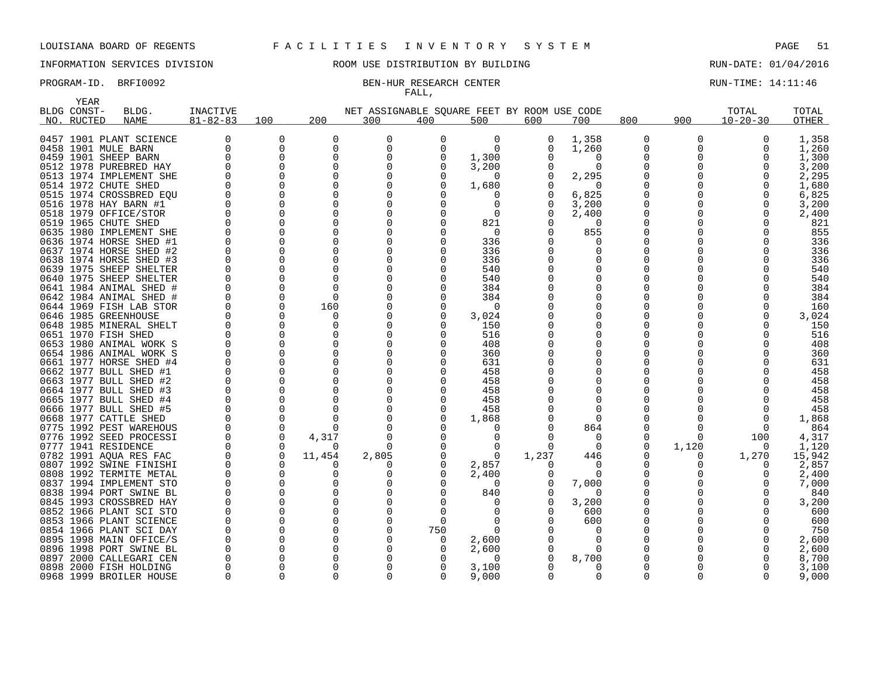# INFORMATION SERVICES DIVISION COOM OSE DISTRIBUTION BY BUILDING CONTROLLER RUN-DATE: 01/04/2016

# FALL,

# PROGRAM-ID. BRFI0092 BEN-HUR RESEARCH CENTER CONTER RUN-TIME: 14:11:46

|      | YEAR        |                         |                 |             |              |                                             |          |          |          |                  |          |              |                |              |
|------|-------------|-------------------------|-----------------|-------------|--------------|---------------------------------------------|----------|----------|----------|------------------|----------|--------------|----------------|--------------|
|      | BLDG CONST- | BLDG.                   | <b>INACTIVE</b> |             |              | NET ASSIGNABLE SQUARE FEET BY ROOM USE CODE |          |          |          |                  |          |              | TOTAL          | TOTAL        |
|      | NO. RUCTED  | <b>NAME</b>             | $81 - 82 - 83$  | 100         | 200          | 300                                         | 400      | 500      | 600      | 700              | 800      | 900          | $10 - 20 - 30$ | <b>OTHER</b> |
|      |             |                         |                 |             |              |                                             |          |          |          |                  |          |              |                |              |
|      |             | 0457 1901 PLANT SCIENCE |                 | 0           | 0            | 0                                           | 0        | 0        | 0        | 1,358            | 0        | 0            | 0              | 1,358        |
|      |             | 0458 1901 MULE BARN     | $\mathbf 0$     | 0           | $\mathbf 0$  | $\Omega$                                    | $\Omega$ | $\Omega$ |          | 1,260            | $\Omega$ | $\Omega$     | $\Omega$       | 1,260        |
|      |             | 0459 1901 SHEEP BARN    |                 | $\Omega$    | $\Omega$     | 0                                           | 0        | 1,300    |          | O                | 0        | 0            | $\Omega$       | 1,300        |
|      |             | 0512 1978 PUREBRED HAY  |                 | $\mathbf 0$ | $\mathbf 0$  | 0                                           | 0        | 3,200    |          | $\Omega$         | $\Omega$ | <sup>0</sup> | $\Omega$       | 3,200        |
|      |             | 0513 1974 IMPLEMENT SHE |                 | $\Omega$    | $\Omega$     |                                             | O        | $\Omega$ |          | 2,295            |          | O            | ∩              | 2,295        |
|      |             | 0514 1972 CHUTE SHED    |                 | $\Omega$    | 0            | 0                                           | 0        | 1,680    |          | $\Omega$         |          |              | $\Omega$       | 1,680        |
|      |             | 0515 1974 CROSSBRED EOU |                 | $\Omega$    | $\Omega$     | O                                           | O        | O        |          | 6,825            | 0        |              | <sup>0</sup>   | 6,825        |
|      |             | 0516 1978 HAY BARN #1   |                 | 0           | 0            |                                             | 0        | 0        |          | 3,200            | 0        |              | 0              | 3,200        |
|      |             | 0518 1979 OFFICE/STOR   |                 | $\Omega$    | $\Omega$     |                                             | $\Omega$ | $\Omega$ |          | 2,400            | $\Omega$ |              | <sup>0</sup>   | 2,400        |
|      |             | 0519 1965 CHUTE SHED    |                 | $\Omega$    | $\Omega$     |                                             | $\Omega$ | 821      |          | $\Omega$         |          |              | $\cap$         | 821          |
|      |             | 0635 1980 IMPLEMENT SHE |                 | 0           | $\Omega$     | 0                                           | 0        | 0        |          | 855              | 0        |              |                | 855          |
|      |             | 0636 1974 HORSE SHED #1 |                 | $\Omega$    | <sup>0</sup> |                                             | O        | 336      |          |                  | O        |              |                | 336          |
| 0637 |             | 1974 HORSE SHED #2      | $\Omega$        | $\Omega$    | $\Omega$     | O                                           | 0        | 336      |          |                  |          |              |                | 336          |
|      |             | 0638 1974 HORSE SHED #3 |                 | $\Omega$    | U            |                                             | O        | 336      |          |                  | O        |              |                | 336          |
|      |             | 0639 1975 SHEEP SHELTER |                 | 0           | 0            | 0                                           | 0        | 540      |          | O                | 0        |              |                | 540          |
|      |             | 0640 1975 SHEEP SHELTER |                 | 0           | $\Omega$     |                                             | 0        | 540      |          |                  | 0        |              |                | 540          |
|      |             | 0641 1984 ANIMAL SHED # |                 | $\Omega$    | $\Omega$     |                                             | O        | 384      |          |                  |          |              |                | 384          |
|      |             | 0642 1984 ANIMAL SHED # |                 | 0           | $\Omega$     |                                             | 0        | 384      |          |                  |          |              |                | 384          |
|      |             | 0644 1969 FISH LAB STOR | $\Omega$        | $\Omega$    | 160          |                                             | $\Omega$ | $\Omega$ |          |                  |          |              | ∩              | 160          |
|      |             | 0646 1985 GREENHOUSE    |                 | 0           | 0            | 0                                           | 0        | 3,024    |          |                  |          |              | <sup>0</sup>   | 3,024        |
|      |             | 0648 1985 MINERAL SHELT | ∩               | $\Omega$    | $\Omega$     | O                                           | $\Omega$ | 150      |          |                  | O        |              | ∩              | 150          |
|      |             | 0651 1970 FISH SHED     | $\Omega$        | 0           | 0            | 0                                           | 0        | 516      |          |                  |          |              |                | 516          |
|      |             | 0653 1980 ANIMAL WORK S | 0               | 0           | $\Omega$     | O                                           | O        | 408      |          |                  | $\Omega$ |              |                | 408          |
|      |             | 0654 1986 ANIMAL WORK S |                 | $\Omega$    | $\Omega$     | O                                           | O        | 360      |          |                  | O        |              |                | 360          |
|      |             | 0661 1977 HORSE SHED #4 |                 | 0           | $\Omega$     |                                             | O        | 631      |          |                  | 0        |              |                | 631          |
|      |             | 0662 1977 BULL SHED #1  |                 | $\Omega$    | O            |                                             | O        | 458      |          |                  |          |              |                | 458          |
|      |             | 0663 1977 BULL SHED #2  | $\Omega$        | 0           | $\Omega$     |                                             | O        | 458      |          |                  |          |              |                | 458          |
|      |             | 0664 1977 BULL SHED #3  |                 | $\Omega$    | <sup>n</sup> |                                             | O        | 458      |          |                  | 0        |              |                | 458          |
|      |             | 0665 1977 BULL SHED #4  |                 | 0           | $\Omega$     |                                             | O        | 458      |          |                  |          |              |                | 458          |
|      |             | 0666 1977 BULL SHED #5  | $\Omega$        | $\Omega$    | $\cap$       |                                             | $\Omega$ | 458      |          |                  |          |              | <sup>0</sup>   | 458          |
|      |             | 0668 1977 CATTLE SHED   |                 | 0           | $\Omega$     |                                             | O        | 1,868    |          | $\Omega$         |          |              | $\Omega$       | 1,868        |
|      |             | 0775 1992 PEST WAREHOUS |                 | 0           | <sup>n</sup> |                                             |          | $\Omega$ |          | 864              | O        | 0            | ∩              | 864          |
|      |             | 0776 1992 SEED PROCESSI | $\Omega$        | $\Omega$    | 4,317        |                                             |          | $\Omega$ |          | $\left( \right)$ | O        | 0            | 100            | 4,317        |
|      |             | 0777 1941 RESIDENCE     |                 | 0           | 0            | $\Omega$                                    |          | 0        |          | $\Omega$         | 0        | 1,120        | 0              | 1,120        |
|      |             | 0782 1991 AQUA RES FAC  | $\Omega$        | 0           | 11,454       | 2,805                                       |          | $\Omega$ | 1,237    | 446              |          | 0            | 1,270          | 15,942       |
| 0807 |             | 1992 SWINE FINISHI      | $\Omega$        | 0           | O            | $\left($                                    | 0        | 2,857    | $\Omega$ | $\Omega$         |          | 0            | $\Omega$       | 2,857        |
|      |             | 0808 1992 TERMITE METAL | $\Omega$        | $\Omega$    | $\Omega$     | O                                           |          | 2,400    |          |                  |          |              | <sup>0</sup>   | 2,400        |
| 0837 |             | 1994 IMPLEMENT STO      | $\Omega$        | $\Omega$    | $\Omega$     | O                                           | n        | $\Omega$ |          | 7,000            |          |              | ∩              | 7,000        |
|      |             | 0838 1994 PORT SWINE BL | $\Omega$        | 0           | $\Omega$     |                                             | O        | 840      |          | ∩                | $\Omega$ |              | <sup>0</sup>   | 840          |
| 0845 |             | 1993 CROSSBRED HAY      |                 | 0           | $\Omega$     |                                             | $\Omega$ | $\Omega$ |          | 3,200            |          |              |                | 3,200        |
|      |             | 0852 1966 PLANT SCI STO |                 | 0           | $\Omega$     |                                             | $\Omega$ | 0        |          | 600              | 0        |              |                | 600          |
|      |             | 0853 1966 PLANT SCIENCE |                 | $\Omega$    | $\Omega$     |                                             | $\Omega$ | $\Omega$ |          | 600              | $\Omega$ |              | $\cap$         | 600          |
|      |             | 0854 1966 PLANT SCI DAY |                 | 0           | $\Omega$     | 0                                           | 750      | 0        |          |                  | 0        |              | O              | 750          |
|      |             | 0895 1998 MAIN OFFICE/S |                 | $\Omega$    | $\Omega$     | n                                           | 0        | 2,600    |          | $\cap$           |          |              | $\Omega$       | 2,600        |
| 0896 |             | 1998 PORT SWINE BL      | $\Omega$        | $\Omega$    | $\Omega$     | O                                           |          | 2,600    |          | $\Omega$         | O        |              | $\Omega$       | 2,600        |
|      |             | 0897 2000 CALLEGARI CEN |                 | 0           | $\Omega$     | O                                           |          | O        |          | 8,700            | 0        |              |                | 8,700        |
|      |             | 0898 2000 FISH HOLDING  |                 | $\Omega$    | <sup>0</sup> | n                                           |          | 3,100    |          | $\Omega$         | O        |              | <sup>0</sup>   | 3,100        |
|      |             | 0968 1999 BROILER HOUSE | $\Omega$        | $\Omega$    | $\Omega$     | $\Omega$                                    |          | 9,000    |          | $\Omega$         | $\Omega$ | <sup>0</sup> | $\Omega$       | 9,000        |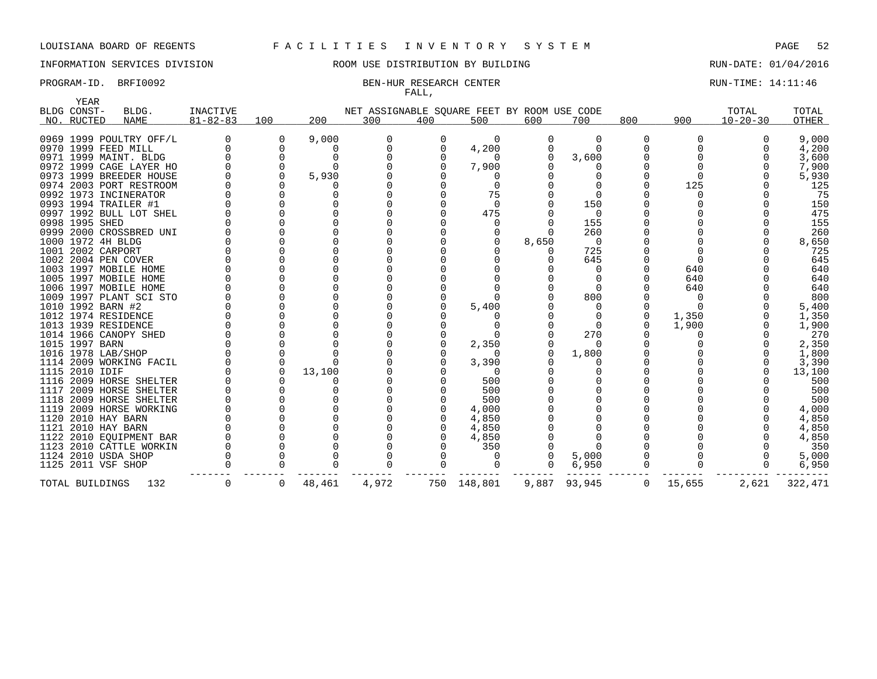YEAR

## LOUISIANA BOARD OF REGENTS F A C I L I T I E S I N V E N T O R Y S Y S T E M PAGE 52

INFORMATION SERVICES DIVISION ROOM USE DISTRIBUTION BY BUILDING RUN-DATE: 01/04/2016

### PROGRAM-ID. BRFI0092 BEN-HUR RESEARCH CENTER CONTER RUN-TIME: 14:11:46 FALL,

|      | -----<br>BLDG CONST- | BLDG.                   | <b>INACTIVE</b> |          |        |       |     | NET ASSIGNABLE SQUARE FEET BY ROOM USE CODE |          |          |          |        | TOTAL          | TOTAL   |
|------|----------------------|-------------------------|-----------------|----------|--------|-------|-----|---------------------------------------------|----------|----------|----------|--------|----------------|---------|
|      | NO. RUCTED           | <b>NAME</b>             | $81 - 82 - 83$  | 100      | 200    | 300   | 400 | 500                                         | 600      | 700      | 800      | 900    | $10 - 20 - 30$ | OTHER   |
|      |                      |                         |                 |          |        |       |     |                                             |          |          |          |        |                |         |
|      |                      | 0969 1999 POULTRY OFF/L | <sup>0</sup>    | 0        | 9,000  | 0     | 0   | 0                                           | $\Omega$ | ∩        | $\Omega$ | ∩      |                | 9,000   |
|      | 0970 1999 FEED MILL  |                         |                 | $\Omega$ |        |       |     | 4,200                                       |          |          |          |        |                | 4,200   |
|      |                      | 0971 1999 MAINT. BLDG   |                 |          |        |       |     |                                             | ∩        | 3,600    |          |        |                | 3,600   |
|      |                      | 0972 1999 CAGE LAYER HO |                 |          |        |       |     | 7,900                                       |          |          |          |        |                | 7,900   |
|      |                      | 0973 1999 BREEDER HOUSE |                 |          | 5,930  |       |     |                                             |          |          |          |        |                | 5,930   |
|      |                      | 0974 2003 PORT RESTROOM |                 |          |        |       |     |                                             |          |          |          | 125    |                | 125     |
|      |                      | 0992 1973 INCINERATOR   |                 |          |        |       |     | 75                                          |          |          |          |        |                | 75      |
|      | 0993 1994 TRAILER #1 |                         |                 |          |        |       |     |                                             |          | 150      |          |        |                | 150     |
|      |                      | 0997 1992 BULL LOT SHEL |                 |          |        |       |     | 475                                         |          | 0        |          |        |                | 475     |
|      | 0998 1995 SHED       |                         |                 |          |        |       |     |                                             |          | 155      |          |        |                | 155     |
|      |                      | 0999 2000 CROSSBRED UNI |                 |          |        |       |     |                                             |          | 260      |          |        |                | 260     |
|      | 1000 1972 4H BLDG    |                         |                 |          |        |       |     |                                             | 8,650    | $\Omega$ |          |        |                | 8,650   |
|      | 1001 2002 CARPORT    |                         |                 |          |        |       |     |                                             |          | 725      |          |        |                | 725     |
|      | 1002 2004 PEN COVER  |                         |                 |          |        |       |     |                                             |          | 645      |          |        |                | 645     |
|      |                      | 1003 1997 MOBILE HOME   |                 |          |        |       |     |                                             |          | O        |          | 640    |                | 640     |
|      |                      | 1005 1997 MOBILE HOME   |                 |          |        |       |     |                                             |          |          |          | 640    |                | 640     |
|      |                      | 1006 1997 MOBILE HOME   |                 |          |        |       |     |                                             |          |          |          | 640    |                | 640     |
|      |                      | 1009 1997 PLANT SCI STO |                 |          |        |       |     |                                             |          | 800      |          |        |                | 800     |
|      | 1010 1992 BARN #2    |                         |                 |          |        |       |     | 5,400                                       |          |          |          |        |                | 5,400   |
|      | 1012 1974 RESIDENCE  |                         |                 |          |        |       |     |                                             |          | 0        |          | 1,350  |                | 1,350   |
|      | 1013 1939 RESIDENCE  |                         |                 |          |        |       |     |                                             |          |          |          | 1,900  |                | 1,900   |
|      |                      | 1014 1966 CANOPY SHED   |                 |          |        |       |     |                                             |          | 270      |          |        |                | 270     |
|      | 1015 1997 BARN       |                         |                 |          |        |       |     | 2,350                                       |          | 0        |          |        |                | 2,350   |
|      | 1016 1978 LAB/SHOP   |                         |                 |          |        |       |     |                                             |          | 1,800    |          |        |                | 1,800   |
|      |                      | 1114 2009 WORKING FACIL |                 |          |        |       |     | 3,390                                       |          |          |          |        |                | 3,390   |
|      | 1115 2010 IDIF       |                         |                 |          | 13,100 |       |     | $\Omega$                                    |          |          |          |        |                | 13,100  |
|      |                      | 1116 2009 HORSE SHELTER |                 |          |        |       |     | 500                                         |          |          |          |        |                | 500     |
| 1117 |                      | 2009 HORSE SHELTER      |                 |          |        |       |     | 500                                         |          |          |          |        |                | 500     |
|      |                      | 1118 2009 HORSE SHELTER |                 |          |        |       |     | 500                                         |          |          |          |        |                | 500     |
|      |                      | 1119 2009 HORSE WORKING |                 |          |        |       |     | 4,000                                       |          |          |          |        |                | 4,000   |
| 1120 | 2010 HAY BARN        |                         |                 |          |        |       |     | 4,850                                       |          |          |          |        |                | 4,850   |
|      | 1121 2010 HAY BARN   |                         |                 |          |        |       |     | 4,850                                       |          |          |          |        |                | 4,850   |
|      |                      | 1122 2010 EQUIPMENT BAR |                 |          |        |       |     | 4,850                                       |          |          |          |        |                | 4,850   |
|      |                      | 1123 2010 CATTLE WORKIN |                 |          |        |       |     | 350                                         |          |          |          |        |                | 350     |
|      | 1124 2010 USDA SHOP  |                         |                 |          |        |       |     |                                             |          | 5,000    |          |        |                | 5,000   |
|      | 1125 2011 VSF SHOP   |                         |                 |          |        |       |     |                                             | $\Omega$ | 6,950    | $\Omega$ |        | $\Omega$       | 6,950   |
|      | TOTAL BUILDINGS      | 132                     | 0               | 0        | 48,461 | 4,972 |     | 750 148,801                                 | 9,887    | 93,945   | 0        | 15,655 | 2,621          | 322,471 |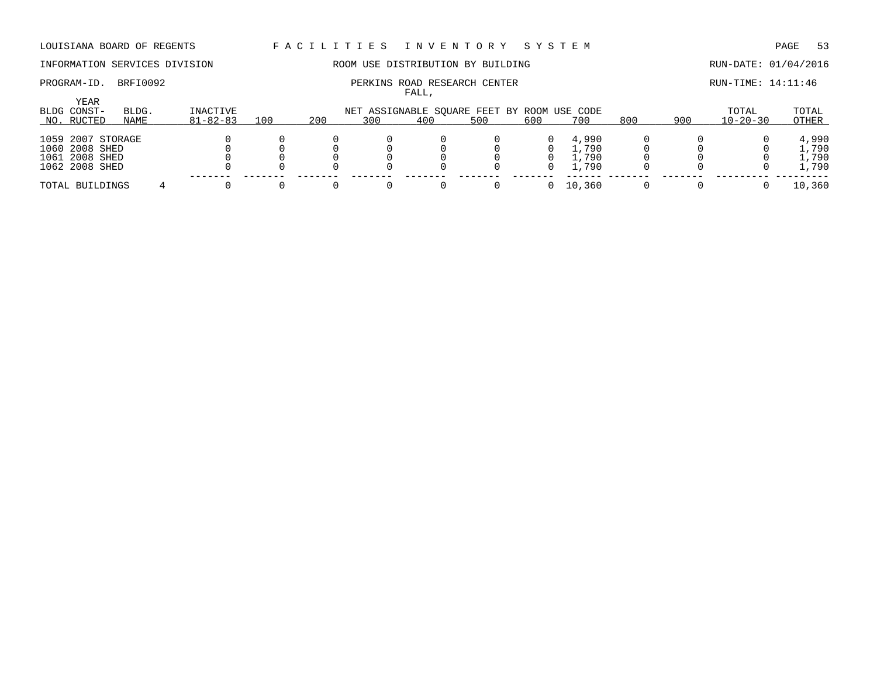# INFORMATION SERVICES DIVISION **ROOM USE DISTRIBUTION BY BUILDING RUN-DATE: 01/04/2016**

### PROGRAM-ID. BRFI0092 **PERKINS ROAD RESEARCH CENTER PERKINS ROAD RESEARCH CENTER** RUN-TIME: 14:11:46 FALL,

|                                   |               |                            |     |     |                                                    | ، سىم ت |     |     |        |     |     |                         |                |
|-----------------------------------|---------------|----------------------------|-----|-----|----------------------------------------------------|---------|-----|-----|--------|-----|-----|-------------------------|----------------|
| YEAR<br>BLDG CONST-<br>NO. RUCTED | BLDG.<br>NAME | INACTIVE<br>$81 - 82 - 83$ | 100 | 200 | NET ASSIGNABLE SQUARE FEET BY ROOM USE CODE<br>300 | 400     | 500 | 600 | 700    | 800 | 900 | TOTAL<br>$10 - 20 - 30$ | TOTAL<br>OTHER |
|                                   |               |                            |     |     |                                                    |         |     |     |        |     |     |                         |                |
| 1059 2007 STORAGE                 |               |                            |     |     |                                                    |         |     |     | 4,990  |     |     |                         | 4,990          |
| 1060 2008 SHED                    |               |                            |     |     |                                                    |         |     |     | .,790  |     |     |                         | L,790          |
| 1061 2008 SHED                    |               |                            |     |     |                                                    |         |     |     | .790   |     |     |                         | 1,790          |
| 1062 2008 SHED                    |               |                            |     |     |                                                    |         |     | 0   | 1,790  |     |     |                         | 1,790          |
| TOTAL BUILDINGS                   |               |                            |     |     |                                                    |         |     |     | 10,360 |     |     |                         | 10,360         |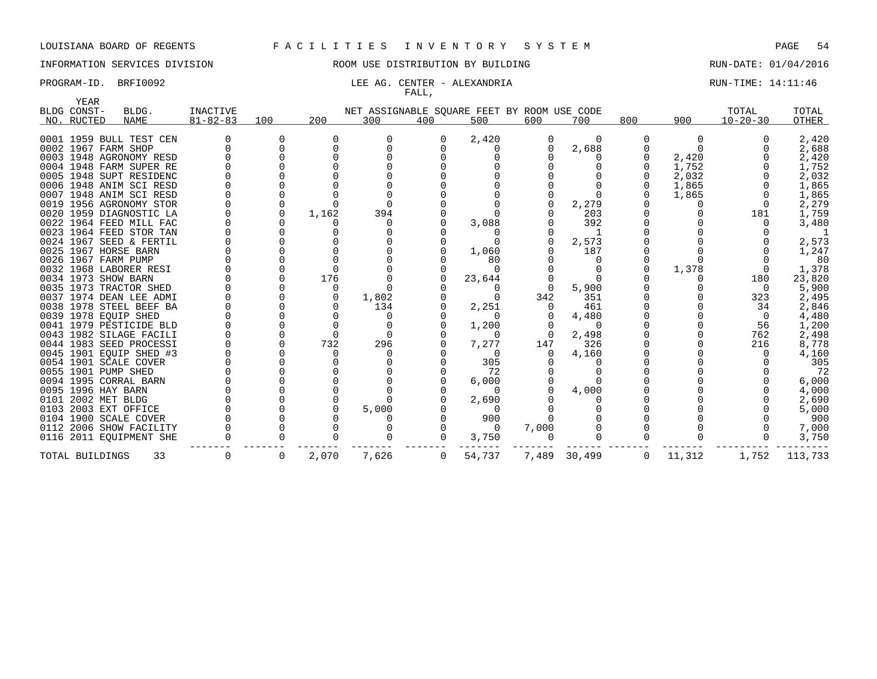# INFORMATION SERVICES DIVISION ROOM USE DISTRIBUTION BY BUILDING RUN-DATE: 01/04/2016

### PROGRAM-ID. BRFI0092 **RUN-TIME:** 14:11:46 FALL,

| YEAR                |                         |                 |     |          |                                             |     |          |          |              |     |          |                |         |
|---------------------|-------------------------|-----------------|-----|----------|---------------------------------------------|-----|----------|----------|--------------|-----|----------|----------------|---------|
| BLDG CONST-         | BLDG.                   | <b>INACTIVE</b> |     |          | NET ASSIGNABLE SQUARE FEET BY ROOM USE CODE |     |          |          |              |     |          | TOTAL          | TOTAL   |
| NO. RUCTED          | <b>NAME</b>             | $81 - 82 - 83$  | 100 | 200      | 300                                         | 400 | 500      | 600      | 700          | 800 | 900      | $10 - 20 - 30$ | OTHER   |
|                     | 0001 1959 BULL TEST CEN |                 |     |          | <sup>0</sup>                                |     | 2,420    | 0        | $\Omega$     | 0   | $\Omega$ |                | 2,420   |
| 0002 1967 FARM SHOP |                         |                 |     |          |                                             |     |          |          | 2,688        |     |          |                | 2,688   |
|                     | 0003 1948 AGRONOMY RESD |                 |     |          |                                             |     |          |          |              |     | 2,420    |                | 2,420   |
|                     | 0004 1948 FARM SUPER RE |                 |     |          |                                             |     |          |          |              |     | 1,752    |                | 1,752   |
|                     | 0005 1948 SUPT RESIDENC |                 |     |          |                                             |     |          |          |              |     | 2,032    |                | 2,032   |
|                     | 0006 1948 ANIM SCI RESD |                 |     |          |                                             |     |          |          |              |     | 1,865    |                | 1,865   |
|                     | 0007 1948 ANIM SCI RESD |                 |     |          |                                             |     |          |          |              |     | 1,865    |                | 1,865   |
|                     | 0019 1956 AGRONOMY STOR |                 |     |          |                                             |     |          |          | 2,279        |     |          |                | 2,279   |
|                     | 0020 1959 DIAGNOSTIC LA |                 |     | 1,162    | 394                                         |     |          |          | 203          |     |          | 181            | 1,759   |
|                     | 0022 1964 FEED MILL FAC |                 |     |          | n                                           |     | 3,088    |          | 392          |     |          |                | 3,480   |
|                     | 0023 1964 FEED STOR TAN |                 |     |          |                                             |     |          |          |              |     |          |                |         |
|                     | 0024 1967 SEED & FERTIL |                 |     |          |                                             |     |          |          | 2,573        |     |          |                | 2,573   |
|                     | 0025 1967 HORSE BARN    |                 |     |          |                                             |     | 1,060    |          | 187          |     |          |                | 1,247   |
| 0026 1967 FARM PUMP |                         |                 |     |          |                                             |     | 80       |          |              |     |          |                | 80      |
|                     | 0032 1968 LABORER RESI  |                 |     |          |                                             |     | $\Omega$ |          |              |     | 1,378    |                | 1,378   |
| 0034 1973 SHOW BARN |                         |                 |     | 176      |                                             |     | 23,644   |          | $\Omega$     |     |          | 180            | 23,820  |
|                     | 0035 1973 TRACTOR SHED  |                 |     | $\Omega$ |                                             |     | $\Omega$ | $\Omega$ | 5,900        |     |          | $\Omega$       | 5,900   |
|                     | 0037 1974 DEAN LEE ADMI |                 |     |          | 1,802                                       |     |          | 342      | 351          |     |          | 323            | 2,495   |
|                     | 0038 1978 STEEL BEEF BA |                 |     |          | 134                                         |     | 2,251    |          | 461          |     |          | 34             | 2,846   |
|                     | 0039 1978 EQUIP SHED    |                 |     |          | 0                                           |     |          |          | 4,480        |     |          | $\Omega$       | 4,480   |
|                     | 0041 1979 PESTICIDE BLD |                 |     |          | $\Omega$                                    |     | 1,200    |          | $\Omega$     |     |          | 56             | 1,200   |
|                     | 0043 1982 SILAGE FACILI |                 |     |          | $\Omega$                                    |     | $\Omega$ | $\Omega$ | 2,498        |     |          | 762            | 2,498   |
|                     | 0044 1983 SEED PROCESSI |                 |     | 732      | 296                                         |     | 7,277    | 147      | 326          |     |          | 216            | 8,778   |
|                     | 0045 1901 EQUIP SHED #3 |                 |     |          |                                             |     | $\Omega$ | 0        | 4,160        |     |          |                | 4,160   |
|                     | 0054 1901 SCALE COVER   |                 |     |          |                                             |     | 305      |          |              |     |          |                | 305     |
| 0055 1901 PUMP SHED |                         |                 |     |          |                                             |     | 72       |          |              |     |          |                | 72      |
|                     | 0094 1995 CORRAL BARN   |                 |     |          |                                             |     | 6,000    |          |              |     |          |                | 6,000   |
| 0095 1996 HAY BARN  |                         |                 |     |          |                                             |     | $\Omega$ |          | 4,000        |     |          |                | 4,000   |
| 0101 2002 MET BLDG  |                         |                 |     |          |                                             |     | 2,690    |          |              |     |          |                | 2,690   |
|                     | 0103 2003 EXT OFFICE    |                 |     |          | 5,000                                       |     |          |          |              |     |          |                | 5,000   |
|                     | 0104 1900 SCALE COVER   |                 |     |          |                                             |     | 900      |          |              |     |          |                | 900     |
|                     | 0112 2006 SHOW FACILITY |                 |     |          |                                             |     | $\Omega$ | 7,000    |              |     |          |                | 7,000   |
|                     | 0116 2011 EQUIPMENT SHE |                 |     |          |                                             | 0   | 3,750    | $\Omega$ |              | U   |          | 0              | 3,750   |
| TOTAL BUILDINGS     | 33                      |                 | 0   | 2,070    | 7,626                                       | 0   | 54,737   |          | 7,489 30,499 | 0   | 11,312   | 1,752          | 113,733 |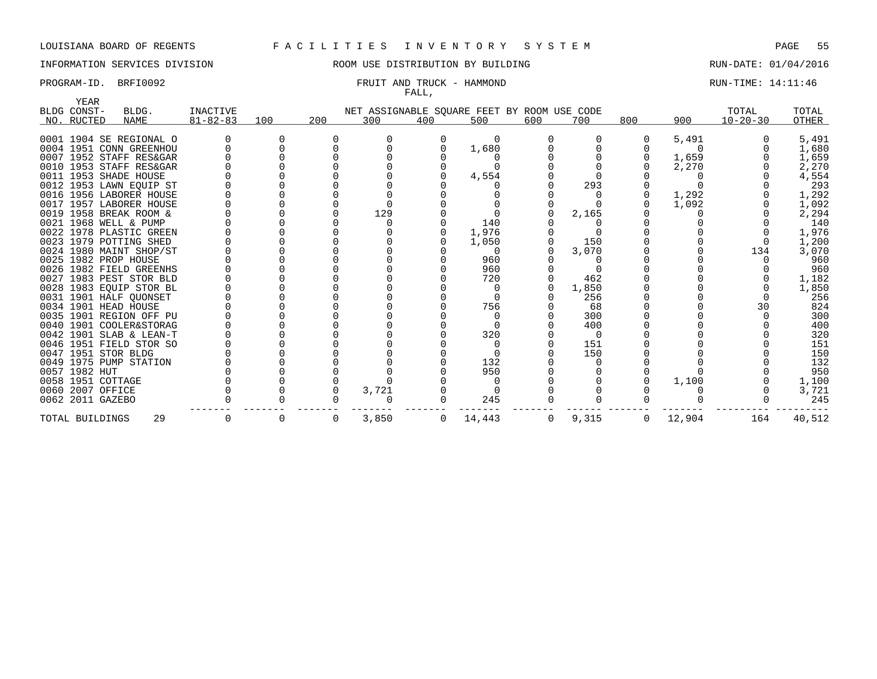# INFORMATION SERVICES DIVISION COOM OSE DISTRIBUTION BY BUILDING CONTROLLER RUN-DATE: 01/04/2016

### PROGRAM-ID. BRFI0092 **FRUIT AND TRUCK - HAMMOND** RUN-TIME: 14:11:46 FALL,

|                      | YEAR |                         |                 |     |     |       |     |          |                                             |       |     |          |                |        |
|----------------------|------|-------------------------|-----------------|-----|-----|-------|-----|----------|---------------------------------------------|-------|-----|----------|----------------|--------|
| BLDG CONST-          |      | BLDG.                   | <b>INACTIVE</b> |     |     |       |     |          | NET ASSIGNABLE SQUARE FEET BY ROOM USE CODE |       |     |          | TOTAL          | TOTAL  |
| NO. RUCTED           |      | <b>NAME</b>             | $81 - 82 - 83$  | 100 | 200 | 300   | 400 | 500      | 600                                         | 700   | 800 | 900      | $10 - 20 - 30$ | OTHER  |
|                      |      |                         |                 |     |     |       |     |          |                                             |       |     |          |                |        |
|                      |      | 0001 1904 SE REGIONAL O |                 |     |     |       |     |          |                                             |       |     | 5,491    |                | 5,491  |
|                      |      | 0004 1951 CONN GREENHOU |                 |     |     |       |     | 1,680    |                                             |       |     | $\Omega$ |                | 1,680  |
|                      |      | 0007 1952 STAFF RES&GAR |                 |     |     |       |     |          |                                             |       |     | 1,659    |                | 1,659  |
|                      |      | 0010 1953 STAFF RES&GAR |                 |     |     |       |     |          |                                             |       |     | 2,270    |                | 2,270  |
|                      |      | 0011 1953 SHADE HOUSE   |                 |     |     |       |     | 4,554    |                                             |       |     |          |                | 4,554  |
|                      |      | 0012 1953 LAWN EQUIP ST |                 |     |     |       |     |          |                                             | 293   |     |          |                | 293    |
|                      |      | 0016 1956 LABORER HOUSE |                 |     |     |       |     |          |                                             |       |     | 1,292    |                | 1,292  |
|                      |      | 0017 1957 LABORER HOUSE |                 |     |     |       |     |          |                                             |       |     | 1,092    |                | 1,092  |
|                      |      | 0019 1958 BREAK ROOM &  |                 |     |     | 129   |     |          |                                             | 2,165 |     |          |                | 2,294  |
|                      |      | 0021 1968 WELL & PUMP   |                 |     |     |       |     | 140      |                                             |       |     |          |                | 140    |
|                      |      | 0022 1978 PLASTIC GREEN |                 |     |     |       |     | 1,976    |                                             |       |     |          |                | 1,976  |
|                      |      | 0023 1979 POTTING SHED  |                 |     |     |       |     | 1,050    |                                             | 150   |     |          |                | 1,200  |
|                      |      | 0024 1980 MAINT SHOP/ST |                 |     |     |       |     | $\Omega$ |                                             | 3,070 |     |          | 134            | 3,070  |
| 0025 1982 PROP HOUSE |      |                         |                 |     |     |       |     | 960      |                                             |       |     |          |                | 960    |
|                      |      | 0026 1982 FIELD GREENHS |                 |     |     |       |     | 960      |                                             |       |     |          |                | 960    |
|                      |      | 0027 1983 PEST STOR BLD |                 |     |     |       |     | 720      |                                             | 462   |     |          |                | 1,182  |
|                      |      | 0028 1983 EQUIP STOR BL |                 |     |     |       |     |          |                                             | 1,850 |     |          |                | 1,850  |
|                      |      | 0031 1901 HALF OUONSET  |                 |     |     |       |     |          |                                             | 256   |     |          |                | 256    |
| 0034 1901 HEAD HOUSE |      |                         |                 |     |     |       |     | 756      |                                             | 68    |     |          | 30             | 824    |
|                      |      | 0035 1901 REGION OFF PU |                 |     |     |       |     |          |                                             | 300   |     |          |                | 300    |
|                      |      | 0040 1901 COOLER&STORAG |                 |     |     |       |     |          |                                             | 400   |     |          |                | 400    |
|                      |      | 0042 1901 SLAB & LEAN-T |                 |     |     |       |     | 320      |                                             |       |     |          |                | 320    |
|                      |      | 0046 1951 FIELD STOR SO |                 |     |     |       |     |          |                                             | 151   |     |          |                | 151    |
| 0047 1951 STOR BLDG  |      |                         |                 |     |     |       |     |          |                                             | 150   |     |          |                | 150    |
|                      |      | 0049 1975 PUMP STATION  |                 |     |     |       |     | 132      |                                             |       |     |          |                | 132    |
| 0057 1982 HUT        |      |                         |                 |     |     |       |     | 950      |                                             |       |     |          |                | 950    |
| 0058 1951 COTTAGE    |      |                         |                 |     |     |       |     |          |                                             |       |     | 1,100    |                | 1,100  |
| 0060 2007 OFFICE     |      |                         |                 |     |     | 3,721 |     |          |                                             |       |     |          |                | 3,721  |
| 0062 2011 GAZEBO     |      |                         |                 |     |     |       |     | 245      |                                             |       |     |          |                | 245    |
|                      |      |                         |                 |     |     |       |     |          |                                             |       |     |          |                |        |
| TOTAL BUILDINGS      |      | 29                      |                 | 0   | 0   | 3,850 | 0   | 14,443   | $\mathbf{0}$                                | 9,315 | 0   | 12,904   | 164            | 40,512 |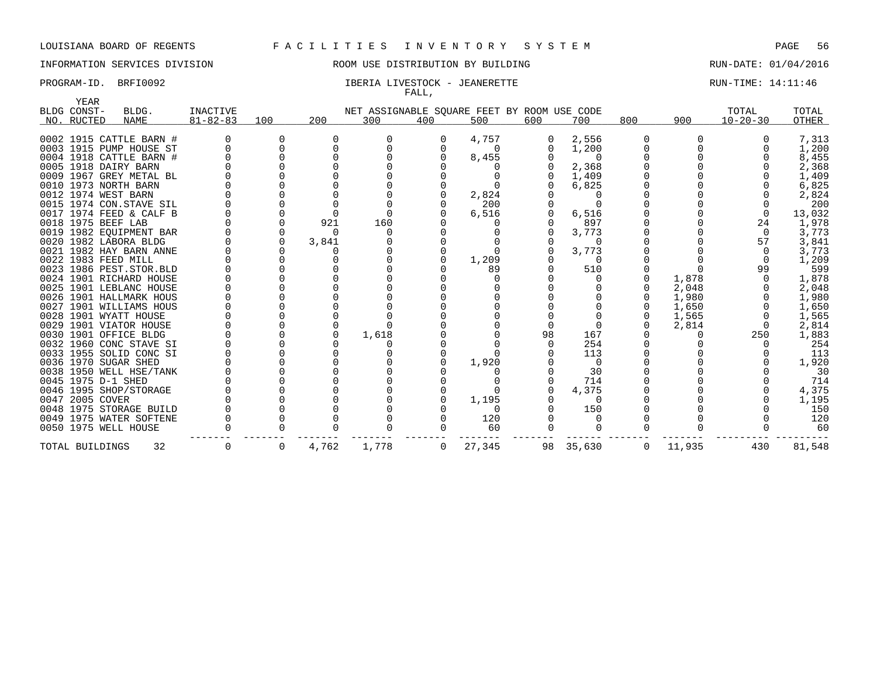### INFORMATION SERVICES DIVISION ROOM USE DISTRIBUTION BY BUILDING RUN-DATE: 01/04/2016

### PROGRAM-ID. BRFI0092 **IBERIA LIVESTOCK - JEANERETTE** PROGRAM-ID. BRIN-TIME: 14:11:46 FALL,

|      | YEAR                |                           |                 |          |              |                                             |     |          |     |        |             |        |                |        |
|------|---------------------|---------------------------|-----------------|----------|--------------|---------------------------------------------|-----|----------|-----|--------|-------------|--------|----------------|--------|
|      | BLDG CONST-         | BLDG.                     | <b>INACTIVE</b> |          |              | NET ASSIGNABLE SQUARE FEET BY ROOM USE CODE |     |          |     |        |             |        | TOTAL          | TOTAL  |
|      | NO. RUCTED          | <b>NAME</b>               | $81 - 82 - 83$  | 100      | 200          | 300                                         | 400 | 500      | 600 | 700    | 800         | 900    | $10 - 20 - 30$ | OTHER  |
|      |                     | 0002 1915 CATTLE BARN #   |                 | 0        | <sup>0</sup> |                                             | 0   | 4,757    |     | 2,556  |             |        |                | 7,313  |
|      |                     | 0003 1915 PUMP HOUSE ST   |                 |          |              |                                             |     | $\Omega$ |     | 1,200  |             |        |                | 1,200  |
|      |                     | 0004 1918 CATTLE BARN #   |                 |          |              |                                             |     | 8,455    |     |        |             |        |                | 8,455  |
|      |                     | 0005 1918 DAIRY BARN      |                 |          |              |                                             |     |          |     | 2,368  |             |        |                | 2,368  |
|      |                     | 0009 1967 GREY METAL BL   |                 |          |              |                                             |     |          |     | 1,409  |             |        |                | 1,409  |
| 0010 |                     | 1973 NORTH BARN           |                 |          |              |                                             |     |          |     | 6,825  |             |        |                | 6,825  |
|      | 0012 1974 WEST BARN |                           |                 |          |              |                                             |     | 2,824    |     |        |             |        |                | 2,824  |
|      |                     | 0015 1974 CON.STAVE SIL   |                 |          |              |                                             |     | 200      |     |        |             |        |                | 200    |
| 0017 |                     | 1974 FEED & CALF B        |                 |          |              |                                             |     | 6,516    |     | 6,516  |             |        | $\Omega$       | 13,032 |
|      | 0018 1975 BEEF LAB  |                           |                 | $\Omega$ | 921          | 160                                         |     |          |     | 897    |             |        | 24             | 1,978  |
|      |                     | 0019 1982 EQUIPMENT BAR   |                 | 0        | U            |                                             |     |          |     | 3,773  |             |        | $\Omega$       | 3,773  |
|      |                     | 0020 1982 LABORA BLDG     |                 | $\Omega$ | 3,841        |                                             |     |          |     |        |             |        | 57             | 3,841  |
|      |                     | 0021 1982 HAY BARN ANNE   |                 |          |              |                                             |     |          |     | 3,773  |             |        | $\Omega$       | 3,773  |
|      | 0022 1983 FEED MILL |                           |                 |          |              |                                             |     | 1,209    |     | $\cap$ |             |        | $\Omega$       | 1,209  |
|      |                     | 0023 1986 PEST. STOR. BLD |                 |          |              |                                             |     | 89       |     | 510    |             |        | 99             | 599    |
|      |                     | 0024 1901 RICHARD HOUSE   |                 |          |              |                                             |     |          |     |        |             | 1,878  |                | 1,878  |
|      |                     | 0025 1901 LEBLANC HOUSE   |                 |          |              |                                             |     |          |     |        |             | 2,048  |                | 2,048  |
|      |                     | 0026 1901 HALLMARK HOUS   |                 |          |              |                                             |     |          |     |        |             | 1,980  |                | 1,980  |
|      |                     | 0027 1901 WILLIAMS HOUS   |                 |          |              |                                             |     |          |     |        |             | 1,650  |                | 1,650  |
|      |                     | 0028 1901 WYATT HOUSE     |                 |          |              |                                             |     |          |     |        |             | 1,565  |                | 1,565  |
|      |                     | 0029 1901 VIATOR HOUSE    |                 |          |              |                                             |     |          |     |        |             | 2,814  |                | 2,814  |
|      |                     | 0030 1901 OFFICE BLDG     |                 |          |              | 1,618                                       |     |          | 98  | 167    |             |        | 250            | 1,883  |
|      |                     | 0032 1960 CONC STAVE SI   |                 |          |              |                                             |     |          |     | 254    |             |        |                | 254    |
|      |                     | 0033 1955 SOLID CONC SI   |                 |          |              |                                             |     |          |     | 113    |             |        |                | 113    |
|      |                     | 0036 1970 SUGAR SHED      |                 |          |              |                                             |     | 1,920    |     |        |             |        |                | 1,920  |
|      |                     | 0038 1950 WELL HSE/TANK   |                 |          |              |                                             |     |          |     | 30     |             |        |                | 30     |
|      | 0045 1975 D-1 SHED  |                           |                 |          |              |                                             |     |          |     | 714    |             |        |                | 714    |
|      |                     | 0046 1995 SHOP/STORAGE    |                 |          |              |                                             |     |          |     | 4,375  |             |        |                | 4,375  |
|      | 0047 2005 COVER     |                           |                 |          |              |                                             |     | 1,195    |     |        |             |        |                | 1,195  |
|      |                     | 0048 1975 STORAGE BUILD   |                 |          |              |                                             |     | $\Omega$ |     | 150    |             |        |                | 150    |
|      |                     | 0049 1975 WATER SOFTENE   |                 |          |              |                                             |     | 120      |     |        |             |        |                | 120    |
|      |                     | 0050 1975 WELL HOUSE      |                 |          |              |                                             |     | 60       |     |        |             |        |                | 60     |
|      | TOTAL BUILDINGS     | 32                        | $\Omega$        | 0        | 4,762        | 1,778                                       | 0   | 27,345   | 98  | 35,630 | $\mathbf 0$ | 11,935 | 430            | 81,548 |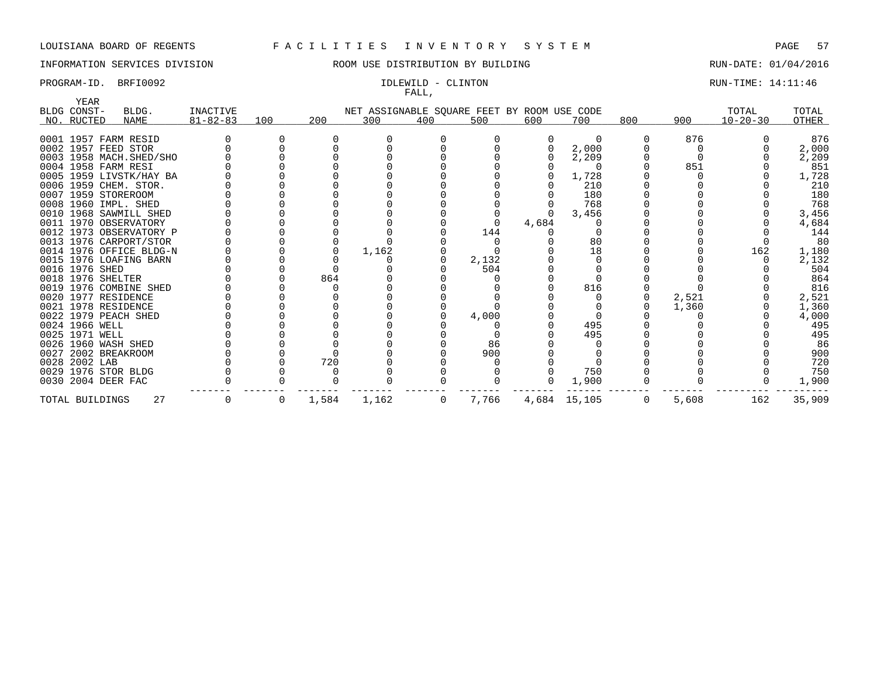# INFORMATION SERVICES DIVISION **ROOM USE DISTRIBUTION BY BUILDING RUN-DATE: 01/04/2016**

# FALL,

PROGRAM-ID. BRFI0092 **IDLEWILD - CLINTON IDLEWILD - CLINTON** RUN-TIME: 14:11:46

| YEAR<br>BLDG CONST- |                          | <b>INACTIVE</b> |     |       |                                             |     |       |       |              |     |       | TOTAL          | TOTAL  |
|---------------------|--------------------------|-----------------|-----|-------|---------------------------------------------|-----|-------|-------|--------------|-----|-------|----------------|--------|
|                     | BLDG.                    |                 |     |       | NET ASSIGNABLE SQUARE FEET BY ROOM USE CODE |     |       |       |              |     |       |                |        |
| NO. RUCTED          | NAME                     | $81 - 82 - 83$  | 100 | 200   | 300                                         | 400 | 500   | 600   | 700          | 800 | 900   | $10 - 20 - 30$ | OTHER  |
|                     | 0001 1957 FARM RESID     |                 |     |       |                                             |     |       |       | $\Omega$     |     | 876   |                | 876    |
|                     | 0002 1957 FEED STOR      |                 |     |       |                                             |     |       |       | 2,000        |     |       |                | 2,000  |
|                     | 0003 1958 MACH. SHED/SHO |                 |     |       |                                             |     |       |       | 2,209        |     |       |                | 2,209  |
|                     | 0004 1958 FARM RESI      |                 |     |       |                                             |     |       |       |              |     | 851   |                | 851    |
|                     | 0005 1959 LIVSTK/HAY BA  |                 |     |       |                                             |     |       |       | 1,728        |     |       |                | 1,728  |
|                     | 0006 1959 CHEM. STOR.    |                 |     |       |                                             |     |       |       | 210          |     |       |                | 210    |
|                     | 0007 1959 STOREROOM      |                 |     |       |                                             |     |       |       | 180          |     |       |                | 180    |
|                     | 0008 1960 IMPL. SHED     |                 |     |       |                                             |     |       |       | 768          |     |       |                | 768    |
|                     | 0010 1968 SAWMILL SHED   |                 |     |       |                                             |     |       |       | 3,456        |     |       |                | 3,456  |
|                     | 0011 1970 OBSERVATORY    |                 |     |       |                                             |     |       | 4,684 |              |     |       |                | 4,684  |
|                     | 0012 1973 OBSERVATORY P  |                 |     |       |                                             |     | 144   |       |              |     |       |                | 144    |
|                     | 0013 1976 CARPORT/STOR   |                 |     |       |                                             |     |       |       | 80           |     |       |                | 80     |
|                     | 0014 1976 OFFICE BLDG-N  |                 |     |       | 1,162                                       |     |       |       | 18           |     |       | 162            | 1,180  |
|                     | 0015 1976 LOAFING BARN   |                 |     |       |                                             |     | 2,132 |       |              |     |       |                | 2,132  |
| 0016 1976 SHED      |                          |                 |     |       |                                             |     | 504   |       |              |     |       |                | 504    |
| 0018 1976 SHELTER   |                          |                 |     | 864   |                                             |     |       |       |              |     |       |                | 864    |
|                     | 0019 1976 COMBINE SHED   |                 |     |       |                                             |     |       |       | 816          |     |       |                | 816    |
|                     | 0020 1977 RESIDENCE      |                 |     |       |                                             |     |       |       |              |     | 2,521 |                | 2,521  |
|                     | 0021 1978 RESIDENCE      |                 |     |       |                                             |     |       |       |              |     | 1,360 |                | 1,360  |
|                     | 0022 1979 PEACH SHED     |                 |     |       |                                             |     | 4,000 |       |              |     |       |                | 4,000  |
| 0024 1966 WELL      |                          |                 |     |       |                                             |     |       |       | 495          |     |       |                | 495    |
| 0025 1971 WELL      |                          |                 |     |       |                                             |     |       |       | 495          |     |       |                | 495    |
|                     | 0026 1960 WASH SHED      |                 |     |       |                                             |     | 86    |       |              |     |       |                | 86     |
|                     | 0027 2002 BREAKROOM      |                 |     |       |                                             |     | 900   |       |              |     |       |                | 900    |
| 0028 2002 LAB       |                          |                 |     | 720   |                                             |     |       |       |              |     |       |                | 720    |
|                     | 0029 1976 STOR BLDG      |                 |     |       |                                             |     |       |       | 750          |     |       |                | 750    |
|                     | 0030 2004 DEER FAC       |                 |     |       |                                             |     |       |       | 1,900        |     |       |                | 1,900  |
| TOTAL BUILDINGS     | 27                       |                 | 0   | 1,584 | 1,162                                       | 0   | 7,766 |       | 4,684 15,105 | 0   | 5,608 | 162            | 35,909 |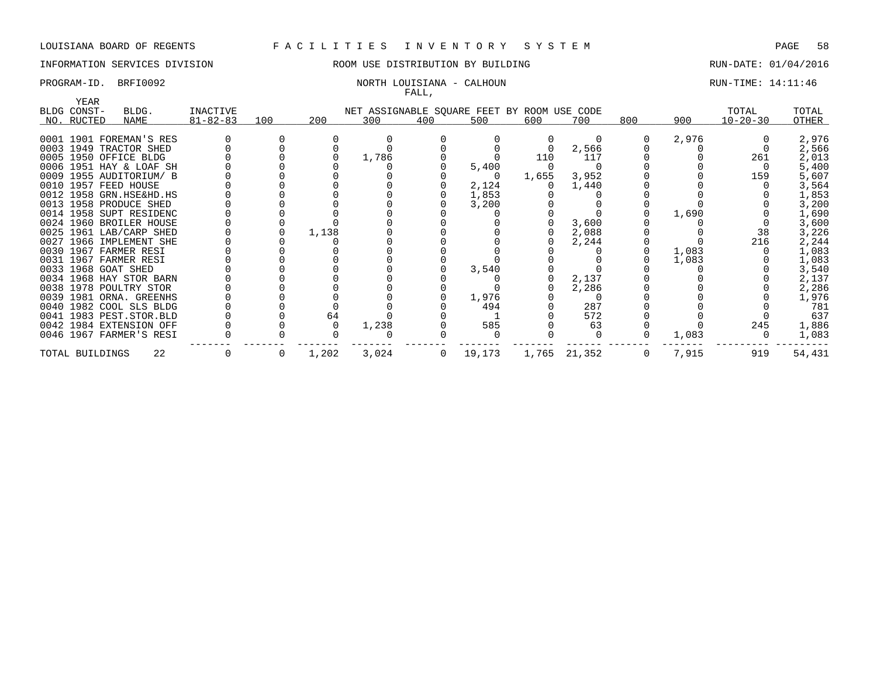# INFORMATION SERVICES DIVISION ROOM USE DISTRIBUTION BY BUILDING RUN-DATE: 01/04/2016

### PROGRAM-ID. BRFI0092 NORTH LOUISIANA - CALHOUN RUN-TIME: 14:11:46 FALL,

| YEAR            |                         |                |     |       |       | $\overline{1}$ |                                             |       |              |                |       |                |        |
|-----------------|-------------------------|----------------|-----|-------|-------|----------------|---------------------------------------------|-------|--------------|----------------|-------|----------------|--------|
| BLDG CONST-     | BLDG.                   | INACTIVE       |     |       |       |                | NET ASSIGNABLE SQUARE FEET BY ROOM USE CODE |       |              |                |       | TOTAL          | TOTAL  |
| NO. RUCTED      | NAME                    | $81 - 82 - 83$ | 100 | 200   | 300   | 400            | 500                                         | 600   | 700          | 800            | 900   | $10 - 20 - 30$ | OTHER  |
|                 |                         |                |     |       |       |                |                                             |       |              |                |       |                |        |
|                 | 0001 1901 FOREMAN'S RES |                |     |       |       |                |                                             |       | 0            |                | 2,976 |                | 2,976  |
|                 | 0003 1949 TRACTOR SHED  |                |     |       |       |                |                                             |       | 2,566        |                |       |                | 2,566  |
|                 | 0005 1950 OFFICE BLDG   |                |     |       | 1,786 |                |                                             | 110   | 117          |                |       | 261            | 2,013  |
|                 | 0006 1951 HAY & LOAF SH |                |     |       |       |                | 5,400                                       |       |              |                |       |                | 5,400  |
|                 | 0009 1955 AUDITORIUM/ B |                |     |       |       |                | $\Omega$                                    | 1,655 | 3,952        |                |       | 159            | 5,607  |
|                 | 0010 1957 FEED HOUSE    |                |     |       |       |                | 2,124                                       |       | 1,440        |                |       |                | 3,564  |
|                 | 0012 1958 GRN.HSE&HD.HS |                |     |       |       |                | 1,853                                       |       |              |                |       |                | 1,853  |
|                 | 0013 1958 PRODUCE SHED  |                |     |       |       |                | 3,200                                       |       |              |                |       |                | 3,200  |
|                 | 0014 1958 SUPT RESIDENC |                |     |       |       |                |                                             |       |              |                | 1,690 |                | 1,690  |
|                 | 0024 1960 BROILER HOUSE |                |     |       |       |                |                                             |       | 3,600        |                |       |                | 3,600  |
|                 | 0025 1961 LAB/CARP SHED |                |     | 1,138 |       |                |                                             |       | 2,088        |                |       | 38             | 3,226  |
|                 | 0027 1966 IMPLEMENT SHE |                |     |       |       |                |                                             |       | 2,244        |                |       | 216            | 2,244  |
|                 | 0030 1967 FARMER RESI   |                |     |       |       |                |                                             |       |              |                | 1,083 |                | 1,083  |
|                 | 0031 1967 FARMER RESI   |                |     |       |       |                |                                             |       |              |                | 1,083 |                | 1,083  |
|                 | 0033 1968 GOAT SHED     |                |     |       |       |                | 3,540                                       |       |              |                |       |                | 3,540  |
|                 | 0034 1968 HAY STOR BARN |                |     |       |       |                |                                             |       | 2,137        |                |       |                | 2,137  |
|                 | 0038 1978 POULTRY STOR  |                |     |       |       |                |                                             |       | 2,286        |                |       |                | 2,286  |
|                 | 0039 1981 ORNA. GREENHS |                |     |       |       |                | 1,976                                       |       |              |                |       |                | 1,976  |
|                 | 0040 1982 COOL SLS BLDG |                |     |       |       |                | 494                                         |       | 287          |                |       |                | 781    |
|                 | 0041 1983 PEST.STOR.BLD |                |     | 64    |       |                |                                             |       | 572          |                |       |                | 637    |
|                 | 0042 1984 EXTENSION OFF |                |     |       | 1,238 |                | 585                                         |       | 63           |                |       | 245            | 1,886  |
|                 | 0046 1967 FARMER'S RESI |                |     |       |       |                |                                             |       |              |                | 1,083 |                | 1,083  |
| TOTAL BUILDINGS | 22                      |                | 0   | 1,202 | 3,024 | $\overline{0}$ | 19,173                                      |       | 1,765 21,352 | $\overline{0}$ | 7,915 | 919            | 54,431 |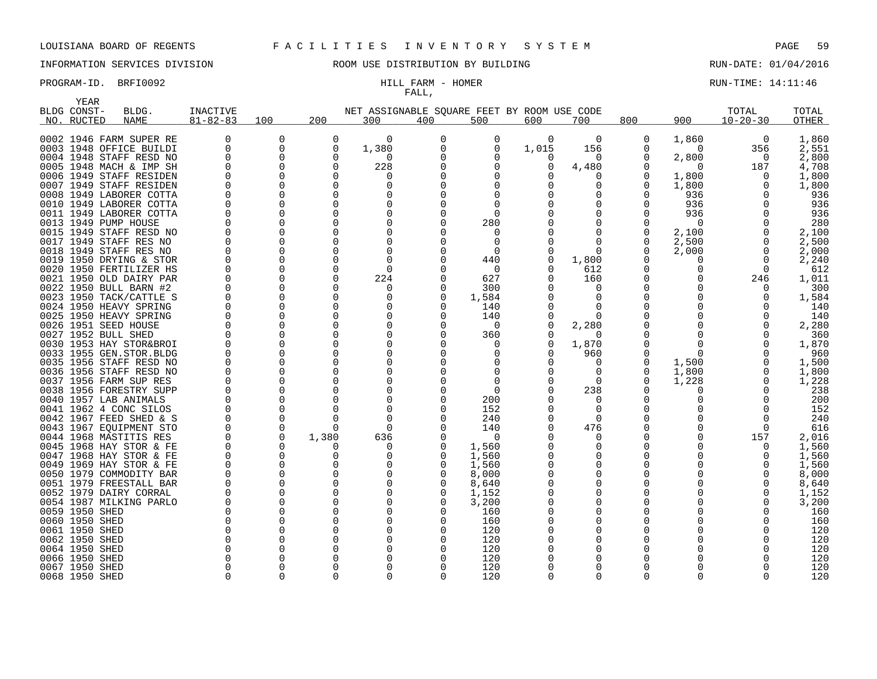# INFORMATION SERVICES DIVISION ROOM USE DISTRIBUTION BY BUILDING RUN-DATE: 01/04/2016

# FALL,

PROGRAM-ID. BRFI0092 **EXAM** - HILL FARM - HOMER RUN-TIME: 14:11:46

|      | YEAR           |                         |                |          |          |                                             |              |              |          |          |              |              |                |              |
|------|----------------|-------------------------|----------------|----------|----------|---------------------------------------------|--------------|--------------|----------|----------|--------------|--------------|----------------|--------------|
|      | BLDG CONST-    | BLDG.                   | INACTIVE       |          |          | NET ASSIGNABLE SOUARE FEET BY ROOM USE CODE |              |              |          |          |              |              | TOTAL          | TOTAL        |
|      | NO. RUCTED     | <b>NAME</b>             | $81 - 82 - 83$ | 100      | 200      | 300                                         | 400          | 500          | 600      | 700      | 800          | 900          | $10 - 20 - 30$ | <b>OTHER</b> |
|      |                |                         |                |          |          |                                             |              |              |          |          |              |              |                |              |
|      |                | 0002 1946 FARM SUPER RE | 0              | 0        | $\Omega$ | 0                                           | 0            | 0            | 0        | 0        | 0            | 1,860        | 0              | 1,860        |
|      |                | 0003 1948 OFFICE BUILDI | 0              | 0        | O        | 1,380                                       | 0            | $\Omega$     | 1,015    | 156      | 0            | $\Omega$     | 356            | 2,551        |
|      |                | 0004 1948 STAFF RESD NO | 0              | 0        | $\Omega$ | $\Omega$                                    |              | <sup>0</sup> | 0        | O        | 0            | 2,800        | $\Omega$       | 2,800        |
|      |                | 0005 1948 MACH & IMP SH | $\Omega$       | 0        | $\Omega$ | 228                                         |              | $\Omega$     | 0        | 4,480    | 0            | $\Omega$     | 187            | 4,708        |
|      |                | 0006 1949 STAFF RESIDEN | $\Omega$       | $\Omega$ | O        | 0                                           |              | <sup>0</sup> | O        | O        | 0            | 1,800        | $\Omega$       | 1,800        |
|      |                | 0007 1949 STAFF RESIDEN | $\Omega$       | $\Omega$ | ∩        | $\Omega$                                    |              |              |          | ∩        | <sup>0</sup> | 1,800        | $\Omega$       | 1,800        |
|      |                | 0008 1949 LABORER COTTA | $\Omega$       | $\Omega$ | $\Omega$ |                                             |              |              |          | O        | <sup>0</sup> | 936          | ∩              | 936          |
|      |                | 0010 1949 LABORER COTTA | $\Omega$       | $\Omega$ | $\Omega$ | 0                                           |              | <sup>0</sup> |          | $\Omega$ | 0            | 936          | ∩              | 936          |
|      |                | 0011 1949 LABORER COTTA | $\Omega$       | 0        | $\Omega$ | $\Omega$                                    |              | $\Omega$     |          | 0        | 0            | 936          | O              | 936          |
| 0013 |                | 1949 PUMP HOUSE         |                | $\Omega$ | $\Omega$ | $\Omega$                                    |              | 280          |          | 0        | 0            | 0            |                | 280          |
|      |                | 0015 1949 STAFF RESD NO | U              | 0        | ∩        | <sup>0</sup>                                |              | $\Omega$     |          | $\Omega$ | 0            | 2,100        |                | 2,100        |
|      |                | 0017 1949 STAFF RES NO  | $\Omega$       | $\Omega$ | $\Omega$ | $\Omega$                                    |              | $\Omega$     |          | $\Omega$ | $\Omega$     | 2,500        | $\Omega$       | 2,500        |
|      |                | 0018 1949 STAFF RES NO  | $\Omega$       | $\Omega$ | ∩        | 0                                           |              | $\Omega$     | 0        | $\Omega$ | <sup>0</sup> | 2,000        | $\Omega$       | 2,000        |
|      |                | 0019 1950 DRYING & STOR | $\Omega$       | $\Omega$ | ∩        | $\Omega$                                    |              | 440          | 0        | 1,800    | <sup>0</sup> | 0            | $\Omega$       | 2,240        |
|      |                | 0020 1950 FERTILIZER HS | $\Omega$       | 0        | ∩        | $\Omega$                                    |              | $\Omega$     | $\Omega$ | 612      | 0            | $\Omega$     | $\Omega$       | 612          |
|      |                | 0021 1950 OLD DAIRY PAR | $\Omega$       | 0        | $\Omega$ | 224                                         |              | 627          | 0        | 160      | 0            | 0            | 246            | 1,011        |
|      |                | 0022 1950 BULL BARN #2  | $\Omega$       | $\Omega$ | O        | 0                                           | O            | 300          |          | $\Omega$ | <sup>0</sup> | <sup>0</sup> | 0              | 300          |
|      |                | 0023 1950 TACK/CATTLE S |                | 0        | $\Omega$ | $\Omega$                                    | O            | 1,584        |          | 0        | 0            |              |                | 1,584        |
|      |                | 0024 1950 HEAVY SPRING  | $\Omega$       | $\Omega$ | $\Omega$ |                                             |              | 140          |          | $\Omega$ | <sup>0</sup> |              |                | 140          |
|      |                | 0025 1950 HEAVY SPRING  | $\Omega$       | $\Omega$ | O        | $\Omega$                                    |              | 140          | 0        | $\Omega$ | 0            |              |                | 140          |
|      |                | 0026 1951 SEED HOUSE    | $\Omega$       | $\Omega$ | ∩        | $\Omega$                                    |              | $\Omega$     | 0        | 2,280    | O            |              |                | 2,280        |
|      |                | 0027 1952 BULL SHED     | $\Omega$       | $\Omega$ | $\Omega$ | 0                                           |              | 360          |          | $\Omega$ | 0            | O            |                | 360          |
|      |                | 0030 1953 HAY STOR&BROI | $\Omega$       | $\Omega$ | $\Omega$ | $\Omega$                                    |              | <sup>0</sup> | 0        | 1,870    | 0            | $\Omega$     |                | 1,870        |
|      |                | 0033 1955 GEN.STOR.BLDG | $\Omega$       | 0        | ∩        | $\Omega$                                    |              | <sup>0</sup> | 0        | 960      | 0            | $\Omega$     | ∩              | 960          |
|      |                | 0035 1956 STAFF RESD NO |                | 0        | $\Omega$ | $\Omega$                                    |              | <sup>0</sup> | 0        | 0        | 0            | 1,500        |                | 1,500        |
|      |                | 0036 1956 STAFF RESD NO | $\Omega$       | $\Omega$ | ∩        | <sup>0</sup>                                |              |              |          | $\Omega$ | 0            | 1,800        | ∩              | 1,800        |
|      |                | 0037 1956 FARM SUP RES  | $\Omega$       | $\Omega$ | ∩        | $\Omega$                                    |              | 0            |          | $\Omega$ | 0            | 1,228        |                | 1,228        |
|      |                | 0038 1956 FORESTRY SUPP | $\Omega$       | O        |          | $\Omega$                                    |              | $\Omega$     |          | 238      | <sup>0</sup> | O            |                | 238          |
|      |                | 0040 1957 LAB ANIMALS   | $\Omega$       | $\Omega$ | ∩        | 0                                           |              | 200          |          | $\Omega$ | 0            | <sup>0</sup> |                | 200          |
|      |                | 0041 1962 4 CONC SILOS  | $\Omega$       | 0        | ∩        | $\Omega$                                    |              | 152          |          | $\Omega$ | <sup>0</sup> |              | ∩              | 152          |
|      |                | 0042 1967 FEED SHED & S | 0              | 0        | O        | 0                                           |              | 240          |          | $\Omega$ | 0            | <sup>0</sup> | 0              | 240          |
|      |                | 0043 1967 EOUIPMENT STO | $\Omega$       | 0        | ∩        | $\Omega$                                    |              | 140          |          | 476      | 0            | <sup>0</sup> | <sup>n</sup>   | 616          |
|      |                | 0044 1968 MASTITIS RES  | 0              | 0        | 1,380    | 636                                         |              | 0            |          | O        | 0            | <sup>0</sup> | 157            | 2,016        |
|      |                | 0045 1968 HAY STOR & FE | $\Omega$       | $\Omega$ | ∩        | 0                                           |              | 1,560        |          | $\Omega$ | 0            |              | $\Omega$       | 1,560        |
|      |                | 0047 1968 HAY STOR & FE | $\Omega$       | $\Omega$ | O        | $\Omega$                                    |              | 1,560        |          | O        | 0            |              | O              | 1,560        |
|      |                | 0049 1969 HAY STOR & FE | $\Omega$       | $\Omega$ | $\Omega$ | $\Omega$                                    |              | 1,560        |          | $\Omega$ | 0            |              | O              | 1,560        |
|      |                | 0050 1979 COMMODITY BAR | $\Omega$       | $\Omega$ | $\Omega$ | <sup>0</sup>                                |              | 8,000        |          | $\Omega$ | 0            |              |                | 8,000        |
|      |                | 0051 1979 FREESTALL BAR | $\Omega$       | 0        | $\Omega$ | 0                                           |              | 8,640        |          | $\Omega$ | 0            |              | O              | 8,640        |
|      |                | 0052 1979 DAIRY CORRAL  | $\Omega$       | 0        | $\Omega$ | <sup>0</sup>                                | <sup>0</sup> | 1,152        |          | $\Omega$ | 0            |              |                | 1,152        |
|      |                | 0054 1987 MILKING PARLO | 0              | $\Omega$ | $\Omega$ | $\Omega$                                    |              | 3,200        |          | 0        | 0            |              |                | 3,200        |
|      | 0059 1950 SHED |                         | $\Omega$       | 0        | ∩        | <sup>0</sup>                                |              | 160          |          | O        | 0            |              |                | 160          |
|      | 0060 1950 SHED |                         | $\Omega$       | $\Omega$ | $\Omega$ | $\Omega$                                    |              | 160          |          | $\Omega$ | 0            |              |                | 160          |
|      | 0061 1950 SHED |                         | $\Omega$       | O        | ∩        | $\Omega$                                    | Ω            | 120          |          | O        | 0            |              |                | 120          |
|      | 0062 1950 SHED |                         | $\Omega$       | $\Omega$ | ∩        | $\Omega$                                    |              | 120          |          | $\Omega$ | O            |              |                | 120          |
|      | 0064 1950 SHED |                         | $\Omega$       | U        | ∩        | $\Omega$                                    |              | 120          |          | O        | O            |              |                | 120          |
|      | 0066 1950 SHED |                         | O              | O        |          | $\Omega$                                    |              | 120          |          | O        | 0            |              |                | 120          |
|      | 0067 1950 SHED |                         | O              | $\Omega$ | ∩        | $\Omega$                                    |              | 120          |          | $\Omega$ | O            |              |                | 120          |
|      | 0068 1950 SHED |                         | $\Omega$       | 0        | ∩        | $\Omega$                                    | 0            | 120          | $\Omega$ | 0        | $\Omega$     | $\Omega$     | $\Omega$       | 120          |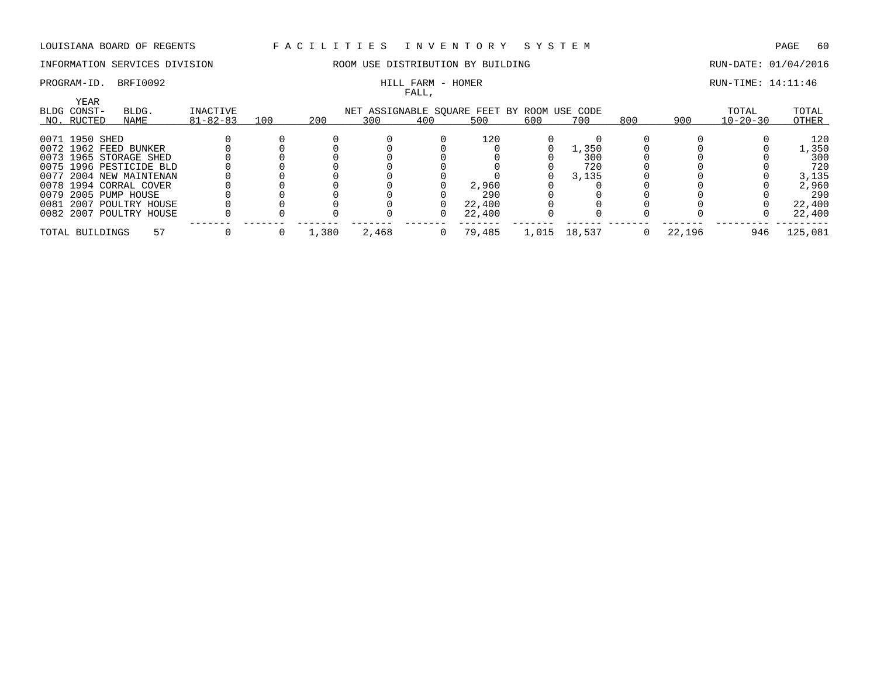# INFORMATION SERVICES DIVISION **ROOM USE DISTRIBUTION BY BUILDING RUN-DATE: 01/04/2016**

# FALL,

# PROGRAM-ID. BRFI0092 **EXAM** - HILL FARM - HOMER RUN-TIME: 14:11:46

|                                          |                         |    |                            |     |       |       | .   |                                                    |       |        |     |        |                         |                |
|------------------------------------------|-------------------------|----|----------------------------|-----|-------|-------|-----|----------------------------------------------------|-------|--------|-----|--------|-------------------------|----------------|
| <b>YEAR</b><br>BLDG CONST-<br>NO. RUCTED | BLDG.<br>NAME           |    | INACTIVE<br>$81 - 82 - 83$ | 100 | 200   | 300   | 400 | NET ASSIGNABLE SQUARE FEET BY ROOM USE CODE<br>500 | 600   | 700    | 800 | 900    | TOTAL<br>$10 - 20 - 30$ | TOTAL<br>OTHER |
| 0071 1950 SHED                           |                         |    |                            |     |       |       |     | 120                                                |       |        |     |        |                         | 120            |
|                                          | 0072 1962 FEED BUNKER   |    |                            |     |       |       |     |                                                    |       | .,350  |     |        |                         | 1,350          |
|                                          | 0073 1965 STORAGE SHED  |    |                            |     |       |       |     |                                                    |       | 300    |     |        |                         | 300            |
|                                          | 0075 1996 PESTICIDE BLD |    |                            |     |       |       |     |                                                    |       | 720    |     |        |                         | 720            |
|                                          | 0077 2004 NEW MAINTENAN |    |                            |     |       |       |     |                                                    |       | 3,135  |     |        |                         | 3,135          |
|                                          | 0078 1994 CORRAL COVER  |    |                            |     |       |       |     | 2,960                                              |       |        |     |        |                         | 2,960          |
|                                          | 0079 2005 PUMP HOUSE    |    |                            |     |       |       |     | 290                                                |       |        |     |        |                         | 290            |
|                                          | 0081 2007 POULTRY HOUSE |    |                            |     |       |       |     | 22,400                                             |       |        |     |        |                         | 22,400         |
|                                          | 0082 2007 POULTRY HOUSE |    |                            |     |       |       |     | 22,400                                             |       |        |     |        |                         | 22,400         |
| TOTAL BUILDINGS                          |                         | 57 |                            |     | 1,380 | 2,468 |     | 79,485                                             | 1,015 | 18,537 |     | 22,196 | 946                     | 125,081        |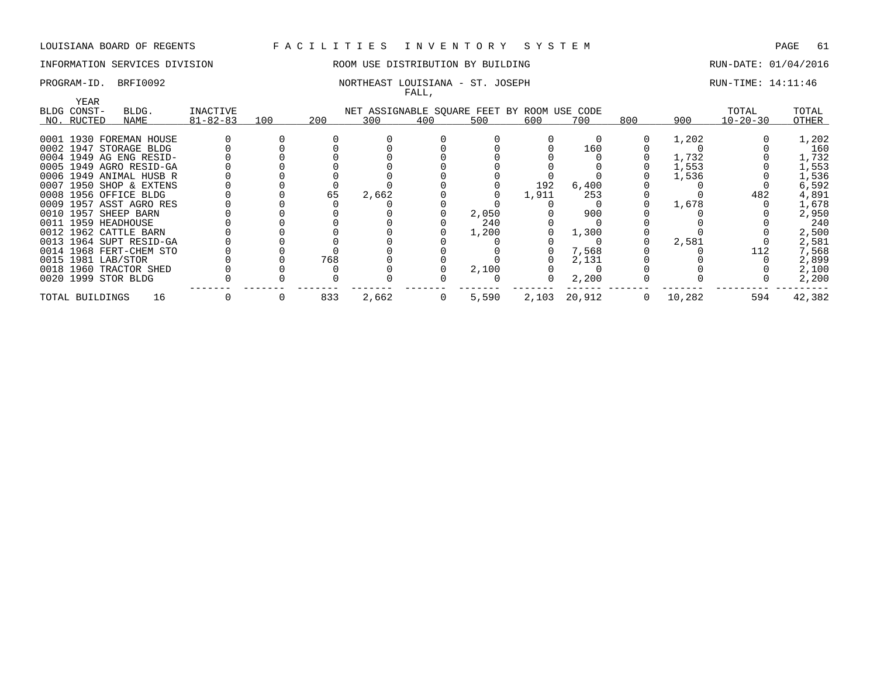### INFORMATION SERVICES DIVISION ROOM USE DISTRIBUTION BY BUILDING RUN-DATE: 01/04/2016

### PROGRAM-ID. BRFI0092 NORTHEAST LOUISIANA - ST. JOSEPH RUN-TIME: 14:11:46 FALL,

| YEAR                |                         |                |     |     |       |                |                                             |       |        |     |        |                |        |
|---------------------|-------------------------|----------------|-----|-----|-------|----------------|---------------------------------------------|-------|--------|-----|--------|----------------|--------|
| BLDG CONST-         | BLDG.                   | INACTIVE       |     |     |       |                | NET ASSIGNABLE SQUARE FEET BY ROOM USE CODE |       |        |     |        | TOTAL          | TOTAL  |
| NO. RUCTED          | NAME                    | $81 - 82 - 83$ | 100 | 200 | 300   | 400            | 500                                         | 600   | 700    | 800 | 900    | $10 - 20 - 30$ | OTHER  |
|                     |                         |                |     |     |       |                |                                             |       |        |     |        |                |        |
|                     | 0001 1930 FOREMAN HOUSE |                |     |     |       |                |                                             |       |        |     | 1,202  |                | 1,202  |
|                     | 0002 1947 STORAGE BLDG  |                |     |     |       |                |                                             |       | 160    |     |        |                | 160    |
|                     | 0004 1949 AG ENG RESID- |                |     |     |       |                |                                             |       |        |     | 1,732  |                | 1,732  |
|                     | 0005 1949 AGRO RESID-GA |                |     |     |       |                |                                             |       |        |     | 1,553  |                | 1,553  |
|                     | 0006 1949 ANIMAL HUSB R |                |     |     |       |                |                                             |       |        |     | 1,536  |                | 1,536  |
|                     | 0007 1950 SHOP & EXTENS |                |     |     |       |                |                                             | 192   | 6,400  |     |        |                | 6,592  |
|                     | 0008 1956 OFFICE BLDG   |                |     | 65  | 2,662 |                |                                             | 1,911 | 253    |     |        | 482            | 4,891  |
|                     | 0009 1957 ASST AGRO RES |                |     |     |       |                |                                             |       |        |     | 1,678  |                | 1,678  |
|                     | 0010 1957 SHEEP BARN    |                |     |     |       |                | 2,050                                       |       | 900    |     |        |                | 2,950  |
| 0011 1959 HEADHOUSE |                         |                |     |     |       |                | 240                                         |       |        |     |        |                | 240    |
|                     | 0012 1962 CATTLE BARN   |                |     |     |       |                | 1,200                                       |       | 1,300  |     |        |                | 2,500  |
|                     | 0013 1964 SUPT RESID-GA |                |     |     |       |                |                                             |       |        |     | 2,581  |                | 2,581  |
|                     | 0014 1968 FERT-CHEM STO |                |     |     |       |                |                                             |       | 7,568  |     |        | 112            | 7,568  |
| 0015 1981 LAB/STOR  |                         |                |     | 768 |       |                |                                             |       | 2,131  |     |        |                | 2,899  |
|                     | 0018 1960 TRACTOR SHED  |                |     |     |       |                | 2,100                                       |       |        |     |        |                | 2,100  |
| 0020 1999 STOR BLDG |                         |                |     |     |       |                |                                             |       | 2,200  |     |        |                | 2,200  |
| TOTAL BUILDINGS     | 16                      |                |     | 833 | 2,662 | $\overline{0}$ | 5,590                                       | 2,103 | 20,912 | 0   | 10,282 | 594            | 42,382 |
|                     |                         |                |     |     |       |                |                                             |       |        |     |        |                |        |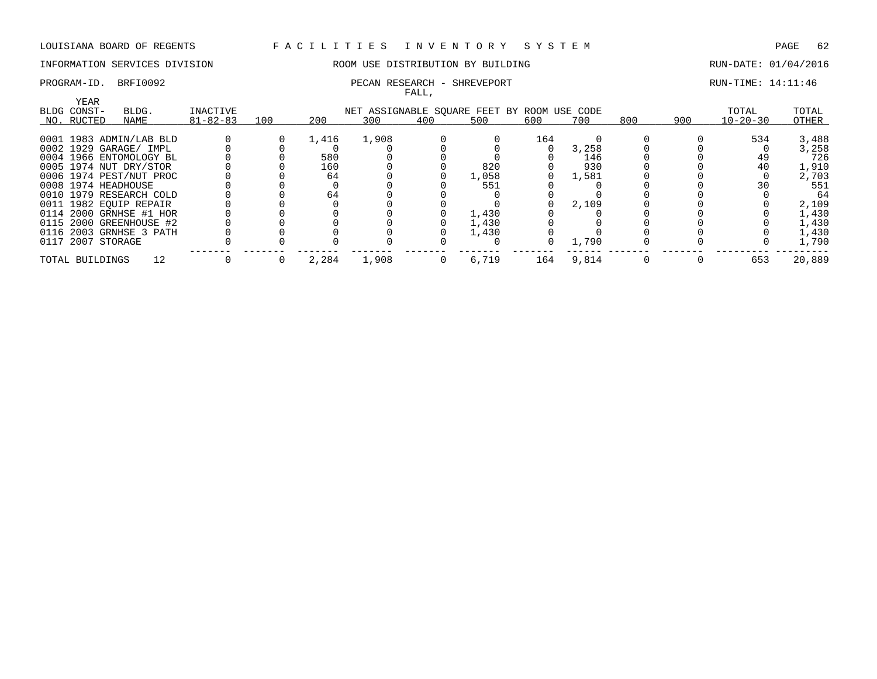### PROGRAM-ID. BRFI0092 **PECAN RESEARCH - SHREVEPORT** PROGRAM-ID. BRFI0092

# INFORMATION SERVICES DIVISION ROOM USE DISTRIBUTION BY BUILDING RUN-DATE: 01/04/2016

FALL,

| YEAR                    |                |     |       |       |     |                                             |     |       |     |     |                |        |
|-------------------------|----------------|-----|-------|-------|-----|---------------------------------------------|-----|-------|-----|-----|----------------|--------|
| BLDG CONST-<br>BLDG.    | INACTIVE       |     |       |       |     | NET ASSIGNABLE SQUARE FEET BY ROOM USE CODE |     |       |     |     | TOTAL          | TOTAL  |
| NO. RUCTED<br>NAME      | $81 - 82 - 83$ | 100 | 200   | 300   | 400 | 500                                         | 600 | 700   | 800 | 900 | $10 - 20 - 30$ | OTHER  |
| 0001 1983 ADMIN/LAB BLD |                |     | 1,416 | 1,908 |     |                                             | 164 |       |     |     | 534            | 3,488  |
| 0002 1929 GARAGE/ IMPL  |                |     |       |       |     |                                             |     | 3,258 |     |     |                | 3,258  |
| 0004 1966 ENTOMOLOGY BL |                |     | 580   |       |     |                                             |     | 146   |     |     | 49             | 726    |
| 0005 1974 NUT DRY/STOR  |                |     | 160   |       |     | 820                                         |     | 930   |     |     | 40             | 1,910  |
| 0006 1974 PEST/NUT PROC |                |     | 64    |       |     | 1,058                                       |     | 1,581 |     |     |                | 2,703  |
| 0008 1974 HEADHOUSE     |                |     |       |       |     | 551                                         |     |       |     |     | 30             | 551    |
| 0010 1979 RESEARCH COLD |                |     | 64    |       |     |                                             |     |       |     |     |                | 64     |
| 0011 1982 EOUIP REPAIR  |                |     |       |       |     |                                             |     | 2,109 |     |     |                | 2,109  |
| 0114 2000 GRNHSE #1 HOR |                |     |       |       |     | 1,430                                       |     |       |     |     |                | 1,430  |
| 0115 2000 GREENHOUSE #2 |                |     |       |       |     | 1,430                                       |     |       |     |     |                | 1,430  |
| 0116 2003 GRNHSE 3 PATH |                |     |       |       |     | 1,430                                       |     |       |     |     |                | 1,430  |
| 0117 2007 STORAGE       |                |     |       |       |     |                                             |     | 1,790 |     |     |                | 1,790  |
| 12<br>TOTAL BUILDINGS   |                |     | 2,284 | 1,908 |     | 6,719                                       | 164 | 9,814 |     |     | 653            | 20,889 |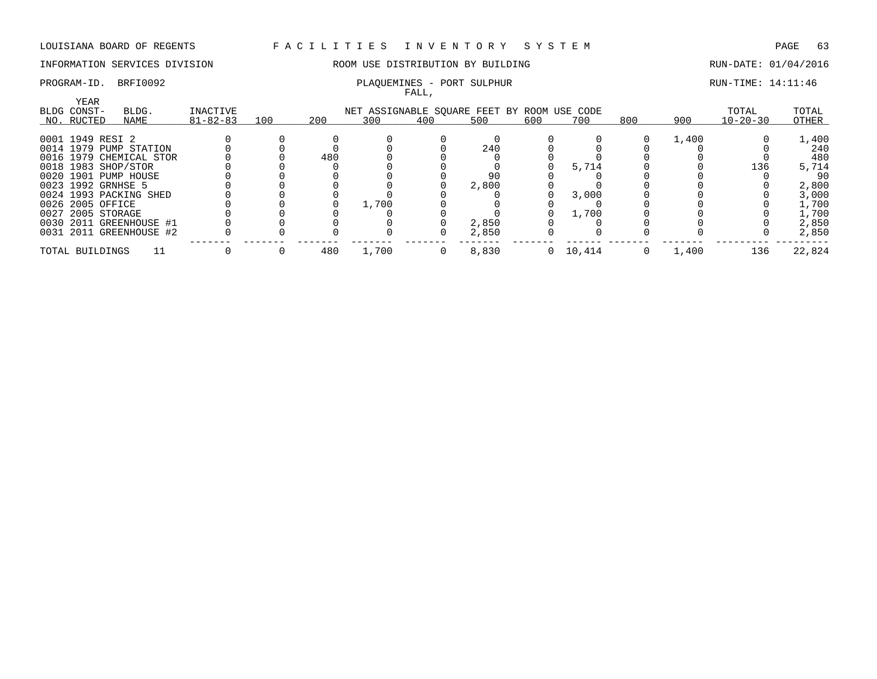# INFORMATION SERVICES DIVISION 88 ROOM USE DISTRIBUTION BY BUILDING RUN-DATE: 01/04/2016

FALL,

| YEAR<br>BLDG CONST-     | BLDG. | INACTIVE       |     |     | NET ASSIGNABLE SOUARE FEET BY ROOM USE CODE |                |       |          |        |          |       | TOTAL          | TOTAL  |
|-------------------------|-------|----------------|-----|-----|---------------------------------------------|----------------|-------|----------|--------|----------|-------|----------------|--------|
| NO. RUCTED              | NAME  | $81 - 82 - 83$ | 100 | 200 | 300                                         | 400            | 500   | 600      | 700    | 800      | 900   | $10 - 20 - 30$ | OTHER  |
| 0001 1949 RESI 2        |       |                |     |     |                                             |                |       |          |        |          | 1,400 |                | 1,400  |
| 0014 1979 PUMP STATION  |       |                |     |     |                                             |                | 240   |          |        |          |       |                | 240    |
| 0016 1979 CHEMICAL STOR |       |                |     | 480 |                                             |                |       |          |        |          |       |                | 480    |
| 0018 1983 SHOP/STOR     |       |                |     |     |                                             |                |       |          | 5,714  |          |       | 136            | 5,714  |
| 0020 1901 PUMP HOUSE    |       |                |     |     |                                             |                |       |          |        |          |       |                | 90     |
| 0023 1992 GRNHSE 5      |       |                |     |     |                                             |                | 2,800 |          |        |          |       |                | 2,800  |
| 0024 1993 PACKING SHED  |       |                |     |     |                                             |                |       |          | 3,000  |          |       |                | 3,000  |
| 0026 2005 OFFICE        |       |                |     |     | 1,700                                       |                |       |          |        |          |       |                | 1,700  |
| 0027 2005 STORAGE       |       |                |     |     |                                             |                |       |          | 1,700  |          |       |                | 1,700  |
| 0030 2011 GREENHOUSE #1 |       |                |     |     |                                             |                | 2,850 |          |        |          |       |                | 2,850  |
| 0031 2011 GREENHOUSE #2 |       |                |     |     |                                             |                | 2,850 |          |        |          |       |                | 2,850  |
| TOTAL BUILDINGS         |       |                |     | 480 | 1,700                                       | $\overline{0}$ | 8,830 | $\Omega$ | 10,414 | $\Omega$ | 1,400 | 136            | 22,824 |

# PROGRAM-ID. BRFI0092 PLAQUEMINES - PORT SULPHUR RUN-TIME: 14:11:46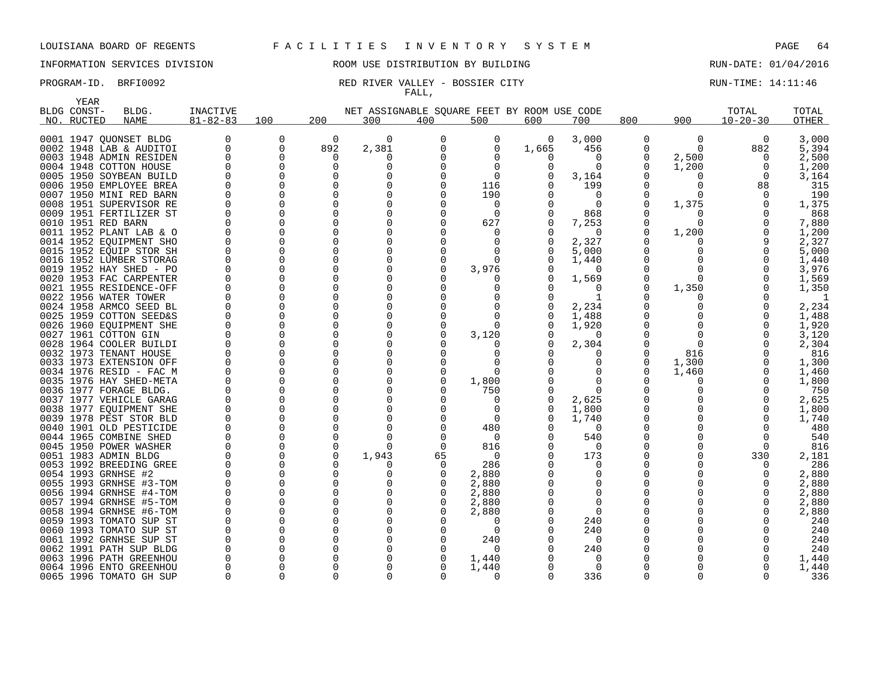# INFORMATION SERVICES DIVISION 88 ROOM USE DISTRIBUTION BY BUILDING 88 RUN-DATE: 01/04/2016

### PROGRAM-ID. BRFI0092 RED RIVER VALLEY - BOSSIER CITY RUN-TIME: 14:11:46 FALL,

| <b>YEAR</b> |                                                    |                |               |               |                                             |          |              |       |                      |                   |          |                |                |
|-------------|----------------------------------------------------|----------------|---------------|---------------|---------------------------------------------|----------|--------------|-------|----------------------|-------------------|----------|----------------|----------------|
| BLDG CONST- | BLDG.                                              | INACTIVE       |               |               | NET ASSIGNABLE SOUARE FEET BY ROOM USE CODE |          |              |       |                      |                   |          | TOTAL          | TOTAL          |
| NO. RUCTED  | <b>NAME</b>                                        | $81 - 82 - 83$ | 100           | 200           | 300                                         | 400      | 500          | 600   | 700                  | 800               | 900      | $10 - 20 - 30$ | <b>OTHER</b>   |
|             | 0001 1947 QUONSET BLDG                             |                | 0             | 0             | 0                                           | 0        | 0            | 0     | 3,000                | 0                 | 0        | 0              | 3,000          |
|             | 0002 1948 LAB & AUDITOI                            | 0              | 0             | 892           | 2,381                                       | O        | $\Omega$     | 1,665 | 456                  | 0                 | $\Omega$ | 882            | 5,394          |
|             | 0003 1948 ADMIN RESIDEN                            |                | 0             | 0             |                                             |          |              | O     | 0                    | 0                 | 2,500    | $\Omega$       | 2,500          |
|             | 0004 1948 COTTON HOUSE                             |                | $\Omega$      | $\Omega$      | O                                           |          | $\Omega$     | O     | $\Omega$             | <sup>0</sup>      |          | $\Omega$       |                |
|             | 0005 1950 SOYBEAN BUILD                            |                | $\Omega$      | O             |                                             |          | $\Omega$     |       |                      |                   | 1,200    | $\Omega$       | 1,200          |
|             | 0006 1950 EMPLOYEE BREA                            |                | $\Omega$      | O             |                                             |          | 116          |       | 3,164<br>199         | O                 |          |                | 3,164<br>315   |
|             |                                                    |                | $\Omega$      | O             |                                             |          |              |       |                      | O                 |          | 88             |                |
|             | 0007 1950 MINI RED BARN                            |                | $\Omega$      | $\Omega$      |                                             |          | 190<br>0     |       | $\Omega$<br>$\Omega$ | <sup>0</sup>      |          |                | 190            |
|             | 0008 1951 SUPERVISOR RE<br>0009 1951 FERTILIZER ST |                | $\Omega$      | O             |                                             |          | $\Omega$     |       | 868                  | O                 | 1,375    |                | 1,375<br>868   |
|             |                                                    |                | $\Omega$      | $\Omega$      |                                             |          | 627          |       |                      | O                 | ∩        |                |                |
|             | 0010 1951 RED BARN<br>0011 1952 PLANT LAB & O      |                | $\Omega$      | O             |                                             |          | $\Omega$     |       | 7,253<br>$\Omega$    | O                 | 1,200    |                | 7,880<br>1,200 |
|             |                                                    |                | $\Omega$      | O             |                                             |          | <sup>0</sup> | O     |                      |                   |          |                |                |
|             | 0014 1952 EOUIPMENT SHO                            |                | $\Omega$      | O             |                                             |          | $\Omega$     | O     | 2,327                |                   |          |                | 2,327          |
|             | 0015 1952 EQUIP STOR SH                            |                | $\Omega$      | O             |                                             |          | <sup>0</sup> |       | 5,000                | O                 |          |                | 5,000          |
|             | 0016 1952 LUMBER STORAG                            |                |               | $\Omega$      |                                             |          |              |       | 1,440                | O                 |          |                | 1,440          |
|             | 0019 1952 HAY SHED - PO                            |                | $\Omega$<br>0 | O             |                                             |          | 3,976        |       | $\Omega$             |                   | ∩        |                | 3,976          |
|             | 0020 1953 FAC CARPENTER                            |                | $\Omega$      | O             |                                             |          |              | 0     | 1,569                | 0<br><sup>0</sup> |          |                | 1,569          |
|             | 0021 1955 RESIDENCE-OFF                            |                | $\Omega$      | O             |                                             |          |              |       | 0<br>1               | O                 | 1,350    |                | 1,350<br>-1    |
|             | 0022 1956 WATER TOWER                              |                |               | U             |                                             |          |              |       |                      |                   |          |                |                |
|             | 0024 1958 ARMCO SEED BL                            |                | $\Omega$      | O             |                                             |          | <sup>0</sup> |       | 2,234                |                   |          |                | 2,234          |
|             | 0025 1959 COTTON SEED&S                            |                | 0<br>$\Omega$ | ∩             |                                             |          | ∩            | 0     | 1,488                | U                 |          |                | 1,488          |
|             | 0026 1960 EQUIPMENT SHE                            |                |               | O             |                                             |          |              |       | 1,920                |                   |          |                | 1,920          |
|             | 0027 1961 COTTON GIN                               |                | $\Omega$      | O             |                                             |          | 3,120        |       | 0                    |                   | ∩        |                | 3,120          |
|             | 0028 1964 COOLER BUILDI                            |                | $\Omega$      |               |                                             |          |              | O     | 2,304                | O                 |          |                | 2,304          |
|             | 0032 1973 TENANT HOUSE                             |                | $\Omega$      | $\Omega$      |                                             |          | n            |       | $\Omega$             | <sup>0</sup>      | 816      |                | 816            |
|             | 0033 1973 EXTENSION OFF                            |                | 0             | O<br>∩        |                                             |          | 0<br>∩       |       | 0                    | 0<br>U            | 1,300    |                | 1,300          |
|             | 0034 1976 RESID - FAC M                            |                | $\Omega$      |               |                                             |          |              |       | $\Omega$             |                   | 1,460    |                | 1,460          |
|             | 0035 1976 HAY SHED-META                            |                | $\Omega$      | O             |                                             |          | 1,800        |       | $\Omega$             |                   | $\Omega$ |                | 1,800          |
|             | 0036 1977 FORAGE BLDG.                             |                | $\Omega$      |               |                                             |          | 750          |       | $\Omega$             |                   |          |                | 750            |
|             | 0037 1977 VEHICLE GARAG                            |                | $\Omega$      | O<br>∩        |                                             |          | 0            | O     | 2,625                | 0<br>O            |          |                | 2,625          |
|             | 0038 1977 EOUIPMENT SHE                            |                | $\Omega$      |               |                                             |          | <sup>0</sup> | 0     | 1,800                |                   |          |                | 1,800          |
|             | 0039 1978 PEST STOR BLD                            |                | 0             | O             |                                             |          | 0            |       | 1,740                | 0                 |          |                | 1,740          |
|             | 0040 1901 OLD PESTICIDE                            |                | $\Omega$      | O             |                                             |          | 480          |       | $\Omega$             | <sup>0</sup><br>O |          |                | 480            |
|             | 0044 1965 COMBINE SHED                             |                | 0             | $\Omega$      | n                                           |          | 0            |       | 540                  |                   |          |                | 540            |
|             | 0045 1950 POWER WASHER                             |                | $\Omega$      | $\Omega$      |                                             |          | 816          |       | $\Omega$             |                   |          |                | 816            |
|             | 0051 1983 ADMIN BLDG                               |                | 0<br>$\Omega$ | 0<br>O        | 1,943                                       | 65       | 0            |       | 173                  | 0<br>O            |          | 330            | 2,181          |
|             | 0053 1992 BREEDING GREE                            |                |               |               |                                             | $\Omega$ | 286          |       | 0                    | U                 |          |                | 286            |
|             | 0054 1993 GRNHSE #2                                |                | $\Omega$      | O             | O                                           |          | 2,880        |       | 0                    |                   |          |                | 2,880          |
|             | 0055 1993 GRNHSE #3-TOM                            |                | $\Omega$      | $\Omega$      |                                             |          | 2,880        |       | 0                    |                   |          |                | 2,880          |
|             | 0056 1994 GRNHSE #4-TOM                            |                | $\Omega$      | O             |                                             |          | 2,880        |       | 0                    |                   |          |                | 2,880          |
|             | 0057 1994 GRNHSE #5-TOM                            |                | 0             | $\Omega$<br>U |                                             |          | 2,880        |       | 0                    |                   |          |                | 2,880          |
|             | 0058 1994 GRNHSE #6-TOM                            |                | $\Omega$      |               |                                             |          | 2,880        |       | $\Omega$             |                   |          |                | 2,880          |
|             | 0059 1993 TOMATO SUP ST                            |                | $\Omega$      |               |                                             |          | $\Omega$     |       | 240                  |                   |          |                | 240            |
|             | 0060 1993 TOMATO SUP ST                            |                | $\Omega$      | O             |                                             |          | $\Omega$     |       | 240                  |                   |          |                | 240            |
|             | 0061 1992 GRNHSE SUP ST                            |                | $\Omega$      |               |                                             |          | 240          |       | 0                    |                   |          |                | 240            |
|             | 0062 1991 PATH SUP BLDG                            |                | $\Omega$      | ∩             |                                             |          | $\Omega$     |       | 240                  |                   |          |                | 240            |
|             | 0063 1996 PATH GREENHOU                            |                | $\Omega$      | O             |                                             |          | 1,440        |       | 0                    | O                 |          |                | 1,440          |
|             | 0064 1996 ENTO GREENHOU                            |                | $\Omega$      | O             |                                             |          | 1,440        |       | $\Omega$             | O                 |          |                | 1,440          |
|             | 0065 1996 TOMATO GH SUP                            |                | $\Omega$      | $\Omega$      | $\Omega$                                    |          | $\Omega$     | 0     | 336                  | $\Omega$          | $\Omega$ |                | 336            |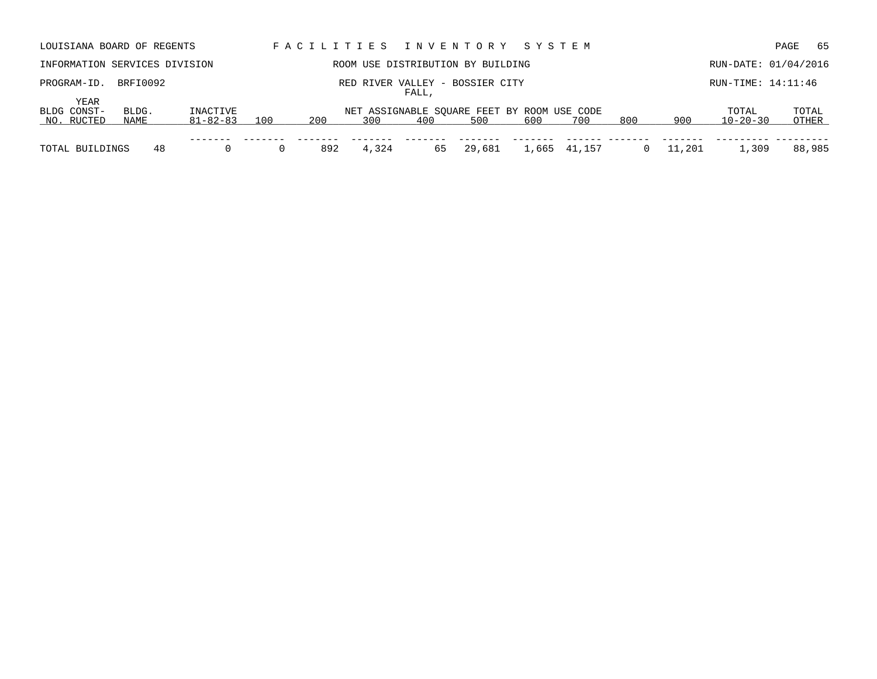| LOUISIANA BOARD OF REGENTS        |               |                      |     |     |       |       | FACILITIES INVENTORY SYSTEM                        |     |              |     |        |                         | 65<br>PAGE           |
|-----------------------------------|---------------|----------------------|-----|-----|-------|-------|----------------------------------------------------|-----|--------------|-----|--------|-------------------------|----------------------|
| INFORMATION SERVICES DIVISION     |               |                      |     |     |       |       | ROOM USE DISTRIBUTION BY BUILDING                  |     |              |     |        |                         | RUN-DATE: 01/04/2016 |
| PROGRAM-ID.                       | BRFI0092      |                      |     |     |       | FALL, | RED RIVER VALLEY - BOSSIER CITY                    |     |              |     |        | RUN-TIME: 14:11:46      |                      |
| YEAR<br>BLDG CONST-<br>NO. RUCTED | BLDG.<br>NAME | INACTIVE<br>81-82-83 | 100 | 200 | 300   | 400   | NET ASSIGNABLE SOUARE FEET BY ROOM USE CODE<br>500 | 600 | 700          | 800 | 900    | TOTAL<br>$10 - 20 - 30$ | TOTAL<br>OTHER       |
| TOTAL BUILDINGS                   | 48            |                      |     | 892 | 4,324 | 65    | 29,681                                             |     | 1,665 41,157 |     | 11,201 | 1,309                   | 88,985               |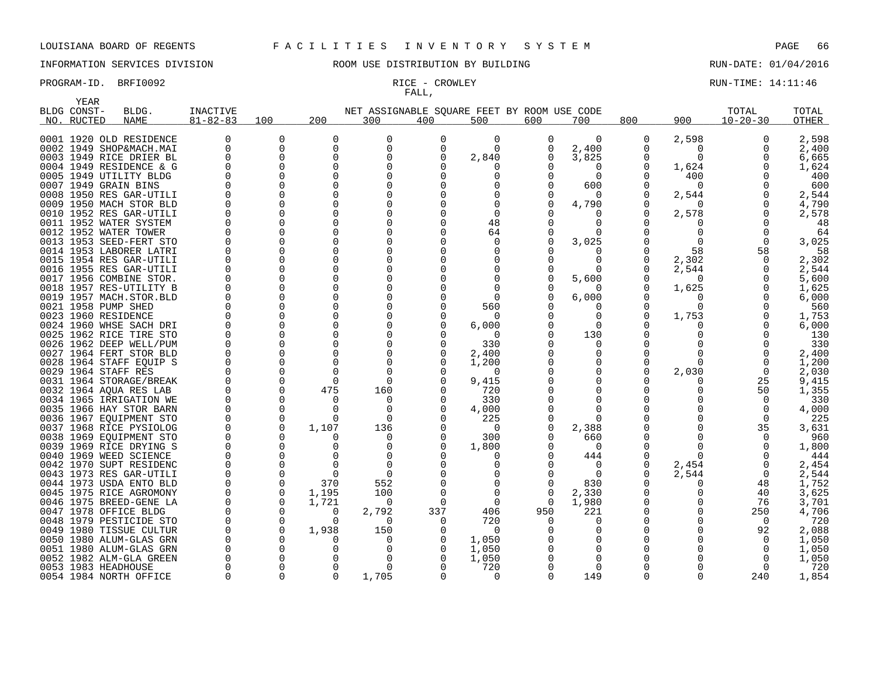# INFORMATION SERVICES DIVISION ROOM USE DISTRIBUTION BY BUILDING RUN-DATE: 01/04/2016

# FALL,

PROGRAM-ID. BRFI0092 **RICE - CROWLEY RUN-TIME: 14:11:46** ROGRAM-ID. BRFI0092

| YEAR        |                         |                 |             |              |          |                                             |              |          |          |          |          |                |       |
|-------------|-------------------------|-----------------|-------------|--------------|----------|---------------------------------------------|--------------|----------|----------|----------|----------|----------------|-------|
| BLDG CONST- | BLDG.                   | <b>INACTIVE</b> |             |              |          | NET ASSIGNABLE SQUARE FEET BY ROOM USE CODE |              |          |          |          |          | TOTAL          | TOTAL |
| NO. RUCTED  | NAME                    | $81 - 82 - 83$  | 100         | 200          | 300      | 400                                         | 500          | 600      | 700      | 800      | 900      | $10 - 20 - 30$ | OTHER |
|             |                         |                 |             |              |          |                                             |              |          |          |          |          |                |       |
|             | 0001 1920 OLD RESIDENCE | $\Omega$        | 0           | <sup>0</sup> | O        | 0                                           | $\Omega$     | 0        | $\Omega$ | 0        | 2,598    | $\Omega$       | 2,598 |
|             | 0002 1949 SHOP&MACH.MAI | $\Omega$        | $\mathbf 0$ | 0            | $\Omega$ | $\Omega$                                    | $\Omega$     | 0        | 2,400    | 0        | $\Omega$ | $\Omega$       | 2,400 |
|             | 0003 1949 RICE DRIER BL | ∩               | $\Omega$    | O            |          | U                                           | 2,840        | 0        | 3,825    | 0        | $\Omega$ |                | 6,665 |
|             | 0004 1949 RESIDENCE & G |                 | 0           | 0            |          |                                             |              |          | 0        | 0        | 1,624    |                | 1,624 |
|             | 0005 1949 UTILITY BLDG  |                 | $\Omega$    | U            |          |                                             |              |          | $\Omega$ | 0        | 400      |                | 400   |
|             | 0007 1949 GRAIN BINS    |                 | $\Omega$    | U            |          |                                             |              |          | 600      | O        | $\Omega$ |                | 600   |
|             | 0008 1950 RES GAR-UTILI |                 | $\Omega$    | O            |          |                                             |              |          | $\Omega$ | 0        | 2,544    |                | 2,544 |
|             | 0009 1950 MACH STOR BLD |                 | 0           | O            |          |                                             |              |          | 4,790    | O        | $\Omega$ |                | 4,790 |
|             | 0010 1952 RES GAR-UTILI |                 | 0           | O            |          |                                             | <sup>0</sup> |          | O        | 0        | 2,578    |                | 2,578 |
|             | 0011 1952 WATER SYSTEM  |                 | $\Omega$    | U            |          |                                             | 48           |          | O        | O        |          |                | 48    |
|             | 0012 1952 WATER TOWER   |                 | $\Omega$    |              |          |                                             | 64           |          | $\Omega$ | O        | U        |                | 64    |
|             | 0013 1953 SEED-FERT STO |                 | $\Omega$    |              |          |                                             | <sup>0</sup> |          | 3,025    | O        |          |                | 3,025 |
|             | 0014 1953 LABORER LATRI |                 | $\Omega$    | U            |          |                                             |              |          |          | O        | 58       | 58             | 58    |
|             | 0015 1954 RES GAR-UTILI |                 | $\Omega$    |              |          |                                             |              |          | $\Omega$ | O        | 2,302    |                | 2,302 |
|             | 0016 1955 RES GAR-UTILI |                 | $\Omega$    | O            |          |                                             |              |          | $\Omega$ | O        | 2,544    |                | 2,544 |
|             | 0017 1956 COMBINE STOR. |                 | $\Omega$    | ∩            |          |                                             |              |          | 5,600    | 0        | $\Omega$ |                | 5,600 |
|             | 0018 1957 RES-UTILITY B |                 | 0           | 0            |          |                                             |              |          |          | 0        | 1,625    |                | 1,625 |
|             | 0019 1957 MACH.STOR.BLD |                 | $\Omega$    | O            |          |                                             | $\Omega$     |          | 6,000    | 0        | O        |                | 6,000 |
|             | 0021 1958 PUMP SHED     |                 | $\Omega$    | ∩            |          |                                             | 560          |          |          | O        | $\Omega$ |                | 560   |
|             | 0023 1960 RESIDENCE     |                 | $\Omega$    |              |          |                                             | $\Omega$     |          | $\Omega$ | 0        | 1,753    |                | 1,753 |
|             | 0024 1960 WHSE SACH DRI |                 | $\Omega$    |              |          |                                             | 6,000        |          | $\Omega$ | O        |          |                | 6,000 |
|             | 0025 1962 RICE TIRE STO |                 | $\Omega$    | O            |          |                                             | $\Omega$     |          | 130      | 0        |          |                | 130   |
|             | 0026 1962 DEEP WELL/PUM |                 | $\Omega$    | O            |          |                                             | 330          |          | ∩        | O        |          |                | 330   |
|             | 0027 1964 FERT STOR BLD |                 | $\Omega$    | O            |          | O                                           | 2,400        |          | $\Omega$ | O        |          |                | 2,400 |
|             | 0028 1964 STAFF EQUIP S |                 | $\Omega$    |              |          |                                             | 1,200        |          | O        | 0        | U        |                | 1,200 |
|             | 0029 1964 STAFF RES     |                 | $\Omega$    |              |          |                                             | $\Omega$     |          | $\Omega$ | O        | 2,030    | $\Omega$       | 2,030 |
|             | 0031 1964 STORAGE/BREAK |                 | $\Omega$    | O            | $\Omega$ |                                             | 9,415        |          | O        | O        | O        | 25             | 9,415 |
|             | 0032 1964 AQUA RES LAB  |                 | $\Omega$    | 475          | 160      |                                             | 720          |          | O        | O        |          | 50             | 1,355 |
|             | 0034 1965 IRRIGATION WE |                 | $\Omega$    | O            | $\Omega$ | O                                           | 330          |          | $\Omega$ | O        |          | $\Omega$       | 330   |
|             | 0035 1966 HAY STOR BARN |                 | $\Omega$    | ∩            | $\Omega$ |                                             | 4,000        |          | $\Omega$ | O        |          |                | 4,000 |
|             | 0036 1967 EQUIPMENT STO |                 | 0           | $\Omega$     | $\Omega$ |                                             | 225          |          | $\Omega$ |          |          | $\Omega$       | 225   |
|             | 0037 1968 RICE PYSIOLOG |                 | $\Omega$    | 1,107        | 136      |                                             | $\Omega$     |          | 2,388    | O        |          | 35             | 3,631 |
|             | 0038 1969 EQUIPMENT STO |                 | 0           |              | $\Omega$ | 0                                           | 300          |          | 660      | 0        |          |                | 960   |
|             | 0039 1969 RICE DRYING S |                 | $\Omega$    |              | O        |                                             | 1,800        |          | $\Omega$ | O        |          |                | 1,800 |
|             | 0040 1969 WEED SCIENCE  |                 | $\Omega$    |              |          |                                             |              |          | 444      | 0        | ∩        |                | 444   |
|             | 0042 1970 SUPT RESIDENC |                 | 0           |              |          |                                             |              |          | 0        | 0        | 2,454    |                | 2,454 |
|             | 0043 1973 RES GAR-UTILI |                 | $\Omega$    |              |          |                                             |              |          | $\Omega$ | O        | 2,544    | $\Omega$       | 2,544 |
|             | 0044 1973 USDA ENTO BLD |                 | 0           | 370          | 552      |                                             |              |          | 830      | 0        | O        | 48             | 1,752 |
|             | 0045 1975 RICE AGROMONY |                 | $\Omega$    | 1,195        | 100      |                                             | <sup>n</sup> |          | 2,330    | $\Omega$ |          | 40             | 3,625 |
|             | 0046 1975 BREED-GENE LA |                 | $\Omega$    | 1,721        | $\Omega$ | $\Omega$                                    | $\Omega$     | $\Omega$ | 1,980    | 0        |          | 76             | 3,701 |
|             | 0047 1978 OFFICE BLDG   |                 | 0           | 0            | 2,792    | 337                                         | 406          | 950      | 221      | 0        |          | 250            | 4,706 |
|             | 0048 1979 PESTICIDE STO |                 | 0           | 0            | $\Omega$ | $\Omega$                                    | 720          |          | O        | 0        |          | $\Omega$       | 720   |
|             | 0049 1980 TISSUE CULTUR |                 | 0           | 1,938        | 150      | 0                                           | $\Omega$     |          | 0        | 0        |          | 92             | 2,088 |
|             | 0050 1980 ALUM-GLAS GRN |                 | $\Omega$    |              | O        | O                                           | 1,050        |          | O        | O        |          | $\Omega$       | 1,050 |
|             | 0051 1980 ALUM-GLAS GRN |                 | $\Omega$    |              |          | O                                           | 1,050        |          | $\Omega$ | O        |          | $\Omega$       | 1,050 |
|             | 0052 1982 ALM-GLA GREEN |                 | $\Omega$    |              |          |                                             | 1,050        |          | $\Omega$ | O        |          |                | 1,050 |
|             | 0053 1983 HEADHOUSE     |                 | $\Omega$    | ∩            | $\Omega$ |                                             | 720          |          | $\Omega$ | O        |          |                | 720   |
|             | 0054 1984 NORTH OFFICE  |                 | $\cap$      | $\Omega$     | 1,705    |                                             | $\Omega$     |          | 149      | O        |          | 240            | 1,854 |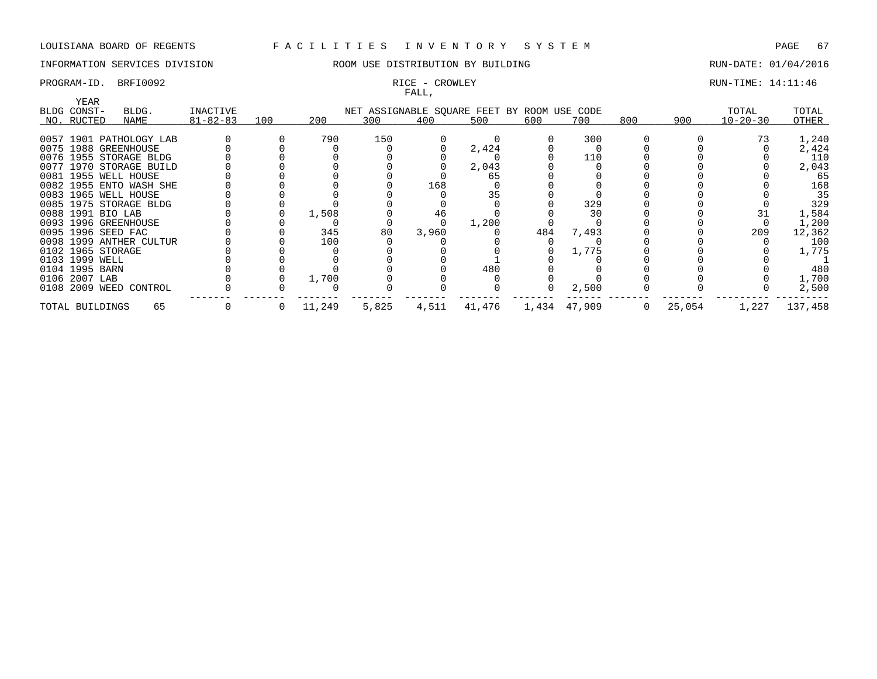# INFORMATION SERVICES DIVISION **REDEFILMENTION BY BUILDING RUN-DATE: 01/04/2016**

# FALL,

## PROGRAM-ID. BRFI0092 **RICE - CROWLEY RUN-TIME:** 14:11:46

|                         |       |                |     |        |                                             | .     |        |     |              |     |        |                |         |
|-------------------------|-------|----------------|-----|--------|---------------------------------------------|-------|--------|-----|--------------|-----|--------|----------------|---------|
| YEAR<br>BLDG CONST-     | BLDG. | INACTIVE       |     |        | NET ASSIGNABLE SQUARE FEET BY ROOM USE CODE |       |        |     |              |     |        | TOTAL          | TOTAL   |
| NO. RUCTED              | NAME  | $81 - 82 - 83$ | 100 | 200    | 300                                         | 400   | 500    | 600 | 700          | 800 | 900    | $10 - 20 - 30$ | OTHER   |
|                         |       |                |     |        |                                             |       |        |     |              |     |        |                |         |
| 0057 1901 PATHOLOGY LAB |       |                |     | 790    | 150                                         |       |        |     | 300          |     |        |                | 1,240   |
| 0075 1988 GREENHOUSE    |       |                |     |        |                                             |       | 2,424  |     |              |     |        |                | 2,424   |
| 0076 1955 STORAGE BLDG  |       |                |     |        |                                             |       |        |     | 110          |     |        |                | 110     |
| 0077 1970 STORAGE BUILD |       |                |     |        |                                             |       | 2,043  |     |              |     |        |                | 2,043   |
| 0081 1955 WELL HOUSE    |       |                |     |        |                                             |       | 65     |     |              |     |        |                | 65      |
| 0082 1955 ENTO WASH SHE |       |                |     |        |                                             | 168   |        |     |              |     |        |                | 168     |
| 0083 1965 WELL HOUSE    |       |                |     |        |                                             |       | 35     |     |              |     |        |                | 35      |
| 0085 1975 STORAGE BLDG  |       |                |     |        |                                             |       |        |     | 329          |     |        |                | 329     |
| 0088 1991 BIO LAB       |       |                |     | 1,508  |                                             | 46    |        |     | 30           |     |        |                | 1,584   |
| 0093 1996 GREENHOUSE    |       |                |     |        |                                             |       | 1,200  |     |              |     |        |                | 1,200   |
| 0095 1996 SEED FAC      |       |                |     | 345    | 80                                          | 3,960 |        | 484 | 7,493        |     |        | 209            | 12,362  |
| 0098 1999 ANTHER CULTUR |       |                |     | 100    |                                             |       |        |     |              |     |        |                | 100     |
| 0102 1965 STORAGE       |       |                |     |        |                                             |       |        |     | 1,775        |     |        |                | 1,775   |
| 0103 1999 WELL          |       |                |     |        |                                             |       |        |     |              |     |        |                |         |
| 0104 1995 BARN          |       |                |     |        |                                             |       | 480    |     |              |     |        |                | 480     |
| 0106 2007 LAB           |       |                |     | 1,700  |                                             |       |        |     |              |     |        |                | 1,700   |
| 0108 2009 WEED CONTROL  |       |                |     |        |                                             |       |        |     | 2,500        |     |        |                | 2,500   |
| TOTAL BUILDINGS         | 65    |                | 0   | 11,249 | 5,825                                       | 4,511 | 41,476 |     | 1,434 47,909 |     | 25,054 | 1,227          | 137,458 |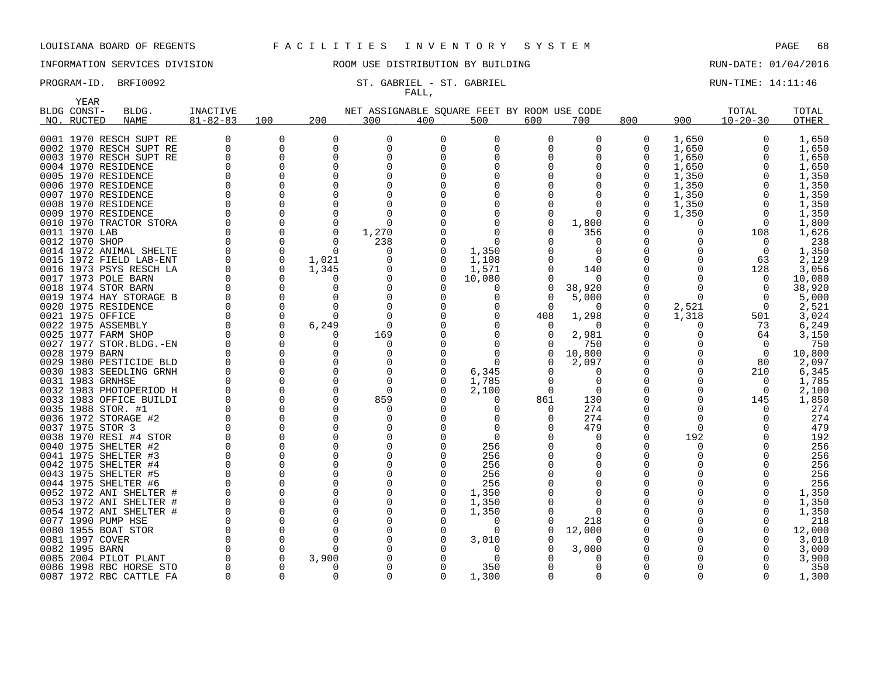### PROGRAM-ID. BRFI0092 ST. GABRIEL - ST. GABRIEL - ST. GABRIEL ST. GABRIEL RUN-TIME: 14:11:46 FALL,

|      | YEAR             |                                               |                      |                      |               |                                             |          |                   |          |                      |              |              |                |                 |
|------|------------------|-----------------------------------------------|----------------------|----------------------|---------------|---------------------------------------------|----------|-------------------|----------|----------------------|--------------|--------------|----------------|-----------------|
|      | BLDG CONST-      | BLDG.                                         | <b>INACTIVE</b>      |                      |               | NET ASSIGNABLE SQUARE FEET BY ROOM USE CODE |          |                   |          |                      |              |              | TOTAL          | TOTAL           |
|      | NO. RUCTED       | <b>NAME</b>                                   | $81 - 82 - 83$       | 100                  | 200           | 300                                         | 400      | 500               | 600      | 700                  | 800          | 900          | $10 - 20 - 30$ | OTHER           |
|      |                  |                                               |                      |                      |               |                                             |          |                   |          |                      |              |              |                |                 |
|      |                  | 0001 1970 RESCH SUPT RE                       | 0                    | 0                    | $\Omega$      | 0                                           | $\Omega$ | 0                 | 0        | 0                    | 0            | 1,650        | 0              | 1,650           |
|      |                  | 0002 1970 RESCH SUPT RE                       | 0                    | $\Omega$             | $\Omega$      | $\Omega$                                    | $\Omega$ | $\Omega$          | 0        | $\Omega$             | 0            | 1,650        | $\Omega$       | 1,650           |
|      |                  | 0003 1970 RESCH SUPT RE                       | 0                    | 0                    | $\Omega$      | $\Omega$                                    |          | $\Omega$          | O        | O                    | 0            | 1,650        | O              | 1,650           |
|      |                  | 0004 1970 RESIDENCE                           | O                    | $\Omega$             | $\Omega$      | $\Omega$                                    |          | <sup>0</sup>      |          | $\Omega$             | 0            | 1,650        |                | 1,650           |
|      |                  | 0005 1970 RESIDENCE                           | ∩                    | O                    | ∩             |                                             |          |                   |          | ∩                    | O            | 1,350        |                | 1,350           |
|      |                  | 0006 1970 RESIDENCE                           | O                    | $\Omega$             | $\Omega$      |                                             |          |                   |          | $\Omega$             | 0            | 1,350        | $\Omega$       | 1,350           |
|      |                  | 0007 1970 RESIDENCE                           | U                    | O                    | ∩             |                                             |          |                   |          | O                    | 0            | 1,350        | O              | 1,350           |
|      |                  | 0008 1970 RESIDENCE                           | 0                    | 0                    | $\Omega$      | 0                                           |          |                   |          | 0                    | 0            | 1,350        | $\Omega$       | 1,350           |
|      |                  | 0009 1970 RESIDENCE                           |                      | $\Omega$             | ∩             |                                             |          |                   |          | $\Omega$             | 0            | 1,350        | $\Omega$       | 1,350           |
|      |                  | 0010 1970 TRACTOR STORA                       | $\Omega$             | $\Omega$             | $\Omega$      | $\Omega$                                    |          |                   | 0        | 1,800                | <sup>0</sup> | 0            | $\Omega$       | 1,800           |
|      | 0011 1970 LAB    |                                               | $\Omega$             | 0                    | $\Omega$      | 1,270                                       |          | $\Omega$          |          | 356                  | 0            | 0            | 108            | 1,626           |
|      | 0012 1970 SHOP   |                                               | $\Omega$             | 0                    | ∩             | 238                                         |          | ∩                 |          | n                    | O            | O            | $\Omega$       | 238             |
|      |                  | 0014 1972 ANIMAL SHELTE                       | $\Omega$             | 0                    | $\Omega$      | 0                                           |          | 1,350             |          | $\Omega$             | 0            |              | $\Omega$       | 1,350           |
|      |                  | 0015 1972 FIELD LAB-ENT                       | $\Omega$             | $\Omega$             | 1,021         |                                             |          | 1,108             |          | $\Omega$             | O            |              | 63             | 2,129           |
|      |                  | 0016 1973 PSYS RESCH LA                       | 0                    | 0                    | 1,345         | 0                                           | O        | 1,571             |          | 140                  | 0            | <sup>0</sup> | 128            | 3,056           |
|      |                  | 0017 1973 POLE BARN                           |                      | 0                    | ∩             | <sup>0</sup>                                |          | 10,080            | 0        | $\Omega$             | 0            | ∩            | $\Omega$       | 10,080          |
|      |                  | 0018 1974 STOR BARN                           |                      | $\Omega$             | ∩             |                                             |          | $\Omega$          | $\Omega$ | 38,920               | O            | U            | $\Omega$       | 38,920          |
|      |                  | 0019 1974 HAY STORAGE B                       | O                    | 0                    | $\Omega$      | $\Omega$                                    |          | $\Omega$          | 0        | 5,000                | 0            | $\Omega$     | $\Omega$       | 5,000           |
|      |                  | 0020 1975 RESIDENCE                           | U                    | $\Omega$             | ∩             | $\Omega$                                    |          | $\Omega$          | $\Omega$ | $\Omega$             | 0            | 2,521        | $\Omega$       | 2,521           |
| 0021 | 1975 OFFICE      |                                               | $\Omega$             | 0                    | O             | 0                                           |          | $\Omega$          | 408      | 1,298                | 0            | 1,318        | 501            | 3,024           |
|      |                  | 0022 1975 ASSEMBLY                            | $\Omega$             | 0                    | 6,249         | $\Omega$                                    |          |                   | 0        | $\Omega$             | <sup>0</sup> | O            | 73             | 6,249           |
|      |                  | 0025 1977 FARM SHOP                           | $\Omega$             | $\Omega$             | O             | 169                                         |          |                   | 0        | 2,981                | 0            | 0            | 64             | 3,150           |
|      |                  | 0027 1977 STOR. BLDG. - EN                    | O                    | 0                    | $\Omega$      | $\Omega$                                    |          |                   | 0        | 750                  | 0            |              | $\Omega$       | 750             |
|      | 0028 1979 BARN   |                                               |                      | $\Omega$             | ∩             | <sup>0</sup>                                |          | ∩                 | 0        | 10,800               | 0            | <sup>0</sup> | $\Omega$       | 10,800          |
|      |                  | 0029 1980 PESTICIDE BLD                       | $\Omega$             | $\Omega$             |               |                                             |          | $\Omega$          |          | 2,097                | 0            | <sup>0</sup> | 80             | 2,097           |
|      |                  | 0030 1983 SEEDLING GRNH                       | $\Omega$             | O                    | ∩             | <sup>0</sup>                                |          | 6,345             | 0        | $\Omega$             | <sup>0</sup> | <sup>0</sup> | 210            | 6,345           |
|      | 0031 1983 GRNHSE |                                               | $\Omega$             | $\Omega$             | O             | 0                                           |          | 1,785             | 0        | $\Omega$             | 0            |              | 0              | 1,785           |
|      |                  | 0032 1983 PHOTOPERIOD H                       | $\Omega$             | O                    | ∩             | $\Omega$                                    |          | 2,100             | $\Omega$ | $\Omega$             | O            | U            | $\Omega$       | 2,100           |
|      |                  | 0033 1983 OFFICE BUILDI                       | $\Omega$             | $\Omega$             | $\Omega$      | 859                                         |          | 0                 | 861      | 130                  | 0            | <sup>0</sup> | 145            | 1,850           |
|      |                  | 0035 1988 STOR. #1                            | $\cap$               | $\Omega$             | $\Omega$      | <sup>0</sup>                                |          | <sup>0</sup>      | 0        | 274                  | O            | <sup>0</sup> |                | 274             |
|      |                  | 0036 1972 STORAGE #2                          | $\Omega$             | $\Omega$             | ∩             | O                                           |          | <sup>0</sup>      | O        | 274                  | O            | <sup>0</sup> |                | 274             |
|      | 0037 1975 STOR 3 |                                               |                      | $\Omega$             | $\Omega$<br>∩ | O                                           |          | $\Omega$          |          | 479                  | 0            | $\Omega$     |                | 479             |
|      |                  | 0038 1970 RESI #4 STOR                        | $\Omega$             | $\Omega$             |               |                                             |          | $\Omega$          |          | $\Omega$             | <sup>0</sup> | 192          |                | 192             |
|      |                  | 0040 1975 SHELTER #2                          | $\Omega$             | 0                    |               | $\Omega$                                    |          | 256               |          | 0                    | 0            | 0            |                | 256             |
|      |                  | 0041 1975 SHELTER #3                          | $\Omega$<br>$\Omega$ | $\Omega$<br>$\Omega$ | O             | $\Omega$                                    |          | 256               |          | $\Omega$<br>$\Omega$ | O            |              |                | 256             |
|      |                  | 0042 1975 SHELTER #4                          | $\Omega$             | $\Omega$             | ∩             | $\Omega$<br>$\Omega$                        |          | 256               |          | O                    | 0<br>O       |              |                | 256             |
|      |                  | 0043 1975 SHELTER #5                          | $\Omega$             | $\Omega$             | ∩             | <sup>0</sup>                                |          | 256               |          | O                    | O            |              |                | 256             |
|      |                  | 0044 1975 SHELTER #6                          | O                    |                      | $\Omega$      |                                             |          | 256               |          |                      |              |              |                | 256             |
|      |                  | 0052 1972 ANI SHELTER #                       | $\Omega$             | 0<br>$\Omega$        | ∩             | $\Omega$                                    |          | 1,350             |          | O                    | 0<br>O       |              |                | 1,350           |
|      |                  | 0053 1972 ANI SHELTER                         | O                    |                      |               |                                             |          | 1,350             |          | $\Omega$<br>$\Omega$ |              |              |                | 1,350           |
|      |                  | 0054 1972 ANI SHELTER #<br>0077 1990 PUMP HSE | $\Omega$             | 0<br>$\Omega$        | ∩             | $\Omega$                                    |          | 1,350<br>$\Omega$ |          | 218                  | 0<br>O       |              |                | 1,350<br>218    |
|      |                  |                                               | $\Omega$             | 0                    | O             |                                             |          |                   |          |                      |              |              |                |                 |
|      | 0081 1997 COVER  | 0080 1955 BOAT STOR                           | $\cap$               | $\Omega$             | ∩             | 0                                           |          | 0                 | 0        | 12,000<br>∩          | 0<br>O       |              |                | 12,000<br>3,010 |
|      | 0082 1995 BARN   |                                               | $\Omega$             | $\Omega$             | ∩             |                                             |          | 3,010<br>$\Omega$ |          | 3,000                | O            |              |                | 3,000           |
|      |                  | 0085 2004 PILOT PLANT                         | O                    | 0                    | 3,900         |                                             |          | $\Omega$          |          | O                    | 0            |              |                | 3,900           |
|      |                  | 0086 1998 RBC HORSE STO                       | $\Omega$             | O                    | n             | <sup>0</sup>                                |          | 350               |          | $\Omega$             | <sup>0</sup> |              |                | 350             |
|      |                  | 0087 1972 RBC CATTLE FA                       | $\Omega$             | $\Omega$             | ∩             | $\Omega$                                    |          | 1,300             | $\Omega$ | $\Omega$             | <sup>0</sup> | $\Omega$     | $\Omega$       | 1,300           |
|      |                  |                                               |                      |                      |               |                                             |          |                   |          |                      |              |              |                |                 |



### INFORMATION SERVICES DIVISION ROOM USE DISTRIBUTION BY BUILDING RUN-DATE: 01/04/2016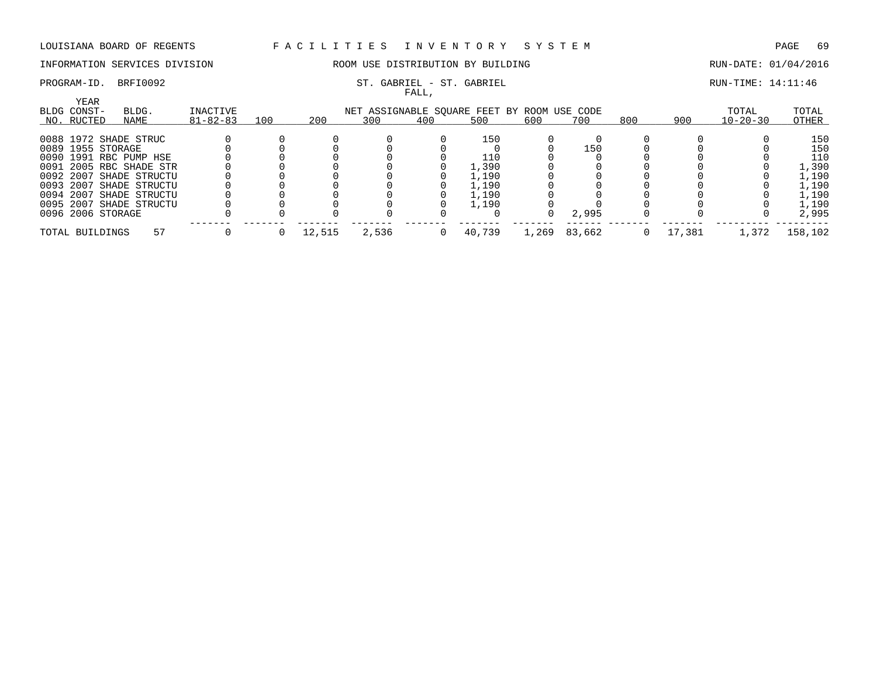# INFORMATION SERVICES DIVISION **ROOM USE DISTRIBUTION BY BUILDING RUN-DATE: 01/04/2016**

### PROGRAM-ID. BRFI0092 ST. GABRIEL - ST. GABRIEL - ST. GABRIEL SERIEL RUN-TIME: 14:11:46 FALL,

| YEAR<br>BLDG CONST- | BLDG.                   | INACTIVE       |     |        | NET ASSIGNABLE SQUARE FEET BY ROOM USE CODE |     |        |       |        |     |        | TOTAL          | TOTAL   |
|---------------------|-------------------------|----------------|-----|--------|---------------------------------------------|-----|--------|-------|--------|-----|--------|----------------|---------|
| NO. RUCTED          | NAME                    | $81 - 82 - 83$ | 100 | 200    | 300                                         | 400 | 500    | 600   | 700    | 800 | 900    | $10 - 20 - 30$ | OTHER   |
|                     | 0088 1972 SHADE STRUC   |                |     |        |                                             |     | 150    |       |        |     |        |                | 150     |
| 0089 1955 STORAGE   |                         |                |     |        |                                             |     |        |       | 150    |     |        |                | 150     |
|                     | 0090 1991 RBC PUMP HSE  |                |     |        |                                             |     | 110    |       |        |     |        |                | 110     |
|                     | 0091 2005 RBC SHADE STR |                |     |        |                                             |     | 1,390  |       |        |     |        |                | 1,390   |
|                     | 0092 2007 SHADE STRUCTU |                |     |        |                                             |     | 1,190  |       |        |     |        |                | 1,190   |
|                     | 0093 2007 SHADE STRUCTU |                |     |        |                                             |     | 1,190  |       |        |     |        |                | 1,190   |
|                     | 0094 2007 SHADE STRUCTU |                |     |        |                                             |     | 1,190  |       |        |     |        |                | 1,190   |
|                     | 0095 2007 SHADE STRUCTU |                |     |        |                                             |     | 1,190  |       |        |     |        |                | 1,190   |
| 0096 2006 STORAGE   |                         |                |     |        |                                             |     |        |       | 2,995  |     |        |                | 2,995   |
| TOTAL BUILDINGS     | 57                      |                |     | 12,515 | 2,536                                       |     | 40,739 | 1,269 | 83,662 |     | 17,381 | 1,372          | 158,102 |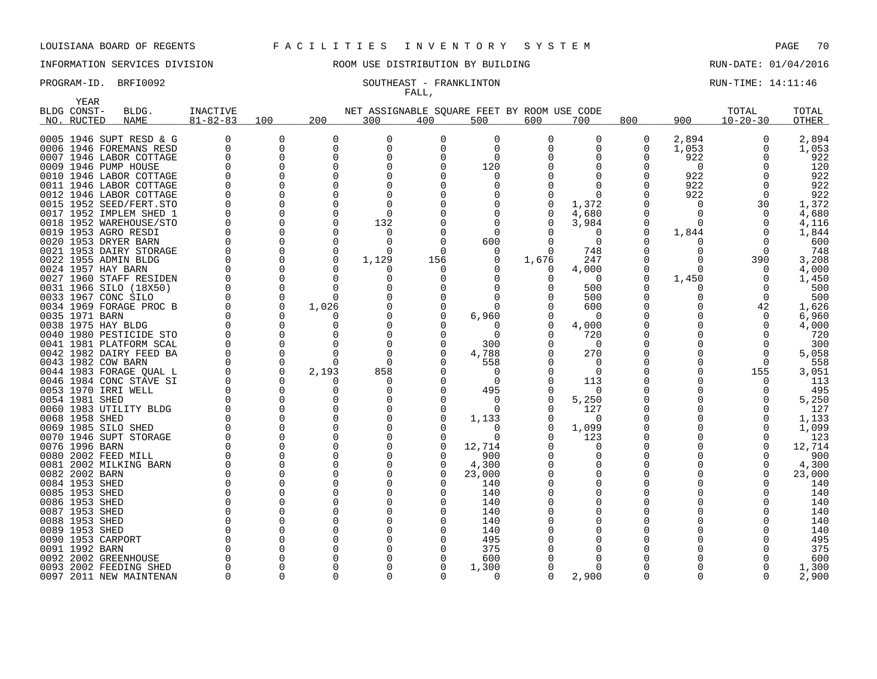# INFORMATION SERVICES DIVISION **REDEFILMENTION BY BUILDING RUN-DATE: 01/04/2016**

# FALL,

PROGRAM-ID. BRFI0092 SOUTHEAST - FRANKLINTON RUN-TIME: 14:11:46

| YEAR           |                         |                 |          |              |                                             |          |          |          |              |     |          |                |        |
|----------------|-------------------------|-----------------|----------|--------------|---------------------------------------------|----------|----------|----------|--------------|-----|----------|----------------|--------|
| BLDG CONST-    | BLDG.                   | <b>INACTIVE</b> |          |              | NET ASSIGNABLE SQUARE FEET BY ROOM USE CODE |          |          |          |              |     |          | TOTAL          | TOTAL  |
| NO. RUCTED     | <b>NAME</b>             | $81 - 82 - 83$  | 100      | 200          | 300                                         | 400      | 500      | 600      | 700          | 800 | 900      | $10 - 20 - 30$ | OTHER  |
|                |                         |                 |          |              |                                             |          |          |          |              |     |          |                |        |
|                | 0005 1946 SUPT RESD & G | O               | 0        | 0            | O                                           | 0        | 0        | $\Omega$ | 0            | 0   | 2,894    | $\Omega$       | 2,894  |
|                | 0006 1946 FOREMANS RESD | $\Omega$        | $\Omega$ | 0            | $\Omega$                                    | $\Omega$ | $\Omega$ |          | 0            | 0   | 1,053    |                | 1,053  |
|                | 0007 1946 LABOR COTTAGE | O               |          | O            | O                                           | O        | 0        |          | O            | O   | 922      |                | 922    |
|                | 0009 1946 PUMP HOUSE    |                 |          | 0            | 0                                           | 0        | 120      |          | <sup>0</sup> | 0   | 0        |                | 120    |
|                | 0010 1946 LABOR COTTAGE |                 |          | ∩            | ∩                                           |          | O        |          |              | O   | 922      |                | 922    |
|                | 0011 1946 LABOR COTTAGE |                 |          | ∩            | <sup>0</sup>                                |          |          |          | ∩            | O   | 922      |                | 922    |
|                | 0012 1946 LABOR COTTAGE |                 |          |              | <sup>0</sup>                                |          |          |          | <sup>0</sup> | O   | 922      |                | 922    |
|                | 0015 1952 SEED/FERT.STO |                 |          |              | <sup>0</sup>                                |          |          |          | 1,372        | O   | ∩        | 30             | 1,372  |
|                | 0017 1952 IMPLEM SHED 1 |                 |          |              | 0                                           |          |          |          | 4,680        | 0   | O        |                | 4,680  |
|                | 0018 1952 WAREHOUSE/STO |                 |          | O            | 132                                         |          |          |          | 3,984        | 0   | ∩        |                | 4,116  |
|                | 0019 1953 AGRO RESDI    |                 |          | ∩            | 0                                           |          | 0        |          | $\Omega$     | 0   | 1,844    |                | 1,844  |
|                | 0020 1953 DRYER BARN    |                 |          | <sup>0</sup> | O                                           |          | 600      |          | $\Omega$     | O   |          |                | 600    |
|                | 0021 1953 DAIRY STORAGE |                 |          | $\Omega$     | <sup>0</sup>                                |          | 0        |          | 748          | 0   |          |                | 748    |
|                | 0022 1955 ADMIN BLDG    |                 |          | ∩            | 1,129                                       | 156      | O        | 1,676    | 247          | O   |          | 390            | 3,208  |
|                | 0024 1957 HAY BARN      |                 |          | <sup>0</sup> | 0                                           | $\Omega$ |          | O        | 4,000        | 0   | $\Omega$ | <sup>0</sup>   | 4,000  |
|                | 0027 1960 STAFF RESIDEN |                 |          |              | O                                           |          |          |          | $\Omega$     | 0   | 1,450    |                | 1,450  |
|                | 0031 1966 SILO (18X50)  |                 |          | $\Omega$     | 0                                           |          |          |          | 500          | 0   | O        |                | 500    |
|                | 0033 1967 CONC SILO     |                 |          | $\Omega$     |                                             |          |          |          | 500          | 0   |          |                | 500    |
|                | 0034 1969 FORAGE PROC B |                 | $\Omega$ | 1,026        |                                             |          |          |          | 600          | O   |          | 42             | 1,626  |
| 0035 1971 BARN |                         |                 |          | <sup>0</sup> | 0                                           |          | 6,960    |          | $\Omega$     | 0   |          | $\Omega$       | 6,960  |
|                | 0038 1975 HAY BLDG      |                 |          |              |                                             |          |          |          | 4,000        | O   |          |                | 4,000  |
|                | 0040 1980 PESTICIDE STO |                 |          |              | $\Omega$                                    |          | $\Omega$ |          | 720          | 0   |          |                | 720    |
|                | 0041 1981 PLATFORM SCAL |                 |          |              | $\Omega$                                    |          | 300      |          | $\Omega$     | O   |          |                | 300    |
|                | 0042 1982 DAIRY FEED BA |                 |          | ∩            | $\Omega$                                    |          | 4,788    |          | 270          | Ω   |          | n              | 5,058  |
|                | 0043 1982 COW BARN      |                 |          |              | $\Omega$                                    |          | 558      |          | O            | 0   |          |                | 558    |
|                | 0044 1983 FORAGE QUAL L |                 | $\Omega$ | 2,193        | 858                                         |          | 0        |          | $\Omega$     |     |          | 155            | 3,051  |
|                | 0046 1984 CONC STAVE SI |                 |          | O            | <sup>0</sup>                                |          | 0        |          | 113          |     |          |                | 113    |
|                | 0053 1970 IRRI WELL     |                 |          |              | O                                           |          | 495      |          | 0            | 0   |          |                | 495    |
| 0054 1981 SHED |                         |                 |          | O            | O                                           |          | 0        |          | 5,250        | 0   |          |                | 5,250  |
|                | 0060 1983 UTILITY BLDG  |                 |          | ∩            | O                                           |          | ∩        |          | 127          | O   |          |                | 127    |
| 0068 1958 SHED |                         |                 |          | n            | $\Omega$                                    |          | 1,133    |          | $\Omega$     | O   |          |                | 1,133  |
|                | 0069 1985 SILO SHED     |                 |          |              | ∩                                           |          | O        |          | 1,099        | O   |          |                | 1,099  |
|                | 0070 1946 SUPT STORAGE  |                 |          |              | O                                           |          | $\Omega$ |          | 123          | 0   |          |                | 123    |
| 0076 1996 BARN |                         |                 |          |              |                                             |          | 12,714   |          | O            | O   |          |                | 12,714 |
|                | 0080 2002 FEED MILL     |                 |          | O            | $\Omega$                                    |          | 900      |          | O            | 0   |          |                | 900    |
|                | 0081 2002 MILKING BARN  |                 |          | O            | 0                                           |          | 4,300    |          | <sup>0</sup> | 0   |          |                | 4,300  |
| 0082 2002 BARN |                         |                 |          |              |                                             |          | 23,000   |          |              | O   |          |                | 23,000 |
| 0084 1953 SHED |                         |                 |          |              | $\Omega$                                    |          | 140      |          | O            |     |          |                | 140    |
| 0085 1953 SHED |                         |                 |          |              |                                             |          | 140      |          |              |     |          |                | 140    |
| 0086 1953 SHED |                         |                 |          | O            | 0                                           |          | 140      |          | O            | 0   |          |                | 140    |
| 0087 1953 SHED |                         |                 |          |              |                                             |          | 140      |          |              | O   |          |                | 140    |
| 0088 1953 SHED |                         |                 |          |              | U                                           |          | 140      |          |              |     |          |                | 140    |
| 0089 1953 SHED |                         |                 |          |              |                                             |          | 140      |          |              | 0   |          |                | 140    |
|                | 0090 1953 CARPORT       |                 |          |              |                                             |          | 495      |          |              | O   |          |                | 495    |
| 0091 1992 BARN |                         |                 |          |              |                                             |          | 375      |          |              |     |          |                | 375    |
|                | 0092 2002 GREENHOUSE    |                 |          |              |                                             |          | 600      |          |              |     |          |                | 600    |
|                | 0093 2002 FEEDING SHED  |                 |          |              | U                                           |          | 1,300    |          | <sup>0</sup> |     |          |                | 1,300  |
|                | 0097 2011 NEW MAINTENAN | n               |          |              | $\Omega$                                    |          | 0        |          | 2,900        | U   | ∩        |                | 2,900  |
|                |                         |                 |          |              |                                             |          |          |          |              |     |          |                |        |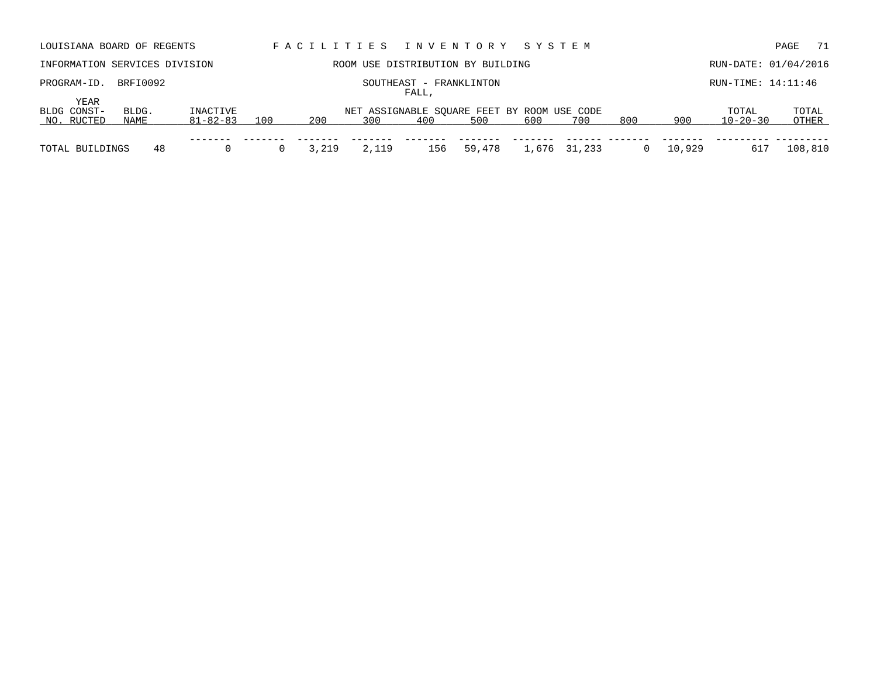| LOUISIANA BOARD OF REGENTS        |               |                      |     |       |       |                                  | FACILITIES INVENTORY                               | SYSTEM |              |     |        |                         | 71<br>PAGE     |
|-----------------------------------|---------------|----------------------|-----|-------|-------|----------------------------------|----------------------------------------------------|--------|--------------|-----|--------|-------------------------|----------------|
| INFORMATION SERVICES DIVISION     |               |                      |     |       |       |                                  | ROOM USE DISTRIBUTION BY BUILDING                  |        |              |     |        | RUN-DATE: 01/04/2016    |                |
| PROGRAM-ID.                       | BRFI0092      |                      |     |       |       | SOUTHEAST - FRANKLINTON<br>FALL, |                                                    |        |              |     |        | RUN-TIME: 14:11:46      |                |
| YEAR<br>BLDG CONST-<br>NO. RUCTED | BLDG.<br>NAME | INACTIVE<br>81-82-83 | 100 | 200   | 300   | 400                              | NET ASSIGNABLE SOUARE FEET BY ROOM USE CODE<br>500 | 600    | 700          | 800 | 900    | TOTAL<br>$10 - 20 - 30$ | TOTAL<br>OTHER |
| TOTAL BUILDINGS                   | 48            |                      |     | 3,219 | 2,119 | 156                              | 59,478                                             |        | 1,676 31,233 |     | 10,929 | 617                     | 108,810        |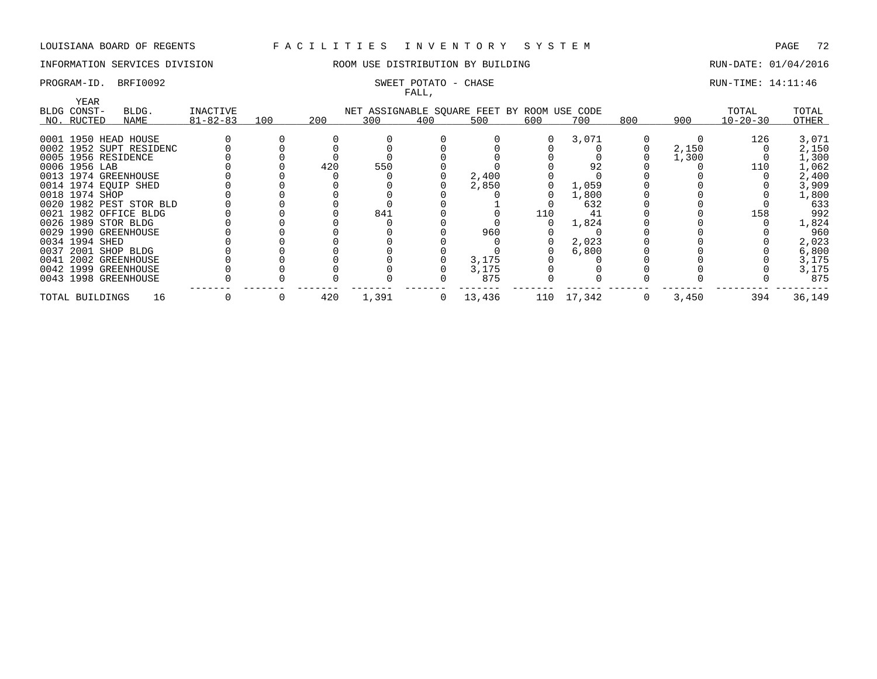# INFORMATION SERVICES DIVISION **ROOM USE DISTRIBUTION BY BUILDING RUN-DATE: 01/04/2016**

# FALL,

# PROGRAM-ID. BRFI0092 SWEET POTATO - CHASE SERVICES SOMET POTATO - CHASE RUN-TIME: 14:11:46

| YEAR                  |                         |                |     |     |       | .   |                                             |     |            |     |       |                |        |
|-----------------------|-------------------------|----------------|-----|-----|-------|-----|---------------------------------------------|-----|------------|-----|-------|----------------|--------|
| BLDG CONST-           | BLDG.                   | INACTIVE       |     |     |       |     | NET ASSIGNABLE SQUARE FEET BY ROOM USE CODE |     |            |     |       | TOTAL          | TOTAL  |
| NO. RUCTED            | NAME                    | $81 - 82 - 83$ | 100 | 200 | 300   | 400 | 500                                         | 600 | 700        | 800 | 900   | $10 - 20 - 30$ | OTHER  |
|                       |                         |                |     |     |       |     |                                             |     |            |     |       |                |        |
| 0001 1950 HEAD HOUSE  |                         |                |     |     |       |     |                                             |     | 3,071      |     |       | 126            | 3,071  |
|                       | 0002 1952 SUPT RESIDENC |                |     |     |       |     |                                             |     |            |     | 2,150 |                | 2,150  |
| 0005 1956 RESIDENCE   |                         |                |     |     |       |     |                                             |     |            |     | 1,300 |                | 1,300  |
| 0006 1956 LAB         |                         |                |     | 420 | 550   |     |                                             |     | 92         |     |       | 110            | 1,062  |
| 0013 1974 GREENHOUSE  |                         |                |     |     |       |     | 2,400                                       |     |            |     |       |                | 2,400  |
| 0014 1974 EQUIP SHED  |                         |                |     |     |       |     | 2,850                                       |     | 1,059      |     |       |                | 3,909  |
| 0018 1974 SHOP        |                         |                |     |     |       |     |                                             |     | 1,800      |     |       |                | 1,800  |
|                       | 0020 1982 PEST STOR BLD |                |     |     |       |     |                                             |     | 632        |     |       |                | 633    |
| 0021 1982 OFFICE BLDG |                         |                |     |     | 841   |     |                                             | 110 | 41         |     |       | 158            | 992    |
| 0026 1989 STOR BLDG   |                         |                |     |     |       |     |                                             |     | 1,824      |     |       |                | 1,824  |
| 0029 1990 GREENHOUSE  |                         |                |     |     |       |     | 960                                         |     |            |     |       |                | 960    |
| 0034 1994 SHED        |                         |                |     |     |       |     |                                             |     | 2,023      |     |       |                | 2,023  |
| 0037 2001 SHOP BLDG   |                         |                |     |     |       |     |                                             |     | 6,800      |     |       |                | 6,800  |
| 0041 2002 GREENHOUSE  |                         |                |     |     |       |     | 3,175                                       |     |            |     |       |                | 3,175  |
| 0042 1999 GREENHOUSE  |                         |                |     |     |       |     | 3,175                                       |     |            |     |       |                | 3,175  |
| 0043 1998 GREENHOUSE  |                         |                |     |     |       |     | 875                                         |     |            |     |       |                | 875    |
| TOTAL BUILDINGS       | 16                      |                |     | 420 | 1,391 |     | $0 \t 13,436$                               |     | 110 17,342 | 0   | 3,450 | 394            | 36,149 |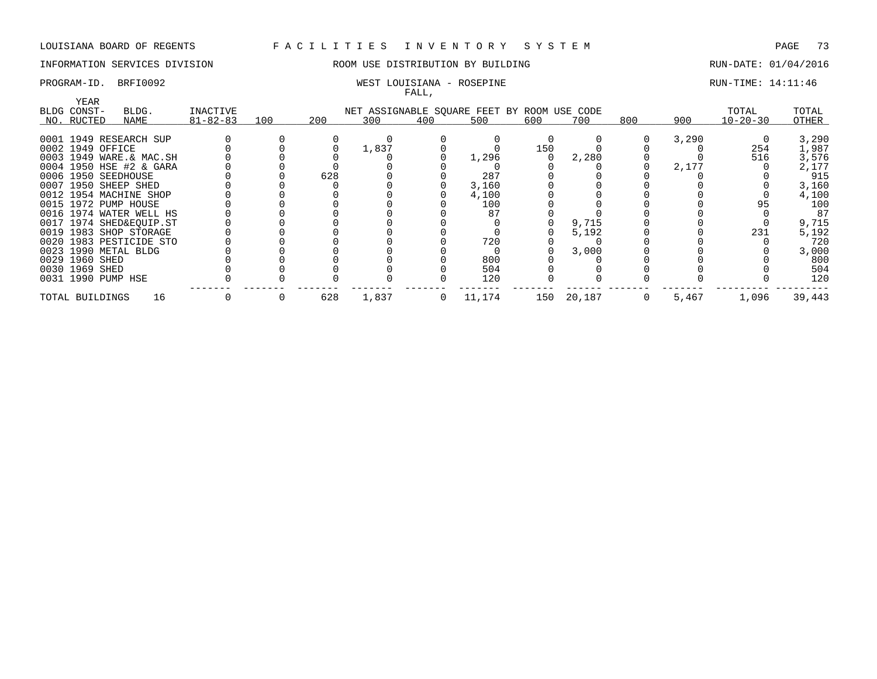## INFORMATION SERVICES DIVISION ROOM USE DISTRIBUTION BY BUILDING RUN-DATE: 01/04/2016

### PROGRAM-ID. BRFI0092 WEST LOUISIANA - ROSEPINE RUN-TIME: 14:11:46 FALL,

| YEAR                |                         |                |     |     |       |     |                                             |     |        |     |       |                |        |
|---------------------|-------------------------|----------------|-----|-----|-------|-----|---------------------------------------------|-----|--------|-----|-------|----------------|--------|
| BLDG CONST-         | BLDG.                   | INACTIVE       |     |     |       |     | NET ASSIGNABLE SQUARE FEET BY ROOM USE CODE |     |        |     |       | TOTAL          | TOTAL  |
| NO. RUCTED          | NAME                    | $81 - 82 - 83$ | 100 | 200 | 300   | 400 | 500                                         | 600 | 700    | 800 | 900   | $10 - 20 - 30$ | OTHER  |
|                     |                         |                |     |     |       |     |                                             |     |        |     |       |                |        |
|                     | 0001 1949 RESEARCH SUP  |                |     |     |       |     |                                             |     |        |     | 3,290 |                | 3,290  |
| 0002 1949 OFFICE    |                         |                |     |     | 1,837 |     |                                             | 150 |        |     |       | 254            | 1,987  |
|                     | 0003 1949 WARE.& MAC.SH |                |     |     |       |     | 1,296                                       |     | 2,280  |     |       | 516            | 3,576  |
|                     | 0004 1950 HSE #2 & GARA |                |     |     |       |     |                                             |     |        |     | 2,177 |                | 2,177  |
| 0006 1950 SEEDHOUSE |                         |                |     | 628 |       |     | 287                                         |     |        |     |       |                | 915    |
|                     | 0007 1950 SHEEP SHED    |                |     |     |       |     | 3,160                                       |     |        |     |       |                | 3,160  |
|                     | 0012 1954 MACHINE SHOP  |                |     |     |       |     | 4,100                                       |     |        |     |       |                | 4,100  |
|                     | 0015 1972 PUMP HOUSE    |                |     |     |       |     | 100                                         |     |        |     |       | 95             | 100    |
|                     | 0016 1974 WATER WELL HS |                |     |     |       |     |                                             |     |        |     |       |                | 87     |
|                     | 0017 1974 SHED&EQUIP.ST |                |     |     |       |     |                                             |     | 9,715  |     |       |                | 9,715  |
|                     | 0019 1983 SHOP STORAGE  |                |     |     |       |     |                                             |     | 5,192  |     |       | 231            | 5,192  |
|                     | 0020 1983 PESTICIDE STO |                |     |     |       |     | 720                                         |     |        |     |       |                | 720    |
|                     | 0023 1990 METAL BLDG    |                |     |     |       |     |                                             |     | 3,000  |     |       |                | 3,000  |
| 0029 1960 SHED      |                         |                |     |     |       |     | 800                                         |     |        |     |       |                | 800    |
| 0030 1969 SHED      |                         |                |     |     |       |     | 504                                         |     |        |     |       |                | 504    |
| 0031 1990 PUMP HSE  |                         |                |     |     |       |     | 120                                         |     |        |     |       |                | 120    |
| TOTAL BUILDINGS     | 16                      |                |     | 628 | 1,837 | 0   | 11,174                                      | 150 | 20,187 |     | 5,467 | 1,096          | 39,443 |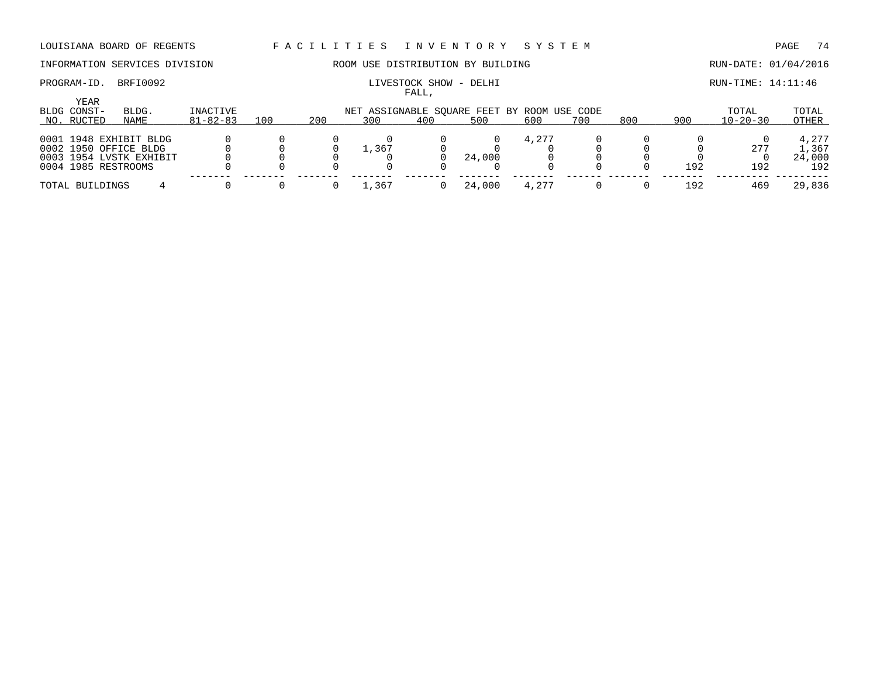### INFORMATION SERVICES DIVISION ROOM USE DISTRIBUTION BY BUILDING RUN-DATE: 01/04/2016

# PROGRAM-ID. BRFI0092 **EXAM-ID.** BRFI0092 **LIVESTOCK SHOW** - DELHI **RUN-TIME: 14:11:46**

|                           |                                                                                                   |                            |     |     |                                                    | FALL, |        |       |     |     |     |                         |                                 |
|---------------------------|---------------------------------------------------------------------------------------------------|----------------------------|-----|-----|----------------------------------------------------|-------|--------|-------|-----|-----|-----|-------------------------|---------------------------------|
| BLDG CONST-<br>NO. RUCTED | YEAR<br>BLDG.<br>NAME                                                                             | INACTIVE<br>$81 - 82 - 83$ | 100 | 200 | NET ASSIGNABLE SOUARE FEET BY ROOM USE CODE<br>300 | 400   | 500    | 600   | 700 | 800 | 900 | TOTAL<br>$10 - 20 - 30$ | TOTAL<br>OTHER                  |
|                           | 0001 1948 EXHIBIT BLDG<br>0002 1950 OFFICE BLDG<br>0003 1954 LVSTK EXHIBIT<br>0004 1985 RESTROOMS |                            |     |     | 1,367                                              |       | 24,000 | 4,277 |     |     | 192 | 277<br>192              | 4,277<br>1,367<br>24,000<br>192 |
| TOTAL BUILDINGS           |                                                                                                   |                            |     |     | .,367                                              |       | 24,000 |       |     |     | 192 | 469                     | 29,836                          |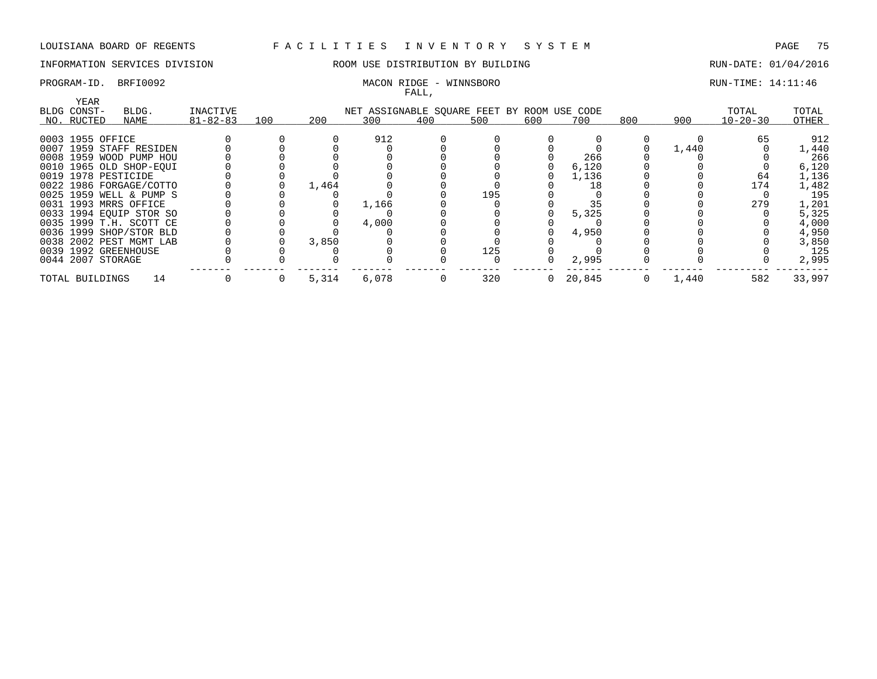## INFORMATION SERVICES DIVISION **ROOM USE DISTRIBUTION BY BUILDING RUN-DATE: 01/04/2016**

### PROGRAM-ID. BRFI0092 MACON RIDGE - WINNSBORO RUN-TIME: 14:11:46 FALL,

|                       |                         |                |     |       |                                             | rann, |     |          |        |     |       |                |        |
|-----------------------|-------------------------|----------------|-----|-------|---------------------------------------------|-------|-----|----------|--------|-----|-------|----------------|--------|
| YEAR                  |                         |                |     |       |                                             |       |     |          |        |     |       |                |        |
| BLDG CONST-           | BLDG.                   | INACTIVE       |     |       | NET ASSIGNABLE SOUARE FEET BY ROOM USE CODE |       |     |          |        |     |       | TOTAL          | TOTAL  |
| NO. RUCTED            | NAME                    | $81 - 82 - 83$ | 100 | 200   | 300                                         | 400   | 500 | 600      | 700    | 800 | 900   | $10 - 20 - 30$ | OTHER  |
| 0003 1955 OFFICE      |                         |                |     |       | 912                                         |       |     |          |        |     |       | 65             | 912    |
|                       |                         |                |     |       |                                             |       |     |          |        |     |       |                |        |
|                       | 0007 1959 STAFF RESIDEN |                |     |       |                                             |       |     |          |        |     | 1,440 |                | 1,440  |
|                       | 0008 1959 WOOD PUMP HOU |                |     |       |                                             |       |     |          | 266    |     |       |                | 266    |
|                       | 0010 1965 OLD SHOP-EOUI |                |     |       |                                             |       |     |          | 6,120  |     |       |                | 6,120  |
| 0019 1978 PESTICIDE   |                         |                |     |       |                                             |       |     |          | 1,136  |     |       | 64             | 1,136  |
|                       | 0022 1986 FORGAGE/COTTO |                |     | 1,464 |                                             |       |     |          | 18     |     |       | 174            | 1,482  |
|                       | 0025 1959 WELL & PUMP S |                |     |       |                                             |       | 195 |          |        |     |       |                | 195    |
| 0031 1993 MRRS OFFICE |                         |                |     |       | 1,166                                       |       |     |          |        |     |       | 279            | 1,201  |
|                       | 0033 1994 EQUIP STOR SO |                |     |       |                                             |       |     |          | 5,325  |     |       |                | 5,325  |
|                       | 0035 1999 T.H. SCOTT CE |                |     |       | 4,000                                       |       |     |          |        |     |       |                | 4,000  |
|                       | 0036 1999 SHOP/STOR BLD |                |     |       |                                             |       |     |          | 4,950  |     |       |                | 4,950  |
|                       | 0038 2002 PEST MGMT LAB |                |     | 3,850 |                                             |       |     |          |        |     |       |                | 3,850  |
| 0039 1992 GREENHOUSE  |                         |                |     |       |                                             |       | 125 |          |        |     |       |                | 125    |
| 0044 2007 STORAGE     |                         |                |     |       |                                             |       |     |          | 2,995  |     |       |                | 2,995  |
| TOTAL BUILDINGS       | 14                      |                |     | 5,314 | 6,078                                       |       | 320 | $\Omega$ | 20,845 |     | 1,440 | 582            | 33,997 |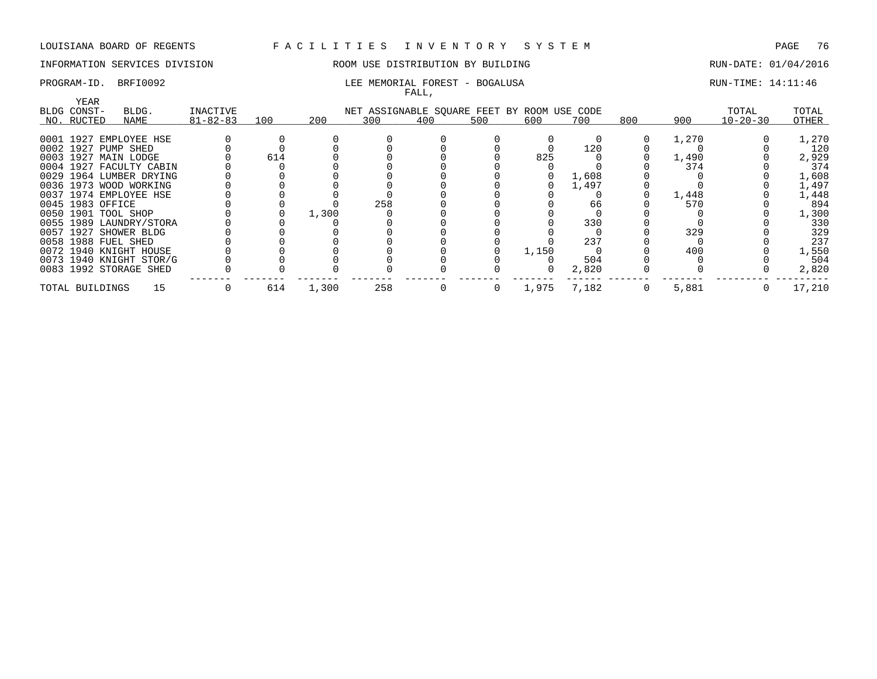## INFORMATION SERVICES DIVISION **REDEFILMENTION BY BUILDING RUN-DATE: 01/04/2016**

### PROGRAM-ID. BRFI0092 **RUN-TIME:** 14:11:46 FALL,

|           |                      |                         |                |     |       |                                             | ، سىم ت |     |       |       |              |       |                |        |
|-----------|----------------------|-------------------------|----------------|-----|-------|---------------------------------------------|---------|-----|-------|-------|--------------|-------|----------------|--------|
|           | YEAR                 |                         |                |     |       |                                             |         |     |       |       |              |       |                |        |
|           | BLDG CONST-          | BLDG.                   | INACTIVE       |     |       | NET ASSIGNABLE SQUARE FEET BY ROOM USE CODE |         |     |       |       |              |       | TOTAL          | TOTAL  |
|           | NO. RUCTED           | NAME                    | $81 - 82 - 83$ | 100 | 200   | 300                                         | 400     | 500 | 600   | 700   | 800          | 900   | $10 - 20 - 30$ | OTHER  |
|           |                      |                         |                |     |       |                                             |         |     |       |       |              |       |                |        |
|           |                      | 0001 1927 EMPLOYEE HSE  |                |     |       |                                             |         |     |       |       | $\Omega$     | 1,270 |                | 1,270  |
| 0002 1927 |                      | PUMP SHED               |                |     |       |                                             |         |     |       | 120   |              |       |                | 120    |
|           | 0003 1927 MAIN LODGE |                         |                | 614 |       |                                             |         |     | 825   |       |              | 1,490 |                | 2,929  |
|           |                      | 0004 1927 FACULTY CABIN |                |     |       |                                             |         |     |       |       |              | 374   |                | 374    |
| 0029      |                      | 1964 LUMBER DRYING      |                |     |       |                                             |         |     |       | 1,608 |              |       |                | 1,608  |
|           |                      | 0036 1973 WOOD WORKING  |                |     |       |                                             |         |     |       | 1,497 |              |       |                | 1,497  |
|           |                      | 0037 1974 EMPLOYEE HSE  |                |     |       |                                             |         |     |       |       |              | 1,448 |                | 1,448  |
|           | 0045 1983 OFFICE     |                         |                |     |       | 258                                         |         |     |       | 66    |              | 570   |                | 894    |
| 0050      | 1901 TOOL SHOP       |                         |                |     | 1,300 |                                             |         |     |       |       |              |       |                | 1,300  |
| 0055      |                      | 1989 LAUNDRY/STORA      |                |     |       |                                             |         |     |       | 330   |              |       |                | 330    |
|           |                      | 0057 1927 SHOWER BLDG   |                |     |       |                                             |         |     |       |       |              | 329   |                | 329    |
|           | 0058 1988 FUEL SHED  |                         |                |     |       |                                             |         |     |       | 237   |              |       |                | 237    |
|           |                      | 0072 1940 KNIGHT HOUSE  |                |     |       |                                             |         |     | 1,150 |       |              | 400   |                | 1,550  |
|           |                      | 0073 1940 KNIGHT STOR/G |                |     |       |                                             |         |     |       | 504   |              |       |                | 504    |
|           |                      | 0083 1992 STORAGE SHED  |                |     |       |                                             |         |     |       | 2,820 |              |       |                | 2,820  |
|           | TOTAL BUILDINGS      | 15                      |                | 614 | 1,300 | 258                                         | U       | 0   | 1,975 | 7,182 | $\mathbf{0}$ | 5,881 | 0              | 17,210 |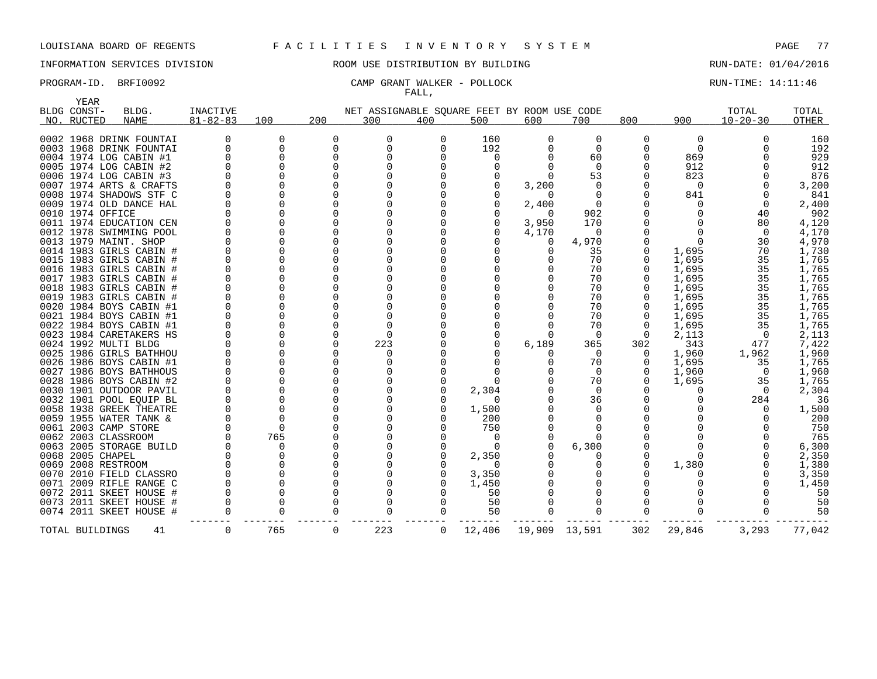YEAR

### LOUISIANA BOARD OF REGENTS F A C I L I T I E S I N V E N T O R Y S Y S T E M PAGE 77

## INFORMATION SERVICES DIVISION ROOM USE DISTRIBUTION BY BUILDING RUN-DATE: 01/04/2016

### PROGRAM-ID. BRFI0092 CAMP GRANT WALKER - POLLOCK RUN-TIME: 14:11:46 FALL,

|      | ᆂᆋᅀᅹᄾ<br>BLDG CONST- | BLDG.                   | <b>INACTIVE</b> |     |     | NET ASSIGNABLE SQUARE FEET BY ROOM USE CODE |     |          |          |               |          |        | TOTAL          | TOTAL        |
|------|----------------------|-------------------------|-----------------|-----|-----|---------------------------------------------|-----|----------|----------|---------------|----------|--------|----------------|--------------|
|      | NO. RUCTED           | <b>NAME</b>             | $81 - 82 - 83$  | 100 | 200 | 300                                         | 400 | 500      | 600      | 700           | 800      | 900    | $10 - 20 - 30$ | <b>OTHER</b> |
|      |                      |                         |                 |     |     |                                             |     |          |          |               |          |        |                |              |
|      |                      | 0002 1968 DRINK FOUNTAI |                 |     | 0   | $\Omega$                                    | 0   | 160      |          | 0             | O        | 0      | O              | 160          |
|      |                      | 0003 1968 DRINK FOUNTAI |                 |     | 0   | $\Omega$                                    |     | 192      |          | $\Omega$      |          | 0      |                | 192          |
|      |                      | 0004 1974 LOG CABIN #1  |                 |     | U   | <sup>n</sup>                                |     | O        |          | 60            |          | 869    |                | 929          |
|      |                      | 0005 1974 LOG CABIN #2  |                 |     |     |                                             |     | 0        |          | $\Omega$      |          | 912    |                | 912          |
|      |                      | 0006 1974 LOG CABIN #3  |                 |     |     |                                             |     |          |          | 53            |          | 823    |                | 876          |
|      |                      | 0007 1974 ARTS & CRAFTS |                 |     |     |                                             |     |          | 3,200    |               |          | 0      |                | 3,200        |
|      |                      | 0008 1974 SHADOWS STF C |                 |     |     |                                             |     |          |          |               |          | 841    |                | 841          |
|      |                      | 0009 1974 OLD DANCE HAL |                 |     |     |                                             |     |          | 2,400    |               |          |        |                | 2,400        |
|      |                      | 0010 1974 OFFICE        |                 |     |     |                                             |     |          | $\Omega$ | 902           |          |        | 40             | 902          |
|      |                      | 0011 1974 EDUCATION CEN |                 |     |     |                                             |     |          | 3,950    | 170           |          |        | 80             | 4,120        |
|      |                      | 0012 1978 SWIMMING POOL |                 |     |     |                                             |     |          | 4,170    | O             |          |        | $\Omega$       | 4,170        |
|      |                      | 0013 1979 MAINT. SHOP   |                 |     |     |                                             |     |          |          | 4,970         |          |        | 30             | 4,970        |
|      |                      | 0014 1983 GIRLS CABIN # |                 |     |     |                                             |     |          |          | 35            |          | 1,695  | 70             | 1,730        |
|      |                      | 0015 1983 GIRLS CABIN   |                 |     |     |                                             |     |          |          | 70            |          | 1,695  | 35             | 1,765        |
|      |                      | 0016 1983 GIRLS CABIN   |                 |     |     |                                             |     |          |          | 70            |          | 1,695  | 35             | 1,765        |
|      |                      | 0017 1983 GIRLS CABIN # |                 |     |     |                                             |     |          |          | 70            |          | 1,695  | 35             | 1,765        |
|      |                      | 0018 1983 GIRLS CABIN # |                 |     |     |                                             |     |          |          | 70            |          | 1,695  | 35             | 1,765        |
|      |                      | 0019 1983 GIRLS CABIN # |                 |     |     |                                             |     |          |          | 70            |          | 1,695  | 35             | 1,765        |
|      |                      | 0020 1984 BOYS CABIN #1 |                 |     |     |                                             |     |          |          | 70            |          | 1,695  | 35             | 1,765        |
|      |                      | 0021 1984 BOYS CABIN #1 |                 |     |     |                                             |     |          |          | 70            |          | 1,695  | 35             | 1,765        |
|      |                      | 0022 1984 BOYS CABIN #1 |                 |     |     |                                             |     |          |          | 70            |          | 1,695  | 35             |              |
|      |                      |                         |                 |     |     |                                             |     |          |          |               |          |        |                | 1,765        |
|      |                      | 0023 1984 CARETAKERS HS |                 |     |     |                                             |     | $\Omega$ |          | $\Omega$      | $\Omega$ | 2,113  | $\Omega$       | 2,113        |
|      |                      | 0024 1992 MULTI BLDG    |                 |     |     | 223                                         |     |          | 6,189    | 365           | 302      | 343    | 477            | 7,422        |
|      |                      | 0025 1986 GIRLS BATHHOU |                 |     |     |                                             |     |          |          |               |          | 1,960  | 1,962          | 1,960        |
|      |                      | 0026 1986 BOYS CABIN #1 |                 |     |     |                                             |     |          |          | 70            |          | 1,695  | 35             | 1,765        |
|      |                      | 0027 1986 BOYS BATHHOUS |                 |     |     |                                             |     |          |          | $\Omega$      |          | 1,960  | $\overline{0}$ | 1,960        |
|      |                      | 0028 1986 BOYS CABIN #2 |                 |     |     |                                             |     |          |          | 70            |          | 1,695  | 35             | 1,765        |
|      |                      | 0030 1901 OUTDOOR PAVIL |                 |     |     |                                             |     | 2,304    |          |               |          | Ω      | $\Omega$       | 2,304        |
|      |                      | 0032 1901 POOL EOUIP BL |                 |     |     |                                             |     |          |          | 36            |          |        | 284            | 36           |
|      |                      | 0058 1938 GREEK THEATRE |                 |     |     |                                             |     | 1,500    |          |               |          |        | ∩              | 1,500        |
|      |                      | 0059 1955 WATER TANK &  |                 |     |     |                                             |     | 200      |          |               |          |        |                | 200          |
|      |                      | 0061 2003 CAMP STORE    |                 |     |     |                                             |     | 750      |          |               |          |        |                | 750          |
|      |                      | 0062 2003 CLASSROOM     |                 | 765 |     |                                             |     | $\Omega$ |          |               |          |        |                | 765          |
|      |                      | 0063 2005 STORAGE BUILD |                 |     |     |                                             |     |          |          | 6,300         |          |        |                | 6,300        |
|      |                      | 0068 2005 CHAPEL        |                 |     |     |                                             |     | 2,350    |          |               |          |        |                | 2,350        |
|      |                      | 0069 2008 RESTROOM      |                 |     |     |                                             |     | $\Omega$ |          |               |          | 1,380  |                | 1,380        |
|      |                      | 0070 2010 FIELD CLASSRO |                 |     |     |                                             |     | 3,350    |          |               |          |        |                | 3,350        |
| 0071 |                      | 2009 RIFLE RANGE C      |                 |     |     |                                             |     | 1,450    |          |               |          |        |                | 1,450        |
|      |                      | 0072 2011 SKEET HOUSE   |                 |     |     |                                             |     | 50       |          |               |          |        |                | 50           |
|      |                      | 0073 2011 SKEET HOUSE   |                 |     |     | O                                           |     | 50       |          |               |          |        |                | 50           |
|      |                      | 0074 2011 SKEET HOUSE # |                 |     |     |                                             |     | 50       |          |               |          |        |                | 50           |
|      |                      | TOTAL BUILDINGS<br>41   | $\Omega$        | 765 | 0   | 223                                         | 0   | 12,406   |          | 19,909 13,591 | 302      | 29,846 | 3,293          | 77,042       |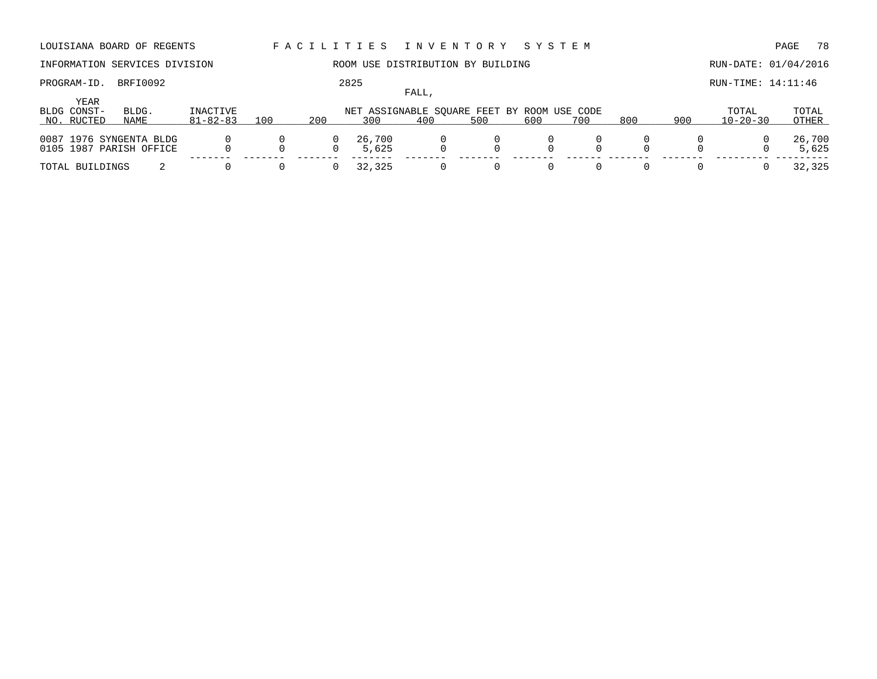## INFORMATION SERVICES DIVISION 88 ROOM USE DISTRIBUTION BY BUILDING 88 RUN-DATE: 01/04/2016

## FALL,

PROGRAM-ID. BRFI0092 2825 2825 RUN-TIME: 14:11:46

|                     |                                                    |                |     |     |                 | ، سىم ت |                                             |     |     |     |     |                |                 |
|---------------------|----------------------------------------------------|----------------|-----|-----|-----------------|---------|---------------------------------------------|-----|-----|-----|-----|----------------|-----------------|
| YEAR<br>BLDG CONST- | BLDG.                                              | INACTIVE       |     |     |                 |         | NET ASSIGNABLE SOUARE FEET BY ROOM USE CODE |     |     |     |     | TOTAL          | TOTAL           |
| NO. RUCTED          | NAME                                               | $81 - 82 - 83$ | 100 | 200 | 300             | 400     | 500                                         | 600 | 700 | 800 | 900 | $10 - 20 - 30$ | OTHER           |
|                     | 0087 1976 SYNGENTA BLDG<br>0105 1987 PARISH OFFICE |                |     |     | 26,700<br>5,625 |         |                                             |     |     |     |     |                | 26,700<br>5,625 |
| TOTAL BUILDINGS     |                                                    |                |     |     | 32,325          |         |                                             |     |     |     |     |                | 32,325          |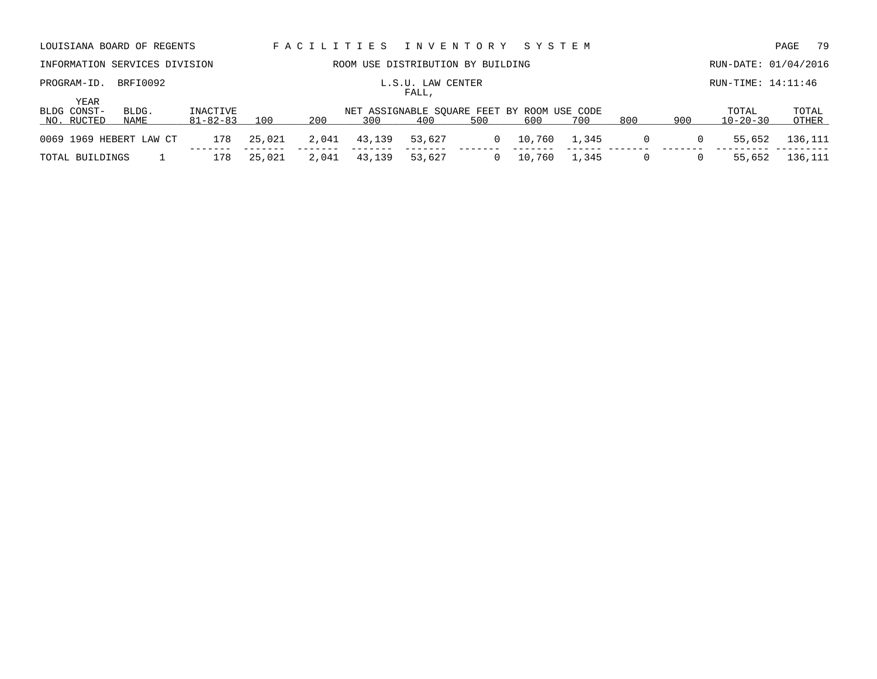| LOUISIANA BOARD OF REGENTS        |               |                            |        |       |        | FACILITIES INVENTORY                               |     | SYSTEM |       |          |          |                         | 79<br>PAGE     |
|-----------------------------------|---------------|----------------------------|--------|-------|--------|----------------------------------------------------|-----|--------|-------|----------|----------|-------------------------|----------------|
| INFORMATION SERVICES DIVISION     |               |                            |        |       |        | ROOM USE DISTRIBUTION BY BUILDING                  |     |        |       |          |          | RUN-DATE: 01/04/2016    |                |
| PROGRAM-ID.                       | BRFI0092      |                            |        |       |        | L.S.U. LAW CENTER<br>FALL,                         |     |        |       |          |          | RUN-TIME: 14:11:46      |                |
| YEAR<br>BLDG CONST-<br>NO. RUCTED | BLDG.<br>NAME | INACTIVE<br>$81 - 82 - 83$ | 100    | 200   | 300    | NET ASSIGNABLE SOUARE FEET BY ROOM USE CODE<br>400 | 500 | 600    | 700   | 800      | 900      | TOTAL<br>$10 - 20 - 30$ | TOTAL<br>OTHER |
| 0069 1969 HEBERT LAW CT           |               | 178                        | 25,021 | 2,041 | 43,139 | 53,627                                             | 0   | 10,760 | 1,345 | 0        | 0        | 55,652                  | 136,111        |
| TOTAL BUILDINGS                   |               | 178                        | 25,021 | 2,041 | 43,139 | 53,627                                             |     | 10,760 | 1,345 | $\Omega$ | $\Omega$ | 55,652                  | 136,111        |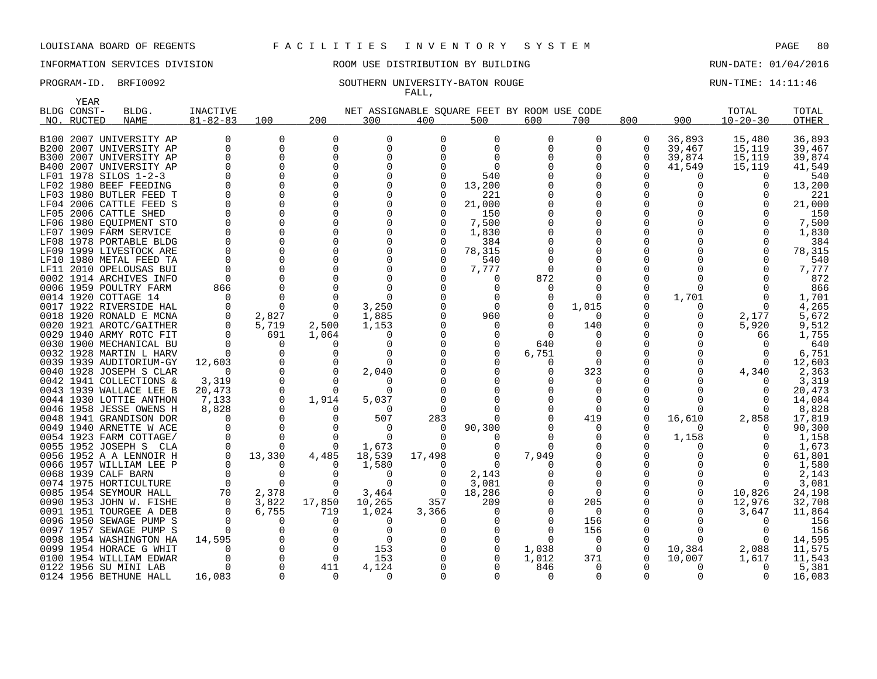INFORMATION SERVICES DIVISION ROOM USE DISTRIBUTION BY BUILDING RUN-DATE: 01/04/2016

### PROGRAM-ID. BRFI0092 SOUTHERN UNIVERSITY-BATON ROUGE RUN-TIME: 14:11:46 FALL,

| BLDG CONST-<br>NET ASSIGNABLE SOUARE FEET BY ROOM USE CODE<br>TOTAL<br>BLDG.<br>INACTIVE<br>TOTAL<br>200<br>$10 - 20 - 30$<br>$81 - 82 - 83$<br>100<br>800<br>900<br>NO. RUCTED<br><b>NAME</b><br>300<br>400<br>500<br>600<br>700<br>OTHER<br>B100 2007 UNIVERSITY AP<br>0<br>$\Omega$<br>$\Omega$<br>0<br>$\Omega$<br>0<br>0<br>36,893<br>15,480<br>36,893<br>U<br>0<br>$\Omega$<br>$\Omega$<br>39,467<br>15,119<br>39,467<br>B200 2007 UNIVERSITY AP<br>0<br>0<br>O<br>0<br>0<br>$\Omega$<br>39,874<br>15,119<br>2007 UNIVERSITY AP<br>$\Omega$<br>0<br>$\Omega$<br>0<br>39,874<br>B300<br>2007 UNIVERSITY AP<br>$\Omega$<br><sup>n</sup><br>41,549<br>41,549<br>B400<br>$\Omega$<br>0<br>15,119<br>$\mathbf 0$<br>LF01 1978 SILOS 1-2-3<br>$\Omega$<br>540<br>540<br>$\Omega$<br>0<br>1980 BEEF FEEDING<br>$\Omega$<br>$\Omega$<br>13,200<br>13,200<br>LF02<br>$\Omega$<br>U<br><sup>0</sup><br>LF03 1980 BUTLER FEED T<br>$\Omega$<br>$\Omega$<br>221<br>221<br>LF04 2006 CATTLE FEED S<br>$\Omega$<br>$\Omega$<br>$\Omega$<br>$\Omega$<br>21,000<br>$\Omega$<br>21,000<br>$\Omega$<br>$\Omega$<br>LF05 2006 CATTLE SHED<br>$\Omega$<br>150<br>150<br>$\Omega$<br>$\mathbf 0$<br>$\Omega$<br>7,500<br>7,500<br>1980 EOUIPMENT STO<br>$\Omega$<br>LF06<br>0<br>LF07 1909 FARM SERVICE<br>$\Omega$<br>$\Omega$<br>1,830<br>1,830<br>$\Omega$<br>$\Omega$<br>LF08 1978 PORTABLE BLDG<br>$\Omega$<br>$\Omega$<br>384<br>$\Omega$<br>384<br>$\Omega$<br>$\Omega$<br>$\Omega$<br>$\Omega$<br>78,315<br>78,315<br>LF09 1999 LIVESTOCK ARE<br>$\Omega$<br>$\Omega$<br>$\Omega$<br>540<br>LF10 1980 METAL FEED TA<br>$\Omega$<br>540<br>2010 OPELOUSAS BUI<br>$\Omega$<br>$\Omega$<br>$\Omega$<br>7,777<br>7,777<br>LF11<br>$\Omega$<br>0002 1914 ARCHIVES INFO<br>$\Omega$<br>872<br>0<br>872<br>0<br>$\Omega$<br>$\Omega$<br>0006 1959 POULTRY FARM<br>$\Omega$<br>866<br>866<br>0<br>$\Omega$<br>$\Omega$<br>0<br>1,701<br>0014 1920 COTTAGE 14<br>$\Omega$<br>$\Omega$<br>$\Omega$<br>1,701<br>$\Omega$<br>$\Omega$<br>0<br>0017 1922 RIVERSIDE HAL<br>$\Omega$<br>$\Omega$<br>3,250<br>$\Omega$<br>1,015<br>4,265<br>$\Omega$<br>0<br>0018 1920 RONALD E MCNA<br>2,827<br>0<br>1,885<br>960<br>2,177<br>5,672<br>0<br>$\Omega$<br>0020 1921 AROTC/GAITHER<br>5,719<br>2,500<br>5,920<br>9,512<br>1,153<br>140<br>$\Omega$<br><sup>0</sup><br>$\Omega$<br>0029 1940 ARMY ROTC FIT<br>$\Omega$<br>691<br>1,064<br>1,755<br>$\Omega$<br>$\Omega$<br>66<br>0<br>0030 1900 MECHANICAL BU<br>640<br><sup>n</sup><br>$\Omega$<br>0<br>640<br>0<br>$\Omega$<br>0032 1928 MARTIN L HARV<br>$\Omega$<br>$\Omega$<br>$\Omega$<br>6,751<br>$\Omega$<br>6,751<br>$\Omega$<br>$\Omega$<br>$\Omega$<br>12,603<br>0039 1939 AUDITORIUM-GY<br>12,603<br>0<br>$\Omega$<br>$\Omega$<br>$\Omega$<br>$\Omega$<br>323<br>0040 1928 JOSEPH S CLAR<br>$\Omega$<br>$\Omega$<br>2,040<br>4,340<br>2,363<br>$\Omega$<br>0<br>0042 1941 COLLECTIONS &<br>3,319<br>$\mathbf 0$<br>3,319<br>$\Omega$<br>$\Omega$<br>O<br>$\Omega$<br>0043 1939 WALLACE LEE B<br>$\Omega$<br>20,473<br>20,473<br>$\Omega$<br>∩<br>$\Omega$<br>0044 1930 LOTTIE ANTHON<br>7,133<br>$\mathbf 0$<br>14,084<br>1,914<br>5,037<br>$\Omega$<br>0046 1958 JESSE OWENS H<br>8,828<br>8,828<br>$\Omega$<br>$\Omega$<br>0<br>$\Omega$<br>2,858<br>0048 1941 GRANDISON DOR<br>0<br>0<br>507<br>283<br>419<br>0<br>16,610<br>17,819<br>$\Omega$<br>$\Omega$<br>0049 1940 ARNETTE W ACE<br>$\Omega$<br>90,300<br>90,300<br>$\Omega$<br>$\Omega$<br>$\Omega$<br><sup>0</sup><br>n<br>0054 1923 FARM COTTAGE/<br>1,158<br>0<br>$\Omega$<br>1,158<br>$\Omega$<br>$\Omega$<br>0055 1952 JOSEPH S CLA<br>$\Omega$<br>1,673<br>1,673<br>$\Omega$<br>$\Omega$<br>0<br>0056 1952 A A LENNOIR H<br>0<br>13,330<br>4,485<br>18,539<br>17,498<br>7,949<br>0<br>$\Omega$<br>61,801<br>0066 1957 WILLIAM LEE P<br>$\Omega$<br>$\Omega$<br>1,580<br>$\Omega$<br>1,580<br>$\Omega$<br>0<br>$\Omega$<br>0068 1939 CALF BARN<br>$\Omega$<br>2,143<br>2,143<br>$\Omega$<br>∩<br>$\Omega$<br>$\Omega$<br>0<br>$\overline{0}$<br>0074 1975 HORTICULTURE<br>0<br>$\Omega$<br>$\Omega$<br>3,081<br>$\Omega$<br>3,081<br>0<br>2,378<br>0085 1954 SEYMOUR HALL<br>70<br>$\Omega$<br>3,464<br>18,286<br>10,826<br>24,198<br>$\Omega$<br>$\Omega$<br>0<br>3,822<br>17,850<br>357<br>32,708<br>1953 JOHN W. FISHE<br>0<br>10,265<br>209<br>205<br>0<br>12,976<br>0090<br>6,755<br>0091 1951 TOURGEE A DEB<br>719<br>1,024<br>3,647<br>11,864<br>$\Omega$<br>3,366<br>$\Omega$<br>$\Omega$<br>0096 1950 SEWAGE PUMP S<br>$\Omega$<br>$\Omega$<br>156<br>$\Omega$<br>156<br>$\Omega$<br>0<br>0<br>156<br>1957 SEWAGE PUMP S<br>$\Omega$<br>156<br>0097<br>$\Omega$<br>$\Omega$<br>0<br>0<br>$\Omega$<br>0098 1954 WASHINGTON HA<br>14,595<br>$\Omega$<br>14,595<br>$\Omega$<br>$\Omega$<br>$\Omega$<br>$\Omega$<br>1954 HORACE G WHIT<br>$\Omega$<br>$\Omega$<br>153<br>0<br>10,384<br>2,088<br>11,575<br>0099<br>$\Omega$<br>1,038<br>$\Omega$<br>0<br>371<br>0100 1954 WILLIAM EDWAR<br>$\Omega$<br>$\Omega$<br>153<br>1,012<br>10,007<br>1,617<br>11,543<br>0<br>0<br>$\Omega$<br>0122 1956 SU MINI LAB<br>$\Omega$<br>411<br>4,124<br>846<br>$\Omega$<br>$\Omega$<br>5,381<br>0<br>16,083<br>16,083<br>0124 1956 BETHUNE HALL<br>$\Omega$<br>$\Omega$<br>$\Omega$<br>$\Omega$<br>$\Omega$<br>$\Omega$ | YEAR |  |  |  |  |  |  |  |
|------------------------------------------------------------------------------------------------------------------------------------------------------------------------------------------------------------------------------------------------------------------------------------------------------------------------------------------------------------------------------------------------------------------------------------------------------------------------------------------------------------------------------------------------------------------------------------------------------------------------------------------------------------------------------------------------------------------------------------------------------------------------------------------------------------------------------------------------------------------------------------------------------------------------------------------------------------------------------------------------------------------------------------------------------------------------------------------------------------------------------------------------------------------------------------------------------------------------------------------------------------------------------------------------------------------------------------------------------------------------------------------------------------------------------------------------------------------------------------------------------------------------------------------------------------------------------------------------------------------------------------------------------------------------------------------------------------------------------------------------------------------------------------------------------------------------------------------------------------------------------------------------------------------------------------------------------------------------------------------------------------------------------------------------------------------------------------------------------------------------------------------------------------------------------------------------------------------------------------------------------------------------------------------------------------------------------------------------------------------------------------------------------------------------------------------------------------------------------------------------------------------------------------------------------------------------------------------------------------------------------------------------------------------------------------------------------------------------------------------------------------------------------------------------------------------------------------------------------------------------------------------------------------------------------------------------------------------------------------------------------------------------------------------------------------------------------------------------------------------------------------------------------------------------------------------------------------------------------------------------------------------------------------------------------------------------------------------------------------------------------------------------------------------------------------------------------------------------------------------------------------------------------------------------------------------------------------------------------------------------------------------------------------------------------------------------------------------------------------------------------------------------------------------------------------------------------------------------------------------------------------------------------------------------------------------------------------------------------------------------------------------------------------------------------------------------------------------------------------------------------------------------------------------------------------------------------------------------------------------------------------------------------------------------------------------------------------------------------------------------------------------------------------------------------------------------------------------------------------------------------------------------------------------------------------------------------------------------------------------------------------------------------------------------------------------------------------------------------------------------------------------------------------------------------------------------------------------------------------------------------------------------------------------------------------------------------------------------------------------------------------------------------------------------------------------------------------------------------------------------------------------------------------------------------------------------------------------------------------------------------------------------------------------------------------------|------|--|--|--|--|--|--|--|
|                                                                                                                                                                                                                                                                                                                                                                                                                                                                                                                                                                                                                                                                                                                                                                                                                                                                                                                                                                                                                                                                                                                                                                                                                                                                                                                                                                                                                                                                                                                                                                                                                                                                                                                                                                                                                                                                                                                                                                                                                                                                                                                                                                                                                                                                                                                                                                                                                                                                                                                                                                                                                                                                                                                                                                                                                                                                                                                                                                                                                                                                                                                                                                                                                                                                                                                                                                                                                                                                                                                                                                                                                                                                                                                                                                                                                                                                                                                                                                                                                                                                                                                                                                                                                                                                                                                                                                                                                                                                                                                                                                                                                                                                                                                                                                                                                                                                                                                                                                                                                                                                                                                                                                                                                                                                                                                  |      |  |  |  |  |  |  |  |
|                                                                                                                                                                                                                                                                                                                                                                                                                                                                                                                                                                                                                                                                                                                                                                                                                                                                                                                                                                                                                                                                                                                                                                                                                                                                                                                                                                                                                                                                                                                                                                                                                                                                                                                                                                                                                                                                                                                                                                                                                                                                                                                                                                                                                                                                                                                                                                                                                                                                                                                                                                                                                                                                                                                                                                                                                                                                                                                                                                                                                                                                                                                                                                                                                                                                                                                                                                                                                                                                                                                                                                                                                                                                                                                                                                                                                                                                                                                                                                                                                                                                                                                                                                                                                                                                                                                                                                                                                                                                                                                                                                                                                                                                                                                                                                                                                                                                                                                                                                                                                                                                                                                                                                                                                                                                                                                  |      |  |  |  |  |  |  |  |
|                                                                                                                                                                                                                                                                                                                                                                                                                                                                                                                                                                                                                                                                                                                                                                                                                                                                                                                                                                                                                                                                                                                                                                                                                                                                                                                                                                                                                                                                                                                                                                                                                                                                                                                                                                                                                                                                                                                                                                                                                                                                                                                                                                                                                                                                                                                                                                                                                                                                                                                                                                                                                                                                                                                                                                                                                                                                                                                                                                                                                                                                                                                                                                                                                                                                                                                                                                                                                                                                                                                                                                                                                                                                                                                                                                                                                                                                                                                                                                                                                                                                                                                                                                                                                                                                                                                                                                                                                                                                                                                                                                                                                                                                                                                                                                                                                                                                                                                                                                                                                                                                                                                                                                                                                                                                                                                  |      |  |  |  |  |  |  |  |
|                                                                                                                                                                                                                                                                                                                                                                                                                                                                                                                                                                                                                                                                                                                                                                                                                                                                                                                                                                                                                                                                                                                                                                                                                                                                                                                                                                                                                                                                                                                                                                                                                                                                                                                                                                                                                                                                                                                                                                                                                                                                                                                                                                                                                                                                                                                                                                                                                                                                                                                                                                                                                                                                                                                                                                                                                                                                                                                                                                                                                                                                                                                                                                                                                                                                                                                                                                                                                                                                                                                                                                                                                                                                                                                                                                                                                                                                                                                                                                                                                                                                                                                                                                                                                                                                                                                                                                                                                                                                                                                                                                                                                                                                                                                                                                                                                                                                                                                                                                                                                                                                                                                                                                                                                                                                                                                  |      |  |  |  |  |  |  |  |
|                                                                                                                                                                                                                                                                                                                                                                                                                                                                                                                                                                                                                                                                                                                                                                                                                                                                                                                                                                                                                                                                                                                                                                                                                                                                                                                                                                                                                                                                                                                                                                                                                                                                                                                                                                                                                                                                                                                                                                                                                                                                                                                                                                                                                                                                                                                                                                                                                                                                                                                                                                                                                                                                                                                                                                                                                                                                                                                                                                                                                                                                                                                                                                                                                                                                                                                                                                                                                                                                                                                                                                                                                                                                                                                                                                                                                                                                                                                                                                                                                                                                                                                                                                                                                                                                                                                                                                                                                                                                                                                                                                                                                                                                                                                                                                                                                                                                                                                                                                                                                                                                                                                                                                                                                                                                                                                  |      |  |  |  |  |  |  |  |
|                                                                                                                                                                                                                                                                                                                                                                                                                                                                                                                                                                                                                                                                                                                                                                                                                                                                                                                                                                                                                                                                                                                                                                                                                                                                                                                                                                                                                                                                                                                                                                                                                                                                                                                                                                                                                                                                                                                                                                                                                                                                                                                                                                                                                                                                                                                                                                                                                                                                                                                                                                                                                                                                                                                                                                                                                                                                                                                                                                                                                                                                                                                                                                                                                                                                                                                                                                                                                                                                                                                                                                                                                                                                                                                                                                                                                                                                                                                                                                                                                                                                                                                                                                                                                                                                                                                                                                                                                                                                                                                                                                                                                                                                                                                                                                                                                                                                                                                                                                                                                                                                                                                                                                                                                                                                                                                  |      |  |  |  |  |  |  |  |
|                                                                                                                                                                                                                                                                                                                                                                                                                                                                                                                                                                                                                                                                                                                                                                                                                                                                                                                                                                                                                                                                                                                                                                                                                                                                                                                                                                                                                                                                                                                                                                                                                                                                                                                                                                                                                                                                                                                                                                                                                                                                                                                                                                                                                                                                                                                                                                                                                                                                                                                                                                                                                                                                                                                                                                                                                                                                                                                                                                                                                                                                                                                                                                                                                                                                                                                                                                                                                                                                                                                                                                                                                                                                                                                                                                                                                                                                                                                                                                                                                                                                                                                                                                                                                                                                                                                                                                                                                                                                                                                                                                                                                                                                                                                                                                                                                                                                                                                                                                                                                                                                                                                                                                                                                                                                                                                  |      |  |  |  |  |  |  |  |
|                                                                                                                                                                                                                                                                                                                                                                                                                                                                                                                                                                                                                                                                                                                                                                                                                                                                                                                                                                                                                                                                                                                                                                                                                                                                                                                                                                                                                                                                                                                                                                                                                                                                                                                                                                                                                                                                                                                                                                                                                                                                                                                                                                                                                                                                                                                                                                                                                                                                                                                                                                                                                                                                                                                                                                                                                                                                                                                                                                                                                                                                                                                                                                                                                                                                                                                                                                                                                                                                                                                                                                                                                                                                                                                                                                                                                                                                                                                                                                                                                                                                                                                                                                                                                                                                                                                                                                                                                                                                                                                                                                                                                                                                                                                                                                                                                                                                                                                                                                                                                                                                                                                                                                                                                                                                                                                  |      |  |  |  |  |  |  |  |
|                                                                                                                                                                                                                                                                                                                                                                                                                                                                                                                                                                                                                                                                                                                                                                                                                                                                                                                                                                                                                                                                                                                                                                                                                                                                                                                                                                                                                                                                                                                                                                                                                                                                                                                                                                                                                                                                                                                                                                                                                                                                                                                                                                                                                                                                                                                                                                                                                                                                                                                                                                                                                                                                                                                                                                                                                                                                                                                                                                                                                                                                                                                                                                                                                                                                                                                                                                                                                                                                                                                                                                                                                                                                                                                                                                                                                                                                                                                                                                                                                                                                                                                                                                                                                                                                                                                                                                                                                                                                                                                                                                                                                                                                                                                                                                                                                                                                                                                                                                                                                                                                                                                                                                                                                                                                                                                  |      |  |  |  |  |  |  |  |
|                                                                                                                                                                                                                                                                                                                                                                                                                                                                                                                                                                                                                                                                                                                                                                                                                                                                                                                                                                                                                                                                                                                                                                                                                                                                                                                                                                                                                                                                                                                                                                                                                                                                                                                                                                                                                                                                                                                                                                                                                                                                                                                                                                                                                                                                                                                                                                                                                                                                                                                                                                                                                                                                                                                                                                                                                                                                                                                                                                                                                                                                                                                                                                                                                                                                                                                                                                                                                                                                                                                                                                                                                                                                                                                                                                                                                                                                                                                                                                                                                                                                                                                                                                                                                                                                                                                                                                                                                                                                                                                                                                                                                                                                                                                                                                                                                                                                                                                                                                                                                                                                                                                                                                                                                                                                                                                  |      |  |  |  |  |  |  |  |
|                                                                                                                                                                                                                                                                                                                                                                                                                                                                                                                                                                                                                                                                                                                                                                                                                                                                                                                                                                                                                                                                                                                                                                                                                                                                                                                                                                                                                                                                                                                                                                                                                                                                                                                                                                                                                                                                                                                                                                                                                                                                                                                                                                                                                                                                                                                                                                                                                                                                                                                                                                                                                                                                                                                                                                                                                                                                                                                                                                                                                                                                                                                                                                                                                                                                                                                                                                                                                                                                                                                                                                                                                                                                                                                                                                                                                                                                                                                                                                                                                                                                                                                                                                                                                                                                                                                                                                                                                                                                                                                                                                                                                                                                                                                                                                                                                                                                                                                                                                                                                                                                                                                                                                                                                                                                                                                  |      |  |  |  |  |  |  |  |
|                                                                                                                                                                                                                                                                                                                                                                                                                                                                                                                                                                                                                                                                                                                                                                                                                                                                                                                                                                                                                                                                                                                                                                                                                                                                                                                                                                                                                                                                                                                                                                                                                                                                                                                                                                                                                                                                                                                                                                                                                                                                                                                                                                                                                                                                                                                                                                                                                                                                                                                                                                                                                                                                                                                                                                                                                                                                                                                                                                                                                                                                                                                                                                                                                                                                                                                                                                                                                                                                                                                                                                                                                                                                                                                                                                                                                                                                                                                                                                                                                                                                                                                                                                                                                                                                                                                                                                                                                                                                                                                                                                                                                                                                                                                                                                                                                                                                                                                                                                                                                                                                                                                                                                                                                                                                                                                  |      |  |  |  |  |  |  |  |
|                                                                                                                                                                                                                                                                                                                                                                                                                                                                                                                                                                                                                                                                                                                                                                                                                                                                                                                                                                                                                                                                                                                                                                                                                                                                                                                                                                                                                                                                                                                                                                                                                                                                                                                                                                                                                                                                                                                                                                                                                                                                                                                                                                                                                                                                                                                                                                                                                                                                                                                                                                                                                                                                                                                                                                                                                                                                                                                                                                                                                                                                                                                                                                                                                                                                                                                                                                                                                                                                                                                                                                                                                                                                                                                                                                                                                                                                                                                                                                                                                                                                                                                                                                                                                                                                                                                                                                                                                                                                                                                                                                                                                                                                                                                                                                                                                                                                                                                                                                                                                                                                                                                                                                                                                                                                                                                  |      |  |  |  |  |  |  |  |
|                                                                                                                                                                                                                                                                                                                                                                                                                                                                                                                                                                                                                                                                                                                                                                                                                                                                                                                                                                                                                                                                                                                                                                                                                                                                                                                                                                                                                                                                                                                                                                                                                                                                                                                                                                                                                                                                                                                                                                                                                                                                                                                                                                                                                                                                                                                                                                                                                                                                                                                                                                                                                                                                                                                                                                                                                                                                                                                                                                                                                                                                                                                                                                                                                                                                                                                                                                                                                                                                                                                                                                                                                                                                                                                                                                                                                                                                                                                                                                                                                                                                                                                                                                                                                                                                                                                                                                                                                                                                                                                                                                                                                                                                                                                                                                                                                                                                                                                                                                                                                                                                                                                                                                                                                                                                                                                  |      |  |  |  |  |  |  |  |
|                                                                                                                                                                                                                                                                                                                                                                                                                                                                                                                                                                                                                                                                                                                                                                                                                                                                                                                                                                                                                                                                                                                                                                                                                                                                                                                                                                                                                                                                                                                                                                                                                                                                                                                                                                                                                                                                                                                                                                                                                                                                                                                                                                                                                                                                                                                                                                                                                                                                                                                                                                                                                                                                                                                                                                                                                                                                                                                                                                                                                                                                                                                                                                                                                                                                                                                                                                                                                                                                                                                                                                                                                                                                                                                                                                                                                                                                                                                                                                                                                                                                                                                                                                                                                                                                                                                                                                                                                                                                                                                                                                                                                                                                                                                                                                                                                                                                                                                                                                                                                                                                                                                                                                                                                                                                                                                  |      |  |  |  |  |  |  |  |
|                                                                                                                                                                                                                                                                                                                                                                                                                                                                                                                                                                                                                                                                                                                                                                                                                                                                                                                                                                                                                                                                                                                                                                                                                                                                                                                                                                                                                                                                                                                                                                                                                                                                                                                                                                                                                                                                                                                                                                                                                                                                                                                                                                                                                                                                                                                                                                                                                                                                                                                                                                                                                                                                                                                                                                                                                                                                                                                                                                                                                                                                                                                                                                                                                                                                                                                                                                                                                                                                                                                                                                                                                                                                                                                                                                                                                                                                                                                                                                                                                                                                                                                                                                                                                                                                                                                                                                                                                                                                                                                                                                                                                                                                                                                                                                                                                                                                                                                                                                                                                                                                                                                                                                                                                                                                                                                  |      |  |  |  |  |  |  |  |
|                                                                                                                                                                                                                                                                                                                                                                                                                                                                                                                                                                                                                                                                                                                                                                                                                                                                                                                                                                                                                                                                                                                                                                                                                                                                                                                                                                                                                                                                                                                                                                                                                                                                                                                                                                                                                                                                                                                                                                                                                                                                                                                                                                                                                                                                                                                                                                                                                                                                                                                                                                                                                                                                                                                                                                                                                                                                                                                                                                                                                                                                                                                                                                                                                                                                                                                                                                                                                                                                                                                                                                                                                                                                                                                                                                                                                                                                                                                                                                                                                                                                                                                                                                                                                                                                                                                                                                                                                                                                                                                                                                                                                                                                                                                                                                                                                                                                                                                                                                                                                                                                                                                                                                                                                                                                                                                  |      |  |  |  |  |  |  |  |
|                                                                                                                                                                                                                                                                                                                                                                                                                                                                                                                                                                                                                                                                                                                                                                                                                                                                                                                                                                                                                                                                                                                                                                                                                                                                                                                                                                                                                                                                                                                                                                                                                                                                                                                                                                                                                                                                                                                                                                                                                                                                                                                                                                                                                                                                                                                                                                                                                                                                                                                                                                                                                                                                                                                                                                                                                                                                                                                                                                                                                                                                                                                                                                                                                                                                                                                                                                                                                                                                                                                                                                                                                                                                                                                                                                                                                                                                                                                                                                                                                                                                                                                                                                                                                                                                                                                                                                                                                                                                                                                                                                                                                                                                                                                                                                                                                                                                                                                                                                                                                                                                                                                                                                                                                                                                                                                  |      |  |  |  |  |  |  |  |
|                                                                                                                                                                                                                                                                                                                                                                                                                                                                                                                                                                                                                                                                                                                                                                                                                                                                                                                                                                                                                                                                                                                                                                                                                                                                                                                                                                                                                                                                                                                                                                                                                                                                                                                                                                                                                                                                                                                                                                                                                                                                                                                                                                                                                                                                                                                                                                                                                                                                                                                                                                                                                                                                                                                                                                                                                                                                                                                                                                                                                                                                                                                                                                                                                                                                                                                                                                                                                                                                                                                                                                                                                                                                                                                                                                                                                                                                                                                                                                                                                                                                                                                                                                                                                                                                                                                                                                                                                                                                                                                                                                                                                                                                                                                                                                                                                                                                                                                                                                                                                                                                                                                                                                                                                                                                                                                  |      |  |  |  |  |  |  |  |
|                                                                                                                                                                                                                                                                                                                                                                                                                                                                                                                                                                                                                                                                                                                                                                                                                                                                                                                                                                                                                                                                                                                                                                                                                                                                                                                                                                                                                                                                                                                                                                                                                                                                                                                                                                                                                                                                                                                                                                                                                                                                                                                                                                                                                                                                                                                                                                                                                                                                                                                                                                                                                                                                                                                                                                                                                                                                                                                                                                                                                                                                                                                                                                                                                                                                                                                                                                                                                                                                                                                                                                                                                                                                                                                                                                                                                                                                                                                                                                                                                                                                                                                                                                                                                                                                                                                                                                                                                                                                                                                                                                                                                                                                                                                                                                                                                                                                                                                                                                                                                                                                                                                                                                                                                                                                                                                  |      |  |  |  |  |  |  |  |
|                                                                                                                                                                                                                                                                                                                                                                                                                                                                                                                                                                                                                                                                                                                                                                                                                                                                                                                                                                                                                                                                                                                                                                                                                                                                                                                                                                                                                                                                                                                                                                                                                                                                                                                                                                                                                                                                                                                                                                                                                                                                                                                                                                                                                                                                                                                                                                                                                                                                                                                                                                                                                                                                                                                                                                                                                                                                                                                                                                                                                                                                                                                                                                                                                                                                                                                                                                                                                                                                                                                                                                                                                                                                                                                                                                                                                                                                                                                                                                                                                                                                                                                                                                                                                                                                                                                                                                                                                                                                                                                                                                                                                                                                                                                                                                                                                                                                                                                                                                                                                                                                                                                                                                                                                                                                                                                  |      |  |  |  |  |  |  |  |
|                                                                                                                                                                                                                                                                                                                                                                                                                                                                                                                                                                                                                                                                                                                                                                                                                                                                                                                                                                                                                                                                                                                                                                                                                                                                                                                                                                                                                                                                                                                                                                                                                                                                                                                                                                                                                                                                                                                                                                                                                                                                                                                                                                                                                                                                                                                                                                                                                                                                                                                                                                                                                                                                                                                                                                                                                                                                                                                                                                                                                                                                                                                                                                                                                                                                                                                                                                                                                                                                                                                                                                                                                                                                                                                                                                                                                                                                                                                                                                                                                                                                                                                                                                                                                                                                                                                                                                                                                                                                                                                                                                                                                                                                                                                                                                                                                                                                                                                                                                                                                                                                                                                                                                                                                                                                                                                  |      |  |  |  |  |  |  |  |
|                                                                                                                                                                                                                                                                                                                                                                                                                                                                                                                                                                                                                                                                                                                                                                                                                                                                                                                                                                                                                                                                                                                                                                                                                                                                                                                                                                                                                                                                                                                                                                                                                                                                                                                                                                                                                                                                                                                                                                                                                                                                                                                                                                                                                                                                                                                                                                                                                                                                                                                                                                                                                                                                                                                                                                                                                                                                                                                                                                                                                                                                                                                                                                                                                                                                                                                                                                                                                                                                                                                                                                                                                                                                                                                                                                                                                                                                                                                                                                                                                                                                                                                                                                                                                                                                                                                                                                                                                                                                                                                                                                                                                                                                                                                                                                                                                                                                                                                                                                                                                                                                                                                                                                                                                                                                                                                  |      |  |  |  |  |  |  |  |
|                                                                                                                                                                                                                                                                                                                                                                                                                                                                                                                                                                                                                                                                                                                                                                                                                                                                                                                                                                                                                                                                                                                                                                                                                                                                                                                                                                                                                                                                                                                                                                                                                                                                                                                                                                                                                                                                                                                                                                                                                                                                                                                                                                                                                                                                                                                                                                                                                                                                                                                                                                                                                                                                                                                                                                                                                                                                                                                                                                                                                                                                                                                                                                                                                                                                                                                                                                                                                                                                                                                                                                                                                                                                                                                                                                                                                                                                                                                                                                                                                                                                                                                                                                                                                                                                                                                                                                                                                                                                                                                                                                                                                                                                                                                                                                                                                                                                                                                                                                                                                                                                                                                                                                                                                                                                                                                  |      |  |  |  |  |  |  |  |
|                                                                                                                                                                                                                                                                                                                                                                                                                                                                                                                                                                                                                                                                                                                                                                                                                                                                                                                                                                                                                                                                                                                                                                                                                                                                                                                                                                                                                                                                                                                                                                                                                                                                                                                                                                                                                                                                                                                                                                                                                                                                                                                                                                                                                                                                                                                                                                                                                                                                                                                                                                                                                                                                                                                                                                                                                                                                                                                                                                                                                                                                                                                                                                                                                                                                                                                                                                                                                                                                                                                                                                                                                                                                                                                                                                                                                                                                                                                                                                                                                                                                                                                                                                                                                                                                                                                                                                                                                                                                                                                                                                                                                                                                                                                                                                                                                                                                                                                                                                                                                                                                                                                                                                                                                                                                                                                  |      |  |  |  |  |  |  |  |
|                                                                                                                                                                                                                                                                                                                                                                                                                                                                                                                                                                                                                                                                                                                                                                                                                                                                                                                                                                                                                                                                                                                                                                                                                                                                                                                                                                                                                                                                                                                                                                                                                                                                                                                                                                                                                                                                                                                                                                                                                                                                                                                                                                                                                                                                                                                                                                                                                                                                                                                                                                                                                                                                                                                                                                                                                                                                                                                                                                                                                                                                                                                                                                                                                                                                                                                                                                                                                                                                                                                                                                                                                                                                                                                                                                                                                                                                                                                                                                                                                                                                                                                                                                                                                                                                                                                                                                                                                                                                                                                                                                                                                                                                                                                                                                                                                                                                                                                                                                                                                                                                                                                                                                                                                                                                                                                  |      |  |  |  |  |  |  |  |
|                                                                                                                                                                                                                                                                                                                                                                                                                                                                                                                                                                                                                                                                                                                                                                                                                                                                                                                                                                                                                                                                                                                                                                                                                                                                                                                                                                                                                                                                                                                                                                                                                                                                                                                                                                                                                                                                                                                                                                                                                                                                                                                                                                                                                                                                                                                                                                                                                                                                                                                                                                                                                                                                                                                                                                                                                                                                                                                                                                                                                                                                                                                                                                                                                                                                                                                                                                                                                                                                                                                                                                                                                                                                                                                                                                                                                                                                                                                                                                                                                                                                                                                                                                                                                                                                                                                                                                                                                                                                                                                                                                                                                                                                                                                                                                                                                                                                                                                                                                                                                                                                                                                                                                                                                                                                                                                  |      |  |  |  |  |  |  |  |
|                                                                                                                                                                                                                                                                                                                                                                                                                                                                                                                                                                                                                                                                                                                                                                                                                                                                                                                                                                                                                                                                                                                                                                                                                                                                                                                                                                                                                                                                                                                                                                                                                                                                                                                                                                                                                                                                                                                                                                                                                                                                                                                                                                                                                                                                                                                                                                                                                                                                                                                                                                                                                                                                                                                                                                                                                                                                                                                                                                                                                                                                                                                                                                                                                                                                                                                                                                                                                                                                                                                                                                                                                                                                                                                                                                                                                                                                                                                                                                                                                                                                                                                                                                                                                                                                                                                                                                                                                                                                                                                                                                                                                                                                                                                                                                                                                                                                                                                                                                                                                                                                                                                                                                                                                                                                                                                  |      |  |  |  |  |  |  |  |
|                                                                                                                                                                                                                                                                                                                                                                                                                                                                                                                                                                                                                                                                                                                                                                                                                                                                                                                                                                                                                                                                                                                                                                                                                                                                                                                                                                                                                                                                                                                                                                                                                                                                                                                                                                                                                                                                                                                                                                                                                                                                                                                                                                                                                                                                                                                                                                                                                                                                                                                                                                                                                                                                                                                                                                                                                                                                                                                                                                                                                                                                                                                                                                                                                                                                                                                                                                                                                                                                                                                                                                                                                                                                                                                                                                                                                                                                                                                                                                                                                                                                                                                                                                                                                                                                                                                                                                                                                                                                                                                                                                                                                                                                                                                                                                                                                                                                                                                                                                                                                                                                                                                                                                                                                                                                                                                  |      |  |  |  |  |  |  |  |
|                                                                                                                                                                                                                                                                                                                                                                                                                                                                                                                                                                                                                                                                                                                                                                                                                                                                                                                                                                                                                                                                                                                                                                                                                                                                                                                                                                                                                                                                                                                                                                                                                                                                                                                                                                                                                                                                                                                                                                                                                                                                                                                                                                                                                                                                                                                                                                                                                                                                                                                                                                                                                                                                                                                                                                                                                                                                                                                                                                                                                                                                                                                                                                                                                                                                                                                                                                                                                                                                                                                                                                                                                                                                                                                                                                                                                                                                                                                                                                                                                                                                                                                                                                                                                                                                                                                                                                                                                                                                                                                                                                                                                                                                                                                                                                                                                                                                                                                                                                                                                                                                                                                                                                                                                                                                                                                  |      |  |  |  |  |  |  |  |
|                                                                                                                                                                                                                                                                                                                                                                                                                                                                                                                                                                                                                                                                                                                                                                                                                                                                                                                                                                                                                                                                                                                                                                                                                                                                                                                                                                                                                                                                                                                                                                                                                                                                                                                                                                                                                                                                                                                                                                                                                                                                                                                                                                                                                                                                                                                                                                                                                                                                                                                                                                                                                                                                                                                                                                                                                                                                                                                                                                                                                                                                                                                                                                                                                                                                                                                                                                                                                                                                                                                                                                                                                                                                                                                                                                                                                                                                                                                                                                                                                                                                                                                                                                                                                                                                                                                                                                                                                                                                                                                                                                                                                                                                                                                                                                                                                                                                                                                                                                                                                                                                                                                                                                                                                                                                                                                  |      |  |  |  |  |  |  |  |
|                                                                                                                                                                                                                                                                                                                                                                                                                                                                                                                                                                                                                                                                                                                                                                                                                                                                                                                                                                                                                                                                                                                                                                                                                                                                                                                                                                                                                                                                                                                                                                                                                                                                                                                                                                                                                                                                                                                                                                                                                                                                                                                                                                                                                                                                                                                                                                                                                                                                                                                                                                                                                                                                                                                                                                                                                                                                                                                                                                                                                                                                                                                                                                                                                                                                                                                                                                                                                                                                                                                                                                                                                                                                                                                                                                                                                                                                                                                                                                                                                                                                                                                                                                                                                                                                                                                                                                                                                                                                                                                                                                                                                                                                                                                                                                                                                                                                                                                                                                                                                                                                                                                                                                                                                                                                                                                  |      |  |  |  |  |  |  |  |
|                                                                                                                                                                                                                                                                                                                                                                                                                                                                                                                                                                                                                                                                                                                                                                                                                                                                                                                                                                                                                                                                                                                                                                                                                                                                                                                                                                                                                                                                                                                                                                                                                                                                                                                                                                                                                                                                                                                                                                                                                                                                                                                                                                                                                                                                                                                                                                                                                                                                                                                                                                                                                                                                                                                                                                                                                                                                                                                                                                                                                                                                                                                                                                                                                                                                                                                                                                                                                                                                                                                                                                                                                                                                                                                                                                                                                                                                                                                                                                                                                                                                                                                                                                                                                                                                                                                                                                                                                                                                                                                                                                                                                                                                                                                                                                                                                                                                                                                                                                                                                                                                                                                                                                                                                                                                                                                  |      |  |  |  |  |  |  |  |
|                                                                                                                                                                                                                                                                                                                                                                                                                                                                                                                                                                                                                                                                                                                                                                                                                                                                                                                                                                                                                                                                                                                                                                                                                                                                                                                                                                                                                                                                                                                                                                                                                                                                                                                                                                                                                                                                                                                                                                                                                                                                                                                                                                                                                                                                                                                                                                                                                                                                                                                                                                                                                                                                                                                                                                                                                                                                                                                                                                                                                                                                                                                                                                                                                                                                                                                                                                                                                                                                                                                                                                                                                                                                                                                                                                                                                                                                                                                                                                                                                                                                                                                                                                                                                                                                                                                                                                                                                                                                                                                                                                                                                                                                                                                                                                                                                                                                                                                                                                                                                                                                                                                                                                                                                                                                                                                  |      |  |  |  |  |  |  |  |
|                                                                                                                                                                                                                                                                                                                                                                                                                                                                                                                                                                                                                                                                                                                                                                                                                                                                                                                                                                                                                                                                                                                                                                                                                                                                                                                                                                                                                                                                                                                                                                                                                                                                                                                                                                                                                                                                                                                                                                                                                                                                                                                                                                                                                                                                                                                                                                                                                                                                                                                                                                                                                                                                                                                                                                                                                                                                                                                                                                                                                                                                                                                                                                                                                                                                                                                                                                                                                                                                                                                                                                                                                                                                                                                                                                                                                                                                                                                                                                                                                                                                                                                                                                                                                                                                                                                                                                                                                                                                                                                                                                                                                                                                                                                                                                                                                                                                                                                                                                                                                                                                                                                                                                                                                                                                                                                  |      |  |  |  |  |  |  |  |
|                                                                                                                                                                                                                                                                                                                                                                                                                                                                                                                                                                                                                                                                                                                                                                                                                                                                                                                                                                                                                                                                                                                                                                                                                                                                                                                                                                                                                                                                                                                                                                                                                                                                                                                                                                                                                                                                                                                                                                                                                                                                                                                                                                                                                                                                                                                                                                                                                                                                                                                                                                                                                                                                                                                                                                                                                                                                                                                                                                                                                                                                                                                                                                                                                                                                                                                                                                                                                                                                                                                                                                                                                                                                                                                                                                                                                                                                                                                                                                                                                                                                                                                                                                                                                                                                                                                                                                                                                                                                                                                                                                                                                                                                                                                                                                                                                                                                                                                                                                                                                                                                                                                                                                                                                                                                                                                  |      |  |  |  |  |  |  |  |
|                                                                                                                                                                                                                                                                                                                                                                                                                                                                                                                                                                                                                                                                                                                                                                                                                                                                                                                                                                                                                                                                                                                                                                                                                                                                                                                                                                                                                                                                                                                                                                                                                                                                                                                                                                                                                                                                                                                                                                                                                                                                                                                                                                                                                                                                                                                                                                                                                                                                                                                                                                                                                                                                                                                                                                                                                                                                                                                                                                                                                                                                                                                                                                                                                                                                                                                                                                                                                                                                                                                                                                                                                                                                                                                                                                                                                                                                                                                                                                                                                                                                                                                                                                                                                                                                                                                                                                                                                                                                                                                                                                                                                                                                                                                                                                                                                                                                                                                                                                                                                                                                                                                                                                                                                                                                                                                  |      |  |  |  |  |  |  |  |
|                                                                                                                                                                                                                                                                                                                                                                                                                                                                                                                                                                                                                                                                                                                                                                                                                                                                                                                                                                                                                                                                                                                                                                                                                                                                                                                                                                                                                                                                                                                                                                                                                                                                                                                                                                                                                                                                                                                                                                                                                                                                                                                                                                                                                                                                                                                                                                                                                                                                                                                                                                                                                                                                                                                                                                                                                                                                                                                                                                                                                                                                                                                                                                                                                                                                                                                                                                                                                                                                                                                                                                                                                                                                                                                                                                                                                                                                                                                                                                                                                                                                                                                                                                                                                                                                                                                                                                                                                                                                                                                                                                                                                                                                                                                                                                                                                                                                                                                                                                                                                                                                                                                                                                                                                                                                                                                  |      |  |  |  |  |  |  |  |
|                                                                                                                                                                                                                                                                                                                                                                                                                                                                                                                                                                                                                                                                                                                                                                                                                                                                                                                                                                                                                                                                                                                                                                                                                                                                                                                                                                                                                                                                                                                                                                                                                                                                                                                                                                                                                                                                                                                                                                                                                                                                                                                                                                                                                                                                                                                                                                                                                                                                                                                                                                                                                                                                                                                                                                                                                                                                                                                                                                                                                                                                                                                                                                                                                                                                                                                                                                                                                                                                                                                                                                                                                                                                                                                                                                                                                                                                                                                                                                                                                                                                                                                                                                                                                                                                                                                                                                                                                                                                                                                                                                                                                                                                                                                                                                                                                                                                                                                                                                                                                                                                                                                                                                                                                                                                                                                  |      |  |  |  |  |  |  |  |
|                                                                                                                                                                                                                                                                                                                                                                                                                                                                                                                                                                                                                                                                                                                                                                                                                                                                                                                                                                                                                                                                                                                                                                                                                                                                                                                                                                                                                                                                                                                                                                                                                                                                                                                                                                                                                                                                                                                                                                                                                                                                                                                                                                                                                                                                                                                                                                                                                                                                                                                                                                                                                                                                                                                                                                                                                                                                                                                                                                                                                                                                                                                                                                                                                                                                                                                                                                                                                                                                                                                                                                                                                                                                                                                                                                                                                                                                                                                                                                                                                                                                                                                                                                                                                                                                                                                                                                                                                                                                                                                                                                                                                                                                                                                                                                                                                                                                                                                                                                                                                                                                                                                                                                                                                                                                                                                  |      |  |  |  |  |  |  |  |
|                                                                                                                                                                                                                                                                                                                                                                                                                                                                                                                                                                                                                                                                                                                                                                                                                                                                                                                                                                                                                                                                                                                                                                                                                                                                                                                                                                                                                                                                                                                                                                                                                                                                                                                                                                                                                                                                                                                                                                                                                                                                                                                                                                                                                                                                                                                                                                                                                                                                                                                                                                                                                                                                                                                                                                                                                                                                                                                                                                                                                                                                                                                                                                                                                                                                                                                                                                                                                                                                                                                                                                                                                                                                                                                                                                                                                                                                                                                                                                                                                                                                                                                                                                                                                                                                                                                                                                                                                                                                                                                                                                                                                                                                                                                                                                                                                                                                                                                                                                                                                                                                                                                                                                                                                                                                                                                  |      |  |  |  |  |  |  |  |
|                                                                                                                                                                                                                                                                                                                                                                                                                                                                                                                                                                                                                                                                                                                                                                                                                                                                                                                                                                                                                                                                                                                                                                                                                                                                                                                                                                                                                                                                                                                                                                                                                                                                                                                                                                                                                                                                                                                                                                                                                                                                                                                                                                                                                                                                                                                                                                                                                                                                                                                                                                                                                                                                                                                                                                                                                                                                                                                                                                                                                                                                                                                                                                                                                                                                                                                                                                                                                                                                                                                                                                                                                                                                                                                                                                                                                                                                                                                                                                                                                                                                                                                                                                                                                                                                                                                                                                                                                                                                                                                                                                                                                                                                                                                                                                                                                                                                                                                                                                                                                                                                                                                                                                                                                                                                                                                  |      |  |  |  |  |  |  |  |
|                                                                                                                                                                                                                                                                                                                                                                                                                                                                                                                                                                                                                                                                                                                                                                                                                                                                                                                                                                                                                                                                                                                                                                                                                                                                                                                                                                                                                                                                                                                                                                                                                                                                                                                                                                                                                                                                                                                                                                                                                                                                                                                                                                                                                                                                                                                                                                                                                                                                                                                                                                                                                                                                                                                                                                                                                                                                                                                                                                                                                                                                                                                                                                                                                                                                                                                                                                                                                                                                                                                                                                                                                                                                                                                                                                                                                                                                                                                                                                                                                                                                                                                                                                                                                                                                                                                                                                                                                                                                                                                                                                                                                                                                                                                                                                                                                                                                                                                                                                                                                                                                                                                                                                                                                                                                                                                  |      |  |  |  |  |  |  |  |
|                                                                                                                                                                                                                                                                                                                                                                                                                                                                                                                                                                                                                                                                                                                                                                                                                                                                                                                                                                                                                                                                                                                                                                                                                                                                                                                                                                                                                                                                                                                                                                                                                                                                                                                                                                                                                                                                                                                                                                                                                                                                                                                                                                                                                                                                                                                                                                                                                                                                                                                                                                                                                                                                                                                                                                                                                                                                                                                                                                                                                                                                                                                                                                                                                                                                                                                                                                                                                                                                                                                                                                                                                                                                                                                                                                                                                                                                                                                                                                                                                                                                                                                                                                                                                                                                                                                                                                                                                                                                                                                                                                                                                                                                                                                                                                                                                                                                                                                                                                                                                                                                                                                                                                                                                                                                                                                  |      |  |  |  |  |  |  |  |
|                                                                                                                                                                                                                                                                                                                                                                                                                                                                                                                                                                                                                                                                                                                                                                                                                                                                                                                                                                                                                                                                                                                                                                                                                                                                                                                                                                                                                                                                                                                                                                                                                                                                                                                                                                                                                                                                                                                                                                                                                                                                                                                                                                                                                                                                                                                                                                                                                                                                                                                                                                                                                                                                                                                                                                                                                                                                                                                                                                                                                                                                                                                                                                                                                                                                                                                                                                                                                                                                                                                                                                                                                                                                                                                                                                                                                                                                                                                                                                                                                                                                                                                                                                                                                                                                                                                                                                                                                                                                                                                                                                                                                                                                                                                                                                                                                                                                                                                                                                                                                                                                                                                                                                                                                                                                                                                  |      |  |  |  |  |  |  |  |
|                                                                                                                                                                                                                                                                                                                                                                                                                                                                                                                                                                                                                                                                                                                                                                                                                                                                                                                                                                                                                                                                                                                                                                                                                                                                                                                                                                                                                                                                                                                                                                                                                                                                                                                                                                                                                                                                                                                                                                                                                                                                                                                                                                                                                                                                                                                                                                                                                                                                                                                                                                                                                                                                                                                                                                                                                                                                                                                                                                                                                                                                                                                                                                                                                                                                                                                                                                                                                                                                                                                                                                                                                                                                                                                                                                                                                                                                                                                                                                                                                                                                                                                                                                                                                                                                                                                                                                                                                                                                                                                                                                                                                                                                                                                                                                                                                                                                                                                                                                                                                                                                                                                                                                                                                                                                                                                  |      |  |  |  |  |  |  |  |
|                                                                                                                                                                                                                                                                                                                                                                                                                                                                                                                                                                                                                                                                                                                                                                                                                                                                                                                                                                                                                                                                                                                                                                                                                                                                                                                                                                                                                                                                                                                                                                                                                                                                                                                                                                                                                                                                                                                                                                                                                                                                                                                                                                                                                                                                                                                                                                                                                                                                                                                                                                                                                                                                                                                                                                                                                                                                                                                                                                                                                                                                                                                                                                                                                                                                                                                                                                                                                                                                                                                                                                                                                                                                                                                                                                                                                                                                                                                                                                                                                                                                                                                                                                                                                                                                                                                                                                                                                                                                                                                                                                                                                                                                                                                                                                                                                                                                                                                                                                                                                                                                                                                                                                                                                                                                                                                  |      |  |  |  |  |  |  |  |
|                                                                                                                                                                                                                                                                                                                                                                                                                                                                                                                                                                                                                                                                                                                                                                                                                                                                                                                                                                                                                                                                                                                                                                                                                                                                                                                                                                                                                                                                                                                                                                                                                                                                                                                                                                                                                                                                                                                                                                                                                                                                                                                                                                                                                                                                                                                                                                                                                                                                                                                                                                                                                                                                                                                                                                                                                                                                                                                                                                                                                                                                                                                                                                                                                                                                                                                                                                                                                                                                                                                                                                                                                                                                                                                                                                                                                                                                                                                                                                                                                                                                                                                                                                                                                                                                                                                                                                                                                                                                                                                                                                                                                                                                                                                                                                                                                                                                                                                                                                                                                                                                                                                                                                                                                                                                                                                  |      |  |  |  |  |  |  |  |
|                                                                                                                                                                                                                                                                                                                                                                                                                                                                                                                                                                                                                                                                                                                                                                                                                                                                                                                                                                                                                                                                                                                                                                                                                                                                                                                                                                                                                                                                                                                                                                                                                                                                                                                                                                                                                                                                                                                                                                                                                                                                                                                                                                                                                                                                                                                                                                                                                                                                                                                                                                                                                                                                                                                                                                                                                                                                                                                                                                                                                                                                                                                                                                                                                                                                                                                                                                                                                                                                                                                                                                                                                                                                                                                                                                                                                                                                                                                                                                                                                                                                                                                                                                                                                                                                                                                                                                                                                                                                                                                                                                                                                                                                                                                                                                                                                                                                                                                                                                                                                                                                                                                                                                                                                                                                                                                  |      |  |  |  |  |  |  |  |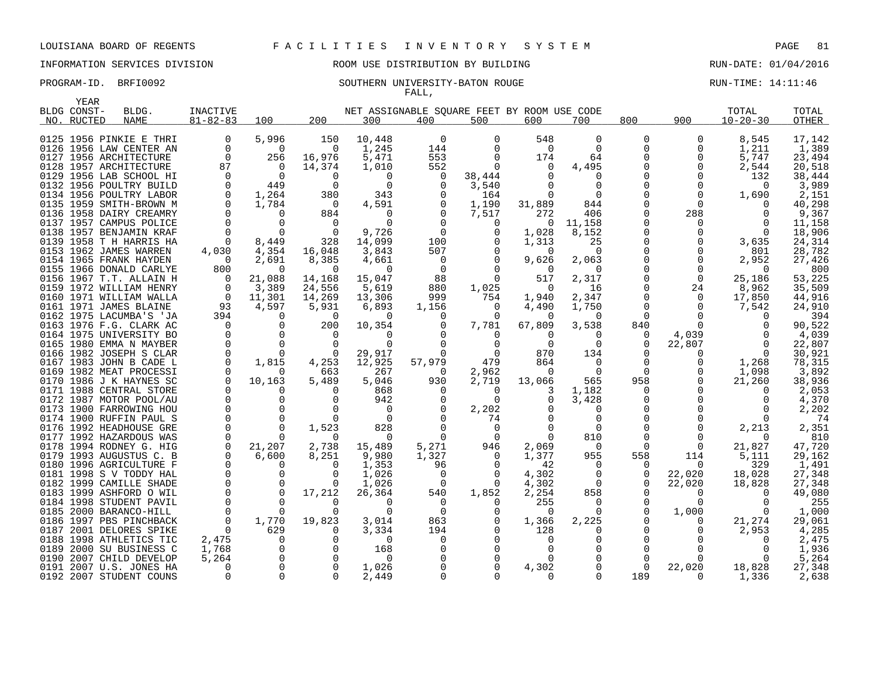INFORMATION SERVICES DIVISION ROOM USE DISTRIBUTION BY BUILDING RUN-DATE: 01/04/2016

### PROGRAM-ID. BRFI0092 SOUTHERN UNIVERSITY-BATON ROUGE RUN-TIME: 14:11:46 FALL,

|      | YEAR        |                                                    |                      |                   |                    |                      |                                             |                         |                 |                      |                      |               |                   |                 |
|------|-------------|----------------------------------------------------|----------------------|-------------------|--------------------|----------------------|---------------------------------------------|-------------------------|-----------------|----------------------|----------------------|---------------|-------------------|-----------------|
|      | BLDG CONST- | BLDG.                                              | INACTIVE             |                   |                    |                      | NET ASSIGNABLE SOUARE FEET BY ROOM USE CODE |                         |                 |                      |                      |               | TOTAL             | TOTAL           |
|      | NO. RUCTED  | <b>NAME</b>                                        | $81 - 82 - 83$       | 100               | 200                | 300                  | 400                                         | 500                     | 600             | 700                  | 800                  | 900           | $10 - 20 - 30$    | <b>OTHER</b>    |
|      |             |                                                    |                      |                   |                    |                      |                                             |                         |                 |                      |                      |               |                   |                 |
|      |             | 0125 1956 PINKIE E THRI                            | 0                    | 5,996             | 150                | 10,448               | $\Omega$                                    | $\Omega$                | 548             | $\Omega$             | 0                    | 0             | 8,545             | 17,142          |
|      |             | 0126 1956 LAW CENTER AN                            | $\Omega$             | $\Omega$          | $\Omega$           | 1,245                | 144                                         | $\Omega$                | $\Omega$        | $\Omega$             | 0                    | 0             | 1,211             | 1,389           |
| 0127 |             | 1956 ARCHITECTURE                                  | $\Omega$             | 256               | 16,976             | 5,471                | 553                                         | $\Omega$                | 174             | 64                   |                      | 0             | 5,747             | 23,494          |
|      |             | 0128 1957 ARCHITECTURE                             | 87                   | $\Omega$          | 14,374             | 1,010                | 552                                         | $\Omega$                | $\Omega$        | 4,495                |                      | $\Omega$      | 2,544             | 20,518          |
|      |             | 0129 1956 LAB SCHOOL HI                            | $\Omega$             | $\Omega$          | $\Omega$           | $\Omega$             | 0                                           | 38,444                  |                 |                      |                      | 0             | 132               | 38,444          |
|      |             | 0132 1956 POULTRY BUILD                            | $\Omega$             | 449               | $\Omega$           | $\Omega$             | $\Omega$                                    | 3,540                   |                 | $\Omega$             |                      | $\Omega$      | $\Omega$          | 3,989           |
|      |             | 0134 1956 POULTRY LABOR                            | $\Omega$<br>$\Omega$ | 1,264             | 380                | 343                  | $\Omega$                                    | 164                     |                 |                      | $\Omega$             | 0<br>$\Omega$ | 1,690<br>$\Omega$ | 2,151           |
|      |             | 0135 1959 SMITH-BROWN M<br>0136 1958 DAIRY CREAMRY |                      | 1,784<br>$\Omega$ | 0<br>884           | 4,591<br>$\Omega$    |                                             | 1,190<br>7,517          | 31,889<br>272   | 844<br>406           | $\Omega$             | 288           | $\Omega$          | 40,298<br>9,367 |
|      |             | 0137 1957 CAMPUS POLICE                            |                      | $\Omega$          | $\Omega$           | $\Omega$             |                                             | $\Omega$                | $\Omega$        | 11,158               |                      | $\Omega$      | $\Omega$          | 11,158          |
|      |             | 0138 1957 BENJAMIN KRAF                            |                      | $\Omega$          | $\Omega$           | 9,726                | $\Omega$                                    | $\Omega$                | 1,028           | 8,152                |                      | 0             | $\Omega$          | 18,906          |
|      |             | 0139 1958 T H HARRIS HA                            |                      | 8,449             | 328                | 14,099               | 100                                         |                         | 1,313           | 25                   |                      | $\Omega$      | 3,635             | 24,314          |
|      |             | 0153 1962 JAMES WARREN                             | 4,030                | 4,354             | 16,048             | 3,843                | 507                                         | 0                       | $\Omega$        | $\Omega$             |                      | 0             | 801               | 28,782          |
|      |             | 0154 1965 FRANK HAYDEN                             | - 0                  | 2,691             | 8,385              | 4,661                | $\Omega$                                    | $\Omega$                | 9,626           | 2,063                |                      | $\Omega$      | 2,952             | 27,426          |
| 0155 |             | 1966 DONALD CARLYE                                 | 800                  | $\Omega$          | $\Omega$           | $\Omega$             | $\Omega$                                    | $\Omega$                |                 | $\Omega$             |                      | 0             | $\Omega$          | 800             |
|      |             | 0156 1967 T.T. ALLAIN H                            | 0                    | 21,088            | 14,168             | 15,047               | 88                                          | $\Omega$                | 517             | 2,317                |                      | $\mathbf 0$   | 25,186            | 53,225          |
| 0159 |             | 1972 WILLIAM HENRY                                 | $\Omega$             | 3,389             | 24,556             | 5,619                | 880                                         | 1,025                   | $\Omega$        | 16                   |                      | 24            | 8,962             | 35,509          |
|      |             | 0160 1971 WILLIAM WALLA                            | 0                    | 11,301            | 14,269             | 13,306               | 999                                         | 754                     | 1,940           | 2,347                | 0                    | 0             | 17,850            | 44,916          |
|      |             | 0161 1971 JAMES BLAINE                             | 93                   | 4,597             | 5,931              | 6,893                | 1,156                                       | $\Omega$                | 4,490           | 1,750                |                      | $\Omega$      | 7,542             | 24,910          |
|      |             | 0162 1975 LACUMBA'S 'JA                            | 394                  | $\Omega$          | $\mathbf 0$        | $\Omega$             | 0                                           | 0                       | $\Omega$        | $\Omega$             | 0                    | 0             | $\Omega$          | 394             |
|      |             | 0163 1976 F.G. CLARK AC                            |                      | $\Omega$          | 200                | 10,354               |                                             | 7,781                   | 67,809          | 3,538                | 840                  |               | $\Omega$          | 90,522          |
|      |             | 0164 1975 UNIVERSITY BO                            | $\Omega$             | $\Omega$          | $\Omega$           | $\Omega$             |                                             | $\Omega$                | $\Omega$        | $\Omega$             | 0                    | 4,039         | $\Omega$          | 4,039           |
|      |             | 0165 1980 EMMA N MAYBER                            |                      | $\Omega$          | $\Omega$           | $\Omega$             |                                             | $\Omega$                | $\Omega$        | $\Omega$             | $\Omega$             | 22,807        | $\Omega$          | 22,807          |
|      |             | 0166 1982 JOSEPH S CLAR                            | $\Omega$             | $\Omega$          | $\Omega$           | 29,917               | $\Omega$                                    | $\Omega$                | 870             | 134                  |                      | 0             | $\Omega$          | 30,921          |
|      |             | 0167 1983 JOHN B CADE L<br>0169 1982 MEAT PROCESSI | $\Omega$             | 1,815<br>0        | 4,253<br>663       | 12,925<br>267        | 57,979<br>$\Omega$                          | 479<br>2,962            | 864<br>$\Omega$ | $\Omega$<br>$\Omega$ | $\Omega$<br>$\Omega$ | 0<br>0        | 1,268<br>1,098    | 78,315<br>3,892 |
|      |             | 0170 1986 J K HAYNES SC                            |                      | 10,163            | 5,489              | 5,046                | 930                                         | 2,719                   | 13,066          | 565                  | 958                  | 0             | 21,260            | 38,936          |
|      |             | 0171 1988 CENTRAL STORE                            |                      | 0                 | ∩                  | 868                  | O                                           | $\Omega$                |                 | 1,182                | $\Omega$             | ∩             | $\Omega$          | 2,053           |
|      |             | 0172 1987 MOTOR POOL/AU                            | $\Omega$             | $\mathbf 0$       | $\Omega$           | 942                  | -0                                          | $\Omega$                |                 | 3,428                |                      |               | $\Omega$          | 4,370           |
|      |             | 0173 1900 FARROWING HOU                            | $\Omega$             | $\Omega$          |                    | $\Omega$             |                                             | 2,202                   |                 | $\Omega$             |                      |               | $\Omega$          | 2,202           |
|      |             | 0174 1900 RUFFIN PAUL S                            |                      | 0                 | $\Omega$           | $\Omega$             |                                             | 74                      |                 |                      |                      |               | $\Omega$          | 74              |
|      |             | 0176 1992 HEADHOUSE GRE                            |                      | $\Omega$          | 1,523              | 828                  |                                             | $\Omega$                |                 | $\Omega$             |                      | <sup>0</sup>  | 2,213             | 2,351           |
| 0177 |             | 1992 HAZARDOUS WAS                                 |                      | $\Omega$          | $\Omega$           | $\Omega$             |                                             | $\Omega$                |                 | 810                  |                      | 0             | $\Omega$          | 810             |
|      |             | 0178 1994 RODNEY G. HIG                            | $\mathbf 0$          | 21,207            | 2,738              | 15,489               | 5,271                                       | 946                     | 2,069           | $\Omega$             | $\Omega$             | $\Omega$      | 21,827            | 47,720          |
|      |             | 0179 1993 AUGUSTUS C. B                            |                      | 6,600             | 8,251              | 9,980                | 1,327                                       | 0                       | 1,377           | 955                  | 558                  | 114           | 5,111             | 29,162          |
|      |             | 0180 1996 AGRICULTURE F                            | $\Omega$             | 0                 | $\Omega$           | 1,353                | 96                                          | $\Omega$                | 42              | $\Omega$             | $\Omega$             | $\Omega$      | 329               | 1,491           |
|      |             | 0181 1998 S V TODDY HAL                            | $\Omega$             | $\Omega$          | ∩                  | 1,026                | -0                                          | $\Omega$                | 4,302           | $\Omega$             | $\Omega$             | 22,020        | 18,028            | 27,348          |
| 0182 |             | 1999 CAMILLE SHADE                                 | $\Omega$             | 0                 | $\Omega$           | 1,026                | 0                                           | $\Omega$                | 4,302           | $\Omega$             | $\Omega$             | 22,020        | 18,828            | 27,348          |
|      |             | 0183 1999 ASHFORD O WIL                            |                      | $\Omega$          | 17,212             | 26,364               | 540                                         | 1,852                   | 2,254           | 858                  |                      | 0             | $\Omega$          | 49,080          |
|      |             | 0184 1998 STUDENT PAVIL                            |                      | $\Omega$          | $\Omega$           | $\Omega$<br>$\Omega$ | $\Omega$                                    |                         | 255             |                      |                      | $\Omega$      | $\Omega$          | 255             |
|      |             | 0185 2000 BARANCO-HILL                             | $\Omega$<br>$\Omega$ | $\Omega$          | $\Omega$           |                      | $\Omega$                                    | $\Omega$<br>$\mathbf 0$ | $\Omega$        |                      |                      | 1,000         | $\Omega$          | 1,000           |
| 0187 |             | 0186 1997 PBS PINCHBACK<br>2001 DELORES SPIKE      | $\Omega$             | 1,770<br>629      | 19,823<br>$\Omega$ | 3,014<br>3,334       | 863<br>194                                  |                         | 1,366<br>128    | 2,225                |                      | 0<br>0        | 21,274<br>2,953   | 29,061<br>4,285 |
|      |             | 0188 1998 ATHLETICS TIC                            | 2,475                | $\Omega$          | <sup>n</sup>       | $\Omega$             |                                             |                         | O               |                      |                      |               | ∩                 | 2,475           |
| 0189 |             | 2000 SU BUSINESS C                                 | 1,768                | $\Omega$          | $\cap$             | 168                  |                                             |                         |                 |                      |                      |               | n                 | 1,936           |
|      |             | 0190 2007 CHILD DEVELOP                            | 5,264                | 0                 |                    | $\Omega$             |                                             |                         |                 |                      | $\Omega$             |               |                   | 5,264           |
| 0191 |             | 2007 U.S. JONES HA                                 | $\Omega$             | $\Omega$          | $\Omega$           | 1,026                |                                             |                         | 4,302           |                      | $\Omega$             | 22,020        | 18,828            | 27,348          |
|      |             | 0192 2007 STUDENT COUNS                            |                      | $\Omega$          | $\Omega$           | 2,449                |                                             |                         |                 |                      | 189                  |               | 1,336             | 2,638           |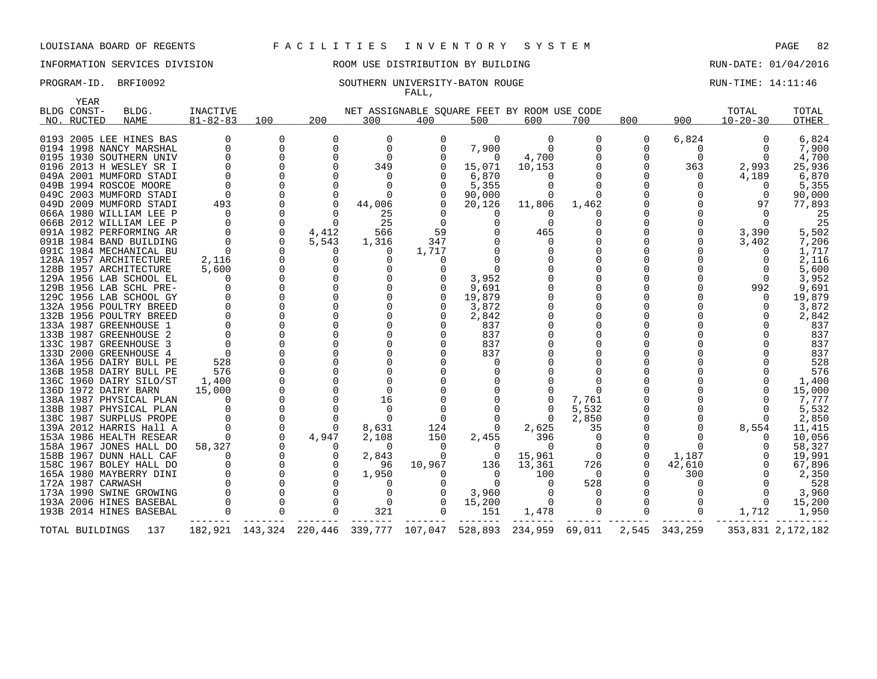INFORMATION SERVICES DIVISION ROOM USE DISTRIBUTION BY BUILDING RUN-DATE: 01/04/2016

### PROGRAM-ID. BRFI0092 SOUTHERN UNIVERSITY-BATON ROUGE RUN-TIME: 14:11:46 FALL,

| YEAR              |                                                                                                                                                                                                                                                                                                                                                                                                                                                                                                                                                                                                                                                                                                                                                                                                                                                                                                                         |                                                                                                               |                                                                               |                                                                                                                                                                                                                                                                        |                                                                                                                                                                                                                                                                                                                                                 |                                                                                             |                                                                                                                                                                                                                                                         |                                                                                                                      |                                                                                                                              |        |                                           |                                                                                                                                                               |                                                                                                                                                                                                                                                                                                     |
|-------------------|-------------------------------------------------------------------------------------------------------------------------------------------------------------------------------------------------------------------------------------------------------------------------------------------------------------------------------------------------------------------------------------------------------------------------------------------------------------------------------------------------------------------------------------------------------------------------------------------------------------------------------------------------------------------------------------------------------------------------------------------------------------------------------------------------------------------------------------------------------------------------------------------------------------------------|---------------------------------------------------------------------------------------------------------------|-------------------------------------------------------------------------------|------------------------------------------------------------------------------------------------------------------------------------------------------------------------------------------------------------------------------------------------------------------------|-------------------------------------------------------------------------------------------------------------------------------------------------------------------------------------------------------------------------------------------------------------------------------------------------------------------------------------------------|---------------------------------------------------------------------------------------------|---------------------------------------------------------------------------------------------------------------------------------------------------------------------------------------------------------------------------------------------------------|----------------------------------------------------------------------------------------------------------------------|------------------------------------------------------------------------------------------------------------------------------|--------|-------------------------------------------|---------------------------------------------------------------------------------------------------------------------------------------------------------------|-----------------------------------------------------------------------------------------------------------------------------------------------------------------------------------------------------------------------------------------------------------------------------------------------------|
| NO. RUCTED        | <b>NAME</b>                                                                                                                                                                                                                                                                                                                                                                                                                                                                                                                                                                                                                                                                                                                                                                                                                                                                                                             | $81 - 82 - 83$                                                                                                | 100                                                                           | 200                                                                                                                                                                                                                                                                    | 300                                                                                                                                                                                                                                                                                                                                             | 400                                                                                         | 500                                                                                                                                                                                                                                                     | 600                                                                                                                  | 700                                                                                                                          | 800    | 900                                       | $10 - 20 - 30$                                                                                                                                                | <b>OTHER</b>                                                                                                                                                                                                                                                                                        |
| BLDG CONST-       | BLDG.<br>0193 2005 LEE HINES BAS<br>0194 1998 NANCY MARSHAL<br>0195 1930 SOUTHERN UNIV<br>0196 2013 H WESLEY SR I<br>049A 2001 MUMFORD STADI<br>049B 1994 ROSCOE MOORE<br>049C 2003 MUMFORD STADI<br>049D 2009 MUMFORD STADI<br>066A 1980 WILLIAM LEE P<br>066B 2012 WILLIAM LEE P<br>091A 1982 PERFORMING AR<br>091B 1984 BAND BUILDING<br>091C 1984 MECHANICAL BU<br>128A 1957 ARCHITECTURE<br>128B 1957 ARCHITECTURE<br>129A 1956 LAB SCHOOL EL<br>129B 1956 LAB SCHL PRE-<br>129C 1956 LAB SCHOOL GY<br>132A 1956 POULTRY BREED<br>132B 1956 POULTRY BREED<br>133A 1987 GREENHOUSE 1<br>133B 1987 GREENHOUSE 2<br>133C 1987 GREENHOUSE<br>133D 2000 GREENHOUSE<br>4<br>136A 1956 DAIRY BULL PE<br>136B 1958 DAIRY BULL PE<br>136C 1960 DAIRY SILO/ST<br>136D 1972 DAIRY BARN<br>138A 1987 PHYSICAL PLAN<br>138B 1987 PHYSICAL PLAN<br>138C 1987 SURPLUS PROPE<br>139A 2012 HARRIS Hall A<br>153A 1986 HEALTH RESEAR | <b>INACTIVE</b><br>493<br>$\Omega$<br>2,116<br>5,600<br>$\Omega$<br>528<br>576<br>1,400<br>15,000<br>$\Omega$ | $\Omega$<br>$\mathbf 0$<br>$\mathbf 0$<br>$\mathbf 0$<br>$\Omega$<br>$\Omega$ | $\Omega$<br>$\mathbf 0$<br>$\Omega$<br>$\Omega$<br>$\Omega$<br>$\Omega$<br>$\Omega$<br>$\Omega$<br>$\Omega$<br>4,412<br>5,543<br>$\Omega$<br>0<br>$\mathbf 0$<br>$\Omega$<br>$\Omega$<br>$\Omega$<br>$\Omega$<br>$\Omega$<br>$\Omega$<br>$\Omega$<br>$\Omega$<br>4,947 | $\Omega$<br>$\mathbf{0}$<br>$\Omega$<br>349<br>0<br>$\Omega$<br>$\Omega$<br>44,006<br>25<br>25<br>566<br>1,316<br>0<br>0<br>0<br>$\mathbf 0$<br>$\Omega$<br>$\Omega$<br>$\mathbf 0$<br>$\Omega$<br>$\Omega$<br>$\Omega$<br>$\Omega$<br>$\Omega$<br>$\Omega$<br>$\Omega$<br>$\Omega$<br>$\Omega$<br>16<br>$\Omega$<br>$\Omega$<br>8,631<br>2,108 | NET ASSIGNABLE SQUARE FEET BY ROOM USE CODE<br>$\Omega$<br>59<br>347<br>1,717<br>124<br>150 | $\Omega$<br>7,900<br>$\Omega$<br>15,071<br>6,870<br>5,355<br>90,000<br>20,126<br>$\Omega$<br>$\Omega$<br>0<br>$\Omega$<br>3,952<br>9,691<br>19,879<br>3,872<br>2,842<br>837<br>837<br>837<br>837<br>$\Omega$<br>0<br>0<br>$\Omega$<br>$\Omega$<br>2,455 | $\Omega$<br>$\mathbf 0$<br>4,700<br>10,153<br>0<br>11,806<br>$\Omega$<br>$\Omega$<br>465<br>$\Omega$<br>2,625<br>396 | $\Omega$<br>$\mathbf 0$<br>$\mathbf 0$<br>0<br>$\Omega$<br>1,462<br>$\Omega$<br>7,761<br>5,532<br>2,850<br>35<br>$\mathbf 0$ | 0<br>0 | 6,824<br>0<br>$\Omega$<br>363<br>$\Omega$ | TOTAL<br>2,993<br>4,189<br>$\Omega$<br>0<br>97<br>$\Omega$<br>3,390<br>3,402<br>$\Omega$<br>$\Omega$<br>992<br>$\Omega$<br>0<br>$\Omega$<br>$\Omega$<br>8,554 | TOTAL<br>6,824<br>7,900<br>4,700<br>25,936<br>6,870<br>5,355<br>90,000<br>77,893<br>25<br>25<br>5,502<br>7,206<br>1,717<br>2,116<br>5,600<br>3,952<br>9,691<br>19,879<br>3,872<br>2,842<br>837<br>837<br>837<br>837<br>528<br>576<br>1,400<br>15,000<br>7,777<br>5,532<br>2,850<br>11,415<br>10,056 |
| 172A 1987 CARWASH | 158A 1967 JONES HALL DO<br>158B 1967 DUNN HALL CAF<br>158C 1967 BOLEY HALL DO<br>165A 1980 MAYBERRY DINI<br>173A 1990 SWINE GROWING<br>193A 2006 HINES BASEBAL<br>193B 2014 HINES BASEBAL                                                                                                                                                                                                                                                                                                                                                                                                                                                                                                                                                                                                                                                                                                                               | 58,327                                                                                                        |                                                                               | $\Omega$<br>0<br>0<br>$\Omega$<br>$\Omega$<br>$\Omega$<br>$\Omega$                                                                                                                                                                                                     | 0<br>2,843<br>96<br>1,950<br>$\Omega$<br>0<br>$\mathbf 0$<br>321                                                                                                                                                                                                                                                                                | 0<br>$\Omega$<br>10,967<br>$\Omega$<br>$\Omega$                                             | 0<br>$\overline{0}$<br>136<br>$\Omega$<br>$\Omega$<br>3,960<br>15,200<br>151                                                                                                                                                                            | 0<br>15,961<br>13,361<br>100<br>$\Omega$<br>1,478                                                                    | $\overline{0}$<br>726<br>$\Omega$<br>528<br>$\Omega$<br>$\overline{0}$                                                       | 0<br>0 | 1,187<br>42,610<br>300                    | $\Omega$<br>1,712                                                                                                                                             | 58,327<br>19,991<br>67,896<br>2,350<br>528<br>3,960<br>15,200<br>1,950                                                                                                                                                                                                                              |
| TOTAL BUILDINGS   | 137                                                                                                                                                                                                                                                                                                                                                                                                                                                                                                                                                                                                                                                                                                                                                                                                                                                                                                                     |                                                                                                               |                                                                               |                                                                                                                                                                                                                                                                        |                                                                                                                                                                                                                                                                                                                                                 | 182,921 143,324 220,446 339,777 107,047                                                     | 528,893                                                                                                                                                                                                                                                 | 234,959 69,011                                                                                                       |                                                                                                                              |        | 2,545 343,259                             |                                                                                                                                                               | 353,831 2,172,182                                                                                                                                                                                                                                                                                   |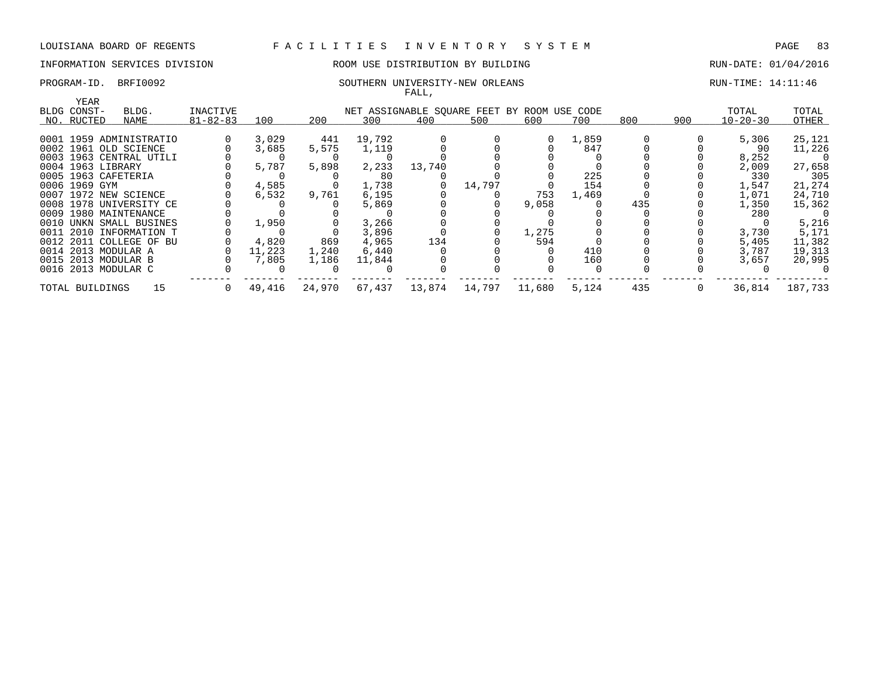## INFORMATION SERVICES DIVISION **REDEFILMENTION BY BUILDING RUN-DATE: 01/04/2016**

### PROGRAM-ID. BRFI0092 SOUTHERN UNIVERSITY-NEW ORLEANS RUN-TIME: 14:11:46 FALL,

|                     |                         |                |        |        |        | rann,  |        |                                             |       |     |     |                |         |
|---------------------|-------------------------|----------------|--------|--------|--------|--------|--------|---------------------------------------------|-------|-----|-----|----------------|---------|
| YEAR<br>BLDG CONST- | BLDG.                   | INACTIVE       |        |        |        |        |        | NET ASSIGNABLE SQUARE FEET BY ROOM USE CODE |       |     |     | TOTAL          | TOTAL   |
| NO. RUCTED          | NAME                    | $81 - 82 - 83$ | 100    | 200    | 300    | 400    | 500    | 600                                         | 700   | 800 | 900 | $10 - 20 - 30$ | OTHER   |
|                     |                         |                |        |        |        |        |        |                                             |       |     |     |                |         |
|                     | 0001 1959 ADMINISTRATIO |                | 3,029  | 441    | 19,792 |        |        | $\Omega$                                    | 1,859 |     |     | 5,306          | 25,121  |
|                     | 0002 1961 OLD SCIENCE   |                | 3,685  | 5,575  | 1,119  |        |        |                                             | 847   |     |     | 90             | 11,226  |
|                     | 0003 1963 CENTRAL UTILI |                |        |        |        |        |        |                                             |       |     |     | 8,252          | -0      |
| 0004 1963 LIBRARY   |                         |                | 5,787  | 5,898  | 2,233  | 13,740 |        |                                             |       |     |     | 2,009          | 27,658  |
|                     | 0005 1963 CAFETERIA     |                |        |        | 80     |        |        |                                             | 225   |     |     | 330            | 305     |
| 0006 1969 GYM       |                         |                | 4,585  |        | 1,738  |        | 14,797 |                                             | 154   |     |     | 1,547          | 21,274  |
|                     | 0007 1972 NEW SCIENCE   |                | 6,532  | 9,761  | 6,195  |        |        | 753                                         | 1,469 |     |     | 1,071          | 24,710  |
|                     | 0008 1978 UNIVERSITY CE |                |        |        | 5,869  |        |        | 9,058                                       |       | 435 |     | 1,350          | 15,362  |
|                     | 0009 1980 MAINTENANCE   |                |        |        |        |        |        |                                             |       |     |     | 280            | 0       |
|                     | 0010 UNKN SMALL BUSINES |                | 1,950  |        | 3,266  |        |        |                                             |       |     |     |                | 5,216   |
|                     | 0011 2010 INFORMATION T |                |        |        | 3,896  |        |        | 1,275                                       |       |     |     | 3,730          | 5,171   |
|                     | 0012 2011 COLLEGE OF BU |                | 4,820  | 869    | 4,965  | 134    |        | 594                                         |       |     |     | 5,405          | 11,382  |
|                     | 0014 2013 MODULAR A     |                | 11,223 | 1,240  | 6,440  |        |        |                                             | 410   |     |     | 3,787          | 19,313  |
|                     | 0015 2013 MODULAR B     |                | 7,805  | 1,186  | 11,844 |        |        |                                             | 160   |     |     | 3,657          | 20,995  |
|                     | 0016 2013 MODULAR C     |                |        |        |        |        |        |                                             |       |     |     |                |         |
| TOTAL BUILDINGS     | 15                      |                | 49,416 | 24,970 | 67,437 | 13,874 | 14,797 | 11,680                                      | 5,124 | 435 |     | 36,814         | 187,733 |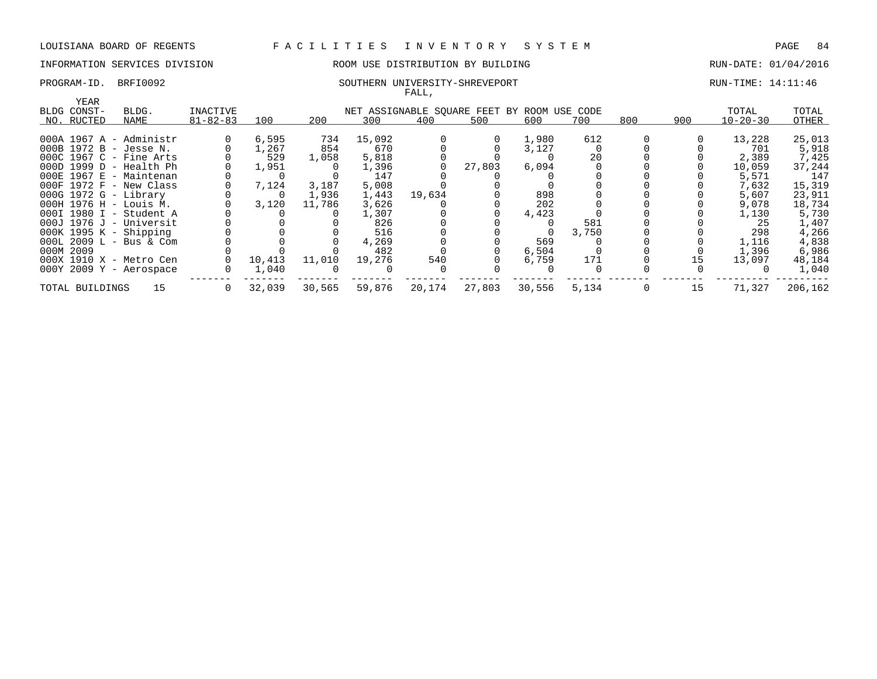## INFORMATION SERVICES DIVISION ROOM USE DISTRIBUTION BY BUILDING RUN-DATE: 01/04/2016

### PROGRAM-ID. BRFI0092 SOUTHERN UNIVERSITY-SHREVEPORT RUN-TIME: 14:11:46 FALL,

| YEAR                        |    |                |        |        |        |        |        |                                             |       |     |     |                |         |
|-----------------------------|----|----------------|--------|--------|--------|--------|--------|---------------------------------------------|-------|-----|-----|----------------|---------|
| BLDG CONST-<br>BLDG.        |    | INACTIVE       |        |        |        |        |        | NET ASSIGNABLE SQUARE FEET BY ROOM USE CODE |       |     |     | TOTAL          | TOTAL   |
| NO. RUCTED<br>NAME          |    | $81 - 82 - 83$ | 100    | 200    | 300    | 400    | 500    | 600                                         | 700   | 800 | 900 | $10 - 20 - 30$ | OTHER   |
| $000A$ 1967 A - Administr   |    |                | 6,595  | 734    | 15,092 |        |        | 1,980                                       | 612   |     |     | 13,228         | 25,013  |
| 000B 1972 B - Jesse N.      |    |                | 1,267  | 854    | 670    |        |        | 3,127                                       |       |     |     | 701            | 5,918   |
| 000C 1967 C - Fine Arts     |    |                | 529    | 1,058  | 5,818  |        |        |                                             | 20    |     |     | 2,389          | 7,425   |
| 000D 1999 D - Health Ph     |    |                | 1,951  |        | 1,396  |        | 27,803 | 6,094                                       |       |     |     | 10,059         | 37,244  |
| 000E 1967 E - Maintenan     |    |                |        |        | 147    |        |        |                                             |       |     |     | 5,571          | 147     |
| $000F$ 1972 $F$ - New Class |    |                | 7,124  | 3,187  | 5,008  |        |        |                                             |       |     |     | 7,632          | 15,319  |
| 000G 1972 G - Library       |    |                |        | 1,936  | 1,443  | 19,634 |        | 898                                         |       |     |     | 5,607          | 23,911  |
| 000H 1976 H - Louis M.      |    |                | 3,120  | 11,786 | 3,626  |        |        | 202                                         |       |     |     | 9,078          | 18,734  |
| 000I 1980 I - Student A     |    |                |        |        | 1,307  |        |        | 4,423                                       |       |     |     | 1,130          | 5,730   |
| $000J$ 1976 J - Universit   |    |                |        |        | 826    |        |        |                                             | 581   |     |     | -25            | 1,407   |
| $000K$ 1995 K - Shipping    |    |                |        |        | 516    |        |        |                                             | 3,750 |     |     | 298            | 4,266   |
| $000L$ 2009 L - Bus & Com   |    |                |        |        | 4,269  |        |        | 569                                         |       |     |     | 1,116          | 4,838   |
| 000M 2009                   |    |                |        |        | 482    |        |        | 6,504                                       |       |     |     | 1,396          | 6,986   |
| 000X 1910 X - Metro Cen     |    |                | 10,413 | 11,010 | 19,276 | 540    |        | 6,759                                       | 171   |     | 15  | 13,097         | 48,184  |
| 000Y 2009 Y - Aerospace     |    |                | 1,040  |        |        |        |        |                                             |       |     |     |                | 1,040   |
| TOTAL BUILDINGS             | 15 |                | 32,039 | 30,565 | 59,876 | 20,174 | 27,803 | 30,556                                      | 5,134 |     | 15  | 71,327         | 206,162 |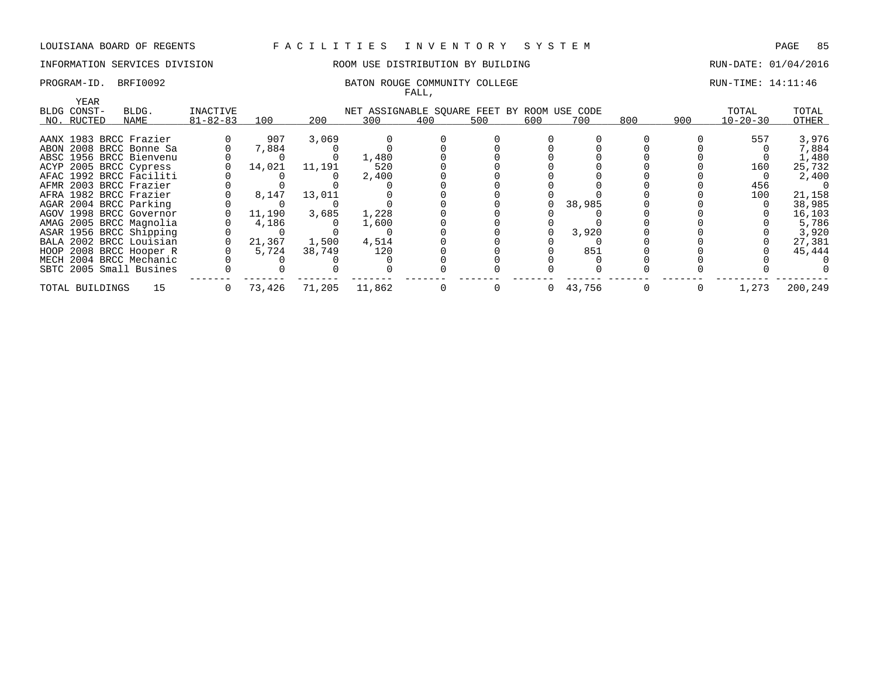## INFORMATION SERVICES DIVISION **ROOM USE DISTRIBUTION BY BUILDING RUN-DATE: 01/04/2016**

### PROGRAM-ID. BRFI0092 BATON ROUGE COMMUNITY COLLEGE RUN-TIME: 14:11:46 FALL,

|                        |                         |                |        |        |                                             | rauu, |     |              |        |     |     |                |         |
|------------------------|-------------------------|----------------|--------|--------|---------------------------------------------|-------|-----|--------------|--------|-----|-----|----------------|---------|
| YEAR                   |                         |                |        |        |                                             |       |     |              |        |     |     |                |         |
| BLDG CONST-            | BLDG.                   | INACTIVE       |        |        | NET ASSIGNABLE SQUARE FEET BY ROOM USE CODE |       |     |              |        |     |     | TOTAL          | TOTAL   |
| NO. RUCTED             | NAME                    | $81 - 82 - 83$ | 100    | 200    | 300                                         | 400   | 500 | 600          | 700    | 800 | 900 | $10 - 20 - 30$ | OTHER   |
|                        |                         |                |        |        |                                             |       |     |              |        |     |     |                |         |
| AANX 1983 BRCC Frazier |                         |                | 907    | 3,069  |                                             |       |     |              |        |     |     | 557            | 3,976   |
|                        | ABON 2008 BRCC Bonne Sa |                | 7,884  |        |                                             |       |     |              |        |     |     |                | 7,884   |
|                        | ABSC 1956 BRCC Bienvenu |                |        |        | 1,480                                       |       |     |              |        |     |     |                | 1,480   |
| ACYP 2005 BRCC Cypress |                         |                | 14,021 | 11,191 | 520                                         |       |     |              |        |     |     | 160            | 25,732  |
|                        | AFAC 1992 BRCC Faciliti |                |        |        | 2,400                                       |       |     |              |        |     |     |                | 2,400   |
| AFMR 2003 BRCC Frazier |                         |                |        |        |                                             |       |     |              |        |     |     | 456            |         |
| AFRA 1982 BRCC Frazier |                         |                | 8,147  | 13,011 |                                             |       |     |              |        |     |     | 100            | 21,158  |
| AGAR 2004 BRCC Parking |                         |                |        |        |                                             |       |     |              | 38,985 |     |     |                | 38,985  |
|                        | AGOV 1998 BRCC Governor |                | 11,190 | 3,685  | 1,228                                       |       |     |              |        |     |     |                | 16,103  |
|                        | AMAG 2005 BRCC Magnolia |                | 4,186  |        | 1,600                                       |       |     |              |        |     |     |                | 5,786   |
|                        | ASAR 1956 BRCC Shipping |                |        |        |                                             |       |     |              | 3,920  |     |     |                | 3,920   |
|                        | BALA 2002 BRCC Louisian |                | 21,367 | 1,500  | 4,514                                       |       |     |              |        |     |     |                | 27,381  |
|                        | HOOP 2008 BRCC Hooper R |                | 5,724  | 38,749 | 120                                         |       |     |              | 851    |     |     |                | 45,444  |
|                        | MECH 2004 BRCC Mechanic |                |        |        |                                             |       |     |              |        |     |     |                |         |
|                        | SBTC 2005 Small Busines |                |        |        |                                             |       |     |              |        |     |     |                |         |
| TOTAL BUILDINGS        | 15                      |                | 73,426 | 71,205 | 11,862                                      |       |     | $\mathbf{0}$ | 43,756 |     |     | 1,273          | 200,249 |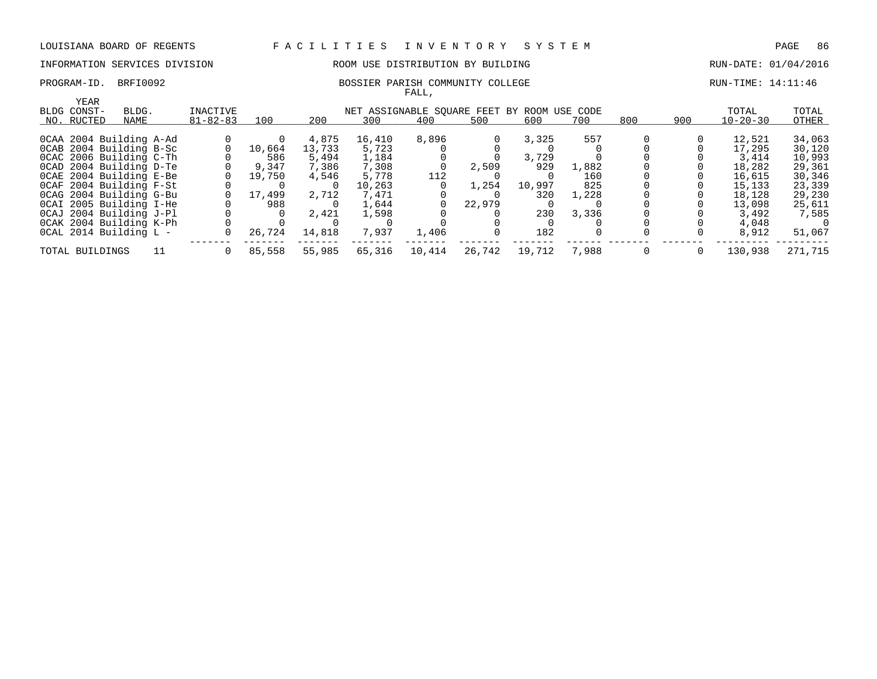## INFORMATION SERVICES DIVISION ROOM USE DISTRIBUTION BY BUILDING RUN-DATE: 01/04/2016

### PROGRAM-ID. BRFI0092 BOSSIER PARISH COMMUNITY COLLEGE RUN-TIME: 14:11:46 FALL,

| YEAR                    |       |                |        |        |        |        |        |                                             |       |     |     |                |         |
|-------------------------|-------|----------------|--------|--------|--------|--------|--------|---------------------------------------------|-------|-----|-----|----------------|---------|
| BLDG CONST-             | BLDG. | INACTIVE       |        |        |        |        |        | NET ASSIGNABLE SQUARE FEET BY ROOM USE CODE |       |     |     | TOTAL          | TOTAL   |
| NO. RUCTED              | NAME  | $81 - 82 - 83$ | 100    | 200    | 300    | 400    | 500    | 600                                         | 700   | 800 | 900 | $10 - 20 - 30$ | OTHER   |
|                         |       |                |        |        |        |        |        |                                             |       |     |     |                |         |
| OCAA 2004 Building A-Ad |       |                |        | 4,875  | 16,410 | 8,896  |        | 3,325                                       | 557   |     |     | 12,521         | 34,063  |
| OCAB 2004 Building B-Sc |       |                | 10,664 | 13,733 | 5,723  |        |        |                                             |       |     |     | 17,295         | 30,120  |
| OCAC 2006 Building C-Th |       |                | 586    | 5,494  | 1,184  |        |        | 3,729                                       |       |     |     | 3,414          | 10,993  |
| OCAD 2004 Building D-Te |       |                | 9,347  | 7,386  | 7,308  |        | 2,509  | 929                                         | 1,882 |     |     | 18,282         | 29,361  |
| OCAE 2004 Building E-Be |       |                | 19,750 | 4,546  | 5,778  | 112    |        |                                             | 160   |     |     | 16,615         | 30,346  |
| OCAF 2004 Building F-St |       |                |        |        | 10,263 |        | 1,254  | 10,997                                      | 825   |     |     | 15,133         | 23,339  |
| OCAG 2004 Building G-Bu |       |                | 17,499 | 2,712  | 7,471  |        |        | 320                                         | 1,228 |     |     | 18,128         | 29,230  |
| OCAI 2005 Building I-He |       |                | 988    |        | 1,644  |        | 22,979 |                                             |       |     |     | 13,098         | 25,611  |
| OCAJ 2004 Building J-Pl |       |                |        | 2,421  | 1,598  |        |        | 230                                         | 3,336 |     |     | 3,492          | 7,585   |
| OCAK 2004 Building K-Ph |       |                |        |        |        |        |        |                                             |       |     |     | 4,048          |         |
| OCAL 2014 Building L -  |       |                | 26,724 | 14,818 | 7,937  | 1,406  |        | 182                                         |       |     |     | 8,912          | 51,067  |
| TOTAL BUILDINGS         |       |                | 85,558 | 55,985 | 65,316 | 10,414 | 26,742 | 19,712                                      | 7,988 |     |     | 130,938        | 271,715 |
|                         |       |                |        |        |        |        |        |                                             |       |     |     |                |         |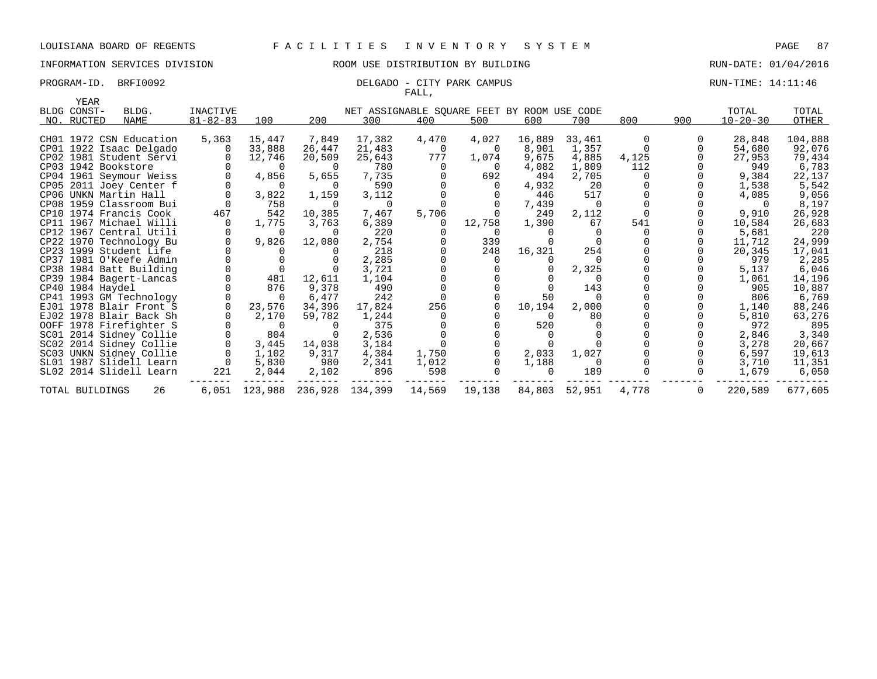## INFORMATION SERVICES DIVISION 88 ROOM USE DISTRIBUTION BY BUILDING RUN-DATE: 01/04/2016

### PROGRAM-ID. BRFI0092 **DELGADO** - CITY PARK CAMPUS **RUN-TIME: 14:11:46** FALL,

| YEAR            |                         |                 |               |                 |                                             |        |          |          |          |       |     |                |         |
|-----------------|-------------------------|-----------------|---------------|-----------------|---------------------------------------------|--------|----------|----------|----------|-------|-----|----------------|---------|
| BLDG CONST-     | BLDG.                   | <b>INACTIVE</b> |               |                 | NET ASSIGNABLE SQUARE FEET BY ROOM USE CODE |        |          |          |          |       |     | TOTAL          | TOTAL   |
| NO. RUCTED      | NAME                    | $81 - 82 - 83$  | 100           | 200             | 300                                         | 400    | 500      | 600      | 700      | 800   | 900 | $10 - 20 - 30$ | OTHER   |
|                 | CH01 1972 CSN Education | 5,363           | 15,447        | 7,849           | 17,382                                      | 4,470  | 4,027    | 16,889   | 33,461   | 0     |     | 28,848         | 104,888 |
|                 | CP01 1922 Isaac Delgado |                 | 33,888        | 26,447          | 21,483                                      | 0      | $\Omega$ | 8,901    | 1,357    |       |     | 54,680         | 92,076  |
|                 | CP02 1981 Student Servi |                 | 12,746        | 20,509          | 25,643                                      | 777    | 1,074    | 9,675    | 4,885    | 4,125 |     | 27,953         | 79,434  |
|                 | CP03 1942 Bookstore     |                 | $\Omega$      | $\Omega$        | 780                                         |        | - 0      | 4,082    | 1,809    | 112   |     | 949            | 6,783   |
|                 | CP04 1961 Seymour Weiss |                 | 4,856         | 5,655           | 7,735                                       |        | 692      | 494      | 2,705    |       |     | 9,384          | 22,137  |
|                 | CP05 2011 Joey Center f |                 | $\Omega$      | $\Omega$        | 590                                         |        |          | 4,932    | 20       |       |     | 1,538          | 5,542   |
|                 | CP06 UNKN Martin Hall   |                 | 3,822         | 1,159           | 3,112                                       |        |          | 446      | 517      |       |     | 4,085          | 9,056   |
|                 | CP08 1959 Classroom Bui |                 | 758           | $\Omega$        | $\Omega$                                    |        |          | 7,439    | $\Omega$ |       |     |                | 8,197   |
|                 | CP10 1974 Francis Cook  | 467             | 542           | 10,385          | 7,467                                       | 5,706  |          | 249      | 2,112    |       |     | 9,910          | 26,928  |
|                 | CP11 1967 Michael Willi |                 | 1,775         | 3,763           | 6,389                                       | 0      | 12,758   | 1,390    | 67       | 541   |     | 10,584         | 26,683  |
|                 | CP12 1967 Central Utili |                 | $\Omega$      | $\Omega$        | 220                                         |        |          |          |          |       |     | 5,681          | 220     |
|                 | CP22 1970 Technology Bu |                 | 9,826         | 12,080          | 2,754                                       |        | 339      |          |          |       |     | 11,712         | 24,999  |
|                 | CP23 1999 Student Life  |                 |               |                 | 218                                         |        | 248      | 16,321   | 254      |       |     | 20,345         | 17,041  |
|                 | CP37 1981 O'Keefe Admin |                 |               |                 | 2,285                                       |        |          |          |          |       |     | 979            | 2,285   |
|                 | CP38 1984 Batt Building |                 |               |                 | 3,721                                       |        |          |          | 2,325    |       |     | 5,137          | 6,046   |
|                 | CP39 1984 Bagert-Lancas |                 | 481           | 12,611          | 1,104                                       |        |          |          |          |       |     | 1,061          | 14,196  |
|                 | CP40 1984 Haydel        |                 | 876           | 9,378           | 490                                         |        |          |          | 143      |       |     | 905            | 10,887  |
|                 | CP41 1993 GM Technology |                 | $\Omega$      | 6,477           | 242                                         |        |          | 50       |          |       |     | 806            | 6,769   |
|                 | EJ01 1978 Blair Front S |                 | 23,576        | 34,396          | 17,824                                      | 256    |          | 10,194   | 2,000    |       |     | 1,140          | 88,246  |
|                 | EJ02 1978 Blair Back Sh |                 | 2,170         | 59,782          | 1,244                                       |        |          | $\Omega$ | 80       |       |     | 5,810          | 63,276  |
|                 | OOFF 1978 Firefighter S |                 | $\Omega$      |                 | 375                                         |        |          | 520      |          |       |     | 972            | 895     |
|                 | SC01 2014 Sidney Collie |                 | 804           |                 | 2,536                                       |        |          |          |          |       |     | 2,846          | 3,340   |
|                 | SC02 2014 Sidney Collie |                 | 3,445         | 14,038          | 3,184                                       |        |          |          |          |       |     | 3,278          | 20,667  |
|                 | SC03 UNKN Sidney Collie |                 | 1,102         | 9,317           | 4,384                                       | 1,750  |          | 2,033    | 1,027    |       |     | 6,597          | 19,613  |
|                 | SL01 1987 Slidell Learn |                 | 5,830         | 980             | 2,341                                       | 1,012  |          | 1,188    | $\Omega$ |       |     | 3,710          | 11,351  |
|                 | SL02 2014 Slidell Learn | 221             | 2,044         | 2,102           | 896                                         | 598    |          | $\Omega$ | 189      |       |     | 1,679          | 6,050   |
| TOTAL BUILDINGS | 26                      |                 | 6,051 123,988 | 236,928 134,399 |                                             | 14,569 | 19,138   | 84,803   | 52,951   | 4,778 | 0   | 220,589        | 677,605 |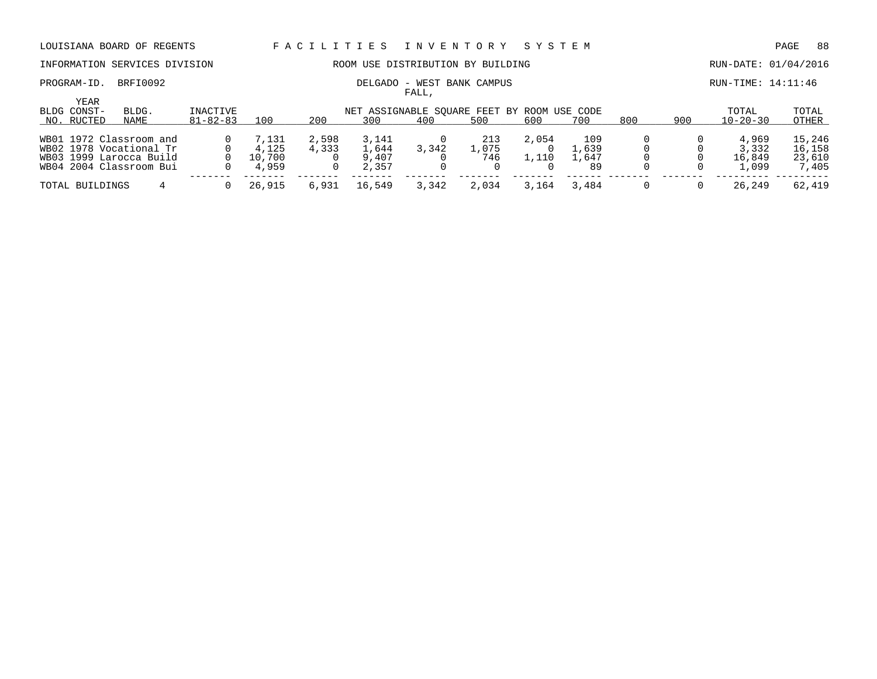## PROGRAM-ID. BRFI0092 **DELGADO - WEST BANK CAMPUS RUN-TIME: 14:11:46**

## INFORMATION SERVICES DIVISION **ROOM USE DISTRIBUTION BY BUILDING RUN-DATE: 01/04/2016**

FALL,

|                            |                                                                                                          |                |                                   |                |                                  | -----                                       |                     |       |                             |     |     |                                   |                                     |
|----------------------------|----------------------------------------------------------------------------------------------------------|----------------|-----------------------------------|----------------|----------------------------------|---------------------------------------------|---------------------|-------|-----------------------------|-----|-----|-----------------------------------|-------------------------------------|
| <b>YEAR</b><br>BLDG CONST- | BLDG.                                                                                                    | INACTIVE       |                                   |                |                                  | NET ASSIGNABLE SOUARE FEET BY ROOM USE CODE |                     |       |                             |     |     | TOTAL                             | TOTAL                               |
| NO. RUCTED                 | NAME                                                                                                     | $81 - 82 - 83$ | 100                               | 200            | 300                              | 400                                         | 500                 | 600   | 700                         | 800 | 900 | $10 - 20 - 30$                    | OTHER                               |
|                            | WB01 1972 Classroom and<br>WB02 1978 Vocational Tr<br>WB03 1999 Larocca Build<br>WB04 2004 Classroom Bui |                | 7,131<br>4,125<br>10,700<br>4,959 | 2,598<br>4,333 | 3,141<br>1,644<br>9,407<br>2,357 | 3,342                                       | 213<br>1,075<br>746 | 2,054 | 109<br>,639<br>1,647<br>-89 |     |     | 4,969<br>3,332<br>16,849<br>1,099 | 15,246<br>16,158<br>23,610<br>7,405 |
| TOTAL BUILDINGS            |                                                                                                          |                | 26,915                            | 6,931          | 16,549                           | 3,342                                       | 2,034               | 3,164 | 3,484                       |     |     | 26,249                            | 62,419                              |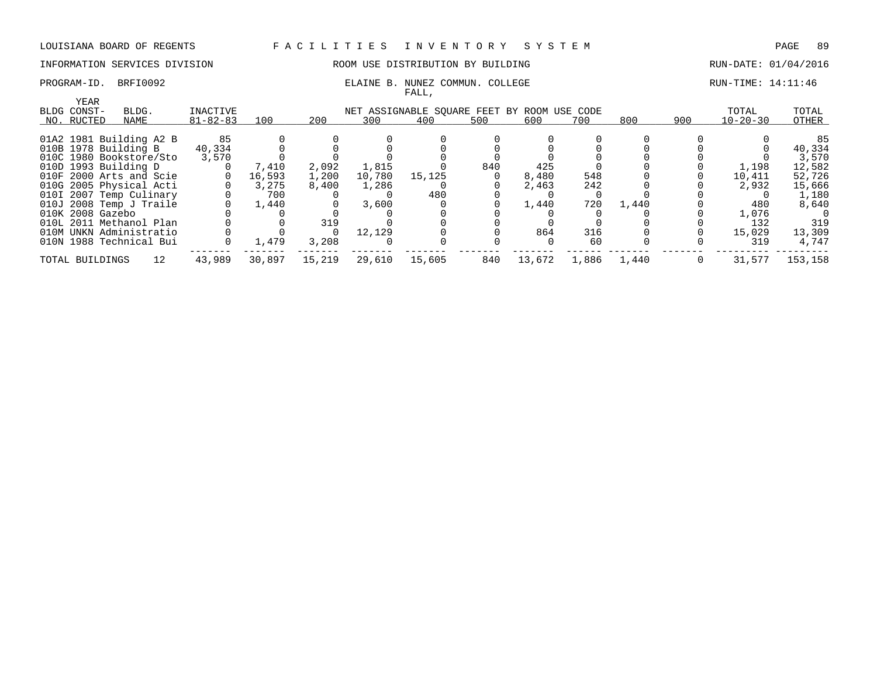### INFORMATION SERVICES DIVISION COOM OSE DISTRIBUTION BY BUILDING CONTROLLER RUN-DATE: 01/04/2016

### PROGRAM-ID. BRFI0092 **ELAINE B. NUNEZ COMMUN. COLLEGE** RUN-TIME: 14:11:46 FALL,

| YEAR             |                         |                |        |        |        |                                             |     |        |       |       |     |                |         |
|------------------|-------------------------|----------------|--------|--------|--------|---------------------------------------------|-----|--------|-------|-------|-----|----------------|---------|
| BLDG CONST-      | BLDG.                   | INACTIVE       |        |        |        | NET ASSIGNABLE SOUARE FEET BY ROOM USE CODE |     |        |       |       |     | TOTAL          | TOTAL   |
| NO. RUCTED       | NAME                    | $81 - 82 - 83$ | 100    | 200    | 300    | 400                                         | 500 | 600    | 700   | 800   | 900 | $10 - 20 - 30$ | OTHER   |
|                  | 01A2 1981 Building A2 B | 85             |        |        |        |                                             |     |        |       |       |     |                | 85      |
|                  | 010B 1978 Building B    | 40,334         |        |        |        |                                             |     |        |       |       |     |                | 40,334  |
|                  | 010C 1980 Bookstore/Sto | 3,570          |        |        |        |                                             |     |        |       |       |     |                | 3,570   |
|                  | 010D 1993 Building D    |                | 7,410  | 2,092  | 1,815  |                                             | 840 | 425    |       |       |     | 1,198          | 12,582  |
|                  | 010F 2000 Arts and Scie |                | 16,593 | 1,200  | 10,780 | 15,125                                      |     | 8,480  | 548   |       |     | 10,411         | 52,726  |
|                  | 010G 2005 Physical Acti |                | 3,275  | 8,400  | 1,286  |                                             |     | 2,463  | 242   |       |     | 2,932          | 15,666  |
|                  | 010I 2007 Temp Culinary |                | 700    |        |        | 480                                         |     |        |       |       |     |                | 1,180   |
|                  | 010J 2008 Temp J Traile |                | 1,440  |        | 3,600  |                                             |     | 1,440  | 720   | 1,440 |     | 480            | 8,640   |
| 010K 2008 Gazebo |                         |                |        |        |        |                                             |     |        |       |       |     | 1,076          |         |
|                  | 010L 2011 Methanol Plan |                |        | 319    |        |                                             |     |        |       |       |     | 132            | 319     |
|                  | 010M UNKN Administratio |                |        |        | 12,129 |                                             |     | 864    | 316   |       |     | 15,029         | 13,309  |
|                  | 010N 1988 Technical Bui |                | 1,479  | 3,208  |        |                                             |     |        | 60    |       |     | 319            | 4.747   |
| TOTAL BUILDINGS  | 12                      | 43,989         | 30,897 | 15,219 | 29,610 | 15,605                                      | 840 | 13,672 | 1,886 | 1,440 |     | 31,577         | 153,158 |
|                  |                         |                |        |        |        |                                             |     |        |       |       |     |                |         |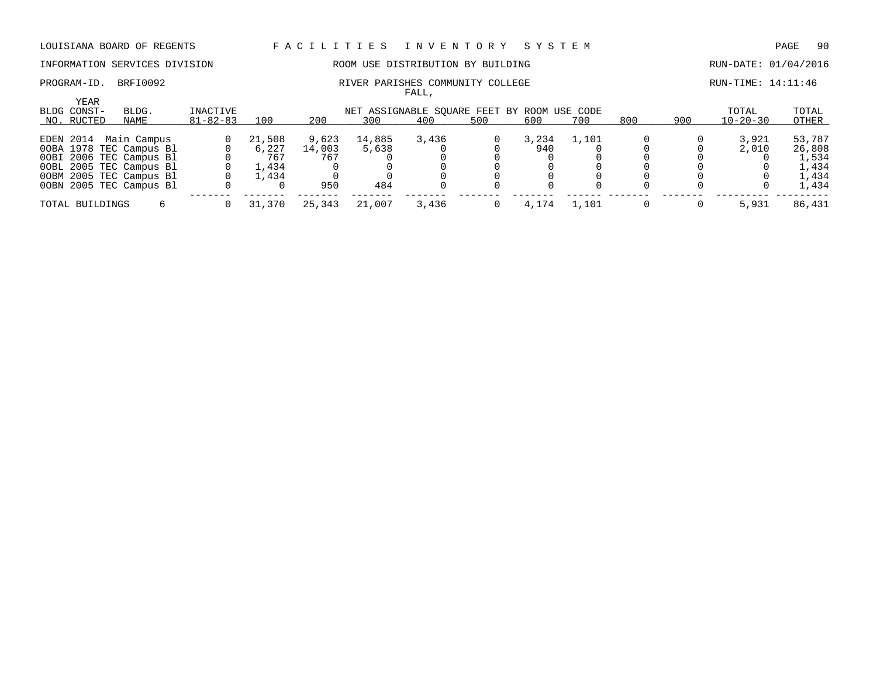INFORMATION SERVICES DIVISION ROOM USE DISTRIBUTION BY BUILDING RUN-DATE: 01/04/2016

FALL,

### PROGRAM-ID. BRFI0092 **RIVER PARISHES COMMUNITY COLLEGE** RUN-TIME: 14:11:46

| YEAR<br>BLDG CONST-<br>NO. RUCTED | BLDG.<br>NAME           | INACTIVE<br>$81 - 82 - 83$ | 100    | 200    | 300    | NET ASSIGNABLE SOUARE FEET BY ROOM USE CODE<br>400 | 500 | 600   | 700     | 800 | 900 | TOTAL<br>$10 - 20 - 30$ | TOTAL<br>OTHER |
|-----------------------------------|-------------------------|----------------------------|--------|--------|--------|----------------------------------------------------|-----|-------|---------|-----|-----|-------------------------|----------------|
|                                   | EDEN 2014 Main Campus   |                            | 21,508 | 9,623  | 14,885 | 3,436                                              |     | 3,234 | 1,101   |     |     | 3,921                   | 53,787         |
|                                   | OOBA 1978 TEC Campus Bl |                            | 6.227  | 14,003 | 5,638  |                                                    |     | 940   |         |     |     | 2,010                   | 26,808         |
|                                   | OOBI 2006 TEC Campus Bl |                            | 767    | 767    |        |                                                    |     |       |         |     |     |                         | 1,534          |
|                                   | OOBL 2005 TEC Campus Bl |                            | l.434  |        |        |                                                    |     |       |         |     |     |                         | 1,434          |
|                                   | OOBM 2005 TEC Campus Bl |                            | 1.434  |        |        |                                                    |     |       |         |     |     |                         | 1,434          |
|                                   | OOBN 2005 TEC Campus Bl |                            |        | 950    | 484    |                                                    |     |       |         |     |     |                         | 1,434          |
| TOTAL BUILDINGS                   |                         |                            | 31,370 | 25,343 | 21,007 | 3,436                                              |     | 4,174 | . . 101 |     |     | 5,931                   | 86,431         |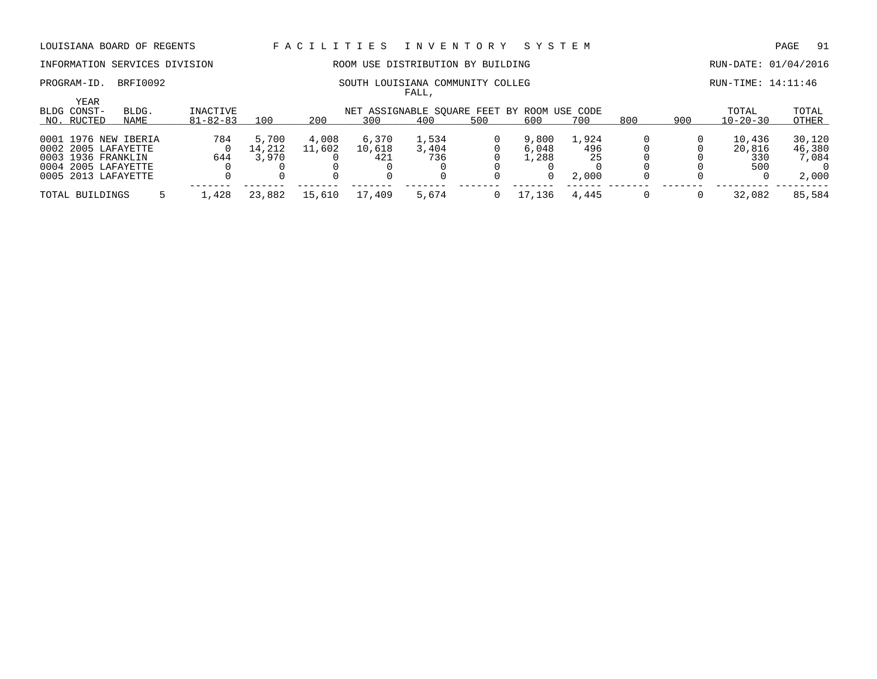INFORMATION SERVICES DIVISION ROOM USE DISTRIBUTION BY BUILDING RUN-DATE: 01/04/2016

FALL,

| YEAR<br>BLDG CONST-  | BLDG. | INACTIVE       |        |        |        | NET ASSIGNABLE SQUARE FEET BY ROOM USE CODE |     |        |       |     |     | TOTAL          | TOTAL  |
|----------------------|-------|----------------|--------|--------|--------|---------------------------------------------|-----|--------|-------|-----|-----|----------------|--------|
| NO. RUCTED           | NAME  | $81 - 82 - 83$ | 100    | 200    | 300    | 400                                         | 500 | 600    | 700   | 800 | 900 | $10 - 20 - 30$ | OTHER  |
| 0001 1976 NEW IBERIA |       | 784            | 5,700  | 4,008  | 6,370  | 1,534                                       |     | 9,800  | 1,924 |     |     | 10,436         | 30,120 |
| 0002 2005 LAFAYETTE  |       |                | 14,212 | 11,602 | 10,618 | 3,404                                       |     | 6,048  | 496   |     |     | 20,816         | 46,380 |
| 0003 1936 FRANKLIN   |       | 644            | 3,970  |        | 421    | 736                                         |     | l.288  | 25    |     |     | 330            | 7,084  |
| 0004 2005 LAFAYETTE  |       |                |        |        |        |                                             |     |        |       |     |     | 500            |        |
| 0005 2013 LAFAYETTE  |       |                |        |        |        |                                             |     |        | 2,000 |     |     |                | 2,000  |
| TOTAL BUILDINGS      |       | .428           | 23,882 | 15,610 | 17,409 | 5,674                                       |     | .7.136 | 4,445 |     |     | 32,082         | 85,584 |

### PROGRAM-ID. BRFI0092 SOUTH LOUISIANA COMMUNITY COLLEG RUN-TIME: 14:11:46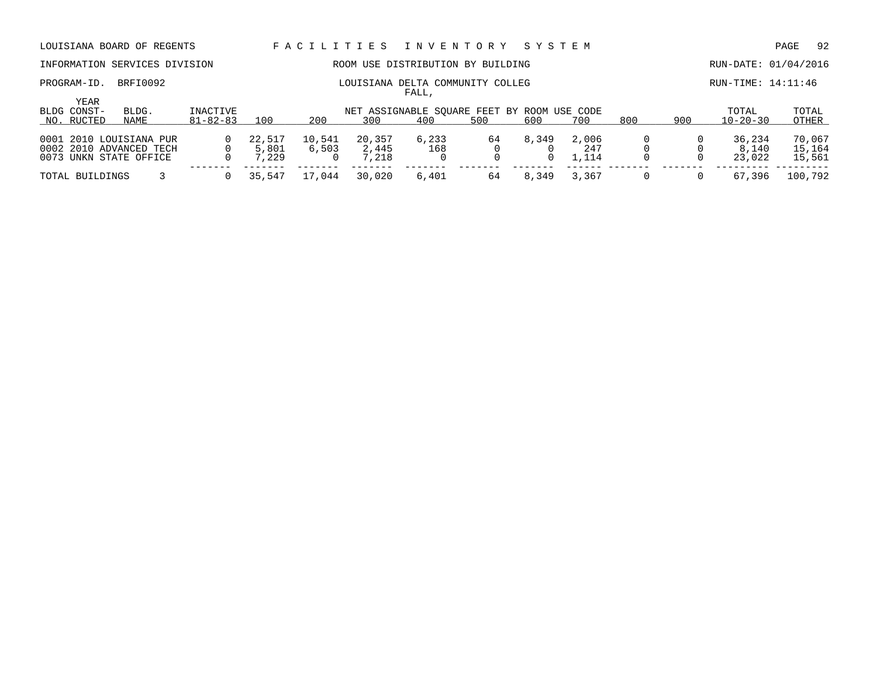# INFORMATION SERVICES DIVISION **ROOM USE DISTRIBUTION BY BUILDING RUN-DATE: 01/04/2016**

YEAR

| PROGRAM-ID | BRFI0092 | DELTA COMMUNITY COLLEG<br>LOUISIANA | TTMF:<br>. 4 : 11 : 46<br>$RUN-1$ |
|------------|----------|-------------------------------------|-----------------------------------|
|            |          | $\pi \pi \pi$<br>'ALL               |                                   |

| BLDG CONST-     | BLDG.                   | INACTIVE       |        |        |        | NET ASSIGNABLE SQUARE FEET BY ROOM USE CODE |     |       |               |     |     | TOTAL          | TOTAL   |
|-----------------|-------------------------|----------------|--------|--------|--------|---------------------------------------------|-----|-------|---------------|-----|-----|----------------|---------|
| NO. RUCTED      | NAME                    | $81 - 82 - 83$ | 100    | 200    | 300    | 400                                         | 500 | 600   | 700           | 800 | 900 | $10 - 20 - 30$ | OTHER   |
|                 | 0001 2010 LOUISIANA PUR |                | 22,517 | 10,541 | 20,357 | 6,233                                       |     | 8,349 | 2,006         |     |     | 36,234         | 70,067  |
|                 | 0002 2010 ADVANCED TECH |                | 5,801  | 6,503  | 2,445  | 168                                         |     |       | 247           |     |     | 8,140          | 15,164  |
|                 | 0073 UNKN STATE OFFICE  |                | 7.229  |        | 7,218  |                                             |     |       | $\perp$ , 114 |     |     | 23,022         | 15,561  |
| TOTAL BUILDINGS |                         |                | 35,547 | 17,044 | 30,020 | 6,401                                       | 64  | 8,349 | 3,367         |     |     | 67,396         | 100,792 |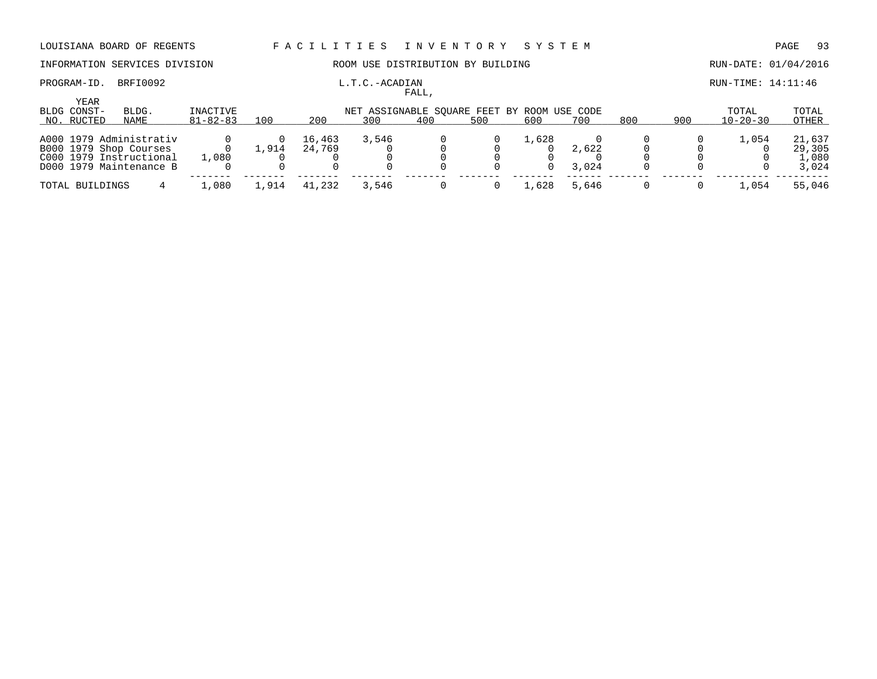## INFORMATION SERVICES DIVISION **ROOM USE DISTRIBUTION BY BUILDING RUN-DATE: 01/04/2016**

### PROGRAM-ID. BRFI0092 **L.T.C.-ACADIAN** L.T.C.-ACADIAN **RUN-TIME: 14:11:46** FALL,

|                     |                                                                                                         |                |      |                  |                                             | rann, |     |       |                |     |     |                |                                    |
|---------------------|---------------------------------------------------------------------------------------------------------|----------------|------|------------------|---------------------------------------------|-------|-----|-------|----------------|-----|-----|----------------|------------------------------------|
| YEAR<br>BLDG CONST- | BLDG.                                                                                                   | INACTIVE       |      |                  | NET ASSIGNABLE SOUARE FEET BY ROOM USE CODE |       |     |       |                |     |     | TOTAL          | TOTAL                              |
| NO. RUCTED          | NAME                                                                                                    | $81 - 82 - 83$ | 100  | 200              | 300                                         | 400   | 500 | 600   | 700            | 800 | 900 | $10 - 20 - 30$ | OTHER                              |
|                     | A000 1979 Administrativ<br>B000 1979 Shop Courses<br>C000 1979 Instructional<br>D000 1979 Maintenance B | 1,080          | ,914 | 16,463<br>24,769 | 3,546                                       |       |     | 1,628 | 2,622<br>3,024 |     |     | 1,054          | 21,637<br>29,305<br>1,080<br>3,024 |
| TOTAL BUILDINGS     |                                                                                                         | 1,080          | ,914 | 41,232           | 3,546                                       |       |     | 1,628 | 5,646          |     |     | L.O54          | 55,046                             |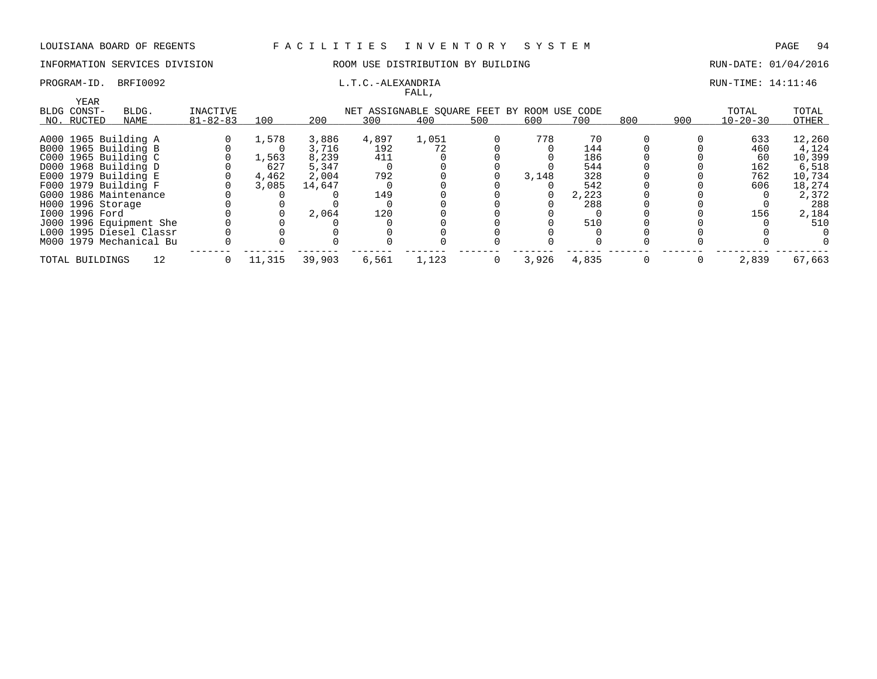## INFORMATION SERVICES DIVISION **ROOM USE DISTRIBUTION BY BUILDING RUN-DATE: 01/04/2016**

### PROGRAM-ID. BRFI0092 **EXAMPLE EXAMPLE EXAMPLE EXAMPLE EXAMPLE EXAMPLE EXAMPLE EXAMPLE E** 14:11:46 FALL,

| YEAR                    |                |        |        |       | . <i>.</i> |     |                                             |       |     |     |                |        |
|-------------------------|----------------|--------|--------|-------|------------|-----|---------------------------------------------|-------|-----|-----|----------------|--------|
| BLDG CONST-<br>BLDG.    | INACTIVE       |        |        |       |            |     | NET ASSIGNABLE SOUARE FEET BY ROOM USE CODE |       |     |     | TOTAL          | TOTAL  |
| NO. RUCTED<br>NAME      | $81 - 82 - 83$ | 100    | 200    | 300   | 400        | 500 | 600                                         | 700   | 800 | 900 | $10 - 20 - 30$ | OTHER  |
|                         |                |        |        |       |            |     |                                             | 70    |     |     |                | 12,260 |
| A000 1965 Building A    |                | 1,578  | 3,886  | 4,897 | 1,051      |     | 778                                         |       |     |     | 633            |        |
| B000 1965 Building B    |                |        | 3,716  | 192   | 72         |     |                                             | 144   |     |     | 460            | 4,124  |
| C000 1965 Building C    |                | 1,563  | 8,239  | 411   |            |     |                                             | 186   |     |     | 60             | 10,399 |
| D000 1968 Building D    |                | 627    | 5,347  |       |            |     |                                             | 544   |     |     | 162            | 6,518  |
| E000 1979 Building E    |                | 4,462  | 2,004  | 792   |            |     | 3,148                                       | 328   |     |     | 762            | 10,734 |
| F000 1979 Building F    |                | 3,085  | 14,647 |       |            |     |                                             | 542   |     |     | 606            | 18,274 |
| G000 1986 Maintenance   |                |        |        | 149   |            |     |                                             | 2,223 |     |     |                | 2,372  |
| H000 1996 Storage       |                |        |        |       |            |     |                                             | 288   |     |     |                | 288    |
| I000 1996 Ford          |                |        | 2,064  | 120   |            |     |                                             |       |     |     | 156            | 2,184  |
| J000 1996 Equipment She |                |        |        |       |            |     |                                             | 510   |     |     |                | 510    |
| L000 1995 Diesel Classr |                |        |        |       |            |     |                                             |       |     |     |                |        |
| M000 1979 Mechanical Bu |                |        |        |       |            |     |                                             |       |     |     |                |        |
|                         |                |        |        |       |            |     |                                             |       |     |     |                |        |
| TOTAL BUILDINGS         |                | 11,315 | 39,903 | 6,561 | 1,123      |     | 3,926                                       | 4,835 |     |     | 2,839          | 67,663 |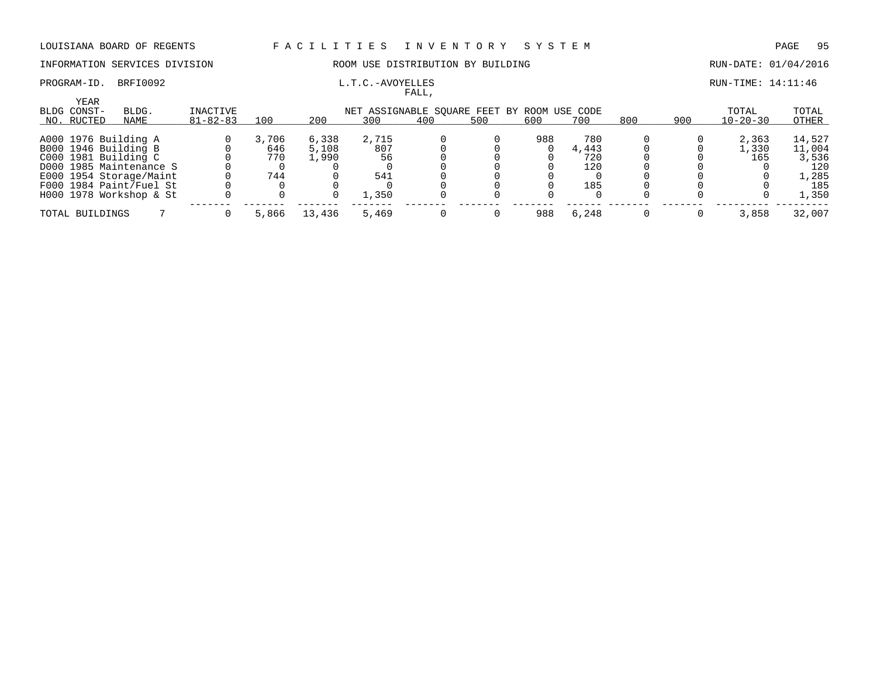INFORMATION SERVICES DIVISION ROOM USE DISTRIBUTION BY BUILDING RUN-DATE: 01/04/2016

## PROGRAM-ID. BRFI0092 **EXAM-ID.** BRFI0092 **L.T.C.-AVOYELLES EXAMILIELES EXAMILIEL**

|                            |                         |                |       |        |       | FALL,                              |     |     |          |     |     |                |        |
|----------------------------|-------------------------|----------------|-------|--------|-------|------------------------------------|-----|-----|----------|-----|-----|----------------|--------|
| <b>YEAR</b><br>BLDG CONST- | BLDG.                   | INACTIVE       |       |        |       | NET ASSIGNABLE SQUARE FEET BY ROOM |     |     | USE CODE |     |     | TOTAL          | TOTAL  |
| NO. RUCTED                 | NAME                    | $81 - 82 - 83$ | 100   | 200    | 300   | 400                                | 500 | 600 | 700      | 800 | 900 | $10 - 20 - 30$ | OTHER  |
|                            | A000 1976 Building A    |                | 3,706 | 6,338  | 2,715 |                                    |     | 988 | 780      |     |     | 2,363          | 14,527 |
|                            | B000 1946 Building B    |                | 646   | 5,108  | 807   |                                    |     |     | 4,443    |     |     | 1,330          | 11,004 |
|                            | C000 1981 Building C    |                | 770   | 1,990  | 56    |                                    |     |     | 720      |     |     | 165            | 3,536  |
|                            | D000 1985 Maintenance S |                |       |        |       |                                    |     |     | 120      |     |     |                | 120    |
|                            | E000 1954 Storage/Maint |                | 744   |        | 541   |                                    |     |     |          |     |     |                | 1,285  |
|                            | F000 1984 Paint/Fuel St |                |       |        |       |                                    |     |     | 185      |     |     |                | 185    |
|                            | H000 1978 Workshop & St |                |       |        | 1,350 |                                    |     |     |          |     |     |                | 1,350  |
| TOTAL BUILDINGS            |                         |                | 5,866 | 13,436 | 5,469 |                                    |     | 988 | 6,248    |     |     | 3,858          | 32,007 |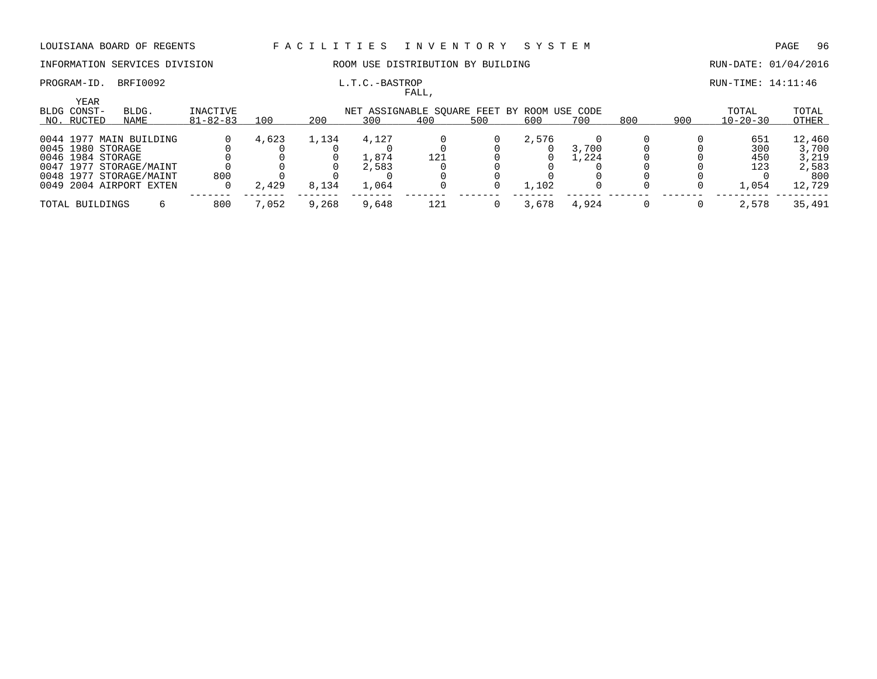PROGRAM-ID. BRFI0092 **L.T.C.-BASTROP L.T.C.-BASTROP RUN-TIME: 14:11:46** 

## INFORMATION SERVICES DIVISION ROOM USE DISTRIBUTION BY BUILDING RUN-DATE: 01/04/2016

|                                          |                         |                            |       |       |       | FALL,                                              |     |       |       |     |     |                         |                |
|------------------------------------------|-------------------------|----------------------------|-------|-------|-------|----------------------------------------------------|-----|-------|-------|-----|-----|-------------------------|----------------|
| <b>YEAR</b><br>BLDG CONST-<br>NO. RUCTED | BLDG.<br>NAME           | INACTIVE<br>$81 - 82 - 83$ | 100   | 200   | 300   | NET ASSIGNABLE SOUARE FEET BY ROOM USE CODE<br>400 | 500 | 600   | 700   | 800 | 900 | TOTAL<br>$10 - 20 - 30$ | TOTAL<br>OTHER |
|                                          | 0044 1977 MAIN BUILDING |                            | 4,623 | 1,134 | 4,127 |                                                    |     | 2,576 |       |     |     | 651                     | 12,460         |
| 0045 1980 STORAGE                        |                         |                            |       |       |       |                                                    |     |       | 3,700 |     |     | 300                     | 3,700          |
| 0046 1984 STORAGE                        |                         |                            |       |       | 1,874 | 121                                                |     |       | ,224  |     |     | 450                     | 3,219          |
|                                          | 0047 1977 STORAGE/MAINT |                            |       |       | 2,583 |                                                    |     |       |       |     |     | 123                     | 2,583          |
|                                          | 0048 1977 STORAGE/MAINT | 800                        |       |       |       |                                                    |     |       |       |     |     |                         | 800            |
|                                          | 0049 2004 AIRPORT EXTEN |                            | 2,429 | 8,134 | 1,064 |                                                    |     | 1,102 |       |     |     | 1,054                   | 12,729         |
| TOTAL BUILDINGS                          |                         | 800                        | 7,052 | 9,268 | 9,648 | 121                                                |     | 3,678 | 4,924 |     |     | 2,578                   | 35,491         |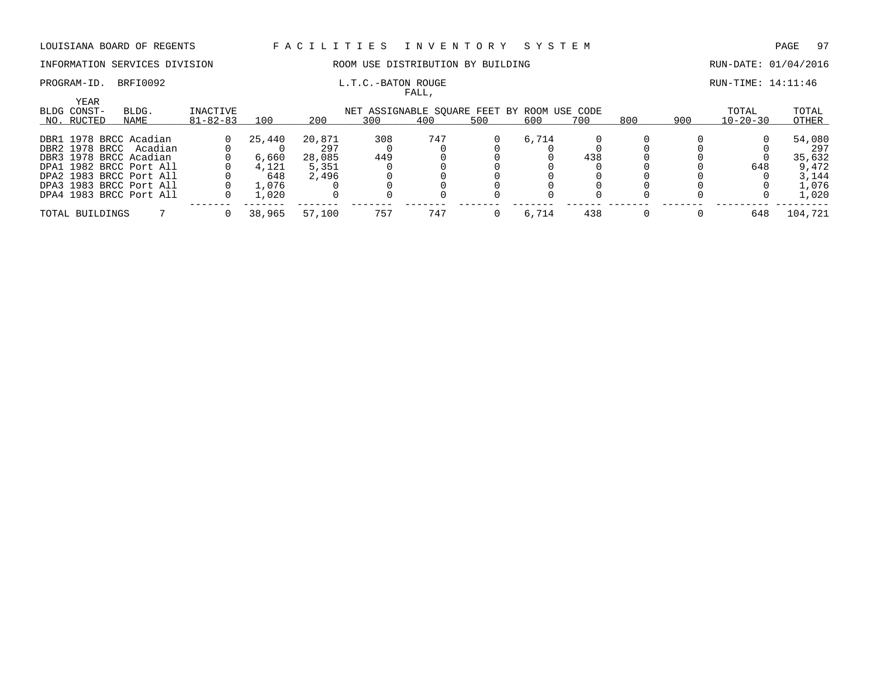### INFORMATION SERVICES DIVISION ROOM USE DISTRIBUTION BY BUILDING RUN-DATE: 01/04/2016

# PROGRAM-ID. BRFI0092 **EXAM-ID.** BRFI0092 **L.T.C.-BATON ROUGE EXAMILIATION EXAMILIATION RUN-TIME:** 14:11:46

|                                   |                         |                            |        |        |                                                    | FALL, |     |       |     |     |     |                         |                |
|-----------------------------------|-------------------------|----------------------------|--------|--------|----------------------------------------------------|-------|-----|-------|-----|-----|-----|-------------------------|----------------|
| YEAR<br>BLDG CONST-<br>NO. RUCTED | BLDG.<br>NAME           | INACTIVE<br>$81 - 82 - 83$ | 100    | 200    | NET ASSIGNABLE SOUARE FEET BY ROOM USE CODE<br>300 | 400   | 500 | 600   | 700 | 800 | 900 | TOTAL<br>$10 - 20 - 30$ | TOTAL<br>OTHER |
|                                   |                         |                            |        |        |                                                    |       |     |       |     |     |     |                         |                |
|                                   | DBR1 1978 BRCC Acadian  |                            | 25,440 | 20,871 | 308                                                | 747   |     | 6.714 |     |     |     |                         | 54,080         |
|                                   | DBR2 1978 BRCC Acadian  |                            |        | 297    |                                                    |       |     |       |     |     |     |                         | 297            |
|                                   | DBR3 1978 BRCC Acadian  |                            | 6,660  | 28,085 | 449                                                |       |     |       | 438 |     |     |                         | 35,632         |
|                                   | DPA1 1982 BRCC Port All |                            | 4,121  | 5,351  |                                                    |       |     |       |     |     |     | 648                     | 9,472          |
|                                   | DPA2 1983 BRCC Port All |                            | 648    | 2,496  |                                                    |       |     |       |     |     |     |                         | 3,144          |
|                                   | DPA3 1983 BRCC Port All |                            | 1,076  |        |                                                    |       |     |       |     |     |     |                         | 1,076          |
|                                   | DPA4 1983 BRCC Port All |                            | 1,020  |        |                                                    |       |     |       |     |     |     |                         | 1,020          |
| TOTAL BUILDINGS                   |                         |                            | 38,965 | 57,100 | 757                                                | 747   |     | 6,714 | 438 |     |     | 648                     | 104,721        |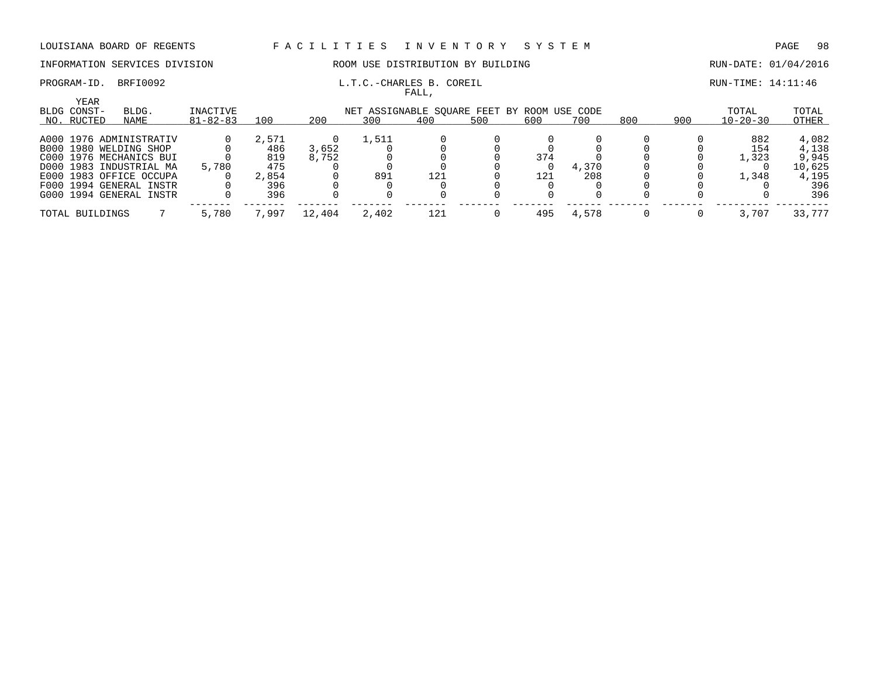### INFORMATION SERVICES DIVISION ROOM USE DISTRIBUTION BY BUILDING RUN-DATE: 01/04/2016

PROGRAM-ID. BRFI0092 COREIL L.T.C.-CHARLES B. COREIL COREIL RUN-TIME: 14:11:46

FALL,

|             | <b>YEAR</b>     |                         |                |       |        |                                             |     |     |     |       |     |     |                |        |
|-------------|-----------------|-------------------------|----------------|-------|--------|---------------------------------------------|-----|-----|-----|-------|-----|-----|----------------|--------|
| BLDG CONST- |                 | BLDG.                   | INACTIVE       |       |        | NET ASSIGNABLE SOUARE FEET BY ROOM USE CODE |     |     |     |       |     |     | TOTAL          | TOTAL  |
|             | NO. RUCTED      | NAME                    | $81 - 82 - 83$ | 100   | 200    | 300                                         | 400 | 500 | 600 | 700   | 800 | 900 | $10 - 20 - 30$ | OTHER  |
|             |                 | A000 1976 ADMINISTRATIV |                | 2,571 |        | 1,511                                       |     |     |     |       |     |     | 882            | 4,082  |
|             |                 | B000 1980 WELDING SHOP  |                | 486   | 3,652  |                                             |     |     |     |       |     |     | 154            | 4,138  |
|             |                 | C000 1976 MECHANICS BUI |                | 819   | 8,752  |                                             |     |     | 374 |       |     |     | 1,323          | 9,945  |
|             |                 | D000 1983 INDUSTRIAL MA | 5,780          | 475   |        |                                             |     |     |     | 4,370 |     |     |                | 10,625 |
|             |                 | E000 1983 OFFICE OCCUPA |                | 2,854 |        | 891                                         | 121 |     | 121 | 208   |     |     | 1,348          | 4,195  |
|             |                 | F000 1994 GENERAL INSTR |                | 396   |        |                                             |     |     |     |       |     |     |                | 396    |
|             |                 | G000 1994 GENERAL INSTR |                | 396   |        |                                             |     |     |     |       |     |     |                | 396    |
|             | TOTAL BUILDINGS |                         | 5,780          | 7,997 | 12,404 | 2,402                                       | 121 |     | 495 | 4,578 |     |     | 3,707          | 33,777 |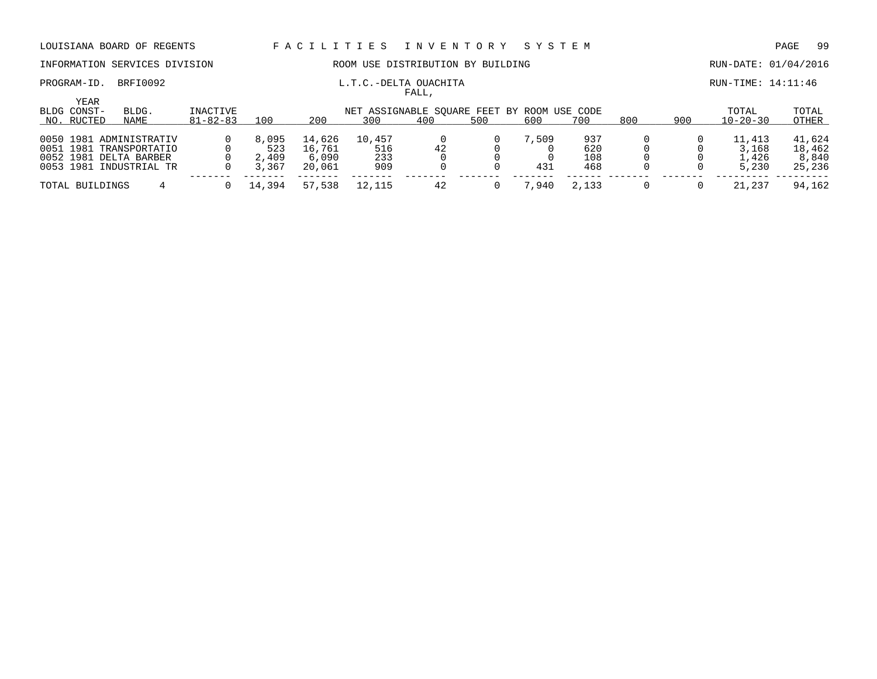## INFORMATION SERVICES DIVISION ROOM USE DISTRIBUTION BY BUILDING RUN-DATE: 01/04/2016

### PROGRAM-ID. BRFI0092 **L.T.C.-DELTA OUACHITA RUN-TIME: 14:11:46** FALL,

|                            |                                                                                                         |                |                                |                                     |                                             | .   |     |              |                          |     |     |                                   |                                     |
|----------------------------|---------------------------------------------------------------------------------------------------------|----------------|--------------------------------|-------------------------------------|---------------------------------------------|-----|-----|--------------|--------------------------|-----|-----|-----------------------------------|-------------------------------------|
| <b>YEAR</b><br>BLDG CONST- | BLDG.                                                                                                   | INACTIVE       |                                |                                     | NET ASSIGNABLE SOUARE FEET BY ROOM USE CODE |     |     |              |                          |     |     | TOTAL                             | TOTAL                               |
| NO. RUCTED                 | NAME                                                                                                    | $81 - 82 - 83$ | 100                            | 200                                 | 300                                         | 400 | 500 | 600          | 700                      | 800 | 900 | $10 - 20 - 30$                    | OTHER                               |
|                            | 0050 1981 ADMINISTRATIV<br>0051 1981 TRANSPORTATIO<br>0052 1981 DELTA BARBER<br>0053 1981 INDUSTRIAL TR |                | 8,095<br>523<br>2,409<br>3,367 | 14,626<br>16,761<br>6,090<br>20,061 | 10,457<br>516<br>233<br>909                 | 42  |     | 7,509<br>431 | 937<br>620<br>108<br>468 |     |     | 11,413<br>3,168<br>1,426<br>5,230 | 41,624<br>18,462<br>8,840<br>25,236 |
| TOTAL BUILDINGS            |                                                                                                         |                | 14,394                         | 57,538                              | 12,115                                      |     |     | .940         | 2,133                    |     |     | 21,237                            | 94,162                              |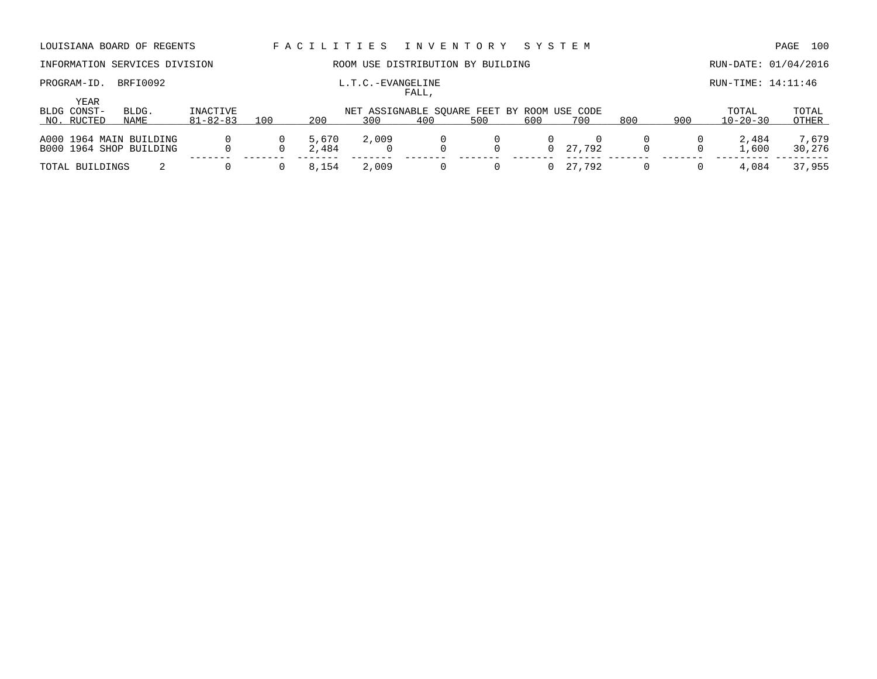| LOUISIANA BOARD OF REGENTS                         |               |                            |     | FACILITIES     |                   | I N V E N T O R Y                         |          | SYSTEM   |                 |     |     |                         | 100<br>PAGE     |
|----------------------------------------------------|---------------|----------------------------|-----|----------------|-------------------|-------------------------------------------|----------|----------|-----------------|-----|-----|-------------------------|-----------------|
| INFORMATION SERVICES DIVISION                      |               |                            |     |                |                   | ROOM USE DISTRIBUTION BY BUILDING         |          |          |                 |     |     | RUN-DATE: 01/04/2016    |                 |
| PROGRAM-ID.<br>YEAR                                | BRFI0092      |                            |     |                | L.T.C.-EVANGELINE | FALL,                                     |          |          |                 |     |     | RUN-TIME: 14:11:46      |                 |
| BLDG CONST-<br>NO. RUCTED                          | BLDG.<br>NAME | INACTIVE<br>$81 - 82 - 83$ | 100 | 200            | 300               | NET ASSIGNABLE SOUARE FEET BY ROOM<br>400 | 500      | 600      | USE CODE<br>700 | 800 | 900 | TOTAL<br>$10 - 20 - 30$ | TOTAL<br>OTHER  |
| A000 1964 MAIN BUILDING<br>B000 1964 SHOP BUILDING |               |                            |     | 5,670<br>2,484 | 2,009             | $\Omega$                                  | 0        | $\Omega$ | 27.792          |     |     | 2,484<br>1,600          | 7,679<br>30,276 |
| TOTAL BUILDINGS                                    |               |                            |     | 8,154          | 2,009             | $\Omega$                                  | $\Omega$ |          | 27,792          |     |     | 4,084                   | 37,955          |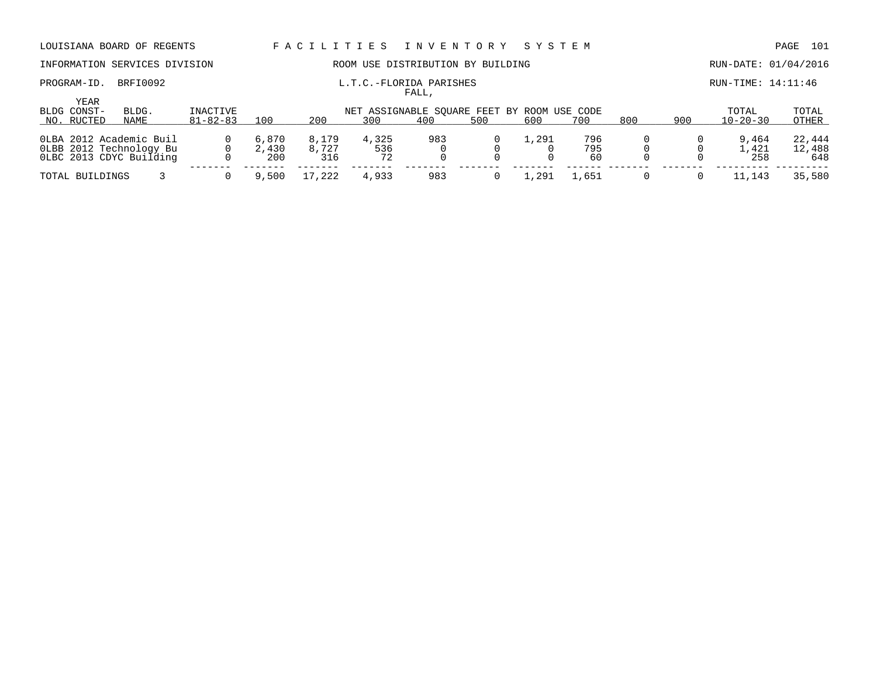## INFORMATION SERVICES DIVISION ROOM USE DISTRIBUTION BY BUILDING RUN-DATE: 01/04/2016

### PROGRAM-ID. BRFI0092 **EXAM-ID.** BRFI0092 **L.T.C.-FLORIDA PARISHES EXAMINE: 14:11:46** FALL,

| TOTAL<br>TOTAL<br>$10 - 20 - 30$<br>OTHER |
|-------------------------------------------|
|                                           |
| 22,444<br>9,464                           |
| 1,421<br>12,488                           |
| 648<br>258                                |
|                                           |
| 35,580<br>11,143                          |
|                                           |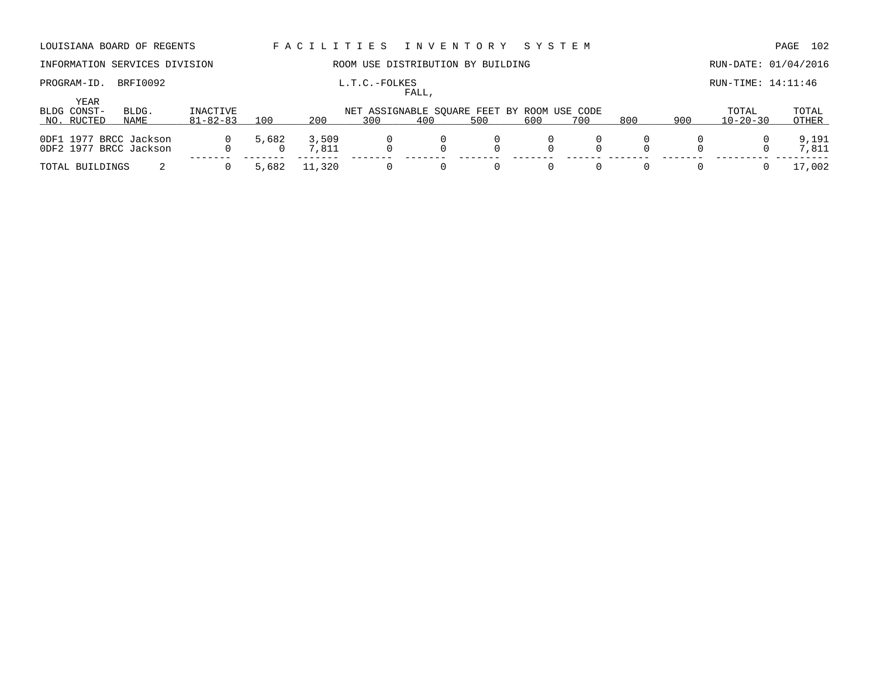## INFORMATION SERVICES DIVISION **ROOM USE DISTRIBUTION BY BUILDING RUN-DATE: 01/04/2016**

# FALL,

PROGRAM-ID. BRFI0092 **L.T.C.-FOLKES L.T.C.-FOLKES RUN-TIME: 14:11:46** 

|                     |                                                  |                |       |                |                                             | ، سىم ت |     |          |     |     |     |                |                |
|---------------------|--------------------------------------------------|----------------|-------|----------------|---------------------------------------------|---------|-----|----------|-----|-----|-----|----------------|----------------|
| YEAR<br>BLDG CONST- | BLDG.                                            | INACTIVE       |       |                | NET ASSIGNABLE SOUARE FEET BY ROOM USE CODE |         |     |          |     |     |     | TOTAL          | TOTAL          |
| NO. RUCTED          | NAME                                             | $81 - 82 - 83$ | 100   | 200            | 300                                         | 400     | 500 | 600      | 700 | 800 | 900 | $10 - 20 - 30$ | OTHER          |
|                     | ODF1 1977 BRCC Jackson<br>ODF2 1977 BRCC Jackson |                | 5,682 | 3,509<br>7.811 | (1)                                         |         |     |          |     |     |     |                | 9,191<br>7,811 |
| TOTAL BUILDINGS     |                                                  |                |       | 5,682 11,320   |                                             |         |     | $\Omega$ |     |     |     |                | .7,002         |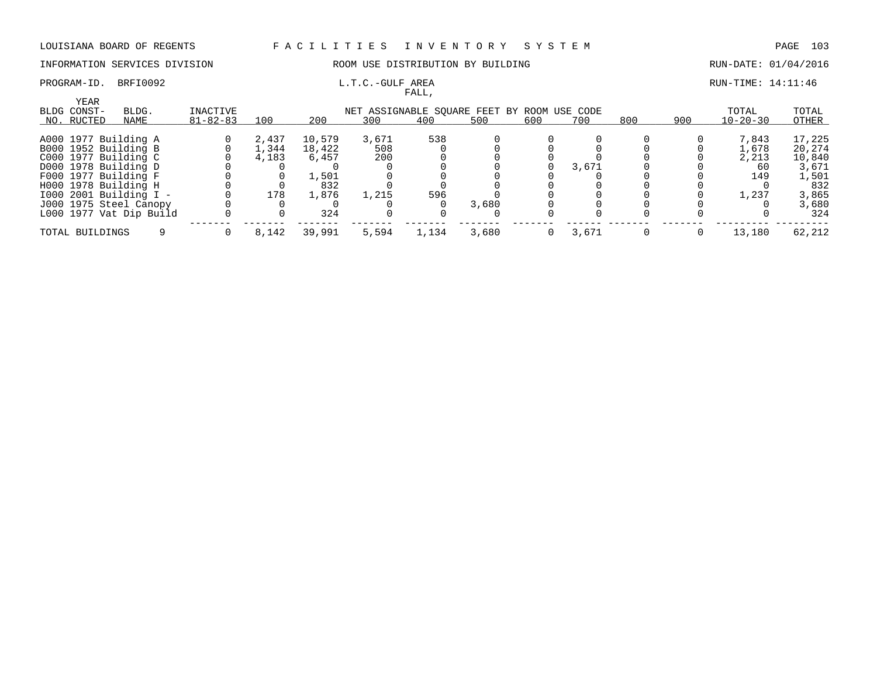### PROGRAM-ID. BRFI0092 **EXAM-ID.** BRFI0092 **RUN-TIME:** 14:11:46

## INFORMATION SERVICES DIVISION ROOM USE DISTRIBUTION BY BUILDING RUN-DATE: 01/04/2016

FALL,

| YEAR                 |                         |                |       |        |       |       |                                             |     |       |     |     |                |        |
|----------------------|-------------------------|----------------|-------|--------|-------|-------|---------------------------------------------|-----|-------|-----|-----|----------------|--------|
| BLDG CONST-          | BLDG.                   | INACTIVE       |       |        |       |       | NET ASSIGNABLE SOUARE FEET BY ROOM USE CODE |     |       |     |     | TOTAL          | TOTAL  |
| NO. RUCTED           | NAME                    | $81 - 82 - 83$ | 100   | 200    | 300   | 400   | 500                                         | 600 | 700   | 800 | 900 | $10 - 20 - 30$ | OTHER  |
|                      |                         |                |       |        |       |       |                                             |     |       |     |     |                |        |
| A000 1977 Building A |                         |                | 2,437 | 10,579 | 3,671 | 538   |                                             |     |       |     |     | 7.843          | 17,225 |
| B000 1952 Building B |                         |                | 1,344 | 18,422 | 508   |       |                                             |     |       |     |     | 1,678          | 20,274 |
| C000 1977 Building C |                         |                | 4,183 | 6,457  | 200   |       |                                             |     |       |     |     | 2,213          | 10,840 |
| D000 1978 Building D |                         |                |       |        |       |       |                                             |     | 3,671 |     |     | 60             | 3,671  |
| F000 1977 Building F |                         |                |       | 1,501  |       |       |                                             |     |       |     |     | 149            | 1,501  |
| H000 1978 Building H |                         |                |       | 832    |       |       |                                             |     |       |     |     |                | 832    |
|                      | 1000 2001 Building I -  |                | 178   | 1,876  | 1,215 | 596   |                                             |     |       |     |     | 1,237          | 3,865  |
|                      | J000 1975 Steel Canopy  |                |       |        |       |       | 3,680                                       |     |       |     |     |                | 3,680  |
|                      | L000 1977 Vat Dip Build |                |       | 324    |       |       |                                             |     |       |     |     |                | 324    |
| TOTAL BUILDINGS      |                         |                | 8,142 | 39,991 | 5,594 | 1,134 | 3,680                                       | 0   | 3,671 |     |     | 13,180         | 62,212 |
|                      |                         |                |       |        |       |       |                                             |     |       |     |     |                |        |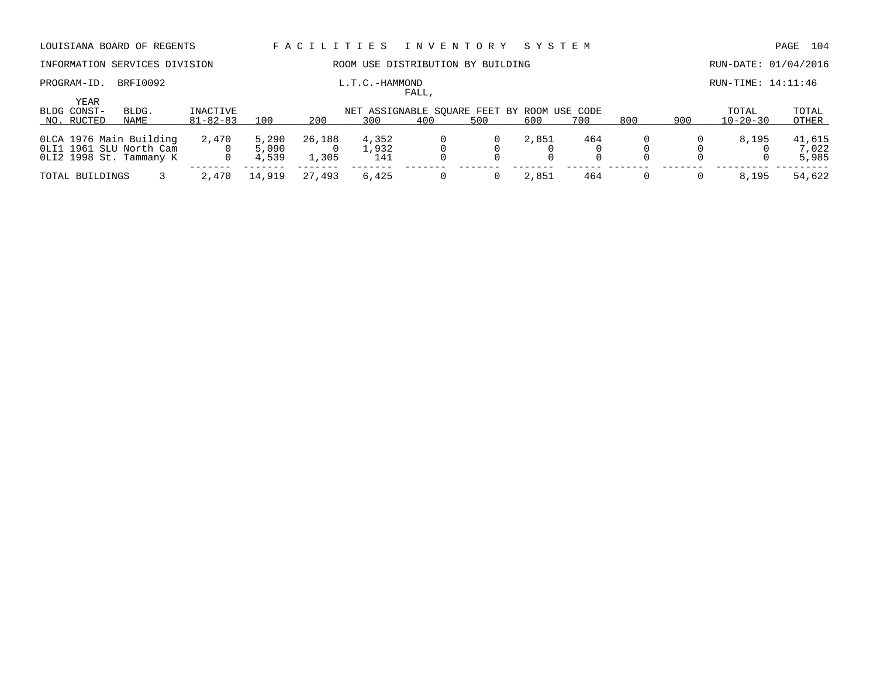## INFORMATION SERVICES DIVISION **ROOM USE DISTRIBUTION BY BUILDING RUN-DATE: 01/04/2016**

### PROGRAM-ID. BRFI0092 **EXAMILY RUN-TIME:** 14:11:46 FALL,

|                     |                         |                 |        |             |       | r Alli, |                                             |       |     |     |     |                |        |
|---------------------|-------------------------|-----------------|--------|-------------|-------|---------|---------------------------------------------|-------|-----|-----|-----|----------------|--------|
| YEAR<br>BLDG CONST- | BLDG.                   | <b>INACTIVE</b> |        |             |       |         | NET ASSIGNABLE SQUARE FEET BY ROOM USE CODE |       |     |     |     | TOTAL          | TOTAL  |
| NO. RUCTED          | NAME                    | $81 - 82 - 83$  | 100    | 200         | 300   | 400     | 500                                         | 600   | 700 | 800 | 900 | $10 - 20 - 30$ | OTHER  |
|                     | OLCA 1976 Main Building | 2,470           | 5,290  | 26,188      | 4,352 |         |                                             | 2,851 | 464 |     |     | 8,195          | 41,615 |
|                     | OLI1 1961 SLU North Cam |                 | 5,090  |             | 1,932 |         |                                             |       |     |     |     |                | 7,022  |
|                     | OLI2 1998 St. Tammany K |                 | 4,539  | $\pm$ , 305 | 141   |         |                                             |       |     |     |     |                | 5,985  |
| TOTAL BUILDINGS     |                         | 2,470           | 14,919 | , 493<br>27 | 6,425 |         |                                             | 2,851 | 464 |     |     | 8,195          | 54,622 |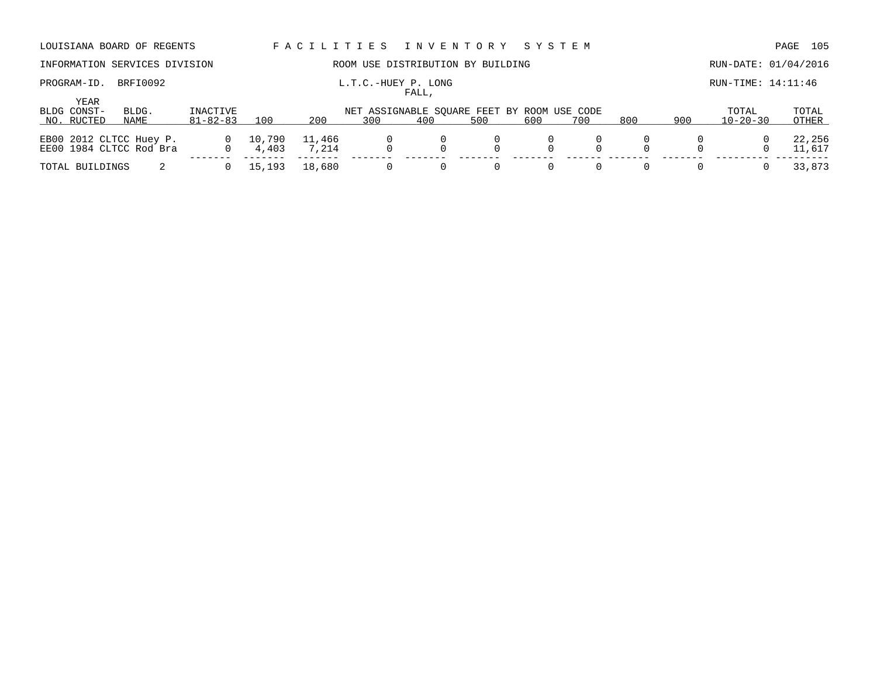# INFORMATION SERVICES DIVISION **ROOM USE DISTRIBUTION BY BUILDING RUN-DATE: 01/04/2016**

## PROGRAM-ID. BRFI0092 **L.T.C.-HUEY P. LONG L.T.C.-HUEY P. LONG** RUN-TIME: 14:11:46

# FALL,

|                            |                                                    |                         |                 |                 |                                             | . <i>. .</i> |        |                      |     |     |     |                |                  |
|----------------------------|----------------------------------------------------|-------------------------|-----------------|-----------------|---------------------------------------------|--------------|--------|----------------------|-----|-----|-----|----------------|------------------|
| <b>YEAR</b><br>BLDG CONST- | BLDG.                                              | INACTIVE                |                 |                 | NET ASSIGNABLE SOUARE FEET BY ROOM USE CODE |              |        |                      |     |     |     | TOTAL          | TOTAL            |
| NO. RUCTED                 | NAME                                               | $81 - 82 - 83$          | 100             | 200             | 300                                         | 400          | 500    | 600                  | 700 | 800 | 900 | $10 - 20 - 30$ | OTHER            |
|                            | EB00 2012 CLTCC Huey P.<br>EE00 1984 CLTCC Rod Bra | $0 \t 10,790$<br>$\cap$ | 4,403           | 11,466<br>7.214 | $\Omega$                                    |              |        | $\Omega$<br>$\Omega$ |     |     |     |                | 22,256<br>11,617 |
| TOTAL BUILDINGS            |                                                    |                         | $0\quad 15,193$ | 18,680          |                                             |              | $\cup$ | $\Omega$             |     |     |     |                | 33,873           |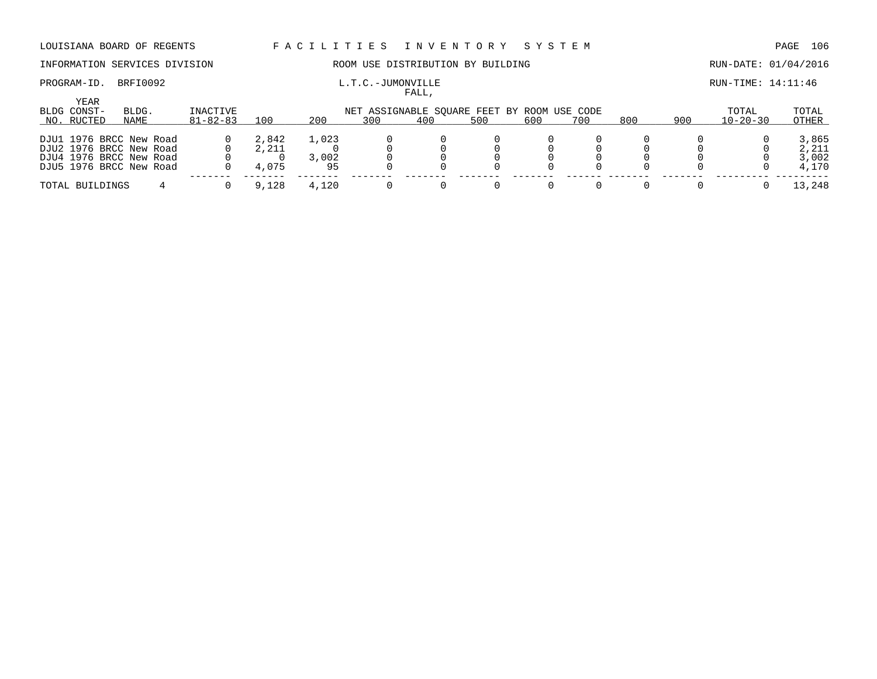## PROGRAM-ID. BRFI0092 **EXAM-SUN-TIME:** L.T.C.-JUMONVILLE **EXAMPLE RUN-TIME: 14:11:46**

## INFORMATION SERVICES DIVISION ROOM USE DISTRIBUTION BY BUILDING RUN-DATE: 01/04/2016

FALL,

| YEAR<br>BLDG CONST-<br>NO. RUCTED | BLDG.<br>NAME           | INACTIVE<br>$81 - 82 - 83$ | 100   | 200   | NET ASSIGNABLE SQUARE FEET BY ROOM USE CODE<br>300 | 400 | 500 | 600 | 700 | 800 | 900 | TOTAL<br>$10 - 20 - 30$ | TOTAL<br>OTHER |
|-----------------------------------|-------------------------|----------------------------|-------|-------|----------------------------------------------------|-----|-----|-----|-----|-----|-----|-------------------------|----------------|
|                                   |                         |                            |       |       |                                                    |     |     |     |     |     |     |                         |                |
|                                   | DJU1 1976 BRCC New Road |                            | 2,842 | 1,023 |                                                    |     |     |     |     |     |     |                         | 3,865          |
|                                   | DJU2 1976 BRCC New Road |                            | 2,211 |       |                                                    |     |     |     |     |     |     |                         | 2,211          |
|                                   | DJU4 1976 BRCC New Road |                            |       | 3,002 |                                                    |     |     |     |     |     |     |                         | 3,002          |
|                                   | DJU5 1976 BRCC New Road |                            | 4,075 | 95    |                                                    |     |     |     |     |     |     |                         | 4,170          |
|                                   |                         |                            |       |       |                                                    |     |     |     |     |     |     |                         |                |
| TOTAL BUILDINGS                   |                         |                            | 9,128 | 4,120 |                                                    |     |     |     |     |     |     |                         | 13,248         |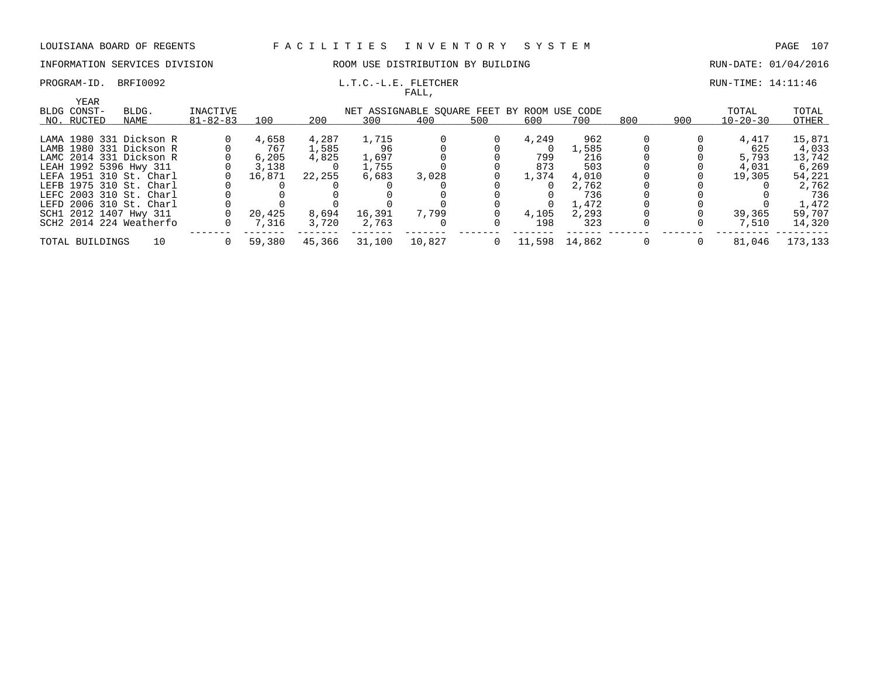## INFORMATION SERVICES DIVISION ROOM USE DISTRIBUTION BY BUILDING RUN-DATE: 01/04/2016

### PROGRAM-ID. BRFI0092 **L.T.C.-L.E. FLETCHER EXECUTED** RUN-TIME: 14:11:46 FALL,

| YEAR            |                         |                |        |        |        |                                             |     |        |        |     |     |                |         |
|-----------------|-------------------------|----------------|--------|--------|--------|---------------------------------------------|-----|--------|--------|-----|-----|----------------|---------|
| BLDG CONST-     | BLDG.                   | INACTIVE       |        |        |        | NET ASSIGNABLE SOUARE FEET BY ROOM USE CODE |     |        |        |     |     | TOTAL          | TOTAL   |
| NO. RUCTED      | NAME                    | $81 - 82 - 83$ | 100    | 200    | 300    | 400                                         | 500 | 600    | 700    | 800 | 900 | $10 - 20 - 30$ | OTHER   |
|                 | LAMA 1980 331 Dickson R |                | 4,658  | 4,287  | 1,715  |                                             |     | 4,249  | 962    |     |     | 4,417          | 15,871  |
|                 | LAMB 1980 331 Dickson R |                | 767    | 1,585  | 96     |                                             |     |        | .,585  |     |     | 625            | 4,033   |
|                 | LAMC 2014 331 Dickson R |                | 6.205  | 4,825  | 1,697  |                                             |     | 799    | 216    |     |     | 5,793          | 13,742  |
|                 | LEAH 1992 5396 Hwy 311  |                | 3,138  |        | 1,755  |                                             |     | 873    | 503    |     |     | 4,031          | 6,269   |
|                 | LEFA 1951 310 St. Charl |                | 16,871 | 22,255 | 6,683  | 3,028                                       |     | 1,374  | 4,010  |     |     | 19,305         | 54,221  |
|                 | LEFB 1975 310 St. Charl |                |        |        |        |                                             |     |        | 2,762  |     |     |                | 2,762   |
|                 | LEFC 2003 310 St. Charl |                |        |        |        |                                             |     |        | 736    |     |     |                | 736     |
|                 | LEFD 2006 310 St. Charl |                |        |        |        |                                             |     |        | 1,472  |     |     |                | 1,472   |
|                 | SCH1 2012 1407 Hwy 311  |                | 20,425 | 8,694  | 16,391 | 7,799                                       |     | 4,105  | 2,293  |     |     | 39,365         | 59,707  |
|                 | SCH2 2014 224 Weatherfo |                | 7,316  | 3,720  | 2,763  |                                             |     | 198    | 323    |     |     | 7,510          | 14,320  |
| TOTAL BUILDINGS | 10                      |                | 59,380 | 45,366 | 31,100 | 10,827                                      |     | 11,598 | 14,862 |     |     | 81,046         | 173,133 |
|                 |                         |                |        |        |        |                                             |     |        |        |     |     |                |         |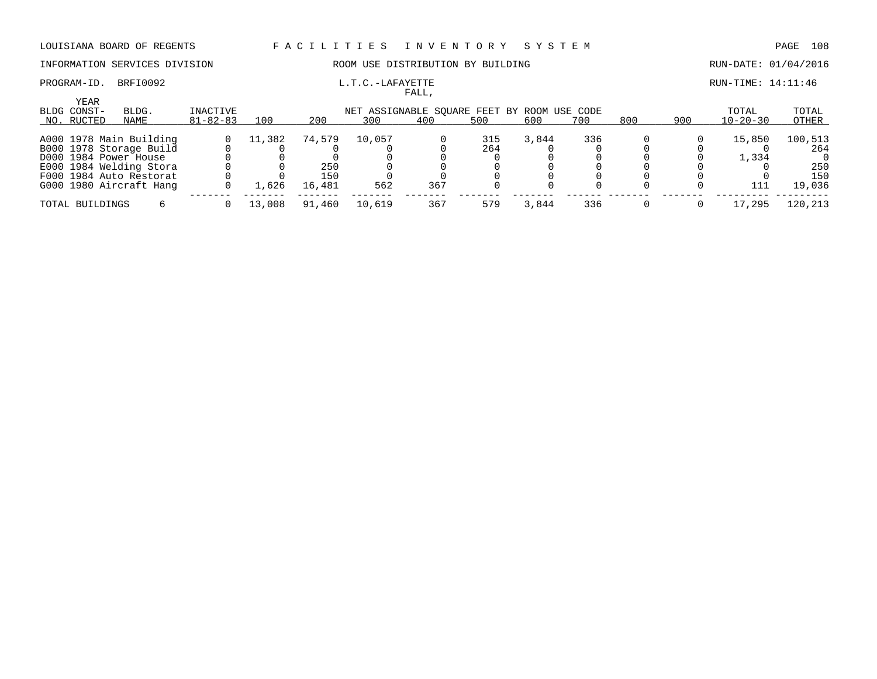## INFORMATION SERVICES DIVISION ROOM USE DISTRIBUTION BY BUILDING RUN-DATE: 01/04/2016

### PROGRAM-ID. BRFI0092 **EXAM-ID.** BRFI0092 **L.T.C.-LAFAYETTE EXAMPLE 14:11:46** FALL,

| YEAR<br>BLDG CONST- | BLDG.                   | INACTIVE       | NET ASSIGNABLE SOUARE FEET BY ROOM USE CODE |        |        |     |     |       |     |     |     |                | TOTAL   |
|---------------------|-------------------------|----------------|---------------------------------------------|--------|--------|-----|-----|-------|-----|-----|-----|----------------|---------|
| NO. RUCTED          | NAME                    | $81 - 82 - 83$ | 100                                         | 200    | 300    | 400 | 500 | 600   | 700 | 800 | 900 | $10 - 20 - 30$ | OTHER   |
|                     | A000 1978 Main Building |                | 11,382                                      | 74,579 | 10,057 |     | 315 | 3,844 | 336 |     |     | 15,850         | 100,513 |
|                     | B000 1978 Storage Build |                |                                             |        |        |     | 264 |       |     |     |     |                | 264     |
|                     | D000 1984 Power House   |                |                                             |        |        |     |     |       |     |     |     | 1,334          |         |
|                     | E000 1984 Welding Stora |                |                                             | 250    |        |     |     |       |     |     |     |                | 250     |
|                     | F000 1984 Auto Restorat |                |                                             | 150    |        |     |     |       |     |     |     |                | 150     |
|                     | G000 1980 Aircraft Hang |                | .,626                                       | 16,481 | 562    | 367 |     |       |     |     |     | 111            | 19,036  |
| TOTAL BUILDINGS     |                         |                | 13,008                                      | 91,460 | 10,619 | 367 | 579 | 3,844 | 336 |     |     | 17,295         | 120,213 |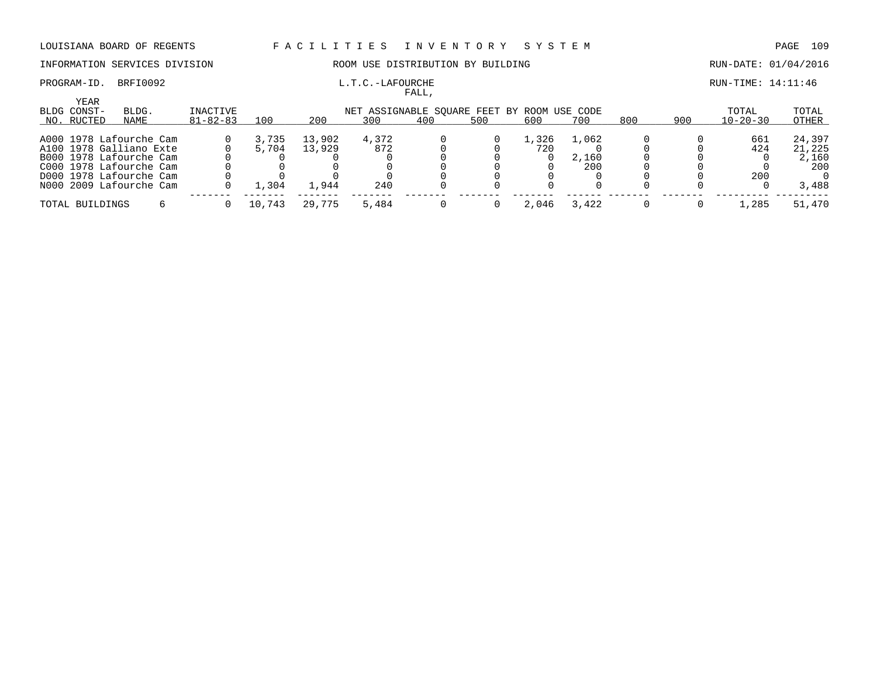### INFORMATION SERVICES DIVISION ROOM USE DISTRIBUTION BY BUILDING RUN-DATE: 01/04/2016

# PROGRAM-ID. BRFI0092 L.T.C.-LAFOURCHE L.T.C.-LAFOURCHE RUN-TIME: 14:11:46

## FALL, YEAR BLDG CONST- BLDG. INACTIVE NET ASSIGNABLE SQUARE FEET BY ROOM USE CODE TOTAL TOTAL NO. \_\_\_\_\_RUCTED \_\_\_\_\_\_\_\_\_\_\_\_\_\_\_\_\_\_\_\_ NAME 81-82-83 \_\_\_\_\_\_\_\_\_\_\_\_\_\_\_\_\_\_\_\_ 100 200 \_\_\_\_\_\_\_\_\_300 \_\_\_\_\_\_\_\_\_400 \_\_\_\_\_\_\_\_\_500 \_\_\_\_\_\_\_\_\_600 \_\_\_\_\_\_\_\_700 \_\_\_\_\_\_\_\_800 \_\_\_\_\_\_\_\_\_\_\_\_\_\_\_\_\_ 900 10-20-30 \_\_\_\_\_\_\_\_\_\_\_ OTHER \_\_\_\_\_\_\_ A000 1978 Lafourche Cam 0 3,735 13,902 4,372 0 0 1,326 1,062 0 0 661 24,397 A100 1978 Galliano Exte 0 5,704 13,929 872 0 0 720 0 0 0 424 21,225 B000 1978 Lafourche Cam 0 0 0 0 0 0 0 2,160 0 0 0 2,160 C000 1978 Lafourche Cam 0 0 0 0 0 0 0 200 0 0 0 200 D000 1978 Lafourche Cam 0 0 0 0 0 0 0 0 0 0 200 0 N000 2009 Lafourche Cam 0 1,304 1,944 240 0 0 0 0 0 0 0 3,488 ------- ------- ------- ------- ------- ------- ------- ------ ------- ------- --------- --------- TOTAL BUILDINGS 6 0 10,743 29,775 5,484 0 0 2,046 3,422 0 0 1,285 51,470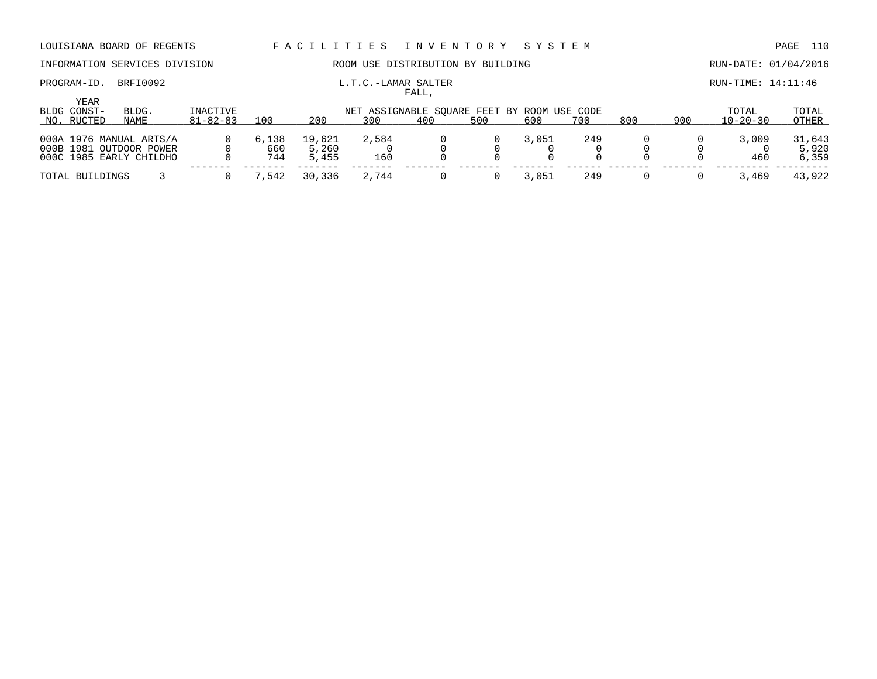PROGRAM-ID. BRFI0092 **L.T.C.-LAMAR SALTER Example 20** EUN-TIME: 14:11:46

# INFORMATION SERVICES DIVISION **ROOM USE DISTRIBUTION BY BUILDING RUN-DATE:** 01/04/2016

| YEAR<br>BLDG CONST-                                                           | BLDG. | INACTIVE       |                     |                          |              |     | NET ASSIGNABLE SOUARE FEET BY ROOM USE CODE |       |     |     |     | TOTAL          | TOTAL                    |
|-------------------------------------------------------------------------------|-------|----------------|---------------------|--------------------------|--------------|-----|---------------------------------------------|-------|-----|-----|-----|----------------|--------------------------|
| NO. RUCTED                                                                    | NAME  | $81 - 82 - 83$ | 100                 | 200                      | 300          | 400 | 500                                         | 600   | 700 | 800 | 900 | $10 - 20 - 30$ | OTHER                    |
| 000A 1976 MANUAL ARTS/A<br>000B 1981 OUTDOOR POWER<br>000C 1985 EARLY CHILDHO |       |                | 6,138<br>660<br>744 | 19,621<br>5,260<br>5,455 | 2,584<br>160 |     |                                             | 3,051 | 249 |     |     | 3,009<br>460   | 31,643<br>5,920<br>6,359 |
| TOTAL BUILDINGS                                                               |       |                | 1,542               | 30,336                   | 2,744        |     |                                             | 3.051 | 249 |     |     | 3,469          | 43,922                   |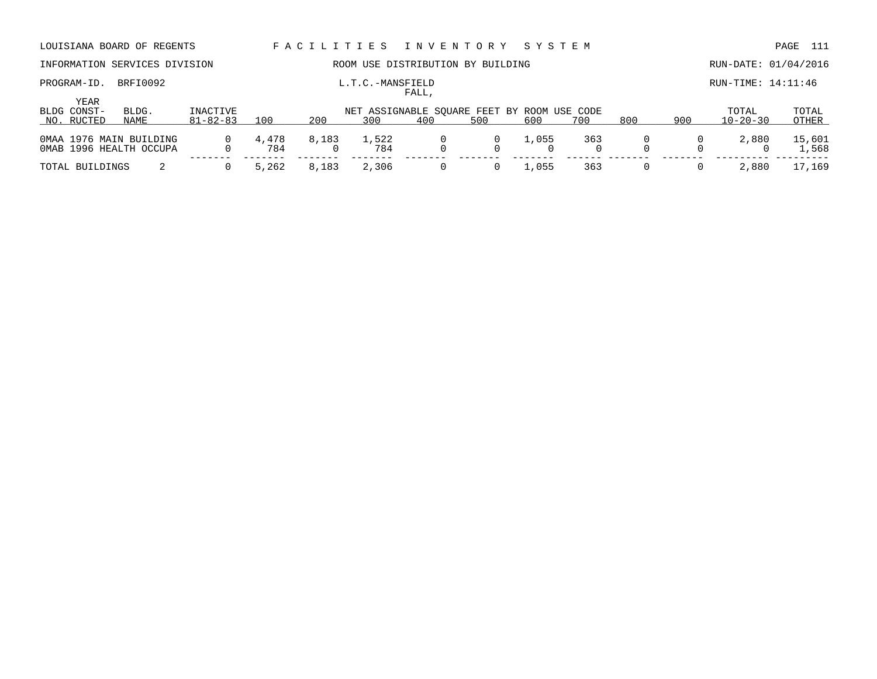| DOOTDINNA DOARD OF REGENIO                         |                            |              |       |                  | racımın rada tuvunu onu                            |     | ۲۰۱۰ تا ۲۰۰۰ تا ۲۰۰۰ تا |     |     |     |                         | r und d<br>---- |
|----------------------------------------------------|----------------------------|--------------|-------|------------------|----------------------------------------------------|-----|-------------------------|-----|-----|-----|-------------------------|-----------------|
| INFORMATION SERVICES DIVISION                      |                            |              |       |                  | ROOM USE DISTRIBUTION BY BUILDING                  |     |                         |     |     |     | RUN-DATE: 01/04/2016    |                 |
| BRFI0092<br>PROGRAM-ID.                            |                            |              |       | L.T.C.-MANSFIELD | FALL,                                              |     |                         |     |     |     | $RUN-TIME: 14:11:46$    |                 |
| YEAR<br>BLDG CONST-<br>BLDG.<br>NO. RUCTED<br>NAME | INACTIVE<br>$81 - 82 - 83$ | 100          | 200   | 300              | NET ASSIGNABLE SOUARE FEET BY ROOM USE CODE<br>400 | 500 | 600                     | 700 | 800 | 900 | TOTAL<br>$10 - 20 - 30$ | TOTAL<br>OTHER  |
| 0MAA 1976 MAIN BUILDING<br>OMAB 1996 HEALTH OCCUPA |                            | 4,478<br>784 | 8,183 | 1,522<br>784     |                                                    |     | 1,055<br>$\Omega$       | 363 |     |     | 2,880                   | 15,601<br>1,568 |
| TOTAL BUILDINGS                                    |                            | 5,262        | 8,183 | 2,306            |                                                    |     | 1,055                   | 363 |     |     | 2,880                   | 17,169          |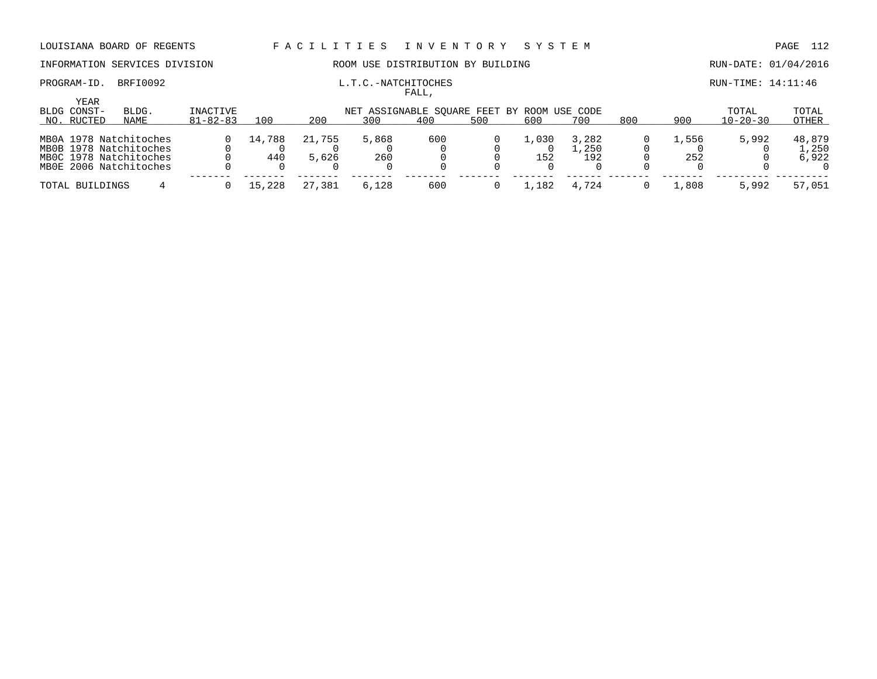## INFORMATION SERVICES DIVISION **ROOM USE DISTRIBUTION BY BUILDING RUN-DATE: 01/04/2016**

### PROGRAM-ID. BRFI0092 **L.T.C.-NATCHITOCHES L.T.C.** AND **EXAMICALLY RUN-TIME: 14:11:46** FALL,

|                 |                                                                                                      |                |               |                 |                                             | .   |     |              |                       |     |              |                |                          |
|-----------------|------------------------------------------------------------------------------------------------------|----------------|---------------|-----------------|---------------------------------------------|-----|-----|--------------|-----------------------|-----|--------------|----------------|--------------------------|
| BLDG CONST-     | <b>YEAR</b><br>BLDG.                                                                                 | INACTIVE       |               |                 | NET ASSIGNABLE SOUARE FEET BY ROOM USE CODE |     |     |              |                       |     |              | TOTAL          | TOTAL                    |
| NO. RUCTED      | NAME                                                                                                 | $81 - 82 - 83$ | 100           | 200             | 300                                         | 400 | 500 | 600          | 700                   | 800 | 900          | $10 - 20 - 30$ | OTHER                    |
|                 | MB0A 1978 Natchitoches<br>MB0B 1978 Natchitoches<br>MBOC 1978 Natchitoches<br>MB0E 2006 Natchitoches |                | 14,788<br>440 | 21,755<br>5,626 | 5,868<br>260                                | 600 |     | 1,030<br>152 | 3,282<br>1,250<br>192 |     | ⊥,556<br>252 | 5,992          | 48,879<br>L,250<br>6,922 |
| TOTAL BUILDINGS |                                                                                                      |                | 15,228        | 27,381          | 6,128                                       | 600 |     | .182         | 4,724                 |     | ,808         | 5,992          | 57,051                   |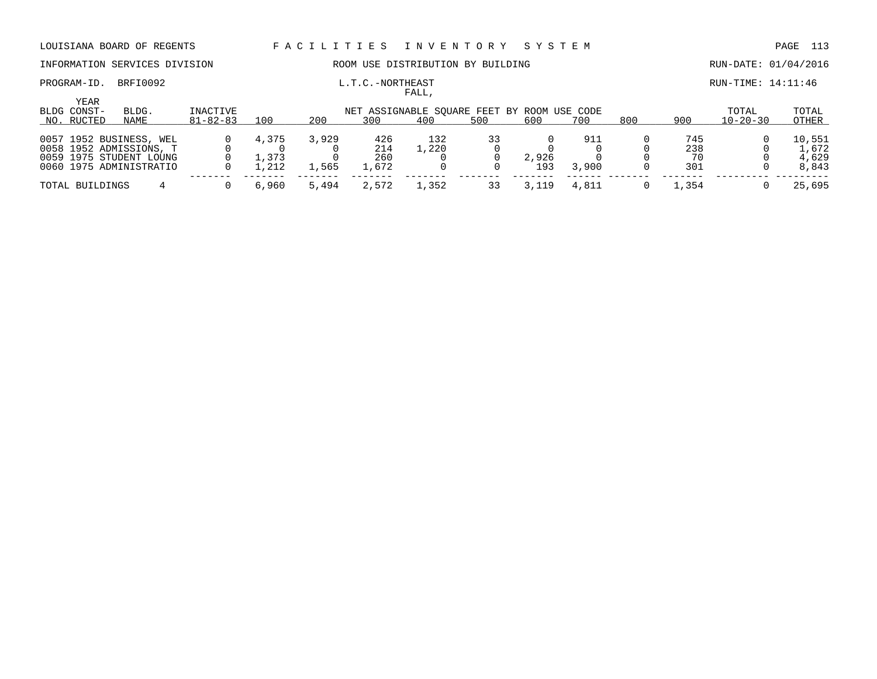PROGRAM-ID. BRFI0092 **EXAM-ID.** BRFI0092 **L.T.C.-NORTHEAST EXAMPLEMENT RUN-TIME: 14:11:46** 

### INFORMATION SERVICES DIVISION ROOM USE DISTRIBUTION BY BUILDING RUN-DATE: 01/04/2016

| YEAR            |                         |                |       |       |       |                                             |     |       |       |     |         |                |        |
|-----------------|-------------------------|----------------|-------|-------|-------|---------------------------------------------|-----|-------|-------|-----|---------|----------------|--------|
| BLDG CONST-     | BLDG.                   | INACTIVE       |       |       |       | NET ASSIGNABLE SOUARE FEET BY ROOM USE CODE |     |       |       |     |         | TOTAL          | TOTAL  |
| NO. RUCTED      | NAME                    | $81 - 82 - 83$ | 100   | 200   | 300   | 400                                         | 500 | 600   | 700   | 800 | 900     | $10 - 20 - 30$ | OTHER  |
|                 |                         |                |       |       |       |                                             |     |       |       |     |         |                |        |
|                 | 0057 1952 BUSINESS, WEL |                | 4,375 | 3,929 | 426   | 132                                         |     |       | 911   |     | 745     |                | 10,551 |
|                 | 0058 1952 ADMISSIONS, T |                |       |       | 214   | 1,220                                       |     |       |       |     | 238     |                | 1,672  |
|                 | 0059 1975 STUDENT LOUNG |                | 1.373 |       | 260   |                                             |     | 2,926 |       |     | 70      |                | 4,629  |
|                 | 0060 1975 ADMINISTRATIO |                | ,212  | 1,565 | 1,672 |                                             |     | 193   | 3,900 |     | 301     |                | 8,843  |
| TOTAL BUILDINGS |                         |                | 6,960 | 5,494 | 2,572 | 1,352                                       |     |       | 4,811 |     | . . 354 |                | 25,695 |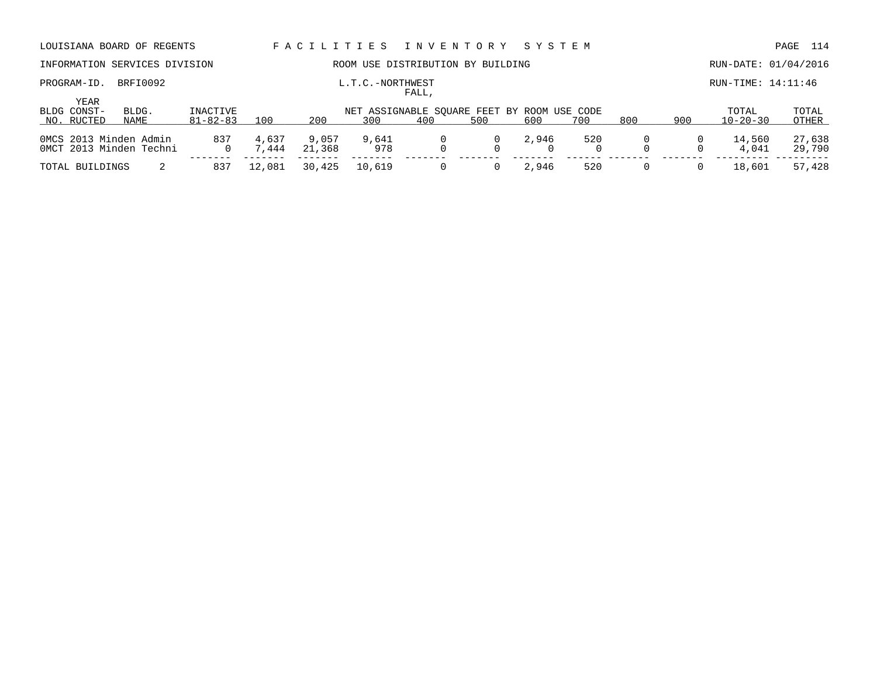| LOUISIANA BOARD OF REGENTS                        |               |                            |                | FACILITIES      |                  | I N V E N T O R Y                                  |     | SYSTEM |     |     |             |                         | 114<br>PAGE      |
|---------------------------------------------------|---------------|----------------------------|----------------|-----------------|------------------|----------------------------------------------------|-----|--------|-----|-----|-------------|-------------------------|------------------|
| INFORMATION SERVICES DIVISION                     |               |                            |                |                 |                  | ROOM USE DISTRIBUTION BY BUILDING                  |     |        |     |     |             | RUN-DATE: 01/04/2016    |                  |
| PROGRAM-ID.<br>YEAR                               | BRFI0092      |                            |                |                 | L.T.C.-NORTHWEST | FALL,                                              |     |        |     |     |             | RUN-TIME: 14:11:46      |                  |
| BLDG CONST-<br>NO. RUCTED                         | BLDG.<br>NAME | INACTIVE<br>$81 - 82 - 83$ | 100            | 200             | 300              | NET ASSIGNABLE SQUARE FEET BY ROOM USE CODE<br>400 | 500 | 600    | 700 | 800 | 900         | TOTAL<br>$10 - 20 - 30$ | TOTAL<br>OTHER   |
| OMCS 2013 Minden Admin<br>OMCT 2013 Minden Techni |               | 837<br>$\Omega$            | 4,637<br>7.444 | 9,057<br>21,368 | 9,641<br>978     |                                                    | 0   | 2,946  | 520 |     | $\mathbf 0$ | 14,560<br>4,041         | 27,638<br>29,790 |
| TOTAL BUILDINGS                                   |               | 837                        | 12,081         | 30,425          | 10,619           |                                                    |     | 2,946  | 520 | 0   | 0           | 18,601                  | 57,428           |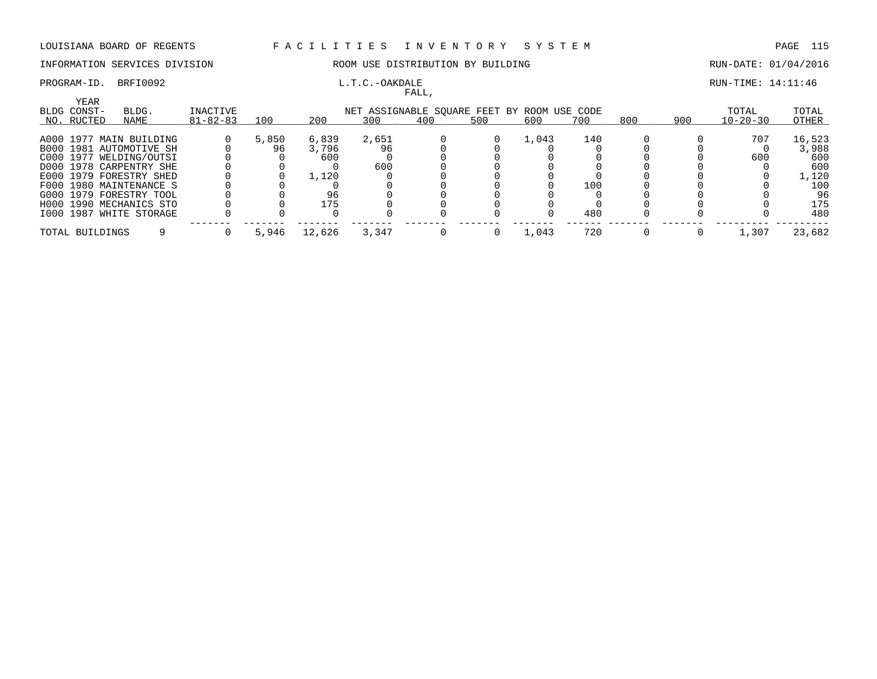### INFORMATION SERVICES DIVISION ROOM USE DISTRIBUTION BY BUILDING RUN-DATE: 01/04/2016

# FALL,

### PROGRAM-ID. BRFI0092 **EXAM-** L.T.C.-OAKDALE **EXAMPLE 21:11:46** RUN-TIME: 14:11:46

| YEAR            |                         |                |       |        |       |     |                                             |       |     |     |     |                |        |
|-----------------|-------------------------|----------------|-------|--------|-------|-----|---------------------------------------------|-------|-----|-----|-----|----------------|--------|
| BLDG CONST-     | BLDG.                   | INACTIVE       |       |        |       |     | NET ASSIGNABLE SOUARE FEET BY ROOM USE CODE |       |     |     |     | TOTAL          | TOTAL  |
| NO. RUCTED      | NAME                    | $81 - 82 - 83$ | 100   | 200    | 300   | 400 | 500                                         | 600   | 700 | 800 | 900 | $10 - 20 - 30$ | OTHER  |
|                 |                         |                |       |        |       |     |                                             |       |     |     |     |                |        |
|                 | A000 1977 MAIN BUILDING |                | 5,850 | 6,839  | 2,651 |     |                                             | 1,043 | 140 |     |     | 707            | 16,523 |
|                 | B000 1981 AUTOMOTIVE SH |                | 96    | 3,796  | 96    |     |                                             |       |     |     |     |                | 3,988  |
|                 | C000 1977 WELDING/OUTSI |                |       | 600    |       |     |                                             |       |     |     |     | 600            | 600    |
|                 | D000 1978 CARPENTRY SHE |                |       |        | 600   |     |                                             |       |     |     |     |                | 600    |
|                 | E000 1979 FORESTRY SHED |                |       | 1,120  |       |     |                                             |       |     |     |     |                | 1,120  |
|                 | F000 1980 MAINTENANCE S |                |       |        |       |     |                                             |       | 100 |     |     |                | 100    |
|                 | G000 1979 FORESTRY TOOL |                |       | 96     |       |     |                                             |       |     |     |     |                | 96     |
|                 | H000 1990 MECHANICS STO |                |       | 175    |       |     |                                             |       |     |     |     |                | 175    |
|                 | I000 1987 WHITE STORAGE |                |       |        |       |     |                                             |       | 480 |     |     |                | 480    |
|                 |                         |                |       |        |       |     |                                             |       |     |     |     |                |        |
| TOTAL BUILDINGS |                         |                | 5,946 | 12,626 | 3,347 |     |                                             | 1,043 | 720 |     |     | 1,307          | 23,682 |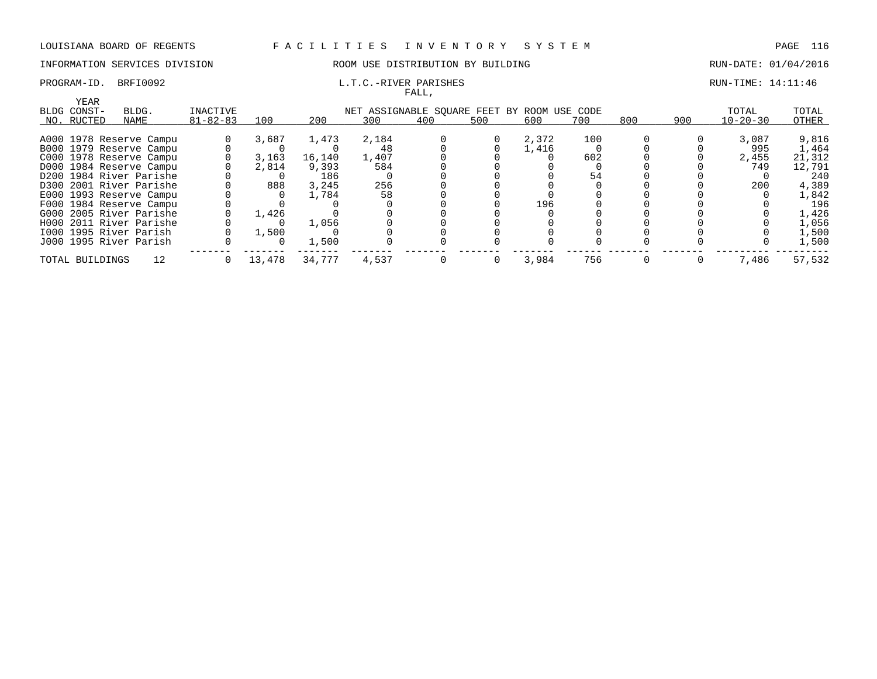### INFORMATION SERVICES DIVISION COOM OSE DISTRIBUTION BY BUILDING CONTROLLER RUN-DATE: 01/04/2016

### PROGRAM-ID. BRFI0092 **EXAM-** L.T.C.-RIVER PARISHES RUN-TIME: 14:11:46 FALL,

| YEAR                   |                         |                |        |        |                                             |     |     |       |     |     |     |                |        |
|------------------------|-------------------------|----------------|--------|--------|---------------------------------------------|-----|-----|-------|-----|-----|-----|----------------|--------|
| BLDG CONST-            | BLDG.                   | INACTIVE       |        |        | NET ASSIGNABLE SOUARE FEET BY ROOM USE CODE |     |     |       |     |     |     | TOTAL          | TOTAL  |
| NO. RUCTED             | NAME                    | $81 - 82 - 83$ | 100    | 200    | 300                                         | 400 | 500 | 600   | 700 | 800 | 900 | $10 - 20 - 30$ | OTHER  |
|                        | A000 1978 Reserve Campu |                | 3,687  | 1,473  | 2,184                                       |     |     | 2,372 | 100 |     |     | 3,087          | 9,816  |
|                        |                         |                |        |        |                                             |     |     |       |     |     |     |                |        |
|                        | B000 1979 Reserve Campu |                |        |        | -48                                         |     |     | 1,416 |     |     |     | 995            | 1,464  |
|                        | C000 1978 Reserve Campu |                | 3,163  | 16,140 | 1,407                                       |     |     |       | 602 |     |     | 2,455          | 21,312 |
|                        | D000 1984 Reserve Campu |                | 2,814  | 9,393  | 584                                         |     |     |       |     |     |     | 749            | 12,791 |
|                        | D200 1984 River Parishe |                |        | 186    |                                             |     |     |       | 54  |     |     |                | 240    |
|                        | D300 2001 River Parishe |                | 888    | 3,245  | 256                                         |     |     |       |     |     |     | 200            | 4,389  |
|                        | E000 1993 Reserve Campu |                |        | 1,784  | 58                                          |     |     |       |     |     |     |                | 1,842  |
|                        | F000 1984 Reserve Campu |                |        |        |                                             |     |     | 196   |     |     |     |                | 196    |
|                        | G000 2005 River Parishe |                | 1,426  |        |                                             |     |     |       |     |     |     |                | 1,426  |
|                        | H000 2011 River Parishe |                |        | 1,056  |                                             |     |     |       |     |     |     |                | 1,056  |
| 1000 1995 River Parish |                         |                | 1,500  |        |                                             |     |     |       |     |     |     |                | 1,500  |
| J000 1995 River Parish |                         |                |        | 1,500  |                                             |     |     |       |     |     |     |                | 1,500  |
| TOTAL BUILDINGS        | 12                      |                | 13,478 | 34,777 | 4,537                                       |     |     | 3,984 | 756 |     |     | 7,486          | 57,532 |
|                        |                         |                |        |        |                                             |     |     |       |     |     |     |                |        |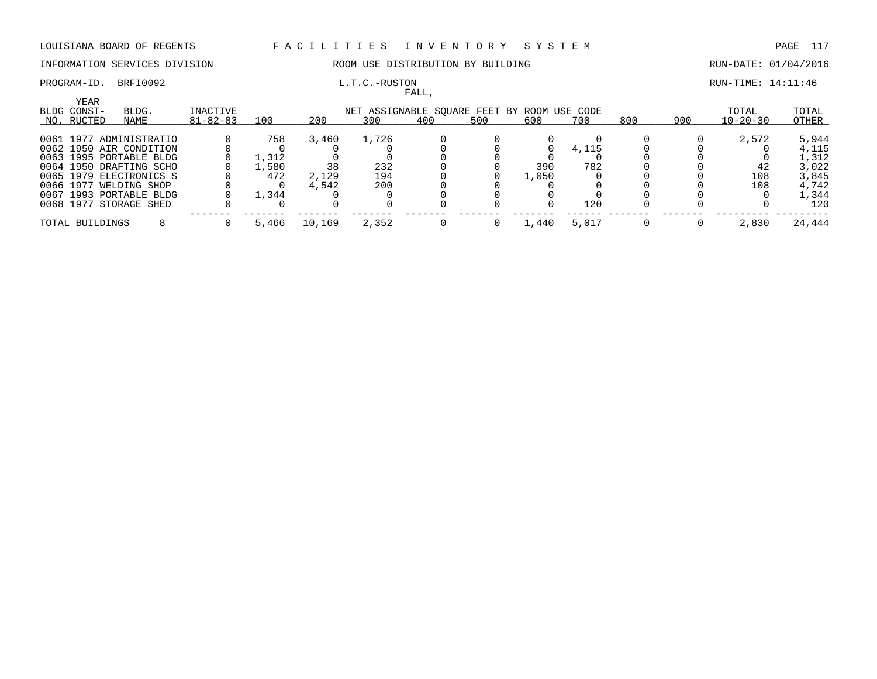### INFORMATION SERVICES DIVISION ROOM USE DISTRIBUTION BY BUILDING RUN-DATE: 01/04/2016

FALL,

### PROGRAM-ID. BRFI0092 L.T.C.-RUSTON RUN-TIME: 14:11:46

| <b>YEAR</b><br>BLDG CONST- | BLDG.                   | INACTIVE       |       |        |       |     |     | NET ASSIGNABLE SOUARE FEET BY ROOM USE CODE |       |     |     | TOTAL          | TOTAL  |
|----------------------------|-------------------------|----------------|-------|--------|-------|-----|-----|---------------------------------------------|-------|-----|-----|----------------|--------|
| NO. RUCTED                 | NAME                    | $81 - 82 - 83$ | 100   | 200    | 300   | 400 | 500 | 600                                         | 700   | 800 | 900 | $10 - 20 - 30$ | OTHER  |
|                            | 0061 1977 ADMINISTRATIO |                | 758   | 3,460  | 1,726 |     |     |                                             |       |     |     | 2,572          | 5,944  |
|                            | 0062 1950 AIR CONDITION |                |       |        |       |     |     |                                             | 4,115 |     |     |                | 4,115  |
|                            | 0063 1995 PORTABLE BLDG |                | 1,312 |        |       |     |     |                                             |       |     |     |                | 1,312  |
|                            | 0064 1950 DRAFTING SCHO |                | ,580  | 38     | 232   |     |     | 390                                         | 782   |     |     | 42             | 3,022  |
|                            | 0065 1979 ELECTRONICS S |                | 472   | 2,129  | 194   |     |     | 1,050                                       |       |     |     | 108            | 3,845  |
|                            | 0066 1977 WELDING SHOP  |                |       | 4,542  | 200   |     |     |                                             |       |     |     | 108            | 4,742  |
|                            | 0067 1993 PORTABLE BLDG |                | 1,344 |        |       |     |     |                                             |       |     |     |                | 1,344  |
|                            | 0068 1977 STORAGE SHED  |                |       |        |       |     |     |                                             | 120   |     |     |                | 120    |
| TOTAL BUILDINGS            |                         |                | 5,466 | 10,169 | 2,352 |     |     | 1,440                                       | 5,017 |     |     | 2,830          | 24,444 |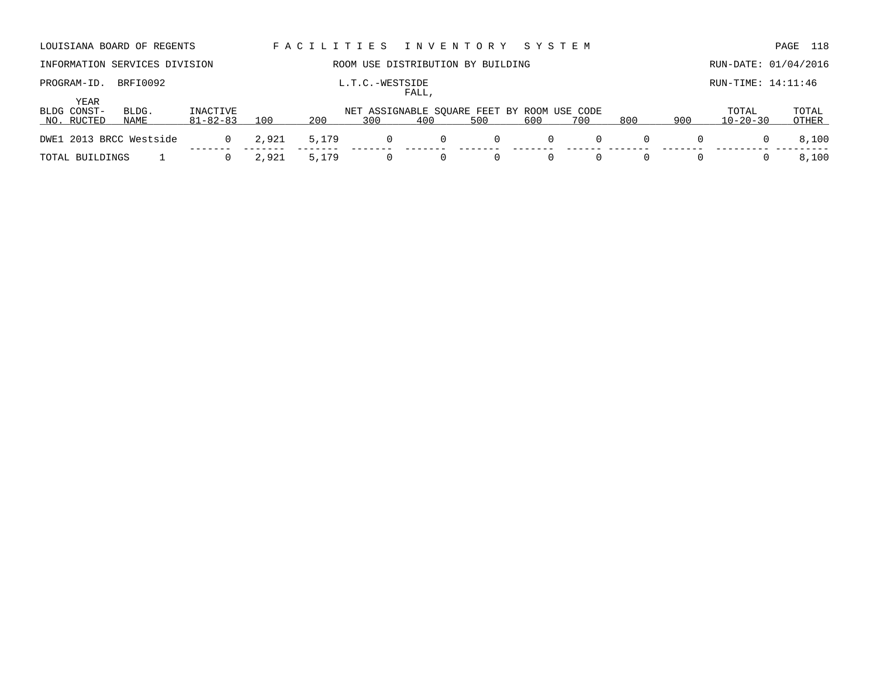|                         | LOUISIANA BOARD OF REGENTS    |                |       |       | FACILITIES INVENTORY SYSTEM                        |       |     |     |          |          |     |                      | 118<br>PAGE |
|-------------------------|-------------------------------|----------------|-------|-------|----------------------------------------------------|-------|-----|-----|----------|----------|-----|----------------------|-------------|
|                         | INFORMATION SERVICES DIVISION |                |       |       | ROOM USE DISTRIBUTION BY BUILDING                  |       |     |     |          |          |     | RUN-DATE: 01/04/2016 |             |
| PROGRAM-ID.             | BRFI0092                      |                |       |       | L.T.C.-WESTSIDE                                    | FALL, |     |     |          |          |     | $RUN-TIME: 14:11:46$ |             |
| YEAR                    |                               |                |       |       |                                                    |       |     |     |          |          |     |                      |             |
| BLDG CONST-             | BLDG.                         | INACTIVE       |       |       |                                                    |       |     |     |          |          |     | TOTAL                | TOTAL       |
| NO. RUCTED              | NAME                          | $81 - 82 - 83$ | 100   | 200   | NET ASSIGNABLE SQUARE FEET BY ROOM USE CODE<br>300 | 400   | 500 | 600 | 700      | 800      | 900 | $10 - 20 - 30$       | OTHER       |
| DWE1 2013 BRCC Westside |                               | $\Omega$       | 2,921 | 5,179 | $\mathbf{0}$                                       | 0     | 0   | 0   | $\Omega$ | $\Omega$ | 0   |                      | 8,100       |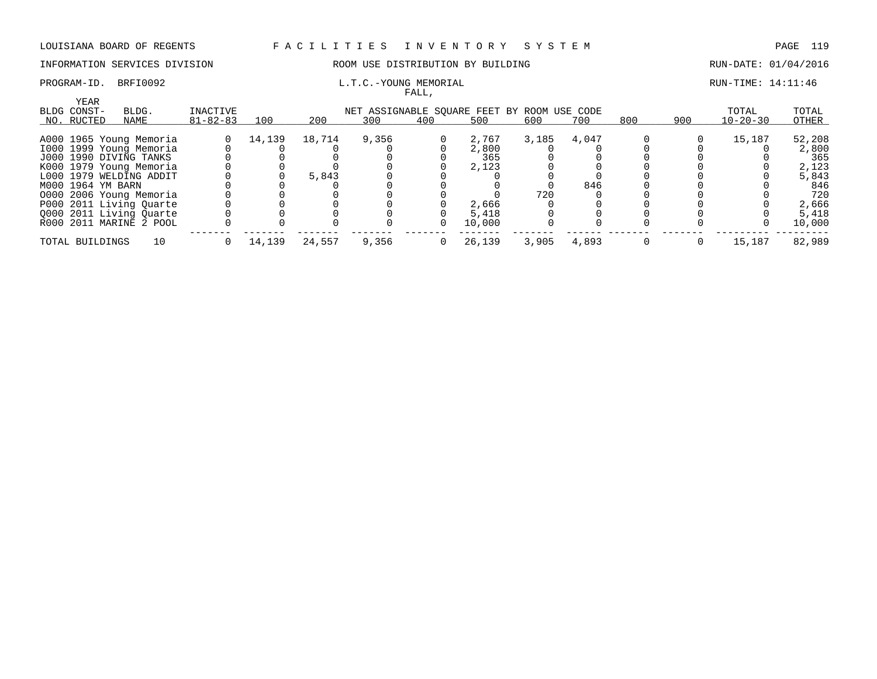### INFORMATION SERVICES DIVISION ROOM USE DISTRIBUTION BY BUILDING RUN-DATE: 01/04/2016

### PROGRAM-ID. BRFI0092 **L.T.C.-YOUNG MEMORIAL L.T.C.-YOUNG MEMORIAL** RUN-TIME: 14:11:46 FALL,

| YEAR              |                         |                |        |        |       |          |                                             |       |       |     |     |                |        |
|-------------------|-------------------------|----------------|--------|--------|-------|----------|---------------------------------------------|-------|-------|-----|-----|----------------|--------|
| BLDG CONST-       | BLDG.                   | INACTIVE       |        |        |       |          | NET ASSIGNABLE SOUARE FEET BY ROOM USE CODE |       |       |     |     | TOTAL          | TOTAL  |
| NO. RUCTED        | NAME                    | $81 - 82 - 83$ | 100    | 200    | 300   | 400      | 500                                         | 600   | 700   | 800 | 900 | $10 - 20 - 30$ | OTHER  |
|                   | A000 1965 Young Memoria |                | 14,139 | 18,714 | 9,356 | 0        | 2,767                                       | 3,185 | 4,047 |     |     | 15,187         | 52,208 |
|                   | 1000 1999 Young Memoria |                |        |        |       |          | 2,800                                       |       |       |     |     |                | 2,800  |
|                   | J000 1990 DIVING TANKS  |                |        |        |       |          | 365                                         |       |       |     |     |                | 365    |
|                   | K000 1979 Young Memoria |                |        |        |       |          | 2,123                                       |       |       |     |     |                | 2,123  |
|                   | L000 1979 WELDING ADDIT |                |        | 5,843  |       |          |                                             |       |       |     |     |                | 5,843  |
| M000 1964 YM BARN |                         |                |        |        |       |          |                                             |       | 846   |     |     |                | 846    |
|                   | 0000 2006 Young Memoria |                |        |        |       |          |                                             | 720   |       |     |     |                | 720    |
|                   | P000 2011 Living Quarte |                |        |        |       |          | 2,666                                       |       |       |     |     |                | 2,666  |
|                   | 0000 2011 Living Ouarte |                |        |        |       |          | 5,418                                       |       |       |     |     |                | 5,418  |
|                   | R000 2011 MARINE 2 POOL |                |        |        |       | $\Omega$ | 10,000                                      |       |       |     |     |                | 10,000 |
| TOTAL BUILDINGS   | 10                      |                | 14,139 | 24,557 | 9,356 |          | 26,139                                      | 3,905 | 4,893 |     |     | 15,187         | 82,989 |
|                   |                         |                |        |        |       |          |                                             |       |       |     |     |                |        |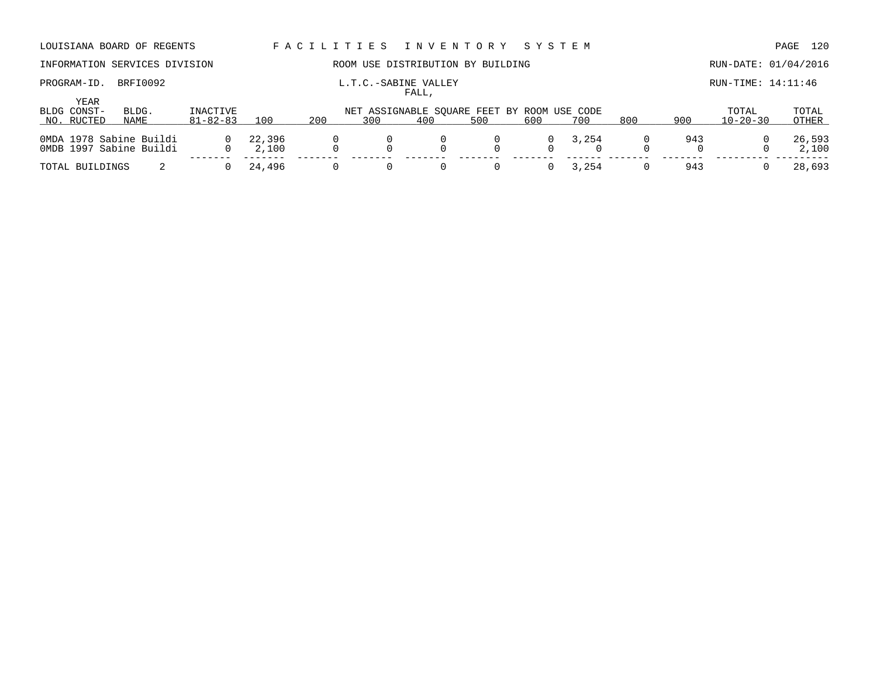# INFORMATION SERVICES DIVISION ROOM USE DISTRIBUTION BY BUILDING RUN-DATE: 01/04/2016

PROGRAM-ID. BRFI0092 **EXABINE VALLEY** EXABINE VALLEY RUN-TIME: 14:11:46

|                     |                                                    |                |                 |     |     | FALL, |                                             |          |       |     |     |                |                 |
|---------------------|----------------------------------------------------|----------------|-----------------|-----|-----|-------|---------------------------------------------|----------|-------|-----|-----|----------------|-----------------|
| YEAR<br>BLDG CONST- | BLDG.                                              | INACTIVE       |                 |     |     |       | NET ASSIGNABLE SQUARE FEET BY ROOM USE CODE |          |       |     |     | TOTAL          | TOTAL           |
| NO. RUCTED          | NAME                                               | $81 - 82 - 83$ | 100             | 200 | 300 | 400   | 500                                         | 600      | 700   | 800 | 900 | $10 - 20 - 30$ | OTHER           |
|                     | 0MDA 1978 Sabine Buildi<br>OMDB 1997 Sabine Buildi | $\Omega$       | 22,396<br>2,100 |     |     |       |                                             | 0        | 3,254 |     | 943 |                | 26,593<br>2,100 |
| TOTAL BUILDINGS     |                                                    |                | 24,496          |     |     |       |                                             | $\Omega$ | 3,254 |     | 943 |                | 28,693          |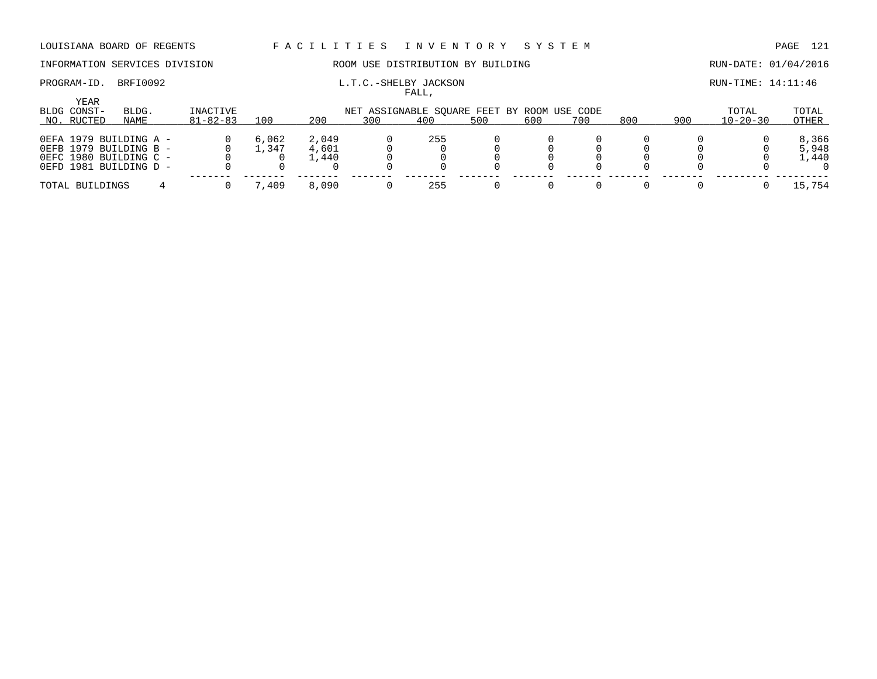## INFORMATION SERVICES DIVISION **ROOM USE DISTRIBUTION BY BUILDING RUN-DATE: 01/04/2016**

# PROGRAM-ID. BRFI0092 L.T.C.-SHELBY JACKSON RUN-TIME: 14:11:46

|                     |                                                                                                      |                |                |                         |                                             | .   |     |     |     |     |     |                |                         |
|---------------------|------------------------------------------------------------------------------------------------------|----------------|----------------|-------------------------|---------------------------------------------|-----|-----|-----|-----|-----|-----|----------------|-------------------------|
| YEAR<br>BLDG CONST- | BLDG.                                                                                                | INACTIVE       |                |                         | NET ASSIGNABLE SOUARE FEET BY ROOM USE CODE |     |     |     |     |     |     | TOTAL          | TOTAL                   |
| NO. RUCTED          | NAME                                                                                                 | $81 - 82 - 83$ | 100            | 200                     | 300                                         | 400 | 500 | 600 | 700 | 800 | 900 | $10 - 20 - 30$ | OTHER                   |
|                     | OEFA 1979 BUILDING A -<br>OEFB 1979 BUILDING B -<br>OEFC 1980 BUILDING C -<br>OEFD 1981 BUILDING D - |                | 6,062<br>⊥,347 | 2,049<br>4,601<br>1,440 |                                             | 255 |     |     |     |     |     |                | 8,366<br>5,948<br>1,440 |
| TOTAL BUILDINGS     |                                                                                                      |                | 7,409          | 8,090                   |                                             | 255 |     |     |     |     |     |                | 15,754                  |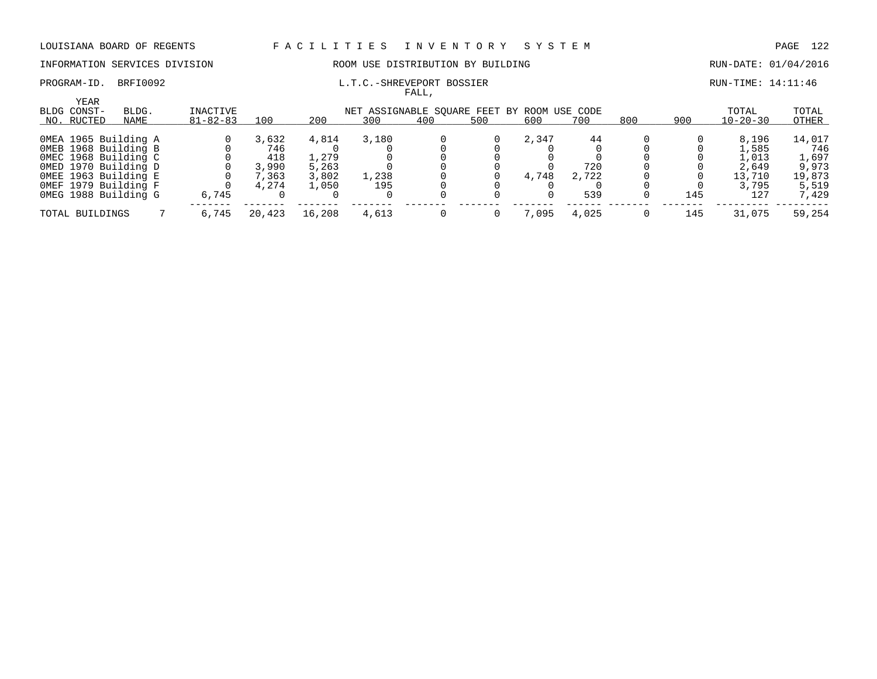### PROGRAM-ID. BRFI0092 COMPUTE: 14:11:46

### INFORMATION SERVICES DIVISION ROOM USE DISTRIBUTION BY BUILDING RUN-DATE: 01/04/2016

| <b>YEAR</b><br>BLDG CONST- | BLDG.                | INACTIVE       |        | NET ASSIGNABLE SOUARE FEET BY ROOM USE CODE |       |     |     |       |       |     |     |                | TOTAL  |
|----------------------------|----------------------|----------------|--------|---------------------------------------------|-------|-----|-----|-------|-------|-----|-----|----------------|--------|
| NO. RUCTED                 | NAME                 | $81 - 82 - 83$ | 100    | 200                                         | 300   | 400 | 500 | 600   | 700   | 800 | 900 | $10 - 20 - 30$ | OTHER  |
| OMEA 1965 Building A       |                      |                | 3,632  | 4,814                                       | 3,180 |     |     | 2,347 | 44    |     |     | 8,196          | 14,017 |
| OMEB 1968 Building B       |                      |                | 746    |                                             |       |     |     |       |       |     |     | 1,585          | 746    |
|                            | OMEC 1968 Building C |                | 418    | 1,279                                       |       |     |     |       |       |     |     | 1,013          | 1,697  |
| OMED 1970 Building D       |                      |                | 3,990  | 5,263                                       |       |     |     |       | 720   |     |     | 2,649          | 9,973  |
| OMEE 1963 Building E       |                      |                | 7,363  | 3,802                                       | 1,238 |     |     | 4,748 | 2,722 |     |     | 13,710         | 19,873 |
| OMEF 1979 Building F       |                      |                | 4,274  | 1,050                                       | 195   |     |     |       |       |     |     | 3,795          | 5,519  |
| OMEG 1988 Building G       |                      | 6,745          |        |                                             |       |     |     |       | 539   |     | 145 | 127            | 7,429  |
| TOTAL BUILDINGS            |                      | 6,745          | 20,423 | 16,208                                      | 4,613 |     |     | 7.095 | 4,025 |     | 145 | 31,075         | 59,254 |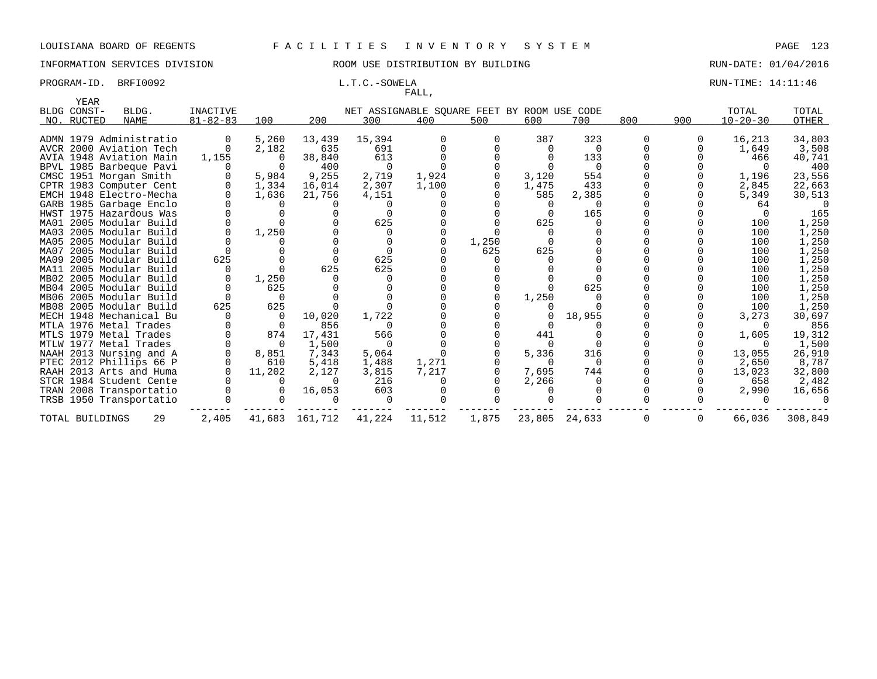### INFORMATION SERVICES DIVISION ROOM USE DISTRIBUTION BY BUILDING RUN-DATE: 01/04/2016

## FALL,

### PROGRAM-ID. BRFI0092 **L.T.C.-SOWELA L.T.C.-SOWELA RUN-TIME: 14:11:46**

| YEAR            |                         |                 |                |         |          |                                             |       |          |          |             |     |                |         |
|-----------------|-------------------------|-----------------|----------------|---------|----------|---------------------------------------------|-------|----------|----------|-------------|-----|----------------|---------|
| BLDG CONST-     | BLDG.                   | <b>INACTIVE</b> |                |         |          | NET ASSIGNABLE SQUARE FEET BY ROOM USE CODE |       |          |          |             |     | TOTAL          | TOTAL   |
| NO. RUCTED      | NAME                    | $81 - 82 - 83$  | 100            | 200     | 300      | 400                                         | 500   | 600      | 700      | 800         | 900 | $10 - 20 - 30$ | OTHER   |
|                 |                         |                 |                |         |          |                                             |       |          |          |             |     |                |         |
|                 | ADMN 1979 Administratio |                 | 5,260          | 13,439  | 15,394   |                                             |       | 387      | 323      | $\Omega$    |     | 16,213         | 34,803  |
|                 | AVCR 2000 Aviation Tech |                 | 2,182          | 635     | 691      |                                             |       |          | $\Omega$ |             |     | 1,649          | 3,508   |
|                 | AVIA 1948 Aviation Main | 1,155           | $\Omega$       | 38,840  | 613      |                                             |       |          | 133      |             |     | 466            | 40,741  |
|                 | BPVL 1985 Barbeque Pavi |                 | 0              | 400     | 0        |                                             |       |          | - 0      |             |     |                | 400     |
|                 | CMSC 1951 Morgan Smith  |                 | 5,984          | 9,255   | 2,719    | 1,924                                       |       | 3,120    | 554      |             |     | 1,196          | 23,556  |
|                 | CPTR 1983 Computer Cent |                 | 1,334          | 16,014  | 2,307    | 1,100                                       |       | 1,475    | 433      |             |     | 2,845          | 22,663  |
|                 | EMCH 1948 Electro-Mecha |                 | 1,636          | 21,756  | 4,151    |                                             |       | 585      | 2,385    |             |     | 5,349          | 30,513  |
|                 | GARB 1985 Garbage Enclo |                 | $\Omega$       |         |          |                                             |       | $\Omega$ | $\Omega$ |             |     | 64             |         |
|                 | HWST 1975 Hazardous Was |                 |                |         | $\Omega$ |                                             |       | $\Omega$ | 165      |             |     |                | 165     |
|                 | MA01 2005 Modular Build |                 |                |         | 625      |                                             |       | 625      |          |             |     | 100            | 1,250   |
|                 | MA03 2005 Modular Build |                 | 1,250          |         | $\Omega$ |                                             |       |          |          |             |     | 100            | 1,250   |
|                 | MA05 2005 Modular Build |                 |                |         |          |                                             | 1,250 |          |          |             |     | 100            | 1,250   |
|                 | MA07 2005 Modular Build |                 |                |         | $\Omega$ |                                             | 625   | 625      |          |             |     | 100            | 1,250   |
|                 | MA09 2005 Modular Build | 625             |                |         | 625      |                                             |       |          |          |             |     | 100            | 1,250   |
|                 | MA11 2005 Modular Build |                 | $\Omega$       | 625     | 625      |                                             |       |          |          |             |     | 100            | 1,250   |
|                 | MB02 2005 Modular Build |                 | 1,250          |         | $\Omega$ |                                             |       |          |          |             |     | 100            | 1,250   |
|                 | MB04 2005 Modular Build |                 | 625            |         | $\Omega$ |                                             |       |          | 625      |             |     | 100            | 1,250   |
|                 | MB06 2005 Modular Build |                 | $\Omega$       |         |          |                                             |       | 1,250    |          |             |     | 100            | 1,250   |
|                 | MB08 2005 Modular Build | 625             | 625            |         |          |                                             |       |          |          |             |     | 100            | 1,250   |
|                 | MECH 1948 Mechanical Bu |                 | $\overline{0}$ | 10,020  | 1,722    |                                             |       |          | 18,955   |             |     | 3,273          | 30,697  |
|                 | MTLA 1976 Metal Trades  |                 | - 0            | 856     | $\Omega$ |                                             |       |          |          |             |     |                | 856     |
|                 | MTLS 1979 Metal Trades  |                 | 874            | 17,431  | 566      |                                             |       | 441      |          |             |     | 1,605          | 19,312  |
|                 | MTLW 1977 Metal Trades  |                 | $\overline{0}$ | 1,500   | $\Omega$ |                                             |       | $\Omega$ |          |             |     |                | 1,500   |
|                 | NAAH 2013 Nursing and A |                 | 8,851          | 7,343   | 5,064    |                                             |       | 5,336    | 316      |             |     | 13,055         | 26,910  |
|                 | PTEC 2012 Phillips 66 P |                 | 610            | 5,418   | 1,488    | 1,271                                       |       | $\Omega$ | $\Omega$ |             |     | 2,650          | 8,787   |
|                 | RAAH 2013 Arts and Huma |                 | 11,202         | 2,127   | 3,815    | 7,217                                       |       | 7,695    | 744      |             |     | 13,023         | 32,800  |
|                 | STCR 1984 Student Cente |                 |                |         | 216      |                                             |       | 2,266    |          |             |     | 658            | 2,482   |
|                 | TRAN 2008 Transportatio |                 |                | 16,053  | 603      |                                             |       |          |          |             |     | 2,990          | 16,656  |
|                 | TRSB 1950 Transportatio |                 |                |         | 0        |                                             |       |          |          |             |     |                |         |
| TOTAL BUILDINGS | 29                      | 2,405           | 41,683         | 161,712 | 41,224   | 11,512                                      | 1,875 | 23,805   | 24,633   | $\mathbf 0$ |     | 66,036         | 308,849 |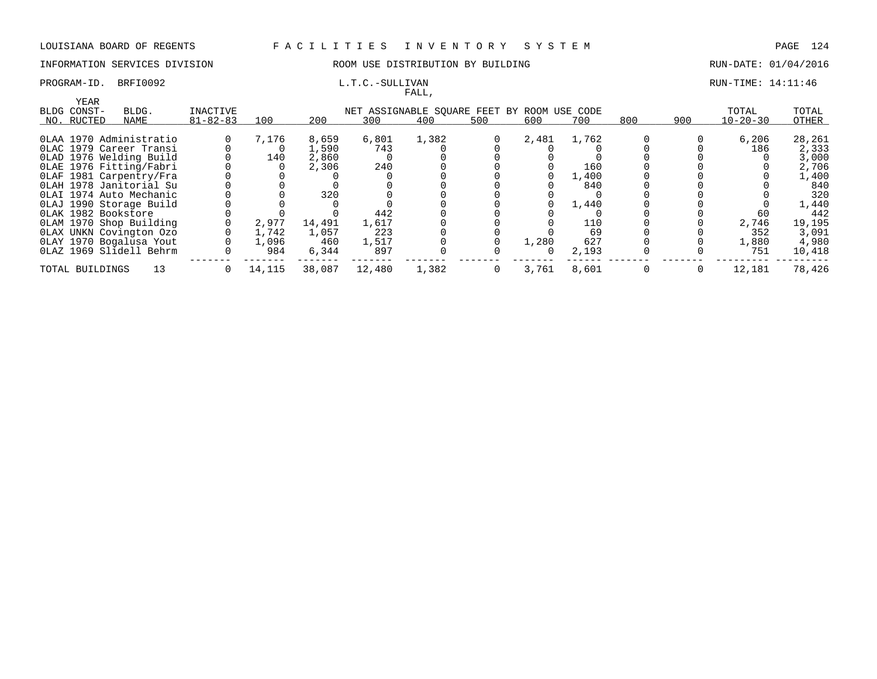### INFORMATION SERVICES DIVISION COOM OSE DISTRIBUTION BY BUILDING CONTROLLER RUN-DATE: 01/04/2016

### PROGRAM-ID. BRFI0092 L.T.C.-SULLIVAN L.T.C.-SULLIVAN RUN-TIME: 14:11:46

| FALL,               |                                                                  |                |        |        |        |       |                |       |       |              |                |                         |        |
|---------------------|------------------------------------------------------------------|----------------|--------|--------|--------|-------|----------------|-------|-------|--------------|----------------|-------------------------|--------|
| YEAR<br>BLDG CONST- | INACTIVE<br>BLDG.<br>NET ASSIGNABLE SQUARE FEET BY ROOM USE CODE |                |        |        |        |       |                |       |       |              |                |                         | TOTAL  |
| NO. RUCTED          | NAME                                                             | $81 - 82 - 83$ | 100    | 200    | 300    | 400   | 500            | 600   | 700   | 800          | 900            | TOTAL<br>$10 - 20 - 30$ | OTHER  |
|                     |                                                                  |                |        |        |        |       |                |       |       |              |                |                         |        |
|                     | 0LAA 1970 Administratio                                          |                | 7,176  | 8,659  | 6,801  | 1,382 |                | 2,481 | 1,762 |              |                | 6,206                   | 28,261 |
|                     | OLAC 1979 Career Transi                                          |                |        | 1,590  | 743    |       |                |       |       |              |                | 186                     | 2,333  |
|                     | OLAD 1976 Welding Build                                          |                | 140    | 2,860  |        |       |                |       |       |              |                |                         | 3,000  |
|                     | OLAE 1976 Fitting/Fabri                                          |                |        | 2,306  | 240    |       |                |       | 160   |              |                |                         | 2,706  |
|                     | OLAF 1981 Carpentry/Fra                                          |                |        |        |        |       |                |       | 1,400 |              |                |                         | 1,400  |
|                     | OLAH 1978 Janitorial Su                                          |                |        |        |        |       |                |       | 840   |              |                |                         | 840    |
|                     | OLAI 1974 Auto Mechanic                                          |                |        | 320    |        |       |                |       |       |              |                |                         | 320    |
|                     | OLAJ 1990 Storage Build                                          |                |        |        |        |       |                |       | 1,440 |              |                |                         | 1,440  |
| OLAK 1982 Bookstore |                                                                  |                |        |        | 442    |       |                |       |       |              |                | 60                      | 442    |
|                     | OLAM 1970 Shop Building                                          |                | 2,977  | 14,491 | 1,617  |       |                |       | 110   |              |                | 2,746                   | 19,195 |
|                     | OLAX UNKN Covington Ozo                                          |                | 1,742  | 1,057  | 223    |       |                |       | 69    |              |                | 352                     | 3,091  |
|                     | OLAY 1970 Bogalusa Yout                                          |                | 1,096  | 460    | 1,517  |       |                | 1,280 | 627   |              |                | 1,880                   | 4,980  |
|                     | OLAZ 1969 Slidell Behrm                                          |                | 984    | 6,344  | 897    |       |                | 0     | 2,193 |              |                | 751                     | 10,418 |
| TOTAL BUILDINGS     | 13                                                               | $\Omega$       | 14,115 | 38,087 | 12,480 | 1,382 | $\overline{0}$ | 3,761 | 8,601 | $\mathbf{0}$ | $\overline{0}$ | 12,181                  | 78,426 |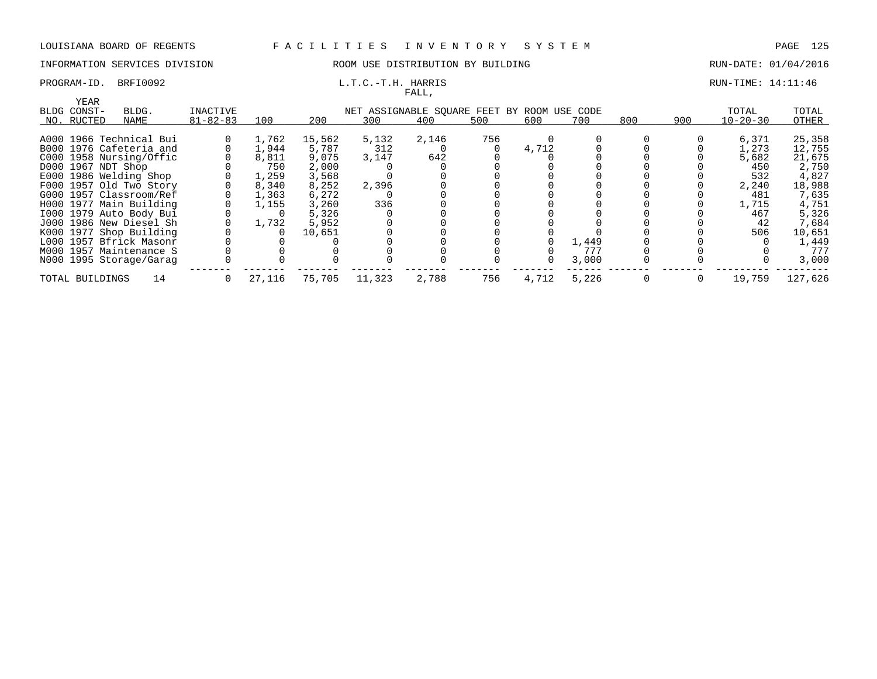### INFORMATION SERVICES DIVISION ROOM USE DISTRIBUTION BY BUILDING RUN-DATE: 01/04/2016

# FALL,

### PROGRAM-ID. BRFI0092 **EXAM-ID.** BRFI0092 **L.T.C.-T.H. HARRIS** RUN-TIME: 14:11:46

| YEAR                                                                            |                         |                |        |        |        | .     |     |       |       |     |     |                |         |
|---------------------------------------------------------------------------------|-------------------------|----------------|--------|--------|--------|-------|-----|-------|-------|-----|-----|----------------|---------|
| INACTIVE<br>BLDG CONST-<br>BLDG.<br>NET ASSIGNABLE SQUARE FEET BY ROOM USE CODE |                         |                |        |        |        |       |     |       |       |     |     | TOTAL          | TOTAL   |
| NO. RUCTED                                                                      | NAME                    | $81 - 82 - 83$ | 100    | 200    | 300    | 400   | 500 | 600   | 700   | 800 | 900 | $10 - 20 - 30$ | OTHER   |
|                                                                                 |                         |                |        |        |        |       |     |       |       |     |     |                |         |
|                                                                                 | A000 1966 Technical Bui |                | 1,762  | 15,562 | 5,132  | 2,146 | 756 |       |       |     |     | 6,371          | 25,358  |
|                                                                                 | B000 1976 Cafeteria and |                | 1,944  | 5,787  | 312    |       |     | 4,712 |       |     |     | 1,273          | 12,755  |
|                                                                                 | C000 1958 Nursing/Offic |                | 8,811  | 9,075  | 3.147  | 642   |     |       |       |     |     | 5,682          | 21,675  |
| D000 1967 NDT Shop                                                              |                         |                | 750    | 2,000  |        |       |     |       |       |     |     | 450            | 2,750   |
|                                                                                 | E000 1986 Welding Shop  |                | 1,259  | 3,568  |        |       |     |       |       |     |     | 532            | 4,827   |
|                                                                                 | F000 1957 Old Two Story |                | 8,340  | 8,252  | 2,396  |       |     |       |       |     |     | 2,240          | 18,988  |
|                                                                                 | G000 1957 Classroom/Ref |                | 1,363  | 6,272  |        |       |     |       |       |     |     | 481            | 7,635   |
|                                                                                 | H000 1977 Main Building |                | 1,155  | 3,260  | 336    |       |     |       |       |     |     | 1,715          | 4,751   |
|                                                                                 | 1000 1979 Auto Body Bui |                |        | 5,326  |        |       |     |       |       |     |     | 467            | 5,326   |
|                                                                                 | J000 1986 New Diesel Sh |                | 1,732  | 5,952  |        |       |     |       |       |     |     | 42             | 7,684   |
|                                                                                 | K000 1977 Shop Building |                |        | 10,651 |        |       |     |       |       |     |     | 506            | 10,651  |
|                                                                                 | L000 1957 Bfrick Masonr |                |        |        |        |       |     |       | 1,449 |     |     |                | 1,449   |
|                                                                                 | M000 1957 Maintenance S |                |        |        |        |       |     |       | 777   |     |     |                | 777     |
|                                                                                 | N000 1995 Storage/Garag |                |        |        |        |       |     |       | 3,000 |     |     |                | 3,000   |
| TOTAL BUILDINGS                                                                 | 14                      | $\Omega$       | 27,116 | 75,705 | 11,323 | 2,788 | 756 | 4,712 | 5,226 |     |     | 19,759         | 127,626 |
|                                                                                 |                         |                |        |        |        |       |     |       |       |     |     |                |         |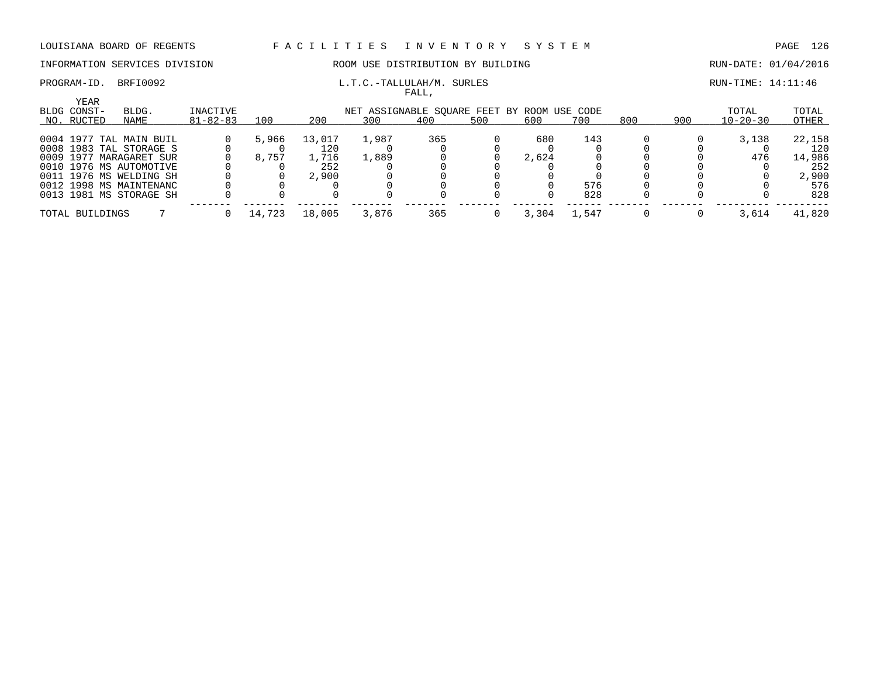### PROGRAM-ID. BRFI0092 COMPUTE: 14:11:46

### INFORMATION SERVICES DIVISION ROOM USE DISTRIBUTION BY BUILDING RUN-DATE: 01/04/2016

| YEAR<br>BLDG CONST- | BLDG.                   | INACTIVE       | NET ASSIGNABLE SOUARE FEET BY ROOM USE CODE |        |       |     |     |       |       |     |     |                | TOTAL  |
|---------------------|-------------------------|----------------|---------------------------------------------|--------|-------|-----|-----|-------|-------|-----|-----|----------------|--------|
| NO. RUCTED          | NAME                    | $81 - 82 - 83$ | 100                                         | 200    | 300   | 400 | 500 | 600   | 700   | 800 | 900 | $10 - 20 - 30$ | OTHER  |
|                     | 0004 1977 TAL MAIN BUIL |                | 5,966                                       | 13,017 | 1,987 | 365 |     | 680   | 143   |     |     | 3,138          | 22,158 |
|                     | 0008 1983 TAL STORAGE S |                |                                             |        |       |     |     |       |       |     |     |                | 120    |
|                     | 0009 1977 MARAGARET SUR |                | 8,757                                       | 1,716  | 1,889 |     |     | 2,624 |       |     |     | 476            | 14,986 |
|                     | 0010 1976 MS AUTOMOTIVE |                |                                             | 252    |       |     |     |       |       |     |     |                | 252    |
|                     | 0011 1976 MS WELDING SH |                |                                             | 2,900  |       |     |     |       |       |     |     |                | 2,900  |
|                     | 0012 1998 MS MAINTENANC |                |                                             |        |       |     |     |       | 576   |     |     |                | 576    |
|                     | 0013 1981 MS STORAGE SH |                |                                             |        |       |     |     |       | 828   |     |     |                | 828    |
| TOTAL BUILDINGS     |                         |                | 14,723                                      | 18,005 | 3,876 | 365 |     | 3,304 | 1,547 |     |     | 3,614          | 41,820 |